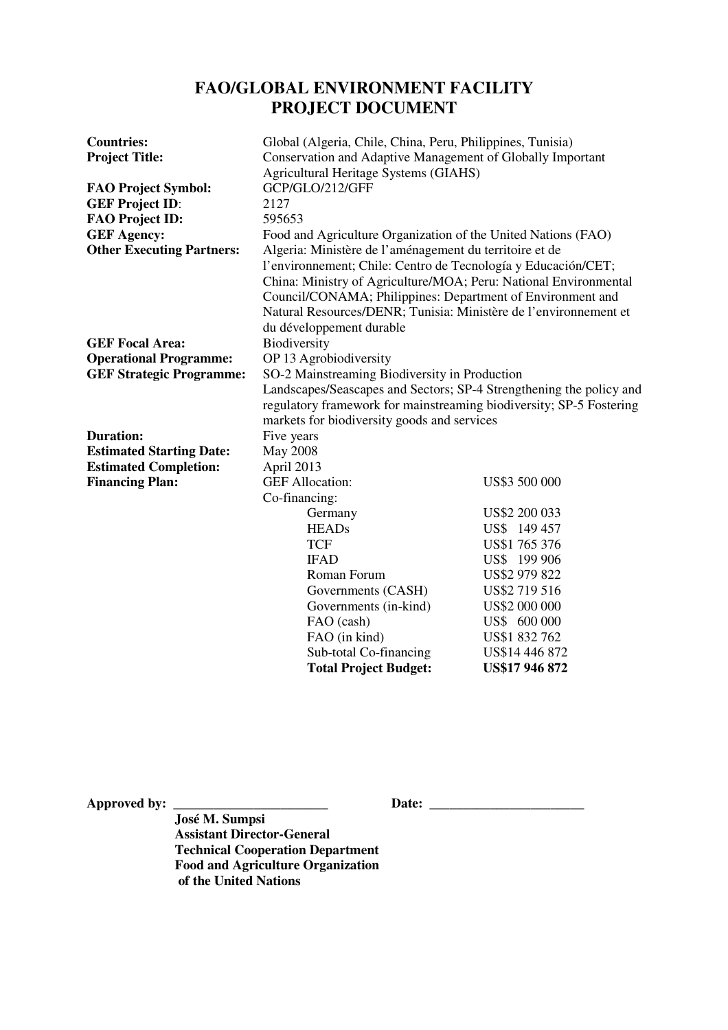# **FAO/GLOBAL ENVIRONMENT FACILITY PROJECT DOCUMENT**

| <b>Countries:</b>                | Global (Algeria, Chile, China, Peru, Philippines, Tunisia)                                                                     |                       |  |
|----------------------------------|--------------------------------------------------------------------------------------------------------------------------------|-----------------------|--|
| <b>Project Title:</b>            | Conservation and Adaptive Management of Globally Important                                                                     |                       |  |
|                                  | <b>Agricultural Heritage Systems (GIAHS)</b>                                                                                   |                       |  |
| <b>FAO Project Symbol:</b>       | GCP/GLO/212/GFF                                                                                                                |                       |  |
| <b>GEF Project ID:</b>           | 2127                                                                                                                           |                       |  |
| <b>FAO Project ID:</b>           | 595653                                                                                                                         |                       |  |
| <b>GEF Agency:</b>               | Food and Agriculture Organization of the United Nations (FAO)                                                                  |                       |  |
| <b>Other Executing Partners:</b> | Algeria: Ministère de l'aménagement du territoire et de                                                                        |                       |  |
|                                  | l'environnement; Chile: Centro de Tecnología y Educación/CET;                                                                  |                       |  |
|                                  | China: Ministry of Agriculture/MOA; Peru: National Environmental<br>Council/CONAMA; Philippines: Department of Environment and |                       |  |
|                                  |                                                                                                                                |                       |  |
|                                  | Natural Resources/DENR; Tunisia: Ministère de l'environnement et                                                               |                       |  |
|                                  | du développement durable                                                                                                       |                       |  |
| <b>GEF Focal Area:</b>           | Biodiversity                                                                                                                   |                       |  |
| <b>Operational Programme:</b>    | OP 13 Agrobiodiversity                                                                                                         |                       |  |
| <b>GEF Strategic Programme:</b>  | SO-2 Mainstreaming Biodiversity in Production                                                                                  |                       |  |
|                                  | Landscapes/Seascapes and Sectors; SP-4 Strengthening the policy and                                                            |                       |  |
|                                  | regulatory framework for mainstreaming biodiversity; SP-5 Fostering                                                            |                       |  |
|                                  | markets for biodiversity goods and services                                                                                    |                       |  |
| <b>Duration:</b>                 | Five years                                                                                                                     |                       |  |
| <b>Estimated Starting Date:</b>  | <b>May 2008</b>                                                                                                                |                       |  |
| <b>Estimated Completion:</b>     | April 2013                                                                                                                     |                       |  |
| <b>Financing Plan:</b>           | <b>GEF Allocation:</b>                                                                                                         | US\$3 500 000         |  |
|                                  | Co-financing:                                                                                                                  |                       |  |
|                                  | Germany                                                                                                                        | US\$2 200 033         |  |
|                                  | <b>HEADs</b>                                                                                                                   | US\$ 149 457          |  |
|                                  | <b>TCF</b>                                                                                                                     | US\$1 765 376         |  |
|                                  | <b>IFAD</b>                                                                                                                    | US\$ 199 906          |  |
|                                  | Roman Forum                                                                                                                    | US\$2 979 822         |  |
|                                  | Governments (CASH)                                                                                                             | US\$2 719 516         |  |
|                                  | Governments (in-kind)                                                                                                          | US\$2 000 000         |  |
|                                  | FAO (cash)                                                                                                                     | US\$ 600 000          |  |
|                                  | FAO (in kind)                                                                                                                  | US\$1 832 762         |  |
|                                  | Sub-total Co-financing                                                                                                         | US\$14 446 872        |  |
|                                  | <b>Total Project Budget:</b>                                                                                                   | <b>US\$17 946 872</b> |  |

**Approved by: \_\_\_\_\_\_\_\_\_\_\_\_\_\_\_\_\_\_\_\_\_\_\_ Date: \_\_\_\_\_\_\_\_\_\_\_\_\_\_\_\_\_\_\_\_\_\_\_** 

 **José M. Sumpsi Assistant Director-General Technical Cooperation Department Food and Agriculture Organization of the United Nations**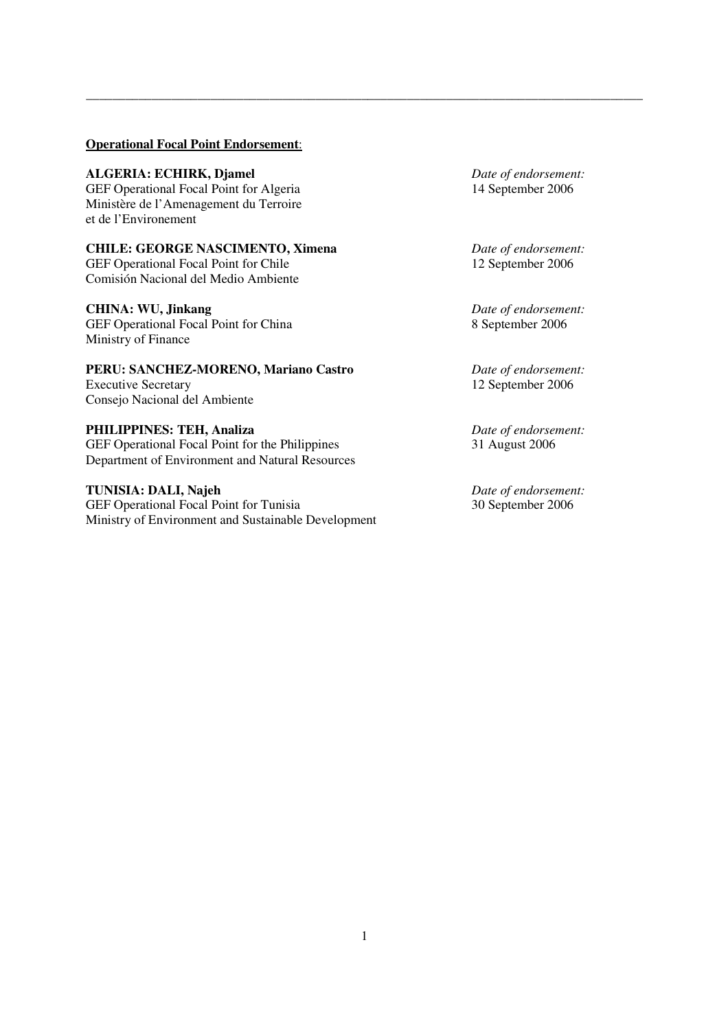#### **Operational Focal Point Endorsement**:

**ALGERIA: ECHIRK, Djamel** *Date of endorsement:*  GEF Operational Focal Point for Algeria 14 September 2006 Ministère de l'Amenagement du Terroire et de l'Environement

**CHILE: GEORGE NASCIMENTO, Ximena** *Date of endorsement:* GEF Operational Focal Point for Chile 12 September 2006 Comisión Nacional del Medio Ambiente

GEF Operational Focal Point for China Ministry of Finance

**PERU: SANCHEZ-MORENO, Mariano Castro** *Date of endorsement:*  Executive Secretary 12 September 2006 Consejo Nacional del Ambiente

**PHILIPPINES: TEH, Analiza** *Date of endorsement:* GEF Operational Focal Point for the Philippines 31 August 2006 Department of Environment and Natural Resources

**TUNISIA: DALI, Najeh** *Date of endorsement:*<br>
GEF Operational Focal Point for Tunisia 30 September 2006 GEF Operational Focal Point for Tunisia Ministry of Environment and Sustainable Development

**CHINA: WU, Jinkang** *Date of endorsement:*<br>
GEF Operational Focal Point for China *B* 8 September 2006

\_\_\_\_\_\_\_\_\_\_\_\_\_\_\_\_\_\_\_\_\_\_\_\_\_\_\_\_\_\_\_\_\_\_\_\_\_\_\_\_\_\_\_\_\_\_\_\_\_\_\_\_\_\_\_\_\_\_\_\_\_\_\_\_\_\_\_\_\_\_\_\_\_\_\_\_\_\_\_\_\_\_\_\_\_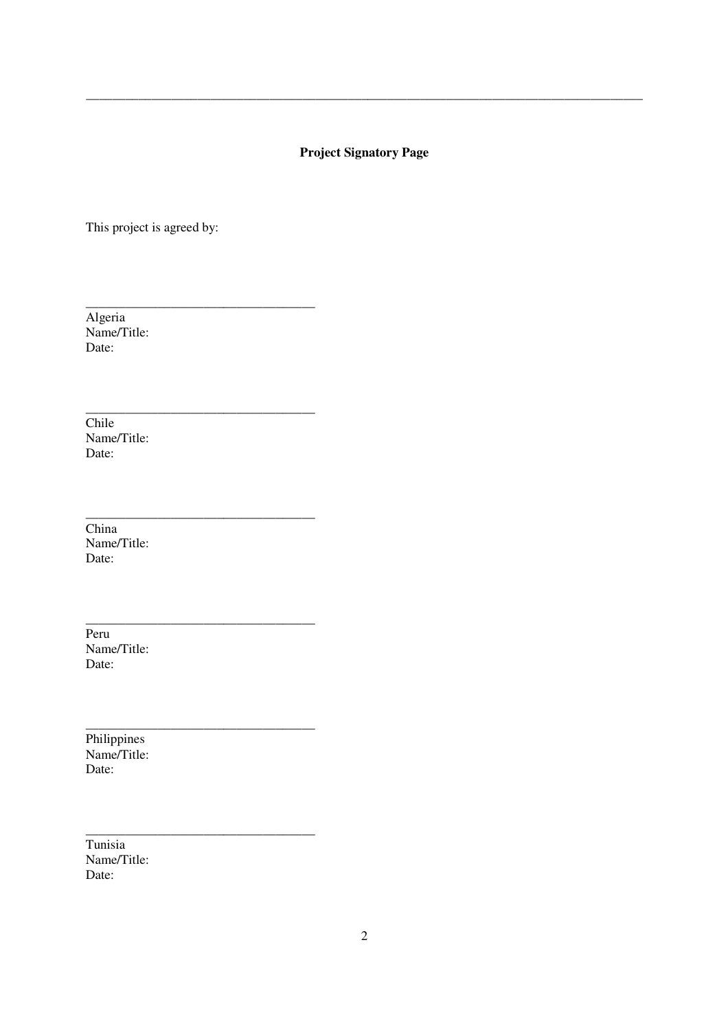# **Project Signatory Page**

\_\_\_\_\_\_\_\_\_\_\_\_\_\_\_\_\_\_\_\_\_\_\_\_\_\_\_\_\_\_\_\_\_\_\_\_\_\_\_\_\_\_\_\_\_\_\_\_\_\_\_\_\_\_\_\_\_\_\_\_\_\_\_\_\_\_\_\_\_\_\_\_\_\_\_\_\_\_\_\_\_\_\_\_\_

This project is agreed by:

\_\_\_\_\_\_\_\_\_\_\_\_\_\_\_\_\_\_\_\_\_\_\_\_\_\_\_\_\_\_\_\_\_\_\_

\_\_\_\_\_\_\_\_\_\_\_\_\_\_\_\_\_\_\_\_\_\_\_\_\_\_\_\_\_\_\_\_\_\_\_

\_\_\_\_\_\_\_\_\_\_\_\_\_\_\_\_\_\_\_\_\_\_\_\_\_\_\_\_\_\_\_\_\_\_\_

\_\_\_\_\_\_\_\_\_\_\_\_\_\_\_\_\_\_\_\_\_\_\_\_\_\_\_\_\_\_\_\_\_\_\_

\_\_\_\_\_\_\_\_\_\_\_\_\_\_\_\_\_\_\_\_\_\_\_\_\_\_\_\_\_\_\_\_\_\_\_

\_\_\_\_\_\_\_\_\_\_\_\_\_\_\_\_\_\_\_\_\_\_\_\_\_\_\_\_\_\_\_\_\_\_\_

Algeria Name/Title: Date:

**Chile** Name/Title: Date:

China Name/Title: Date:

Peru Name/Title: Date:

Philippines Name/Title: Date:

Tunisia Name/Title: Date: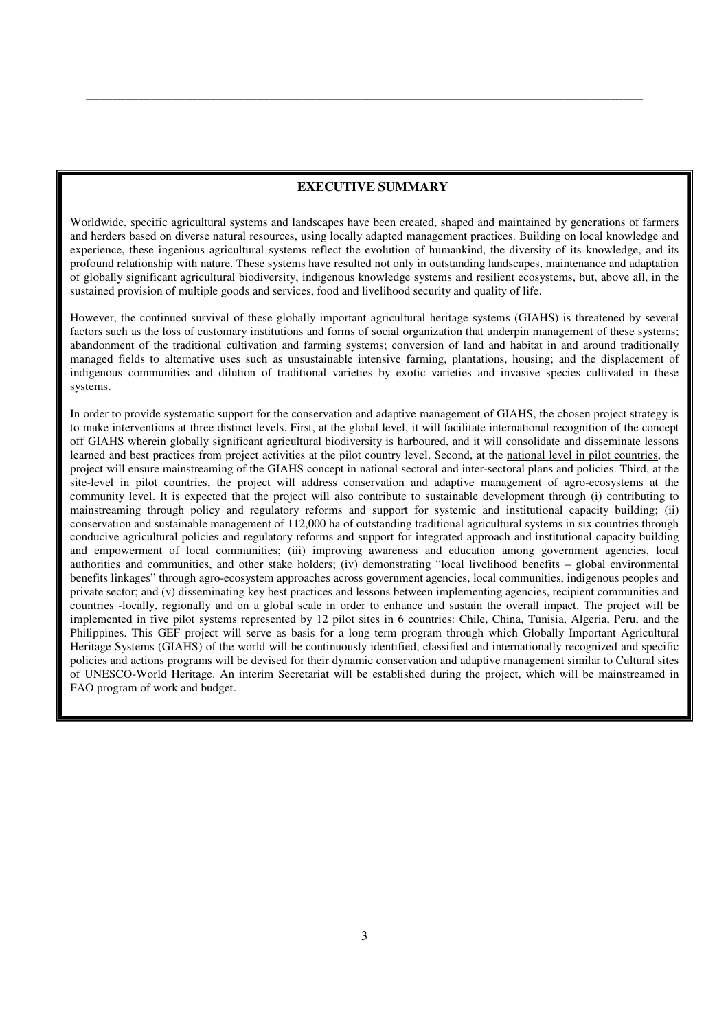#### **EXECUTIVE SUMMARY**

\_\_\_\_\_\_\_\_\_\_\_\_\_\_\_\_\_\_\_\_\_\_\_\_\_\_\_\_\_\_\_\_\_\_\_\_\_\_\_\_\_\_\_\_\_\_\_\_\_\_\_\_\_\_\_\_\_\_\_\_\_\_\_\_\_\_\_\_\_\_\_\_\_\_\_\_\_\_\_\_\_\_\_\_\_

Worldwide, specific agricultural systems and landscapes have been created, shaped and maintained by generations of farmers and herders based on diverse natural resources, using locally adapted management practices. Building on local knowledge and experience, these ingenious agricultural systems reflect the evolution of humankind, the diversity of its knowledge, and its profound relationship with nature. These systems have resulted not only in outstanding landscapes, maintenance and adaptation of globally significant agricultural biodiversity, indigenous knowledge systems and resilient ecosystems, but, above all, in the sustained provision of multiple goods and services, food and livelihood security and quality of life.

However, the continued survival of these globally important agricultural heritage systems (GIAHS) is threatened by several factors such as the loss of customary institutions and forms of social organization that underpin management of these systems; abandonment of the traditional cultivation and farming systems; conversion of land and habitat in and around traditionally managed fields to alternative uses such as unsustainable intensive farming, plantations, housing; and the displacement of indigenous communities and dilution of traditional varieties by exotic varieties and invasive species cultivated in these systems.

In order to provide systematic support for the conservation and adaptive management of GIAHS, the chosen project strategy is to make interventions at three distinct levels. First, at the global level, it will facilitate international recognition of the concept off GIAHS wherein globally significant agricultural biodiversity is harboured, and it will consolidate and disseminate lessons learned and best practices from project activities at the pilot country level. Second, at the national level in pilot countries, the project will ensure mainstreaming of the GIAHS concept in national sectoral and inter-sectoral plans and policies. Third, at the site-level in pilot countries, the project will address conservation and adaptive management of agro-ecosystems at the community level. It is expected that the project will also contribute to sustainable development through (i) contributing to mainstreaming through policy and regulatory reforms and support for systemic and institutional capacity building; (ii) conservation and sustainable management of 112,000 ha of outstanding traditional agricultural systems in six countries through conducive agricultural policies and regulatory reforms and support for integrated approach and institutional capacity building and empowerment of local communities; (iii) improving awareness and education among government agencies, local authorities and communities, and other stake holders; (iv) demonstrating "local livelihood benefits – global environmental benefits linkages" through agro-ecosystem approaches across government agencies, local communities, indigenous peoples and private sector; and (v) disseminating key best practices and lessons between implementing agencies, recipient communities and countries -locally, regionally and on a global scale in order to enhance and sustain the overall impact. The project will be implemented in five pilot systems represented by 12 pilot sites in 6 countries: Chile, China, Tunisia, Algeria, Peru, and the Philippines. This GEF project will serve as basis for a long term program through which Globally Important Agricultural Heritage Systems (GIAHS) of the world will be continuously identified, classified and internationally recognized and specific policies and actions programs will be devised for their dynamic conservation and adaptive management similar to Cultural sites of UNESCO-World Heritage. An interim Secretariat will be established during the project, which will be mainstreamed in FAO program of work and budget.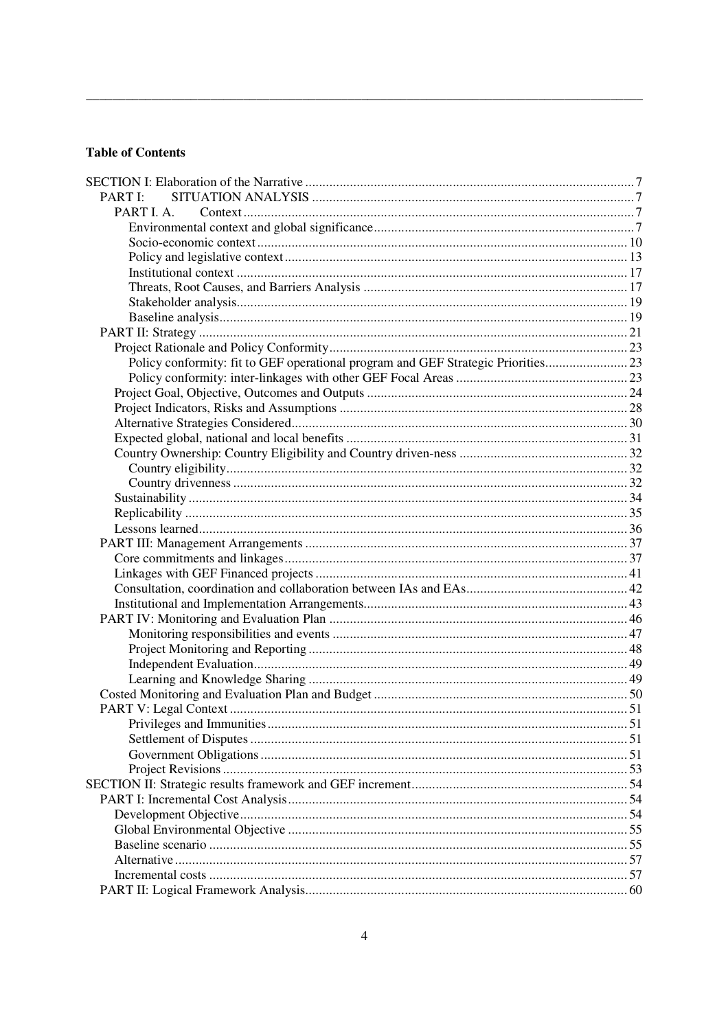# **Table of Contents**

| PART I:                                                                          |  |
|----------------------------------------------------------------------------------|--|
| PART I. A.                                                                       |  |
|                                                                                  |  |
|                                                                                  |  |
|                                                                                  |  |
|                                                                                  |  |
|                                                                                  |  |
|                                                                                  |  |
|                                                                                  |  |
|                                                                                  |  |
|                                                                                  |  |
| Policy conformity: fit to GEF operational program and GEF Strategic Priorities23 |  |
|                                                                                  |  |
|                                                                                  |  |
|                                                                                  |  |
|                                                                                  |  |
|                                                                                  |  |
|                                                                                  |  |
|                                                                                  |  |
|                                                                                  |  |
|                                                                                  |  |
|                                                                                  |  |
|                                                                                  |  |
|                                                                                  |  |
|                                                                                  |  |
|                                                                                  |  |
|                                                                                  |  |
|                                                                                  |  |
|                                                                                  |  |
|                                                                                  |  |
|                                                                                  |  |
|                                                                                  |  |
|                                                                                  |  |
|                                                                                  |  |
|                                                                                  |  |
|                                                                                  |  |
|                                                                                  |  |
|                                                                                  |  |
|                                                                                  |  |
|                                                                                  |  |
|                                                                                  |  |
|                                                                                  |  |
|                                                                                  |  |
|                                                                                  |  |
|                                                                                  |  |
|                                                                                  |  |
|                                                                                  |  |
|                                                                                  |  |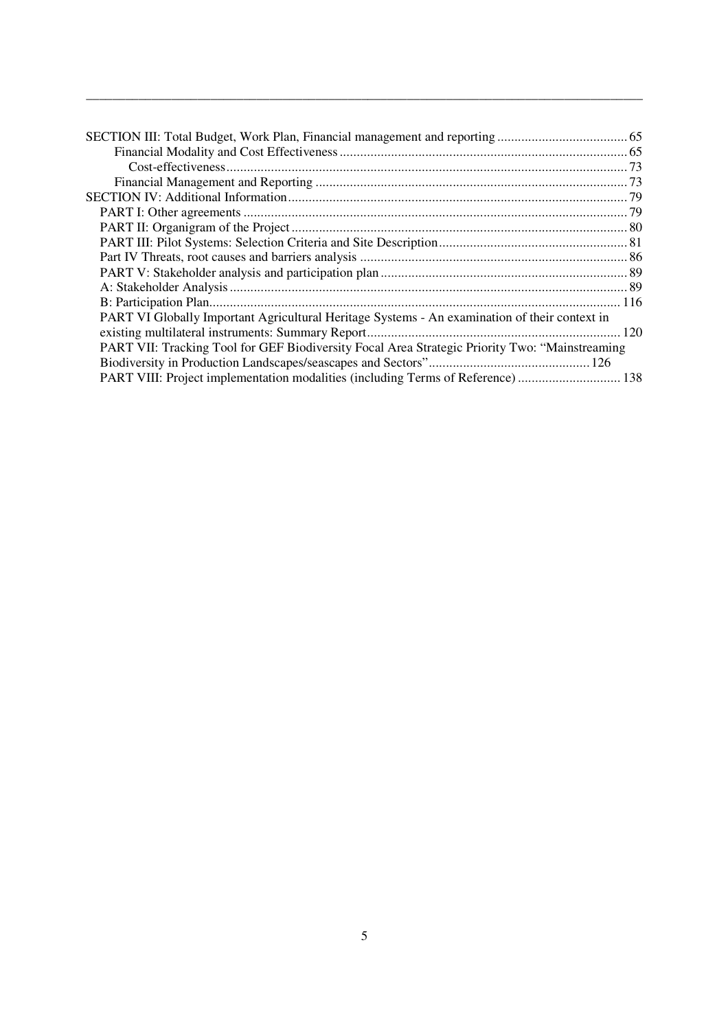| PART VI Globally Important Agricultural Heritage Systems - An examination of their context in  |  |
|------------------------------------------------------------------------------------------------|--|
|                                                                                                |  |
| PART VII: Tracking Tool for GEF Biodiversity Focal Area Strategic Priority Two: "Mainstreaming |  |
|                                                                                                |  |
|                                                                                                |  |

\_\_\_\_\_\_\_\_\_\_\_\_\_\_\_\_\_\_\_\_\_\_\_\_\_\_\_\_\_\_\_\_\_\_\_\_\_\_\_\_\_\_\_\_\_\_\_\_\_\_\_\_\_\_\_\_\_\_\_\_\_\_\_\_\_\_\_\_\_\_\_\_\_\_\_\_\_\_\_\_\_\_\_\_\_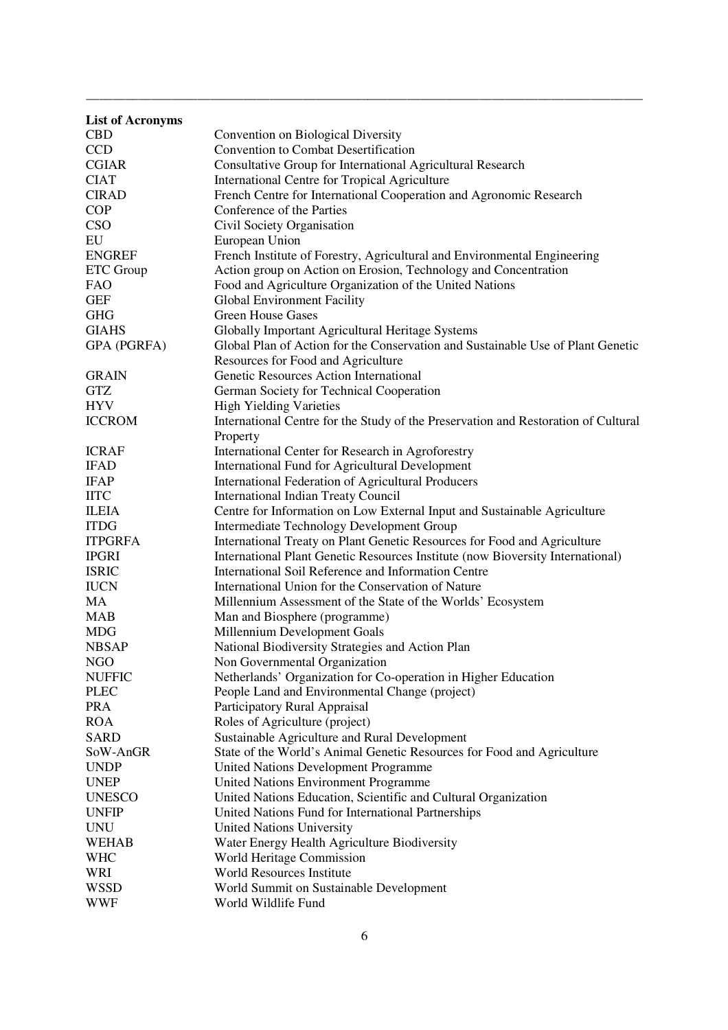| <b>List of Acronyms</b> |                                                                                    |  |  |
|-------------------------|------------------------------------------------------------------------------------|--|--|
| <b>CBD</b>              | Convention on Biological Diversity                                                 |  |  |
| <b>CCD</b>              | <b>Convention to Combat Desertification</b>                                        |  |  |
| <b>CGIAR</b>            | Consultative Group for International Agricultural Research                         |  |  |
| <b>CIAT</b>             | International Centre for Tropical Agriculture                                      |  |  |
| <b>CIRAD</b>            | French Centre for International Cooperation and Agronomic Research                 |  |  |
| <b>COP</b>              | Conference of the Parties                                                          |  |  |
| CSO                     | Civil Society Organisation                                                         |  |  |
| EU                      | European Union                                                                     |  |  |
| <b>ENGREF</b>           | French Institute of Forestry, Agricultural and Environmental Engineering           |  |  |
| ETC Group               | Action group on Action on Erosion, Technology and Concentration                    |  |  |
| <b>FAO</b>              | Food and Agriculture Organization of the United Nations                            |  |  |
| <b>GEF</b>              | Global Environment Facility                                                        |  |  |
| <b>GHG</b>              | <b>Green House Gases</b>                                                           |  |  |
| <b>GIAHS</b>            | Globally Important Agricultural Heritage Systems                                   |  |  |
| GPA (PGRFA)             | Global Plan of Action for the Conservation and Sustainable Use of Plant Genetic    |  |  |
|                         | Resources for Food and Agriculture                                                 |  |  |
| <b>GRAIN</b>            | Genetic Resources Action International                                             |  |  |
| <b>GTZ</b>              | German Society for Technical Cooperation                                           |  |  |
| <b>HYV</b>              | <b>High Yielding Varieties</b>                                                     |  |  |
| <b>ICCROM</b>           |                                                                                    |  |  |
|                         | International Centre for the Study of the Preservation and Restoration of Cultural |  |  |
|                         | Property                                                                           |  |  |
| <b>ICRAF</b>            | International Center for Research in Agroforestry                                  |  |  |
| <b>IFAD</b>             | International Fund for Agricultural Development                                    |  |  |
| <b>IFAP</b>             | International Federation of Agricultural Producers                                 |  |  |
| <b>IITC</b>             | <b>International Indian Treaty Council</b>                                         |  |  |
| <b>ILEIA</b>            | Centre for Information on Low External Input and Sustainable Agriculture           |  |  |
| <b>ITDG</b>             | Intermediate Technology Development Group                                          |  |  |
| <b>ITPGRFA</b>          | International Treaty on Plant Genetic Resources for Food and Agriculture           |  |  |
| <b>IPGRI</b>            | International Plant Genetic Resources Institute (now Bioversity International)     |  |  |
| <b>ISRIC</b>            | International Soil Reference and Information Centre                                |  |  |
| <b>IUCN</b>             | International Union for the Conservation of Nature                                 |  |  |
| MA                      | Millennium Assessment of the State of the Worlds' Ecosystem                        |  |  |
| <b>MAB</b>              | Man and Biosphere (programme)                                                      |  |  |
| <b>MDG</b>              | Millennium Development Goals                                                       |  |  |
| <b>NBSAP</b>            | National Biodiversity Strategies and Action Plan                                   |  |  |
| <b>NGO</b>              | Non Governmental Organization                                                      |  |  |
| <b>NUFFIC</b>           | Netherlands' Organization for Co-operation in Higher Education                     |  |  |
| <b>PLEC</b>             | People Land and Environmental Change (project)                                     |  |  |
| <b>PRA</b>              | Participatory Rural Appraisal                                                      |  |  |
| <b>ROA</b>              | Roles of Agriculture (project)                                                     |  |  |
| <b>SARD</b>             | Sustainable Agriculture and Rural Development                                      |  |  |
| SoW-AnGR                | State of the World's Animal Genetic Resources for Food and Agriculture             |  |  |
| <b>UNDP</b>             | United Nations Development Programme                                               |  |  |
| <b>UNEP</b>             | <b>United Nations Environment Programme</b>                                        |  |  |
| <b>UNESCO</b>           | United Nations Education, Scientific and Cultural Organization                     |  |  |
| <b>UNFIP</b>            | United Nations Fund for International Partnerships                                 |  |  |
| <b>UNU</b>              | <b>United Nations University</b>                                                   |  |  |
| <b>WEHAB</b>            | Water Energy Health Agriculture Biodiversity                                       |  |  |
| <b>WHC</b>              | World Heritage Commission                                                          |  |  |
| WRI                     | <b>World Resources Institute</b>                                                   |  |  |
| <b>WSSD</b>             | World Summit on Sustainable Development                                            |  |  |
| <b>WWF</b>              | World Wildlife Fund                                                                |  |  |

\_\_\_\_\_\_\_\_\_\_\_\_\_\_\_\_\_\_\_\_\_\_\_\_\_\_\_\_\_\_\_\_\_\_\_\_\_\_\_\_\_\_\_\_\_\_\_\_\_\_\_\_\_\_\_\_\_\_\_\_\_\_\_\_\_\_\_\_\_\_\_\_\_\_\_\_\_\_\_\_\_\_\_\_\_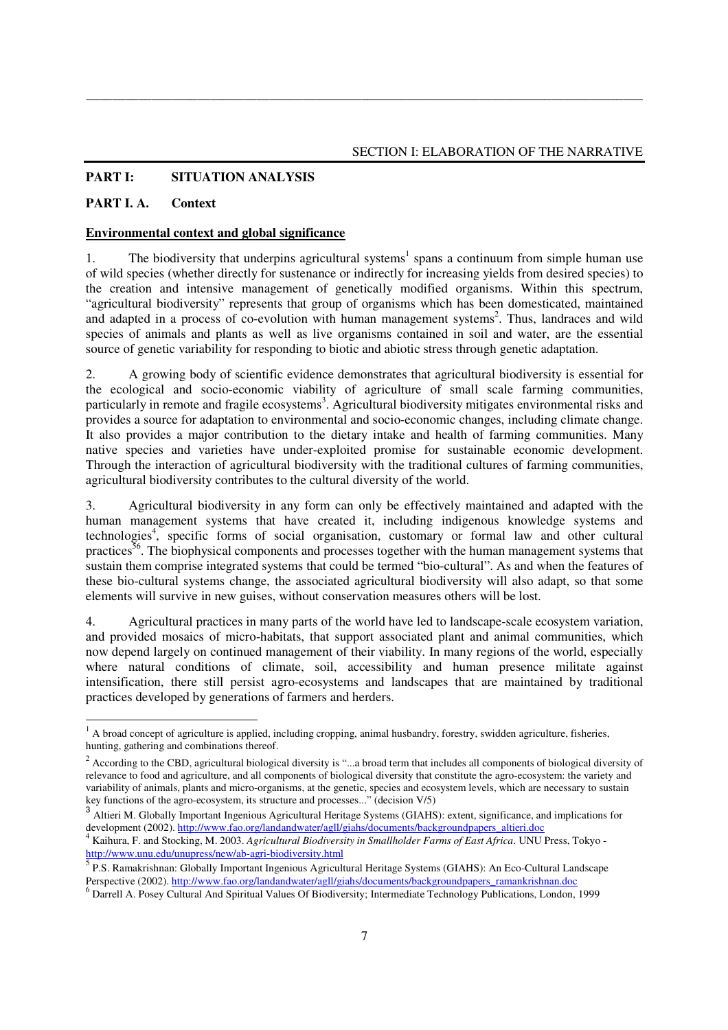# **PART I: SITUATION ANALYSIS**

#### **PART I. A. Context**

#### **Environmental context and global significance**

1. The biodiversity that underpins agricultural systems<sup>1</sup> spans a continuum from simple human use of wild species (whether directly for sustenance or indirectly for increasing yields from desired species) to the creation and intensive management of genetically modified organisms. Within this spectrum, "agricultural biodiversity" represents that group of organisms which has been domesticated, maintained and adapted in a process of co-evolution with human management systems<sup>2</sup>. Thus, landraces and wild species of animals and plants as well as live organisms contained in soil and water, are the essential source of genetic variability for responding to biotic and abiotic stress through genetic adaptation.

\_\_\_\_\_\_\_\_\_\_\_\_\_\_\_\_\_\_\_\_\_\_\_\_\_\_\_\_\_\_\_\_\_\_\_\_\_\_\_\_\_\_\_\_\_\_\_\_\_\_\_\_\_\_\_\_\_\_\_\_\_\_\_\_\_\_\_\_\_\_\_\_\_\_\_\_\_\_\_\_\_\_\_\_\_

2. A growing body of scientific evidence demonstrates that agricultural biodiversity is essential for the ecological and socio-economic viability of agriculture of small scale farming communities, particularly in remote and fragile ecosystems<sup>3</sup>. Agricultural biodiversity mitigates environmental risks and provides a source for adaptation to environmental and socio-economic changes, including climate change. It also provides a major contribution to the dietary intake and health of farming communities. Many native species and varieties have under-exploited promise for sustainable economic development. Through the interaction of agricultural biodiversity with the traditional cultures of farming communities, agricultural biodiversity contributes to the cultural diversity of the world.

3. Agricultural biodiversity in any form can only be effectively maintained and adapted with the human management systems that have created it, including indigenous knowledge systems and technologies<sup>4</sup>, specific forms of social organisation, customary or formal law and other cultural practices $\frac{56}{9}$ . The biophysical components and processes together with the human management systems that sustain them comprise integrated systems that could be termed "bio-cultural". As and when the features of these bio-cultural systems change, the associated agricultural biodiversity will also adapt, so that some elements will survive in new guises, without conservation measures others will be lost.

4. Agricultural practices in many parts of the world have led to landscape-scale ecosystem variation, and provided mosaics of micro-habitats, that support associated plant and animal communities, which now depend largely on continued management of their viability. In many regions of the world, especially where natural conditions of climate, soil, accessibility and human presence militate against intensification, there still persist agro-ecosystems and landscapes that are maintained by traditional practices developed by generations of farmers and herders.

<sup>1&</sup>lt;br><sup>1</sup> A broad concept of agriculture is applied, including cropping, animal husbandry, forestry, swidden agriculture, fisheries, hunting, gathering and combinations thereof.

 $2 \text{ According to the CBD, agricultural biological diversity is "...a broad term that includes all components of biological diversity of }$ relevance to food and agriculture, and all components of biological diversity that constitute the agro-ecosystem: the variety and variability of animals, plants and micro-organisms, at the genetic, species and ecosystem levels, which are necessary to sustain key functions of the agro-ecosystem, its structure and processes..." (decision V/5)

<sup>&</sup>lt;sup>3</sup> Altieri M. Globally Important Ingenious Agricultural Heritage Systems (GIAHS): extent, significance, and implications for development (2002). http://www.fao.org/landandwater/agll/giahs/documents/backgroundpapers\_altieri.doc

<sup>4</sup> Kaihura, F. and Stocking, M. 2003. *Agricultural Biodiversity in Smallholder Farms of East Africa*. UNU Press, Tokyo http://www.unu.edu/unupress/new/ab-agri-biodiversity.html

<sup>&</sup>lt;sup>5</sup> P.S. Ramakrishnan: Globally Important Ingenious Agricultural Heritage Systems (GIAHS): An Eco-Cultural Landscape Perspective (2002). http://www.fao.org/landandwater/agll/giahs/documents/backgroundpapers\_ramankrishnan.doc

<sup>6</sup> Darrell A. Posey Cultural And Spiritual Values Of Biodiversity; Intermediate Technology Publications, London, 1999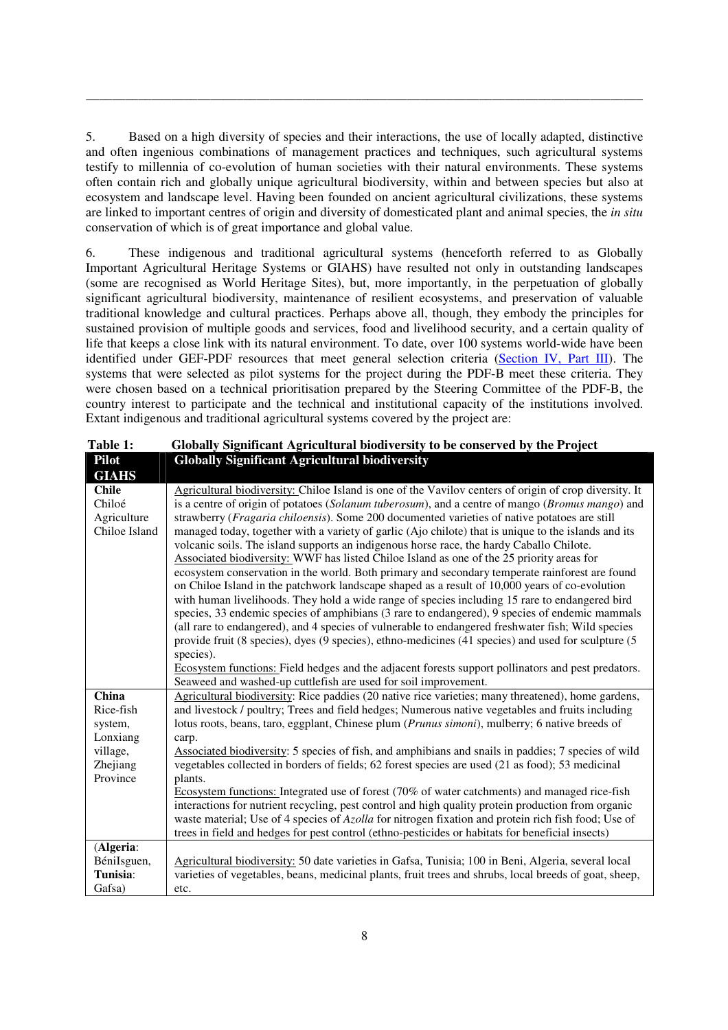5. Based on a high diversity of species and their interactions, the use of locally adapted, distinctive and often ingenious combinations of management practices and techniques, such agricultural systems testify to millennia of co-evolution of human societies with their natural environments. These systems often contain rich and globally unique agricultural biodiversity, within and between species but also at ecosystem and landscape level. Having been founded on ancient agricultural civilizations, these systems are linked to important centres of origin and diversity of domesticated plant and animal species, the *in situ* conservation of which is of great importance and global value.

\_\_\_\_\_\_\_\_\_\_\_\_\_\_\_\_\_\_\_\_\_\_\_\_\_\_\_\_\_\_\_\_\_\_\_\_\_\_\_\_\_\_\_\_\_\_\_\_\_\_\_\_\_\_\_\_\_\_\_\_\_\_\_\_\_\_\_\_\_\_\_\_\_\_\_\_\_\_\_\_\_\_\_\_\_

6. These indigenous and traditional agricultural systems (henceforth referred to as Globally Important Agricultural Heritage Systems or GIAHS) have resulted not only in outstanding landscapes (some are recognised as World Heritage Sites), but, more importantly, in the perpetuation of globally significant agricultural biodiversity, maintenance of resilient ecosystems, and preservation of valuable traditional knowledge and cultural practices. Perhaps above all, though, they embody the principles for sustained provision of multiple goods and services, food and livelihood security, and a certain quality of life that keeps a close link with its natural environment. To date, over 100 systems world-wide have been identified under GEF-PDF resources that meet general selection criteria (Section IV, Part III). The systems that were selected as pilot systems for the project during the PDF-B meet these criteria. They were chosen based on a technical prioritisation prepared by the Steering Committee of the PDF-B, the country interest to participate and the technical and institutional capacity of the institutions involved. Extant indigenous and traditional agricultural systems covered by the project are:

|               | Giovany Diginitum Agriculum al biourversity to be conserved by the Froject                             |  |  |  |
|---------------|--------------------------------------------------------------------------------------------------------|--|--|--|
| <b>Pilot</b>  | <b>Globally Significant Agricultural biodiversity</b>                                                  |  |  |  |
| <b>GIAHS</b>  |                                                                                                        |  |  |  |
| <b>Chile</b>  | Agricultural biodiversity: Chiloe Island is one of the Vavilov centers of origin of crop diversity. It |  |  |  |
| Chiloé        | is a centre of origin of potatoes (Solanum tuberosum), and a centre of mango (Bromus mango) and        |  |  |  |
| Agriculture   | strawberry ( <i>Fragaria chiloensis</i> ). Some 200 documented varieties of native potatoes are still  |  |  |  |
| Chiloe Island | managed today, together with a variety of garlic (Ajo chilote) that is unique to the islands and its   |  |  |  |
|               | volcanic soils. The island supports an indigenous horse race, the hardy Caballo Chilote.               |  |  |  |
|               | Associated biodiversity: WWF has listed Chiloe Island as one of the 25 priority areas for              |  |  |  |
|               | ecosystem conservation in the world. Both primary and secondary temperate rainforest are found         |  |  |  |
|               | on Chiloe Island in the patchwork landscape shaped as a result of 10,000 years of co-evolution         |  |  |  |
|               | with human livelihoods. They hold a wide range of species including 15 rare to endangered bird         |  |  |  |
|               | species, 33 endemic species of amphibians (3 rare to endangered), 9 species of endemic mammals         |  |  |  |
|               | (all rare to endangered), and 4 species of vulnerable to endangered freshwater fish; Wild species      |  |  |  |
|               | provide fruit (8 species), dyes (9 species), ethno-medicines (41 species) and used for sculpture (5    |  |  |  |
|               | species).                                                                                              |  |  |  |
|               | Ecosystem functions: Field hedges and the adjacent forests support pollinators and pest predators.     |  |  |  |
|               | Seaweed and washed-up cuttlefish are used for soil improvement.                                        |  |  |  |
| China         | Agricultural biodiversity: Rice paddies (20 native rice varieties; many threatened), home gardens,     |  |  |  |
| Rice-fish     | and livestock / poultry; Trees and field hedges; Numerous native vegetables and fruits including       |  |  |  |
| system,       | lotus roots, beans, taro, eggplant, Chinese plum (Prunus simoni), mulberry; 6 native breeds of         |  |  |  |
| Lonxiang      | carp.                                                                                                  |  |  |  |
| village,      | Associated biodiversity: 5 species of fish, and amphibians and snails in paddies; 7 species of wild    |  |  |  |
| Zhejiang      | vegetables collected in borders of fields; 62 forest species are used (21 as food); 53 medicinal       |  |  |  |
| Province      | plants.                                                                                                |  |  |  |
|               | Ecosystem functions: Integrated use of forest (70% of water catchments) and managed rice-fish          |  |  |  |
|               | interactions for nutrient recycling, pest control and high quality protein production from organic     |  |  |  |
|               | waste material; Use of 4 species of Azolla for nitrogen fixation and protein rich fish food; Use of    |  |  |  |
|               | trees in field and hedges for pest control (ethno-pesticides or habitats for beneficial insects)       |  |  |  |
| (Algeria:     |                                                                                                        |  |  |  |
| BéniIsguen,   | Agricultural biodiversity: 50 date varieties in Gafsa, Tunisia; 100 in Beni, Algeria, several local    |  |  |  |
| Tunisia:      | varieties of vegetables, beans, medicinal plants, fruit trees and shrubs, local breeds of goat, sheep, |  |  |  |
| Gafsa)        | etc.                                                                                                   |  |  |  |

| <b>Table 1:</b> | Globally Significant Agricultural biodiversity to be conserved by the Project |
|-----------------|-------------------------------------------------------------------------------|
| $Pi_{\alpha t}$ | Clobelly Significant Agricultural biodiversity                                |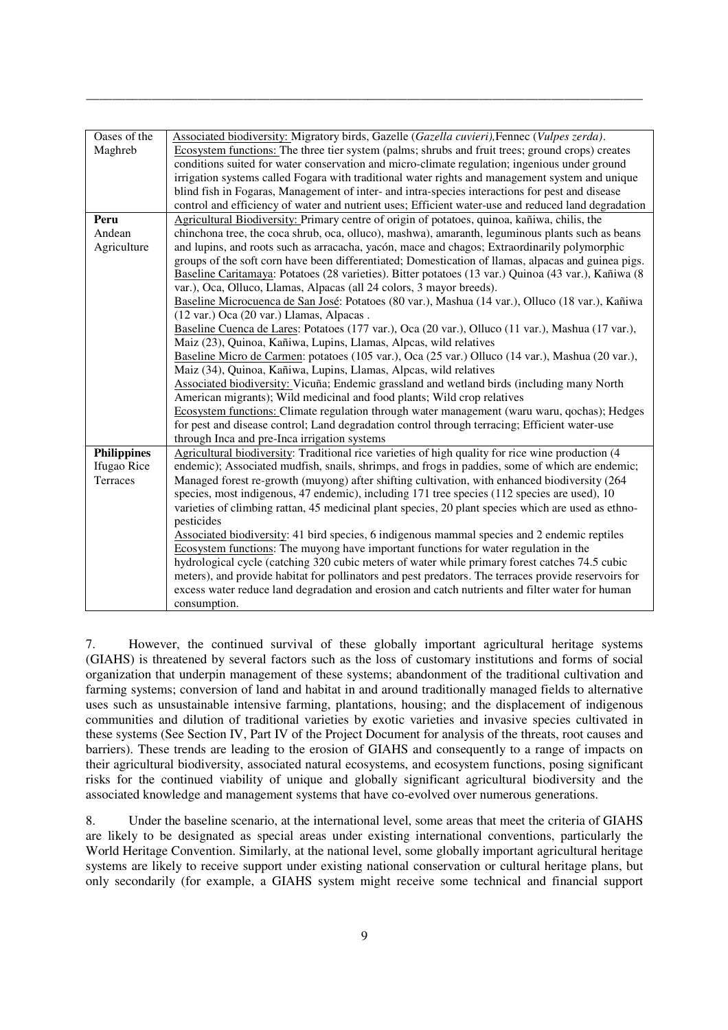| Oases of the       | Associated biodiversity: Migratory birds, Gazelle (Gazella cuvieri), Fennec (Vulpes zerda).          |  |  |  |
|--------------------|------------------------------------------------------------------------------------------------------|--|--|--|
| Maghreb            | Ecosystem functions: The three tier system (palms; shrubs and fruit trees; ground crops) creates     |  |  |  |
|                    | conditions suited for water conservation and micro-climate regulation; ingenious under ground        |  |  |  |
|                    | irrigation systems called Fogara with traditional water rights and management system and unique      |  |  |  |
|                    | blind fish in Fogaras, Management of inter- and intra-species interactions for pest and disease      |  |  |  |
|                    | control and efficiency of water and nutrient uses; Efficient water-use and reduced land degradation  |  |  |  |
| Peru               | Agricultural Biodiversity: Primary centre of origin of potatoes, quinoa, kañiwa, chilis, the         |  |  |  |
| Andean             | chinchona tree, the coca shrub, oca, olluco), mashwa), amaranth, leguminous plants such as beans     |  |  |  |
| Agriculture        | and lupins, and roots such as arracacha, yacón, mace and chagos; Extraordinarily polymorphic         |  |  |  |
|                    | groups of the soft corn have been differentiated; Domestication of Ilamas, alpacas and guinea pigs.  |  |  |  |
|                    | Baseline Caritamaya: Potatoes (28 varieties). Bitter potatoes (13 var.) Quinoa (43 var.), Kañiwa (8  |  |  |  |
|                    | var.), Oca, Olluco, Llamas, Alpacas (all 24 colors, 3 mayor breeds).                                 |  |  |  |
|                    | Baseline Microcuenca de San José: Potatoes (80 var.), Mashua (14 var.), Olluco (18 var.), Kañiwa     |  |  |  |
|                    | (12 var.) Oca (20 var.) Llamas, Alpacas.                                                             |  |  |  |
|                    | Baseline Cuenca de Lares: Potatoes (177 var.), Oca (20 var.), Olluco (11 var.), Mashua (17 var.),    |  |  |  |
|                    | Maiz (23), Quinoa, Kañiwa, Lupins, Llamas, Alpcas, wild relatives                                    |  |  |  |
|                    | Baseline Micro de Carmen: potatoes (105 var.), Oca (25 var.) Olluco (14 var.), Mashua (20 var.),     |  |  |  |
|                    | Maiz (34), Quinoa, Kañiwa, Lupins, Llamas, Alpcas, wild relatives                                    |  |  |  |
|                    | Associated biodiversity: Vicuña; Endemic grassland and wetland birds (including many North           |  |  |  |
|                    | American migrants); Wild medicinal and food plants; Wild crop relatives                              |  |  |  |
|                    | Ecosystem functions: Climate regulation through water management (waru waru, qochas); Hedges         |  |  |  |
|                    | for pest and disease control; Land degradation control through terracing; Efficient water-use        |  |  |  |
|                    | through Inca and pre-Inca irrigation systems                                                         |  |  |  |
| <b>Philippines</b> | Agricultural biodiversity: Traditional rice varieties of high quality for rice wine production (4    |  |  |  |
| Ifugao Rice        | endemic); Associated mudfish, snails, shrimps, and frogs in paddies, some of which are endemic;      |  |  |  |
| Terraces           | Managed forest re-growth (muyong) after shifting cultivation, with enhanced biodiversity (264        |  |  |  |
|                    | species, most indigenous, 47 endemic), including 171 tree species (112 species are used), 10         |  |  |  |
|                    | varieties of climbing rattan, 45 medicinal plant species, 20 plant species which are used as ethno-  |  |  |  |
|                    | pesticides                                                                                           |  |  |  |
|                    | Associated biodiversity: 41 bird species, 6 indigenous mammal species and 2 endemic reptiles         |  |  |  |
|                    | Ecosystem functions: The muyong have important functions for water regulation in the                 |  |  |  |
|                    | hydrological cycle (catching 320 cubic meters of water while primary forest catches 74.5 cubic       |  |  |  |
|                    | meters), and provide habitat for pollinators and pest predators. The terraces provide reservoirs for |  |  |  |
|                    | excess water reduce land degradation and erosion and catch nutrients and filter water for human      |  |  |  |
|                    | consumption.                                                                                         |  |  |  |

\_\_\_\_\_\_\_\_\_\_\_\_\_\_\_\_\_\_\_\_\_\_\_\_\_\_\_\_\_\_\_\_\_\_\_\_\_\_\_\_\_\_\_\_\_\_\_\_\_\_\_\_\_\_\_\_\_\_\_\_\_\_\_\_\_\_\_\_\_\_\_\_\_\_\_\_\_\_\_\_\_\_\_\_\_

7. However, the continued survival of these globally important agricultural heritage systems (GIAHS) is threatened by several factors such as the loss of customary institutions and forms of social organization that underpin management of these systems; abandonment of the traditional cultivation and farming systems; conversion of land and habitat in and around traditionally managed fields to alternative uses such as unsustainable intensive farming, plantations, housing; and the displacement of indigenous communities and dilution of traditional varieties by exotic varieties and invasive species cultivated in these systems (See Section IV, Part IV of the Project Document for analysis of the threats, root causes and barriers). These trends are leading to the erosion of GIAHS and consequently to a range of impacts on their agricultural biodiversity, associated natural ecosystems, and ecosystem functions, posing significant risks for the continued viability of unique and globally significant agricultural biodiversity and the associated knowledge and management systems that have co-evolved over numerous generations.

8. Under the baseline scenario, at the international level, some areas that meet the criteria of GIAHS are likely to be designated as special areas under existing international conventions, particularly the World Heritage Convention. Similarly, at the national level, some globally important agricultural heritage systems are likely to receive support under existing national conservation or cultural heritage plans, but only secondarily (for example, a GIAHS system might receive some technical and financial support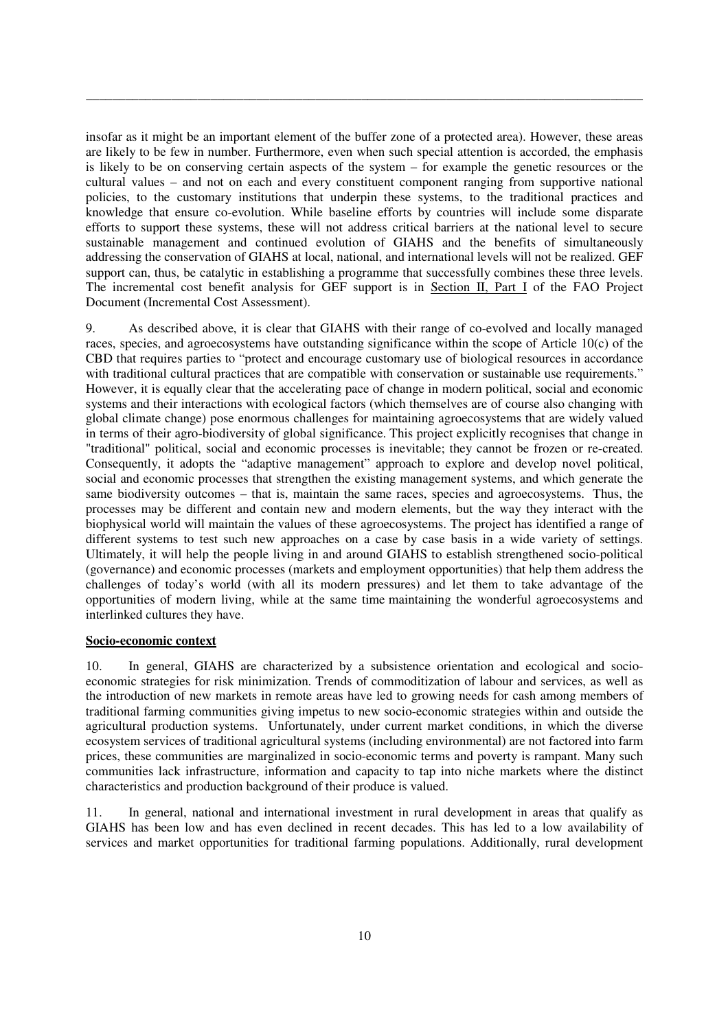insofar as it might be an important element of the buffer zone of a protected area). However, these areas are likely to be few in number. Furthermore, even when such special attention is accorded, the emphasis is likely to be on conserving certain aspects of the system – for example the genetic resources or the cultural values – and not on each and every constituent component ranging from supportive national policies, to the customary institutions that underpin these systems, to the traditional practices and knowledge that ensure co-evolution. While baseline efforts by countries will include some disparate efforts to support these systems, these will not address critical barriers at the national level to secure sustainable management and continued evolution of GIAHS and the benefits of simultaneously addressing the conservation of GIAHS at local, national, and international levels will not be realized. GEF support can, thus, be catalytic in establishing a programme that successfully combines these three levels. The incremental cost benefit analysis for GEF support is in Section II, Part I of the FAO Project Document (Incremental Cost Assessment).

\_\_\_\_\_\_\_\_\_\_\_\_\_\_\_\_\_\_\_\_\_\_\_\_\_\_\_\_\_\_\_\_\_\_\_\_\_\_\_\_\_\_\_\_\_\_\_\_\_\_\_\_\_\_\_\_\_\_\_\_\_\_\_\_\_\_\_\_\_\_\_\_\_\_\_\_\_\_\_\_\_\_\_\_\_

9. As described above, it is clear that GIAHS with their range of co-evolved and locally managed races, species, and agroecosystems have outstanding significance within the scope of Article 10(c) of the CBD that requires parties to "protect and encourage customary use of biological resources in accordance with traditional cultural practices that are compatible with conservation or sustainable use requirements." However, it is equally clear that the accelerating pace of change in modern political, social and economic systems and their interactions with ecological factors (which themselves are of course also changing with global climate change) pose enormous challenges for maintaining agroecosystems that are widely valued in terms of their agro-biodiversity of global significance. This project explicitly recognises that change in "traditional" political, social and economic processes is inevitable; they cannot be frozen or re-created. Consequently, it adopts the "adaptive management" approach to explore and develop novel political, social and economic processes that strengthen the existing management systems, and which generate the same biodiversity outcomes – that is, maintain the same races, species and agroecosystems. Thus, the processes may be different and contain new and modern elements, but the way they interact with the biophysical world will maintain the values of these agroecosystems. The project has identified a range of different systems to test such new approaches on a case by case basis in a wide variety of settings. Ultimately, it will help the people living in and around GIAHS to establish strengthened socio-political (governance) and economic processes (markets and employment opportunities) that help them address the challenges of today's world (with all its modern pressures) and let them to take advantage of the opportunities of modern living, while at the same time maintaining the wonderful agroecosystems and interlinked cultures they have.

# **Socio-economic context**

10. In general, GIAHS are characterized by a subsistence orientation and ecological and socioeconomic strategies for risk minimization. Trends of commoditization of labour and services, as well as the introduction of new markets in remote areas have led to growing needs for cash among members of traditional farming communities giving impetus to new socio-economic strategies within and outside the agricultural production systems. Unfortunately, under current market conditions, in which the diverse ecosystem services of traditional agricultural systems (including environmental) are not factored into farm prices, these communities are marginalized in socio-economic terms and poverty is rampant. Many such communities lack infrastructure, information and capacity to tap into niche markets where the distinct characteristics and production background of their produce is valued.

11. In general, national and international investment in rural development in areas that qualify as GIAHS has been low and has even declined in recent decades. This has led to a low availability of services and market opportunities for traditional farming populations. Additionally, rural development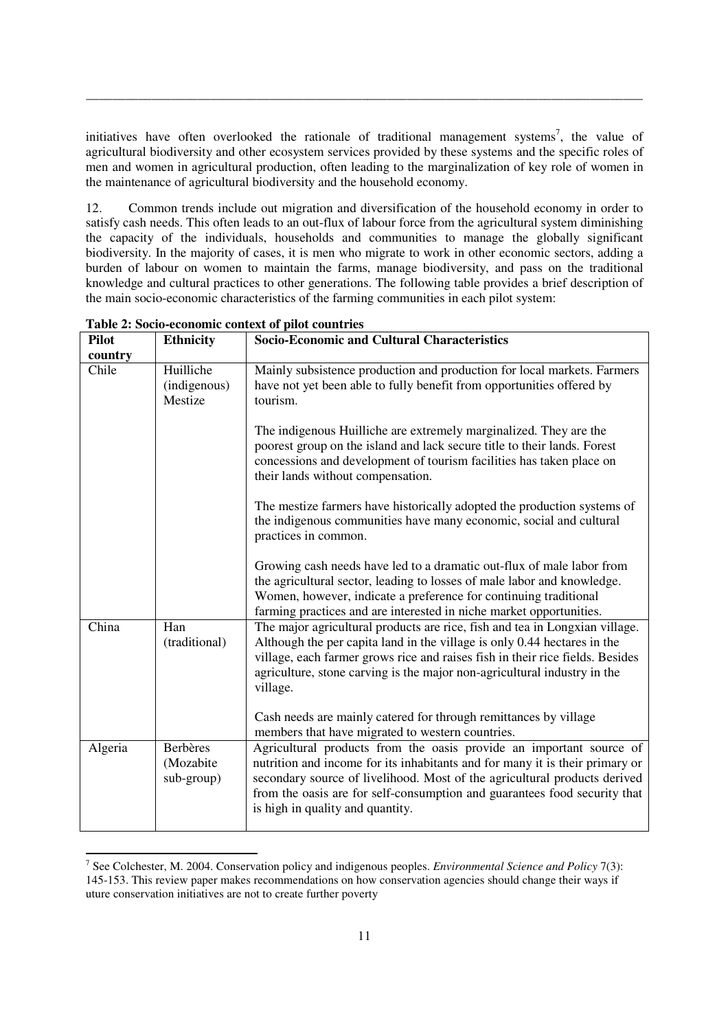initiatives have often overlooked the rationale of traditional management systems<sup>7</sup>, the value of agricultural biodiversity and other ecosystem services provided by these systems and the specific roles of men and women in agricultural production, often leading to the marginalization of key role of women in the maintenance of agricultural biodiversity and the household economy.

\_\_\_\_\_\_\_\_\_\_\_\_\_\_\_\_\_\_\_\_\_\_\_\_\_\_\_\_\_\_\_\_\_\_\_\_\_\_\_\_\_\_\_\_\_\_\_\_\_\_\_\_\_\_\_\_\_\_\_\_\_\_\_\_\_\_\_\_\_\_\_\_\_\_\_\_\_\_\_\_\_\_\_\_\_

12. Common trends include out migration and diversification of the household economy in order to satisfy cash needs. This often leads to an out-flux of labour force from the agricultural system diminishing the capacity of the individuals, households and communities to manage the globally significant biodiversity. In the majority of cases, it is men who migrate to work in other economic sectors, adding a burden of labour on women to maintain the farms, manage biodiversity, and pass on the traditional knowledge and cultural practices to other generations. The following table provides a brief description of the main socio-economic characteristics of the farming communities in each pilot system:

| <b>Pilot</b> | <b>Ethnicity</b>                           | <b>Socio-Economic and Cultural Characteristics</b>                                                                                                                                                                                                                                                                                                                                                   |
|--------------|--------------------------------------------|------------------------------------------------------------------------------------------------------------------------------------------------------------------------------------------------------------------------------------------------------------------------------------------------------------------------------------------------------------------------------------------------------|
| country      |                                            |                                                                                                                                                                                                                                                                                                                                                                                                      |
| Chile        | Huilliche<br>(indigenous)<br>Mestize       | Mainly subsistence production and production for local markets. Farmers<br>have not yet been able to fully benefit from opportunities offered by<br>tourism.                                                                                                                                                                                                                                         |
|              |                                            | The indigenous Huilliche are extremely marginalized. They are the<br>poorest group on the island and lack secure title to their lands. Forest<br>concessions and development of tourism facilities has taken place on<br>their lands without compensation.                                                                                                                                           |
|              |                                            | The mestize farmers have historically adopted the production systems of<br>the indigenous communities have many economic, social and cultural<br>practices in common.                                                                                                                                                                                                                                |
|              |                                            | Growing cash needs have led to a dramatic out-flux of male labor from<br>the agricultural sector, leading to losses of male labor and knowledge.<br>Women, however, indicate a preference for continuing traditional<br>farming practices and are interested in niche market opportunities.                                                                                                          |
| China        | Han<br>(traditional)                       | The major agricultural products are rice, fish and tea in Longxian village.<br>Although the per capita land in the village is only 0.44 hectares in the<br>village, each farmer grows rice and raises fish in their rice fields. Besides<br>agriculture, stone carving is the major non-agricultural industry in the<br>village.<br>Cash needs are mainly catered for through remittances by village |
|              |                                            | members that have migrated to western countries.                                                                                                                                                                                                                                                                                                                                                     |
| Algeria      | <b>Berbères</b><br>(Mozabite<br>sub-group) | Agricultural products from the oasis provide an important source of<br>nutrition and income for its inhabitants and for many it is their primary or<br>secondary source of livelihood. Most of the agricultural products derived<br>from the oasis are for self-consumption and guarantees food security that<br>is high in quality and quantity.                                                    |

**Table 2: Socio-economic context of pilot countries** 

<u>.</u>

<sup>7</sup> See Colchester, M. 2004. Conservation policy and indigenous peoples. *Environmental Science and Policy* 7(3): 145-153. This review paper makes recommendations on how conservation agencies should change their ways if uture conservation initiatives are not to create further poverty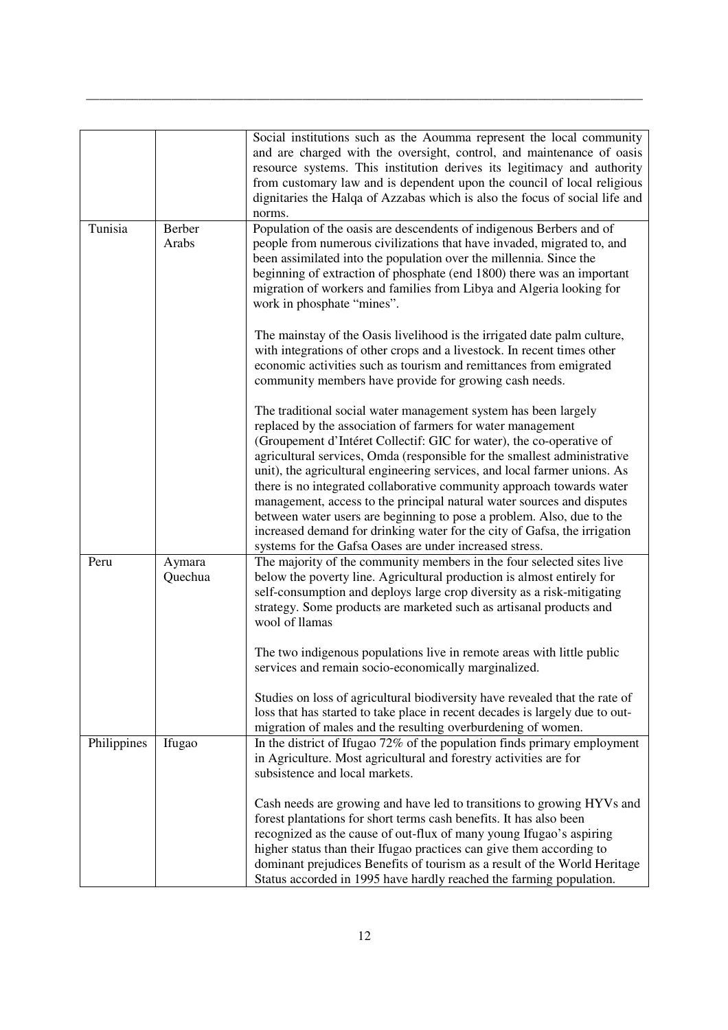|             |                   | Social institutions such as the Aoumma represent the local community<br>and are charged with the oversight, control, and maintenance of oasis<br>resource systems. This institution derives its legitimacy and authority<br>from customary law and is dependent upon the council of local religious<br>dignitaries the Halqa of Azzabas which is also the focus of social life and<br>norms.                                                                                                                                                                                                                                                                                                                                        |
|-------------|-------------------|-------------------------------------------------------------------------------------------------------------------------------------------------------------------------------------------------------------------------------------------------------------------------------------------------------------------------------------------------------------------------------------------------------------------------------------------------------------------------------------------------------------------------------------------------------------------------------------------------------------------------------------------------------------------------------------------------------------------------------------|
| Tunisia     | Berber<br>Arabs   | Population of the oasis are descendents of indigenous Berbers and of<br>people from numerous civilizations that have invaded, migrated to, and<br>been assimilated into the population over the millennia. Since the<br>beginning of extraction of phosphate (end 1800) there was an important<br>migration of workers and families from Libya and Algeria looking for<br>work in phosphate "mines".                                                                                                                                                                                                                                                                                                                                |
|             |                   | The mainstay of the Oasis livelihood is the irrigated date palm culture,<br>with integrations of other crops and a livestock. In recent times other<br>economic activities such as tourism and remittances from emigrated<br>community members have provide for growing cash needs.                                                                                                                                                                                                                                                                                                                                                                                                                                                 |
|             |                   | The traditional social water management system has been largely<br>replaced by the association of farmers for water management<br>(Groupement d'Intéret Collectif: GIC for water), the co-operative of<br>agricultural services, Omda (responsible for the smallest administrative<br>unit), the agricultural engineering services, and local farmer unions. As<br>there is no integrated collaborative community approach towards water<br>management, access to the principal natural water sources and disputes<br>between water users are beginning to pose a problem. Also, due to the<br>increased demand for drinking water for the city of Gafsa, the irrigation<br>systems for the Gafsa Oases are under increased stress. |
| Peru        | Aymara<br>Quechua | The majority of the community members in the four selected sites live<br>below the poverty line. Agricultural production is almost entirely for<br>self-consumption and deploys large crop diversity as a risk-mitigating<br>strategy. Some products are marketed such as artisanal products and<br>wool of llamas<br>The two indigenous populations live in remote areas with little public                                                                                                                                                                                                                                                                                                                                        |
|             |                   | services and remain socio-economically marginalized.<br>Studies on loss of agricultural biodiversity have revealed that the rate of<br>loss that has started to take place in recent decades is largely due to out-<br>migration of males and the resulting overburdening of women.                                                                                                                                                                                                                                                                                                                                                                                                                                                 |
| Philippines | Ifugao            | In the district of Ifugao 72% of the population finds primary employment<br>in Agriculture. Most agricultural and forestry activities are for<br>subsistence and local markets.                                                                                                                                                                                                                                                                                                                                                                                                                                                                                                                                                     |
|             |                   | Cash needs are growing and have led to transitions to growing HYVs and<br>forest plantations for short terms cash benefits. It has also been<br>recognized as the cause of out-flux of many young Ifugao's aspiring<br>higher status than their Ifugao practices can give them according to<br>dominant prejudices Benefits of tourism as a result of the World Heritage<br>Status accorded in 1995 have hardly reached the farming population.                                                                                                                                                                                                                                                                                     |

\_\_\_\_\_\_\_\_\_\_\_\_\_\_\_\_\_\_\_\_\_\_\_\_\_\_\_\_\_\_\_\_\_\_\_\_\_\_\_\_\_\_\_\_\_\_\_\_\_\_\_\_\_\_\_\_\_\_\_\_\_\_\_\_\_\_\_\_\_\_\_\_\_\_\_\_\_\_\_\_\_\_\_\_\_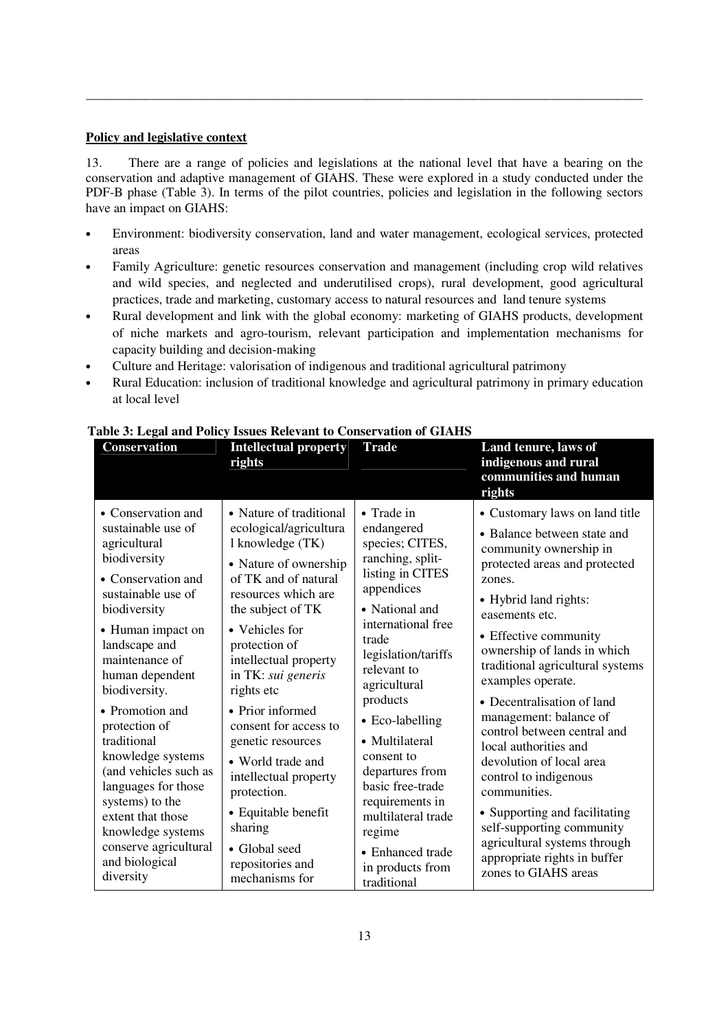#### **Policy and legislative context**

13. There are a range of policies and legislations at the national level that have a bearing on the conservation and adaptive management of GIAHS. These were explored in a study conducted under the PDF-B phase (Table 3). In terms of the pilot countries, policies and legislation in the following sectors have an impact on GIAHS:

\_\_\_\_\_\_\_\_\_\_\_\_\_\_\_\_\_\_\_\_\_\_\_\_\_\_\_\_\_\_\_\_\_\_\_\_\_\_\_\_\_\_\_\_\_\_\_\_\_\_\_\_\_\_\_\_\_\_\_\_\_\_\_\_\_\_\_\_\_\_\_\_\_\_\_\_\_\_\_\_\_\_\_\_\_

- Environment: biodiversity conservation, land and water management, ecological services, protected areas
- Family Agriculture: genetic resources conservation and management (including crop wild relatives and wild species, and neglected and underutilised crops), rural development, good agricultural practices, trade and marketing, customary access to natural resources and land tenure systems
- Rural development and link with the global economy: marketing of GIAHS products, development of niche markets and agro-tourism, relevant participation and implementation mechanisms for capacity building and decision-making
- Culture and Heritage: valorisation of indigenous and traditional agricultural patrimony
- Rural Education: inclusion of traditional knowledge and agricultural patrimony in primary education at local level

|                                                                                                                                                                                                                                                                                                                                                                                                                                                                               | rights                                                                                                                                                                                                                                                                                                                                                                                                                                                                                     |                                                                                                                                                                                                                                                                                                                                                                                                                          | Land tenure, laws of<br>indigenous and rural<br>communities and human<br>rights                                                                                                                                                                                                                                                                                                                                                                                                                                                                                                                                                           |
|-------------------------------------------------------------------------------------------------------------------------------------------------------------------------------------------------------------------------------------------------------------------------------------------------------------------------------------------------------------------------------------------------------------------------------------------------------------------------------|--------------------------------------------------------------------------------------------------------------------------------------------------------------------------------------------------------------------------------------------------------------------------------------------------------------------------------------------------------------------------------------------------------------------------------------------------------------------------------------------|--------------------------------------------------------------------------------------------------------------------------------------------------------------------------------------------------------------------------------------------------------------------------------------------------------------------------------------------------------------------------------------------------------------------------|-------------------------------------------------------------------------------------------------------------------------------------------------------------------------------------------------------------------------------------------------------------------------------------------------------------------------------------------------------------------------------------------------------------------------------------------------------------------------------------------------------------------------------------------------------------------------------------------------------------------------------------------|
| • Conservation and<br>sustainable use of<br>agricultural<br>biodiversity<br>• Conservation and<br>sustainable use of<br>biodiversity<br>• Human impact on<br>landscape and<br>maintenance of<br>human dependent<br>biodiversity.<br>• Promotion and<br>protection of<br>traditional<br>knowledge systems<br>(and vehicles such as<br>languages for those<br>systems) to the<br>extent that those<br>knowledge systems<br>conserve agricultural<br>and biological<br>diversity | • Nature of traditional<br>ecological/agricultura<br>l knowledge (TK)<br>• Nature of ownership<br>of TK and of natural<br>resources which are<br>the subject of TK<br>• Vehicles for<br>protection of<br>intellectual property<br>in TK: sui generis<br>rights etc<br>• Prior informed<br>consent for access to<br>genetic resources<br>• World trade and<br>intellectual property<br>protection.<br>• Equitable benefit<br>sharing<br>• Global seed<br>repositories and<br>mechanisms for | • Trade in<br>endangered<br>species; CITES,<br>ranching, split-<br>listing in CITES<br>appendices<br>• National and<br>international free<br>trade<br>legislation/tariffs<br>relevant to<br>agricultural<br>products<br>• Eco-labelling<br>• Multilateral<br>consent to<br>departures from<br>basic free-trade<br>requirements in<br>multilateral trade<br>regime<br>• Enhanced trade<br>in products from<br>traditional | • Customary laws on land title<br>• Balance between state and<br>community ownership in<br>protected areas and protected<br>zones.<br>• Hybrid land rights:<br>easements etc.<br>• Effective community<br>ownership of lands in which<br>traditional agricultural systems<br>examples operate.<br>• Decentralisation of land<br>management: balance of<br>control between central and<br>local authorities and<br>devolution of local area<br>control to indigenous<br>communities.<br>• Supporting and facilitating<br>self-supporting community<br>agricultural systems through<br>appropriate rights in buffer<br>zones to GIAHS areas |

# **Table 3: Legal and Policy Issues Relevant to Conservation of GIAHS**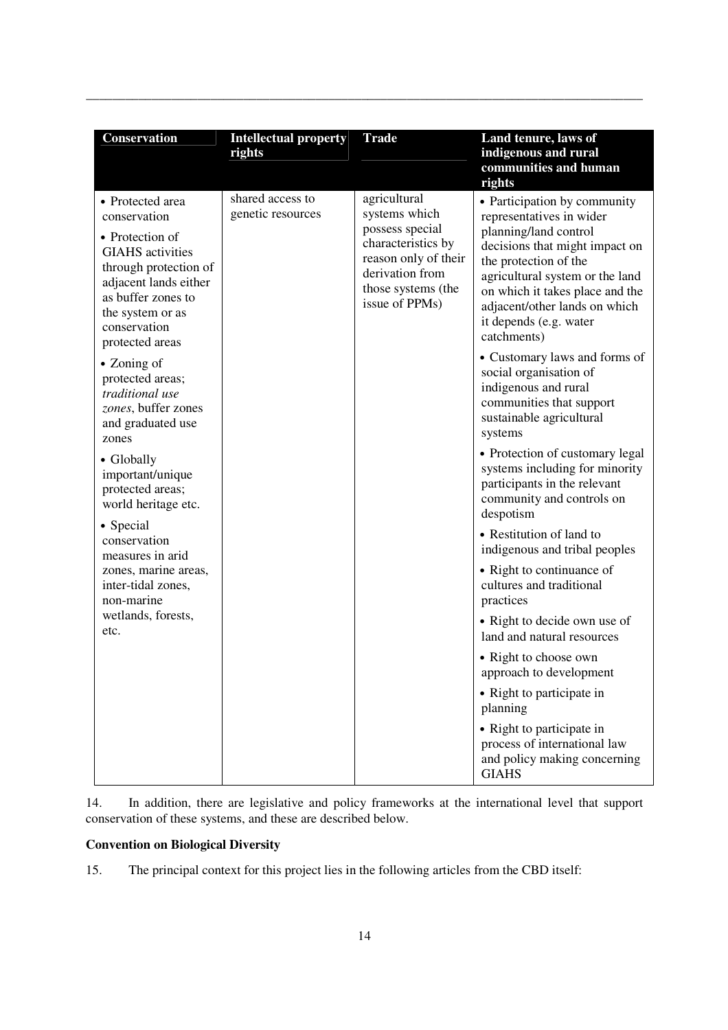| Conservation                                                                                                                                                                                                                                                                                                                                                                                                                                                                                                                                     | <b>Intellectual property</b><br>rights | <b>Trade</b>                                                                                                                                              | Land tenure, laws of<br>indigenous and rural<br>communities and human<br>rights                                                                                                                                                                                                                                                                                                                                                                                                                                                                                                                                                                                                                                                                                                                                                                                                                                              |
|--------------------------------------------------------------------------------------------------------------------------------------------------------------------------------------------------------------------------------------------------------------------------------------------------------------------------------------------------------------------------------------------------------------------------------------------------------------------------------------------------------------------------------------------------|----------------------------------------|-----------------------------------------------------------------------------------------------------------------------------------------------------------|------------------------------------------------------------------------------------------------------------------------------------------------------------------------------------------------------------------------------------------------------------------------------------------------------------------------------------------------------------------------------------------------------------------------------------------------------------------------------------------------------------------------------------------------------------------------------------------------------------------------------------------------------------------------------------------------------------------------------------------------------------------------------------------------------------------------------------------------------------------------------------------------------------------------------|
| • Protected area<br>conservation<br>• Protection of<br><b>GIAHS</b> activities<br>through protection of<br>adjacent lands either<br>as buffer zones to<br>the system or as<br>conservation<br>protected areas<br>• Zoning of<br>protected areas;<br>traditional use<br>zones, buffer zones<br>and graduated use<br>zones<br>• Globally<br>important/unique<br>protected areas;<br>world heritage etc.<br>• Special<br>conservation<br>measures in arid<br>zones, marine areas,<br>inter-tidal zones,<br>non-marine<br>wetlands, forests,<br>etc. | shared access to<br>genetic resources  | agricultural<br>systems which<br>possess special<br>characteristics by<br>reason only of their<br>derivation from<br>those systems (the<br>issue of PPMs) | • Participation by community<br>representatives in wider<br>planning/land control<br>decisions that might impact on<br>the protection of the<br>agricultural system or the land<br>on which it takes place and the<br>adjacent/other lands on which<br>it depends (e.g. water<br>catchments)<br>• Customary laws and forms of<br>social organisation of<br>indigenous and rural<br>communities that support<br>sustainable agricultural<br>systems<br>• Protection of customary legal<br>systems including for minority<br>participants in the relevant<br>community and controls on<br>despotism<br>• Restitution of land to<br>indigenous and tribal peoples<br>• Right to continuance of<br>cultures and traditional<br>practices<br>• Right to decide own use of<br>land and natural resources<br>• Right to choose own<br>approach to development<br>• Right to participate in<br>planning<br>• Right to participate in |
|                                                                                                                                                                                                                                                                                                                                                                                                                                                                                                                                                  |                                        |                                                                                                                                                           | process of international law<br>and policy making concerning<br><b>GIAHS</b>                                                                                                                                                                                                                                                                                                                                                                                                                                                                                                                                                                                                                                                                                                                                                                                                                                                 |

\_\_\_\_\_\_\_\_\_\_\_\_\_\_\_\_\_\_\_\_\_\_\_\_\_\_\_\_\_\_\_\_\_\_\_\_\_\_\_\_\_\_\_\_\_\_\_\_\_\_\_\_\_\_\_\_\_\_\_\_\_\_\_\_\_\_\_\_\_\_\_\_\_\_\_\_\_\_\_\_\_\_\_\_\_

14. In addition, there are legislative and policy frameworks at the international level that support conservation of these systems, and these are described below.

# **Convention on Biological Diversity**

15. The principal context for this project lies in the following articles from the CBD itself: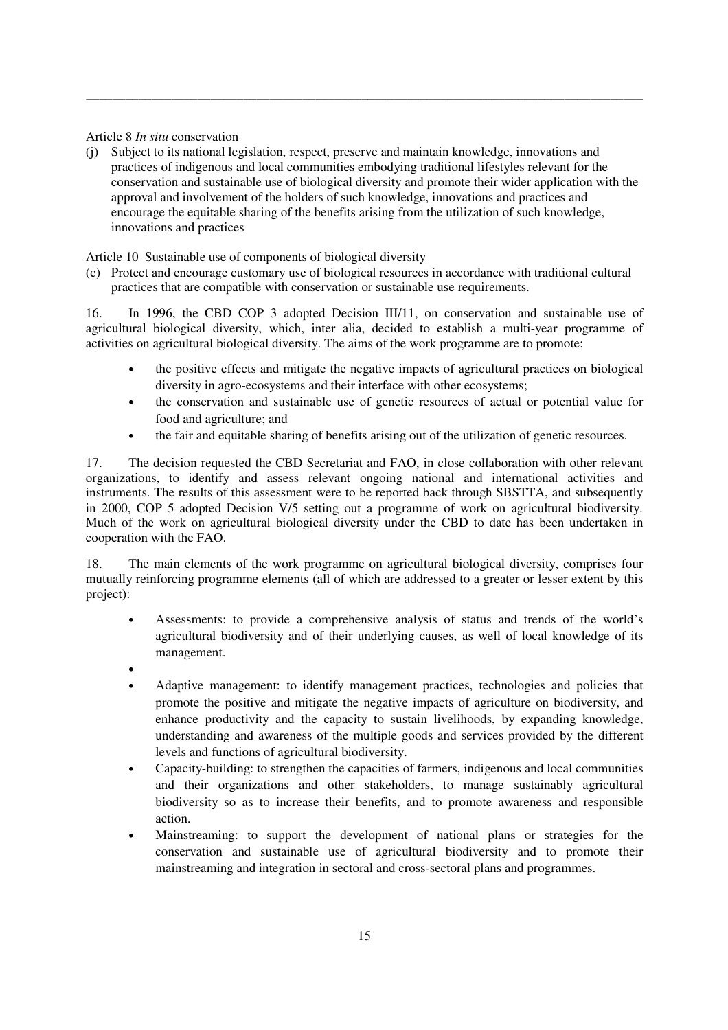Article 8 *In situ* conservation

(j) Subject to its national legislation, respect, preserve and maintain knowledge, innovations and practices of indigenous and local communities embodying traditional lifestyles relevant for the conservation and sustainable use of biological diversity and promote their wider application with the approval and involvement of the holders of such knowledge, innovations and practices and encourage the equitable sharing of the benefits arising from the utilization of such knowledge, innovations and practices

\_\_\_\_\_\_\_\_\_\_\_\_\_\_\_\_\_\_\_\_\_\_\_\_\_\_\_\_\_\_\_\_\_\_\_\_\_\_\_\_\_\_\_\_\_\_\_\_\_\_\_\_\_\_\_\_\_\_\_\_\_\_\_\_\_\_\_\_\_\_\_\_\_\_\_\_\_\_\_\_\_\_\_\_\_

Article 10 Sustainable use of components of biological diversity

(c) Protect and encourage customary use of biological resources in accordance with traditional cultural practices that are compatible with conservation or sustainable use requirements.

16. In 1996, the CBD COP 3 adopted Decision III/11, on conservation and sustainable use of agricultural biological diversity, which, inter alia, decided to establish a multi-year programme of activities on agricultural biological diversity. The aims of the work programme are to promote:

- the positive effects and mitigate the negative impacts of agricultural practices on biological diversity in agro-ecosystems and their interface with other ecosystems;
- the conservation and sustainable use of genetic resources of actual or potential value for food and agriculture; and
- the fair and equitable sharing of benefits arising out of the utilization of genetic resources.

17. The decision requested the CBD Secretariat and FAO, in close collaboration with other relevant organizations, to identify and assess relevant ongoing national and international activities and instruments. The results of this assessment were to be reported back through SBSTTA, and subsequently in 2000, COP 5 adopted Decision V/5 setting out a programme of work on agricultural biodiversity. Much of the work on agricultural biological diversity under the CBD to date has been undertaken in cooperation with the FAO.

18. The main elements of the work programme on agricultural biological diversity, comprises four mutually reinforcing programme elements (all of which are addressed to a greater or lesser extent by this project):

- Assessments: to provide a comprehensive analysis of status and trends of the world's agricultural biodiversity and of their underlying causes, as well of local knowledge of its management.
- •
- Adaptive management: to identify management practices, technologies and policies that promote the positive and mitigate the negative impacts of agriculture on biodiversity, and enhance productivity and the capacity to sustain livelihoods, by expanding knowledge, understanding and awareness of the multiple goods and services provided by the different levels and functions of agricultural biodiversity.
- Capacity-building: to strengthen the capacities of farmers, indigenous and local communities and their organizations and other stakeholders, to manage sustainably agricultural biodiversity so as to increase their benefits, and to promote awareness and responsible action.
- Mainstreaming: to support the development of national plans or strategies for the conservation and sustainable use of agricultural biodiversity and to promote their mainstreaming and integration in sectoral and cross-sectoral plans and programmes.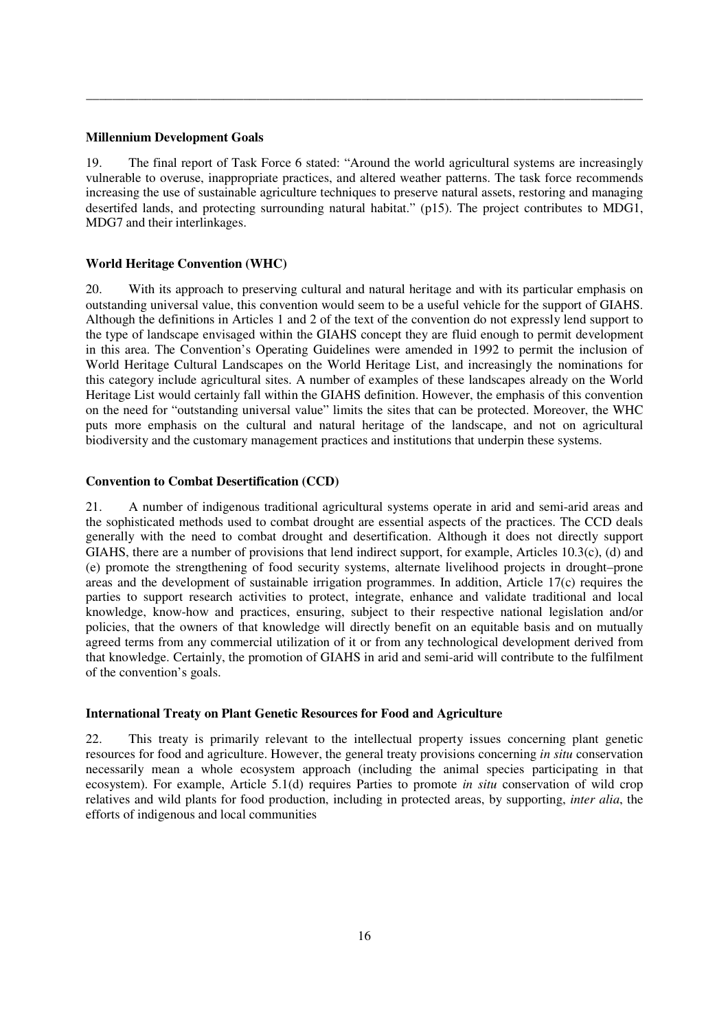#### **Millennium Development Goals**

19. The final report of Task Force 6 stated: "Around the world agricultural systems are increasingly vulnerable to overuse, inappropriate practices, and altered weather patterns. The task force recommends increasing the use of sustainable agriculture techniques to preserve natural assets, restoring and managing desertifed lands, and protecting surrounding natural habitat." (p15). The project contributes to MDG1, MDG7 and their interlinkages.

\_\_\_\_\_\_\_\_\_\_\_\_\_\_\_\_\_\_\_\_\_\_\_\_\_\_\_\_\_\_\_\_\_\_\_\_\_\_\_\_\_\_\_\_\_\_\_\_\_\_\_\_\_\_\_\_\_\_\_\_\_\_\_\_\_\_\_\_\_\_\_\_\_\_\_\_\_\_\_\_\_\_\_\_\_

#### **World Heritage Convention (WHC)**

20. With its approach to preserving cultural and natural heritage and with its particular emphasis on outstanding universal value, this convention would seem to be a useful vehicle for the support of GIAHS. Although the definitions in Articles 1 and 2 of the text of the convention do not expressly lend support to the type of landscape envisaged within the GIAHS concept they are fluid enough to permit development in this area. The Convention's Operating Guidelines were amended in 1992 to permit the inclusion of World Heritage Cultural Landscapes on the World Heritage List, and increasingly the nominations for this category include agricultural sites. A number of examples of these landscapes already on the World Heritage List would certainly fall within the GIAHS definition. However, the emphasis of this convention on the need for "outstanding universal value" limits the sites that can be protected. Moreover, the WHC puts more emphasis on the cultural and natural heritage of the landscape, and not on agricultural biodiversity and the customary management practices and institutions that underpin these systems.

#### **Convention to Combat Desertification (CCD)**

21. A number of indigenous traditional agricultural systems operate in arid and semi-arid areas and the sophisticated methods used to combat drought are essential aspects of the practices. The CCD deals generally with the need to combat drought and desertification. Although it does not directly support GIAHS, there are a number of provisions that lend indirect support, for example, Articles 10.3(c), (d) and (e) promote the strengthening of food security systems, alternate livelihood projects in drought–prone areas and the development of sustainable irrigation programmes. In addition, Article 17(c) requires the parties to support research activities to protect, integrate, enhance and validate traditional and local knowledge, know-how and practices, ensuring, subject to their respective national legislation and/or policies, that the owners of that knowledge will directly benefit on an equitable basis and on mutually agreed terms from any commercial utilization of it or from any technological development derived from that knowledge. Certainly, the promotion of GIAHS in arid and semi-arid will contribute to the fulfilment of the convention's goals.

#### **International Treaty on Plant Genetic Resources for Food and Agriculture**

22. This treaty is primarily relevant to the intellectual property issues concerning plant genetic resources for food and agriculture. However, the general treaty provisions concerning *in situ* conservation necessarily mean a whole ecosystem approach (including the animal species participating in that ecosystem). For example, Article 5.1(d) requires Parties to promote *in situ* conservation of wild crop relatives and wild plants for food production, including in protected areas, by supporting, *inter alia*, the efforts of indigenous and local communities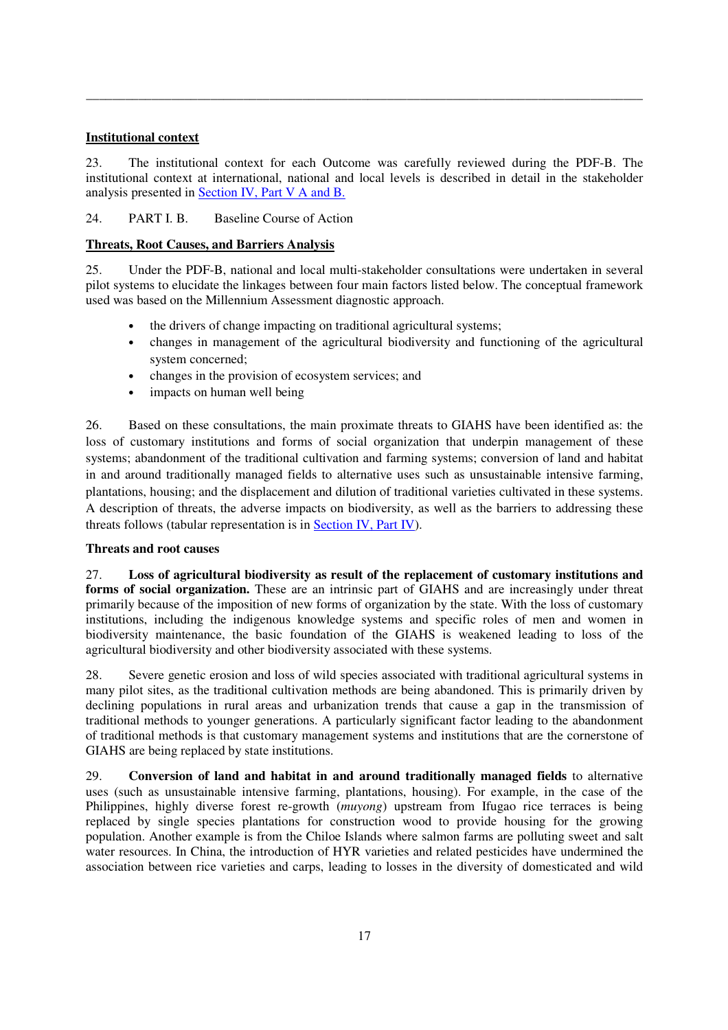# **Institutional context**

23. The institutional context for each Outcome was carefully reviewed during the PDF-B. The institutional context at international, national and local levels is described in detail in the stakeholder analysis presented in Section IV, Part V A and B.

\_\_\_\_\_\_\_\_\_\_\_\_\_\_\_\_\_\_\_\_\_\_\_\_\_\_\_\_\_\_\_\_\_\_\_\_\_\_\_\_\_\_\_\_\_\_\_\_\_\_\_\_\_\_\_\_\_\_\_\_\_\_\_\_\_\_\_\_\_\_\_\_\_\_\_\_\_\_\_\_\_\_\_\_\_

# 24. PART I. B. Baseline Course of Action

# **Threats, Root Causes, and Barriers Analysis**

25. Under the PDF-B, national and local multi-stakeholder consultations were undertaken in several pilot systems to elucidate the linkages between four main factors listed below. The conceptual framework used was based on the Millennium Assessment diagnostic approach.

- the drivers of change impacting on traditional agricultural systems;
- changes in management of the agricultural biodiversity and functioning of the agricultural system concerned;
- changes in the provision of ecosystem services; and
- impacts on human well being

26. Based on these consultations, the main proximate threats to GIAHS have been identified as: the loss of customary institutions and forms of social organization that underpin management of these systems; abandonment of the traditional cultivation and farming systems; conversion of land and habitat in and around traditionally managed fields to alternative uses such as unsustainable intensive farming, plantations, housing; and the displacement and dilution of traditional varieties cultivated in these systems. A description of threats, the adverse impacts on biodiversity, as well as the barriers to addressing these threats follows (tabular representation is in Section IV, Part IV).

# **Threats and root causes**

27. **Loss of agricultural biodiversity as result of the replacement of customary institutions and**  forms of social organization. These are an intrinsic part of GIAHS and are increasingly under threat primarily because of the imposition of new forms of organization by the state. With the loss of customary institutions, including the indigenous knowledge systems and specific roles of men and women in biodiversity maintenance, the basic foundation of the GIAHS is weakened leading to loss of the agricultural biodiversity and other biodiversity associated with these systems.

28. Severe genetic erosion and loss of wild species associated with traditional agricultural systems in many pilot sites, as the traditional cultivation methods are being abandoned. This is primarily driven by declining populations in rural areas and urbanization trends that cause a gap in the transmission of traditional methods to younger generations. A particularly significant factor leading to the abandonment of traditional methods is that customary management systems and institutions that are the cornerstone of GIAHS are being replaced by state institutions.

29. **Conversion of land and habitat in and around traditionally managed fields** to alternative uses (such as unsustainable intensive farming, plantations, housing). For example, in the case of the Philippines, highly diverse forest re-growth (*muyong*) upstream from Ifugao rice terraces is being replaced by single species plantations for construction wood to provide housing for the growing population. Another example is from the Chiloe Islands where salmon farms are polluting sweet and salt water resources. In China, the introduction of HYR varieties and related pesticides have undermined the association between rice varieties and carps, leading to losses in the diversity of domesticated and wild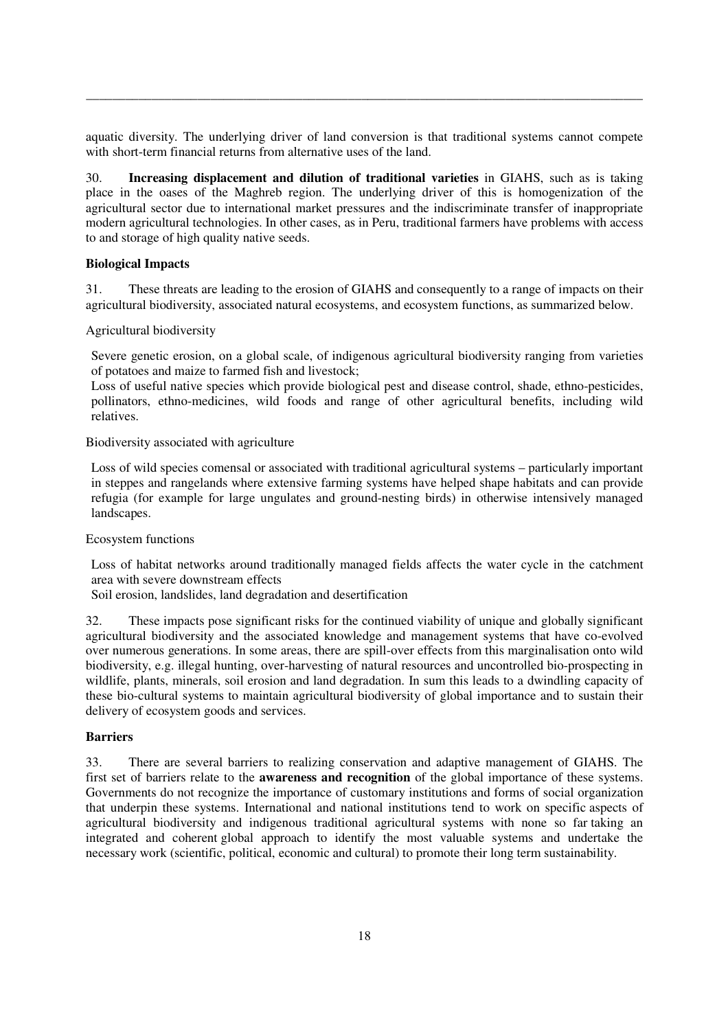aquatic diversity. The underlying driver of land conversion is that traditional systems cannot compete with short-term financial returns from alternative uses of the land.

\_\_\_\_\_\_\_\_\_\_\_\_\_\_\_\_\_\_\_\_\_\_\_\_\_\_\_\_\_\_\_\_\_\_\_\_\_\_\_\_\_\_\_\_\_\_\_\_\_\_\_\_\_\_\_\_\_\_\_\_\_\_\_\_\_\_\_\_\_\_\_\_\_\_\_\_\_\_\_\_\_\_\_\_\_

30. **Increasing displacement and dilution of traditional varieties** in GIAHS, such as is taking place in the oases of the Maghreb region. The underlying driver of this is homogenization of the agricultural sector due to international market pressures and the indiscriminate transfer of inappropriate modern agricultural technologies. In other cases, as in Peru, traditional farmers have problems with access to and storage of high quality native seeds.

#### **Biological Impacts**

31. These threats are leading to the erosion of GIAHS and consequently to a range of impacts on their agricultural biodiversity, associated natural ecosystems, and ecosystem functions, as summarized below.

Agricultural biodiversity

Severe genetic erosion, on a global scale, of indigenous agricultural biodiversity ranging from varieties of potatoes and maize to farmed fish and livestock;

Loss of useful native species which provide biological pest and disease control, shade, ethno-pesticides, pollinators, ethno-medicines, wild foods and range of other agricultural benefits, including wild relatives.

Biodiversity associated with agriculture

Loss of wild species comensal or associated with traditional agricultural systems – particularly important in steppes and rangelands where extensive farming systems have helped shape habitats and can provide refugia (for example for large ungulates and ground-nesting birds) in otherwise intensively managed landscapes.

Ecosystem functions

Loss of habitat networks around traditionally managed fields affects the water cycle in the catchment area with severe downstream effects

Soil erosion, landslides, land degradation and desertification

32. These impacts pose significant risks for the continued viability of unique and globally significant agricultural biodiversity and the associated knowledge and management systems that have co-evolved over numerous generations. In some areas, there are spill-over effects from this marginalisation onto wild biodiversity, e.g. illegal hunting, over-harvesting of natural resources and uncontrolled bio-prospecting in wildlife, plants, minerals, soil erosion and land degradation. In sum this leads to a dwindling capacity of these bio-cultural systems to maintain agricultural biodiversity of global importance and to sustain their delivery of ecosystem goods and services.

# **Barriers**

33. There are several barriers to realizing conservation and adaptive management of GIAHS. The first set of barriers relate to the **awareness and recognition** of the global importance of these systems. Governments do not recognize the importance of customary institutions and forms of social organization that underpin these systems. International and national institutions tend to work on specific aspects of agricultural biodiversity and indigenous traditional agricultural systems with none so far taking an integrated and coherent global approach to identify the most valuable systems and undertake the necessary work (scientific, political, economic and cultural) to promote their long term sustainability.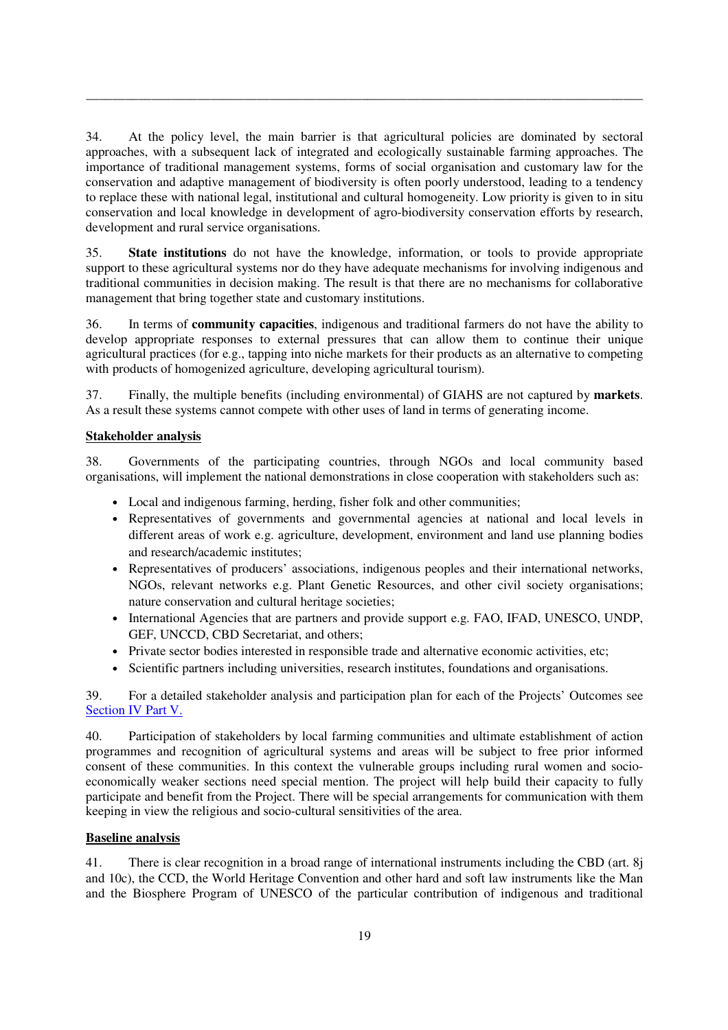34. At the policy level, the main barrier is that agricultural policies are dominated by sectoral approaches, with a subsequent lack of integrated and ecologically sustainable farming approaches. The importance of traditional management systems, forms of social organisation and customary law for the conservation and adaptive management of biodiversity is often poorly understood, leading to a tendency to replace these with national legal, institutional and cultural homogeneity. Low priority is given to in situ conservation and local knowledge in development of agro-biodiversity conservation efforts by research, development and rural service organisations.

\_\_\_\_\_\_\_\_\_\_\_\_\_\_\_\_\_\_\_\_\_\_\_\_\_\_\_\_\_\_\_\_\_\_\_\_\_\_\_\_\_\_\_\_\_\_\_\_\_\_\_\_\_\_\_\_\_\_\_\_\_\_\_\_\_\_\_\_\_\_\_\_\_\_\_\_\_\_\_\_\_\_\_\_\_

35. **State institutions** do not have the knowledge, information, or tools to provide appropriate support to these agricultural systems nor do they have adequate mechanisms for involving indigenous and traditional communities in decision making. The result is that there are no mechanisms for collaborative management that bring together state and customary institutions.

36. In terms of **community capacities**, indigenous and traditional farmers do not have the ability to develop appropriate responses to external pressures that can allow them to continue their unique agricultural practices (for e.g., tapping into niche markets for their products as an alternative to competing with products of homogenized agriculture, developing agricultural tourism).

37. Finally, the multiple benefits (including environmental) of GIAHS are not captured by **markets**. As a result these systems cannot compete with other uses of land in terms of generating income.

# **Stakeholder analysis**

38. Governments of the participating countries, through NGOs and local community based organisations, will implement the national demonstrations in close cooperation with stakeholders such as:

- Local and indigenous farming, herding, fisher folk and other communities;
- Representatives of governments and governmental agencies at national and local levels in different areas of work e.g. agriculture, development, environment and land use planning bodies and research/academic institutes;
- Representatives of producers' associations, indigenous peoples and their international networks, NGOs, relevant networks e.g. Plant Genetic Resources, and other civil society organisations; nature conservation and cultural heritage societies;
- International Agencies that are partners and provide support e.g. FAO, IFAD, UNESCO, UNDP, GEF, UNCCD, CBD Secretariat, and others;
- Private sector bodies interested in responsible trade and alternative economic activities, etc;
- Scientific partners including universities, research institutes, foundations and organisations.

39. For a detailed stakeholder analysis and participation plan for each of the Projects' Outcomes see Section IV Part V.

40. Participation of stakeholders by local farming communities and ultimate establishment of action programmes and recognition of agricultural systems and areas will be subject to free prior informed consent of these communities. In this context the vulnerable groups including rural women and socioeconomically weaker sections need special mention. The project will help build their capacity to fully participate and benefit from the Project. There will be special arrangements for communication with them keeping in view the religious and socio-cultural sensitivities of the area.

# **Baseline analysis**

41. There is clear recognition in a broad range of international instruments including the CBD (art. 8j and 10c), the CCD, the World Heritage Convention and other hard and soft law instruments like the Man and the Biosphere Program of UNESCO of the particular contribution of indigenous and traditional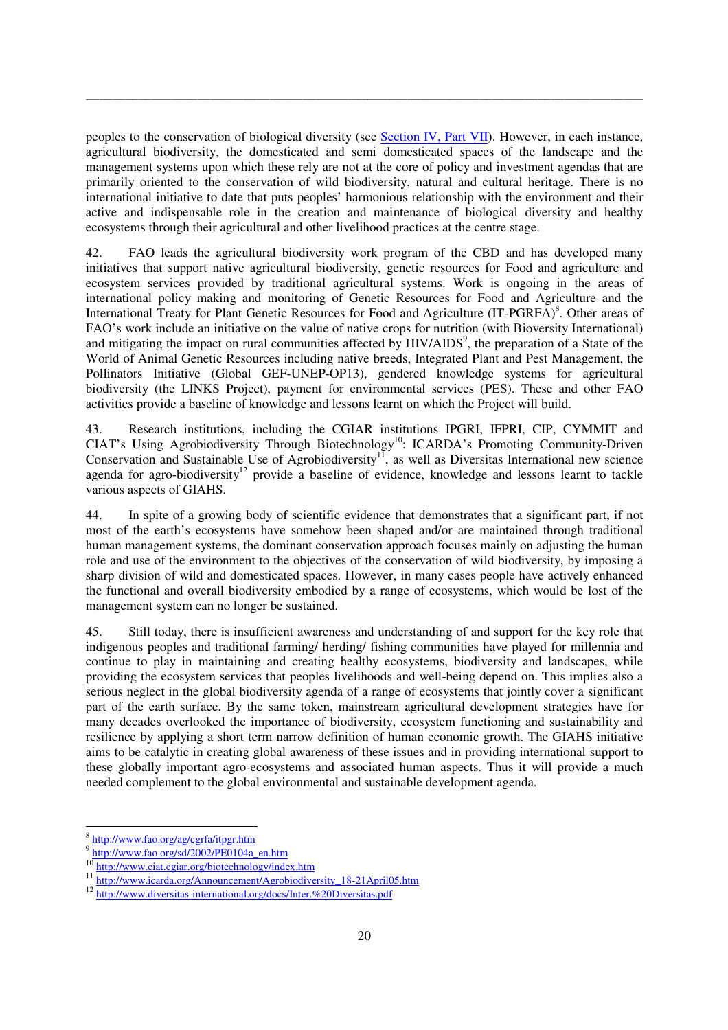peoples to the conservation of biological diversity (see Section IV, Part VII). However, in each instance, agricultural biodiversity, the domesticated and semi domesticated spaces of the landscape and the management systems upon which these rely are not at the core of policy and investment agendas that are primarily oriented to the conservation of wild biodiversity, natural and cultural heritage. There is no international initiative to date that puts peoples' harmonious relationship with the environment and their active and indispensable role in the creation and maintenance of biological diversity and healthy ecosystems through their agricultural and other livelihood practices at the centre stage.

\_\_\_\_\_\_\_\_\_\_\_\_\_\_\_\_\_\_\_\_\_\_\_\_\_\_\_\_\_\_\_\_\_\_\_\_\_\_\_\_\_\_\_\_\_\_\_\_\_\_\_\_\_\_\_\_\_\_\_\_\_\_\_\_\_\_\_\_\_\_\_\_\_\_\_\_\_\_\_\_\_\_\_\_\_

42. FAO leads the agricultural biodiversity work program of the CBD and has developed many initiatives that support native agricultural biodiversity, genetic resources for Food and agriculture and ecosystem services provided by traditional agricultural systems. Work is ongoing in the areas of international policy making and monitoring of Genetic Resources for Food and Agriculture and the International Treaty for Plant Genetic Resources for Food and Agriculture (IT-PGRFA)<sup>8</sup>. Other areas of FAO's work include an initiative on the value of native crops for nutrition (with Bioversity International) and mitigating the impact on rural communities affected by HIV/AIDS<sup>9</sup>, the preparation of a State of the World of Animal Genetic Resources including native breeds, Integrated Plant and Pest Management, the Pollinators Initiative (Global GEF-UNEP-OP13), gendered knowledge systems for agricultural biodiversity (the LINKS Project), payment for environmental services (PES). These and other FAO activities provide a baseline of knowledge and lessons learnt on which the Project will build.

43. Research institutions, including the CGIAR institutions IPGRI, IFPRI, CIP, CYMMIT and CIAT's Using Agrobiodiversity Through Biotechnology<sup>10</sup>: ICARDA's Promoting Community-Driven Conservation and Sustainable Use of Agrobiodiversity<sup>11</sup>, as well as Diversitas International new science agenda for agro-biodiversity<sup>12</sup> provide a baseline of evidence, knowledge and lessons learnt to tackle various aspects of GIAHS.

44. In spite of a growing body of scientific evidence that demonstrates that a significant part, if not most of the earth's ecosystems have somehow been shaped and/or are maintained through traditional human management systems, the dominant conservation approach focuses mainly on adjusting the human role and use of the environment to the objectives of the conservation of wild biodiversity, by imposing a sharp division of wild and domesticated spaces. However, in many cases people have actively enhanced the functional and overall biodiversity embodied by a range of ecosystems, which would be lost of the management system can no longer be sustained.

45. Still today, there is insufficient awareness and understanding of and support for the key role that indigenous peoples and traditional farming/ herding/ fishing communities have played for millennia and continue to play in maintaining and creating healthy ecosystems, biodiversity and landscapes, while providing the ecosystem services that peoples livelihoods and well-being depend on. This implies also a serious neglect in the global biodiversity agenda of a range of ecosystems that jointly cover a significant part of the earth surface. By the same token, mainstream agricultural development strategies have for many decades overlooked the importance of biodiversity, ecosystem functioning and sustainability and resilience by applying a short term narrow definition of human economic growth. The GIAHS initiative aims to be catalytic in creating global awareness of these issues and in providing international support to these globally important agro-ecosystems and associated human aspects. Thus it will provide a much needed complement to the global environmental and sustainable development agenda.

<u>.</u>

<sup>8</sup> http://www.fao.org/ag/cgrfa/itpgr.htm

<sup>9</sup> http://www.fao.org/sd/2002/PE0104a\_en.htm

<sup>10</sup> http://www.ciat.cgiar.org/biotechnology/index.htm

<sup>&</sup>lt;sup>11</sup> http://www.icarda.org/Announcement/Agrobiodiversity\_18-21April05.htm

<sup>12</sup> http://www.diversitas-international.org/docs/Inter.%20Diversitas.pdf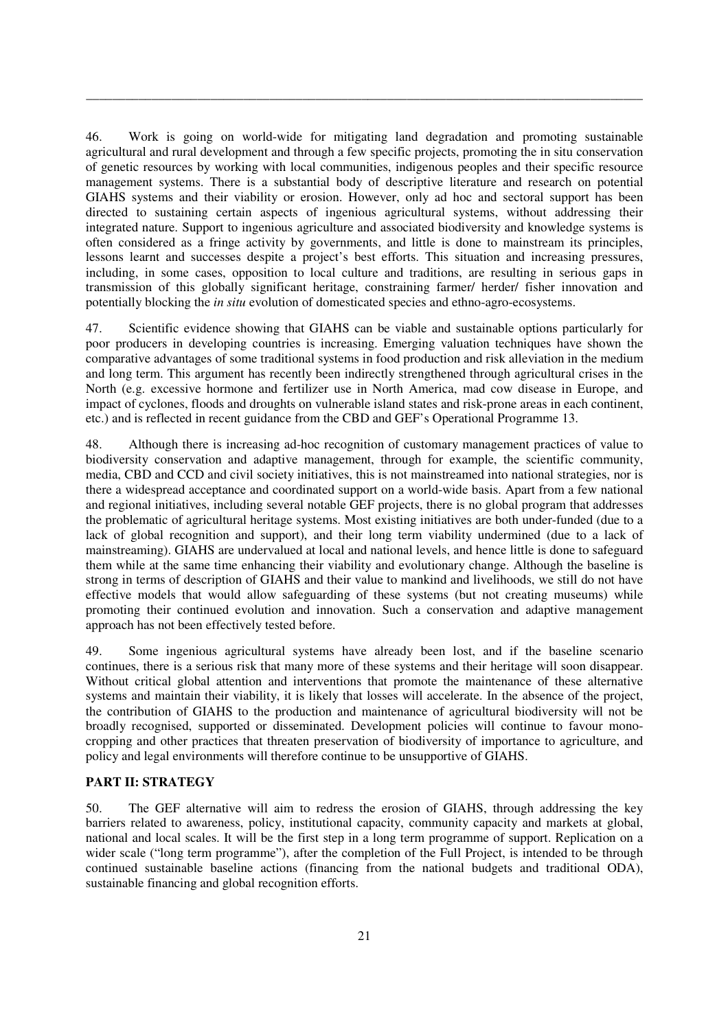46. Work is going on world-wide for mitigating land degradation and promoting sustainable agricultural and rural development and through a few specific projects, promoting the in situ conservation of genetic resources by working with local communities, indigenous peoples and their specific resource management systems. There is a substantial body of descriptive literature and research on potential GIAHS systems and their viability or erosion. However, only ad hoc and sectoral support has been directed to sustaining certain aspects of ingenious agricultural systems, without addressing their integrated nature. Support to ingenious agriculture and associated biodiversity and knowledge systems is often considered as a fringe activity by governments, and little is done to mainstream its principles, lessons learnt and successes despite a project's best efforts. This situation and increasing pressures, including, in some cases, opposition to local culture and traditions, are resulting in serious gaps in transmission of this globally significant heritage, constraining farmer/ herder/ fisher innovation and potentially blocking the *in situ* evolution of domesticated species and ethno-agro-ecosystems.

\_\_\_\_\_\_\_\_\_\_\_\_\_\_\_\_\_\_\_\_\_\_\_\_\_\_\_\_\_\_\_\_\_\_\_\_\_\_\_\_\_\_\_\_\_\_\_\_\_\_\_\_\_\_\_\_\_\_\_\_\_\_\_\_\_\_\_\_\_\_\_\_\_\_\_\_\_\_\_\_\_\_\_\_\_

47. Scientific evidence showing that GIAHS can be viable and sustainable options particularly for poor producers in developing countries is increasing. Emerging valuation techniques have shown the comparative advantages of some traditional systems in food production and risk alleviation in the medium and long term. This argument has recently been indirectly strengthened through agricultural crises in the North (e.g. excessive hormone and fertilizer use in North America, mad cow disease in Europe, and impact of cyclones, floods and droughts on vulnerable island states and risk-prone areas in each continent, etc.) and is reflected in recent guidance from the CBD and GEF's Operational Programme 13.

48. Although there is increasing ad-hoc recognition of customary management practices of value to biodiversity conservation and adaptive management, through for example, the scientific community, media, CBD and CCD and civil society initiatives, this is not mainstreamed into national strategies, nor is there a widespread acceptance and coordinated support on a world-wide basis. Apart from a few national and regional initiatives, including several notable GEF projects, there is no global program that addresses the problematic of agricultural heritage systems. Most existing initiatives are both under-funded (due to a lack of global recognition and support), and their long term viability undermined (due to a lack of mainstreaming). GIAHS are undervalued at local and national levels, and hence little is done to safeguard them while at the same time enhancing their viability and evolutionary change. Although the baseline is strong in terms of description of GIAHS and their value to mankind and livelihoods, we still do not have effective models that would allow safeguarding of these systems (but not creating museums) while promoting their continued evolution and innovation. Such a conservation and adaptive management approach has not been effectively tested before.

49. Some ingenious agricultural systems have already been lost, and if the baseline scenario continues, there is a serious risk that many more of these systems and their heritage will soon disappear. Without critical global attention and interventions that promote the maintenance of these alternative systems and maintain their viability, it is likely that losses will accelerate. In the absence of the project, the contribution of GIAHS to the production and maintenance of agricultural biodiversity will not be broadly recognised, supported or disseminated. Development policies will continue to favour monocropping and other practices that threaten preservation of biodiversity of importance to agriculture, and policy and legal environments will therefore continue to be unsupportive of GIAHS.

# **PART II: STRATEGY**

50. The GEF alternative will aim to redress the erosion of GIAHS, through addressing the key barriers related to awareness, policy, institutional capacity, community capacity and markets at global, national and local scales. It will be the first step in a long term programme of support. Replication on a wider scale ("long term programme"), after the completion of the Full Project, is intended to be through continued sustainable baseline actions (financing from the national budgets and traditional ODA), sustainable financing and global recognition efforts.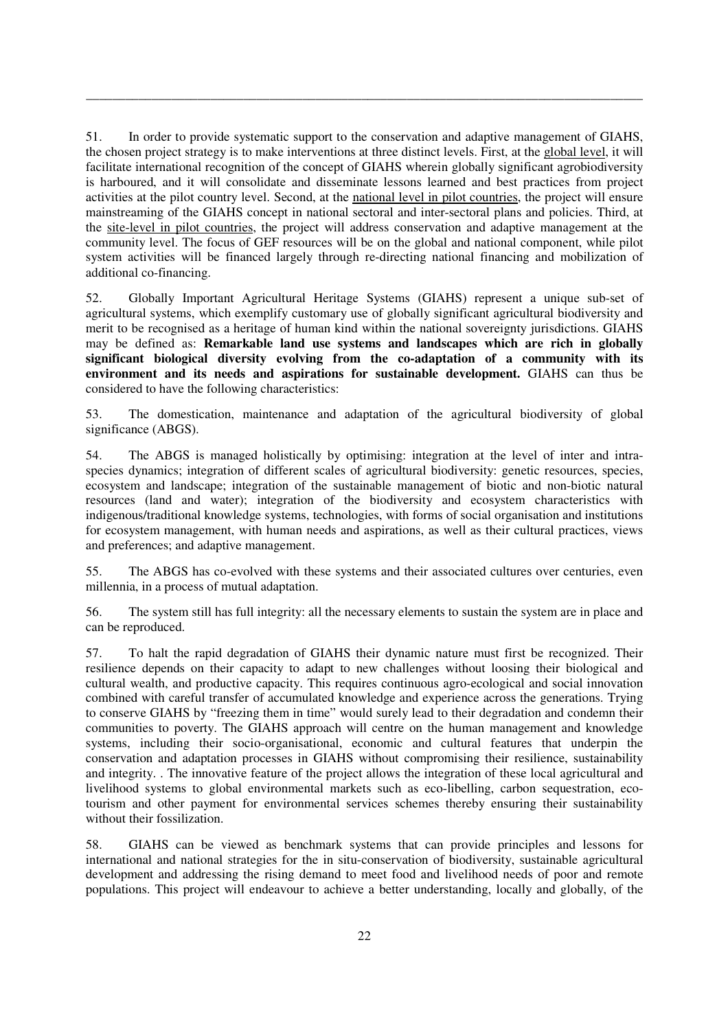51. In order to provide systematic support to the conservation and adaptive management of GIAHS, the chosen project strategy is to make interventions at three distinct levels. First, at the global level, it will facilitate international recognition of the concept of GIAHS wherein globally significant agrobiodiversity is harboured, and it will consolidate and disseminate lessons learned and best practices from project activities at the pilot country level. Second, at the national level in pilot countries, the project will ensure mainstreaming of the GIAHS concept in national sectoral and inter-sectoral plans and policies. Third, at the site-level in pilot countries, the project will address conservation and adaptive management at the community level. The focus of GEF resources will be on the global and national component, while pilot system activities will be financed largely through re-directing national financing and mobilization of additional co-financing.

\_\_\_\_\_\_\_\_\_\_\_\_\_\_\_\_\_\_\_\_\_\_\_\_\_\_\_\_\_\_\_\_\_\_\_\_\_\_\_\_\_\_\_\_\_\_\_\_\_\_\_\_\_\_\_\_\_\_\_\_\_\_\_\_\_\_\_\_\_\_\_\_\_\_\_\_\_\_\_\_\_\_\_\_\_

52. Globally Important Agricultural Heritage Systems (GIAHS) represent a unique sub-set of agricultural systems, which exemplify customary use of globally significant agricultural biodiversity and merit to be recognised as a heritage of human kind within the national sovereignty jurisdictions. GIAHS may be defined as: **Remarkable land use systems and landscapes which are rich in globally significant biological diversity evolving from the co-adaptation of a community with its**  environment and its needs and aspirations for sustainable development. GIAHS can thus be considered to have the following characteristics:

53. The domestication, maintenance and adaptation of the agricultural biodiversity of global significance (ABGS).

54. The ABGS is managed holistically by optimising: integration at the level of inter and intraspecies dynamics; integration of different scales of agricultural biodiversity: genetic resources, species, ecosystem and landscape; integration of the sustainable management of biotic and non-biotic natural resources (land and water); integration of the biodiversity and ecosystem characteristics with indigenous/traditional knowledge systems, technologies, with forms of social organisation and institutions for ecosystem management, with human needs and aspirations, as well as their cultural practices, views and preferences; and adaptive management.

55. The ABGS has co-evolved with these systems and their associated cultures over centuries, even millennia, in a process of mutual adaptation.

56. The system still has full integrity: all the necessary elements to sustain the system are in place and can be reproduced.

57. To halt the rapid degradation of GIAHS their dynamic nature must first be recognized. Their resilience depends on their capacity to adapt to new challenges without loosing their biological and cultural wealth, and productive capacity. This requires continuous agro-ecological and social innovation combined with careful transfer of accumulated knowledge and experience across the generations. Trying to conserve GIAHS by "freezing them in time" would surely lead to their degradation and condemn their communities to poverty. The GIAHS approach will centre on the human management and knowledge systems, including their socio-organisational, economic and cultural features that underpin the conservation and adaptation processes in GIAHS without compromising their resilience, sustainability and integrity. . The innovative feature of the project allows the integration of these local agricultural and livelihood systems to global environmental markets such as eco-libelling, carbon sequestration, ecotourism and other payment for environmental services schemes thereby ensuring their sustainability without their fossilization.

58. GIAHS can be viewed as benchmark systems that can provide principles and lessons for international and national strategies for the in situ-conservation of biodiversity, sustainable agricultural development and addressing the rising demand to meet food and livelihood needs of poor and remote populations. This project will endeavour to achieve a better understanding, locally and globally, of the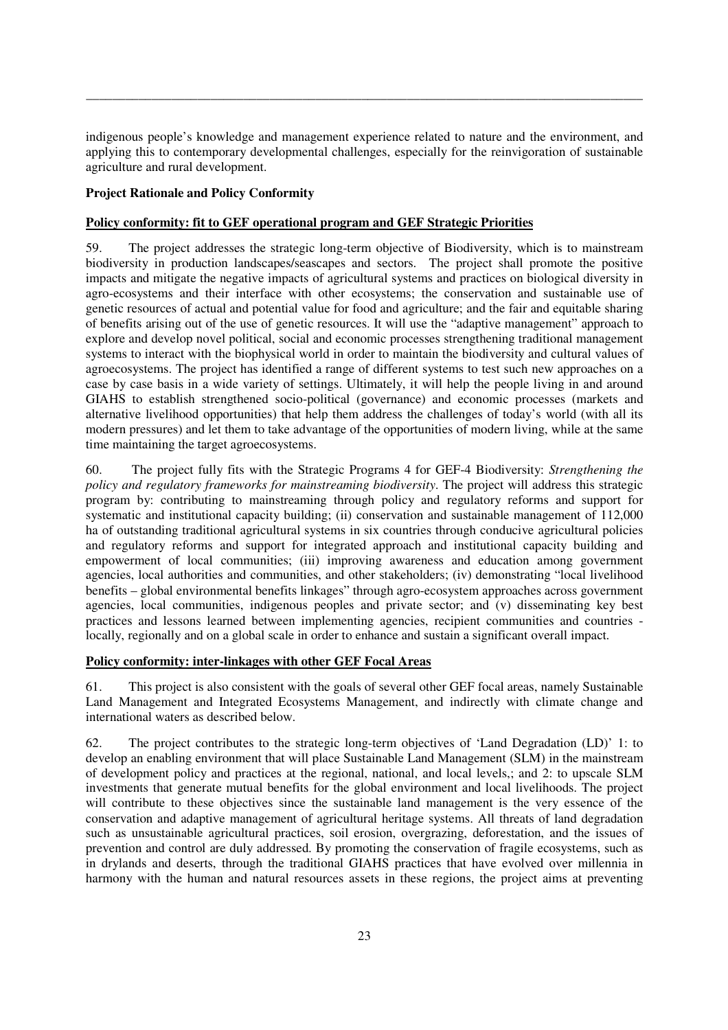indigenous people's knowledge and management experience related to nature and the environment, and applying this to contemporary developmental challenges, especially for the reinvigoration of sustainable agriculture and rural development.

\_\_\_\_\_\_\_\_\_\_\_\_\_\_\_\_\_\_\_\_\_\_\_\_\_\_\_\_\_\_\_\_\_\_\_\_\_\_\_\_\_\_\_\_\_\_\_\_\_\_\_\_\_\_\_\_\_\_\_\_\_\_\_\_\_\_\_\_\_\_\_\_\_\_\_\_\_\_\_\_\_\_\_\_\_

# **Project Rationale and Policy Conformity**

# **Policy conformity: fit to GEF operational program and GEF Strategic Priorities**

59. The project addresses the strategic long-term objective of Biodiversity, which is to mainstream biodiversity in production landscapes/seascapes and sectors. The project shall promote the positive impacts and mitigate the negative impacts of agricultural systems and practices on biological diversity in agro-ecosystems and their interface with other ecosystems; the conservation and sustainable use of genetic resources of actual and potential value for food and agriculture; and the fair and equitable sharing of benefits arising out of the use of genetic resources. It will use the "adaptive management" approach to explore and develop novel political, social and economic processes strengthening traditional management systems to interact with the biophysical world in order to maintain the biodiversity and cultural values of agroecosystems. The project has identified a range of different systems to test such new approaches on a case by case basis in a wide variety of settings. Ultimately, it will help the people living in and around GIAHS to establish strengthened socio-political (governance) and economic processes (markets and alternative livelihood opportunities) that help them address the challenges of today's world (with all its modern pressures) and let them to take advantage of the opportunities of modern living, while at the same time maintaining the target agroecosystems.

60. The project fully fits with the Strategic Programs 4 for GEF-4 Biodiversity: *Strengthening the policy and regulatory frameworks for mainstreaming biodiversity*. The project will address this strategic program by: contributing to mainstreaming through policy and regulatory reforms and support for systematic and institutional capacity building; (ii) conservation and sustainable management of 112,000 ha of outstanding traditional agricultural systems in six countries through conducive agricultural policies and regulatory reforms and support for integrated approach and institutional capacity building and empowerment of local communities; (iii) improving awareness and education among government agencies, local authorities and communities, and other stakeholders; (iv) demonstrating "local livelihood benefits – global environmental benefits linkages" through agro-ecosystem approaches across government agencies, local communities, indigenous peoples and private sector; and (v) disseminating key best practices and lessons learned between implementing agencies, recipient communities and countries locally, regionally and on a global scale in order to enhance and sustain a significant overall impact.

# **Policy conformity: inter-linkages with other GEF Focal Areas**

61. This project is also consistent with the goals of several other GEF focal areas, namely Sustainable Land Management and Integrated Ecosystems Management, and indirectly with climate change and international waters as described below.

62. The project contributes to the strategic long-term objectives of 'Land Degradation (LD)' 1: to develop an enabling environment that will place Sustainable Land Management (SLM) in the mainstream of development policy and practices at the regional, national, and local levels,; and 2: to upscale SLM investments that generate mutual benefits for the global environment and local livelihoods. The project will contribute to these objectives since the sustainable land management is the very essence of the conservation and adaptive management of agricultural heritage systems. All threats of land degradation such as unsustainable agricultural practices, soil erosion, overgrazing, deforestation, and the issues of prevention and control are duly addressed. By promoting the conservation of fragile ecosystems, such as in drylands and deserts, through the traditional GIAHS practices that have evolved over millennia in harmony with the human and natural resources assets in these regions, the project aims at preventing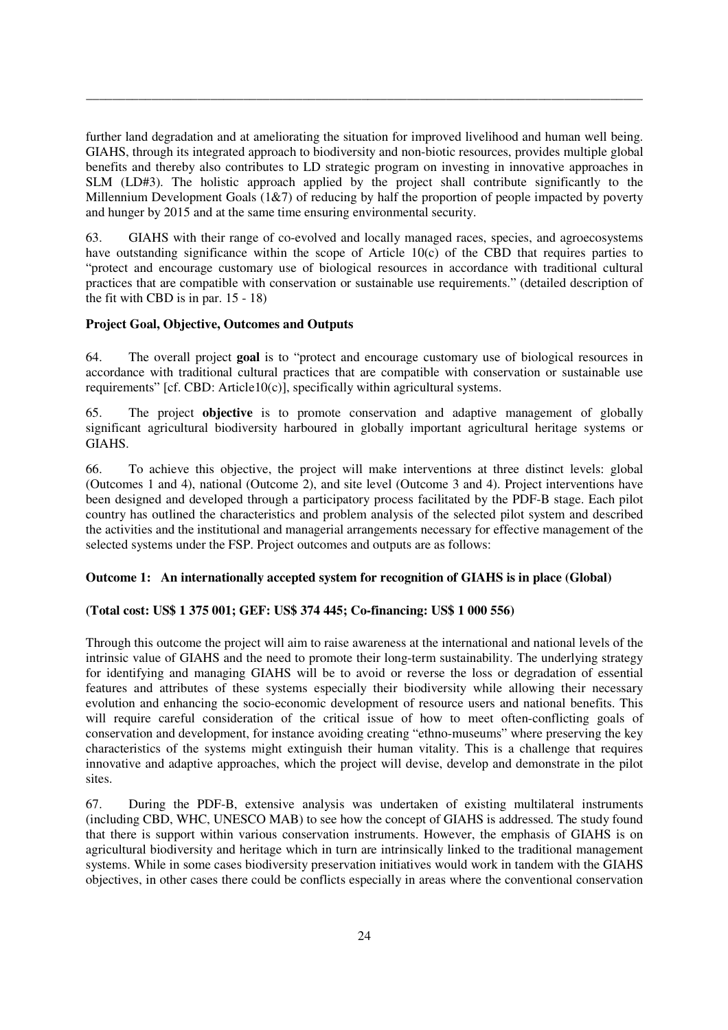further land degradation and at ameliorating the situation for improved livelihood and human well being. GIAHS, through its integrated approach to biodiversity and non-biotic resources, provides multiple global benefits and thereby also contributes to LD strategic program on investing in innovative approaches in SLM (LD#3). The holistic approach applied by the project shall contribute significantly to the Millennium Development Goals (1&7) of reducing by half the proportion of people impacted by poverty and hunger by 2015 and at the same time ensuring environmental security.

\_\_\_\_\_\_\_\_\_\_\_\_\_\_\_\_\_\_\_\_\_\_\_\_\_\_\_\_\_\_\_\_\_\_\_\_\_\_\_\_\_\_\_\_\_\_\_\_\_\_\_\_\_\_\_\_\_\_\_\_\_\_\_\_\_\_\_\_\_\_\_\_\_\_\_\_\_\_\_\_\_\_\_\_\_

63. GIAHS with their range of co-evolved and locally managed races, species, and agroecosystems have outstanding significance within the scope of Article 10(c) of the CBD that requires parties to "protect and encourage customary use of biological resources in accordance with traditional cultural practices that are compatible with conservation or sustainable use requirements." (detailed description of the fit with CBD is in par. 15 - 18)

# **Project Goal, Objective, Outcomes and Outputs**

64. The overall project **goal** is to "protect and encourage customary use of biological resources in accordance with traditional cultural practices that are compatible with conservation or sustainable use requirements" [cf. CBD: Article10(c)], specifically within agricultural systems.

65. The project **objective** is to promote conservation and adaptive management of globally significant agricultural biodiversity harboured in globally important agricultural heritage systems or GIAHS.

66. To achieve this objective, the project will make interventions at three distinct levels: global (Outcomes 1 and 4), national (Outcome 2), and site level (Outcome 3 and 4). Project interventions have been designed and developed through a participatory process facilitated by the PDF-B stage. Each pilot country has outlined the characteristics and problem analysis of the selected pilot system and described the activities and the institutional and managerial arrangements necessary for effective management of the selected systems under the FSP. Project outcomes and outputs are as follows:

# **Outcome 1: An internationally accepted system for recognition of GIAHS is in place (Global)**

# **(Total cost: US\$ 1 375 001; GEF: US\$ 374 445; Co-financing: US\$ 1 000 556)**

Through this outcome the project will aim to raise awareness at the international and national levels of the intrinsic value of GIAHS and the need to promote their long-term sustainability. The underlying strategy for identifying and managing GIAHS will be to avoid or reverse the loss or degradation of essential features and attributes of these systems especially their biodiversity while allowing their necessary evolution and enhancing the socio-economic development of resource users and national benefits. This will require careful consideration of the critical issue of how to meet often-conflicting goals of conservation and development, for instance avoiding creating "ethno-museums" where preserving the key characteristics of the systems might extinguish their human vitality. This is a challenge that requires innovative and adaptive approaches, which the project will devise, develop and demonstrate in the pilot sites.

67. During the PDF-B, extensive analysis was undertaken of existing multilateral instruments (including CBD, WHC, UNESCO MAB) to see how the concept of GIAHS is addressed. The study found that there is support within various conservation instruments. However, the emphasis of GIAHS is on agricultural biodiversity and heritage which in turn are intrinsically linked to the traditional management systems. While in some cases biodiversity preservation initiatives would work in tandem with the GIAHS objectives, in other cases there could be conflicts especially in areas where the conventional conservation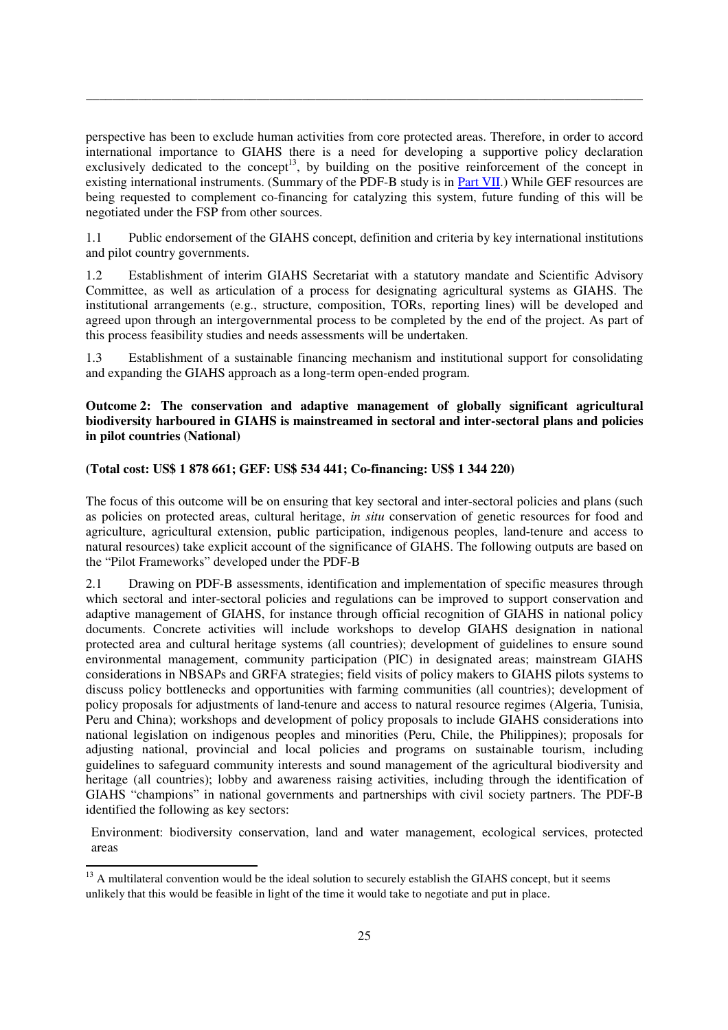perspective has been to exclude human activities from core protected areas. Therefore, in order to accord international importance to GIAHS there is a need for developing a supportive policy declaration exclusively dedicated to the concept<sup>13</sup>, by building on the positive reinforcement of the concept in existing international instruments. (Summary of the PDF-B study is in Part VII.) While GEF resources are being requested to complement co-financing for catalyzing this system, future funding of this will be negotiated under the FSP from other sources.

\_\_\_\_\_\_\_\_\_\_\_\_\_\_\_\_\_\_\_\_\_\_\_\_\_\_\_\_\_\_\_\_\_\_\_\_\_\_\_\_\_\_\_\_\_\_\_\_\_\_\_\_\_\_\_\_\_\_\_\_\_\_\_\_\_\_\_\_\_\_\_\_\_\_\_\_\_\_\_\_\_\_\_\_\_

1.1 Public endorsement of the GIAHS concept, definition and criteria by key international institutions and pilot country governments.

1.2 Establishment of interim GIAHS Secretariat with a statutory mandate and Scientific Advisory Committee, as well as articulation of a process for designating agricultural systems as GIAHS. The institutional arrangements (e.g., structure, composition, TORs, reporting lines) will be developed and agreed upon through an intergovernmental process to be completed by the end of the project. As part of this process feasibility studies and needs assessments will be undertaken.

1.3 Establishment of a sustainable financing mechanism and institutional support for consolidating and expanding the GIAHS approach as a long-term open-ended program.

#### **Outcome 2: The conservation and adaptive management of globally significant agricultural biodiversity harboured in GIAHS is mainstreamed in sectoral and inter-sectoral plans and policies in pilot countries (National)**

#### **(Total cost: US\$ 1 878 661; GEF: US\$ 534 441; Co-financing: US\$ 1 344 220)**

The focus of this outcome will be on ensuring that key sectoral and inter-sectoral policies and plans (such as policies on protected areas, cultural heritage, *in situ* conservation of genetic resources for food and agriculture, agricultural extension, public participation, indigenous peoples, land-tenure and access to natural resources) take explicit account of the significance of GIAHS. The following outputs are based on the "Pilot Frameworks" developed under the PDF-B

2.1 Drawing on PDF-B assessments, identification and implementation of specific measures through which sectoral and inter-sectoral policies and regulations can be improved to support conservation and adaptive management of GIAHS, for instance through official recognition of GIAHS in national policy documents. Concrete activities will include workshops to develop GIAHS designation in national protected area and cultural heritage systems (all countries); development of guidelines to ensure sound environmental management, community participation (PIC) in designated areas; mainstream GIAHS considerations in NBSAPs and GRFA strategies; field visits of policy makers to GIAHS pilots systems to discuss policy bottlenecks and opportunities with farming communities (all countries); development of policy proposals for adjustments of land-tenure and access to natural resource regimes (Algeria, Tunisia, Peru and China); workshops and development of policy proposals to include GIAHS considerations into national legislation on indigenous peoples and minorities (Peru, Chile, the Philippines); proposals for adjusting national, provincial and local policies and programs on sustainable tourism, including guidelines to safeguard community interests and sound management of the agricultural biodiversity and heritage (all countries); lobby and awareness raising activities, including through the identification of GIAHS "champions" in national governments and partnerships with civil society partners. The PDF-B identified the following as key sectors:

Environment: biodiversity conservation, land and water management, ecological services, protected areas

<u>.</u>

<sup>&</sup>lt;sup>13</sup> A multilateral convention would be the ideal solution to securely establish the GIAHS concept, but it seems unlikely that this would be feasible in light of the time it would take to negotiate and put in place.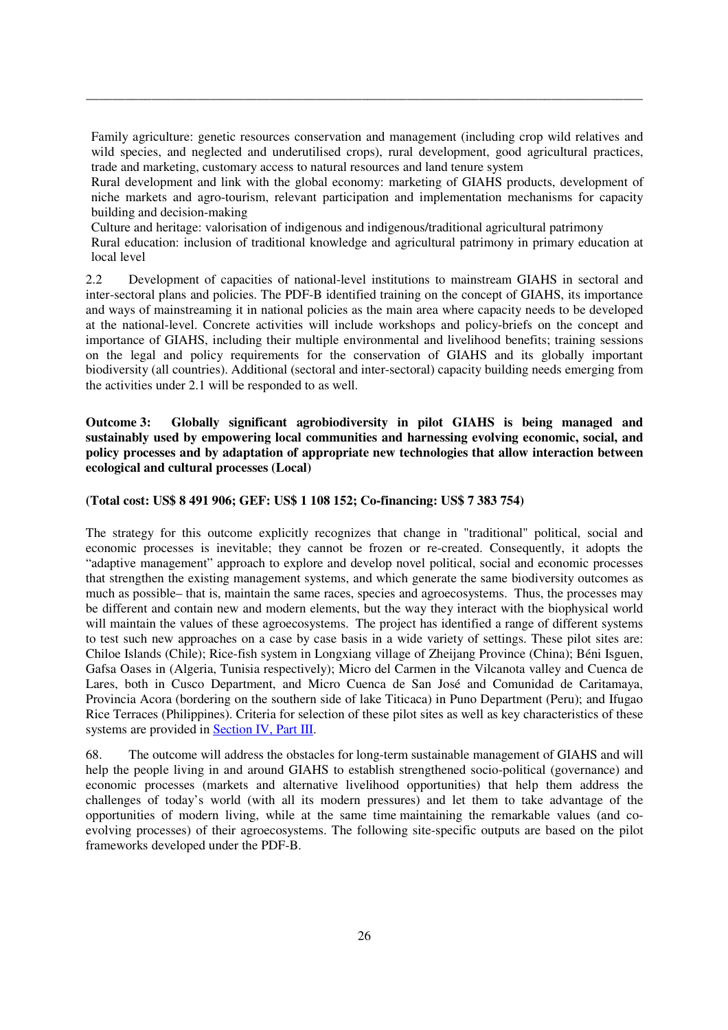Family agriculture: genetic resources conservation and management (including crop wild relatives and wild species, and neglected and underutilised crops), rural development, good agricultural practices, trade and marketing, customary access to natural resources and land tenure system

\_\_\_\_\_\_\_\_\_\_\_\_\_\_\_\_\_\_\_\_\_\_\_\_\_\_\_\_\_\_\_\_\_\_\_\_\_\_\_\_\_\_\_\_\_\_\_\_\_\_\_\_\_\_\_\_\_\_\_\_\_\_\_\_\_\_\_\_\_\_\_\_\_\_\_\_\_\_\_\_\_\_\_\_\_

Rural development and link with the global economy: marketing of GIAHS products, development of niche markets and agro-tourism, relevant participation and implementation mechanisms for capacity building and decision-making

Culture and heritage: valorisation of indigenous and indigenous/traditional agricultural patrimony

Rural education: inclusion of traditional knowledge and agricultural patrimony in primary education at local level

2.2 Development of capacities of national-level institutions to mainstream GIAHS in sectoral and inter-sectoral plans and policies. The PDF-B identified training on the concept of GIAHS, its importance and ways of mainstreaming it in national policies as the main area where capacity needs to be developed at the national-level. Concrete activities will include workshops and policy-briefs on the concept and importance of GIAHS, including their multiple environmental and livelihood benefits; training sessions on the legal and policy requirements for the conservation of GIAHS and its globally important biodiversity (all countries). Additional (sectoral and inter-sectoral) capacity building needs emerging from the activities under 2.1 will be responded to as well.

**Outcome 3: Globally significant agrobiodiversity in pilot GIAHS is being managed and sustainably used by empowering local communities and harnessing evolving economic, social, and policy processes and by adaptation of appropriate new technologies that allow interaction between ecological and cultural processes (Local)** 

# **(Total cost: US\$ 8 491 906; GEF: US\$ 1 108 152; Co-financing: US\$ 7 383 754)**

The strategy for this outcome explicitly recognizes that change in "traditional" political, social and economic processes is inevitable; they cannot be frozen or re-created. Consequently, it adopts the "adaptive management" approach to explore and develop novel political, social and economic processes that strengthen the existing management systems, and which generate the same biodiversity outcomes as much as possible– that is, maintain the same races, species and agroecosystems. Thus, the processes may be different and contain new and modern elements, but the way they interact with the biophysical world will maintain the values of these agroecosystems. The project has identified a range of different systems to test such new approaches on a case by case basis in a wide variety of settings. These pilot sites are: Chiloe Islands (Chile); Rice-fish system in Longxiang village of Zheijang Province (China); Béni Isguen, Gafsa Oases in (Algeria, Tunisia respectively); Micro del Carmen in the Vilcanota valley and Cuenca de Lares, both in Cusco Department, and Micro Cuenca de San José and Comunidad de Caritamaya, Provincia Acora (bordering on the southern side of lake Titicaca) in Puno Department (Peru); and Ifugao Rice Terraces (Philippines). Criteria for selection of these pilot sites as well as key characteristics of these systems are provided in **Section IV**, Part III.

68. The outcome will address the obstacles for long-term sustainable management of GIAHS and will help the people living in and around GIAHS to establish strengthened socio-political (governance) and economic processes (markets and alternative livelihood opportunities) that help them address the challenges of today's world (with all its modern pressures) and let them to take advantage of the opportunities of modern living, while at the same time maintaining the remarkable values (and coevolving processes) of their agroecosystems. The following site-specific outputs are based on the pilot frameworks developed under the PDF-B.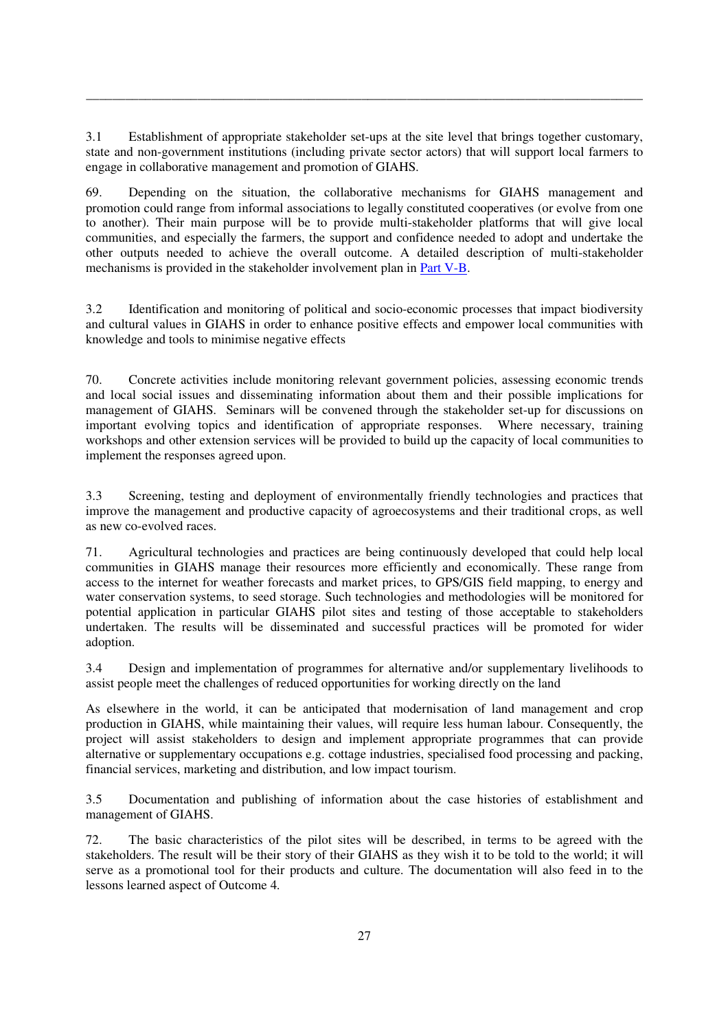3.1 Establishment of appropriate stakeholder set-ups at the site level that brings together customary, state and non-government institutions (including private sector actors) that will support local farmers to engage in collaborative management and promotion of GIAHS.

\_\_\_\_\_\_\_\_\_\_\_\_\_\_\_\_\_\_\_\_\_\_\_\_\_\_\_\_\_\_\_\_\_\_\_\_\_\_\_\_\_\_\_\_\_\_\_\_\_\_\_\_\_\_\_\_\_\_\_\_\_\_\_\_\_\_\_\_\_\_\_\_\_\_\_\_\_\_\_\_\_\_\_\_\_

69. Depending on the situation, the collaborative mechanisms for GIAHS management and promotion could range from informal associations to legally constituted cooperatives (or evolve from one to another). Their main purpose will be to provide multi-stakeholder platforms that will give local communities, and especially the farmers, the support and confidence needed to adopt and undertake the other outputs needed to achieve the overall outcome. A detailed description of multi-stakeholder mechanisms is provided in the stakeholder involvement plan in Part V-B.

3.2 Identification and monitoring of political and socio-economic processes that impact biodiversity and cultural values in GIAHS in order to enhance positive effects and empower local communities with knowledge and tools to minimise negative effects

70. Concrete activities include monitoring relevant government policies, assessing economic trends and local social issues and disseminating information about them and their possible implications for management of GIAHS. Seminars will be convened through the stakeholder set-up for discussions on important evolving topics and identification of appropriate responses. Where necessary, training workshops and other extension services will be provided to build up the capacity of local communities to implement the responses agreed upon.

3.3 Screening, testing and deployment of environmentally friendly technologies and practices that improve the management and productive capacity of agroecosystems and their traditional crops, as well as new co-evolved races.

71. Agricultural technologies and practices are being continuously developed that could help local communities in GIAHS manage their resources more efficiently and economically. These range from access to the internet for weather forecasts and market prices, to GPS/GIS field mapping, to energy and water conservation systems, to seed storage. Such technologies and methodologies will be monitored for potential application in particular GIAHS pilot sites and testing of those acceptable to stakeholders undertaken. The results will be disseminated and successful practices will be promoted for wider adoption.

3.4 Design and implementation of programmes for alternative and/or supplementary livelihoods to assist people meet the challenges of reduced opportunities for working directly on the land

 As elsewhere in the world, it can be anticipated that modernisation of land management and crop production in GIAHS, while maintaining their values, will require less human labour. Consequently, the project will assist stakeholders to design and implement appropriate programmes that can provide alternative or supplementary occupations e.g. cottage industries, specialised food processing and packing, financial services, marketing and distribution, and low impact tourism.

3.5 Documentation and publishing of information about the case histories of establishment and management of GIAHS.

72. The basic characteristics of the pilot sites will be described, in terms to be agreed with the stakeholders. The result will be their story of their GIAHS as they wish it to be told to the world; it will serve as a promotional tool for their products and culture. The documentation will also feed in to the lessons learned aspect of Outcome 4.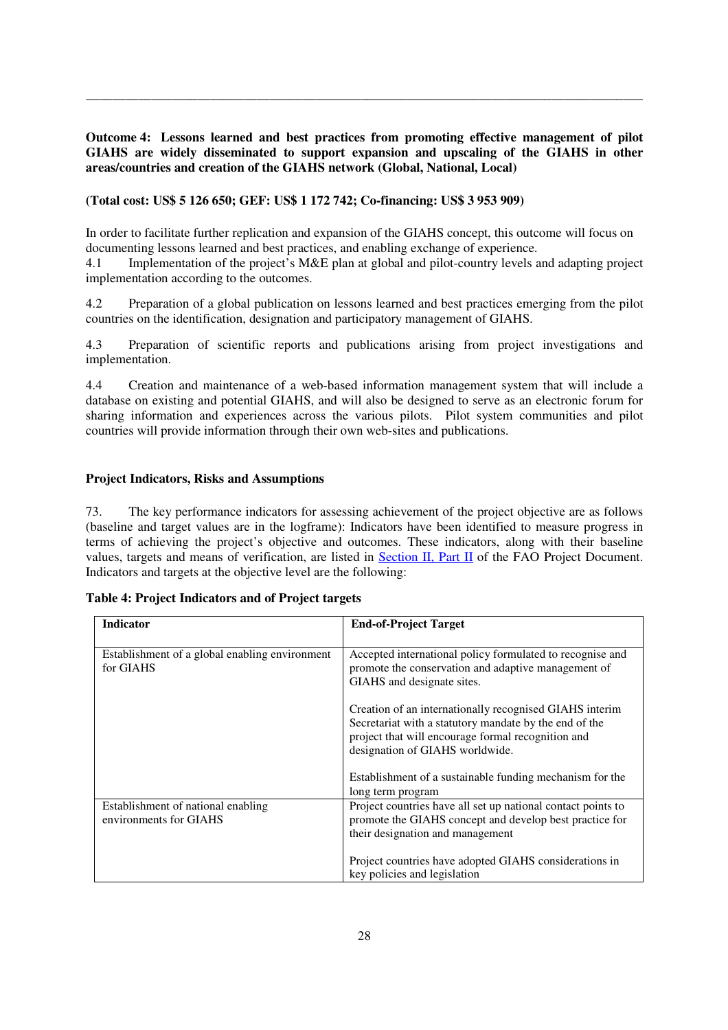**Outcome 4: Lessons learned and best practices from promoting effective management of pilot GIAHS are widely disseminated to support expansion and upscaling of the GIAHS in other areas/countries and creation of the GIAHS network (Global, National, Local)** 

\_\_\_\_\_\_\_\_\_\_\_\_\_\_\_\_\_\_\_\_\_\_\_\_\_\_\_\_\_\_\_\_\_\_\_\_\_\_\_\_\_\_\_\_\_\_\_\_\_\_\_\_\_\_\_\_\_\_\_\_\_\_\_\_\_\_\_\_\_\_\_\_\_\_\_\_\_\_\_\_\_\_\_\_\_

**(Total cost: US\$ 5 126 650; GEF: US\$ 1 172 742; Co-financing: US\$ 3 953 909)** 

In order to facilitate further replication and expansion of the GIAHS concept, this outcome will focus on documenting lessons learned and best practices, and enabling exchange of experience.

4.1 Implementation of the project's M&E plan at global and pilot-country levels and adapting project implementation according to the outcomes.

4.2 Preparation of a global publication on lessons learned and best practices emerging from the pilot countries on the identification, designation and participatory management of GIAHS.

4.3 Preparation of scientific reports and publications arising from project investigations and implementation.

4.4 Creation and maintenance of a web-based information management system that will include a database on existing and potential GIAHS, and will also be designed to serve as an electronic forum for sharing information and experiences across the various pilots. Pilot system communities and pilot countries will provide information through their own web-sites and publications.

#### **Project Indicators, Risks and Assumptions**

73. The key performance indicators for assessing achievement of the project objective are as follows (baseline and target values are in the logframe): Indicators have been identified to measure progress in terms of achieving the project's objective and outcomes. These indicators, along with their baseline values, targets and means of verification, are listed in Section II, Part II of the FAO Project Document. Indicators and targets at the objective level are the following:

| <b>Indicator</b>                                             | <b>End-of-Project Target</b>                                                                                                                                                                               |
|--------------------------------------------------------------|------------------------------------------------------------------------------------------------------------------------------------------------------------------------------------------------------------|
|                                                              |                                                                                                                                                                                                            |
| Establishment of a global enabling environment<br>for GIAHS  | Accepted international policy formulated to recognise and<br>promote the conservation and adaptive management of<br>GIAHS and designate sites.                                                             |
|                                                              | Creation of an internationally recognised GIAHS interim<br>Secretariat with a statutory mandate by the end of the<br>project that will encourage formal recognition and<br>designation of GIAHS worldwide. |
|                                                              | Establishment of a sustainable funding mechanism for the<br>long term program                                                                                                                              |
| Establishment of national enabling<br>environments for GIAHS | Project countries have all set up national contact points to<br>promote the GIAHS concept and develop best practice for<br>their designation and management                                                |
|                                                              | Project countries have adopted GIAHS considerations in<br>key policies and legislation                                                                                                                     |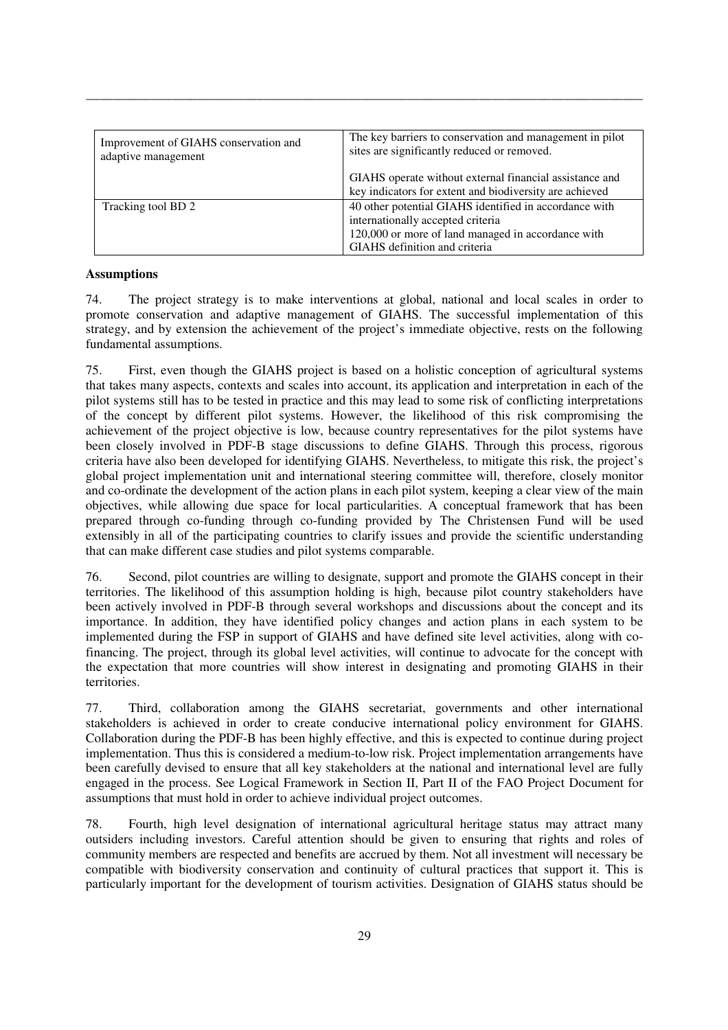| Improvement of GIAHS conservation and<br>adaptive management | The key barriers to conservation and management in pilot<br>sites are significantly reduced or removed.                                                                            |  |
|--------------------------------------------------------------|------------------------------------------------------------------------------------------------------------------------------------------------------------------------------------|--|
|                                                              | GIAHS operate without external financial assistance and<br>key indicators for extent and biodiversity are achieved                                                                 |  |
| Tracking tool BD 2                                           | 40 other potential GIAHS identified in accordance with<br>internationally accepted criteria<br>120,000 or more of land managed in accordance with<br>GIAHS definition and criteria |  |

\_\_\_\_\_\_\_\_\_\_\_\_\_\_\_\_\_\_\_\_\_\_\_\_\_\_\_\_\_\_\_\_\_\_\_\_\_\_\_\_\_\_\_\_\_\_\_\_\_\_\_\_\_\_\_\_\_\_\_\_\_\_\_\_\_\_\_\_\_\_\_\_\_\_\_\_\_\_\_\_\_\_\_\_\_

#### **Assumptions**

74. The project strategy is to make interventions at global, national and local scales in order to promote conservation and adaptive management of GIAHS. The successful implementation of this strategy, and by extension the achievement of the project's immediate objective, rests on the following fundamental assumptions.

75. First, even though the GIAHS project is based on a holistic conception of agricultural systems that takes many aspects, contexts and scales into account, its application and interpretation in each of the pilot systems still has to be tested in practice and this may lead to some risk of conflicting interpretations of the concept by different pilot systems. However, the likelihood of this risk compromising the achievement of the project objective is low, because country representatives for the pilot systems have been closely involved in PDF-B stage discussions to define GIAHS. Through this process, rigorous criteria have also been developed for identifying GIAHS. Nevertheless, to mitigate this risk, the project's global project implementation unit and international steering committee will, therefore, closely monitor and co-ordinate the development of the action plans in each pilot system, keeping a clear view of the main objectives, while allowing due space for local particularities. A conceptual framework that has been prepared through co-funding through co-funding provided by The Christensen Fund will be used extensibly in all of the participating countries to clarify issues and provide the scientific understanding that can make different case studies and pilot systems comparable.

76. Second, pilot countries are willing to designate, support and promote the GIAHS concept in their territories. The likelihood of this assumption holding is high, because pilot country stakeholders have been actively involved in PDF-B through several workshops and discussions about the concept and its importance. In addition, they have identified policy changes and action plans in each system to be implemented during the FSP in support of GIAHS and have defined site level activities, along with cofinancing. The project, through its global level activities, will continue to advocate for the concept with the expectation that more countries will show interest in designating and promoting GIAHS in their territories.

77. Third, collaboration among the GIAHS secretariat, governments and other international stakeholders is achieved in order to create conducive international policy environment for GIAHS. Collaboration during the PDF-B has been highly effective, and this is expected to continue during project implementation. Thus this is considered a medium-to-low risk. Project implementation arrangements have been carefully devised to ensure that all key stakeholders at the national and international level are fully engaged in the process. See Logical Framework in Section II, Part II of the FAO Project Document for assumptions that must hold in order to achieve individual project outcomes.

78. Fourth, high level designation of international agricultural heritage status may attract many outsiders including investors. Careful attention should be given to ensuring that rights and roles of community members are respected and benefits are accrued by them. Not all investment will necessary be compatible with biodiversity conservation and continuity of cultural practices that support it. This is particularly important for the development of tourism activities. Designation of GIAHS status should be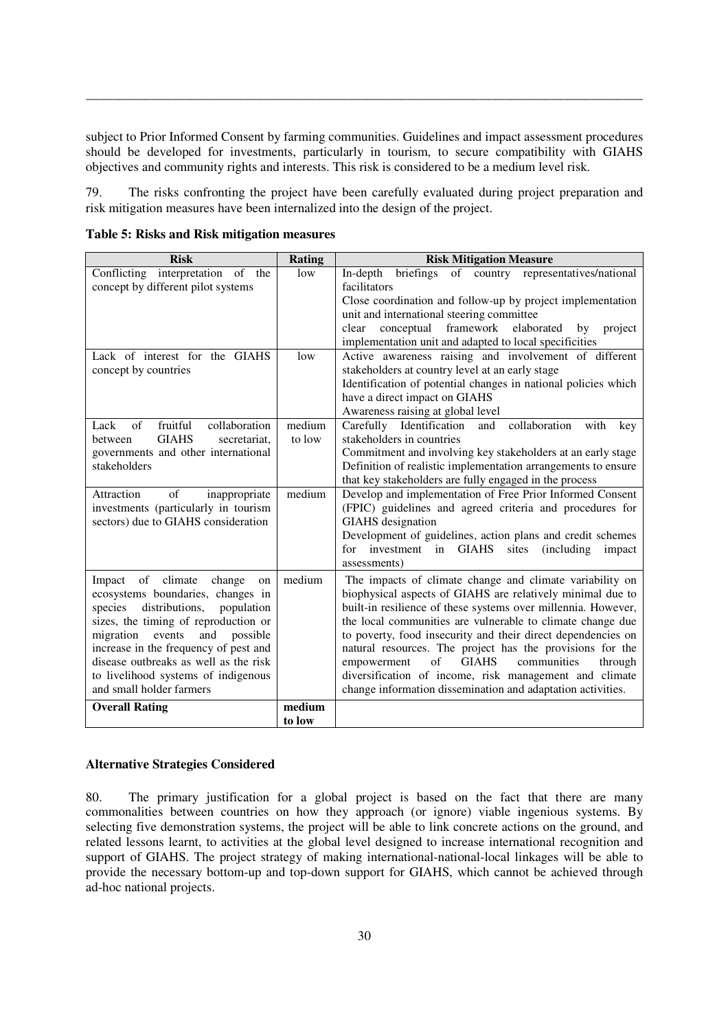subject to Prior Informed Consent by farming communities. Guidelines and impact assessment procedures should be developed for investments, particularly in tourism, to secure compatibility with GIAHS objectives and community rights and interests. This risk is considered to be a medium level risk.

\_\_\_\_\_\_\_\_\_\_\_\_\_\_\_\_\_\_\_\_\_\_\_\_\_\_\_\_\_\_\_\_\_\_\_\_\_\_\_\_\_\_\_\_\_\_\_\_\_\_\_\_\_\_\_\_\_\_\_\_\_\_\_\_\_\_\_\_\_\_\_\_\_\_\_\_\_\_\_\_\_\_\_\_\_

79. The risks confronting the project have been carefully evaluated during project preparation and risk mitigation measures have been internalized into the design of the project.

| <b>Risk</b>                                                         | Rating | <b>Risk Mitigation Measure</b>                                                                                                 |  |
|---------------------------------------------------------------------|--------|--------------------------------------------------------------------------------------------------------------------------------|--|
| Conflicting interpretation of the                                   | low    | of country representatives/national<br>briefings<br>In-depth                                                                   |  |
| concept by different pilot systems                                  |        | facilitators                                                                                                                   |  |
|                                                                     |        | Close coordination and follow-up by project implementation                                                                     |  |
|                                                                     |        | unit and international steering committee                                                                                      |  |
|                                                                     |        | framework<br>clear<br>conceptual<br>elaborated<br>project<br>by                                                                |  |
|                                                                     |        | implementation unit and adapted to local specificities                                                                         |  |
| Lack of interest for the GIAHS                                      | low    | Active awareness raising and involvement of different                                                                          |  |
| concept by countries                                                |        | stakeholders at country level at an early stage                                                                                |  |
|                                                                     |        | Identification of potential changes in national policies which                                                                 |  |
|                                                                     |        | have a direct impact on GIAHS                                                                                                  |  |
|                                                                     |        | Awareness raising at global level                                                                                              |  |
| fruitful<br>$\sigma$ f<br>collaboration<br>Lack                     | medium | Carefully Identification<br>and<br>collaboration<br>with<br>key                                                                |  |
| <b>GIAHS</b><br>secretariat,<br>between                             | to low | stakeholders in countries                                                                                                      |  |
| governments and other international                                 |        | Commitment and involving key stakeholders at an early stage                                                                    |  |
| stakeholders                                                        |        | Definition of realistic implementation arrangements to ensure                                                                  |  |
|                                                                     |        | that key stakeholders are fully engaged in the process                                                                         |  |
| of<br>Attraction<br>inappropriate                                   | medium | Develop and implementation of Free Prior Informed Consent                                                                      |  |
| investments (particularly in tourism                                |        | (FPIC) guidelines and agreed criteria and procedures for                                                                       |  |
| sectors) due to GIAHS consideration                                 |        | <b>GIAHS</b> designation                                                                                                       |  |
|                                                                     |        | Development of guidelines, action plans and credit schemes<br>for investment in GIAHS<br>sites<br><i>(including)</i><br>impact |  |
|                                                                     |        | assessments)                                                                                                                   |  |
|                                                                     |        |                                                                                                                                |  |
| Impact<br>of climate<br>change<br>on                                | medium | The impacts of climate change and climate variability on                                                                       |  |
| ecosystems boundaries, changes in                                   |        | biophysical aspects of GIAHS are relatively minimal due to                                                                     |  |
| species<br>distributions,<br>population                             |        | built-in resilience of these systems over millennia. However,                                                                  |  |
| sizes, the timing of reproduction or<br>possible                    |        | the local communities are vulnerable to climate change due                                                                     |  |
| migration<br>events<br>and<br>increase in the frequency of pest and |        | to poverty, food insecurity and their direct dependencies on<br>natural resources. The project has the provisions for the      |  |
| disease outbreaks as well as the risk                               |        | empowerment<br>of<br><b>GIAHS</b><br>communities<br>through                                                                    |  |
| to livelihood systems of indigenous                                 |        | diversification of income, risk management and climate                                                                         |  |
| and small holder farmers                                            |        | change information dissemination and adaptation activities.                                                                    |  |
| <b>Overall Rating</b>                                               | medium |                                                                                                                                |  |
|                                                                     | to low |                                                                                                                                |  |

**Table 5: Risks and Risk mitigation measures** 

#### **Alternative Strategies Considered**

80. The primary justification for a global project is based on the fact that there are many commonalities between countries on how they approach (or ignore) viable ingenious systems. By selecting five demonstration systems, the project will be able to link concrete actions on the ground, and related lessons learnt, to activities at the global level designed to increase international recognition and support of GIAHS. The project strategy of making international-national-local linkages will be able to provide the necessary bottom-up and top-down support for GIAHS, which cannot be achieved through ad-hoc national projects.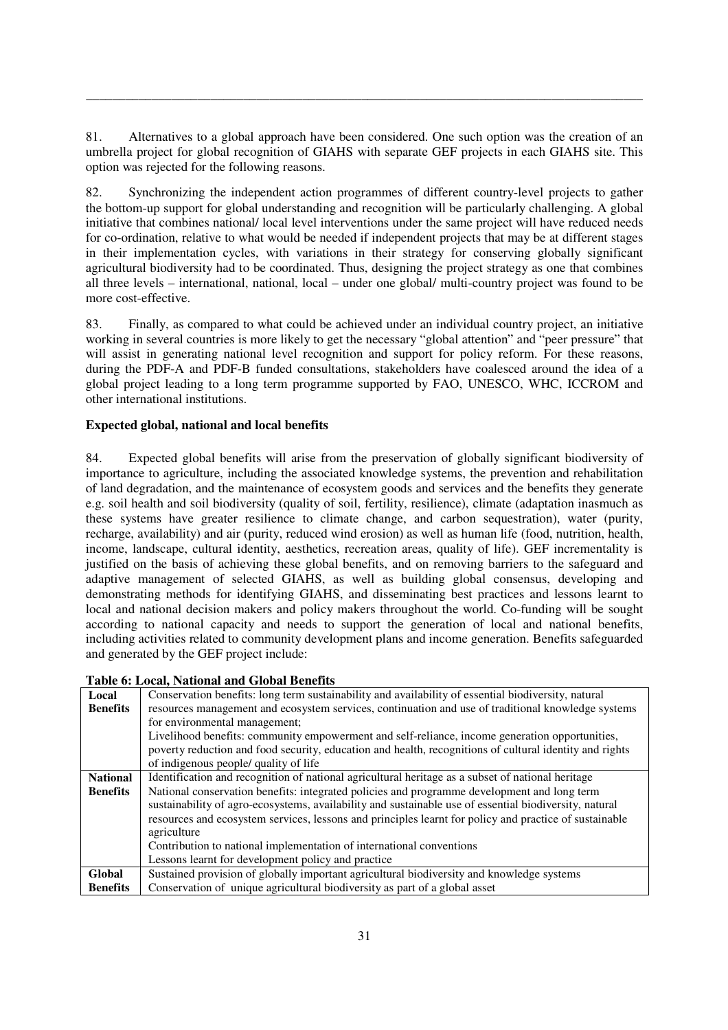81. Alternatives to a global approach have been considered. One such option was the creation of an umbrella project for global recognition of GIAHS with separate GEF projects in each GIAHS site. This option was rejected for the following reasons.

\_\_\_\_\_\_\_\_\_\_\_\_\_\_\_\_\_\_\_\_\_\_\_\_\_\_\_\_\_\_\_\_\_\_\_\_\_\_\_\_\_\_\_\_\_\_\_\_\_\_\_\_\_\_\_\_\_\_\_\_\_\_\_\_\_\_\_\_\_\_\_\_\_\_\_\_\_\_\_\_\_\_\_\_\_

82. Synchronizing the independent action programmes of different country-level projects to gather the bottom-up support for global understanding and recognition will be particularly challenging. A global initiative that combines national/ local level interventions under the same project will have reduced needs for co-ordination, relative to what would be needed if independent projects that may be at different stages in their implementation cycles, with variations in their strategy for conserving globally significant agricultural biodiversity had to be coordinated. Thus, designing the project strategy as one that combines all three levels – international, national, local – under one global/ multi-country project was found to be more cost-effective.

83. Finally, as compared to what could be achieved under an individual country project, an initiative working in several countries is more likely to get the necessary "global attention" and "peer pressure" that will assist in generating national level recognition and support for policy reform. For these reasons, during the PDF-A and PDF-B funded consultations, stakeholders have coalesced around the idea of a global project leading to a long term programme supported by FAO, UNESCO, WHC, ICCROM and other international institutions.

# **Expected global, national and local benefits**

84. Expected global benefits will arise from the preservation of globally significant biodiversity of importance to agriculture, including the associated knowledge systems, the prevention and rehabilitation of land degradation, and the maintenance of ecosystem goods and services and the benefits they generate e.g. soil health and soil biodiversity (quality of soil, fertility, resilience), climate (adaptation inasmuch as these systems have greater resilience to climate change, and carbon sequestration), water (purity, recharge, availability) and air (purity, reduced wind erosion) as well as human life (food, nutrition, health, income, landscape, cultural identity, aesthetics, recreation areas, quality of life). GEF incrementality is justified on the basis of achieving these global benefits, and on removing barriers to the safeguard and adaptive management of selected GIAHS, as well as building global consensus, developing and demonstrating methods for identifying GIAHS, and disseminating best practices and lessons learnt to local and national decision makers and policy makers throughout the world. Co-funding will be sought according to national capacity and needs to support the generation of local and national benefits, including activities related to community development plans and income generation. Benefits safeguarded and generated by the GEF project include:

| Local<br><b>Benefits</b> | Conservation benefits: long term sustainability and availability of essential biodiversity, natural<br>resources management and ecosystem services, continuation and use of traditional knowledge systems                                                                                                       |  |  |  |
|--------------------------|-----------------------------------------------------------------------------------------------------------------------------------------------------------------------------------------------------------------------------------------------------------------------------------------------------------------|--|--|--|
|                          | for environmental management;                                                                                                                                                                                                                                                                                   |  |  |  |
|                          | Livelihood benefits: community empowerment and self-reliance, income generation opportunities,                                                                                                                                                                                                                  |  |  |  |
|                          | poverty reduction and food security, education and health, recognitions of cultural identity and rights                                                                                                                                                                                                         |  |  |  |
|                          | of indigenous people/ quality of life                                                                                                                                                                                                                                                                           |  |  |  |
| <b>National</b>          | Identification and recognition of national agricultural heritage as a subset of national heritage                                                                                                                                                                                                               |  |  |  |
| <b>Benefits</b>          | National conservation benefits: integrated policies and programme development and long term<br>sustainability of agro-ecosystems, availability and sustainable use of essential biodiversity, natural<br>resources and ecosystem services, lessons and principles learnt for policy and practice of sustainable |  |  |  |
|                          | agriculture                                                                                                                                                                                                                                                                                                     |  |  |  |
|                          | Contribution to national implementation of international conventions                                                                                                                                                                                                                                            |  |  |  |
|                          | Lessons learnt for development policy and practice                                                                                                                                                                                                                                                              |  |  |  |
| Global                   | Sustained provision of globally important agricultural biodiversity and knowledge systems                                                                                                                                                                                                                       |  |  |  |
| <b>Benefits</b>          | Conservation of unique agricultural biodiversity as part of a global asset                                                                                                                                                                                                                                      |  |  |  |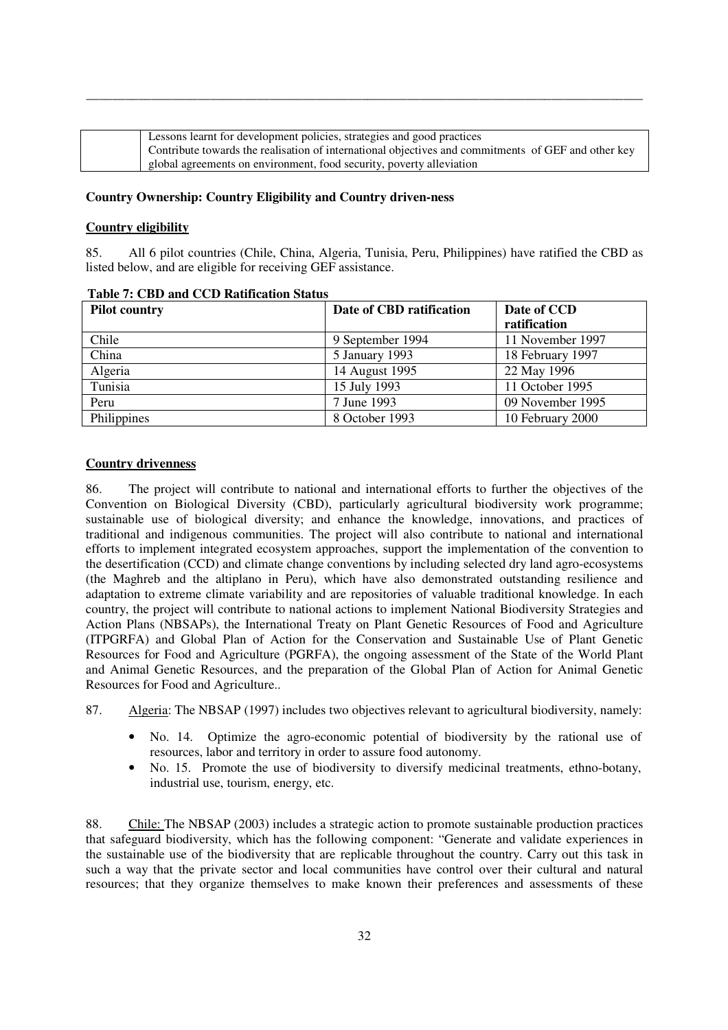| Lessons learnt for development policies, strategies and good practices                              |
|-----------------------------------------------------------------------------------------------------|
| Contribute towards the realisation of international objectives and commitments of GEF and other key |
| global agreements on environment, food security, poverty alleviation                                |

\_\_\_\_\_\_\_\_\_\_\_\_\_\_\_\_\_\_\_\_\_\_\_\_\_\_\_\_\_\_\_\_\_\_\_\_\_\_\_\_\_\_\_\_\_\_\_\_\_\_\_\_\_\_\_\_\_\_\_\_\_\_\_\_\_\_\_\_\_\_\_\_\_\_\_\_\_\_\_\_\_\_\_\_\_

# **Country Ownership: Country Eligibility and Country driven-ness**

#### **Country eligibility**

85. All 6 pilot countries (Chile, China, Algeria, Tunisia, Peru, Philippines) have ratified the CBD as listed below, and are eligible for receiving GEF assistance.

| <b>Pilot country</b> | Date of CBD ratification | Date of CCD      |
|----------------------|--------------------------|------------------|
|                      |                          | ratification     |
| Chile                | 9 September 1994         | 11 November 1997 |
| China                | 5 January 1993           | 18 February 1997 |
| Algeria              | 14 August 1995           | 22 May 1996      |
| Tunisia              | 15 July 1993             | 11 October 1995  |
| Peru                 | 7 June 1993              | 09 November 1995 |
| Philippines          | 8 October 1993           | 10 February 2000 |

#### **Table 7: CBD and CCD Ratification Status**

#### **Country drivenness**

86. The project will contribute to national and international efforts to further the objectives of the Convention on Biological Diversity (CBD), particularly agricultural biodiversity work programme; sustainable use of biological diversity; and enhance the knowledge, innovations, and practices of traditional and indigenous communities. The project will also contribute to national and international efforts to implement integrated ecosystem approaches, support the implementation of the convention to the desertification (CCD) and climate change conventions by including selected dry land agro-ecosystems (the Maghreb and the altiplano in Peru), which have also demonstrated outstanding resilience and adaptation to extreme climate variability and are repositories of valuable traditional knowledge. In each country, the project will contribute to national actions to implement National Biodiversity Strategies and Action Plans (NBSAPs), the International Treaty on Plant Genetic Resources of Food and Agriculture (ITPGRFA) and Global Plan of Action for the Conservation and Sustainable Use of Plant Genetic Resources for Food and Agriculture (PGRFA), the ongoing assessment of the State of the World Plant and Animal Genetic Resources, and the preparation of the Global Plan of Action for Animal Genetic Resources for Food and Agriculture..

- 87. Algeria: The NBSAP (1997) includes two objectives relevant to agricultural biodiversity, namely:
	- No. 14. Optimize the agro-economic potential of biodiversity by the rational use of resources, labor and territory in order to assure food autonomy.
	- No. 15. Promote the use of biodiversity to diversify medicinal treatments, ethno-botany, industrial use, tourism, energy, etc.

88. Chile: The NBSAP (2003) includes a strategic action to promote sustainable production practices that safeguard biodiversity, which has the following component: "Generate and validate experiences in the sustainable use of the biodiversity that are replicable throughout the country. Carry out this task in such a way that the private sector and local communities have control over their cultural and natural resources; that they organize themselves to make known their preferences and assessments of these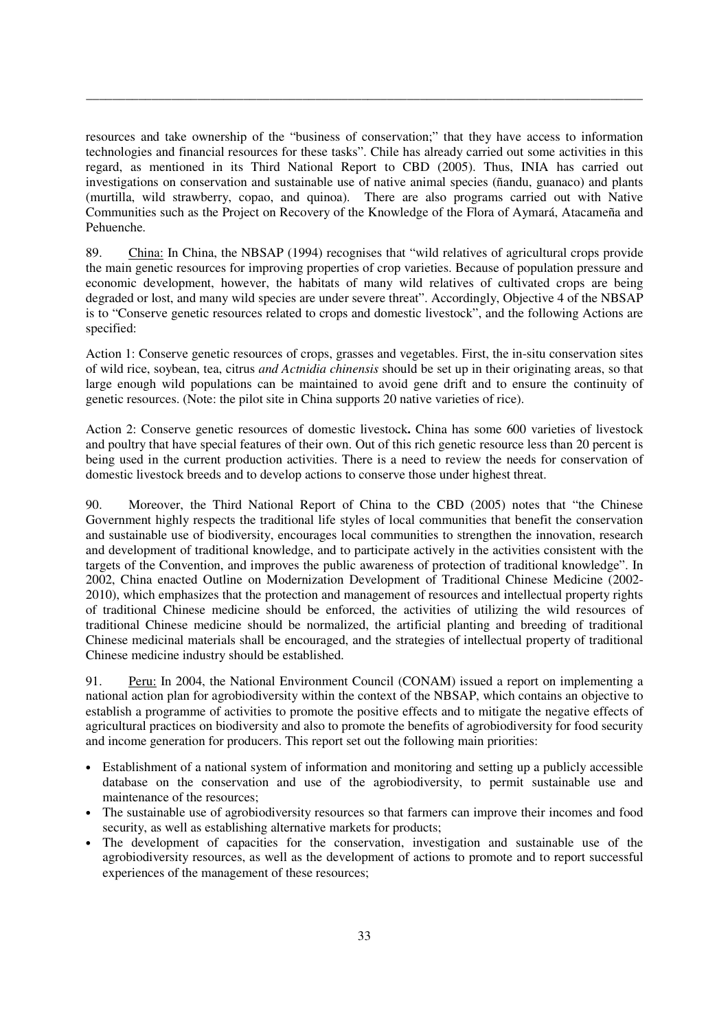resources and take ownership of the "business of conservation;" that they have access to information technologies and financial resources for these tasks". Chile has already carried out some activities in this regard, as mentioned in its Third National Report to CBD (2005). Thus, INIA has carried out investigations on conservation and sustainable use of native animal species (ñandu, guanaco) and plants (murtilla, wild strawberry, copao, and quinoa). There are also programs carried out with Native Communities such as the Project on Recovery of the Knowledge of the Flora of Aymará, Atacameña and Pehuenche.

\_\_\_\_\_\_\_\_\_\_\_\_\_\_\_\_\_\_\_\_\_\_\_\_\_\_\_\_\_\_\_\_\_\_\_\_\_\_\_\_\_\_\_\_\_\_\_\_\_\_\_\_\_\_\_\_\_\_\_\_\_\_\_\_\_\_\_\_\_\_\_\_\_\_\_\_\_\_\_\_\_\_\_\_\_

89. China: In China, the NBSAP (1994) recognises that "wild relatives of agricultural crops provide the main genetic resources for improving properties of crop varieties. Because of population pressure and economic development, however, the habitats of many wild relatives of cultivated crops are being degraded or lost, and many wild species are under severe threat". Accordingly, Objective 4 of the NBSAP is to "Conserve genetic resources related to crops and domestic livestock", and the following Actions are specified:

Action 1: Conserve genetic resources of crops, grasses and vegetables. First, the in-situ conservation sites of wild rice, soybean, tea, citrus *and Actnidia chinensis* should be set up in their originating areas, so that large enough wild populations can be maintained to avoid gene drift and to ensure the continuity of genetic resources. (Note: the pilot site in China supports 20 native varieties of rice).

Action 2: Conserve genetic resources of domestic livestock**.** China has some 600 varieties of livestock and poultry that have special features of their own. Out of this rich genetic resource less than 20 percent is being used in the current production activities. There is a need to review the needs for conservation of domestic livestock breeds and to develop actions to conserve those under highest threat.

90. Moreover, the Third National Report of China to the CBD (2005) notes that "the Chinese Government highly respects the traditional life styles of local communities that benefit the conservation and sustainable use of biodiversity, encourages local communities to strengthen the innovation, research and development of traditional knowledge, and to participate actively in the activities consistent with the targets of the Convention, and improves the public awareness of protection of traditional knowledge". In 2002, China enacted Outline on Modernization Development of Traditional Chinese Medicine (2002- 2010), which emphasizes that the protection and management of resources and intellectual property rights of traditional Chinese medicine should be enforced, the activities of utilizing the wild resources of traditional Chinese medicine should be normalized, the artificial planting and breeding of traditional Chinese medicinal materials shall be encouraged, and the strategies of intellectual property of traditional Chinese medicine industry should be established.

91. Peru: In 2004, the National Environment Council (CONAM) issued a report on implementing a national action plan for agrobiodiversity within the context of the NBSAP, which contains an objective to establish a programme of activities to promote the positive effects and to mitigate the negative effects of agricultural practices on biodiversity and also to promote the benefits of agrobiodiversity for food security and income generation for producers. This report set out the following main priorities:

- Establishment of a national system of information and monitoring and setting up a publicly accessible database on the conservation and use of the agrobiodiversity, to permit sustainable use and maintenance of the resources;
- The sustainable use of agrobiodiversity resources so that farmers can improve their incomes and food security, as well as establishing alternative markets for products;
- The development of capacities for the conservation, investigation and sustainable use of the agrobiodiversity resources, as well as the development of actions to promote and to report successful experiences of the management of these resources;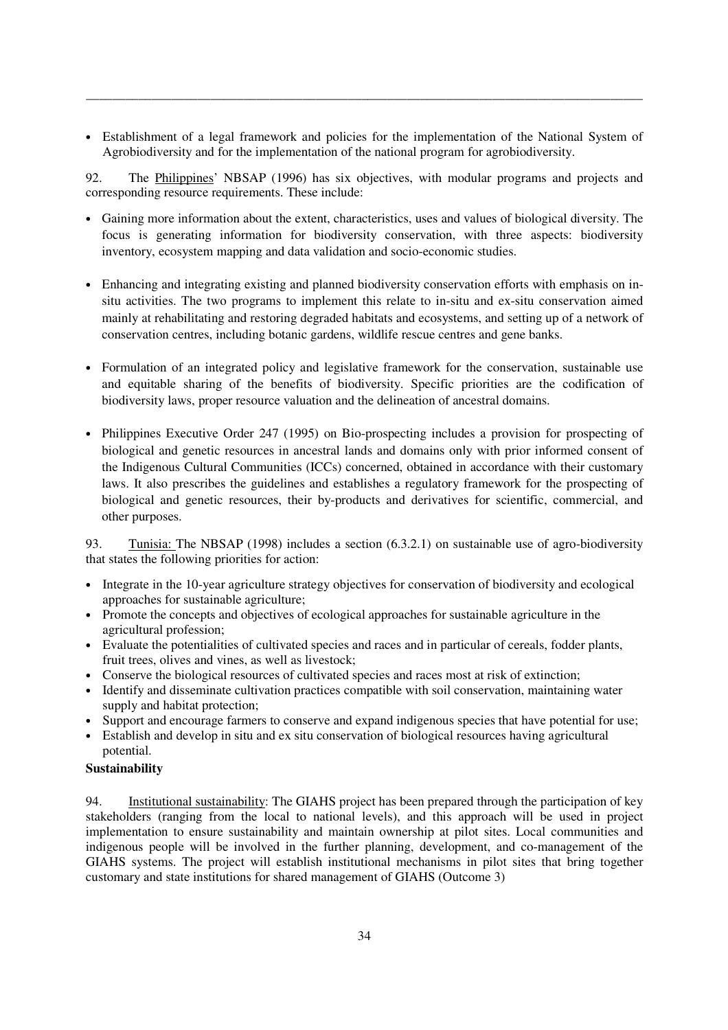• Establishment of a legal framework and policies for the implementation of the National System of Agrobiodiversity and for the implementation of the national program for agrobiodiversity.

\_\_\_\_\_\_\_\_\_\_\_\_\_\_\_\_\_\_\_\_\_\_\_\_\_\_\_\_\_\_\_\_\_\_\_\_\_\_\_\_\_\_\_\_\_\_\_\_\_\_\_\_\_\_\_\_\_\_\_\_\_\_\_\_\_\_\_\_\_\_\_\_\_\_\_\_\_\_\_\_\_\_\_\_\_

92. The Philippines' NBSAP (1996) has six objectives, with modular programs and projects and corresponding resource requirements. These include:

- Gaining more information about the extent, characteristics, uses and values of biological diversity. The focus is generating information for biodiversity conservation, with three aspects: biodiversity inventory, ecosystem mapping and data validation and socio-economic studies.
- Enhancing and integrating existing and planned biodiversity conservation efforts with emphasis on insitu activities. The two programs to implement this relate to in-situ and ex-situ conservation aimed mainly at rehabilitating and restoring degraded habitats and ecosystems, and setting up of a network of conservation centres, including botanic gardens, wildlife rescue centres and gene banks.
- Formulation of an integrated policy and legislative framework for the conservation, sustainable use and equitable sharing of the benefits of biodiversity. Specific priorities are the codification of biodiversity laws, proper resource valuation and the delineation of ancestral domains.
- Philippines Executive Order 247 (1995) on Bio-prospecting includes a provision for prospecting of biological and genetic resources in ancestral lands and domains only with prior informed consent of the Indigenous Cultural Communities (ICCs) concerned, obtained in accordance with their customary laws. It also prescribes the guidelines and establishes a regulatory framework for the prospecting of biological and genetic resources, their by-products and derivatives for scientific, commercial, and other purposes.

93. Tunisia: The NBSAP (1998) includes a section (6.3.2.1) on sustainable use of agro-biodiversity that states the following priorities for action:

- Integrate in the 10-year agriculture strategy objectives for conservation of biodiversity and ecological approaches for sustainable agriculture;
- Promote the concepts and objectives of ecological approaches for sustainable agriculture in the agricultural profession;
- Evaluate the potentialities of cultivated species and races and in particular of cereals, fodder plants, fruit trees, olives and vines, as well as livestock;
- Conserve the biological resources of cultivated species and races most at risk of extinction;
- Identify and disseminate cultivation practices compatible with soil conservation, maintaining water supply and habitat protection;
- Support and encourage farmers to conserve and expand indigenous species that have potential for use;
- Establish and develop in situ and ex situ conservation of biological resources having agricultural potential.

# **Sustainability**

94. Institutional sustainability: The GIAHS project has been prepared through the participation of key stakeholders (ranging from the local to national levels), and this approach will be used in project implementation to ensure sustainability and maintain ownership at pilot sites. Local communities and indigenous people will be involved in the further planning, development, and co-management of the GIAHS systems. The project will establish institutional mechanisms in pilot sites that bring together customary and state institutions for shared management of GIAHS (Outcome 3)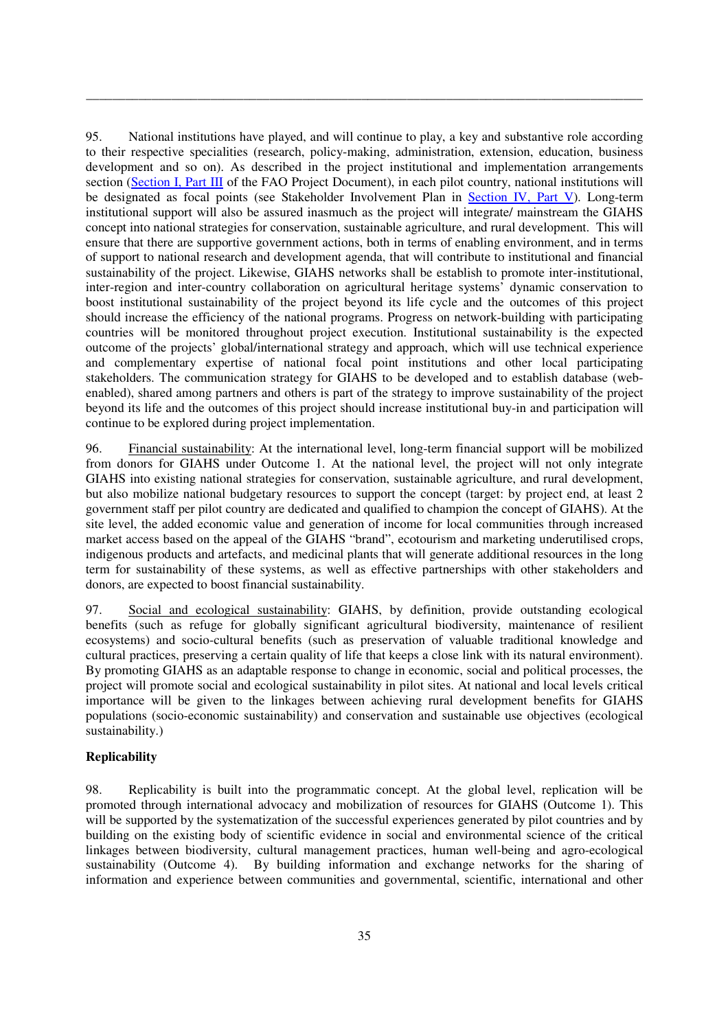95. National institutions have played, and will continue to play, a key and substantive role according to their respective specialities (research, policy-making, administration, extension, education, business development and so on). As described in the project institutional and implementation arrangements section (Section I, Part III of the FAO Project Document), in each pilot country, national institutions will be designated as focal points (see Stakeholder Involvement Plan in Section IV, Part V). Long-term institutional support will also be assured inasmuch as the project will integrate/ mainstream the GIAHS concept into national strategies for conservation, sustainable agriculture, and rural development. This will ensure that there are supportive government actions, both in terms of enabling environment, and in terms of support to national research and development agenda, that will contribute to institutional and financial sustainability of the project. Likewise, GIAHS networks shall be establish to promote inter-institutional, inter-region and inter-country collaboration on agricultural heritage systems' dynamic conservation to boost institutional sustainability of the project beyond its life cycle and the outcomes of this project should increase the efficiency of the national programs. Progress on network-building with participating countries will be monitored throughout project execution. Institutional sustainability is the expected outcome of the projects' global/international strategy and approach, which will use technical experience and complementary expertise of national focal point institutions and other local participating stakeholders. The communication strategy for GIAHS to be developed and to establish database (webenabled), shared among partners and others is part of the strategy to improve sustainability of the project beyond its life and the outcomes of this project should increase institutional buy-in and participation will continue to be explored during project implementation.

\_\_\_\_\_\_\_\_\_\_\_\_\_\_\_\_\_\_\_\_\_\_\_\_\_\_\_\_\_\_\_\_\_\_\_\_\_\_\_\_\_\_\_\_\_\_\_\_\_\_\_\_\_\_\_\_\_\_\_\_\_\_\_\_\_\_\_\_\_\_\_\_\_\_\_\_\_\_\_\_\_\_\_\_\_

96. Financial sustainability: At the international level, long-term financial support will be mobilized from donors for GIAHS under Outcome 1. At the national level, the project will not only integrate GIAHS into existing national strategies for conservation, sustainable agriculture, and rural development, but also mobilize national budgetary resources to support the concept (target: by project end, at least 2 government staff per pilot country are dedicated and qualified to champion the concept of GIAHS). At the site level, the added economic value and generation of income for local communities through increased market access based on the appeal of the GIAHS "brand", ecotourism and marketing underutilised crops, indigenous products and artefacts, and medicinal plants that will generate additional resources in the long term for sustainability of these systems, as well as effective partnerships with other stakeholders and donors, are expected to boost financial sustainability.

97. Social and ecological sustainability: GIAHS, by definition, provide outstanding ecological benefits (such as refuge for globally significant agricultural biodiversity, maintenance of resilient ecosystems) and socio-cultural benefits (such as preservation of valuable traditional knowledge and cultural practices, preserving a certain quality of life that keeps a close link with its natural environment). By promoting GIAHS as an adaptable response to change in economic, social and political processes, the project will promote social and ecological sustainability in pilot sites. At national and local levels critical importance will be given to the linkages between achieving rural development benefits for GIAHS populations (socio-economic sustainability) and conservation and sustainable use objectives (ecological sustainability.)

# **Replicability**

98. Replicability is built into the programmatic concept. At the global level, replication will be promoted through international advocacy and mobilization of resources for GIAHS (Outcome 1). This will be supported by the systematization of the successful experiences generated by pilot countries and by building on the existing body of scientific evidence in social and environmental science of the critical linkages between biodiversity, cultural management practices, human well-being and agro-ecological sustainability (Outcome 4). By building information and exchange networks for the sharing of information and experience between communities and governmental, scientific, international and other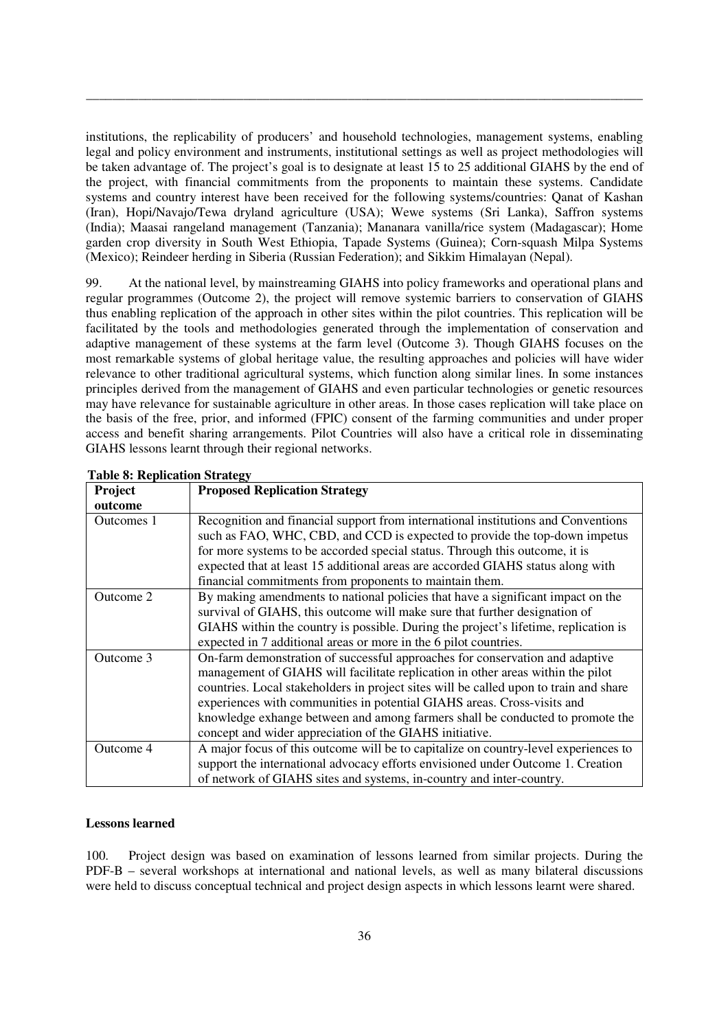institutions, the replicability of producers' and household technologies, management systems, enabling legal and policy environment and instruments, institutional settings as well as project methodologies will be taken advantage of. The project's goal is to designate at least 15 to 25 additional GIAHS by the end of the project, with financial commitments from the proponents to maintain these systems. Candidate systems and country interest have been received for the following systems/countries: Qanat of Kashan (Iran), Hopi/Navajo/Tewa dryland agriculture (USA); Wewe systems (Sri Lanka), Saffron systems (India); Maasai rangeland management (Tanzania); Mananara vanilla/rice system (Madagascar); Home garden crop diversity in South West Ethiopia, Tapade Systems (Guinea); Corn-squash Milpa Systems (Mexico); Reindeer herding in Siberia (Russian Federation); and Sikkim Himalayan (Nepal).

\_\_\_\_\_\_\_\_\_\_\_\_\_\_\_\_\_\_\_\_\_\_\_\_\_\_\_\_\_\_\_\_\_\_\_\_\_\_\_\_\_\_\_\_\_\_\_\_\_\_\_\_\_\_\_\_\_\_\_\_\_\_\_\_\_\_\_\_\_\_\_\_\_\_\_\_\_\_\_\_\_\_\_\_\_

99. At the national level, by mainstreaming GIAHS into policy frameworks and operational plans and regular programmes (Outcome 2), the project will remove systemic barriers to conservation of GIAHS thus enabling replication of the approach in other sites within the pilot countries. This replication will be facilitated by the tools and methodologies generated through the implementation of conservation and adaptive management of these systems at the farm level (Outcome 3). Though GIAHS focuses on the most remarkable systems of global heritage value, the resulting approaches and policies will have wider relevance to other traditional agricultural systems, which function along similar lines. In some instances principles derived from the management of GIAHS and even particular technologies or genetic resources may have relevance for sustainable agriculture in other areas. In those cases replication will take place on the basis of the free, prior, and informed (FPIC) consent of the farming communities and under proper access and benefit sharing arrangements. Pilot Countries will also have a critical role in disseminating GIAHS lessons learnt through their regional networks.

|            | <b>LADIC O. INCULLATION OU ALCEY</b>                                                  |
|------------|---------------------------------------------------------------------------------------|
| Project    | <b>Proposed Replication Strategy</b>                                                  |
| outcome    |                                                                                       |
| Outcomes 1 | Recognition and financial support from international institutions and Conventions     |
|            | such as FAO, WHC, CBD, and CCD is expected to provide the top-down impetus            |
|            | for more systems to be accorded special status. Through this outcome, it is           |
|            | expected that at least 15 additional areas are accorded GIAHS status along with       |
|            | financial commitments from proponents to maintain them.                               |
| Outcome 2  | By making amendments to national policies that have a significant impact on the       |
|            | survival of GIAHS, this outcome will make sure that further designation of            |
|            | GIAHS within the country is possible. During the project's lifetime, replication is   |
|            | expected in 7 additional areas or more in the 6 pilot countries.                      |
| Outcome 3  | On-farm demonstration of successful approaches for conservation and adaptive          |
|            | management of GIAHS will facilitate replication in other areas within the pilot       |
|            | countries. Local stakeholders in project sites will be called upon to train and share |
|            | experiences with communities in potential GIAHS areas. Cross-visits and               |
|            | knowledge exhange between and among farmers shall be conducted to promote the         |
|            | concept and wider appreciation of the GIAHS initiative.                               |
| Outcome 4  | A major focus of this outcome will be to capitalize on country-level experiences to   |
|            | support the international advocacy efforts envisioned under Outcome 1. Creation       |
|            | of network of GIAHS sites and systems, in-country and inter-country.                  |

**Table 8: Replication Strategy** 

#### **Lessons learned**

100. Project design was based on examination of lessons learned from similar projects. During the PDF-B – several workshops at international and national levels, as well as many bilateral discussions were held to discuss conceptual technical and project design aspects in which lessons learnt were shared.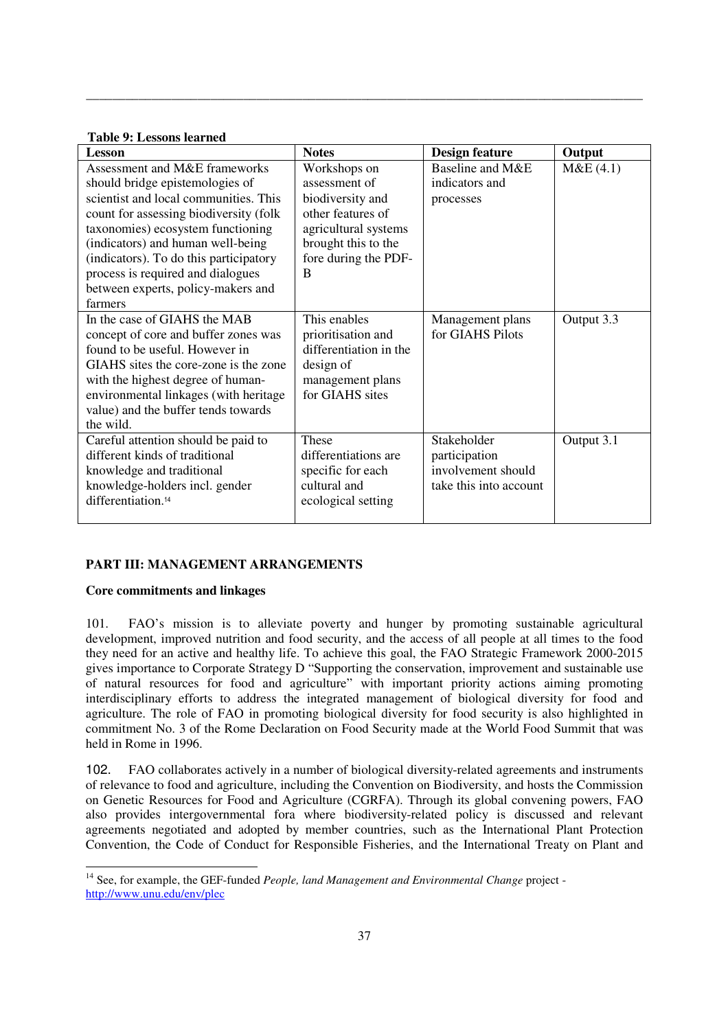#### **Table 9: Lessons learned**

| Lesson                                 | <b>Notes</b>           | Design feature         | Output     |
|----------------------------------------|------------------------|------------------------|------------|
| Assessment and M&E frameworks          | Workshops on           | Baseline and M&E       | M&E(4.1)   |
| should bridge epistemologies of        | assessment of          | indicators and         |            |
| scientist and local communities. This  | biodiversity and       | processes              |            |
| count for assessing biodiversity (folk | other features of      |                        |            |
| taxonomies) ecosystem functioning      | agricultural systems   |                        |            |
| (indicators) and human well-being      | brought this to the    |                        |            |
| (indicators). To do this participatory | fore during the PDF-   |                        |            |
| process is required and dialogues      | B                      |                        |            |
| between experts, policy-makers and     |                        |                        |            |
| farmers                                |                        |                        |            |
| In the case of GIAHS the MAB           | This enables           | Management plans       | Output 3.3 |
| concept of core and buffer zones was   | prioritisation and     | for GIAHS Pilots       |            |
| found to be useful. However in         | differentiation in the |                        |            |
| GIAHS sites the core-zone is the zone  | design of              |                        |            |
| with the highest degree of human-      | management plans       |                        |            |
| environmental linkages (with heritage  | for GIAHS sites        |                        |            |
| value) and the buffer tends towards    |                        |                        |            |
| the wild.                              |                        |                        |            |
| Careful attention should be paid to    | These                  | Stakeholder            | Output 3.1 |
| different kinds of traditional         | differentiations are   | participation          |            |
| knowledge and traditional              | specific for each      | involvement should     |            |
| knowledge-holders incl. gender         | cultural and           | take this into account |            |
| differentiation. <sup>14</sup>         | ecological setting     |                        |            |
|                                        |                        |                        |            |

\_\_\_\_\_\_\_\_\_\_\_\_\_\_\_\_\_\_\_\_\_\_\_\_\_\_\_\_\_\_\_\_\_\_\_\_\_\_\_\_\_\_\_\_\_\_\_\_\_\_\_\_\_\_\_\_\_\_\_\_\_\_\_\_\_\_\_\_\_\_\_\_\_\_\_\_\_\_\_\_\_\_\_\_\_

## **PART III: MANAGEMENT ARRANGEMENTS**

## **Core commitments and linkages**

101. FAO's mission is to alleviate poverty and hunger by promoting sustainable agricultural development, improved nutrition and food security, and the access of all people at all times to the food they need for an active and healthy life. To achieve this goal, the FAO Strategic Framework 2000-2015 gives importance to Corporate Strategy D "Supporting the conservation, improvement and sustainable use of natural resources for food and agriculture" with important priority actions aiming promoting interdisciplinary efforts to address the integrated management of biological diversity for food and agriculture. The role of FAO in promoting biological diversity for food security is also highlighted in commitment No. 3 of the Rome Declaration on Food Security made at the World Food Summit that was held in Rome in 1996.

102. FAO collaborates actively in a number of biological diversity-related agreements and instruments of relevance to food and agriculture, including the Convention on Biodiversity, and hosts the Commission on Genetic Resources for Food and Agriculture (CGRFA). Through its global convening powers, FAO also provides intergovernmental fora where biodiversity-related policy is discussed and relevant agreements negotiated and adopted by member countries, such as the International Plant Protection Convention, the Code of Conduct for Responsible Fisheries, and the International Treaty on Plant and

<sup>&</sup>lt;u>.</u> <sup>14</sup> See, for example, the GEF-funded *People, land Management and Environmental Change* project http://www.unu.edu/env/plec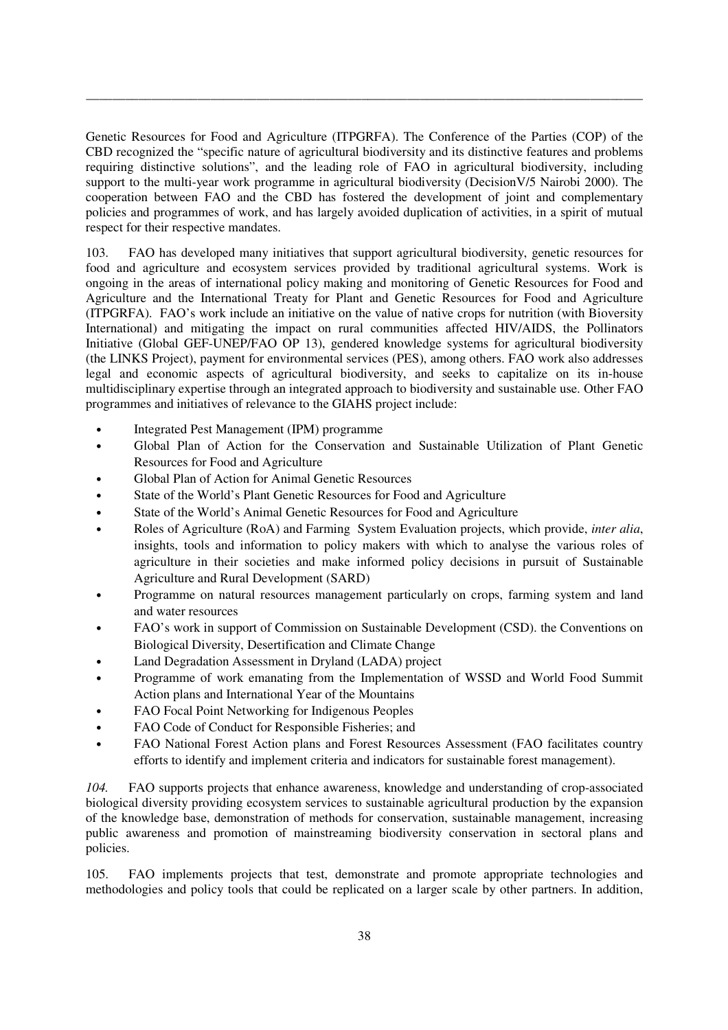Genetic Resources for Food and Agriculture (ITPGRFA). The Conference of the Parties (COP) of the CBD recognized the "specific nature of agricultural biodiversity and its distinctive features and problems requiring distinctive solutions", and the leading role of FAO in agricultural biodiversity, including support to the multi-year work programme in agricultural biodiversity (DecisionV/5 Nairobi 2000). The cooperation between FAO and the CBD has fostered the development of joint and complementary policies and programmes of work, and has largely avoided duplication of activities, in a spirit of mutual respect for their respective mandates.

\_\_\_\_\_\_\_\_\_\_\_\_\_\_\_\_\_\_\_\_\_\_\_\_\_\_\_\_\_\_\_\_\_\_\_\_\_\_\_\_\_\_\_\_\_\_\_\_\_\_\_\_\_\_\_\_\_\_\_\_\_\_\_\_\_\_\_\_\_\_\_\_\_\_\_\_\_\_\_\_\_\_\_\_\_

103. FAO has developed many initiatives that support agricultural biodiversity, genetic resources for food and agriculture and ecosystem services provided by traditional agricultural systems. Work is ongoing in the areas of international policy making and monitoring of Genetic Resources for Food and Agriculture and the International Treaty for Plant and Genetic Resources for Food and Agriculture (ITPGRFA). FAO's work include an initiative on the value of native crops for nutrition (with Bioversity International) and mitigating the impact on rural communities affected HIV/AIDS, the Pollinators Initiative (Global GEF-UNEP/FAO OP 13), gendered knowledge systems for agricultural biodiversity (the LINKS Project), payment for environmental services (PES), among others. FAO work also addresses legal and economic aspects of agricultural biodiversity, and seeks to capitalize on its in-house multidisciplinary expertise through an integrated approach to biodiversity and sustainable use. Other FAO programmes and initiatives of relevance to the GIAHS project include:

- Integrated Pest Management (IPM) programme
- Global Plan of Action for the Conservation and Sustainable Utilization of Plant Genetic Resources for Food and Agriculture
- Global Plan of Action for Animal Genetic Resources
- State of the World's Plant Genetic Resources for Food and Agriculture
- State of the World's Animal Genetic Resources for Food and Agriculture
- Roles of Agriculture (RoA) and Farming System Evaluation projects, which provide, *inter alia*, insights, tools and information to policy makers with which to analyse the various roles of agriculture in their societies and make informed policy decisions in pursuit of Sustainable Agriculture and Rural Development (SARD)
- Programme on natural resources management particularly on crops, farming system and land and water resources
- FAO's work in support of Commission on Sustainable Development (CSD). the Conventions on Biological Diversity, Desertification and Climate Change
- Land Degradation Assessment in Dryland (LADA) project
- Programme of work emanating from the Implementation of WSSD and World Food Summit Action plans and International Year of the Mountains
- FAO Focal Point Networking for Indigenous Peoples
- FAO Code of Conduct for Responsible Fisheries; and
- FAO National Forest Action plans and Forest Resources Assessment (FAO facilitates country efforts to identify and implement criteria and indicators for sustainable forest management).

*104.* FAO supports projects that enhance awareness, knowledge and understanding of crop-associated biological diversity providing ecosystem services to sustainable agricultural production by the expansion of the knowledge base, demonstration of methods for conservation, sustainable management, increasing public awareness and promotion of mainstreaming biodiversity conservation in sectoral plans and policies.

105. FAO implements projects that test, demonstrate and promote appropriate technologies and methodologies and policy tools that could be replicated on a larger scale by other partners. In addition,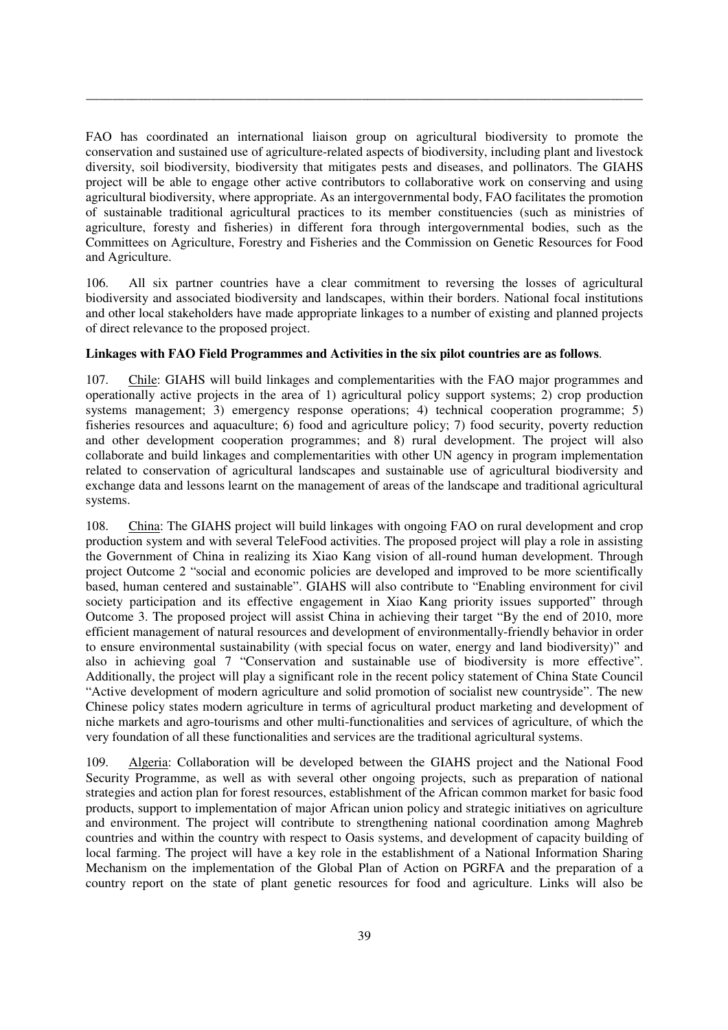FAO has coordinated an international liaison group on agricultural biodiversity to promote the conservation and sustained use of agriculture-related aspects of biodiversity, including plant and livestock diversity, soil biodiversity, biodiversity that mitigates pests and diseases, and pollinators. The GIAHS project will be able to engage other active contributors to collaborative work on conserving and using agricultural biodiversity, where appropriate. As an intergovernmental body, FAO facilitates the promotion of sustainable traditional agricultural practices to its member constituencies (such as ministries of agriculture, foresty and fisheries) in different fora through intergovernmental bodies, such as the Committees on Agriculture, Forestry and Fisheries and the Commission on Genetic Resources for Food and Agriculture.

\_\_\_\_\_\_\_\_\_\_\_\_\_\_\_\_\_\_\_\_\_\_\_\_\_\_\_\_\_\_\_\_\_\_\_\_\_\_\_\_\_\_\_\_\_\_\_\_\_\_\_\_\_\_\_\_\_\_\_\_\_\_\_\_\_\_\_\_\_\_\_\_\_\_\_\_\_\_\_\_\_\_\_\_\_

106. All six partner countries have a clear commitment to reversing the losses of agricultural biodiversity and associated biodiversity and landscapes, within their borders. National focal institutions and other local stakeholders have made appropriate linkages to a number of existing and planned projects of direct relevance to the proposed project.

## **Linkages with FAO Field Programmes and Activities in the six pilot countries are as follows**.

107. Chile: GIAHS will build linkages and complementarities with the FAO major programmes and operationally active projects in the area of 1) agricultural policy support systems; 2) crop production systems management; 3) emergency response operations; 4) technical cooperation programme; 5) fisheries resources and aquaculture; 6) food and agriculture policy; 7) food security, poverty reduction and other development cooperation programmes; and 8) rural development. The project will also collaborate and build linkages and complementarities with other UN agency in program implementation related to conservation of agricultural landscapes and sustainable use of agricultural biodiversity and exchange data and lessons learnt on the management of areas of the landscape and traditional agricultural systems.

108. China: The GIAHS project will build linkages with ongoing FAO on rural development and crop production system and with several TeleFood activities. The proposed project will play a role in assisting the Government of China in realizing its Xiao Kang vision of all-round human development. Through project Outcome 2 "social and economic policies are developed and improved to be more scientifically based, human centered and sustainable". GIAHS will also contribute to "Enabling environment for civil society participation and its effective engagement in Xiao Kang priority issues supported" through Outcome 3. The proposed project will assist China in achieving their target "By the end of 2010, more efficient management of natural resources and development of environmentally-friendly behavior in order to ensure environmental sustainability (with special focus on water, energy and land biodiversity)" and also in achieving goal 7 "Conservation and sustainable use of biodiversity is more effective". Additionally, the project will play a significant role in the recent policy statement of China State Council "Active development of modern agriculture and solid promotion of socialist new countryside". The new Chinese policy states modern agriculture in terms of agricultural product marketing and development of niche markets and agro-tourisms and other multi-functionalities and services of agriculture, of which the very foundation of all these functionalities and services are the traditional agricultural systems.

109. Algeria: Collaboration will be developed between the GIAHS project and the National Food Security Programme, as well as with several other ongoing projects, such as preparation of national strategies and action plan for forest resources, establishment of the African common market for basic food products, support to implementation of major African union policy and strategic initiatives on agriculture and environment. The project will contribute to strengthening national coordination among Maghreb countries and within the country with respect to Oasis systems, and development of capacity building of local farming. The project will have a key role in the establishment of a National Information Sharing Mechanism on the implementation of the Global Plan of Action on PGRFA and the preparation of a country report on the state of plant genetic resources for food and agriculture. Links will also be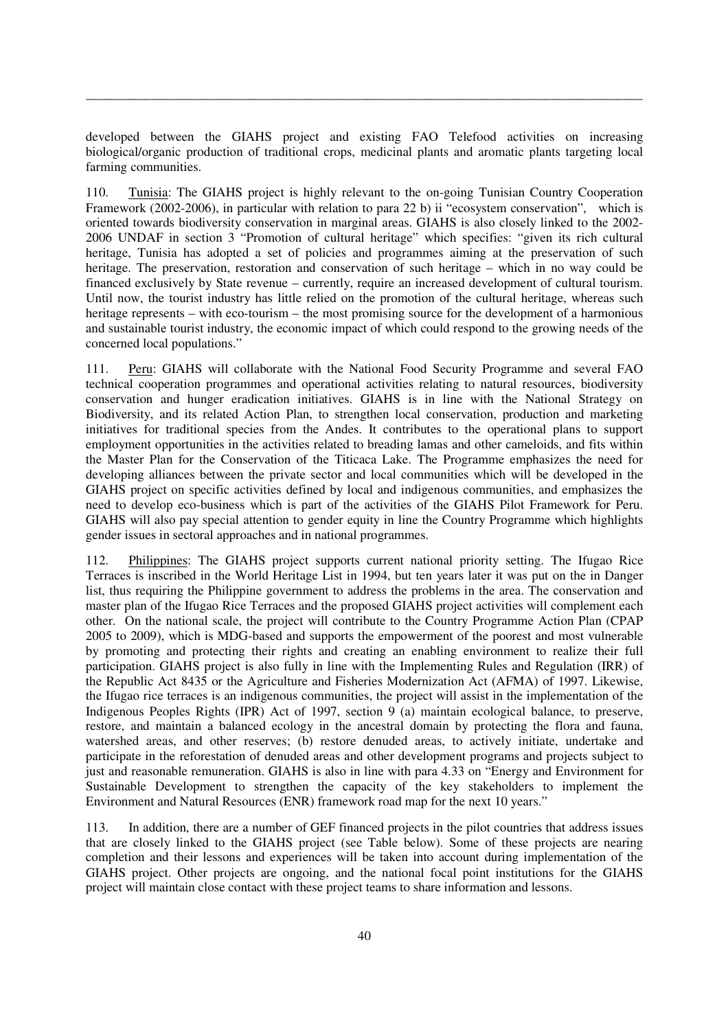developed between the GIAHS project and existing FAO Telefood activities on increasing biological/organic production of traditional crops, medicinal plants and aromatic plants targeting local farming communities.

\_\_\_\_\_\_\_\_\_\_\_\_\_\_\_\_\_\_\_\_\_\_\_\_\_\_\_\_\_\_\_\_\_\_\_\_\_\_\_\_\_\_\_\_\_\_\_\_\_\_\_\_\_\_\_\_\_\_\_\_\_\_\_\_\_\_\_\_\_\_\_\_\_\_\_\_\_\_\_\_\_\_\_\_\_

110. Tunisia: The GIAHS project is highly relevant to the on-going Tunisian Country Cooperation Framework (2002-2006), in particular with relation to para 22 b) ii "ecosystem conservation", which is oriented towards biodiversity conservation in marginal areas. GIAHS is also closely linked to the 2002- 2006 UNDAF in section 3 "Promotion of cultural heritage" which specifies: "given its rich cultural heritage, Tunisia has adopted a set of policies and programmes aiming at the preservation of such heritage. The preservation, restoration and conservation of such heritage – which in no way could be financed exclusively by State revenue – currently, require an increased development of cultural tourism. Until now, the tourist industry has little relied on the promotion of the cultural heritage, whereas such heritage represents – with eco-tourism – the most promising source for the development of a harmonious and sustainable tourist industry, the economic impact of which could respond to the growing needs of the concerned local populations."

111. Peru: GIAHS will collaborate with the National Food Security Programme and several FAO technical cooperation programmes and operational activities relating to natural resources, biodiversity conservation and hunger eradication initiatives. GIAHS is in line with the National Strategy on Biodiversity, and its related Action Plan, to strengthen local conservation, production and marketing initiatives for traditional species from the Andes. It contributes to the operational plans to support employment opportunities in the activities related to breading lamas and other cameloids, and fits within the Master Plan for the Conservation of the Titicaca Lake. The Programme emphasizes the need for developing alliances between the private sector and local communities which will be developed in the GIAHS project on specific activities defined by local and indigenous communities, and emphasizes the need to develop eco-business which is part of the activities of the GIAHS Pilot Framework for Peru. GIAHS will also pay special attention to gender equity in line the Country Programme which highlights gender issues in sectoral approaches and in national programmes.

112. Philippines: The GIAHS project supports current national priority setting. The Ifugao Rice Terraces is inscribed in the World Heritage List in 1994, but ten years later it was put on the in Danger list, thus requiring the Philippine government to address the problems in the area. The conservation and master plan of the Ifugao Rice Terraces and the proposed GIAHS project activities will complement each other. On the national scale, the project will contribute to the Country Programme Action Plan (CPAP 2005 to 2009), which is MDG-based and supports the empowerment of the poorest and most vulnerable by promoting and protecting their rights and creating an enabling environment to realize their full participation. GIAHS project is also fully in line with the Implementing Rules and Regulation (IRR) of the Republic Act 8435 or the Agriculture and Fisheries Modernization Act (AFMA) of 1997. Likewise, the Ifugao rice terraces is an indigenous communities, the project will assist in the implementation of the Indigenous Peoples Rights (IPR) Act of 1997, section 9 (a) maintain ecological balance, to preserve, restore, and maintain a balanced ecology in the ancestral domain by protecting the flora and fauna, watershed areas, and other reserves; (b) restore denuded areas, to actively initiate, undertake and participate in the reforestation of denuded areas and other development programs and projects subject to just and reasonable remuneration. GIAHS is also in line with para 4.33 on "Energy and Environment for Sustainable Development to strengthen the capacity of the key stakeholders to implement the Environment and Natural Resources (ENR) framework road map for the next 10 years."

113. In addition, there are a number of GEF financed projects in the pilot countries that address issues that are closely linked to the GIAHS project (see Table below). Some of these projects are nearing completion and their lessons and experiences will be taken into account during implementation of the GIAHS project. Other projects are ongoing, and the national focal point institutions for the GIAHS project will maintain close contact with these project teams to share information and lessons.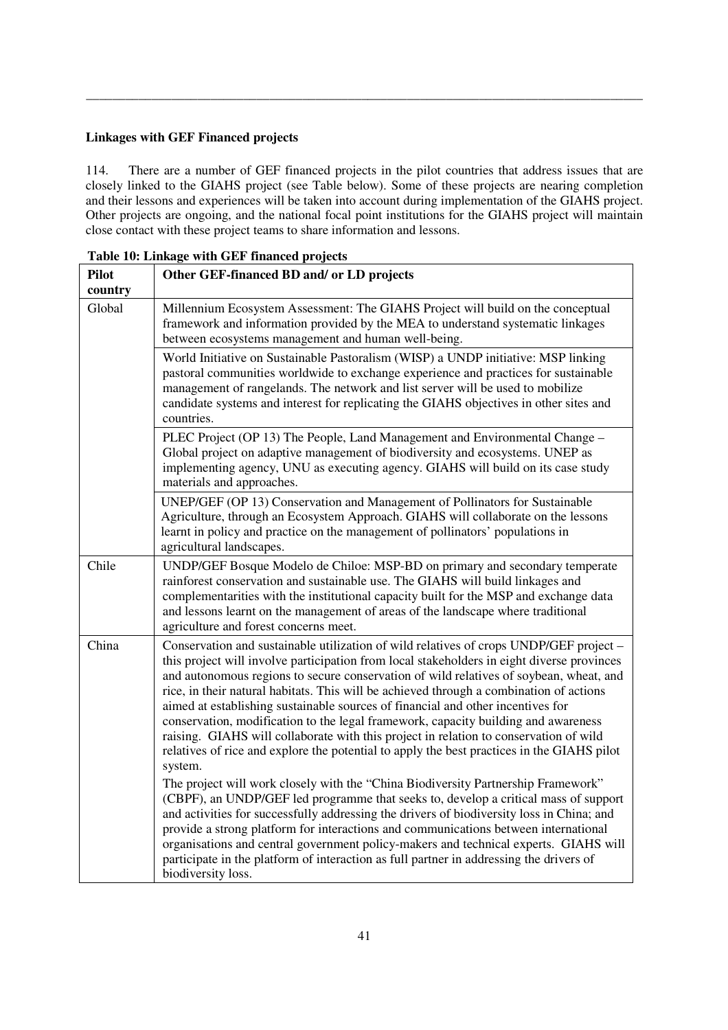#### **Linkages with GEF Financed projects**

114. There are a number of GEF financed projects in the pilot countries that address issues that are closely linked to the GIAHS project (see Table below). Some of these projects are nearing completion and their lessons and experiences will be taken into account during implementation of the GIAHS project. Other projects are ongoing, and the national focal point institutions for the GIAHS project will maintain close contact with these project teams to share information and lessons.

\_\_\_\_\_\_\_\_\_\_\_\_\_\_\_\_\_\_\_\_\_\_\_\_\_\_\_\_\_\_\_\_\_\_\_\_\_\_\_\_\_\_\_\_\_\_\_\_\_\_\_\_\_\_\_\_\_\_\_\_\_\_\_\_\_\_\_\_\_\_\_\_\_\_\_\_\_\_\_\_\_\_\_\_\_

| <b>Pilot</b>      | Other GEF-financed BD and/ or LD projects                                                                                                                                                                                                                                                                                                                                                                                                                                                                                                                                                                                                                                                                                                                                                                                                                                                                                                                                                                                                                                                                                                                                                                                                                                                                                     |
|-------------------|-------------------------------------------------------------------------------------------------------------------------------------------------------------------------------------------------------------------------------------------------------------------------------------------------------------------------------------------------------------------------------------------------------------------------------------------------------------------------------------------------------------------------------------------------------------------------------------------------------------------------------------------------------------------------------------------------------------------------------------------------------------------------------------------------------------------------------------------------------------------------------------------------------------------------------------------------------------------------------------------------------------------------------------------------------------------------------------------------------------------------------------------------------------------------------------------------------------------------------------------------------------------------------------------------------------------------------|
| country<br>Global | Millennium Ecosystem Assessment: The GIAHS Project will build on the conceptual<br>framework and information provided by the MEA to understand systematic linkages<br>between ecosystems management and human well-being.                                                                                                                                                                                                                                                                                                                                                                                                                                                                                                                                                                                                                                                                                                                                                                                                                                                                                                                                                                                                                                                                                                     |
|                   | World Initiative on Sustainable Pastoralism (WISP) a UNDP initiative: MSP linking<br>pastoral communities worldwide to exchange experience and practices for sustainable<br>management of rangelands. The network and list server will be used to mobilize<br>candidate systems and interest for replicating the GIAHS objectives in other sites and<br>countries.                                                                                                                                                                                                                                                                                                                                                                                                                                                                                                                                                                                                                                                                                                                                                                                                                                                                                                                                                            |
|                   | PLEC Project (OP 13) The People, Land Management and Environmental Change -<br>Global project on adaptive management of biodiversity and ecosystems. UNEP as<br>implementing agency, UNU as executing agency. GIAHS will build on its case study<br>materials and approaches.                                                                                                                                                                                                                                                                                                                                                                                                                                                                                                                                                                                                                                                                                                                                                                                                                                                                                                                                                                                                                                                 |
|                   | UNEP/GEF (OP 13) Conservation and Management of Pollinators for Sustainable<br>Agriculture, through an Ecosystem Approach. GIAHS will collaborate on the lessons<br>learnt in policy and practice on the management of pollinators' populations in<br>agricultural landscapes.                                                                                                                                                                                                                                                                                                                                                                                                                                                                                                                                                                                                                                                                                                                                                                                                                                                                                                                                                                                                                                                |
| Chile             | UNDP/GEF Bosque Modelo de Chiloe: MSP-BD on primary and secondary temperate<br>rainforest conservation and sustainable use. The GIAHS will build linkages and<br>complementarities with the institutional capacity built for the MSP and exchange data<br>and lessons learnt on the management of areas of the landscape where traditional<br>agriculture and forest concerns meet.                                                                                                                                                                                                                                                                                                                                                                                                                                                                                                                                                                                                                                                                                                                                                                                                                                                                                                                                           |
| China             | Conservation and sustainable utilization of wild relatives of crops UNDP/GEF project -<br>this project will involve participation from local stakeholders in eight diverse provinces<br>and autonomous regions to secure conservation of wild relatives of soybean, wheat, and<br>rice, in their natural habitats. This will be achieved through a combination of actions<br>aimed at establishing sustainable sources of financial and other incentives for<br>conservation, modification to the legal framework, capacity building and awareness<br>raising. GIAHS will collaborate with this project in relation to conservation of wild<br>relatives of rice and explore the potential to apply the best practices in the GIAHS pilot<br>system.<br>The project will work closely with the "China Biodiversity Partnership Framework"<br>(CBPF), an UNDP/GEF led programme that seeks to, develop a critical mass of support<br>and activities for successfully addressing the drivers of biodiversity loss in China; and<br>provide a strong platform for interactions and communications between international<br>organisations and central government policy-makers and technical experts. GIAHS will<br>participate in the platform of interaction as full partner in addressing the drivers of<br>biodiversity loss. |

**Table 10: Linkage with GEF financed projects**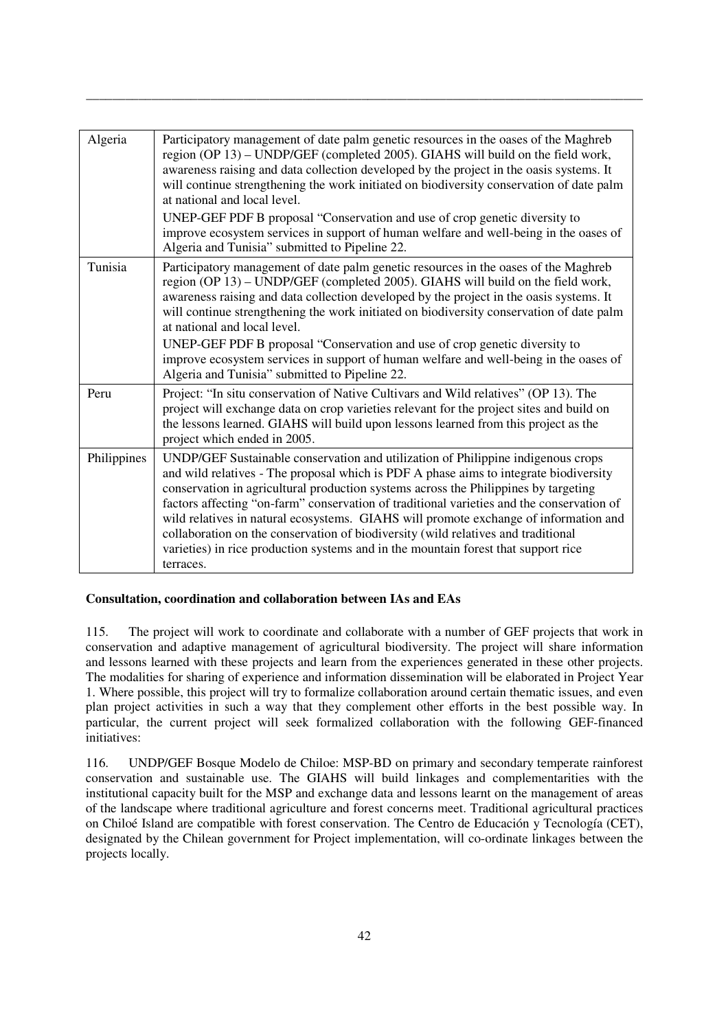| Algeria     | Participatory management of date palm genetic resources in the oases of the Maghreb<br>region (OP 13) - UNDP/GEF (completed 2005). GIAHS will build on the field work,<br>awareness raising and data collection developed by the project in the oasis systems. It<br>will continue strengthening the work initiated on biodiversity conservation of date palm<br>at national and local level.<br>UNEP-GEF PDF B proposal "Conservation and use of crop genetic diversity to<br>improve ecosystem services in support of human welfare and well-being in the oases of<br>Algeria and Tunisia" submitted to Pipeline 22.                        |
|-------------|-----------------------------------------------------------------------------------------------------------------------------------------------------------------------------------------------------------------------------------------------------------------------------------------------------------------------------------------------------------------------------------------------------------------------------------------------------------------------------------------------------------------------------------------------------------------------------------------------------------------------------------------------|
| Tunisia     | Participatory management of date palm genetic resources in the oases of the Maghreb<br>region (OP 13) - UNDP/GEF (completed 2005). GIAHS will build on the field work,<br>awareness raising and data collection developed by the project in the oasis systems. It<br>will continue strengthening the work initiated on biodiversity conservation of date palm<br>at national and local level.<br>UNEP-GEF PDF B proposal "Conservation and use of crop genetic diversity to<br>improve ecosystem services in support of human welfare and well-being in the oases of<br>Algeria and Tunisia" submitted to Pipeline 22.                        |
| Peru        | Project: "In situ conservation of Native Cultivars and Wild relatives" (OP 13). The<br>project will exchange data on crop varieties relevant for the project sites and build on<br>the lessons learned. GIAHS will build upon lessons learned from this project as the<br>project which ended in 2005.                                                                                                                                                                                                                                                                                                                                        |
| Philippines | UNDP/GEF Sustainable conservation and utilization of Philippine indigenous crops<br>and wild relatives - The proposal which is PDF A phase aims to integrate biodiversity<br>conservation in agricultural production systems across the Philippines by targeting<br>factors affecting "on-farm" conservation of traditional varieties and the conservation of<br>wild relatives in natural ecosystems. GIAHS will promote exchange of information and<br>collaboration on the conservation of biodiversity (wild relatives and traditional<br>varieties) in rice production systems and in the mountain forest that support rice<br>terraces. |

\_\_\_\_\_\_\_\_\_\_\_\_\_\_\_\_\_\_\_\_\_\_\_\_\_\_\_\_\_\_\_\_\_\_\_\_\_\_\_\_\_\_\_\_\_\_\_\_\_\_\_\_\_\_\_\_\_\_\_\_\_\_\_\_\_\_\_\_\_\_\_\_\_\_\_\_\_\_\_\_\_\_\_\_\_

## **Consultation, coordination and collaboration between IAs and EAs**

115. The project will work to coordinate and collaborate with a number of GEF projects that work in conservation and adaptive management of agricultural biodiversity. The project will share information and lessons learned with these projects and learn from the experiences generated in these other projects. The modalities for sharing of experience and information dissemination will be elaborated in Project Year 1. Where possible, this project will try to formalize collaboration around certain thematic issues, and even plan project activities in such a way that they complement other efforts in the best possible way. In particular, the current project will seek formalized collaboration with the following GEF-financed initiatives:

116. UNDP/GEF Bosque Modelo de Chiloe: MSP-BD on primary and secondary temperate rainforest conservation and sustainable use. The GIAHS will build linkages and complementarities with the institutional capacity built for the MSP and exchange data and lessons learnt on the management of areas of the landscape where traditional agriculture and forest concerns meet. Traditional agricultural practices on Chiloé Island are compatible with forest conservation. The Centro de Educación y Tecnología (CET), designated by the Chilean government for Project implementation, will co-ordinate linkages between the projects locally.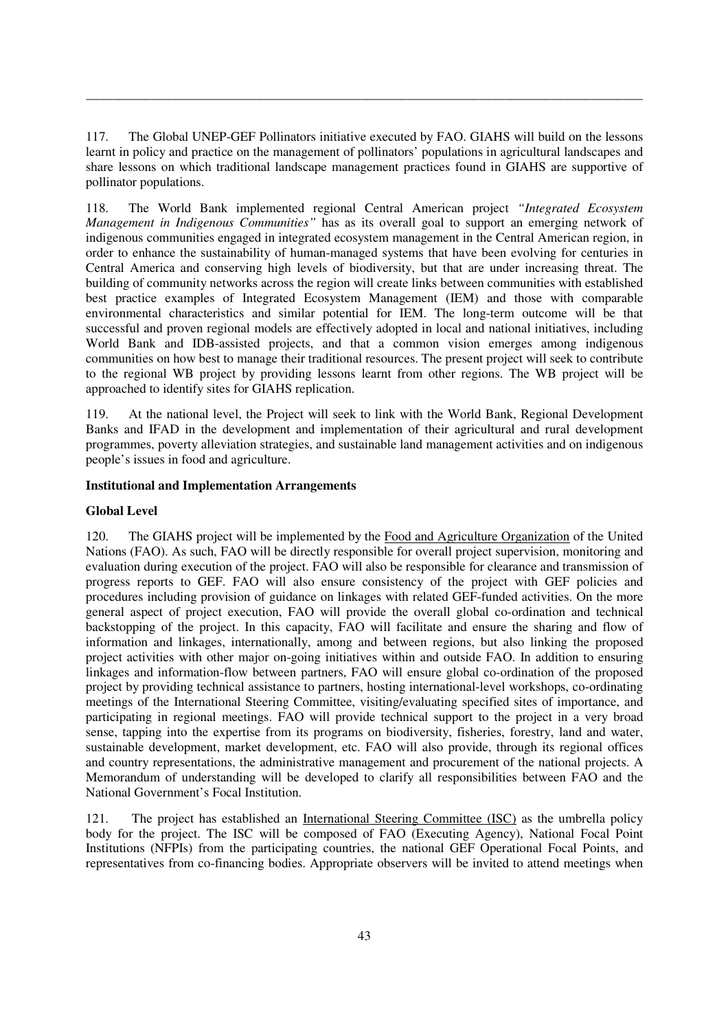117. The Global UNEP-GEF Pollinators initiative executed by FAO. GIAHS will build on the lessons learnt in policy and practice on the management of pollinators' populations in agricultural landscapes and share lessons on which traditional landscape management practices found in GIAHS are supportive of pollinator populations.

\_\_\_\_\_\_\_\_\_\_\_\_\_\_\_\_\_\_\_\_\_\_\_\_\_\_\_\_\_\_\_\_\_\_\_\_\_\_\_\_\_\_\_\_\_\_\_\_\_\_\_\_\_\_\_\_\_\_\_\_\_\_\_\_\_\_\_\_\_\_\_\_\_\_\_\_\_\_\_\_\_\_\_\_\_

118. The World Bank implemented regional Central American project *"Integrated Ecosystem Management in Indigenous Communities"* has as its overall goal to support an emerging network of indigenous communities engaged in integrated ecosystem management in the Central American region, in order to enhance the sustainability of human-managed systems that have been evolving for centuries in Central America and conserving high levels of biodiversity, but that are under increasing threat. The building of community networks across the region will create links between communities with established best practice examples of Integrated Ecosystem Management (IEM) and those with comparable environmental characteristics and similar potential for IEM. The long-term outcome will be that successful and proven regional models are effectively adopted in local and national initiatives, including World Bank and IDB-assisted projects, and that a common vision emerges among indigenous communities on how best to manage their traditional resources. The present project will seek to contribute to the regional WB project by providing lessons learnt from other regions. The WB project will be approached to identify sites for GIAHS replication.

119. At the national level, the Project will seek to link with the World Bank, Regional Development Banks and IFAD in the development and implementation of their agricultural and rural development programmes, poverty alleviation strategies, and sustainable land management activities and on indigenous people's issues in food and agriculture.

## **Institutional and Implementation Arrangements**

## **Global Level**

120. The GIAHS project will be implemented by the Food and Agriculture Organization of the United Nations (FAO). As such, FAO will be directly responsible for overall project supervision, monitoring and evaluation during execution of the project. FAO will also be responsible for clearance and transmission of progress reports to GEF. FAO will also ensure consistency of the project with GEF policies and procedures including provision of guidance on linkages with related GEF-funded activities. On the more general aspect of project execution, FAO will provide the overall global co-ordination and technical backstopping of the project. In this capacity, FAO will facilitate and ensure the sharing and flow of information and linkages, internationally, among and between regions, but also linking the proposed project activities with other major on-going initiatives within and outside FAO. In addition to ensuring linkages and information-flow between partners, FAO will ensure global co-ordination of the proposed project by providing technical assistance to partners, hosting international-level workshops, co-ordinating meetings of the International Steering Committee, visiting/evaluating specified sites of importance, and participating in regional meetings. FAO will provide technical support to the project in a very broad sense, tapping into the expertise from its programs on biodiversity, fisheries, forestry, land and water, sustainable development, market development, etc. FAO will also provide, through its regional offices and country representations, the administrative management and procurement of the national projects. A Memorandum of understanding will be developed to clarify all responsibilities between FAO and the National Government's Focal Institution.

121. The project has established an International Steering Committee (ISC) as the umbrella policy body for the project. The ISC will be composed of FAO (Executing Agency), National Focal Point Institutions (NFPIs) from the participating countries, the national GEF Operational Focal Points, and representatives from co-financing bodies. Appropriate observers will be invited to attend meetings when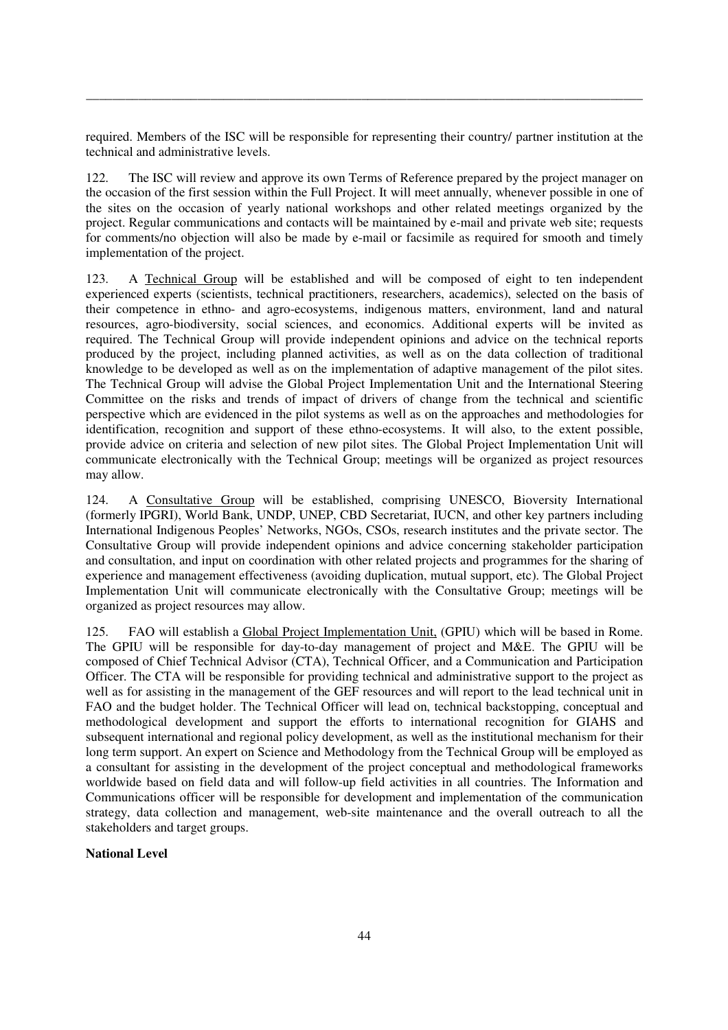required. Members of the ISC will be responsible for representing their country/ partner institution at the technical and administrative levels.

\_\_\_\_\_\_\_\_\_\_\_\_\_\_\_\_\_\_\_\_\_\_\_\_\_\_\_\_\_\_\_\_\_\_\_\_\_\_\_\_\_\_\_\_\_\_\_\_\_\_\_\_\_\_\_\_\_\_\_\_\_\_\_\_\_\_\_\_\_\_\_\_\_\_\_\_\_\_\_\_\_\_\_\_\_

122. The ISC will review and approve its own Terms of Reference prepared by the project manager on the occasion of the first session within the Full Project. It will meet annually, whenever possible in one of the sites on the occasion of yearly national workshops and other related meetings organized by the project. Regular communications and contacts will be maintained by e-mail and private web site; requests for comments/no objection will also be made by e-mail or facsimile as required for smooth and timely implementation of the project.

123. A Technical Group will be established and will be composed of eight to ten independent experienced experts (scientists, technical practitioners, researchers, academics), selected on the basis of their competence in ethno- and agro-ecosystems, indigenous matters, environment, land and natural resources, agro-biodiversity, social sciences, and economics. Additional experts will be invited as required. The Technical Group will provide independent opinions and advice on the technical reports produced by the project, including planned activities, as well as on the data collection of traditional knowledge to be developed as well as on the implementation of adaptive management of the pilot sites. The Technical Group will advise the Global Project Implementation Unit and the International Steering Committee on the risks and trends of impact of drivers of change from the technical and scientific perspective which are evidenced in the pilot systems as well as on the approaches and methodologies for identification, recognition and support of these ethno-ecosystems. It will also, to the extent possible, provide advice on criteria and selection of new pilot sites. The Global Project Implementation Unit will communicate electronically with the Technical Group; meetings will be organized as project resources may allow.

124. A Consultative Group will be established, comprising UNESCO, Bioversity International (formerly IPGRI), World Bank, UNDP, UNEP, CBD Secretariat, IUCN, and other key partners including International Indigenous Peoples' Networks, NGOs, CSOs, research institutes and the private sector. The Consultative Group will provide independent opinions and advice concerning stakeholder participation and consultation, and input on coordination with other related projects and programmes for the sharing of experience and management effectiveness (avoiding duplication, mutual support, etc). The Global Project Implementation Unit will communicate electronically with the Consultative Group; meetings will be organized as project resources may allow.

125. FAO will establish a Global Project Implementation Unit, (GPIU) which will be based in Rome. The GPIU will be responsible for day-to-day management of project and M&E. The GPIU will be composed of Chief Technical Advisor (CTA), Technical Officer, and a Communication and Participation Officer. The CTA will be responsible for providing technical and administrative support to the project as well as for assisting in the management of the GEF resources and will report to the lead technical unit in FAO and the budget holder. The Technical Officer will lead on, technical backstopping, conceptual and methodological development and support the efforts to international recognition for GIAHS and subsequent international and regional policy development, as well as the institutional mechanism for their long term support. An expert on Science and Methodology from the Technical Group will be employed as a consultant for assisting in the development of the project conceptual and methodological frameworks worldwide based on field data and will follow-up field activities in all countries. The Information and Communications officer will be responsible for development and implementation of the communication strategy, data collection and management, web-site maintenance and the overall outreach to all the stakeholders and target groups.

## **National Level**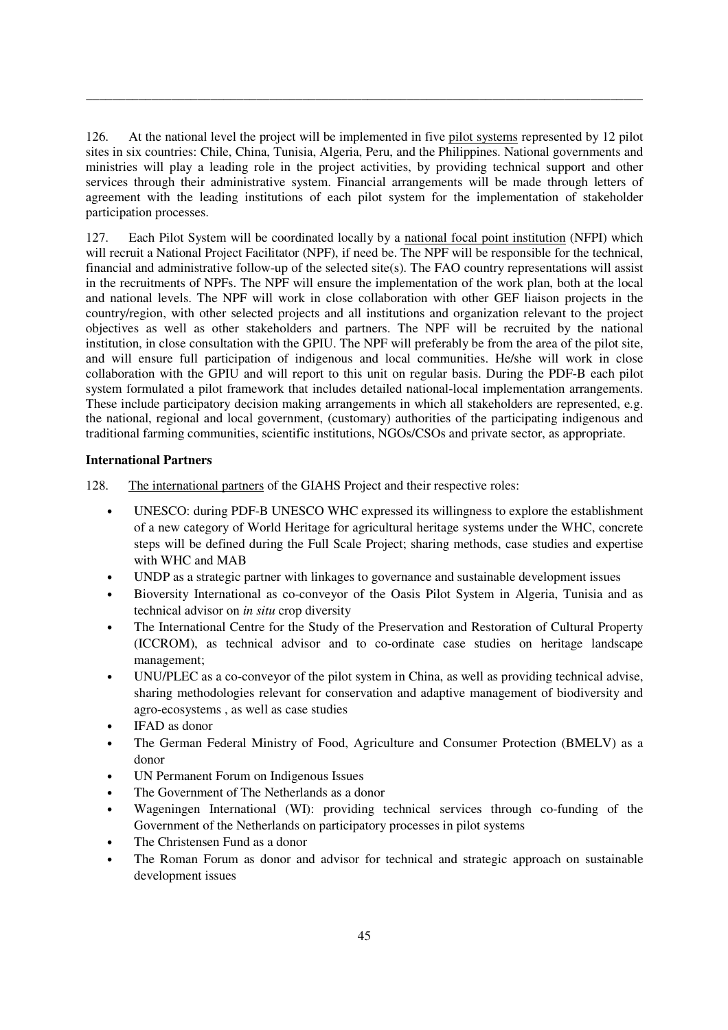126. At the national level the project will be implemented in five pilot systems represented by 12 pilot sites in six countries: Chile, China, Tunisia, Algeria, Peru, and the Philippines. National governments and ministries will play a leading role in the project activities, by providing technical support and other services through their administrative system. Financial arrangements will be made through letters of agreement with the leading institutions of each pilot system for the implementation of stakeholder participation processes.

\_\_\_\_\_\_\_\_\_\_\_\_\_\_\_\_\_\_\_\_\_\_\_\_\_\_\_\_\_\_\_\_\_\_\_\_\_\_\_\_\_\_\_\_\_\_\_\_\_\_\_\_\_\_\_\_\_\_\_\_\_\_\_\_\_\_\_\_\_\_\_\_\_\_\_\_\_\_\_\_\_\_\_\_\_

127. Each Pilot System will be coordinated locally by a national focal point institution (NFPI) which will recruit a National Project Facilitator (NPF), if need be. The NPF will be responsible for the technical, financial and administrative follow-up of the selected site(s). The FAO country representations will assist in the recruitments of NPFs. The NPF will ensure the implementation of the work plan, both at the local and national levels. The NPF will work in close collaboration with other GEF liaison projects in the country/region, with other selected projects and all institutions and organization relevant to the project objectives as well as other stakeholders and partners. The NPF will be recruited by the national institution, in close consultation with the GPIU. The NPF will preferably be from the area of the pilot site, and will ensure full participation of indigenous and local communities. He/she will work in close collaboration with the GPIU and will report to this unit on regular basis. During the PDF-B each pilot system formulated a pilot framework that includes detailed national-local implementation arrangements. These include participatory decision making arrangements in which all stakeholders are represented, e.g. the national, regional and local government, (customary) authorities of the participating indigenous and traditional farming communities, scientific institutions, NGOs/CSOs and private sector, as appropriate.

## **International Partners**

128. The international partners of the GIAHS Project and their respective roles:

- UNESCO: during PDF-B UNESCO WHC expressed its willingness to explore the establishment of a new category of World Heritage for agricultural heritage systems under the WHC, concrete steps will be defined during the Full Scale Project; sharing methods, case studies and expertise with WHC and MAB
- UNDP as a strategic partner with linkages to governance and sustainable development issues
- Bioversity International as co-conveyor of the Oasis Pilot System in Algeria, Tunisia and as technical advisor on *in situ* crop diversity
- The International Centre for the Study of the Preservation and Restoration of Cultural Property (ICCROM), as technical advisor and to co-ordinate case studies on heritage landscape management;
- UNU/PLEC as a co-conveyor of the pilot system in China, as well as providing technical advise, sharing methodologies relevant for conservation and adaptive management of biodiversity and agro-ecosystems , as well as case studies
- IFAD as donor
- The German Federal Ministry of Food, Agriculture and Consumer Protection (BMELV) as a donor
- UN Permanent Forum on Indigenous Issues
- The Government of The Netherlands as a donor
- Wageningen International (WI): providing technical services through co-funding of the Government of the Netherlands on participatory processes in pilot systems
- The Christensen Fund as a donor
- The Roman Forum as donor and advisor for technical and strategic approach on sustainable development issues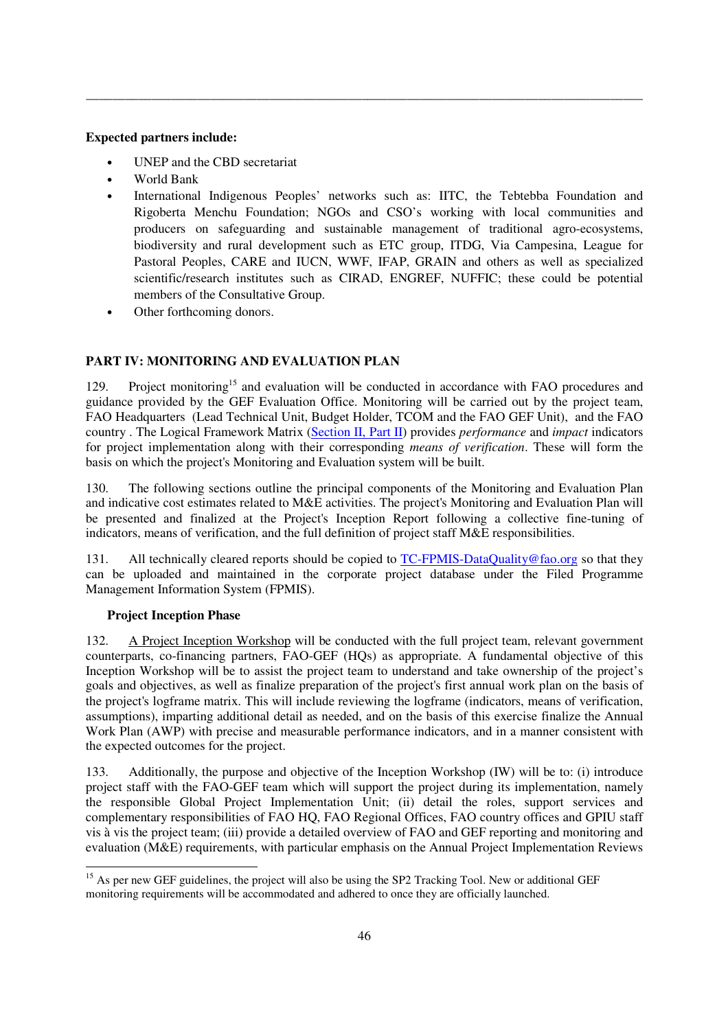## **Expected partners include:**

- UNEP and the CBD secretariat
- World Bank
- International Indigenous Peoples' networks such as: IITC, the Tebtebba Foundation and Rigoberta Menchu Foundation; NGOs and CSO's working with local communities and producers on safeguarding and sustainable management of traditional agro-ecosystems, biodiversity and rural development such as ETC group, ITDG, Via Campesina, League for Pastoral Peoples, CARE and IUCN, WWF, IFAP, GRAIN and others as well as specialized scientific/research institutes such as CIRAD, ENGREF, NUFFIC; these could be potential members of the Consultative Group.

\_\_\_\_\_\_\_\_\_\_\_\_\_\_\_\_\_\_\_\_\_\_\_\_\_\_\_\_\_\_\_\_\_\_\_\_\_\_\_\_\_\_\_\_\_\_\_\_\_\_\_\_\_\_\_\_\_\_\_\_\_\_\_\_\_\_\_\_\_\_\_\_\_\_\_\_\_\_\_\_\_\_\_\_\_

• Other forthcoming donors.

# **PART IV: MONITORING AND EVALUATION PLAN**

129. Project monitoring<sup>15</sup> and evaluation will be conducted in accordance with FAO procedures and guidance provided by the GEF Evaluation Office. Monitoring will be carried out by the project team, FAO Headquarters (Lead Technical Unit, Budget Holder, TCOM and the FAO GEF Unit), and the FAO country . The Logical Framework Matrix (Section II, Part II) provides *performance* and *impact* indicators for project implementation along with their corresponding *means of verification*. These will form the basis on which the project's Monitoring and Evaluation system will be built.

130. The following sections outline the principal components of the Monitoring and Evaluation Plan and indicative cost estimates related to M&E activities. The project's Monitoring and Evaluation Plan will be presented and finalized at the Project's Inception Report following a collective fine-tuning of indicators, means of verification, and the full definition of project staff M&E responsibilities.

131. All technically cleared reports should be copied to TC-FPMIS-DataQuality@fao.org so that they can be uploaded and maintained in the corporate project database under the Filed Programme Management Information System (FPMIS).

## **Project Inception Phase**

132. A Project Inception Workshop will be conducted with the full project team, relevant government counterparts, co-financing partners, FAO-GEF (HQs) as appropriate. A fundamental objective of this Inception Workshop will be to assist the project team to understand and take ownership of the project's goals and objectives, as well as finalize preparation of the project's first annual work plan on the basis of the project's logframe matrix. This will include reviewing the logframe (indicators, means of verification, assumptions), imparting additional detail as needed, and on the basis of this exercise finalize the Annual Work Plan (AWP) with precise and measurable performance indicators, and in a manner consistent with the expected outcomes for the project.

133. Additionally, the purpose and objective of the Inception Workshop (IW) will be to: (i) introduce project staff with the FAO-GEF team which will support the project during its implementation, namely the responsible Global Project Implementation Unit; (ii) detail the roles, support services and complementary responsibilities of FAO HQ, FAO Regional Offices, FAO country offices and GPIU staff vis à vis the project team; (iii) provide a detailed overview of FAO and GEF reporting and monitoring and evaluation (M&E) requirements, with particular emphasis on the Annual Project Implementation Reviews

<sup>&</sup>lt;u>.</u> <sup>15</sup> As per new GEF guidelines, the project will also be using the SP2 Tracking Tool. New or additional GEF monitoring requirements will be accommodated and adhered to once they are officially launched.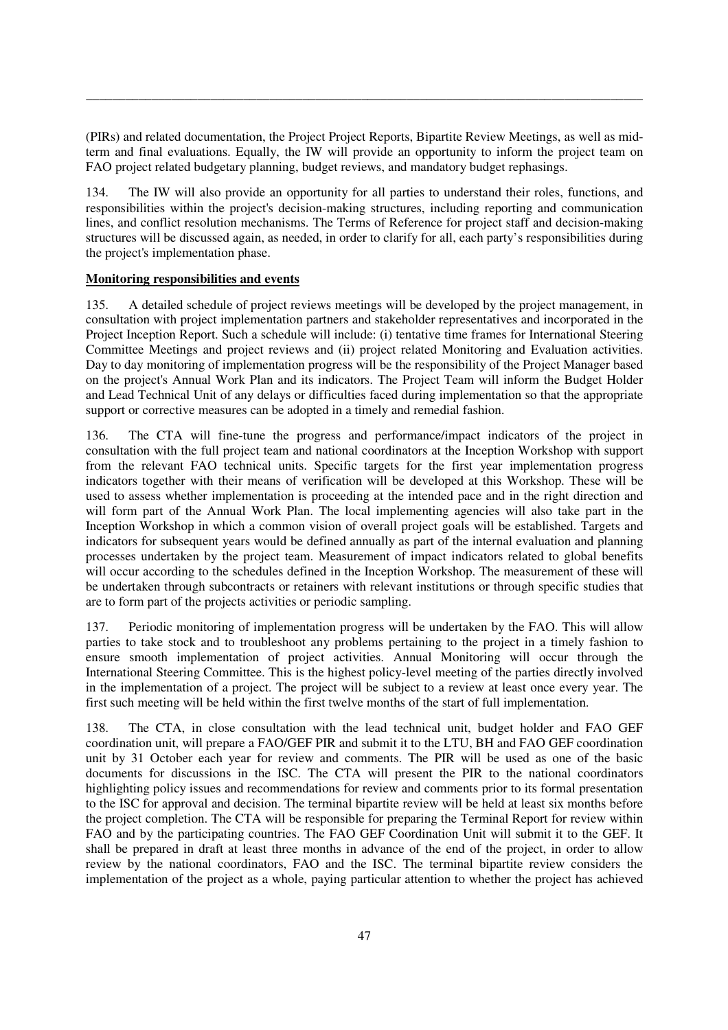(PIRs) and related documentation, the Project Project Reports, Bipartite Review Meetings, as well as midterm and final evaluations. Equally, the IW will provide an opportunity to inform the project team on FAO project related budgetary planning, budget reviews, and mandatory budget rephasings.

\_\_\_\_\_\_\_\_\_\_\_\_\_\_\_\_\_\_\_\_\_\_\_\_\_\_\_\_\_\_\_\_\_\_\_\_\_\_\_\_\_\_\_\_\_\_\_\_\_\_\_\_\_\_\_\_\_\_\_\_\_\_\_\_\_\_\_\_\_\_\_\_\_\_\_\_\_\_\_\_\_\_\_\_\_

134. The IW will also provide an opportunity for all parties to understand their roles, functions, and responsibilities within the project's decision-making structures, including reporting and communication lines, and conflict resolution mechanisms. The Terms of Reference for project staff and decision-making structures will be discussed again, as needed, in order to clarify for all, each party's responsibilities during the project's implementation phase.

## **Monitoring responsibilities and events**

135. A detailed schedule of project reviews meetings will be developed by the project management, in consultation with project implementation partners and stakeholder representatives and incorporated in the Project Inception Report. Such a schedule will include: (i) tentative time frames for International Steering Committee Meetings and project reviews and (ii) project related Monitoring and Evaluation activities. Day to day monitoring of implementation progress will be the responsibility of the Project Manager based on the project's Annual Work Plan and its indicators. The Project Team will inform the Budget Holder and Lead Technical Unit of any delays or difficulties faced during implementation so that the appropriate support or corrective measures can be adopted in a timely and remedial fashion.

136. The CTA will fine-tune the progress and performance/impact indicators of the project in consultation with the full project team and national coordinators at the Inception Workshop with support from the relevant FAO technical units. Specific targets for the first year implementation progress indicators together with their means of verification will be developed at this Workshop. These will be used to assess whether implementation is proceeding at the intended pace and in the right direction and will form part of the Annual Work Plan. The local implementing agencies will also take part in the Inception Workshop in which a common vision of overall project goals will be established. Targets and indicators for subsequent years would be defined annually as part of the internal evaluation and planning processes undertaken by the project team. Measurement of impact indicators related to global benefits will occur according to the schedules defined in the Inception Workshop. The measurement of these will be undertaken through subcontracts or retainers with relevant institutions or through specific studies that are to form part of the projects activities or periodic sampling.

137. Periodic monitoring of implementation progress will be undertaken by the FAO. This will allow parties to take stock and to troubleshoot any problems pertaining to the project in a timely fashion to ensure smooth implementation of project activities. Annual Monitoring will occur through the International Steering Committee. This is the highest policy-level meeting of the parties directly involved in the implementation of a project. The project will be subject to a review at least once every year. The first such meeting will be held within the first twelve months of the start of full implementation.

138. The CTA, in close consultation with the lead technical unit, budget holder and FAO GEF coordination unit, will prepare a FAO/GEF PIR and submit it to the LTU, BH and FAO GEF coordination unit by 31 October each year for review and comments. The PIR will be used as one of the basic documents for discussions in the ISC. The CTA will present the PIR to the national coordinators highlighting policy issues and recommendations for review and comments prior to its formal presentation to the ISC for approval and decision. The terminal bipartite review will be held at least six months before the project completion. The CTA will be responsible for preparing the Terminal Report for review within FAO and by the participating countries. The FAO GEF Coordination Unit will submit it to the GEF. It shall be prepared in draft at least three months in advance of the end of the project, in order to allow review by the national coordinators, FAO and the ISC. The terminal bipartite review considers the implementation of the project as a whole, paying particular attention to whether the project has achieved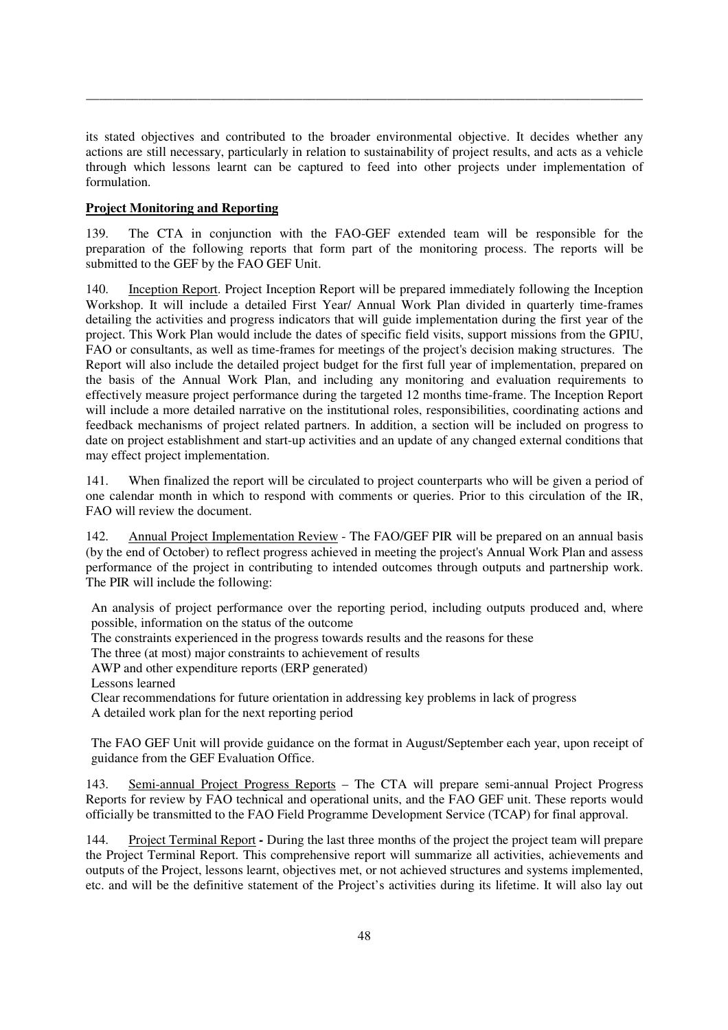its stated objectives and contributed to the broader environmental objective. It decides whether any actions are still necessary, particularly in relation to sustainability of project results, and acts as a vehicle through which lessons learnt can be captured to feed into other projects under implementation of formulation.

\_\_\_\_\_\_\_\_\_\_\_\_\_\_\_\_\_\_\_\_\_\_\_\_\_\_\_\_\_\_\_\_\_\_\_\_\_\_\_\_\_\_\_\_\_\_\_\_\_\_\_\_\_\_\_\_\_\_\_\_\_\_\_\_\_\_\_\_\_\_\_\_\_\_\_\_\_\_\_\_\_\_\_\_\_

## **Project Monitoring and Reporting**

139. The CTA in conjunction with the FAO-GEF extended team will be responsible for the preparation of the following reports that form part of the monitoring process. The reports will be submitted to the GEF by the FAO GEF Unit.

140. Inception Report. Project Inception Report will be prepared immediately following the Inception Workshop. It will include a detailed First Year/ Annual Work Plan divided in quarterly time-frames detailing the activities and progress indicators that will guide implementation during the first year of the project. This Work Plan would include the dates of specific field visits, support missions from the GPIU, FAO or consultants, as well as time-frames for meetings of the project's decision making structures. The Report will also include the detailed project budget for the first full year of implementation, prepared on the basis of the Annual Work Plan, and including any monitoring and evaluation requirements to effectively measure project performance during the targeted 12 months time-frame. The Inception Report will include a more detailed narrative on the institutional roles, responsibilities, coordinating actions and feedback mechanisms of project related partners. In addition, a section will be included on progress to date on project establishment and start-up activities and an update of any changed external conditions that may effect project implementation.

141. When finalized the report will be circulated to project counterparts who will be given a period of one calendar month in which to respond with comments or queries. Prior to this circulation of the IR, FAO will review the document.

142. Annual Project Implementation Review - The FAO/GEF PIR will be prepared on an annual basis (by the end of October) to reflect progress achieved in meeting the project's Annual Work Plan and assess performance of the project in contributing to intended outcomes through outputs and partnership work. The PIR will include the following:

An analysis of project performance over the reporting period, including outputs produced and, where possible, information on the status of the outcome

The constraints experienced in the progress towards results and the reasons for these

The three (at most) major constraints to achievement of results

AWP and other expenditure reports (ERP generated)

Lessons learned

Clear recommendations for future orientation in addressing key problems in lack of progress A detailed work plan for the next reporting period

The FAO GEF Unit will provide guidance on the format in August/September each year, upon receipt of guidance from the GEF Evaluation Office.

143. Semi-annual Project Progress Reports – The CTA will prepare semi-annual Project Progress Reports for review by FAO technical and operational units, and the FAO GEF unit. These reports would officially be transmitted to the FAO Field Programme Development Service (TCAP) for final approval.

144. Project Terminal Report *-* During the last three months of the project the project team will prepare the Project Terminal Report. This comprehensive report will summarize all activities, achievements and outputs of the Project, lessons learnt, objectives met, or not achieved structures and systems implemented, etc. and will be the definitive statement of the Project's activities during its lifetime. It will also lay out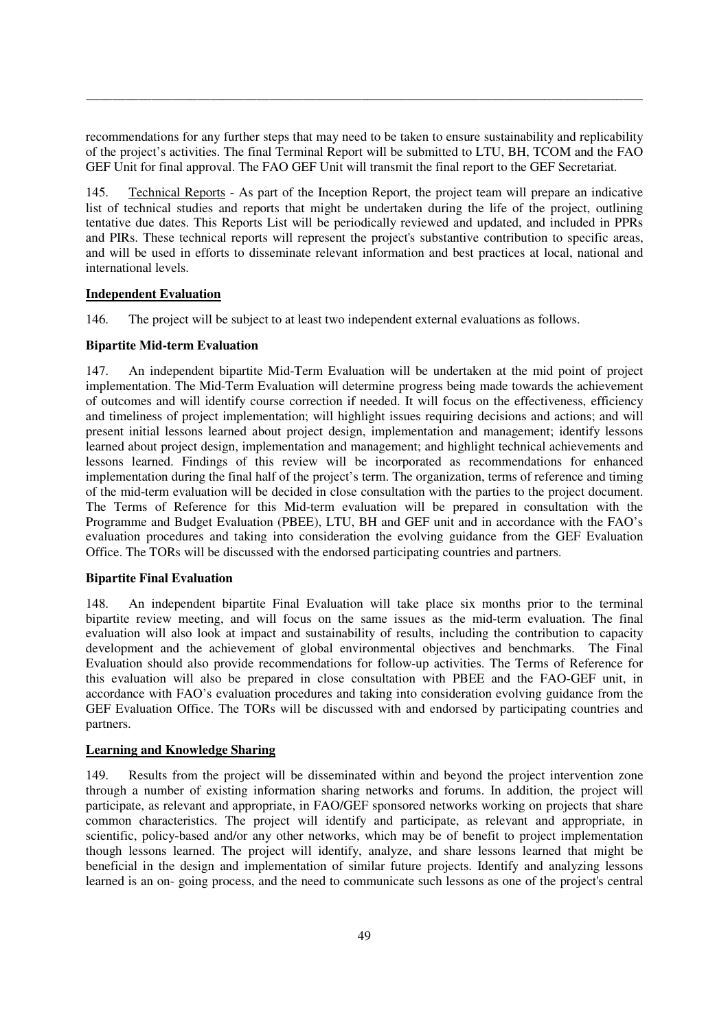recommendations for any further steps that may need to be taken to ensure sustainability and replicability of the project's activities. The final Terminal Report will be submitted to LTU, BH, TCOM and the FAO GEF Unit for final approval. The FAO GEF Unit will transmit the final report to the GEF Secretariat.

\_\_\_\_\_\_\_\_\_\_\_\_\_\_\_\_\_\_\_\_\_\_\_\_\_\_\_\_\_\_\_\_\_\_\_\_\_\_\_\_\_\_\_\_\_\_\_\_\_\_\_\_\_\_\_\_\_\_\_\_\_\_\_\_\_\_\_\_\_\_\_\_\_\_\_\_\_\_\_\_\_\_\_\_\_

145. Technical Reports - As part of the Inception Report, the project team will prepare an indicative list of technical studies and reports that might be undertaken during the life of the project, outlining tentative due dates. This Reports List will be periodically reviewed and updated, and included in PPRs and PIRs. These technical reports will represent the project's substantive contribution to specific areas, and will be used in efforts to disseminate relevant information and best practices at local, national and international levels.

## **Independent Evaluation**

146. The project will be subject to at least two independent external evaluations as follows.

## **Bipartite Mid-term Evaluation**

147. An independent bipartite Mid-Term Evaluation will be undertaken at the mid point of project implementation. The Mid-Term Evaluation will determine progress being made towards the achievement of outcomes and will identify course correction if needed. It will focus on the effectiveness, efficiency and timeliness of project implementation; will highlight issues requiring decisions and actions; and will present initial lessons learned about project design, implementation and management; identify lessons learned about project design, implementation and management; and highlight technical achievements and lessons learned. Findings of this review will be incorporated as recommendations for enhanced implementation during the final half of the project's term. The organization, terms of reference and timing of the mid-term evaluation will be decided in close consultation with the parties to the project document. The Terms of Reference for this Mid-term evaluation will be prepared in consultation with the Programme and Budget Evaluation (PBEE), LTU, BH and GEF unit and in accordance with the FAO's evaluation procedures and taking into consideration the evolving guidance from the GEF Evaluation Office. The TORs will be discussed with the endorsed participating countries and partners.

## **Bipartite Final Evaluation**

148. An independent bipartite Final Evaluation will take place six months prior to the terminal bipartite review meeting, and will focus on the same issues as the mid-term evaluation. The final evaluation will also look at impact and sustainability of results, including the contribution to capacity development and the achievement of global environmental objectives and benchmarks. The Final Evaluation should also provide recommendations for follow-up activities. The Terms of Reference for this evaluation will also be prepared in close consultation with PBEE and the FAO-GEF unit, in accordance with FAO's evaluation procedures and taking into consideration evolving guidance from the GEF Evaluation Office. The TORs will be discussed with and endorsed by participating countries and partners.

## **Learning and Knowledge Sharing**

149. Results from the project will be disseminated within and beyond the project intervention zone through a number of existing information sharing networks and forums. In addition, the project will participate, as relevant and appropriate, in FAO/GEF sponsored networks working on projects that share common characteristics. The project will identify and participate, as relevant and appropriate, in scientific, policy-based and/or any other networks, which may be of benefit to project implementation though lessons learned. The project will identify, analyze, and share lessons learned that might be beneficial in the design and implementation of similar future projects. Identify and analyzing lessons learned is an on- going process, and the need to communicate such lessons as one of the project's central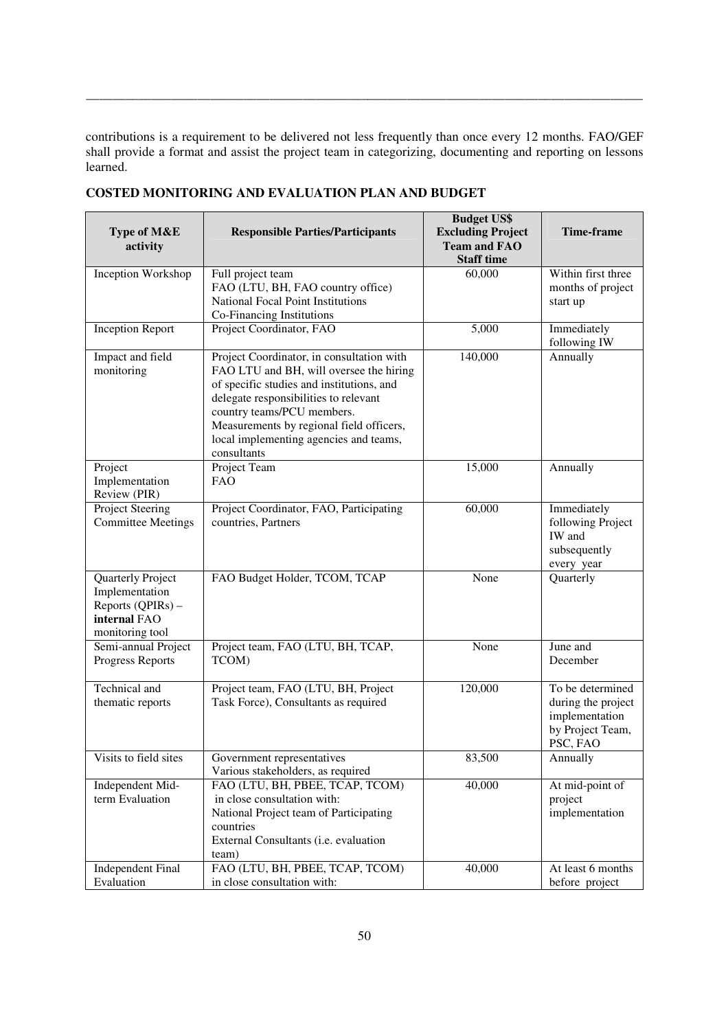contributions is a requirement to be delivered not less frequently than once every 12 months. FAO/GEF shall provide a format and assist the project team in categorizing, documenting and reporting on lessons learned.

\_\_\_\_\_\_\_\_\_\_\_\_\_\_\_\_\_\_\_\_\_\_\_\_\_\_\_\_\_\_\_\_\_\_\_\_\_\_\_\_\_\_\_\_\_\_\_\_\_\_\_\_\_\_\_\_\_\_\_\_\_\_\_\_\_\_\_\_\_\_\_\_\_\_\_\_\_\_\_\_\_\_\_\_\_

| Type of M&E<br>activity                                                                     | <b>Responsible Parties/Participants</b>                                                                                                                                                                                                                                                                       | <b>Budget US\$</b><br><b>Excluding Project</b><br><b>Team and FAO</b><br><b>Staff time</b> | Time-frame                                                                               |
|---------------------------------------------------------------------------------------------|---------------------------------------------------------------------------------------------------------------------------------------------------------------------------------------------------------------------------------------------------------------------------------------------------------------|--------------------------------------------------------------------------------------------|------------------------------------------------------------------------------------------|
| Inception Workshop                                                                          | Full project team<br>FAO (LTU, BH, FAO country office)<br>National Focal Point Institutions<br>Co-Financing Institutions                                                                                                                                                                                      | 60,000                                                                                     | Within first three<br>months of project<br>start up                                      |
| <b>Inception Report</b>                                                                     | Project Coordinator, FAO                                                                                                                                                                                                                                                                                      | 5,000                                                                                      | Immediately<br>following IW                                                              |
| Impact and field<br>monitoring                                                              | Project Coordinator, in consultation with<br>FAO LTU and BH, will oversee the hiring<br>of specific studies and institutions, and<br>delegate responsibilities to relevant<br>country teams/PCU members.<br>Measurements by regional field officers,<br>local implementing agencies and teams,<br>consultants | 140,000                                                                                    | Annually                                                                                 |
| Project<br>Implementation<br>Review (PIR)                                                   | Project Team<br><b>FAO</b>                                                                                                                                                                                                                                                                                    | 15,000                                                                                     | Annually                                                                                 |
| Project Steering<br><b>Committee Meetings</b>                                               | Project Coordinator, FAO, Participating<br>countries, Partners                                                                                                                                                                                                                                                | 60,000                                                                                     | Immediately<br>following Project<br>IW and<br>subsequently<br>every year                 |
| Quarterly Project<br>Implementation<br>Reports (QPIRs) -<br>internal FAO<br>monitoring tool | FAO Budget Holder, TCOM, TCAP                                                                                                                                                                                                                                                                                 | None                                                                                       | Quarterly                                                                                |
| Semi-annual Project<br>Progress Reports                                                     | Project team, FAO (LTU, BH, TCAP,<br>TCOM)                                                                                                                                                                                                                                                                    | None                                                                                       | June and<br>December                                                                     |
| Technical and<br>thematic reports                                                           | Project team, FAO (LTU, BH, Project<br>Task Force), Consultants as required                                                                                                                                                                                                                                   | 120,000                                                                                    | To be determined<br>during the project<br>implementation<br>by Project Team,<br>PSC, FAO |
| Visits to field sites                                                                       | Government representatives<br>Various stakeholders, as required                                                                                                                                                                                                                                               | 83,500                                                                                     | Annually                                                                                 |
| Independent Mid-<br>term Evaluation                                                         | FAO (LTU, BH, PBEE, TCAP, TCOM)<br>in close consultation with:<br>National Project team of Participating<br>countries<br>External Consultants (i.e. evaluation<br>team)                                                                                                                                       | 40,000                                                                                     | At mid-point of<br>project<br>implementation                                             |
| <b>Independent Final</b><br>Evaluation                                                      | FAO (LTU, BH, PBEE, TCAP, TCOM)<br>in close consultation with:                                                                                                                                                                                                                                                | 40,000                                                                                     | At least 6 months<br>before project                                                      |

**COSTED MONITORING AND EVALUATION PLAN AND BUDGET**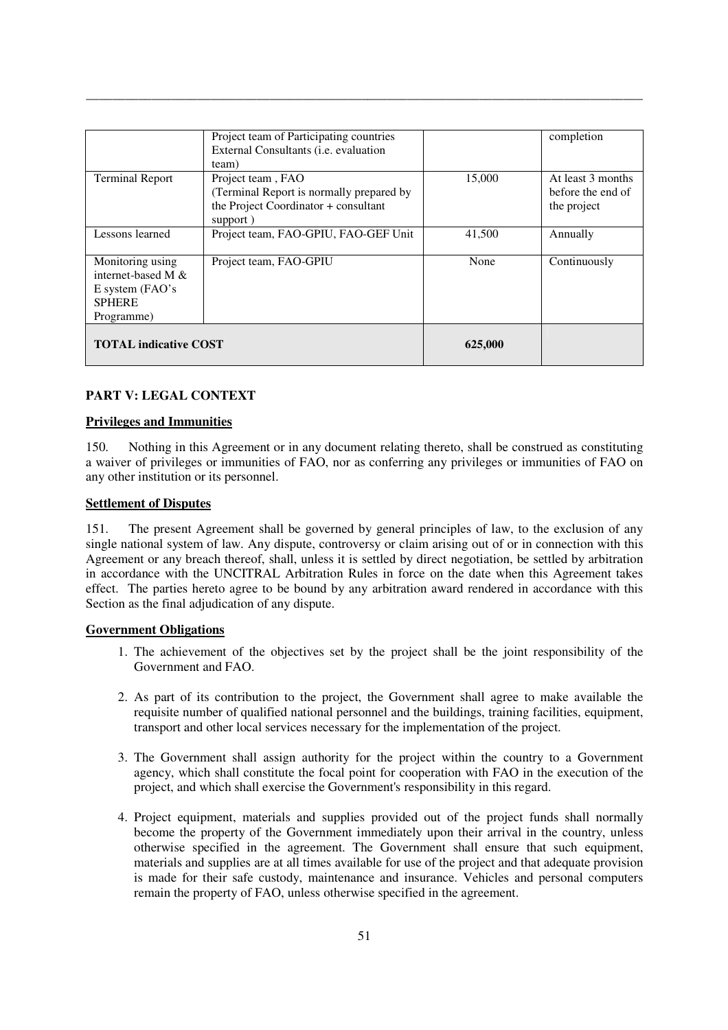|                                                                                             | Project team of Participating countries<br>External Consultants (i.e. evaluation<br>team)                         |         | completion                                            |
|---------------------------------------------------------------------------------------------|-------------------------------------------------------------------------------------------------------------------|---------|-------------------------------------------------------|
| <b>Terminal Report</b>                                                                      | Project team, FAO<br>(Terminal Report is normally prepared by<br>the Project Coordinator + consultant<br>support) | 15,000  | At least 3 months<br>before the end of<br>the project |
| Lessons learned                                                                             | Project team, FAO-GPIU, FAO-GEF Unit                                                                              | 41,500  | Annually                                              |
| Monitoring using<br>internet-based M $\&$<br>E system (FAO's<br><b>SPHERE</b><br>Programme) | Project team, FAO-GPIU                                                                                            | None    | Continuously                                          |
| <b>TOTAL</b> indicative COST                                                                |                                                                                                                   | 625,000 |                                                       |

\_\_\_\_\_\_\_\_\_\_\_\_\_\_\_\_\_\_\_\_\_\_\_\_\_\_\_\_\_\_\_\_\_\_\_\_\_\_\_\_\_\_\_\_\_\_\_\_\_\_\_\_\_\_\_\_\_\_\_\_\_\_\_\_\_\_\_\_\_\_\_\_\_\_\_\_\_\_\_\_\_\_\_\_\_

## **PART V: LEGAL CONTEXT**

#### **Privileges and Immunities**

150. Nothing in this Agreement or in any document relating thereto, shall be construed as constituting a waiver of privileges or immunities of FAO, nor as conferring any privileges or immunities of FAO on any other institution or its personnel.

### **Settlement of Disputes**

151. The present Agreement shall be governed by general principles of law, to the exclusion of any single national system of law. Any dispute, controversy or claim arising out of or in connection with this Agreement or any breach thereof, shall, unless it is settled by direct negotiation, be settled by arbitration in accordance with the UNCITRAL Arbitration Rules in force on the date when this Agreement takes effect. The parties hereto agree to be bound by any arbitration award rendered in accordance with this Section as the final adjudication of any dispute.

#### **Government Obligations**

- 1. The achievement of the objectives set by the project shall be the joint responsibility of the Government and FAO.
- 2. As part of its contribution to the project, the Government shall agree to make available the requisite number of qualified national personnel and the buildings, training facilities, equipment, transport and other local services necessary for the implementation of the project.
- 3. The Government shall assign authority for the project within the country to a Government agency, which shall constitute the focal point for cooperation with FAO in the execution of the project, and which shall exercise the Government's responsibility in this regard.
- 4. Project equipment, materials and supplies provided out of the project funds shall normally become the property of the Government immediately upon their arrival in the country, unless otherwise specified in the agreement. The Government shall ensure that such equipment, materials and supplies are at all times available for use of the project and that adequate provision is made for their safe custody, maintenance and insurance. Vehicles and personal computers remain the property of FAO, unless otherwise specified in the agreement.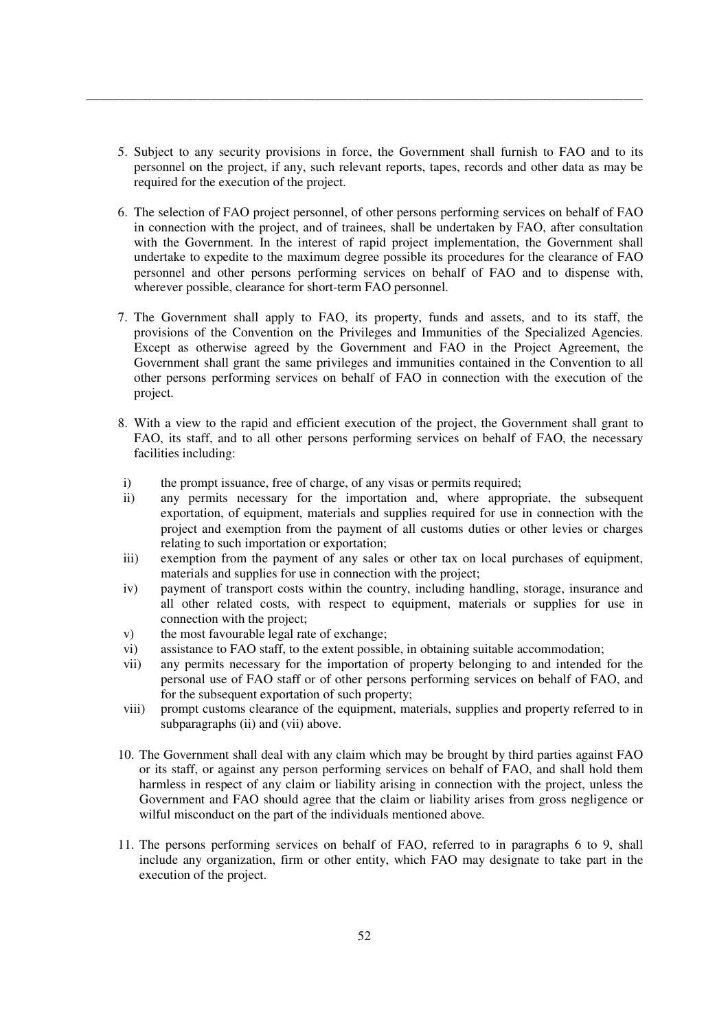5. Subject to any security provisions in force, the Government shall furnish to FAO and to its personnel on the project, if any, such relevant reports, tapes, records and other data as may be required for the execution of the project.

\_\_\_\_\_\_\_\_\_\_\_\_\_\_\_\_\_\_\_\_\_\_\_\_\_\_\_\_\_\_\_\_\_\_\_\_\_\_\_\_\_\_\_\_\_\_\_\_\_\_\_\_\_\_\_\_\_\_\_\_\_\_\_\_\_\_\_\_\_\_\_\_\_\_\_\_\_\_\_\_\_\_\_\_\_

- 6. The selection of FAO project personnel, of other persons performing services on behalf of FAO in connection with the project, and of trainees, shall be undertaken by FAO, after consultation with the Government. In the interest of rapid project implementation, the Government shall undertake to expedite to the maximum degree possible its procedures for the clearance of FAO personnel and other persons performing services on behalf of FAO and to dispense with, wherever possible, clearance for short-term FAO personnel.
- 7. The Government shall apply to FAO, its property, funds and assets, and to its staff, the provisions of the Convention on the Privileges and Immunities of the Specialized Agencies. Except as otherwise agreed by the Government and FAO in the Project Agreement, the Government shall grant the same privileges and immunities contained in the Convention to all other persons performing services on behalf of FAO in connection with the execution of the project.
- 8. With a view to the rapid and efficient execution of the project, the Government shall grant to FAO, its staff, and to all other persons performing services on behalf of FAO, the necessary facilities including:
- i) the prompt issuance, free of charge, of any visas or permits required;
- ii) any permits necessary for the importation and, where appropriate, the subsequent exportation, of equipment, materials and supplies required for use in connection with the project and exemption from the payment of all customs duties or other levies or charges relating to such importation or exportation;
- iii) exemption from the payment of any sales or other tax on local purchases of equipment, materials and supplies for use in connection with the project;
- iv) payment of transport costs within the country, including handling, storage, insurance and all other related costs, with respect to equipment, materials or supplies for use in connection with the project;
- v) the most favourable legal rate of exchange;
- vi) assistance to FAO staff, to the extent possible, in obtaining suitable accommodation;
- vii) any permits necessary for the importation of property belonging to and intended for the personal use of FAO staff or of other persons performing services on behalf of FAO, and for the subsequent exportation of such property;
- viii) prompt customs clearance of the equipment, materials, supplies and property referred to in subparagraphs (ii) and (vii) above.
- 10. The Government shall deal with any claim which may be brought by third parties against FAO or its staff, or against any person performing services on behalf of FAO, and shall hold them harmless in respect of any claim or liability arising in connection with the project, unless the Government and FAO should agree that the claim or liability arises from gross negligence or wilful misconduct on the part of the individuals mentioned above.
- 11. The persons performing services on behalf of FAO, referred to in paragraphs 6 to 9, shall include any organization, firm or other entity, which FAO may designate to take part in the execution of the project.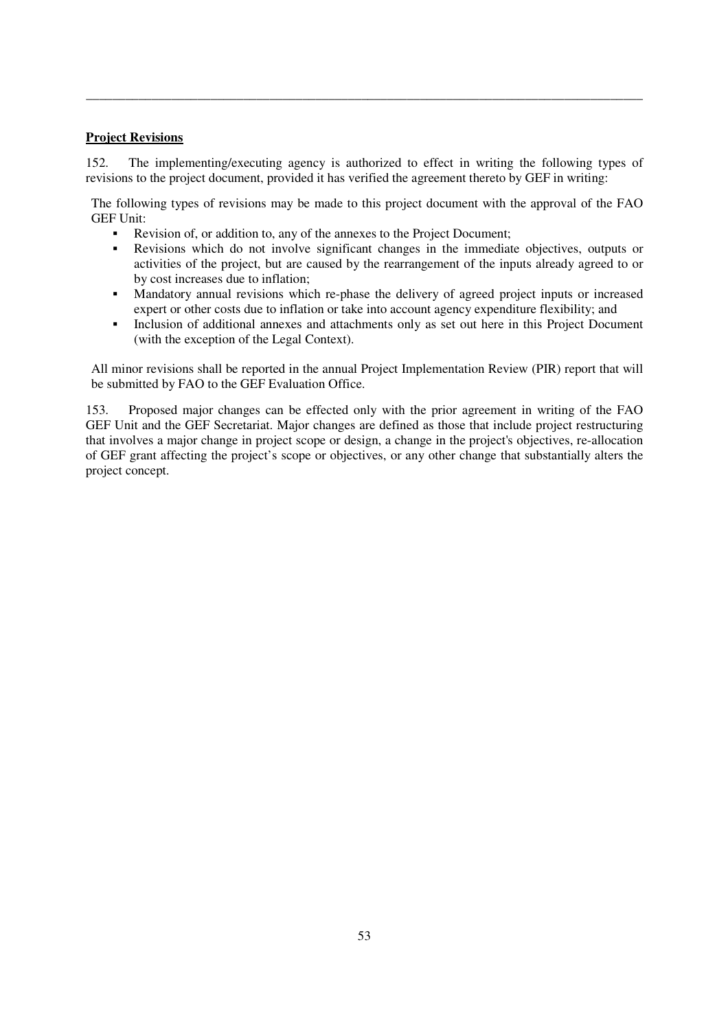## **Project Revisions**

152. The implementing/executing agency is authorized to effect in writing the following types of revisions to the project document, provided it has verified the agreement thereto by GEF in writing:

\_\_\_\_\_\_\_\_\_\_\_\_\_\_\_\_\_\_\_\_\_\_\_\_\_\_\_\_\_\_\_\_\_\_\_\_\_\_\_\_\_\_\_\_\_\_\_\_\_\_\_\_\_\_\_\_\_\_\_\_\_\_\_\_\_\_\_\_\_\_\_\_\_\_\_\_\_\_\_\_\_\_\_\_\_

The following types of revisions may be made to this project document with the approval of the FAO GEF Unit:

- Revision of, or addition to, any of the annexes to the Project Document;
- Revisions which do not involve significant changes in the immediate objectives, outputs or activities of the project, but are caused by the rearrangement of the inputs already agreed to or by cost increases due to inflation;
- Mandatory annual revisions which re-phase the delivery of agreed project inputs or increased expert or other costs due to inflation or take into account agency expenditure flexibility; and
- Inclusion of additional annexes and attachments only as set out here in this Project Document (with the exception of the Legal Context).

All minor revisions shall be reported in the annual Project Implementation Review (PIR) report that will be submitted by FAO to the GEF Evaluation Office.

153. Proposed major changes can be effected only with the prior agreement in writing of the FAO GEF Unit and the GEF Secretariat. Major changes are defined as those that include project restructuring that involves a major change in project scope or design, a change in the project's objectives, re-allocation of GEF grant affecting the project's scope or objectives, or any other change that substantially alters the project concept.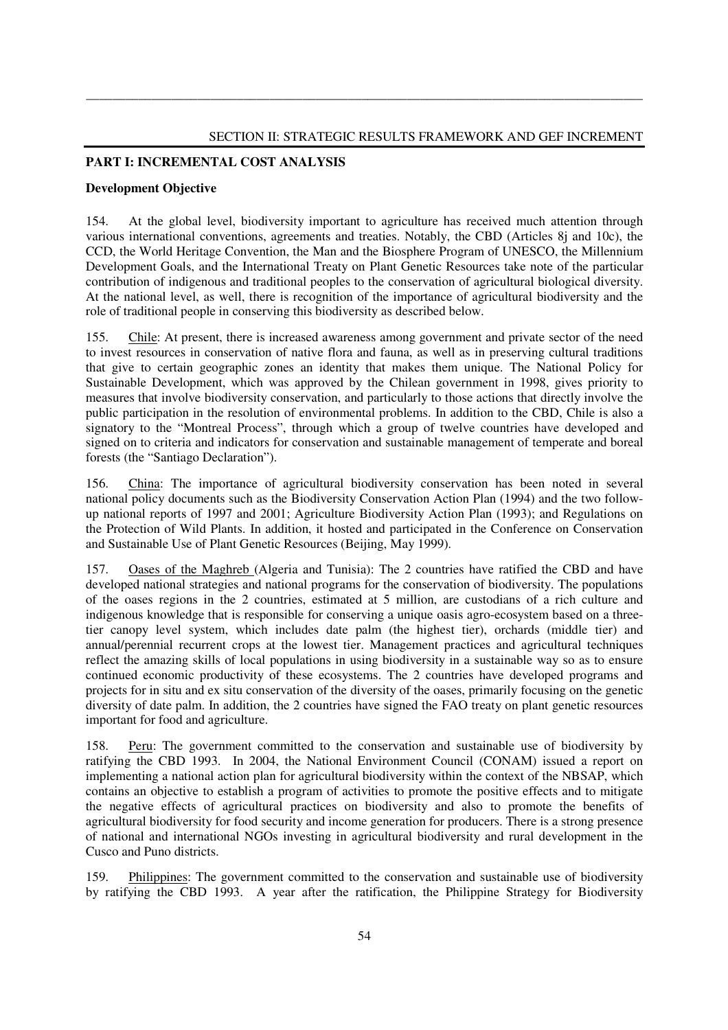## **PART I: INCREMENTAL COST ANALYSIS**

#### **Development Objective**

154. At the global level, biodiversity important to agriculture has received much attention through various international conventions, agreements and treaties. Notably, the CBD (Articles 8j and 10c), the CCD, the World Heritage Convention, the Man and the Biosphere Program of UNESCO, the Millennium Development Goals, and the International Treaty on Plant Genetic Resources take note of the particular contribution of indigenous and traditional peoples to the conservation of agricultural biological diversity. At the national level, as well, there is recognition of the importance of agricultural biodiversity and the role of traditional people in conserving this biodiversity as described below.

\_\_\_\_\_\_\_\_\_\_\_\_\_\_\_\_\_\_\_\_\_\_\_\_\_\_\_\_\_\_\_\_\_\_\_\_\_\_\_\_\_\_\_\_\_\_\_\_\_\_\_\_\_\_\_\_\_\_\_\_\_\_\_\_\_\_\_\_\_\_\_\_\_\_\_\_\_\_\_\_\_\_\_\_\_

155. Chile: At present, there is increased awareness among government and private sector of the need to invest resources in conservation of native flora and fauna, as well as in preserving cultural traditions that give to certain geographic zones an identity that makes them unique. The National Policy for Sustainable Development, which was approved by the Chilean government in 1998, gives priority to measures that involve biodiversity conservation, and particularly to those actions that directly involve the public participation in the resolution of environmental problems. In addition to the CBD, Chile is also a signatory to the "Montreal Process", through which a group of twelve countries have developed and signed on to criteria and indicators for conservation and sustainable management of temperate and boreal forests (the "Santiago Declaration").

156. China: The importance of agricultural biodiversity conservation has been noted in several national policy documents such as the Biodiversity Conservation Action Plan (1994) and the two followup national reports of 1997 and 2001; Agriculture Biodiversity Action Plan (1993); and Regulations on the Protection of Wild Plants. In addition, it hosted and participated in the Conference on Conservation and Sustainable Use of Plant Genetic Resources (Beijing, May 1999).

157. Oases of the Maghreb (Algeria and Tunisia): The 2 countries have ratified the CBD and have developed national strategies and national programs for the conservation of biodiversity. The populations of the oases regions in the 2 countries, estimated at 5 million, are custodians of a rich culture and indigenous knowledge that is responsible for conserving a unique oasis agro-ecosystem based on a threetier canopy level system, which includes date palm (the highest tier), orchards (middle tier) and annual/perennial recurrent crops at the lowest tier. Management practices and agricultural techniques reflect the amazing skills of local populations in using biodiversity in a sustainable way so as to ensure continued economic productivity of these ecosystems. The 2 countries have developed programs and projects for in situ and ex situ conservation of the diversity of the oases, primarily focusing on the genetic diversity of date palm. In addition, the 2 countries have signed the FAO treaty on plant genetic resources important for food and agriculture.

158. Peru: The government committed to the conservation and sustainable use of biodiversity by ratifying the CBD 1993. In 2004, the National Environment Council (CONAM) issued a report on implementing a national action plan for agricultural biodiversity within the context of the NBSAP, which contains an objective to establish a program of activities to promote the positive effects and to mitigate the negative effects of agricultural practices on biodiversity and also to promote the benefits of agricultural biodiversity for food security and income generation for producers. There is a strong presence of national and international NGOs investing in agricultural biodiversity and rural development in the Cusco and Puno districts.

159. Philippines: The government committed to the conservation and sustainable use of biodiversity by ratifying the CBD 1993. A year after the ratification, the Philippine Strategy for Biodiversity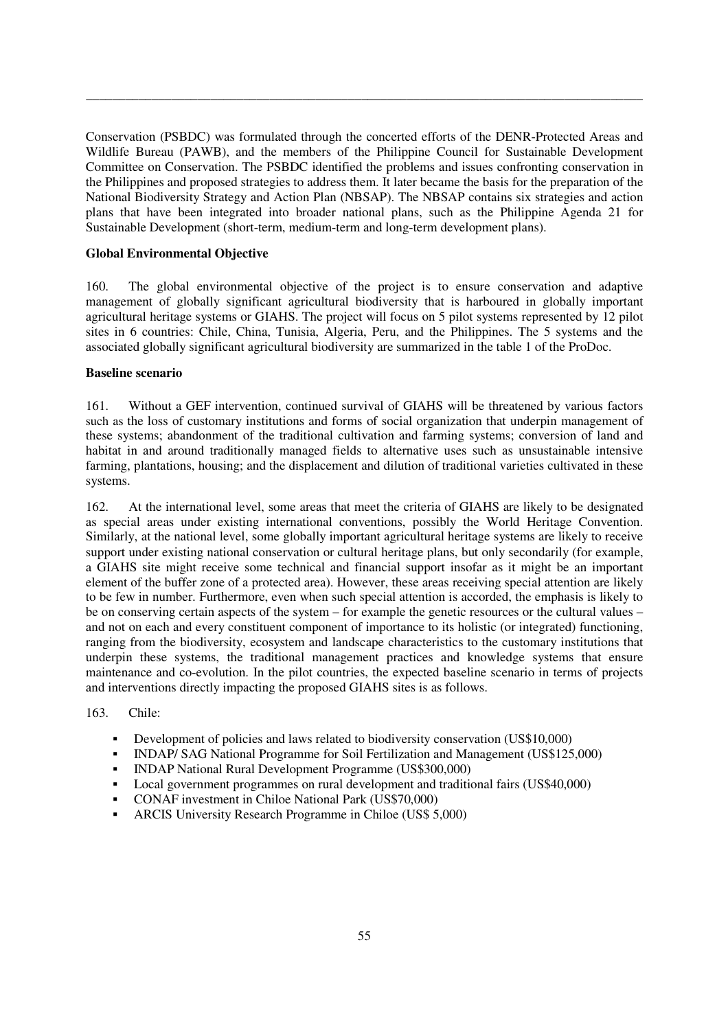Conservation (PSBDC) was formulated through the concerted efforts of the DENR-Protected Areas and Wildlife Bureau (PAWB), and the members of the Philippine Council for Sustainable Development Committee on Conservation. The PSBDC identified the problems and issues confronting conservation in the Philippines and proposed strategies to address them. It later became the basis for the preparation of the National Biodiversity Strategy and Action Plan (NBSAP). The NBSAP contains six strategies and action plans that have been integrated into broader national plans, such as the Philippine Agenda 21 for Sustainable Development (short-term, medium-term and long-term development plans).

\_\_\_\_\_\_\_\_\_\_\_\_\_\_\_\_\_\_\_\_\_\_\_\_\_\_\_\_\_\_\_\_\_\_\_\_\_\_\_\_\_\_\_\_\_\_\_\_\_\_\_\_\_\_\_\_\_\_\_\_\_\_\_\_\_\_\_\_\_\_\_\_\_\_\_\_\_\_\_\_\_\_\_\_\_

#### **Global Environmental Objective**

160. The global environmental objective of the project is to ensure conservation and adaptive management of globally significant agricultural biodiversity that is harboured in globally important agricultural heritage systems or GIAHS. The project will focus on 5 pilot systems represented by 12 pilot sites in 6 countries: Chile, China, Tunisia, Algeria, Peru, and the Philippines. The 5 systems and the associated globally significant agricultural biodiversity are summarized in the table 1 of the ProDoc.

#### **Baseline scenario**

161. Without a GEF intervention, continued survival of GIAHS will be threatened by various factors such as the loss of customary institutions and forms of social organization that underpin management of these systems; abandonment of the traditional cultivation and farming systems; conversion of land and habitat in and around traditionally managed fields to alternative uses such as unsustainable intensive farming, plantations, housing; and the displacement and dilution of traditional varieties cultivated in these systems.

162. At the international level, some areas that meet the criteria of GIAHS are likely to be designated as special areas under existing international conventions, possibly the World Heritage Convention. Similarly, at the national level, some globally important agricultural heritage systems are likely to receive support under existing national conservation or cultural heritage plans, but only secondarily (for example, a GIAHS site might receive some technical and financial support insofar as it might be an important element of the buffer zone of a protected area). However, these areas receiving special attention are likely to be few in number. Furthermore, even when such special attention is accorded, the emphasis is likely to be on conserving certain aspects of the system – for example the genetic resources or the cultural values – and not on each and every constituent component of importance to its holistic (or integrated) functioning, ranging from the biodiversity, ecosystem and landscape characteristics to the customary institutions that underpin these systems, the traditional management practices and knowledge systems that ensure maintenance and co-evolution. In the pilot countries, the expected baseline scenario in terms of projects and interventions directly impacting the proposed GIAHS sites is as follows.

#### 163. Chile:

- Development of policies and laws related to biodiversity conservation (US\$10,000)
- INDAP/ SAG National Programme for Soil Fertilization and Management (US\$125,000)
- INDAP National Rural Development Programme (US\$300,000)
- Local government programmes on rural development and traditional fairs (US\$40,000)
- CONAF investment in Chiloe National Park (US\$70,000)
- ARCIS University Research Programme in Chiloe (US\$ 5,000)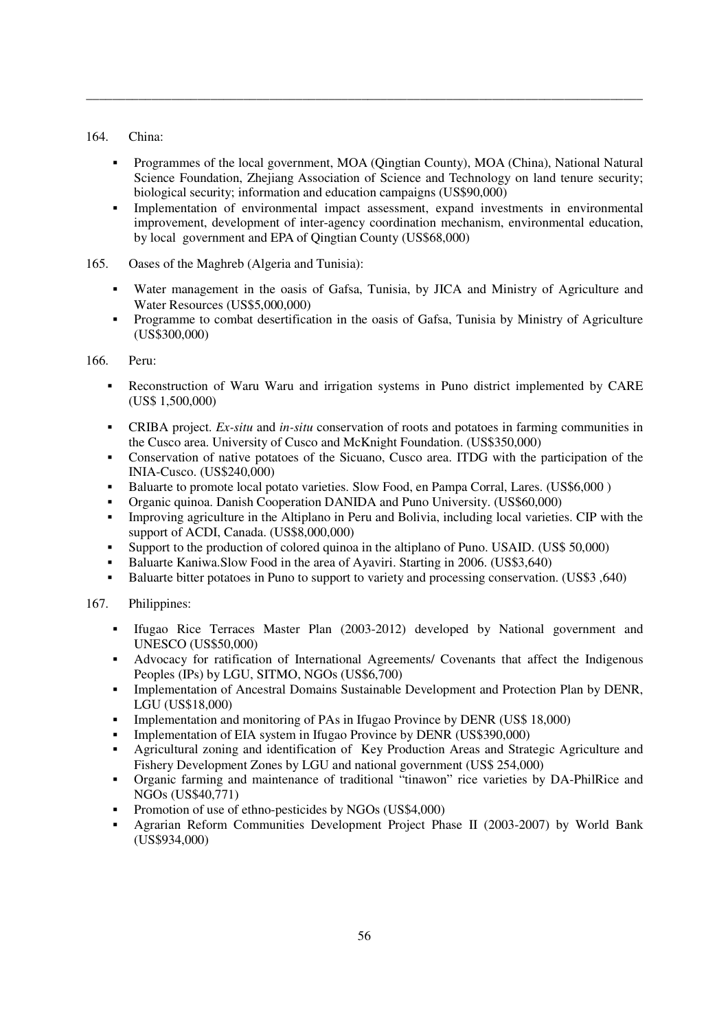## 164. China:

 Programmes of the local government, MOA (Qingtian County), MOA (China), National Natural Science Foundation, Zhejiang Association of Science and Technology on land tenure security; biological security; information and education campaigns (US\$90,000)

\_\_\_\_\_\_\_\_\_\_\_\_\_\_\_\_\_\_\_\_\_\_\_\_\_\_\_\_\_\_\_\_\_\_\_\_\_\_\_\_\_\_\_\_\_\_\_\_\_\_\_\_\_\_\_\_\_\_\_\_\_\_\_\_\_\_\_\_\_\_\_\_\_\_\_\_\_\_\_\_\_\_\_\_\_

- Implementation of environmental impact assessment, expand investments in environmental improvement, development of inter-agency coordination mechanism, environmental education, by local government and EPA of Qingtian County (US\$68,000)
- 165. Oases of the Maghreb (Algeria and Tunisia):
	- Water management in the oasis of Gafsa, Tunisia, by JICA and Ministry of Agriculture and Water Resources (US\$5,000,000)
	- Programme to combat desertification in the oasis of Gafsa, Tunisia by Ministry of Agriculture (US\$300,000)

166. Peru:

- Reconstruction of Waru Waru and irrigation systems in Puno district implemented by CARE (US\$ 1,500,000)
- CRIBA project. *Ex-situ* and *in-situ* conservation of roots and potatoes in farming communities in the Cusco area. University of Cusco and McKnight Foundation. (US\$350,000)
- Conservation of native potatoes of the Sicuano, Cusco area. ITDG with the participation of the INIA-Cusco. (US\$240,000)
- Baluarte to promote local potato varieties. Slow Food, en Pampa Corral, Lares. (US\$6,000 )
- Organic quinoa. Danish Cooperation DANIDA and Puno University. (US\$60,000)
- Improving agriculture in the Altiplano in Peru and Bolivia, including local varieties. CIP with the support of ACDI, Canada. (US\$8,000,000)
- Support to the production of colored quinoa in the altiplano of Puno. USAID. (US\$ 50,000)
- Baluarte Kaniwa. Slow Food in the area of Ayaviri. Starting in 2006. (US\$3,640)
- Baluarte bitter potatoes in Puno to support to variety and processing conservation. (US\$3,640)

## 167. Philippines:

- Ifugao Rice Terraces Master Plan (2003-2012) developed by National government and UNESCO (US\$50,000)
- Advocacy for ratification of International Agreements/ Covenants that affect the Indigenous Peoples (IPs) by LGU, SITMO, NGOs (US\$6,700)
- **Implementation of Ancestral Domains Sustainable Development and Protection Plan by DENR,** LGU (US\$18,000)
- Implementation and monitoring of PAs in Ifugao Province by DENR (US\$ 18,000)
- Implementation of EIA system in Ifugao Province by DENR (US\$390,000)
- Agricultural zoning and identification of Key Production Areas and Strategic Agriculture and Fishery Development Zones by LGU and national government (US\$ 254,000)
- Organic farming and maintenance of traditional "tinawon" rice varieties by DA-PhilRice and NGOs (US\$40,771)
- Promotion of use of ethno-pesticides by NGOs (US\$4,000)
- Agrarian Reform Communities Development Project Phase II (2003-2007) by World Bank (US\$934,000)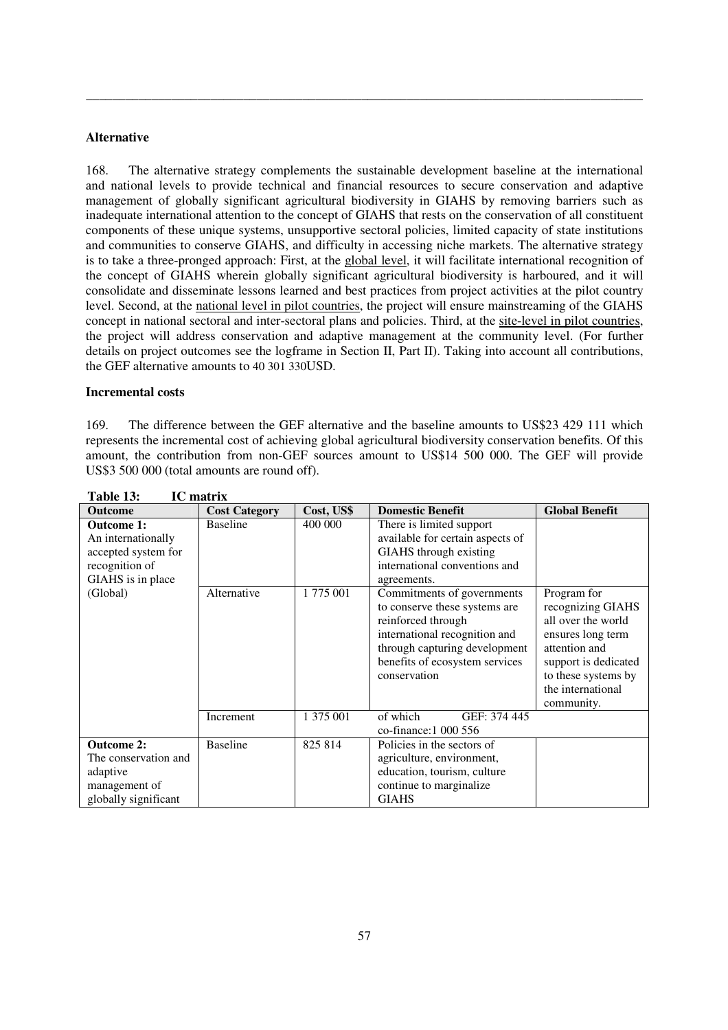#### **Alternative**

168. The alternative strategy complements the sustainable development baseline at the international and national levels to provide technical and financial resources to secure conservation and adaptive management of globally significant agricultural biodiversity in GIAHS by removing barriers such as inadequate international attention to the concept of GIAHS that rests on the conservation of all constituent components of these unique systems, unsupportive sectoral policies, limited capacity of state institutions and communities to conserve GIAHS, and difficulty in accessing niche markets. The alternative strategy is to take a three-pronged approach: First, at the global level, it will facilitate international recognition of the concept of GIAHS wherein globally significant agricultural biodiversity is harboured, and it will consolidate and disseminate lessons learned and best practices from project activities at the pilot country level. Second, at the national level in pilot countries, the project will ensure mainstreaming of the GIAHS concept in national sectoral and inter-sectoral plans and policies. Third, at the site-level in pilot countries, the project will address conservation and adaptive management at the community level. (For further details on project outcomes see the logframe in Section II, Part II). Taking into account all contributions, the GEF alternative amounts to 40 301 330USD.

\_\_\_\_\_\_\_\_\_\_\_\_\_\_\_\_\_\_\_\_\_\_\_\_\_\_\_\_\_\_\_\_\_\_\_\_\_\_\_\_\_\_\_\_\_\_\_\_\_\_\_\_\_\_\_\_\_\_\_\_\_\_\_\_\_\_\_\_\_\_\_\_\_\_\_\_\_\_\_\_\_\_\_\_\_

#### **Incremental costs**

169. The difference between the GEF alternative and the baseline amounts to US\$23 429 111 which represents the incremental cost of achieving global agricultural biodiversity conservation benefits. Of this amount, the contribution from non-GEF sources amount to US\$14 500 000. The GEF will provide US\$3 500 000 (total amounts are round off).

| <b>Outcome</b>                                                                                                    | <b>Cost Category</b>           | Cost, US\$          | <b>Domestic Benefit</b>                                                                                                                                                                                                                                                                                                                         | <b>Global Benefit</b>                                                                                                                                            |  |
|-------------------------------------------------------------------------------------------------------------------|--------------------------------|---------------------|-------------------------------------------------------------------------------------------------------------------------------------------------------------------------------------------------------------------------------------------------------------------------------------------------------------------------------------------------|------------------------------------------------------------------------------------------------------------------------------------------------------------------|--|
| <b>Outcome 1:</b><br>An internationally<br>accepted system for<br>recognition of<br>GIAHS is in place<br>(Global) | <b>Baseline</b><br>Alternative | 400 000<br>1775 001 | There is limited support<br>available for certain aspects of<br>GIAHS through existing<br>international conventions and<br>agreements.<br>Commitments of governments<br>to conserve these systems are<br>reinforced through<br>international recognition and<br>through capturing development<br>benefits of ecosystem services<br>conservation | Program for<br>recognizing GIAHS<br>all over the world<br>ensures long term<br>attention and<br>support is dedicated<br>to these systems by<br>the international |  |
|                                                                                                                   | Increment                      | 1 375 001           | of which<br>GEF: 374 445<br>co-finance: 1 000 556                                                                                                                                                                                                                                                                                               | community.                                                                                                                                                       |  |
| <b>Outcome 2:</b>                                                                                                 | <b>Baseline</b>                | 825 814             | Policies in the sectors of                                                                                                                                                                                                                                                                                                                      |                                                                                                                                                                  |  |
|                                                                                                                   |                                |                     |                                                                                                                                                                                                                                                                                                                                                 |                                                                                                                                                                  |  |
| The conservation and                                                                                              |                                |                     | agriculture, environment,                                                                                                                                                                                                                                                                                                                       |                                                                                                                                                                  |  |
| adaptive                                                                                                          |                                |                     | education, tourism, culture                                                                                                                                                                                                                                                                                                                     |                                                                                                                                                                  |  |
| management of                                                                                                     |                                |                     | continue to marginalize.                                                                                                                                                                                                                                                                                                                        |                                                                                                                                                                  |  |
| globally significant                                                                                              |                                |                     | <b>GIAHS</b>                                                                                                                                                                                                                                                                                                                                    |                                                                                                                                                                  |  |

**Table 13: IC matrix**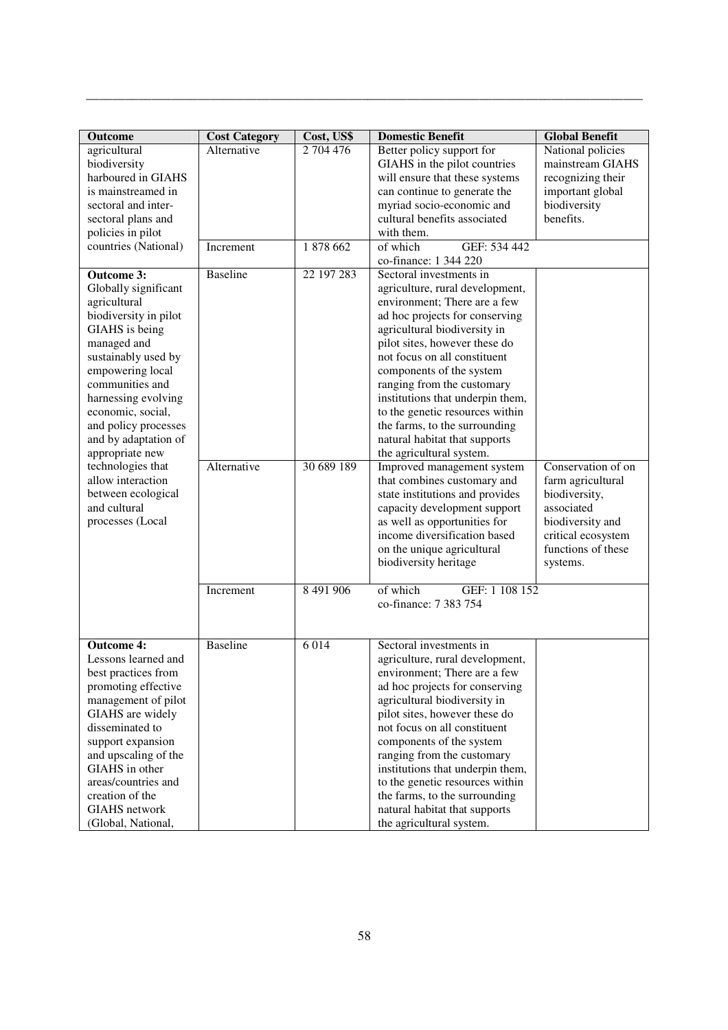| <b>Outcome</b>                        | <b>Cost Category</b> | Cost, US\$ | <b>Domestic Benefit</b>                                          | <b>Global Benefit</b>                 |
|---------------------------------------|----------------------|------------|------------------------------------------------------------------|---------------------------------------|
| agricultural<br>biodiversity          | Alternative          | 2 704 476  | Better policy support for<br>GIAHS in the pilot countries        | National policies<br>mainstream GIAHS |
| harboured in GIAHS                    |                      |            | will ensure that these systems                                   | recognizing their                     |
| is mainstreamed in                    |                      |            | can continue to generate the                                     | important global                      |
| sectoral and inter-                   |                      |            | myriad socio-economic and                                        | biodiversity                          |
| sectoral plans and                    |                      |            | cultural benefits associated                                     | benefits.                             |
| policies in pilot                     |                      |            | with them.                                                       |                                       |
| countries (National)                  | Increment            | 1878 662   | GEF: 534 442<br>of which<br>co-finance: 1 344 220                |                                       |
| <b>Outcome 3:</b>                     | <b>Baseline</b>      | 22 197 283 | Sectoral investments in                                          |                                       |
| Globally significant                  |                      |            | agriculture, rural development,                                  |                                       |
| agricultural                          |                      |            | environment; There are a few                                     |                                       |
| biodiversity in pilot                 |                      |            | ad hoc projects for conserving                                   |                                       |
| GIAHS is being                        |                      |            | agricultural biodiversity in                                     |                                       |
| managed and                           |                      |            | pilot sites, however these do                                    |                                       |
| sustainably used by                   |                      |            | not focus on all constituent                                     |                                       |
| empowering local<br>communities and   |                      |            | components of the system                                         |                                       |
| harnessing evolving                   |                      |            | ranging from the customary<br>institutions that underpin them,   |                                       |
| economic, social,                     |                      |            | to the genetic resources within                                  |                                       |
| and policy processes                  |                      |            | the farms, to the surrounding                                    |                                       |
| and by adaptation of                  |                      |            | natural habitat that supports                                    |                                       |
| appropriate new                       |                      |            | the agricultural system.                                         |                                       |
| technologies that                     | Alternative          | 30 689 189 | Improved management system                                       | Conservation of on                    |
| allow interaction                     |                      |            | that combines customary and                                      | farm agricultural                     |
| between ecological                    |                      |            | state institutions and provides                                  | biodiversity,                         |
| and cultural                          |                      |            | capacity development support                                     | associated                            |
| processes (Local                      |                      |            | as well as opportunities for                                     | biodiversity and                      |
|                                       |                      |            | income diversification based                                     | critical ecosystem                    |
|                                       |                      |            | on the unique agricultural                                       | functions of these                    |
|                                       |                      |            | biodiversity heritage                                            | systems.                              |
|                                       | Increment            | 8 491 906  | of which<br>GEF: 1 108 152                                       |                                       |
|                                       |                      |            | co-finance: 7 383 754                                            |                                       |
|                                       |                      |            |                                                                  |                                       |
| <b>Outcome 4:</b>                     | Baseline             | 6 0 1 4    | Sectoral investments in                                          |                                       |
| Lessons learned and                   |                      |            | agriculture, rural development,                                  |                                       |
| best practices from                   |                      |            | environment; There are a few                                     |                                       |
| promoting effective                   |                      |            | ad hoc projects for conserving                                   |                                       |
| management of pilot                   |                      |            | agricultural biodiversity in                                     |                                       |
| GIAHS are widely                      |                      |            | pilot sites, however these do                                    |                                       |
| disseminated to                       |                      |            | not focus on all constituent                                     |                                       |
| support expansion                     |                      |            | components of the system                                         |                                       |
| and upscaling of the                  |                      |            | ranging from the customary                                       |                                       |
| GIAHS in other<br>areas/countries and |                      |            | institutions that underpin them,                                 |                                       |
| creation of the                       |                      |            | to the genetic resources within<br>the farms, to the surrounding |                                       |
| <b>GIAHS</b> network                  |                      |            | natural habitat that supports                                    |                                       |
| (Global, National,                    |                      |            | the agricultural system.                                         |                                       |

\_\_\_\_\_\_\_\_\_\_\_\_\_\_\_\_\_\_\_\_\_\_\_\_\_\_\_\_\_\_\_\_\_\_\_\_\_\_\_\_\_\_\_\_\_\_\_\_\_\_\_\_\_\_\_\_\_\_\_\_\_\_\_\_\_\_\_\_\_\_\_\_\_\_\_\_\_\_\_\_\_\_\_\_\_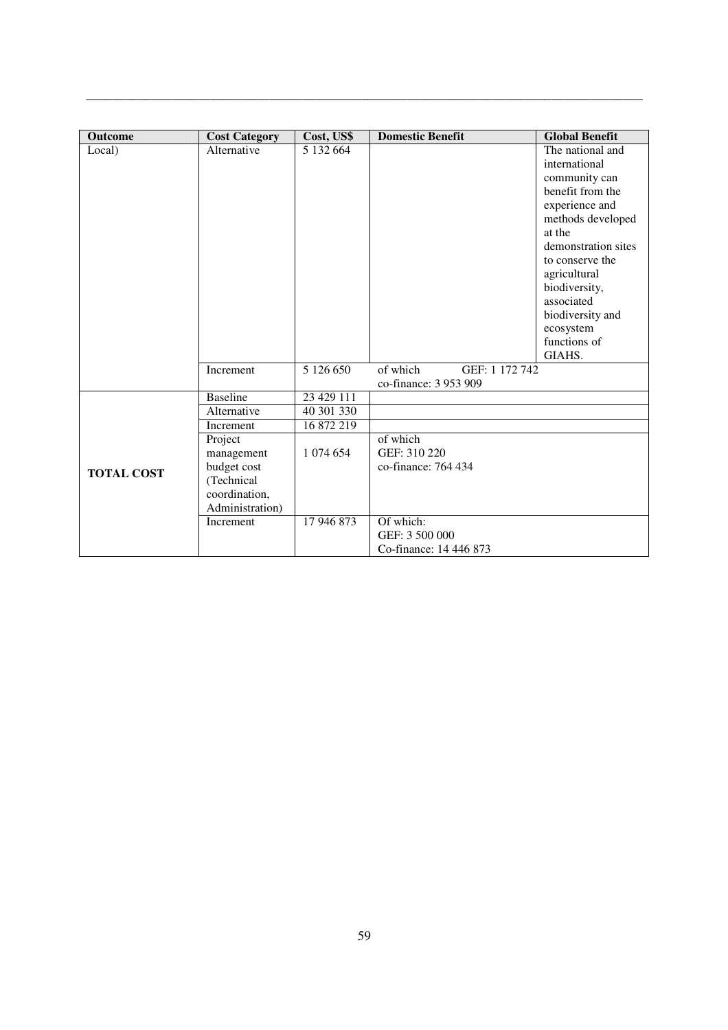| <b>Outcome</b>    | <b>Cost Category</b> | Cost, US\$ | <b>Domestic Benefit</b>    | <b>Global Benefit</b> |
|-------------------|----------------------|------------|----------------------------|-----------------------|
| Local)            | Alternative          | 5 132 664  |                            | The national and      |
|                   |                      |            |                            | international         |
|                   |                      |            |                            | community can         |
|                   |                      |            |                            | benefit from the      |
|                   |                      |            |                            | experience and        |
|                   |                      |            |                            | methods developed     |
|                   |                      |            |                            | at the                |
|                   |                      |            |                            | demonstration sites   |
|                   |                      |            |                            | to conserve the       |
|                   |                      |            |                            | agricultural          |
|                   |                      |            |                            | biodiversity,         |
|                   |                      |            |                            | associated            |
|                   |                      |            |                            | biodiversity and      |
|                   |                      |            |                            | ecosystem             |
|                   |                      |            |                            | functions of          |
|                   |                      |            |                            | GIAHS.                |
|                   | Increment            | 5 126 650  | of which<br>GEF: 1 172 742 |                       |
|                   |                      |            | co-finance: 3 953 909      |                       |
|                   | <b>Baseline</b>      | 23 429 111 |                            |                       |
|                   | Alternative          | 40 301 330 |                            |                       |
|                   | Increment            | 16 872 219 |                            |                       |
|                   | Project              |            | of which                   |                       |
|                   | management           | 1 074 654  | GEF: 310 220               |                       |
| <b>TOTAL COST</b> | budget cost          |            | co-finance: 764 434        |                       |
|                   | (Technical           |            |                            |                       |
|                   | coordination,        |            |                            |                       |
|                   | Administration)      |            |                            |                       |
|                   | Increment            | 17 946 873 | Of which:                  |                       |
|                   |                      |            | GEF: 3 500 000             |                       |
|                   |                      |            | Co-finance: 14 446 873     |                       |

\_\_\_\_\_\_\_\_\_\_\_\_\_\_\_\_\_\_\_\_\_\_\_\_\_\_\_\_\_\_\_\_\_\_\_\_\_\_\_\_\_\_\_\_\_\_\_\_\_\_\_\_\_\_\_\_\_\_\_\_\_\_\_\_\_\_\_\_\_\_\_\_\_\_\_\_\_\_\_\_\_\_\_\_\_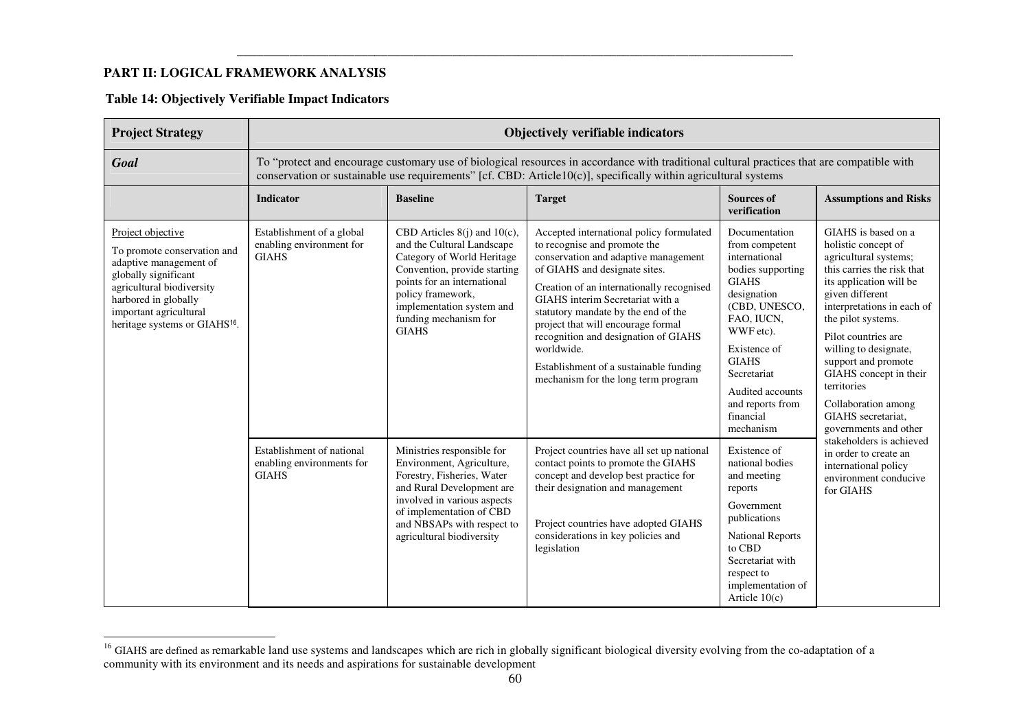# **PART II: LOGICAL FRAMEWORK ANALYSIS**

|  |  | <b>Table 14: Objectively Verifiable Impact Indicators</b> |  |
|--|--|-----------------------------------------------------------|--|
|--|--|-----------------------------------------------------------|--|

| <b>Project Strategy</b>                                                                                                                                                                                                        | <b>Objectively verifiable indicators</b>                                                                                                                                                                                                                      |                                                                                                                                                                                                                                                    |                                                                                                                                                                                                                                                                                                                                                                                                                                                        |                                                                                                                                                                                                                                                                   |                                                                                                                                                                                                                                                                                                                                                                                           |
|--------------------------------------------------------------------------------------------------------------------------------------------------------------------------------------------------------------------------------|---------------------------------------------------------------------------------------------------------------------------------------------------------------------------------------------------------------------------------------------------------------|----------------------------------------------------------------------------------------------------------------------------------------------------------------------------------------------------------------------------------------------------|--------------------------------------------------------------------------------------------------------------------------------------------------------------------------------------------------------------------------------------------------------------------------------------------------------------------------------------------------------------------------------------------------------------------------------------------------------|-------------------------------------------------------------------------------------------------------------------------------------------------------------------------------------------------------------------------------------------------------------------|-------------------------------------------------------------------------------------------------------------------------------------------------------------------------------------------------------------------------------------------------------------------------------------------------------------------------------------------------------------------------------------------|
| Goal                                                                                                                                                                                                                           | To "protect and encourage customary use of biological resources in accordance with traditional cultural practices that are compatible with<br>conservation or sustainable use requirements" [cf. CBD: Article10(c)], specifically within agricultural systems |                                                                                                                                                                                                                                                    |                                                                                                                                                                                                                                                                                                                                                                                                                                                        |                                                                                                                                                                                                                                                                   |                                                                                                                                                                                                                                                                                                                                                                                           |
|                                                                                                                                                                                                                                | <b>Indicator</b>                                                                                                                                                                                                                                              | <b>Baseline</b>                                                                                                                                                                                                                                    | <b>Target</b>                                                                                                                                                                                                                                                                                                                                                                                                                                          | <b>Sources of</b><br>verification                                                                                                                                                                                                                                 | <b>Assumptions and Risks</b>                                                                                                                                                                                                                                                                                                                                                              |
| Project objective<br>To promote conservation and<br>adaptive management of<br>globally significant<br>agricultural biodiversity<br>harbored in globally<br>important agricultural<br>heritage systems or GIAHS <sup>16</sup> . | Establishment of a global<br>enabling environment for<br><b>GIAHS</b>                                                                                                                                                                                         | CBD Articles 8(j) and 10(c),<br>and the Cultural Landscape<br>Category of World Heritage<br>Convention, provide starting<br>points for an international<br>policy framework,<br>implementation system and<br>funding mechanism for<br><b>GIAHS</b> | Accepted international policy formulated<br>to recognise and promote the<br>conservation and adaptive management<br>of GIAHS and designate sites.<br>Creation of an internationally recognised<br>GIAHS interim Secretariat with a<br>statutory mandate by the end of the<br>project that will encourage formal<br>recognition and designation of GIAHS<br>worldwide.<br>Establishment of a sustainable funding<br>mechanism for the long term program | Documentation<br>from competent<br>international<br>bodies supporting<br><b>GIAHS</b><br>designation<br>(CBD, UNESCO,<br>FAO, IUCN,<br>WWF etc).<br>Existence of<br><b>GIAHS</b><br>Secretariat<br>Audited accounts<br>and reports from<br>financial<br>mechanism | GIAHS is based on a<br>holistic concept of<br>agricultural systems;<br>this carries the risk that<br>its application will be<br>given different<br>interpretations in each of<br>the pilot systems.<br>Pilot countries are<br>willing to designate,<br>support and promote<br>GIAHS concept in their<br>territories<br>Collaboration among<br>GIAHS secretariat,<br>governments and other |
|                                                                                                                                                                                                                                | Establishment of national<br>enabling environments for<br><b>GIAHS</b>                                                                                                                                                                                        | Ministries responsible for<br>Environment, Agriculture,<br>Forestry, Fisheries, Water<br>and Rural Development are<br>involved in various aspects<br>of implementation of CBD<br>and NBSAPs with respect to<br>agricultural biodiversity           | Project countries have all set up national<br>contact points to promote the GIAHS<br>concept and develop best practice for<br>their designation and management<br>Project countries have adopted GIAHS<br>considerations in key policies and<br>legislation                                                                                                                                                                                            | Existence of<br>national bodies<br>and meeting<br>reports<br>Government<br>publications<br><b>National Reports</b><br>to CBD<br>Secretariat with<br>respect to<br>implementation of<br>Article $10(c)$                                                            | stakeholders is achieved<br>in order to create an<br>international policy<br>environment conducive<br>for GIAHS                                                                                                                                                                                                                                                                           |

<sup>&</sup>lt;sup>16</sup> GIAHS are defined as remarkable land use systems and landscapes which are rich in globally significant biological diversity evolving from the co-adaptation of a<br>community with its environment and its needs and aspirat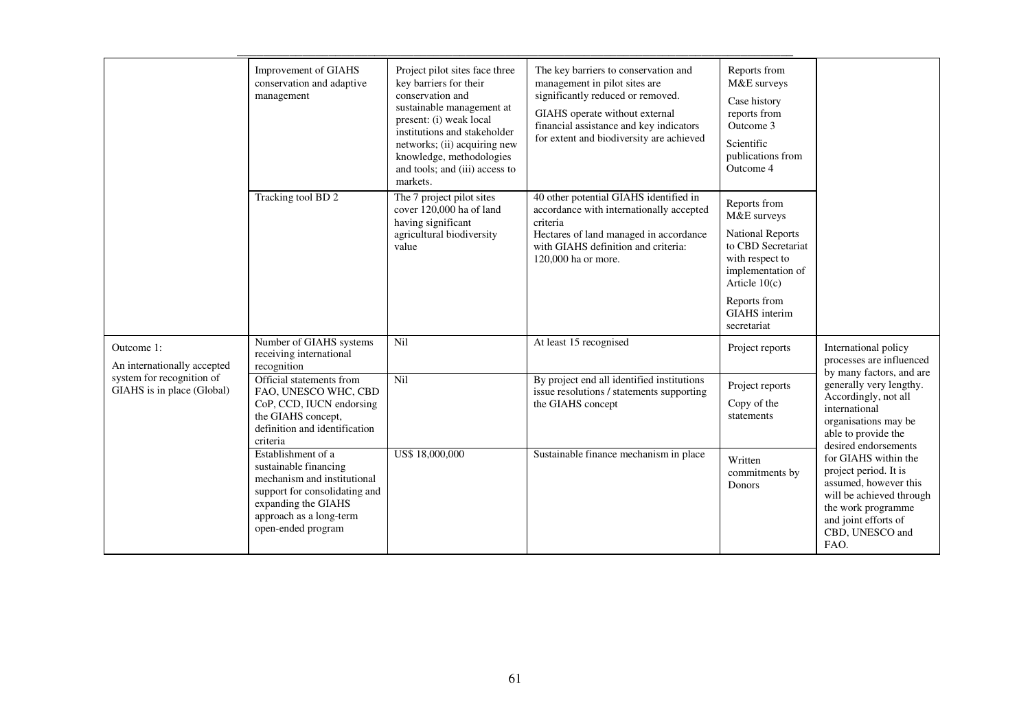|                                                                                                                                                                                                                   | Improvement of GIAHS<br>conservation and adaptive<br>management                                                                                                                     | Project pilot sites face three<br>key barriers for their<br>conservation and<br>sustainable management at<br>present: (i) weak local<br>institutions and stakeholder<br>networks; (ii) acquiring new<br>knowledge, methodologies<br>and tools; and (iii) access to<br>markets. | The key barriers to conservation and<br>management in pilot sites are<br>significantly reduced or removed.<br>GIAHS operate without external<br>financial assistance and key indicators<br>for extent and biodiversity are achieved | Reports from<br>M&E surveys<br>Case history<br>reports from<br>Outcome 3<br>Scientific<br>publications from<br>Outcome 4                                                                |                                                                                                                                                                             |
|-------------------------------------------------------------------------------------------------------------------------------------------------------------------------------------------------------------------|-------------------------------------------------------------------------------------------------------------------------------------------------------------------------------------|--------------------------------------------------------------------------------------------------------------------------------------------------------------------------------------------------------------------------------------------------------------------------------|-------------------------------------------------------------------------------------------------------------------------------------------------------------------------------------------------------------------------------------|-----------------------------------------------------------------------------------------------------------------------------------------------------------------------------------------|-----------------------------------------------------------------------------------------------------------------------------------------------------------------------------|
|                                                                                                                                                                                                                   | Tracking tool BD 2                                                                                                                                                                  | The 7 project pilot sites<br>cover 120,000 ha of land<br>having significant<br>agricultural biodiversity<br>value                                                                                                                                                              | 40 other potential GIAHS identified in<br>accordance with internationally accepted<br>criteria<br>Hectares of land managed in accordance<br>with GIAHS definition and criteria:<br>120,000 ha or more.                              | Reports from<br>M&E surveys<br><b>National Reports</b><br>to CBD Secretariat<br>with respect to<br>implementation of<br>Article $10(c)$<br>Reports from<br>GIAHS interim<br>secretariat |                                                                                                                                                                             |
| Outcome 1:<br>An internationally accepted                                                                                                                                                                         | Number of GIAHS systems<br>receiving international<br>recognition                                                                                                                   | Nil                                                                                                                                                                                                                                                                            | At least 15 recognised                                                                                                                                                                                                              | Project reports                                                                                                                                                                         | International policy<br>processes are influenced                                                                                                                            |
| system for recognition of<br>Nil<br>Official statements from<br>GIAHS is in place (Global)<br>FAO, UNESCO WHC, CBD<br>CoP, CCD, IUCN endorsing<br>the GIAHS concept,<br>definition and identification<br>criteria | By project end all identified institutions<br>issue resolutions / statements supporting<br>the GIAHS concept                                                                        | Project reports<br>Copy of the<br>statements                                                                                                                                                                                                                                   | by many factors, and are<br>generally very lengthy.<br>Accordingly, not all<br>international<br>organisations may be<br>able to provide the<br>desired endorsements                                                                 |                                                                                                                                                                                         |                                                                                                                                                                             |
|                                                                                                                                                                                                                   | Establishment of a<br>sustainable financing<br>mechanism and institutional<br>support for consolidating and<br>expanding the GIAHS<br>approach as a long-term<br>open-ended program | US\$ 18,000,000                                                                                                                                                                                                                                                                | Sustainable finance mechanism in place                                                                                                                                                                                              | Written<br>commitments by<br>Donors                                                                                                                                                     | for GIAHS within the<br>project period. It is<br>assumed, however this<br>will be achieved through<br>the work programme<br>and joint efforts of<br>CBD, UNESCO and<br>FAO. |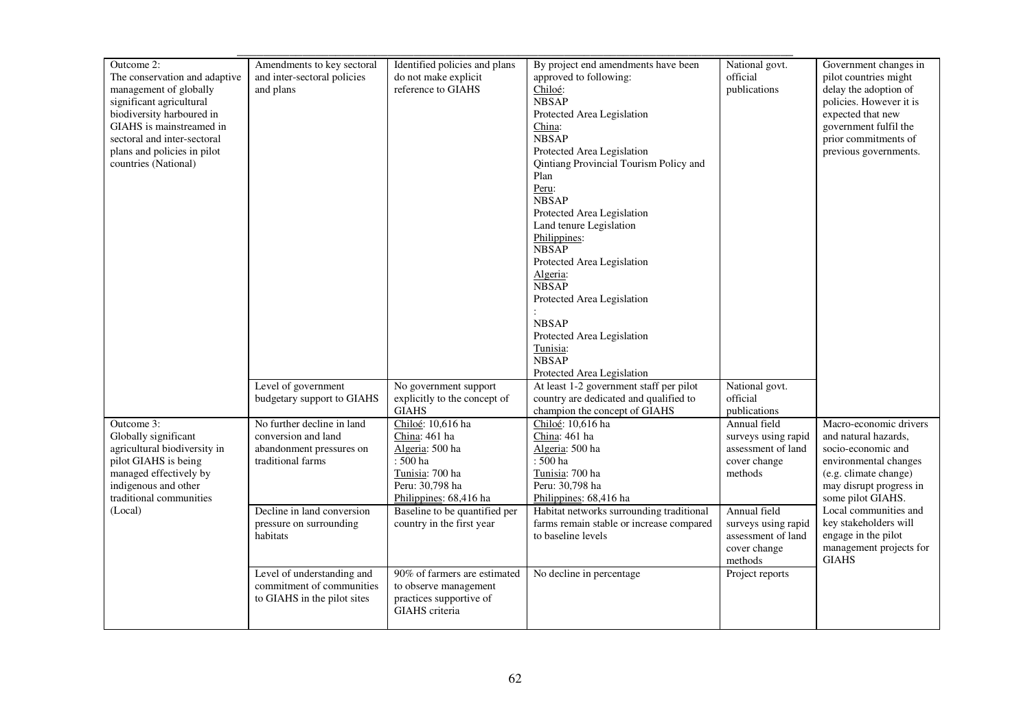| Outcome 2:                    | Amendments to key sectoral  | Identified policies and plans                | By project end amendments have been                | National govt.               | Government changes in   |
|-------------------------------|-----------------------------|----------------------------------------------|----------------------------------------------------|------------------------------|-------------------------|
| The conservation and adaptive | and inter-sectoral policies | do not make explicit                         | approved to following:                             | official                     | pilot countries might   |
| management of globally        | and plans                   | reference to GIAHS                           | Chiloé:                                            | publications                 | delay the adoption of   |
| significant agricultural      |                             |                                              | <b>NBSAP</b>                                       |                              | policies. However it is |
| biodiversity harboured in     |                             |                                              | Protected Area Legislation                         |                              | expected that new       |
| GIAHS is mainstreamed in      |                             |                                              | China:                                             |                              | government fulfil the   |
| sectoral and inter-sectoral   |                             |                                              | <b>NBSAP</b>                                       |                              | prior commitments of    |
| plans and policies in pilot   |                             |                                              | Protected Area Legislation                         |                              | previous governments.   |
| countries (National)          |                             |                                              | Qintiang Provincial Tourism Policy and             |                              |                         |
|                               |                             |                                              | Plan                                               |                              |                         |
|                               |                             |                                              | Peru:                                              |                              |                         |
|                               |                             |                                              | <b>NBSAP</b>                                       |                              |                         |
|                               |                             |                                              | Protected Area Legislation                         |                              |                         |
|                               |                             |                                              | Land tenure Legislation                            |                              |                         |
|                               |                             |                                              | Philippines:                                       |                              |                         |
|                               |                             |                                              | <b>NBSAP</b>                                       |                              |                         |
|                               |                             |                                              | Protected Area Legislation                         |                              |                         |
|                               |                             |                                              | Algeria:                                           |                              |                         |
|                               |                             |                                              | <b>NBSAP</b>                                       |                              |                         |
|                               |                             |                                              | Protected Area Legislation                         |                              |                         |
|                               |                             |                                              |                                                    |                              |                         |
|                               |                             |                                              | <b>NBSAP</b>                                       |                              |                         |
|                               |                             |                                              | Protected Area Legislation                         |                              |                         |
|                               |                             |                                              | Tunisia:<br><b>NBSAP</b>                           |                              |                         |
|                               |                             |                                              |                                                    |                              |                         |
|                               |                             |                                              | Protected Area Legislation                         |                              |                         |
|                               | Level of government         | No government support                        | At least 1-2 government staff per pilot            | National govt.<br>official   |                         |
|                               | budgetary support to GIAHS  | explicitly to the concept of<br><b>GIAHS</b> | country are dedicated and qualified to             |                              |                         |
| Outcome $3$ :                 | No further decline in land  | Chiloé: 10,616 ha                            | champion the concept of GIAHS<br>Chiloé: 10,616 ha | publications<br>Annual field | Macro-economic drivers  |
| Globally significant          | conversion and land         | China: 461 ha                                | China: 461 ha                                      | surveys using rapid          | and natural hazards,    |
| agricultural biodiversity in  | abandonment pressures on    | Algeria: 500 ha                              | Algeria: 500 ha                                    | assessment of land           | socio-economic and      |
| pilot GIAHS is being          | traditional farms           | $:500\,\mathrm{ha}$                          | : 500 ha                                           | cover change                 | environmental changes   |
| managed effectively by        |                             | Tunisia: 700 ha                              | Tunisia: 700 ha                                    | methods                      | (e.g. climate change)   |
| indigenous and other          |                             | Peru: 30,798 ha                              | Peru: 30,798 ha                                    |                              | may disrupt progress in |
| traditional communities       |                             | Philippines: 68,416 ha                       | Philippines: 68,416 ha                             |                              | some pilot GIAHS.       |
| (Local)                       | Decline in land conversion  | Baseline to be quantified per                | Habitat networks surrounding traditional           | Annual field                 | Local communities and   |
|                               | pressure on surrounding     | country in the first year                    | farms remain stable or increase compared           | surveys using rapid          | key stakeholders will   |
|                               | habitats                    |                                              | to baseline levels                                 | assessment of land           | engage in the pilot     |
|                               |                             |                                              |                                                    | cover change                 | management projects for |
|                               |                             |                                              |                                                    | methods                      | <b>GIAHS</b>            |
|                               | Level of understanding and  | 90% of farmers are estimated                 | No decline in percentage                           | Project reports              |                         |
|                               | commitment of communities   | to observe management                        |                                                    |                              |                         |
|                               | to GIAHS in the pilot sites | practices supportive of                      |                                                    |                              |                         |
|                               |                             | GIAHS criteria                               |                                                    |                              |                         |
|                               |                             |                                              |                                                    |                              |                         |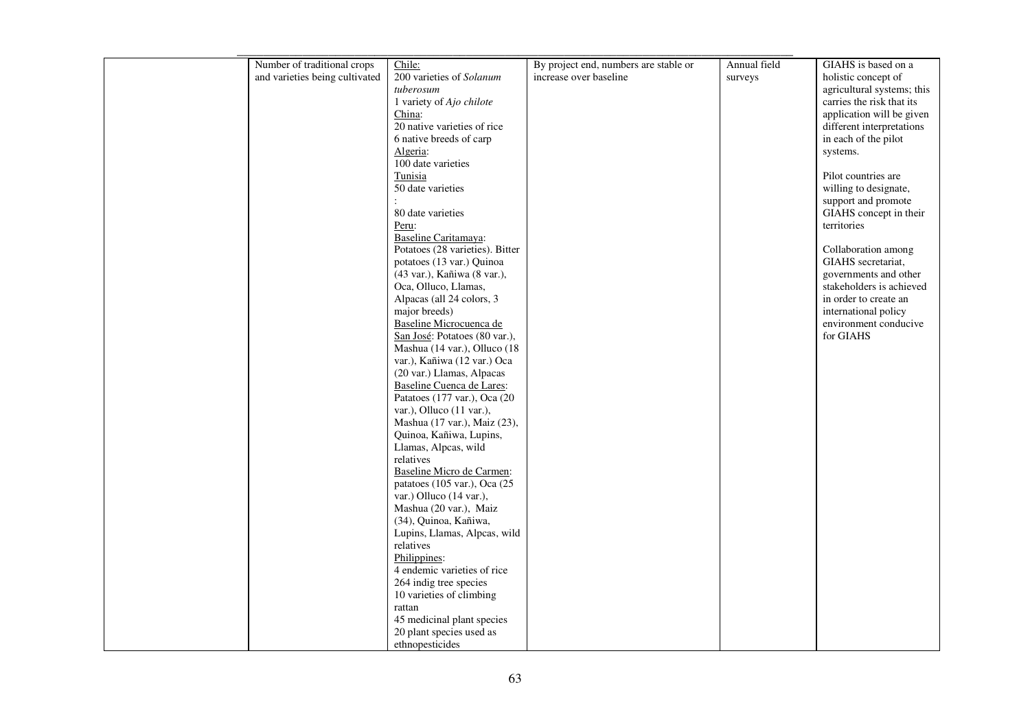| Number of traditional crops    | Chile:                            | By project end, numbers are stable or | Annual field | GIAHS is based on a        |
|--------------------------------|-----------------------------------|---------------------------------------|--------------|----------------------------|
| and varieties being cultivated | 200 varieties of Solanum          | increase over baseline                | surveys      | holistic concept of        |
|                                | tuberosum                         |                                       |              | agricultural systems; this |
|                                | 1 variety of Ajo chilote          |                                       |              | carries the risk that its  |
|                                | China:                            |                                       |              | application will be given  |
|                                | 20 native varieties of rice       |                                       |              | different interpretations  |
|                                | 6 native breeds of carp           |                                       |              | in each of the pilot       |
|                                | Algeria:                          |                                       |              | systems.                   |
|                                | $\overline{100}$ date varieties   |                                       |              |                            |
|                                | Tunisia                           |                                       |              | Pilot countries are        |
|                                | 50 date varieties                 |                                       |              | willing to designate,      |
|                                |                                   |                                       |              | support and promote        |
|                                | 80 date varieties                 |                                       |              | GIAHS concept in their     |
|                                | Peru:                             |                                       |              | territories                |
|                                | Baseline Caritamaya:              |                                       |              |                            |
|                                | Potatoes (28 varieties). Bitter   |                                       |              | Collaboration among        |
|                                | potatoes (13 var.) Quinoa         |                                       |              | GIAHS secretariat,         |
|                                | (43 var.), Kañiwa (8 var.),       |                                       |              | governments and other      |
|                                | Oca, Olluco, Llamas,              |                                       |              | stakeholders is achieved   |
|                                | Alpacas (all 24 colors, 3         |                                       |              | in order to create an      |
|                                | major breeds)                     |                                       |              | international policy       |
|                                | Baseline Microcuenca de           |                                       |              | environment conducive      |
|                                | San José: Potatoes (80 var.),     |                                       |              | for GIAHS                  |
|                                | Mashua (14 var.), Olluco (18      |                                       |              |                            |
|                                | var.), Kañiwa (12 var.) Oca       |                                       |              |                            |
|                                | (20 var.) Llamas, Alpacas         |                                       |              |                            |
|                                | Baseline Cuenca de Lares:         |                                       |              |                            |
|                                | Patatoes (177 var.), Oca (20      |                                       |              |                            |
|                                | var.), Olluco (11 var.),          |                                       |              |                            |
|                                | Mashua (17 var.), Maiz (23),      |                                       |              |                            |
|                                | Quinoa, Kañiwa, Lupins,           |                                       |              |                            |
|                                | Llamas, Alpcas, wild<br>relatives |                                       |              |                            |
|                                | Baseline Micro de Carmen:         |                                       |              |                            |
|                                | patatoes (105 var.), Oca (25      |                                       |              |                            |
|                                | var.) Olluco (14 var.),           |                                       |              |                            |
|                                | Mashua (20 var.), Maiz            |                                       |              |                            |
|                                | (34), Quinoa, Kañiwa,             |                                       |              |                            |
|                                | Lupins, Llamas, Alpcas, wild      |                                       |              |                            |
|                                | relatives                         |                                       |              |                            |
|                                | Philippines:                      |                                       |              |                            |
|                                | 4 endemic varieties of rice       |                                       |              |                            |
|                                | 264 indig tree species            |                                       |              |                            |
|                                | 10 varieties of climbing          |                                       |              |                            |
|                                | rattan                            |                                       |              |                            |
|                                | 45 medicinal plant species        |                                       |              |                            |
|                                | 20 plant species used as          |                                       |              |                            |
|                                | ethnopesticides                   |                                       |              |                            |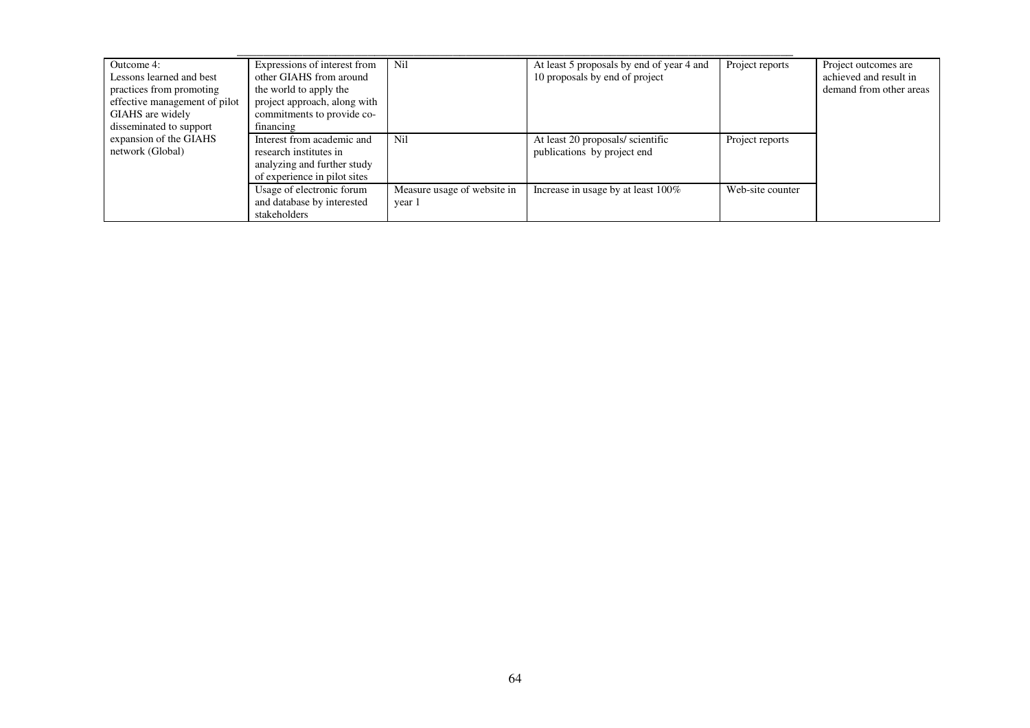| Outcome 4:                    | Expressions of interest from | Nil                         | At least 5 proposals by end of year 4 and | Project reports  | Project outcomes are    |
|-------------------------------|------------------------------|-----------------------------|-------------------------------------------|------------------|-------------------------|
| Lessons learned and best      | other GIAHS from around      |                             | 10 proposals by end of project            |                  | achieved and result in  |
| practices from promoting      | the world to apply the       |                             |                                           |                  | demand from other areas |
| effective management of pilot | project approach, along with |                             |                                           |                  |                         |
| GIAHS are widely              | commitments to provide co-   |                             |                                           |                  |                         |
| disseminated to support       | financing                    |                             |                                           |                  |                         |
| expansion of the GIAHS        | Interest from academic and   | Nil                         | At least 20 proposals/ scientific         | Project reports  |                         |
| network (Global)              | research institutes in       |                             | publications by project end               |                  |                         |
|                               | analyzing and further study  |                             |                                           |                  |                         |
|                               | of experience in pilot sites |                             |                                           |                  |                         |
|                               | Usage of electronic forum    | Measure usage of website in | Increase in usage by at least 100%        | Web-site counter |                         |
|                               | and database by interested   | year 1                      |                                           |                  |                         |
|                               | stakeholders                 |                             |                                           |                  |                         |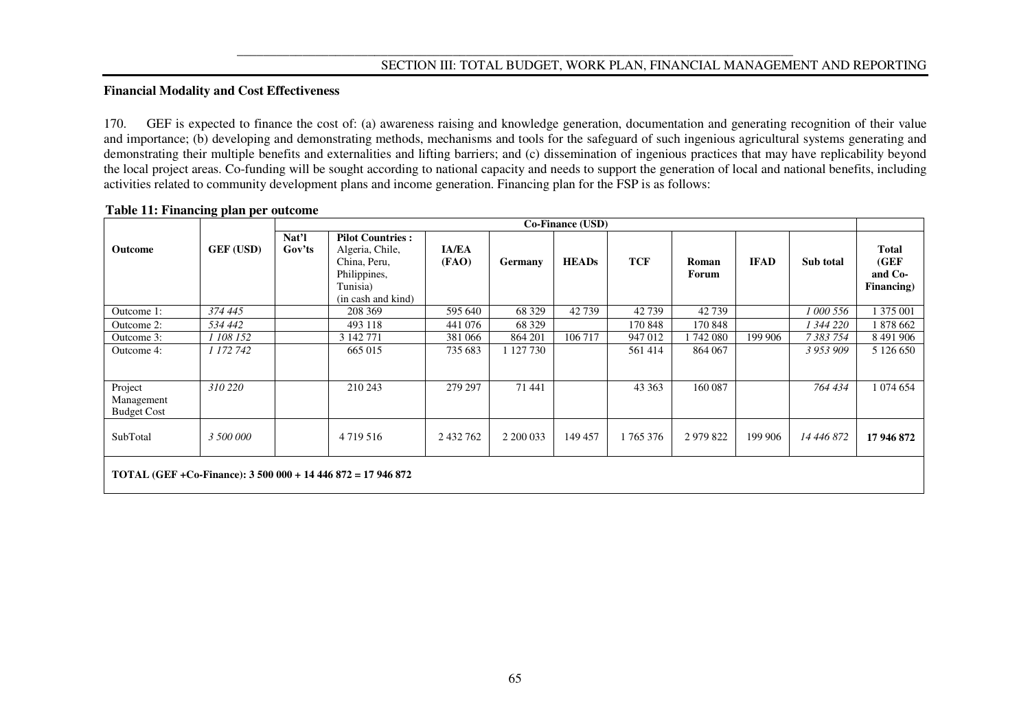# **SECTION III: TOTAL BUDGET, WORK PLAN, FINANCIAL MANAGEMENT AND REPORTING**

## **Financial Modality and Cost Effectiveness**

170. GEF is expected to finance the cost of: (a) awareness raising and knowledge generation, documentation and generating recognition of their value and importance; (b) developing and demonstrating methods, mechanisms and tools for the safeguard of such ingenious agricultural systems generating and demonstrating their multiple benefits and externalities and lifting barriers; and (c) dissemination of ingenious practices that may have replicability beyond the local project areas. Co-funding will be sought according to national capacity and needs to support the generation of local and national benefits, including activities related to community development plans and income generation. Financing plan for the FSP is as follows:

|                                             |                  |                 | <b>Co-Finance (USD)</b>                                                                                      |                       |           |              |            |                |             |            |                                         |
|---------------------------------------------|------------------|-----------------|--------------------------------------------------------------------------------------------------------------|-----------------------|-----------|--------------|------------|----------------|-------------|------------|-----------------------------------------|
| Outcome                                     | <b>GEF (USD)</b> | Nat'l<br>Gov'ts | <b>Pilot Countries:</b><br>Algeria, Chile,<br>China, Peru,<br>Philippines,<br>Tunisia)<br>(in cash and kind) | <b>IA/EA</b><br>(FAO) | Germany   | <b>HEADs</b> | <b>TCF</b> | Roman<br>Forum | <b>IFAD</b> | Sub total  | Total<br>(GEF)<br>and Co-<br>Financing) |
| Outcome 1:                                  | 374 445          |                 | 208 369                                                                                                      | 595 640               | 68 3 29   | 42739        | 42739      | 42739          |             | 1 000 556  | 1 375 001                               |
| Outcome 2:                                  | 534 442          |                 | 493 118                                                                                                      | 441 076               | 68 3 29   |              | 170 848    | 170 848        |             | 344 220    | 878 662                                 |
| Outcome 3:                                  | 1 108 152        |                 | 3 142 771                                                                                                    | 381 066               | 864 201   | 106 717      | 947 012    | 742 080        | 199 906     | 7 383 754  | 8 491 906                               |
| Outcome 4:                                  | 1 172 742        |                 | 665 015                                                                                                      | 735 683               | 1 127 730 |              | 561 414    | 864 067        |             | 3 953 909  | 5 1 2 6 6 5 0                           |
| Project<br>Management<br><b>Budget Cost</b> | 310 220          |                 | 210 243                                                                                                      | 279 297               | 71 441    |              | 43 363     | 160 087        |             | 764 434    | 1 074 654                               |
| SubTotal                                    | 3 500 000        |                 | 4 7 1 9 5 1 6                                                                                                | 2 432 762             | 2 200 033 | 149 457      | 1765376    | 2 979 822      | 199 906     | 14 446 872 | 17 946 872                              |
|                                             |                  |                 | TOTAL (GEF +Co-Finance): $3\,500\,000 + 14\,446\,872 = 17\,946\,872$                                         |                       |           |              |            |                |             |            |                                         |

#### **Table 11: Financing plan per outcome**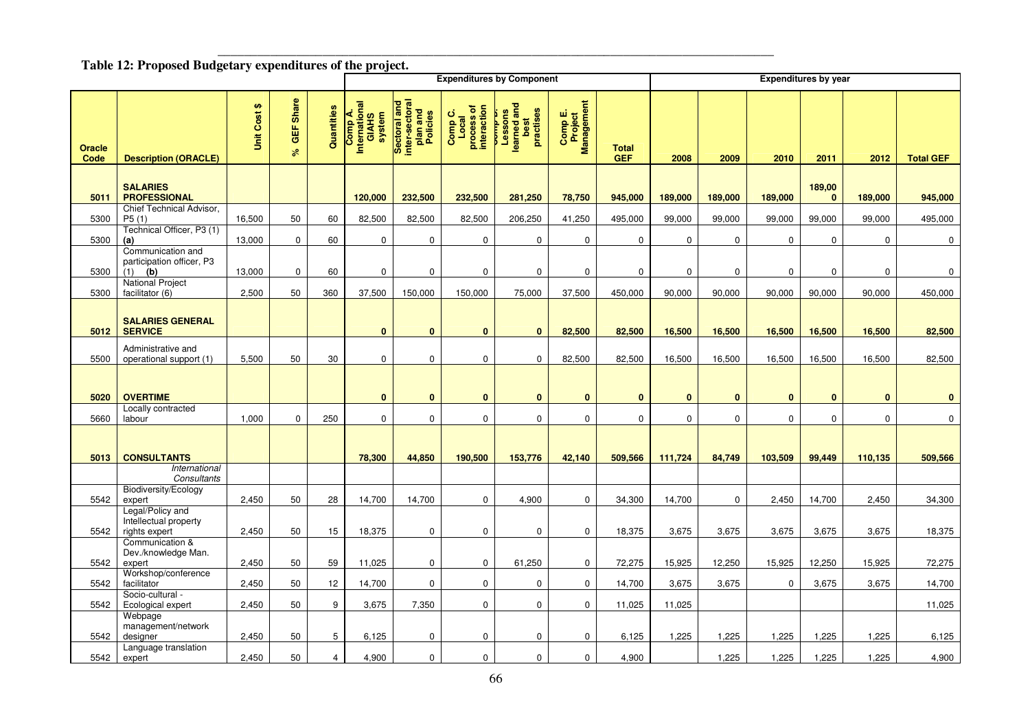# Table 12: Proposed Budgetary expenditures of the project.

|                |                                                              |              |                        |                | <b>Expenditures by Component</b><br><b>Expenditures by year</b> |                                                        |                                               |                                                              |                                  |                            |             |             |                     |                        |             |                  |
|----------------|--------------------------------------------------------------|--------------|------------------------|----------------|-----------------------------------------------------------------|--------------------------------------------------------|-----------------------------------------------|--------------------------------------------------------------|----------------------------------|----------------------------|-------------|-------------|---------------------|------------------------|-------------|------------------|
| Oracle<br>Code | <b>Description (ORACLE)</b>                                  | Unit Cost \$ | Share<br>GEF<br>ە<br>ج | Quantities     | Comp A.<br>International<br>GIAHS<br>system                     | Sectoral and<br>inter-sectoral<br>plan and<br>Policies | Comp C.<br>Local<br>process of<br>interaction | and<br>practises<br>Lessons<br>learned and<br>best<br>ممسامه | Comp E.<br>Project<br>Management | <b>Total</b><br><b>GEF</b> | 2008        | 2009        | 2010                | 2011                   | 2012        | <b>Total GEF</b> |
| 5011           | <b>SALARIES</b><br><b>PROFESSIONAL</b>                       |              |                        |                | 120,000                                                         | 232,500                                                | 232,500                                       | 281,250                                                      | 78,750                           | 945,000                    | 189,000     | 189,000     | 189,000             | 189,00<br>$\mathbf{0}$ | 189,000     | 945,000          |
| 5300           | Chief Technical Advisor.<br>P5(1)                            | 16,500       | 50                     | 60             | 82,500                                                          | 82,500                                                 | 82,500                                        | 206,250                                                      | 41,250                           | 495,000                    | 99,000      | 99,000      | 99,000              | 99,000                 | 99,000      | 495,000          |
| 5300           | Technical Officer, P3 (1)<br>(a)                             | 13,000       | $\mathbf 0$            | 60             | 0                                                               | $\mathbf 0$                                            | $\mathbf 0$                                   | $\mathbf 0$                                                  | $\mathbf 0$                      | $\mathbf 0$                | $\mathbf 0$ | $\mathbf 0$ | $\mathsf{O}\xspace$ | 0                      | 0           | $\mathbf 0$      |
| 5300           | Communication and<br>participation officer, P3<br>(b)<br>(1) | 13,000       | $\mathbf 0$            | 60             | $\mathbf 0$                                                     | $\mathbf 0$                                            | $\mathbf 0$                                   | $\mathbf 0$                                                  | $\mathbf 0$                      | $\mathbf 0$                | $\mathbf 0$ | $\mathbf 0$ | $\mathbf 0$         | 0                      | $\mathbf 0$ | 0                |
| 5300           | <b>National Project</b><br>facilitator (6)                   | 2,500        | 50                     | 360            | 37,500                                                          | 150,000                                                | 150,000                                       | 75,000                                                       | 37,500                           | 450,000                    | 90,000      | 90,000      | 90,000              | 90,000                 | 90,000      | 450,000          |
| 5012           | <b>SALARIES GENERAL</b><br><b>SERVICE</b>                    |              |                        |                | $\bf{0}$                                                        | $\bf{0}$                                               | $\mathbf{0}$                                  | $\mathbf{0}$                                                 | 82,500                           | 82,500                     | 16,500      | 16,500      | 16,500              | 16,500                 | 16,500      | 82,500           |
| 5500           | Administrative and<br>operational support (1)                | 5,500        | 50                     | 30             | 0                                                               | $\mathbf 0$                                            | $\mathbf 0$                                   | $\mathbf 0$                                                  | 82,500                           | 82,500                     | 16,500      | 16,500      | 16,500              | 16,500                 | 16,500      | 82,500           |
| 5020           | <b>OVERTIME</b>                                              |              |                        |                | $\mathbf{0}$                                                    | $\bf{0}$                                               | $\bf{0}$                                      | $\bf{0}$                                                     | $\bf{0}$                         | $\bf{0}$                   | $\bf{0}$    | $\bf{0}$    | $\bf{0}$            | $\bf{0}$               | $\bf{0}$    | $\bf{0}$         |
| 5660           | Locally contracted<br>labour                                 | 1,000        | $\mathbf 0$            | 250            | $\mathbf 0$                                                     | $\mathbf 0$                                            | $\mathbf 0$                                   | $\mathbf 0$                                                  | $\mathbf 0$                      | 0                          | $\mathbf 0$ | $\mathbf 0$ | $\mathbf 0$         | 0                      | $\mathbf 0$ | $\mathbf 0$      |
| 5013           | <b>CONSULTANTS</b>                                           |              |                        |                | 78,300                                                          | 44,850                                                 | 190,500                                       | 153,776                                                      | 42,140                           | 509,566                    | 111,724     | 84,749      | 103,509             | 99,449                 | 110,135     | 509,566          |
|                | International<br>Consultants                                 |              |                        |                |                                                                 |                                                        |                                               |                                                              |                                  |                            |             |             |                     |                        |             |                  |
| 5542           | Biodiversity/Ecology<br>expert                               | 2,450        | 50                     | 28             | 14,700                                                          | 14,700                                                 | 0                                             | 4,900                                                        | 0                                | 34,300                     | 14,700      | 0           | 2,450               | 14,700                 | 2,450       | 34,300           |
| 5542           | Legal/Policy and<br>Intellectual property<br>rights expert   | 2,450        | 50                     | 15             | 18,375                                                          | $\mathbf 0$                                            | $\mathbf 0$                                   | $\mathbf 0$                                                  | $\mathbf 0$                      | 18,375                     | 3,675       | 3,675       | 3,675               | 3,675                  | 3,675       | 18,375           |
| 5542           | Communication &<br>Dev./knowledge Man.<br>expert             | 2,450        | 50                     | 59             | 11,025                                                          | 0                                                      | 0                                             | 61,250                                                       | 0                                | 72,275                     | 15,925      | 12,250      | 15,925              | 12,250                 | 15,925      | 72,275           |
| 5542           | Workshop/conference<br>facilitator                           | 2,450        | 50                     | 12             | 14,700                                                          | $\mathbf 0$                                            | $\mathbf 0$                                   | $\mathbf 0$                                                  | $\mathbf 0$                      | 14,700                     | 3,675       | 3,675       | $\mathbf 0$         | 3,675                  | 3,675       | 14,700           |
| 5542           | Socio-cultural -<br>Ecological expert                        | 2,450        | 50                     | 9              | 3,675                                                           | 7,350                                                  | 0                                             | 0                                                            | $\boldsymbol{0}$                 | 11,025                     | 11,025      |             |                     |                        |             | 11,025           |
| 5542           | Webpage<br>management/network<br>designer                    | 2,450        | 50                     | 5              | 6,125                                                           | 0                                                      | $\mathbf 0$                                   | $\mathbf 0$                                                  | $\mathbf 0$                      | 6,125                      | 1,225       | 1,225       | 1,225               | 1,225                  | 1,225       | 6,125            |
| 5542           | Language translation<br>expert                               | 2,450        | 50                     | $\overline{4}$ | 4,900                                                           | $\mathbf 0$                                            | $\mathbf 0$                                   | $\mathbf 0$                                                  | $\mathbf 0$                      | 4,900                      |             | 1,225       | 1,225               | 1,225                  | 1,225       | 4,900            |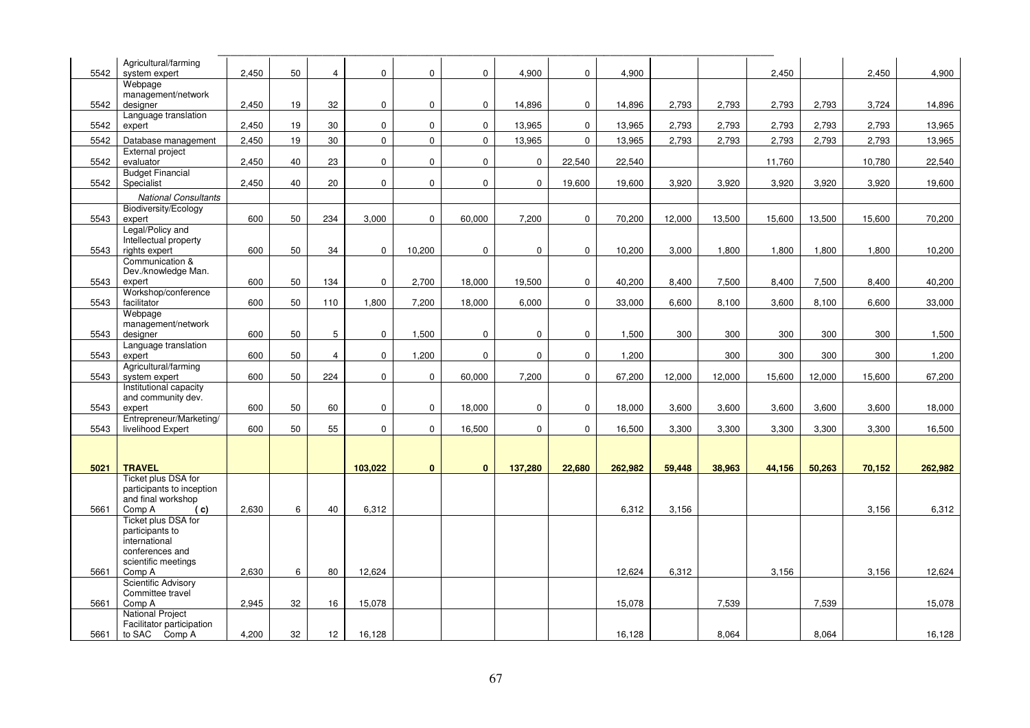|      | Agricultural/farming        |       |    |                |                  |              |              |             |             |         |        |        |        |        |        |         |
|------|-----------------------------|-------|----|----------------|------------------|--------------|--------------|-------------|-------------|---------|--------|--------|--------|--------|--------|---------|
| 5542 | system expert               | 2,450 | 50 | $\overline{4}$ | $\boldsymbol{0}$ | $\mathbf 0$  | $\mathbf 0$  | 4,900       | $\mathbf 0$ | 4,900   |        |        | 2,450  |        | 2,450  |         |
|      | Webpage                     |       |    |                |                  |              |              |             |             |         |        |        |        |        |        | 4,900   |
|      | management/network          |       |    |                |                  |              |              |             |             |         |        |        |        |        |        |         |
| 5542 | designer                    | 2,450 | 19 | 32             | $\boldsymbol{0}$ | $\mathbf 0$  | $\mathbf 0$  | 14,896      | $\mathbf 0$ | 14,896  | 2,793  | 2,793  | 2,793  | 2,793  | 3,724  | 14,896  |
|      | Language translation        |       |    |                |                  |              |              |             |             |         |        |        |        |        |        |         |
| 5542 | expert                      | 2,450 | 19 | 30             | $\mathbf 0$      | $\mathbf 0$  | $\mathbf{0}$ | 13,965      | 0           | 13,965  | 2,793  | 2,793  | 2,793  | 2,793  | 2,793  | 13,965  |
|      |                             |       |    |                |                  |              |              |             |             |         |        |        |        |        |        |         |
| 5542 | Database management         | 2,450 | 19 | 30             | $\mathbf 0$      | $\mathbf{0}$ | $\mathbf{0}$ | 13,965      | $\mathbf 0$ | 13,965  | 2,793  | 2,793  | 2,793  | 2,793  | 2,793  | 13,965  |
|      | External project            |       |    |                |                  |              |              |             |             |         |        |        |        |        |        |         |
| 5542 | evaluator                   | 2,450 | 40 | 23             | 0                | $\mathbf 0$  | $\mathbf 0$  | $\mathbf 0$ | 22,540      | 22,540  |        |        | 11,760 |        | 10,780 | 22,540  |
|      | <b>Budget Financial</b>     |       |    |                |                  |              |              |             |             |         |        |        |        |        |        |         |
| 5542 | Specialist                  | 2,450 | 40 | 20             | $\mathbf 0$      | $\mathbf{0}$ | $\mathbf 0$  | $\mathbf 0$ | 19,600      | 19,600  | 3,920  | 3,920  | 3,920  | 3,920  | 3,920  | 19,600  |
|      | <b>National Consultants</b> |       |    |                |                  |              |              |             |             |         |        |        |        |        |        |         |
|      | Biodiversity/Ecology        |       |    |                |                  |              |              |             |             |         |        |        |        |        |        |         |
| 5543 | expert                      | 600   | 50 | 234            | 3,000            | $\mathbf 0$  | 60,000       | 7,200       | $\mathbf 0$ | 70,200  | 12,000 | 13,500 | 15,600 | 13,500 | 15,600 | 70,200  |
|      | Legal/Policy and            |       |    |                |                  |              |              |             |             |         |        |        |        |        |        |         |
|      | Intellectual property       |       |    |                |                  |              |              |             |             |         |        |        |        |        |        |         |
| 5543 | rights expert               | 600   | 50 | 34             | $\mathbf 0$      | 10,200       | $\mathbf 0$  | $\mathbf 0$ | $\mathbf 0$ | 10,200  | 3,000  | 1,800  | 1,800  | 1,800  | 1,800  | 10,200  |
|      | Communication &             |       |    |                |                  |              |              |             |             |         |        |        |        |        |        |         |
|      | Dev./knowledge Man.         |       |    |                |                  |              |              |             |             |         |        |        |        |        |        |         |
| 5543 | expert                      | 600   | 50 | 134            | $\mathbf 0$      | 2.700        | 18,000       | 19,500      | $\mathbf 0$ | 40,200  | 8,400  | 7,500  | 8.400  | 7,500  | 8,400  | 40,200  |
|      | Workshop/conference         |       |    |                |                  |              |              |             |             |         |        |        |        |        |        |         |
| 5543 | facilitator                 | 600   | 50 | 110            | 1,800            | 7,200        | 18,000       | 6,000       | $\mathbf 0$ | 33,000  | 6,600  | 8,100  | 3,600  | 8,100  | 6,600  | 33,000  |
|      | Webpage                     |       |    |                |                  |              |              |             |             |         |        |        |        |        |        |         |
|      | management/network          |       |    |                |                  |              |              |             |             |         |        |        |        |        |        |         |
| 5543 | designer                    | 600   | 50 | 5              | $\mathbf 0$      | 1,500        | $\mathbf 0$  | $\mathbf 0$ | 0           | 1,500   | 300    | 300    | 300    | 300    | 300    | 1,500   |
|      | Language translation        |       |    |                |                  |              |              |             |             |         |        |        |        |        |        |         |
| 5543 | expert                      | 600   | 50 | $\overline{4}$ | $\pmb{0}$        | 1,200        | $\mathbf 0$  | $\mathbf 0$ | $\mathbf 0$ | 1,200   |        | 300    | 300    | 300    | 300    | 1,200   |
|      | Agricultural/farming        |       |    |                |                  |              |              |             |             |         |        |        |        |        |        |         |
| 5543 | system expert               | 600   | 50 | 224            | $\mathbf 0$      | $\mathbf 0$  | 60,000       | 7,200       | $\mathbf 0$ | 67,200  | 12,000 | 12,000 | 15,600 | 12,000 | 15,600 | 67,200  |
|      | Institutional capacity      |       |    |                |                  |              |              |             |             |         |        |        |        |        |        |         |
|      | and community dev.          |       |    |                |                  |              |              |             |             |         |        |        |        |        |        |         |
| 5543 | expert                      | 600   | 50 | 60             | $\pmb{0}$        | $\mathbf 0$  | 18,000       | $\mathbf 0$ | $\mathbf 0$ | 18,000  | 3,600  | 3,600  | 3,600  | 3,600  | 3,600  | 18,000  |
|      | Entrepreneur/Marketing/     |       |    |                |                  |              |              |             |             |         |        |        |        |        |        |         |
| 5543 | livelihood Expert           | 600   | 50 | 55             | $\mathbf 0$      | $\mathbf{0}$ | 16,500       | $\mathbf 0$ | $\mathbf 0$ | 16,500  | 3,300  | 3,300  | 3,300  | 3,300  | 3,300  | 16,500  |
|      |                             |       |    |                |                  |              |              |             |             |         |        |        |        |        |        |         |
|      |                             |       |    |                |                  |              |              |             |             |         |        |        |        |        |        |         |
|      |                             |       |    |                |                  |              |              |             |             |         |        |        |        |        |        |         |
| 5021 | <b>TRAVEL</b>               |       |    |                | 103,022          | $\mathbf{0}$ | $\mathbf{0}$ | 137,280     | 22,680      | 262,982 | 59,448 | 38,963 | 44,156 | 50,263 | 70,152 | 262,982 |
|      | Ticket plus DSA for         |       |    |                |                  |              |              |             |             |         |        |        |        |        |        |         |
|      | participants to inception   |       |    |                |                  |              |              |             |             |         |        |        |        |        |        |         |
|      | and final workshop          |       |    |                |                  |              |              |             |             |         |        |        |        |        |        |         |
| 5661 | Comp A<br>( c)              | 2,630 | 6  | 40             | 6,312            |              |              |             |             | 6,312   | 3,156  |        |        |        | 3,156  | 6,312   |
|      | Ticket plus DSA for         |       |    |                |                  |              |              |             |             |         |        |        |        |        |        |         |
|      | participants to             |       |    |                |                  |              |              |             |             |         |        |        |        |        |        |         |
|      | international               |       |    |                |                  |              |              |             |             |         |        |        |        |        |        |         |
|      | conferences and             |       |    |                |                  |              |              |             |             |         |        |        |        |        |        |         |
|      | scientific meetings         |       |    |                |                  |              |              |             |             |         |        |        |        |        |        |         |
| 5661 | Comp A                      | 2,630 | 6  | 80             | 12,624           |              |              |             |             | 12,624  | 6,312  |        | 3.156  |        | 3,156  | 12,624  |
|      | Scientific Advisory         |       |    |                |                  |              |              |             |             |         |        |        |        |        |        |         |
|      | Committee travel            |       |    |                |                  |              |              |             |             |         |        |        |        |        |        |         |
| 5661 | Comp A                      | 2,945 | 32 | 16             | 15,078           |              |              |             |             | 15,078  |        | 7,539  |        | 7,539  |        | 15,078  |
|      | <b>National Project</b>     |       |    |                |                  |              |              |             |             |         |        |        |        |        |        |         |
|      | Facilitator participation   |       |    |                |                  |              |              |             |             |         |        |        |        |        |        |         |
| 5661 | to SAC Comp A               | 4,200 | 32 | 12             | 16,128           |              |              |             |             | 16,128  |        | 8,064  |        | 8,064  |        | 16,128  |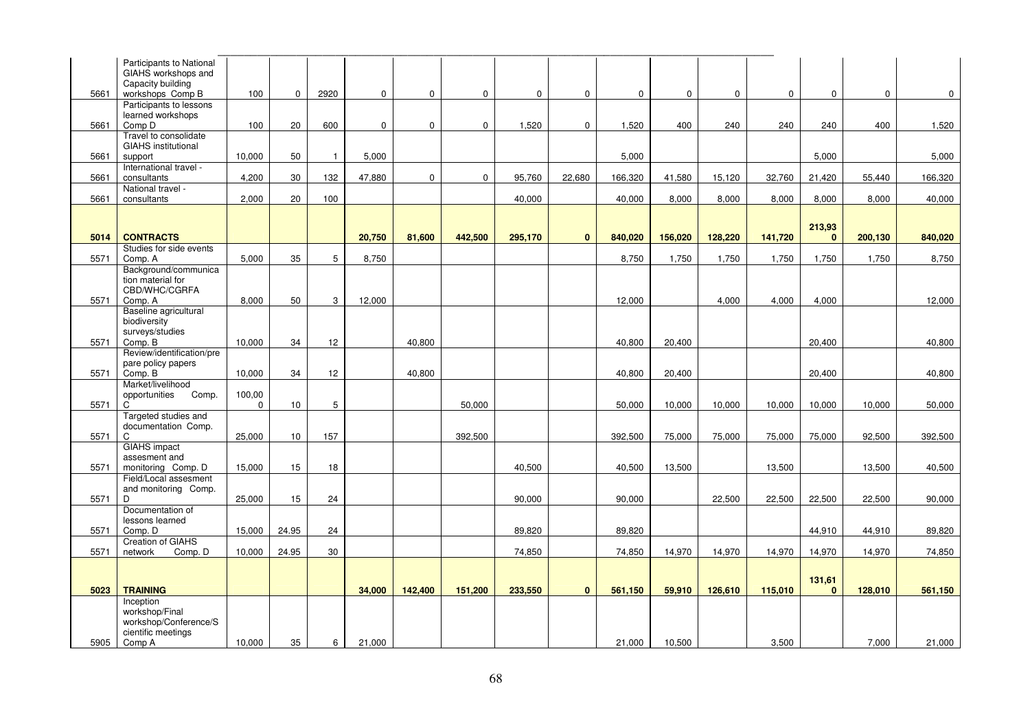|      | Participants to National<br>GIAHS workshops and<br>Capacity building |             |             |              |             |              |             |             |              |             |             |             |             |                        |          |             |
|------|----------------------------------------------------------------------|-------------|-------------|--------------|-------------|--------------|-------------|-------------|--------------|-------------|-------------|-------------|-------------|------------------------|----------|-------------|
| 5661 | workshops Comp B<br>Participants to lessons                          | 100         | $\mathbf 0$ | 2920         | $\mathbf 0$ | $\mathbf{0}$ | $\mathbf 0$ | $\mathbf 0$ | $\mathbf 0$  | $\mathbf 0$ | $\mathbf 0$ | $\mathbf 0$ | $\mathbf 0$ | $\mathbf 0$            | $\Omega$ | $\mathbf 0$ |
|      | learned workshops                                                    |             |             |              |             |              |             |             |              |             |             |             |             |                        |          |             |
| 5661 | Comp D                                                               | 100         | 20          | 600          | $\mathbf 0$ | $\mathbf 0$  | $\mathbf 0$ | 1,520       | $\mathbf 0$  | 1,520       | 400         | 240         | 240         | 240                    | 400      | 1,520       |
| 5661 | Travel to consolidate<br><b>GIAHS</b> institutional<br>support       | 10,000      | 50          | $\mathbf{1}$ | 5,000       |              |             |             |              | 5,000       |             |             |             | 5,000                  |          | 5,000       |
|      | International travel -                                               |             |             |              |             |              |             |             |              |             |             |             |             |                        |          |             |
| 5661 | consultants                                                          | 4,200       | 30          | 132          | 47,880      | $\mathbf 0$  | $\mathbf 0$ | 95,760      | 22,680       | 166,320     | 41,580      | 15,120      | 32,760      | 21,420                 | 55,440   | 166,320     |
| 5661 | National travel -<br>consultants                                     | 2,000       | 20          | 100          |             |              |             | 40,000      |              | 40,000      | 8,000       | 8,000       | 8,000       | 8,000                  | 8,000    | 40,000      |
|      |                                                                      |             |             |              |             |              |             |             |              |             |             |             |             |                        |          |             |
|      |                                                                      |             |             |              |             |              |             |             |              |             |             |             |             | 213,93                 |          |             |
| 5014 | <b>CONTRACTS</b>                                                     |             |             |              | 20,750      | 81,600       | 442,500     | 295,170     | $\mathbf{0}$ | 840,020     | 156,020     | 128,220     | 141,720     | $\bf{0}$               | 200,130  | 840,020     |
| 5571 | Studies for side events<br>Comp. A                                   | 5,000       | 35          | 5            | 8,750       |              |             |             |              | 8,750       | 1,750       | 1,750       | 1,750       | 1,750                  | 1,750    | 8,750       |
|      | Background/communica                                                 |             |             |              |             |              |             |             |              |             |             |             |             |                        |          |             |
|      | tion material for                                                    |             |             |              |             |              |             |             |              |             |             |             |             |                        |          |             |
| 5571 | CBD/WHC/CGRFA<br>Comp. A                                             | 8,000       | 50          | 3            | 12,000      |              |             |             |              | 12,000      |             | 4,000       | 4,000       | 4,000                  |          | 12,000      |
|      | Baseline agricultural                                                |             |             |              |             |              |             |             |              |             |             |             |             |                        |          |             |
|      | biodiversity                                                         |             |             |              |             |              |             |             |              |             |             |             |             |                        |          |             |
|      | surveys/studies                                                      |             |             |              |             |              |             |             |              |             |             |             |             |                        |          |             |
| 5571 | Comp. B<br>Review/identification/pre                                 | 10,000      | 34          | 12           |             | 40,800       |             |             |              | 40,800      | 20,400      |             |             | 20,400                 |          | 40,800      |
|      | pare policy papers                                                   |             |             |              |             |              |             |             |              |             |             |             |             |                        |          |             |
| 5571 | Comp. B                                                              | 10,000      | 34          | 12           |             | 40,800       |             |             |              | 40,800      | 20,400      |             |             | 20,400                 |          | 40,800      |
|      | Market/livelihood                                                    |             |             |              |             |              |             |             |              |             |             |             |             |                        |          |             |
| 5571 | opportunities<br>Comp.<br>C                                          | 100,00<br>0 | 10          | 5            |             |              | 50,000      |             |              | 50,000      | 10,000      | 10,000      | 10,000      | 10,000                 | 10,000   | 50,000      |
|      | Targeted studies and                                                 |             |             |              |             |              |             |             |              |             |             |             |             |                        |          |             |
|      | documentation Comp.                                                  |             |             |              |             |              |             |             |              |             |             |             |             |                        |          |             |
| 5571 | C                                                                    | 25,000      | 10          | 157          |             |              | 392,500     |             |              | 392,500     | 75,000      | 75,000      | 75,000      | 75,000                 | 92,500   | 392,500     |
|      | <b>GIAHS</b> impact<br>assesment and                                 |             |             |              |             |              |             |             |              |             |             |             |             |                        |          |             |
| 5571 | monitoring Comp. D                                                   | 15,000      | 15          | 18           |             |              |             | 40,500      |              | 40,500      | 13,500      |             | 13,500      |                        | 13,500   | 40,500      |
|      | Field/Local assesment                                                |             |             |              |             |              |             |             |              |             |             |             |             |                        |          |             |
|      | and monitoring Comp.<br>D                                            |             | 15          |              |             |              |             |             |              |             |             | 22,500      |             |                        |          |             |
| 5571 | Documentation of                                                     | 25,000      |             | 24           |             |              |             | 90,000      |              | 90,000      |             |             | 22,500      | 22,500                 | 22,500   | 90,000      |
|      | lessons learned                                                      |             |             |              |             |              |             |             |              |             |             |             |             |                        |          |             |
| 5571 | Comp. D                                                              | 15,000      | 24.95       | 24           |             |              |             | 89,820      |              | 89,820      |             |             |             | 44,910                 | 44,910   | 89,820      |
| 5571 | <b>Creation of GIAHS</b><br>Comp. D<br>network                       | 10,000      | 24.95       | 30           |             |              |             | 74,850      |              | 74,850      | 14,970      | 14,970      | 14,970      | 14,970                 | 14,970   | 74,850      |
|      |                                                                      |             |             |              |             |              |             |             |              |             |             |             |             |                        |          |             |
|      |                                                                      |             |             |              |             |              |             |             |              |             |             |             |             |                        |          |             |
| 5023 | <b>TRAINING</b>                                                      |             |             |              | 34,000      | 142,400      | 151,200     | 233,550     | $\mathbf{0}$ | 561,150     | 59,910      | 126,610     | 115,010     | 131,61<br>$\mathbf{0}$ | 128,010  | 561,150     |
|      | Inception                                                            |             |             |              |             |              |             |             |              |             |             |             |             |                        |          |             |
|      | workshop/Final                                                       |             |             |              |             |              |             |             |              |             |             |             |             |                        |          |             |
|      | workshop/Conference/S<br>cientific meetings                          |             |             |              |             |              |             |             |              |             |             |             |             |                        |          |             |
| 5905 | Comp A                                                               | 10,000      | 35          | 6            | 21,000      |              |             |             |              | 21,000      | 10,500      |             | 3,500       |                        | 7,000    | 21,000      |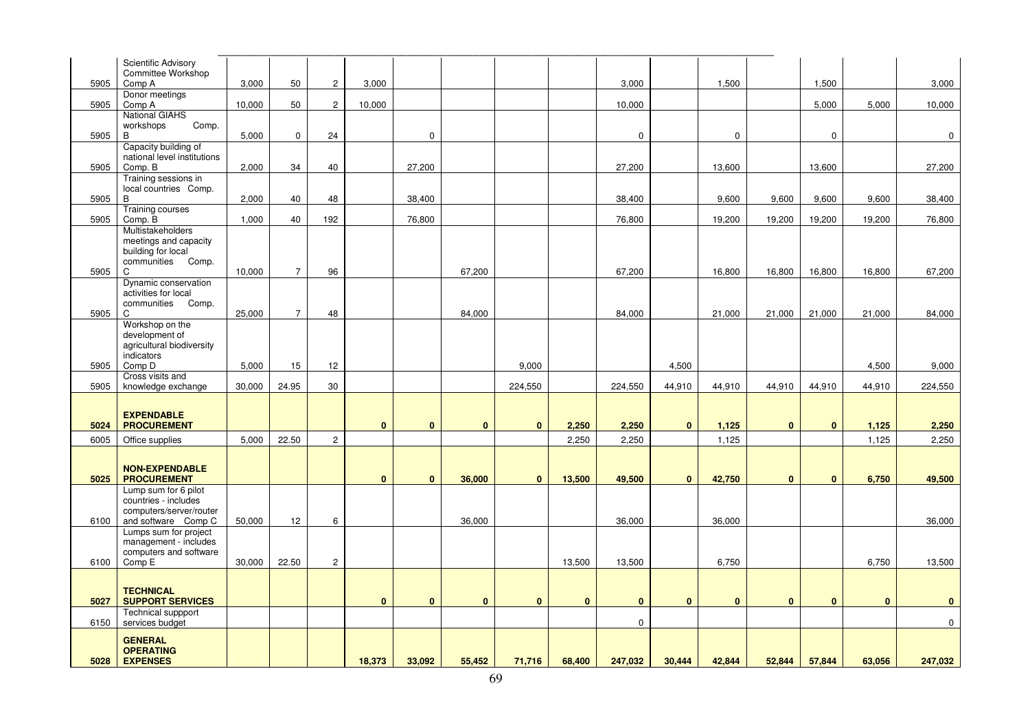|      | Scientific Advisory<br>Committee Workshop    |        |                |                |              |              |              |              |              |             |              |              |              |             |          |             |
|------|----------------------------------------------|--------|----------------|----------------|--------------|--------------|--------------|--------------|--------------|-------------|--------------|--------------|--------------|-------------|----------|-------------|
| 5905 | Comp A<br>Donor meetings                     | 3,000  | 50             | $\overline{c}$ | 3,000        |              |              |              |              | 3,000       |              | 1,500        |              | 1,500       |          | 3,000       |
| 5905 | Comp A                                       | 10,000 | 50             | $\overline{c}$ | 10,000       |              |              |              |              | 10,000      |              |              |              | 5,000       | 5,000    | 10,000      |
|      | <b>National GIAHS</b>                        |        |                |                |              |              |              |              |              |             |              |              |              |             |          |             |
| 5905 | Comp.<br>workshops<br>B                      | 5,000  | $\mathbf 0$    | 24             |              | $\mathbf 0$  |              |              |              | $\mathbf 0$ |              | 0            |              | $\mathbf 0$ |          | $\mathbf 0$ |
|      | Capacity building of                         |        |                |                |              |              |              |              |              |             |              |              |              |             |          |             |
|      | national level institutions                  |        |                |                |              |              |              |              |              |             |              |              |              |             |          |             |
| 5905 | Comp. B<br>Training sessions in              | 2,000  | 34             | 40             |              | 27,200       |              |              |              | 27,200      |              | 13,600       |              | 13,600      |          | 27,200      |
|      | local countries Comp.                        |        |                |                |              |              |              |              |              |             |              |              |              |             |          |             |
| 5905 | B                                            | 2,000  | 40             | 48             |              | 38,400       |              |              |              | 38,400      |              | 9,600        | 9,600        | 9,600       | 9,600    | 38,400      |
| 5905 | Training courses<br>Comp. B                  | 1,000  | 40             | 192            |              | 76,800       |              |              |              | 76,800      |              | 19,200       | 19,200       | 19,200      | 19,200   | 76,800      |
|      | Multistakeholders                            |        |                |                |              |              |              |              |              |             |              |              |              |             |          |             |
|      | meetings and capacity                        |        |                |                |              |              |              |              |              |             |              |              |              |             |          |             |
|      | building for local<br>communities Comp.      |        |                |                |              |              |              |              |              |             |              |              |              |             |          |             |
| 5905 | C                                            | 10,000 | $\overline{7}$ | 96             |              |              | 67,200       |              |              | 67,200      |              | 16,800       | 16,800       | 16,800      | 16,800   | 67,200      |
|      | Dynamic conservation<br>activities for local |        |                |                |              |              |              |              |              |             |              |              |              |             |          |             |
|      | communities Comp.                            |        |                |                |              |              |              |              |              |             |              |              |              |             |          |             |
| 5905 | C                                            | 25,000 | $\overline{7}$ | 48             |              |              | 84,000       |              |              | 84,000      |              | 21,000       | 21,000       | 21,000      | 21,000   | 84,000      |
|      | Workshop on the<br>development of            |        |                |                |              |              |              |              |              |             |              |              |              |             |          |             |
|      | agricultural biodiversity                    |        |                |                |              |              |              |              |              |             |              |              |              |             |          |             |
|      | indicators                                   |        |                |                |              |              |              |              |              |             |              |              |              |             |          |             |
| 5905 | Comp D<br>Cross visits and                   | 5,000  | 15             | 12             |              |              |              | 9,000        |              |             | 4,500        |              |              |             | 4,500    | 9,000       |
| 5905 | knowledge exchange                           | 30,000 | 24.95          | 30             |              |              |              | 224,550      |              | 224,550     | 44,910       | 44,910       | 44,910       | 44,910      | 44,910   | 224,550     |
|      |                                              |        |                |                |              |              |              |              |              |             |              |              |              |             |          |             |
|      | <b>EXPENDABLE</b>                            |        |                |                |              |              |              |              |              |             |              |              |              |             |          |             |
| 5024 | <b>PROCUREMENT</b>                           |        |                |                | $\mathbf{0}$ | $\bf{0}$     | $\bf{0}$     | $\bf{0}$     | 2,250        | 2,250       | $\bf{0}$     | 1,125        | $\bf{0}$     | $\bf{0}$    | 1,125    | 2,250       |
| 6005 | Office supplies                              | 5,000  | 22.50          | $\overline{2}$ |              |              |              |              | 2,250        | 2,250       |              | 1,125        |              |             | 1,125    | 2,250       |
|      |                                              |        |                |                |              |              |              |              |              |             |              |              |              |             |          |             |
|      | <b>NON-EXPENDABLE</b>                        |        |                |                | $\mathbf{0}$ | $\mathbf{0}$ | 36,000       | $\mathbf{0}$ |              | 49,500      | $\bf{0}$     | 42,750       | $\bf{0}$     | $\bf{0}$    |          | 49,500      |
| 5025 | <b>PROCUREMENT</b><br>Lump sum for 6 pilot   |        |                |                |              |              |              |              | 13,500       |             |              |              |              |             | 6,750    |             |
|      | countries - includes                         |        |                |                |              |              |              |              |              |             |              |              |              |             |          |             |
|      | computers/server/router                      |        |                |                |              |              |              |              |              |             |              |              |              |             |          |             |
| 6100 | and software Comp C<br>Lumps sum for project | 50,000 | 12             | 6              |              |              | 36,000       |              |              | 36,000      |              | 36,000       |              |             |          | 36,000      |
|      | management - includes                        |        |                |                |              |              |              |              |              |             |              |              |              |             |          |             |
| 6100 | computers and software<br>Comp E             | 30,000 | 22.50          | $\overline{c}$ |              |              |              |              | 13,500       | 13,500      |              | 6,750        |              |             | 6,750    | 13,500      |
|      |                                              |        |                |                |              |              |              |              |              |             |              |              |              |             |          |             |
|      | <b>TECHNICAL</b>                             |        |                |                |              |              |              |              |              |             |              |              |              |             |          |             |
| 5027 | <b>SUPPORT SERVICES</b>                      |        |                |                | $\mathbf{0}$ | $\mathbf{0}$ | $\mathbf{0}$ | $\mathbf{0}$ | $\mathbf{0}$ | $\bf{0}$    | $\mathbf{0}$ | $\mathbf{0}$ | $\mathbf{0}$ | $\bf{0}$    | $\bf{0}$ | $\bf{0}$    |
|      | Technical suppport                           |        |                |                |              |              |              |              |              |             |              |              |              |             |          |             |
| 6150 | services budget                              |        |                |                |              |              |              |              |              | $\mathbf 0$ |              |              |              |             |          | $\mathbf 0$ |
|      | <b>GENERAL</b>                               |        |                |                |              |              |              |              |              |             |              |              |              |             |          |             |
| 5028 | <b>OPERATING</b><br><b>EXPENSES</b>          |        |                |                | 18,373       | 33,092       | 55,452       | 71,716       | 68,400       | 247,032     | 30,444       | 42,844       | 52,844       | 57,844      | 63,056   | 247,032     |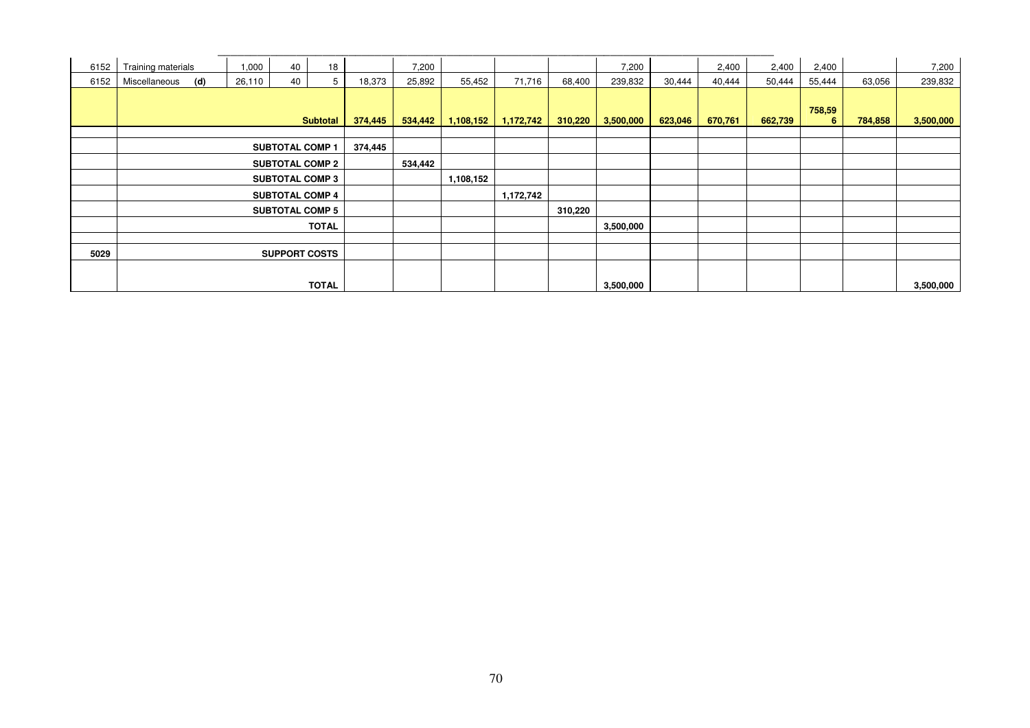| 6152 | Training materials   | 1,000  | 40                     | 18              |         | 7,200   |           |           |         | 7,200     |         | 2,400   | 2,400   | 2,400       |         | 7,200     |
|------|----------------------|--------|------------------------|-----------------|---------|---------|-----------|-----------|---------|-----------|---------|---------|---------|-------------|---------|-----------|
| 6152 | (d)<br>Miscellaneous | 26,110 | 40                     | 5               | 18,373  | 25,892  | 55,452    | 71,716    | 68,400  | 239,832   | 30,444  | 40,444  | 50,444  | 55,444      | 63,056  | 239,832   |
|      |                      |        |                        | <b>Subtotal</b> | 374,445 | 534,442 | 1,108,152 | 1,172,742 | 310,220 | 3,500,000 | 623,046 | 670,761 | 662,739 | 758,59<br>6 | 784,858 | 3,500,000 |
|      |                      |        |                        |                 |         |         |           |           |         |           |         |         |         |             |         |           |
|      |                      |        | <b>SUBTOTAL COMP 1</b> |                 | 374,445 |         |           |           |         |           |         |         |         |             |         |           |
|      |                      |        | <b>SUBTOTAL COMP 2</b> |                 |         | 534,442 |           |           |         |           |         |         |         |             |         |           |
|      |                      |        | <b>SUBTOTAL COMP 3</b> |                 |         |         | 1,108,152 |           |         |           |         |         |         |             |         |           |
|      |                      |        | <b>SUBTOTAL COMP 4</b> |                 |         |         |           | 1,172,742 |         |           |         |         |         |             |         |           |
|      |                      |        | <b>SUBTOTAL COMP 5</b> |                 |         |         |           |           | 310,220 |           |         |         |         |             |         |           |
|      |                      |        |                        | <b>TOTAL</b>    |         |         |           |           |         | 3,500,000 |         |         |         |             |         |           |
|      |                      |        |                        |                 |         |         |           |           |         |           |         |         |         |             |         |           |
| 5029 |                      |        | <b>SUPPORT COSTS</b>   |                 |         |         |           |           |         |           |         |         |         |             |         |           |
|      |                      |        |                        |                 |         |         |           |           |         |           |         |         |         |             |         |           |
|      |                      |        |                        | <b>TOTAL</b>    |         |         |           |           |         | 3,500,000 |         |         |         |             |         | 3,500,000 |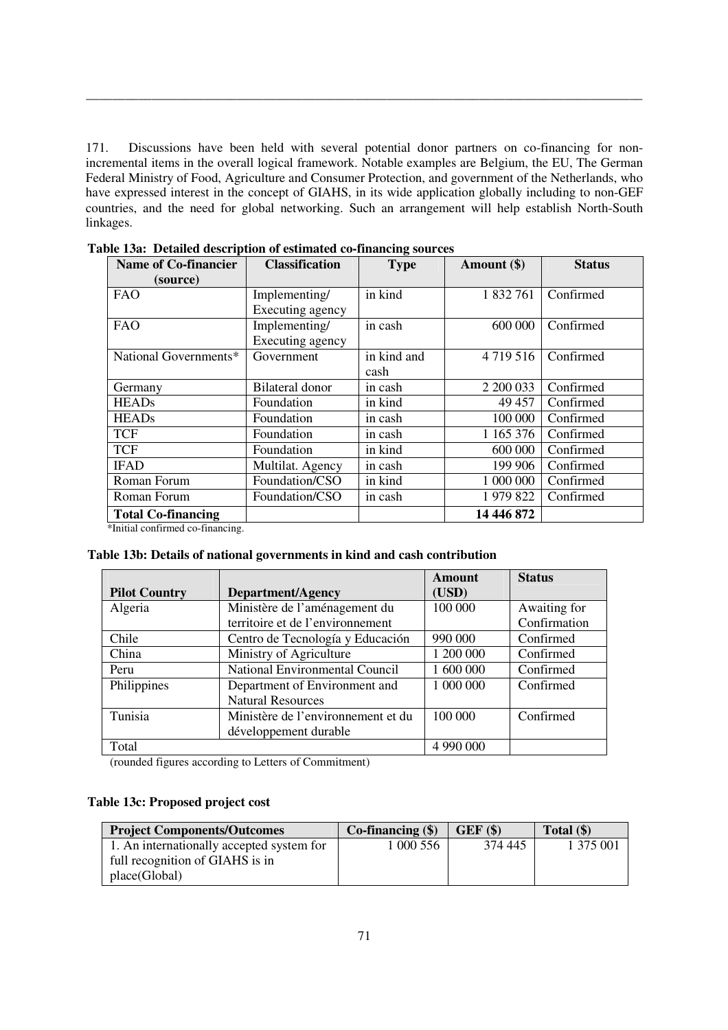171. Discussions have been held with several potential donor partners on co-financing for nonincremental items in the overall logical framework. Notable examples are Belgium, the EU, The German Federal Ministry of Food, Agriculture and Consumer Protection, and government of the Netherlands, who have expressed interest in the concept of GIAHS, in its wide application globally including to non-GEF countries, and the need for global networking. Such an arrangement will help establish North-South linkages.

\_\_\_\_\_\_\_\_\_\_\_\_\_\_\_\_\_\_\_\_\_\_\_\_\_\_\_\_\_\_\_\_\_\_\_\_\_\_\_\_\_\_\_\_\_\_\_\_\_\_\_\_\_\_\_\_\_\_\_\_\_\_\_\_\_\_\_\_\_\_\_\_\_\_\_\_\_\_\_\_\_\_\_\_\_

| <b>Name of Co-financier</b> | <b>Classification</b>  | <b>Type</b> | Amount (\$) | <b>Status</b> |
|-----------------------------|------------------------|-------------|-------------|---------------|
| (source)                    |                        |             |             |               |
| FAO                         | Implementing/          | in kind     | 1 832 761   | Confirmed     |
|                             | Executing agency       |             |             |               |
| FAO                         | Implementing/          | in cash     | 600 000     | Confirmed     |
|                             | Executing agency       |             |             |               |
| National Governments*       | Government             | in kind and | 4719516     | Confirmed     |
|                             |                        | cash        |             |               |
| Germany                     | <b>Bilateral donor</b> | in cash     | 2 200 033   | Confirmed     |
| <b>HEADs</b>                | Foundation             | in kind     | 49 457      | Confirmed     |
| <b>HEADs</b>                | Foundation             | in cash     | 100 000     | Confirmed     |
| <b>TCF</b>                  | Foundation             | in cash     | 1 165 376   | Confirmed     |
| <b>TCF</b>                  | Foundation             | in kind     | 600 000     | Confirmed     |
| <b>IFAD</b>                 | Multilat. Agency       | in cash     | 199 906     | Confirmed     |
| Roman Forum                 | Foundation/CSO         | in kind     | 1 000 000   | Confirmed     |
| Roman Forum                 | Foundation/CSO         | in cash     | 1979822     | Confirmed     |
| <b>Total Co-financing</b>   |                        |             | 14 446 872  |               |

**Table 13a: Detailed description of estimated co-financing sources** 

\*Initial confirmed co-financing.

## **Table 13b: Details of national governments in kind and cash contribution**

|                      |                                       | <b>Amount</b> | <b>Status</b> |
|----------------------|---------------------------------------|---------------|---------------|
| <b>Pilot Country</b> | Department/Agency                     | (USD)         |               |
| Algeria              | Ministère de l'aménagement du         | 100 000       | Awaiting for  |
|                      | territoire et de l'environnement      |               | Confirmation  |
| Chile                | Centro de Tecnología y Educación      | 990 000       | Confirmed     |
| China                | Ministry of Agriculture               | 1 200 000     | Confirmed     |
| Peru                 | <b>National Environmental Council</b> | 1 600 000     | Confirmed     |
| Philippines          | Department of Environment and         | 1 000 000     | Confirmed     |
|                      | <b>Natural Resources</b>              |               |               |
| Tunisia              | Ministère de l'environnement et du    | 100 000       | Confirmed     |
|                      | développement durable                 |               |               |
| Total                |                                       | 4 990 000     |               |

(rounded figures according to Letters of Commitment)

## **Table 13c: Proposed project cost**

| <b>Project Components/Outcomes</b>        | $Co\text{-}financing ($)$ | $GEF($ \$) | Total $(\$)$ |
|-------------------------------------------|---------------------------|------------|--------------|
| 1. An internationally accepted system for | 1 000 556                 | 374 445    | 1 375 001    |
| full recognition of GIAHS is in           |                           |            |              |
| place(Global)                             |                           |            |              |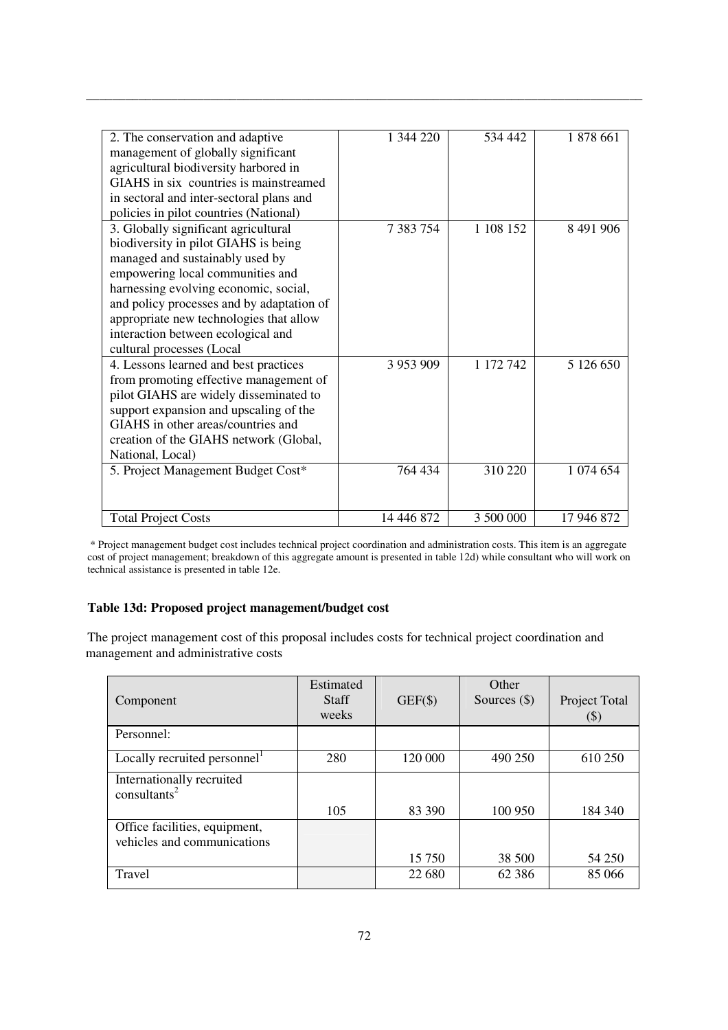| 2. The conservation and adaptive<br>management of globally significant<br>agricultural biodiversity harbored in<br>GIAHS in six countries is mainstreamed<br>in sectoral and inter-sectoral plans and<br>policies in pilot countries (National)                                                                                                         | 1 344 220            | 534 442              | 1 878 661              |
|---------------------------------------------------------------------------------------------------------------------------------------------------------------------------------------------------------------------------------------------------------------------------------------------------------------------------------------------------------|----------------------|----------------------|------------------------|
| 3. Globally significant agricultural<br>biodiversity in pilot GIAHS is being<br>managed and sustainably used by<br>empowering local communities and<br>harnessing evolving economic, social,<br>and policy processes and by adaptation of<br>appropriate new technologies that allow<br>interaction between ecological and<br>cultural processes (Local | 7 383 754            | 1 108 152            | 8 491 906              |
| 4. Lessons learned and best practices<br>from promoting effective management of<br>pilot GIAHS are widely disseminated to<br>support expansion and upscaling of the<br>GIAHS in other areas/countries and<br>creation of the GIAHS network (Global,<br>National, Local)<br>5. Project Management Budget Cost*                                           | 3 953 909<br>764 434 | 1 172 742<br>310 220 | 5 126 650<br>1 074 654 |
|                                                                                                                                                                                                                                                                                                                                                         |                      |                      |                        |
| <b>Total Project Costs</b>                                                                                                                                                                                                                                                                                                                              | 14 446 872           | 3 500 000            | 17 946 872             |

 \* Project management budget cost includes technical project coordination and administration costs. This item is an aggregate cost of project management; breakdown of this aggregate amount is presented in table 12d) while consultant who will work on technical assistance is presented in table 12e.

## **Table 13d: Proposed project management/budget cost**

The project management cost of this proposal includes costs for technical project coordination and management and administrative costs

| Component                                                    | Estimated<br><b>Staff</b><br>weeks | $GEF(\$)$ | Other<br>Sources $(\$)$ | Project Total<br>(\$) |
|--------------------------------------------------------------|------------------------------------|-----------|-------------------------|-----------------------|
| Personnel:                                                   |                                    |           |                         |                       |
| Locally recruited personnel <sup>1</sup>                     | 280                                | 120 000   | 490 250                 | 610 250               |
| Internationally recruited<br>$const$ <sup>2</sup>            |                                    |           |                         |                       |
|                                                              | 105                                | 83 390    | 100 950                 | 184 340               |
| Office facilities, equipment,<br>vehicles and communications |                                    |           |                         |                       |
|                                                              |                                    | 15 750    | 38 500                  | 54 250                |
| Travel                                                       |                                    | 22 680    | 62 3 8 6                | 85 066                |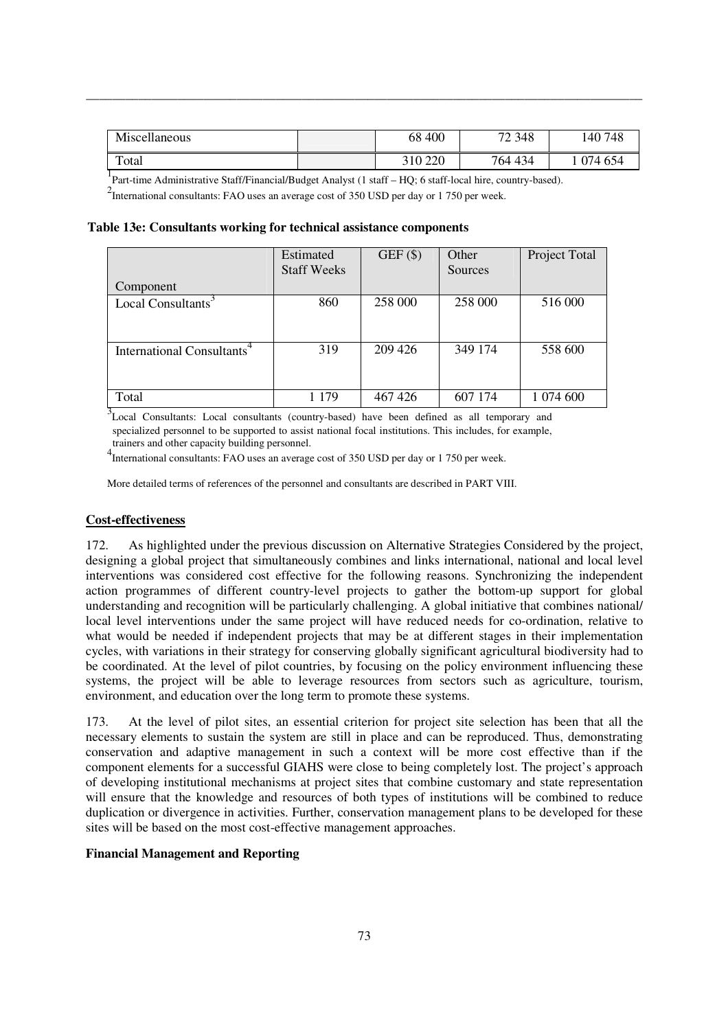| Miscellaneous | 400<br>68 | 72 348  | 140 748 |
|---------------|-----------|---------|---------|
| Total         | 310 220   | 764 434 | 974 654 |

<sup>1</sup> Part-time Administrative Staff/Financial/Budget Analyst (1 staff – HQ; 6 staff-local hire, country-based).

 $2$ International consultants: FAO uses an average cost of 350 USD per day or 1 750 per week.

### **Table 13e: Consultants working for technical assistance components**

|                                        | Estimated          | $GEF($ \$) | Other   | Project Total |
|----------------------------------------|--------------------|------------|---------|---------------|
|                                        | <b>Staff Weeks</b> |            | Sources |               |
| Component                              |                    |            |         |               |
| Local Consultants <sup>3</sup>         | 860                | 258 000    | 258 000 | 516 000       |
|                                        |                    |            |         |               |
|                                        |                    |            |         |               |
| International Consultants <sup>4</sup> | 319                | 209 426    | 349 174 | 558 600       |
|                                        |                    |            |         |               |
|                                        |                    |            |         |               |
| Total                                  | 179                | 467 426    | 607 174 | 1 074 600     |

<sup>3</sup>Local Consultants: Local consultants (country-based) have been defined as all temporary and specialized personnel to be supported to assist national focal institutions. This includes, for example, trainers and other capacity building personnel.

4 International consultants: FAO uses an average cost of 350 USD per day or 1 750 per week.

More detailed terms of references of the personnel and consultants are described in PART VIII.

### **Cost-effectiveness**

172. As highlighted under the previous discussion on Alternative Strategies Considered by the project, designing a global project that simultaneously combines and links international, national and local level interventions was considered cost effective for the following reasons. Synchronizing the independent action programmes of different country-level projects to gather the bottom-up support for global understanding and recognition will be particularly challenging. A global initiative that combines national/ local level interventions under the same project will have reduced needs for co-ordination, relative to what would be needed if independent projects that may be at different stages in their implementation cycles, with variations in their strategy for conserving globally significant agricultural biodiversity had to be coordinated. At the level of pilot countries, by focusing on the policy environment influencing these systems, the project will be able to leverage resources from sectors such as agriculture, tourism, environment, and education over the long term to promote these systems.

173. At the level of pilot sites, an essential criterion for project site selection has been that all the necessary elements to sustain the system are still in place and can be reproduced. Thus, demonstrating conservation and adaptive management in such a context will be more cost effective than if the component elements for a successful GIAHS were close to being completely lost. The project's approach of developing institutional mechanisms at project sites that combine customary and state representation will ensure that the knowledge and resources of both types of institutions will be combined to reduce duplication or divergence in activities. Further, conservation management plans to be developed for these sites will be based on the most cost-effective management approaches.

### **Financial Management and Reporting**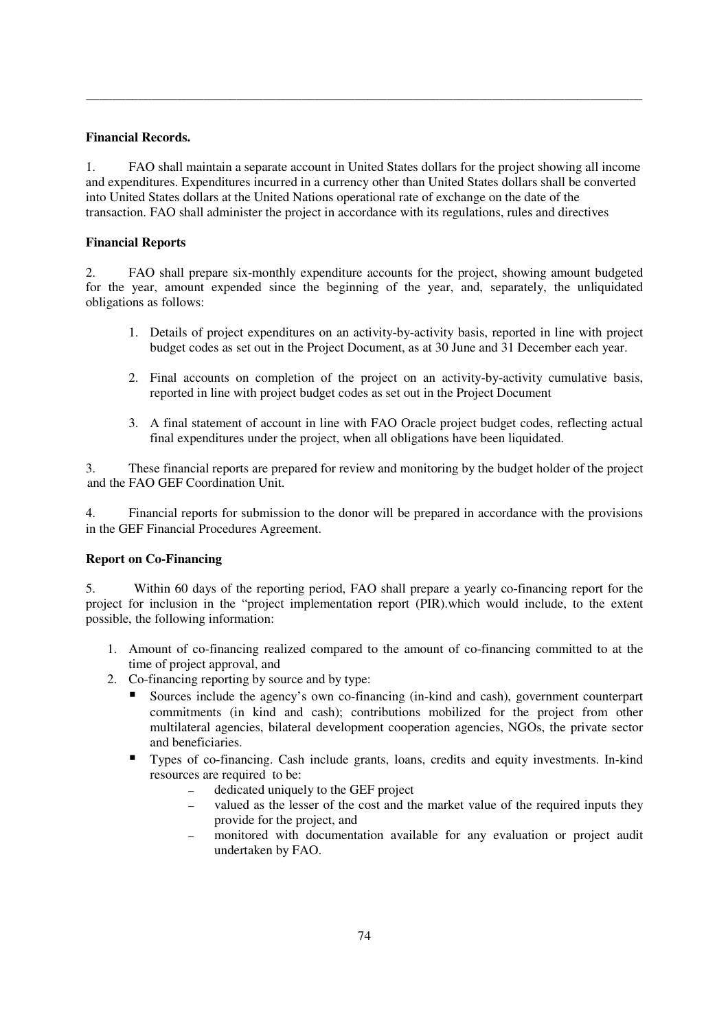## **Financial Records.**

1. FAO shall maintain a separate account in United States dollars for the project showing all income and expenditures. Expenditures incurred in a currency other than United States dollars shall be converted into United States dollars at the United Nations operational rate of exchange on the date of the transaction. FAO shall administer the project in accordance with its regulations, rules and directives

\_\_\_\_\_\_\_\_\_\_\_\_\_\_\_\_\_\_\_\_\_\_\_\_\_\_\_\_\_\_\_\_\_\_\_\_\_\_\_\_\_\_\_\_\_\_\_\_\_\_\_\_\_\_\_\_\_\_\_\_\_\_\_\_\_\_\_\_\_\_\_\_\_\_\_\_\_\_\_\_\_\_\_\_\_

## **Financial Reports**

2. FAO shall prepare six-monthly expenditure accounts for the project, showing amount budgeted for the year, amount expended since the beginning of the year, and, separately, the unliquidated obligations as follows:

- 1. Details of project expenditures on an activity-by-activity basis, reported in line with project budget codes as set out in the Project Document, as at 30 June and 31 December each year.
- 2. Final accounts on completion of the project on an activity-by-activity cumulative basis, reported in line with project budget codes as set out in the Project Document
- 3. A final statement of account in line with FAO Oracle project budget codes, reflecting actual final expenditures under the project, when all obligations have been liquidated.

3. These financial reports are prepared for review and monitoring by the budget holder of the project and the FAO GEF Coordination Unit.

4. Financial reports for submission to the donor will be prepared in accordance with the provisions in the GEF Financial Procedures Agreement.

### **Report on Co-Financing**

5. Within 60 days of the reporting period, FAO shall prepare a yearly co-financing report for the project for inclusion in the "project implementation report (PIR).which would include, to the extent possible, the following information:

- 1. Amount of co-financing realized compared to the amount of co-financing committed to at the time of project approval, and
- 2. Co-financing reporting by source and by type:
	- Sources include the agency's own co-financing (in-kind and cash), government counterpart commitments (in kind and cash); contributions mobilized for the project from other multilateral agencies, bilateral development cooperation agencies, NGOs, the private sector and beneficiaries.
	- Types of co-financing. Cash include grants, loans, credits and equity investments. In-kind resources are required to be:
		- ― dedicated uniquely to the GEF project
		- ― valued as the lesser of the cost and the market value of the required inputs they provide for the project, and
		- monitored with documentation available for any evaluation or project audit undertaken by FAO.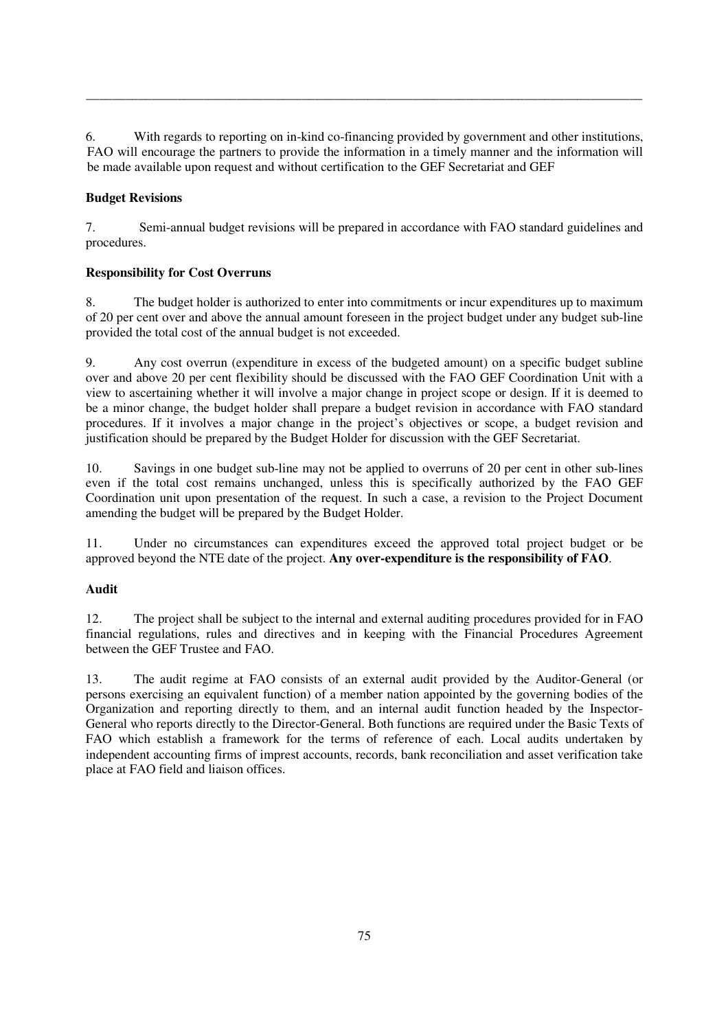6. With regards to reporting on in-kind co-financing provided by government and other institutions, FAO will encourage the partners to provide the information in a timely manner and the information will be made available upon request and without certification to the GEF Secretariat and GEF

\_\_\_\_\_\_\_\_\_\_\_\_\_\_\_\_\_\_\_\_\_\_\_\_\_\_\_\_\_\_\_\_\_\_\_\_\_\_\_\_\_\_\_\_\_\_\_\_\_\_\_\_\_\_\_\_\_\_\_\_\_\_\_\_\_\_\_\_\_\_\_\_\_\_\_\_\_\_\_\_\_\_\_\_\_

# **Budget Revisions**

7. Semi-annual budget revisions will be prepared in accordance with FAO standard guidelines and procedures.

## **Responsibility for Cost Overruns**

8. The budget holder is authorized to enter into commitments or incur expenditures up to maximum of 20 per cent over and above the annual amount foreseen in the project budget under any budget sub-line provided the total cost of the annual budget is not exceeded.

9. Any cost overrun (expenditure in excess of the budgeted amount) on a specific budget subline over and above 20 per cent flexibility should be discussed with the FAO GEF Coordination Unit with a view to ascertaining whether it will involve a major change in project scope or design. If it is deemed to be a minor change, the budget holder shall prepare a budget revision in accordance with FAO standard procedures. If it involves a major change in the project's objectives or scope, a budget revision and justification should be prepared by the Budget Holder for discussion with the GEF Secretariat.

10. Savings in one budget sub-line may not be applied to overruns of 20 per cent in other sub-lines even if the total cost remains unchanged, unless this is specifically authorized by the FAO GEF Coordination unit upon presentation of the request. In such a case, a revision to the Project Document amending the budget will be prepared by the Budget Holder.

11. Under no circumstances can expenditures exceed the approved total project budget or be approved beyond the NTE date of the project. **Any over-expenditure is the responsibility of FAO**.

## **Audit**

12. The project shall be subject to the internal and external auditing procedures provided for in FAO financial regulations, rules and directives and in keeping with the Financial Procedures Agreement between the GEF Trustee and FAO.

13. The audit regime at FAO consists of an external audit provided by the Auditor-General (or persons exercising an equivalent function) of a member nation appointed by the governing bodies of the Organization and reporting directly to them, and an internal audit function headed by the Inspector-General who reports directly to the Director-General. Both functions are required under the Basic Texts of FAO which establish a framework for the terms of reference of each. Local audits undertaken by independent accounting firms of imprest accounts, records, bank reconciliation and asset verification take place at FAO field and liaison offices.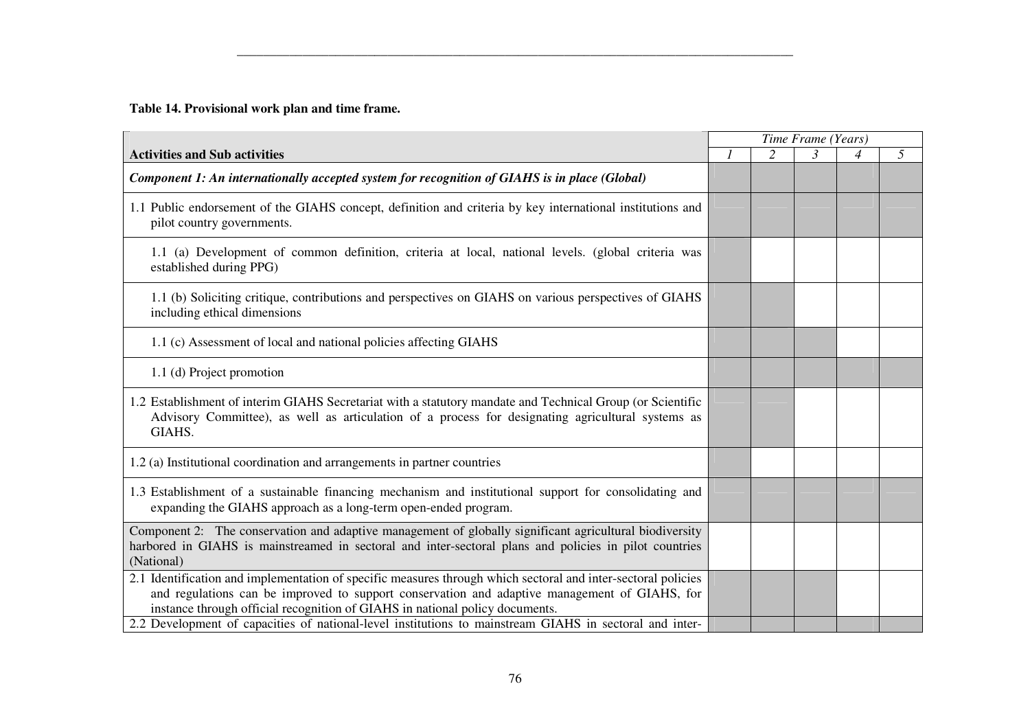**Table 14. Provisional work plan and time frame.** 

|                                                                                                                                                                                                                                                                                                |  | Time Frame (Years) |   |   |
|------------------------------------------------------------------------------------------------------------------------------------------------------------------------------------------------------------------------------------------------------------------------------------------------|--|--------------------|---|---|
| <b>Activities and Sub activities</b>                                                                                                                                                                                                                                                           |  |                    | 4 | 5 |
| Component 1: An internationally accepted system for recognition of GIAHS is in place (Global)                                                                                                                                                                                                  |  |                    |   |   |
| 1.1 Public endorsement of the GIAHS concept, definition and criteria by key international institutions and<br>pilot country governments.                                                                                                                                                       |  |                    |   |   |
| 1.1 (a) Development of common definition, criteria at local, national levels. (global criteria was<br>established during PPG)                                                                                                                                                                  |  |                    |   |   |
| 1.1 (b) Soliciting critique, contributions and perspectives on GIAHS on various perspectives of GIAHS<br>including ethical dimensions                                                                                                                                                          |  |                    |   |   |
| 1.1 (c) Assessment of local and national policies affecting GIAHS                                                                                                                                                                                                                              |  |                    |   |   |
| 1.1 (d) Project promotion                                                                                                                                                                                                                                                                      |  |                    |   |   |
| 1.2 Establishment of interim GIAHS Secretariat with a statutory mandate and Technical Group (or Scientific<br>Advisory Committee), as well as articulation of a process for designating agricultural systems as<br>GIAHS.                                                                      |  |                    |   |   |
| 1.2 (a) Institutional coordination and arrangements in partner countries                                                                                                                                                                                                                       |  |                    |   |   |
| 1.3 Establishment of a sustainable financing mechanism and institutional support for consolidating and<br>expanding the GIAHS approach as a long-term open-ended program.                                                                                                                      |  |                    |   |   |
| Component 2: The conservation and adaptive management of globally significant agricultural biodiversity<br>harbored in GIAHS is mainstreamed in sectoral and inter-sectoral plans and policies in pilot countries<br>(National)                                                                |  |                    |   |   |
| 2.1 Identification and implementation of specific measures through which sectoral and inter-sectoral policies<br>and regulations can be improved to support conservation and adaptive management of GIAHS, for<br>instance through official recognition of GIAHS in national policy documents. |  |                    |   |   |
| 2.2 Development of capacities of national-level institutions to mainstream GIAHS in sectoral and inter-                                                                                                                                                                                        |  |                    |   |   |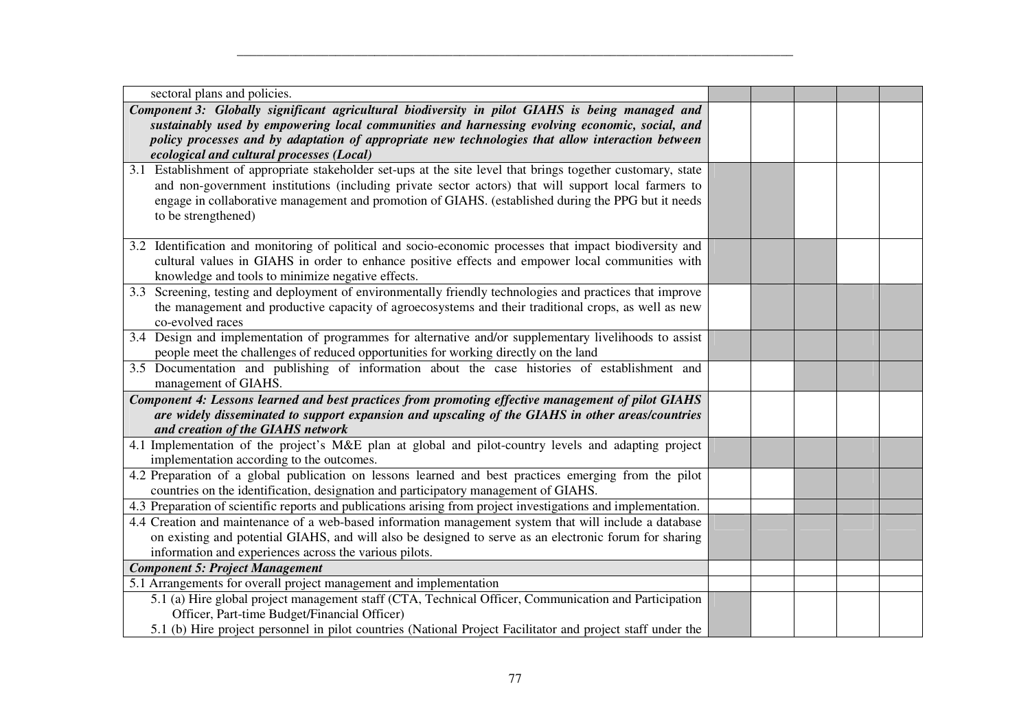| sectoral plans and policies.                                                                                   |  |  |  |
|----------------------------------------------------------------------------------------------------------------|--|--|--|
| Component 3: Globally significant agricultural biodiversity in pilot GIAHS is being managed and                |  |  |  |
| sustainably used by empowering local communities and harnessing evolving economic, social, and                 |  |  |  |
| policy processes and by adaptation of appropriate new technologies that allow interaction between              |  |  |  |
| ecological and cultural processes (Local)                                                                      |  |  |  |
| 3.1 Establishment of appropriate stakeholder set-ups at the site level that brings together customary, state   |  |  |  |
| and non-government institutions (including private sector actors) that will support local farmers to           |  |  |  |
| engage in collaborative management and promotion of GIAHS. (established during the PPG but it needs            |  |  |  |
| to be strengthened)                                                                                            |  |  |  |
|                                                                                                                |  |  |  |
| 3.2 Identification and monitoring of political and socio-economic processes that impact biodiversity and       |  |  |  |
| cultural values in GIAHS in order to enhance positive effects and empower local communities with               |  |  |  |
| knowledge and tools to minimize negative effects.                                                              |  |  |  |
| 3.3 Screening, testing and deployment of environmentally friendly technologies and practices that improve      |  |  |  |
| the management and productive capacity of agroecosystems and their traditional crops, as well as new           |  |  |  |
| co-evolved races                                                                                               |  |  |  |
| 3.4 Design and implementation of programmes for alternative and/or supplementary livelihoods to assist         |  |  |  |
| people meet the challenges of reduced opportunities for working directly on the land                           |  |  |  |
| 3.5 Documentation and publishing of information about the case histories of establishment and                  |  |  |  |
| management of GIAHS.                                                                                           |  |  |  |
| Component 4: Lessons learned and best practices from promoting effective management of pilot GIAHS             |  |  |  |
| are widely disseminated to support expansion and upscaling of the GIAHS in other areas/countries               |  |  |  |
| and creation of the GIAHS network                                                                              |  |  |  |
| 4.1 Implementation of the project's M&E plan at global and pilot-country levels and adapting project           |  |  |  |
| implementation according to the outcomes.                                                                      |  |  |  |
| 4.2 Preparation of a global publication on lessons learned and best practices emerging from the pilot          |  |  |  |
| countries on the identification, designation and participatory management of GIAHS.                            |  |  |  |
| 4.3 Preparation of scientific reports and publications arising from project investigations and implementation. |  |  |  |
| 4.4 Creation and maintenance of a web-based information management system that will include a database         |  |  |  |
| on existing and potential GIAHS, and will also be designed to serve as an electronic forum for sharing         |  |  |  |
| information and experiences across the various pilots.                                                         |  |  |  |
| <b>Component 5: Project Management</b>                                                                         |  |  |  |
| 5.1 Arrangements for overall project management and implementation                                             |  |  |  |
| 5.1 (a) Hire global project management staff (CTA, Technical Officer, Communication and Participation          |  |  |  |
| Officer, Part-time Budget/Financial Officer)                                                                   |  |  |  |
| 5.1 (b) Hire project personnel in pilot countries (National Project Facilitator and project staff under the    |  |  |  |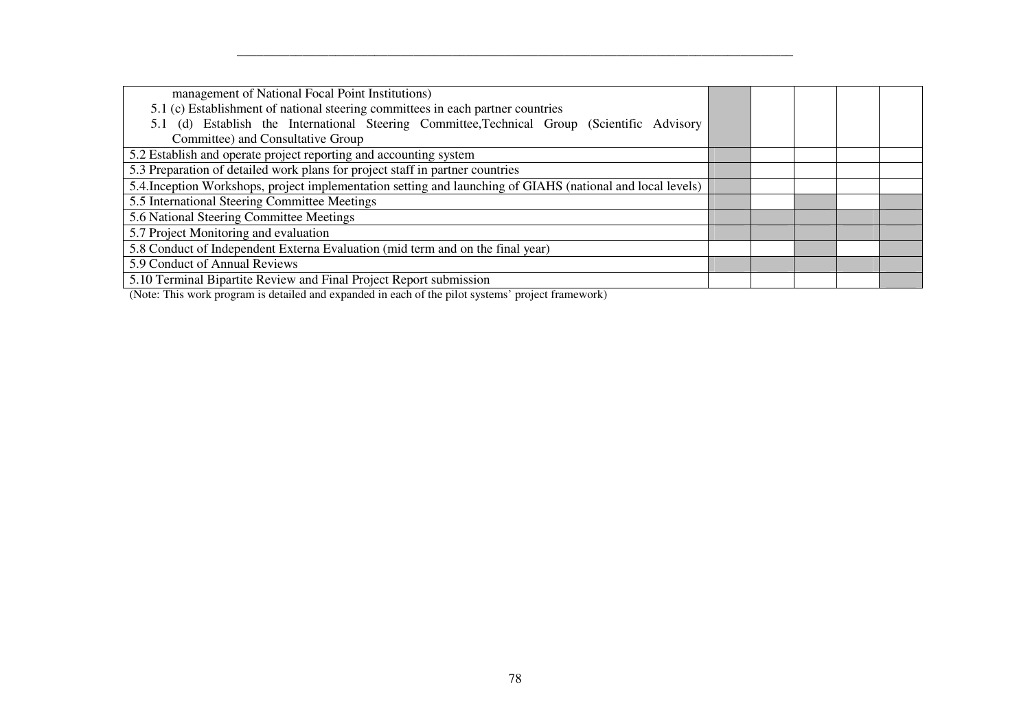| management of National Focal Point Institutions)                                                            |  |  |  |  |  |
|-------------------------------------------------------------------------------------------------------------|--|--|--|--|--|
| 5.1 (c) Establishment of national steering committees in each partner countries                             |  |  |  |  |  |
| (d) Establish the International Steering Committee, Technical Group (Scientific Advisory                    |  |  |  |  |  |
| Committee) and Consultative Group                                                                           |  |  |  |  |  |
| 5.2 Establish and operate project reporting and accounting system                                           |  |  |  |  |  |
| 5.3 Preparation of detailed work plans for project staff in partner countries                               |  |  |  |  |  |
| 5.4. Inception Workshops, project implementation setting and launching of GIAHS (national and local levels) |  |  |  |  |  |
| 5.5 International Steering Committee Meetings                                                               |  |  |  |  |  |
| 5.6 National Steering Committee Meetings                                                                    |  |  |  |  |  |
| 5.7 Project Monitoring and evaluation                                                                       |  |  |  |  |  |
| 5.8 Conduct of Independent Externa Evaluation (mid term and on the final year)                              |  |  |  |  |  |
| 5.9 Conduct of Annual Reviews                                                                               |  |  |  |  |  |
| 5.10 Terminal Bipartite Review and Final Project Report submission                                          |  |  |  |  |  |
|                                                                                                             |  |  |  |  |  |

(Note: This work program is detailed and expanded in each of the pilot systems' project framework)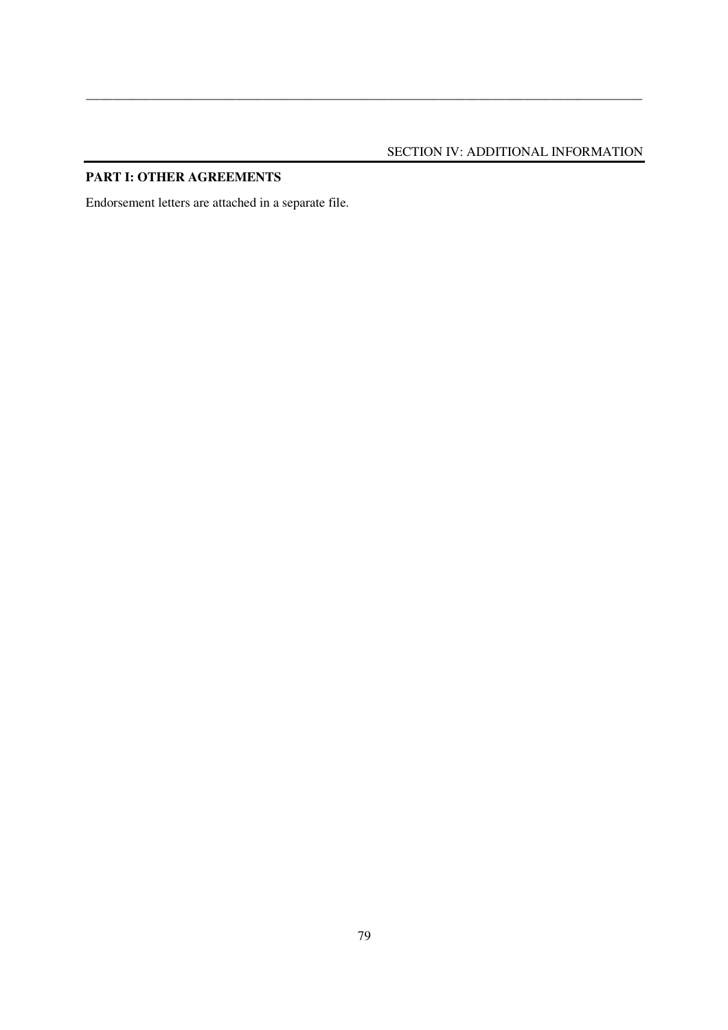# SECTION IV: ADDITIONAL INFORMATION

\_\_\_\_\_\_\_\_\_\_\_\_\_\_\_\_\_\_\_\_\_\_\_\_\_\_\_\_\_\_\_\_\_\_\_\_\_\_\_\_\_\_\_\_\_\_\_\_\_\_\_\_\_\_\_\_\_\_\_\_\_\_\_\_\_\_\_\_\_\_\_\_\_\_\_\_\_\_\_\_\_\_\_\_\_

# **PART I: OTHER AGREEMENTS**

Endorsement letters are attached in a separate file.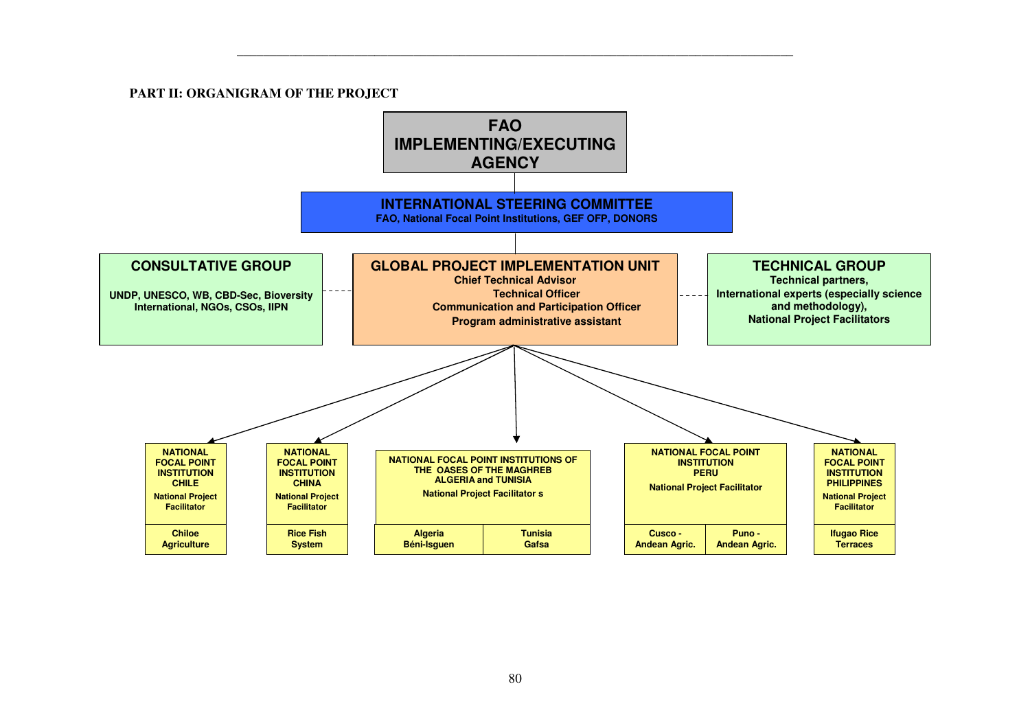#### **PART II: ORGANIGRAM OF THE PROJECT**

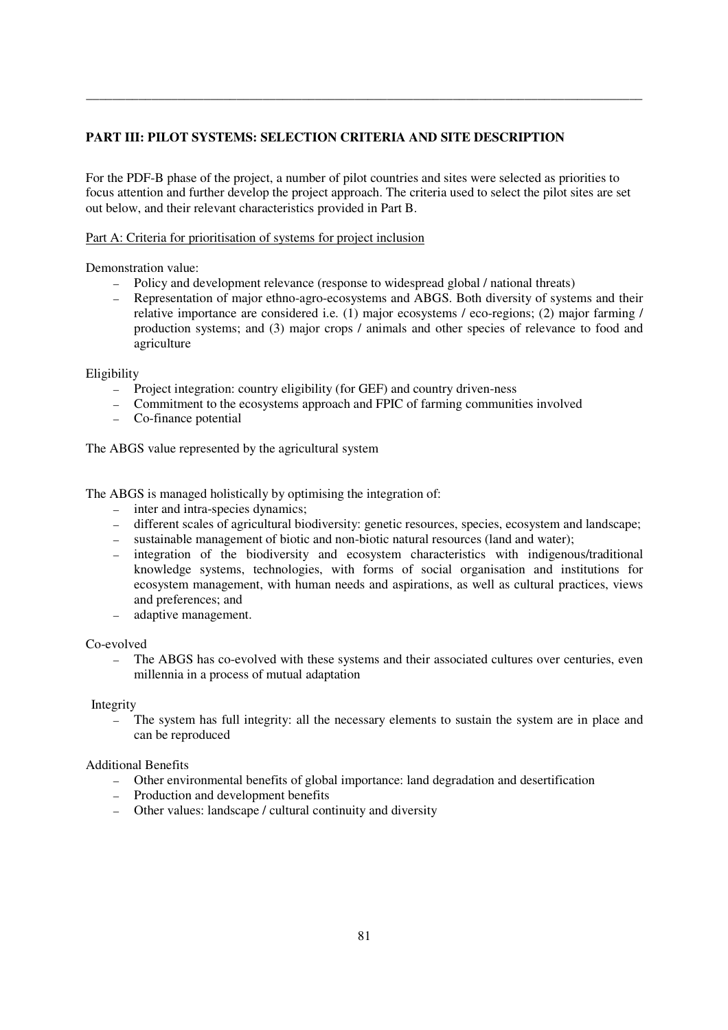# **PART III: PILOT SYSTEMS: SELECTION CRITERIA AND SITE DESCRIPTION**

For the PDF-B phase of the project, a number of pilot countries and sites were selected as priorities to focus attention and further develop the project approach. The criteria used to select the pilot sites are set out below, and their relevant characteristics provided in Part B.

\_\_\_\_\_\_\_\_\_\_\_\_\_\_\_\_\_\_\_\_\_\_\_\_\_\_\_\_\_\_\_\_\_\_\_\_\_\_\_\_\_\_\_\_\_\_\_\_\_\_\_\_\_\_\_\_\_\_\_\_\_\_\_\_\_\_\_\_\_\_\_\_\_\_\_\_\_\_\_\_\_\_\_\_\_

# Part A: Criteria for prioritisation of systems for project inclusion

Demonstration value:

- ― Policy and development relevance (response to widespread global / national threats)
- ― Representation of major ethno-agro-ecosystems and ABGS. Both diversity of systems and their relative importance are considered i.e. (1) major ecosystems / eco-regions; (2) major farming / production systems; and (3) major crops / animals and other species of relevance to food and agriculture

Eligibility

- ― Project integration: country eligibility (for GEF) and country driven-ness
- ― Commitment to the ecosystems approach and FPIC of farming communities involved
- ― Co-finance potential

The ABGS value represented by the agricultural system

The ABGS is managed holistically by optimising the integration of:

- ― inter and intra-species dynamics;
- ― different scales of agricultural biodiversity: genetic resources, species, ecosystem and landscape;
- ― sustainable management of biotic and non-biotic natural resources (land and water);
- ― integration of the biodiversity and ecosystem characteristics with indigenous/traditional knowledge systems, technologies, with forms of social organisation and institutions for ecosystem management, with human needs and aspirations, as well as cultural practices, views and preferences; and
- ― adaptive management.

Co-evolved

― The ABGS has co-evolved with these systems and their associated cultures over centuries, even millennia in a process of mutual adaptation

Integrity

The system has full integrity: all the necessary elements to sustain the system are in place and can be reproduced

### Additional Benefits

- ― Other environmental benefits of global importance: land degradation and desertification
- ― Production and development benefits
- ― Other values: landscape / cultural continuity and diversity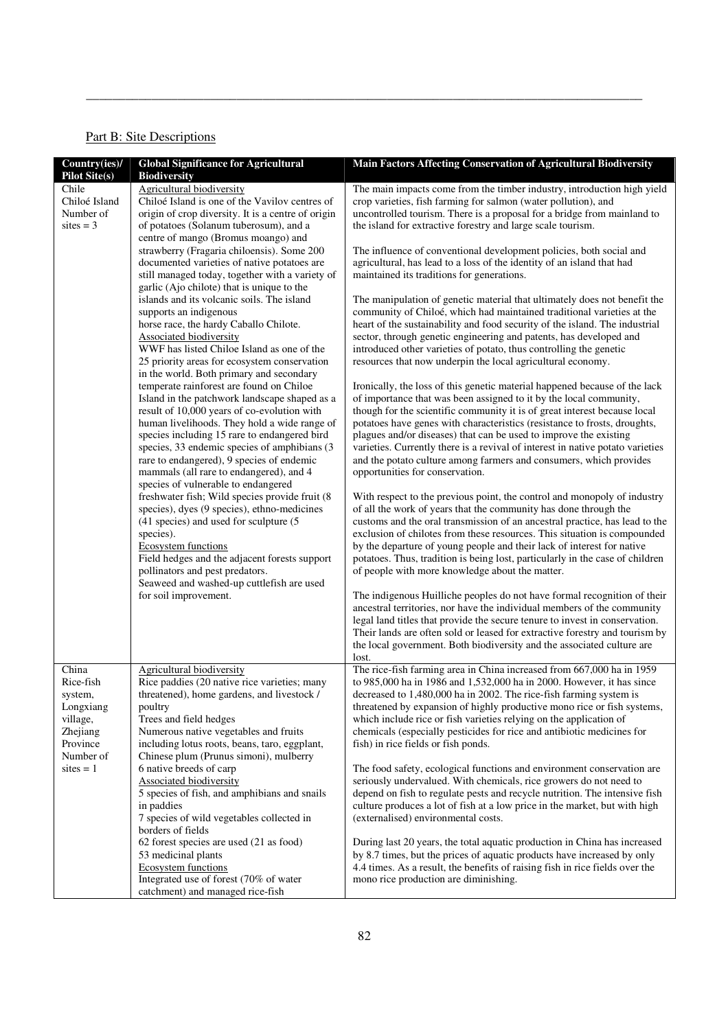# Part B: Site Descriptions

| Country(ies)/<br><b>Pilot Site(s)</b> | <b>Global Significance for Agricultural</b><br><b>Biodiversity</b>                           | <b>Main Factors Affecting Conservation of Agricultural Biodiversity</b>                                                                              |
|---------------------------------------|----------------------------------------------------------------------------------------------|------------------------------------------------------------------------------------------------------------------------------------------------------|
| Chile                                 | Agricultural biodiversity                                                                    | The main impacts come from the timber industry, introduction high yield                                                                              |
| Chiloé Island                         | Chiloé Island is one of the Vavilov centres of                                               | crop varieties, fish farming for salmon (water pollution), and                                                                                       |
| Number of                             | origin of crop diversity. It is a centre of origin                                           | uncontrolled tourism. There is a proposal for a bridge from mainland to                                                                              |
| sites $=$ 3                           | of potatoes (Solanum tuberosum), and a                                                       | the island for extractive forestry and large scale tourism.                                                                                          |
|                                       | centre of mango (Bromus moango) and                                                          |                                                                                                                                                      |
|                                       | strawberry (Fragaria chiloensis). Some 200                                                   | The influence of conventional development policies, both social and                                                                                  |
|                                       | documented varieties of native potatoes are                                                  | agricultural, has lead to a loss of the identity of an island that had                                                                               |
|                                       | still managed today, together with a variety of                                              | maintained its traditions for generations.                                                                                                           |
|                                       | garlic (Ajo chilote) that is unique to the<br>islands and its volcanic soils. The island     | The manipulation of genetic material that ultimately does not benefit the                                                                            |
|                                       | supports an indigenous                                                                       | community of Chiloé, which had maintained traditional varieties at the                                                                               |
|                                       | horse race, the hardy Caballo Chilote.                                                       | heart of the sustainability and food security of the island. The industrial                                                                          |
|                                       | <b>Associated biodiversity</b>                                                               | sector, through genetic engineering and patents, has developed and                                                                                   |
|                                       | WWF has listed Chiloe Island as one of the                                                   | introduced other varieties of potato, thus controlling the genetic                                                                                   |
|                                       | 25 priority areas for ecosystem conservation                                                 | resources that now underpin the local agricultural economy.                                                                                          |
|                                       | in the world. Both primary and secondary                                                     |                                                                                                                                                      |
|                                       | temperate rainforest are found on Chiloe                                                     | Ironically, the loss of this genetic material happened because of the lack                                                                           |
|                                       | Island in the patchwork landscape shaped as a                                                | of importance that was been assigned to it by the local community,                                                                                   |
|                                       | result of 10,000 years of co-evolution with                                                  | though for the scientific community it is of great interest because local                                                                            |
|                                       | human livelihoods. They hold a wide range of                                                 | potatoes have genes with characteristics (resistance to frosts, droughts,                                                                            |
|                                       | species including 15 rare to endangered bird<br>species, 33 endemic species of amphibians (3 | plagues and/or diseases) that can be used to improve the existing<br>varieties. Currently there is a revival of interest in native potato varieties  |
|                                       | rare to endangered), 9 species of endemic                                                    | and the potato culture among farmers and consumers, which provides                                                                                   |
|                                       | mammals (all rare to endangered), and 4                                                      | opportunities for conservation.                                                                                                                      |
|                                       | species of vulnerable to endangered                                                          |                                                                                                                                                      |
|                                       | freshwater fish; Wild species provide fruit (8                                               | With respect to the previous point, the control and monopoly of industry                                                                             |
|                                       | species), dyes (9 species), ethno-medicines                                                  | of all the work of years that the community has done through the                                                                                     |
|                                       | (41 species) and used for sculpture (5                                                       | customs and the oral transmission of an ancestral practice, has lead to the                                                                          |
|                                       | species).                                                                                    | exclusion of chilotes from these resources. This situation is compounded                                                                             |
|                                       | <b>Ecosystem functions</b>                                                                   | by the departure of young people and their lack of interest for native                                                                               |
|                                       | Field hedges and the adjacent forests support                                                | potatoes. Thus, tradition is being lost, particularly in the case of children                                                                        |
|                                       | pollinators and pest predators.<br>Seaweed and washed-up cuttlefish are used                 | of people with more knowledge about the matter.                                                                                                      |
|                                       | for soil improvement.                                                                        | The indigenous Huilliche peoples do not have formal recognition of their                                                                             |
|                                       |                                                                                              | ancestral territories, nor have the individual members of the community                                                                              |
|                                       |                                                                                              | legal land titles that provide the secure tenure to invest in conservation.                                                                          |
|                                       |                                                                                              | Their lands are often sold or leased for extractive forestry and tourism by                                                                          |
|                                       |                                                                                              | the local government. Both biodiversity and the associated culture are                                                                               |
|                                       |                                                                                              | lost.                                                                                                                                                |
| China                                 | <b>Agricultural biodiversity</b>                                                             | The rice-fish farming area in China increased from 667,000 ha in 1959                                                                                |
| Rice-fish                             | Rice paddies (20 native rice varieties; many                                                 | to 985,000 ha in 1986 and 1,532,000 ha in 2000. However, it has since                                                                                |
| system,                               | threatened), home gardens, and livestock /                                                   | decreased to 1,480,000 ha in 2002. The rice-fish farming system is                                                                                   |
| Longxiang<br>village,                 | poultry<br>Trees and field hedges                                                            | threatened by expansion of highly productive mono rice or fish systems,<br>which include rice or fish varieties relying on the application of        |
| Zhejiang                              | Numerous native vegetables and fruits                                                        | chemicals (especially pesticides for rice and antibiotic medicines for                                                                               |
| Province                              | including lotus roots, beans, taro, eggplant,                                                | fish) in rice fields or fish ponds.                                                                                                                  |
| Number of                             | Chinese plum (Prunus simoni), mulberry                                                       |                                                                                                                                                      |
| $\text{sites} = 1$                    | 6 native breeds of carp                                                                      | The food safety, ecological functions and environment conservation are                                                                               |
|                                       | Associated biodiversity                                                                      | seriously undervalued. With chemicals, rice growers do not need to                                                                                   |
|                                       | 5 species of fish, and amphibians and snails                                                 | depend on fish to regulate pests and recycle nutrition. The intensive fish                                                                           |
|                                       | in paddies                                                                                   | culture produces a lot of fish at a low price in the market, but with high                                                                           |
|                                       | 7 species of wild vegetables collected in                                                    | (externalised) environmental costs.                                                                                                                  |
|                                       | borders of fields                                                                            |                                                                                                                                                      |
|                                       | 62 forest species are used (21 as food)<br>53 medicinal plants                               | During last 20 years, the total aquatic production in China has increased<br>by 8.7 times, but the prices of aquatic products have increased by only |
|                                       | <b>Ecosystem functions</b>                                                                   | 4.4 times. As a result, the benefits of raising fish in rice fields over the                                                                         |
|                                       | Integrated use of forest (70% of water                                                       | mono rice production are diminishing.                                                                                                                |
|                                       | catchment) and managed rice-fish                                                             |                                                                                                                                                      |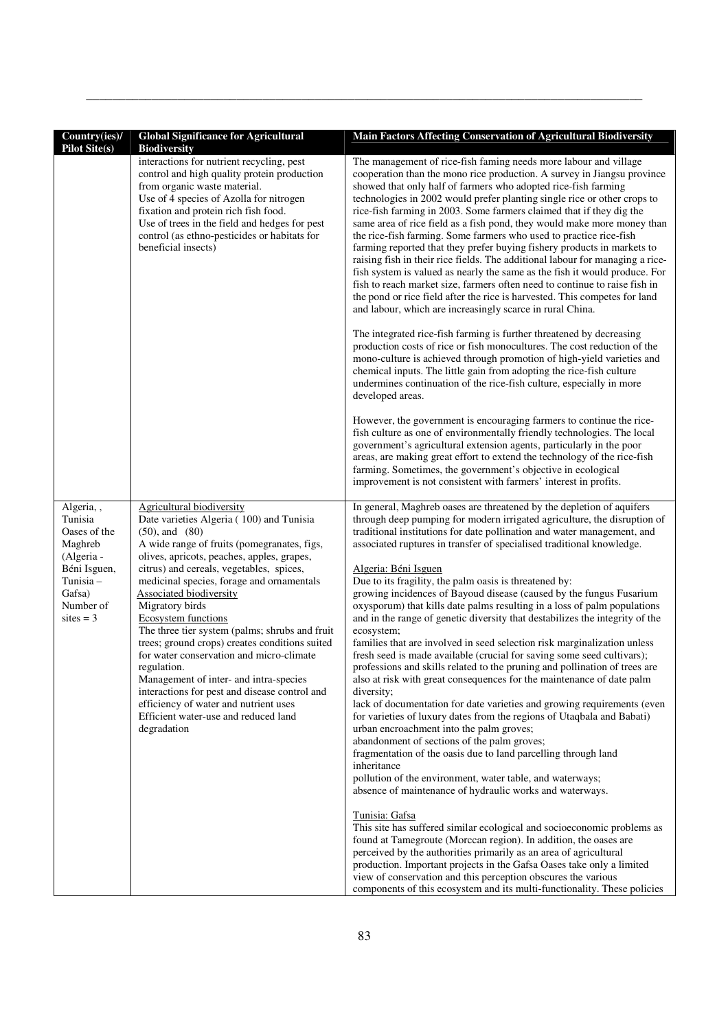| Country(ies)/                                                                                                                   | <b>Global Significance for Agricultural</b>                                                                                                                                                                                                                                                                                                                                                                                                                                                                                                                                                                                                                                                                                     | Main Factors Affecting Conservation of Agricultural Biodiversity                                                                                                                                                                                                                                                                                                                                                                                                                                                                                                                                                                                                                                                                                                                                                                                                                                                                                                                                                                                                                                                                                                                                                                                                                                                                                                                                                                                                                                                                                                                                                                                                                                                                                                                                                                                                                          |
|---------------------------------------------------------------------------------------------------------------------------------|---------------------------------------------------------------------------------------------------------------------------------------------------------------------------------------------------------------------------------------------------------------------------------------------------------------------------------------------------------------------------------------------------------------------------------------------------------------------------------------------------------------------------------------------------------------------------------------------------------------------------------------------------------------------------------------------------------------------------------|-------------------------------------------------------------------------------------------------------------------------------------------------------------------------------------------------------------------------------------------------------------------------------------------------------------------------------------------------------------------------------------------------------------------------------------------------------------------------------------------------------------------------------------------------------------------------------------------------------------------------------------------------------------------------------------------------------------------------------------------------------------------------------------------------------------------------------------------------------------------------------------------------------------------------------------------------------------------------------------------------------------------------------------------------------------------------------------------------------------------------------------------------------------------------------------------------------------------------------------------------------------------------------------------------------------------------------------------------------------------------------------------------------------------------------------------------------------------------------------------------------------------------------------------------------------------------------------------------------------------------------------------------------------------------------------------------------------------------------------------------------------------------------------------------------------------------------------------------------------------------------------------|
| <b>Pilot Site(s)</b>                                                                                                            | <b>Biodiversity</b><br>interactions for nutrient recycling, pest<br>control and high quality protein production<br>from organic waste material.<br>Use of 4 species of Azolla for nitrogen<br>fixation and protein rich fish food.<br>Use of trees in the field and hedges for pest<br>control (as ethno-pesticides or habitats for<br>beneficial insects)                                                                                                                                                                                                                                                                                                                                                                      | The management of rice-fish faming needs more labour and village<br>cooperation than the mono rice production. A survey in Jiangsu province<br>showed that only half of farmers who adopted rice-fish farming<br>technologies in 2002 would prefer planting single rice or other crops to<br>rice-fish farming in 2003. Some farmers claimed that if they dig the<br>same area of rice field as a fish pond, they would make more money than<br>the rice-fish farming. Some farmers who used to practice rice-fish<br>farming reported that they prefer buying fishery products in markets to<br>raising fish in their rice fields. The additional labour for managing a rice-<br>fish system is valued as nearly the same as the fish it would produce. For<br>fish to reach market size, farmers often need to continue to raise fish in<br>the pond or rice field after the rice is harvested. This competes for land<br>and labour, which are increasingly scarce in rural China.<br>The integrated rice-fish farming is further threatened by decreasing<br>production costs of rice or fish monocultures. The cost reduction of the<br>mono-culture is achieved through promotion of high-yield varieties and<br>chemical inputs. The little gain from adopting the rice-fish culture<br>undermines continuation of the rice-fish culture, especially in more<br>developed areas.<br>However, the government is encouraging farmers to continue the rice-<br>fish culture as one of environmentally friendly technologies. The local<br>government's agricultural extension agents, particularly in the poor<br>areas, are making great effort to extend the technology of the rice-fish<br>farming. Sometimes, the government's objective in ecological<br>improvement is not consistent with farmers' interest in profits.                                                        |
| Algeria,,<br>Tunisia<br>Oases of the<br>Maghreb<br>(Algeria -<br>Béni Isguen,<br>Tunisia-<br>Gafsa)<br>Number of<br>sites $=$ 3 | Agricultural biodiversity<br>Date varieties Algeria (100) and Tunisia<br>$(50)$ , and $(80)$<br>A wide range of fruits (pomegranates, figs,<br>olives, apricots, peaches, apples, grapes,<br>citrus) and cereals, vegetables, spices,<br>medicinal species, forage and ornamentals<br><b>Associated biodiversity</b><br>Migratory birds<br><b>Ecosystem functions</b><br>The three tier system (palms; shrubs and fruit<br>trees; ground crops) creates conditions suited<br>for water conservation and micro-climate<br>regulation.<br>Management of inter- and intra-species<br>interactions for pest and disease control and<br>efficiency of water and nutrient uses<br>Efficient water-use and reduced land<br>degradation | In general, Maghreb oases are threatened by the depletion of aquifers<br>through deep pumping for modern irrigated agriculture, the disruption of<br>traditional institutions for date pollination and water management, and<br>associated ruptures in transfer of specialised traditional knowledge.<br>Algeria: Béni Isguen<br>Due to its fragility, the palm oasis is threatened by:<br>growing incidences of Bayoud disease (caused by the fungus Fusarium<br>oxysporum) that kills date palms resulting in a loss of palm populations<br>and in the range of genetic diversity that destabilizes the integrity of the<br>ecosystem;<br>families that are involved in seed selection risk marginalization unless<br>fresh seed is made available (crucial for saving some seed cultivars);<br>professions and skills related to the pruning and pollination of trees are<br>also at risk with great consequences for the maintenance of date palm<br>diversity;<br>lack of documentation for date varieties and growing requirements (even<br>for varieties of luxury dates from the regions of Utaqbala and Babati)<br>urban encroachment into the palm groves;<br>abandonment of sections of the palm groves;<br>fragmentation of the oasis due to land parcelling through land<br>inheritance<br>pollution of the environment, water table, and waterways;<br>absence of maintenance of hydraulic works and waterways.<br>Tunisia: Gafsa<br>This site has suffered similar ecological and socioeconomic problems as<br>found at Tamegroute (Morccan region). In addition, the oases are<br>perceived by the authorities primarily as an area of agricultural<br>production. Important projects in the Gafsa Oases take only a limited<br>view of conservation and this perception obscures the various<br>components of this ecosystem and its multi-functionality. These policies |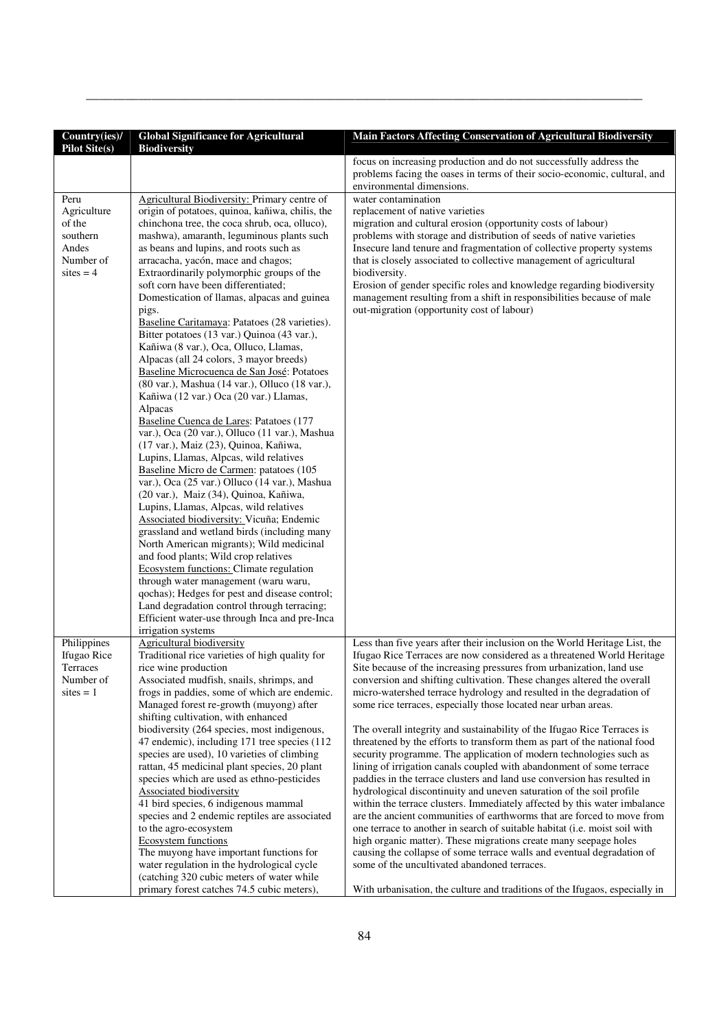| Country(ies)/<br><b>Pilot Site(s)</b>                                          | <b>Global Significance for Agricultural</b><br><b>Biodiversity</b>                                                                                                                                                                                                                                                                                                                                                                                                                                                                                                                                                                                                                                                                                                                                                                                                                                                                                                                                                                                                                                                                                                                                                                                                                                                                                                                                                                                                                                                                                                         | Main Factors Affecting Conservation of Agricultural Biodiversity                                                                                                                                                                                                                                                                                                                                                                                                                                                                                                                                                                                                                                                                                                                                                                                                                                                                                                                                                                                                                                                                                                                    |
|--------------------------------------------------------------------------------|----------------------------------------------------------------------------------------------------------------------------------------------------------------------------------------------------------------------------------------------------------------------------------------------------------------------------------------------------------------------------------------------------------------------------------------------------------------------------------------------------------------------------------------------------------------------------------------------------------------------------------------------------------------------------------------------------------------------------------------------------------------------------------------------------------------------------------------------------------------------------------------------------------------------------------------------------------------------------------------------------------------------------------------------------------------------------------------------------------------------------------------------------------------------------------------------------------------------------------------------------------------------------------------------------------------------------------------------------------------------------------------------------------------------------------------------------------------------------------------------------------------------------------------------------------------------------|-------------------------------------------------------------------------------------------------------------------------------------------------------------------------------------------------------------------------------------------------------------------------------------------------------------------------------------------------------------------------------------------------------------------------------------------------------------------------------------------------------------------------------------------------------------------------------------------------------------------------------------------------------------------------------------------------------------------------------------------------------------------------------------------------------------------------------------------------------------------------------------------------------------------------------------------------------------------------------------------------------------------------------------------------------------------------------------------------------------------------------------------------------------------------------------|
|                                                                                |                                                                                                                                                                                                                                                                                                                                                                                                                                                                                                                                                                                                                                                                                                                                                                                                                                                                                                                                                                                                                                                                                                                                                                                                                                                                                                                                                                                                                                                                                                                                                                            | focus on increasing production and do not successfully address the<br>problems facing the oases in terms of their socio-economic, cultural, and<br>environmental dimensions.                                                                                                                                                                                                                                                                                                                                                                                                                                                                                                                                                                                                                                                                                                                                                                                                                                                                                                                                                                                                        |
| Peru<br>Agriculture<br>of the<br>southern<br>Andes<br>Number of<br>sites $=$ 4 | Agricultural Biodiversity: Primary centre of<br>origin of potatoes, quinoa, kañiwa, chilis, the<br>chinchona tree, the coca shrub, oca, olluco),<br>mashwa), amaranth, leguminous plants such<br>as beans and lupins, and roots such as<br>arracacha, yacón, mace and chagos;<br>Extraordinarily polymorphic groups of the<br>soft corn have been differentiated;<br>Domestication of llamas, alpacas and guinea<br>pigs.<br>Baseline Caritamaya: Patatoes (28 varieties).<br>Bitter potatoes (13 var.) Quinoa (43 var.),<br>Kañiwa (8 var.), Oca, Olluco, Llamas,<br>Alpacas (all 24 colors, 3 mayor breeds)<br>Baseline Microcuenca de San José: Potatoes<br>(80 var.), Mashua (14 var.), Olluco (18 var.),<br>Kañiwa (12 var.) Oca (20 var.) Llamas,<br>Alpacas<br>Baseline Cuenca de Lares: Patatoes (177<br>var.), Oca (20 var.), Olluco (11 var.), Mashua<br>(17 var.), Maiz (23), Quinoa, Kañiwa,<br>Lupins, Llamas, Alpcas, wild relatives<br>Baseline Micro de Carmen: patatoes (105<br>var.), Oca (25 var.) Olluco (14 var.), Mashua<br>(20 var.), Maiz (34), Quinoa, Kañiwa,<br>Lupins, Llamas, Alpcas, wild relatives<br>Associated biodiversity: Vicuña; Endemic<br>grassland and wetland birds (including many<br>North American migrants); Wild medicinal<br>and food plants; Wild crop relatives<br>Ecosystem functions: Climate regulation<br>through water management (waru waru,<br>qochas); Hedges for pest and disease control;<br>Land degradation control through terracing;<br>Efficient water-use through Inca and pre-Inca<br>irrigation systems | water contamination<br>replacement of native varieties<br>migration and cultural erosion (opportunity costs of labour)<br>problems with storage and distribution of seeds of native varieties<br>Insecure land tenure and fragmentation of collective property systems<br>that is closely associated to collective management of agricultural<br>biodiversity.<br>Erosion of gender specific roles and knowledge regarding biodiversity<br>management resulting from a shift in responsibilities because of male<br>out-migration (opportunity cost of labour)                                                                                                                                                                                                                                                                                                                                                                                                                                                                                                                                                                                                                      |
| Philippines<br>Ifugao Rice                                                     | <b>Agricultural biodiversity</b><br>Traditional rice varieties of high quality for                                                                                                                                                                                                                                                                                                                                                                                                                                                                                                                                                                                                                                                                                                                                                                                                                                                                                                                                                                                                                                                                                                                                                                                                                                                                                                                                                                                                                                                                                         | Less than five years after their inclusion on the World Heritage List, the<br>Ifugao Rice Terraces are now considered as a threatened World Heritage                                                                                                                                                                                                                                                                                                                                                                                                                                                                                                                                                                                                                                                                                                                                                                                                                                                                                                                                                                                                                                |
| Terraces<br>Number of<br>sites $= 1$                                           | rice wine production<br>Associated mudfish, snails, shrimps, and<br>frogs in paddies, some of which are endemic.<br>Managed forest re-growth (muyong) after<br>shifting cultivation, with enhanced<br>biodiversity (264 species, most indigenous,<br>47 endemic), including 171 tree species (112<br>species are used), 10 varieties of climbing<br>rattan, 45 medicinal plant species, 20 plant<br>species which are used as ethno-pesticides<br>Associated biodiversity<br>41 bird species, 6 indigenous mammal<br>species and 2 endemic reptiles are associated<br>to the agro-ecosystem<br>Ecosystem functions<br>The muyong have important functions for<br>water regulation in the hydrological cycle<br>(catching 320 cubic meters of water while                                                                                                                                                                                                                                                                                                                                                                                                                                                                                                                                                                                                                                                                                                                                                                                                                   | Site because of the increasing pressures from urbanization, land use<br>conversion and shifting cultivation. These changes altered the overall<br>micro-watershed terrace hydrology and resulted in the degradation of<br>some rice terraces, especially those located near urban areas.<br>The overall integrity and sustainability of the Ifugao Rice Terraces is<br>threatened by the efforts to transform them as part of the national food<br>security programme. The application of modern technologies such as<br>lining of irrigation canals coupled with abandonment of some terrace<br>paddies in the terrace clusters and land use conversion has resulted in<br>hydrological discontinuity and uneven saturation of the soil profile<br>within the terrace clusters. Immediately affected by this water imbalance<br>are the ancient communities of earthworms that are forced to move from<br>one terrace to another in search of suitable habitat (i.e. moist soil with<br>high organic matter). These migrations create many seepage holes<br>causing the collapse of some terrace walls and eventual degradation of<br>some of the uncultivated abandoned terraces. |
|                                                                                | primary forest catches 74.5 cubic meters),                                                                                                                                                                                                                                                                                                                                                                                                                                                                                                                                                                                                                                                                                                                                                                                                                                                                                                                                                                                                                                                                                                                                                                                                                                                                                                                                                                                                                                                                                                                                 | With urbanisation, the culture and traditions of the Ifugaos, especially in                                                                                                                                                                                                                                                                                                                                                                                                                                                                                                                                                                                                                                                                                                                                                                                                                                                                                                                                                                                                                                                                                                         |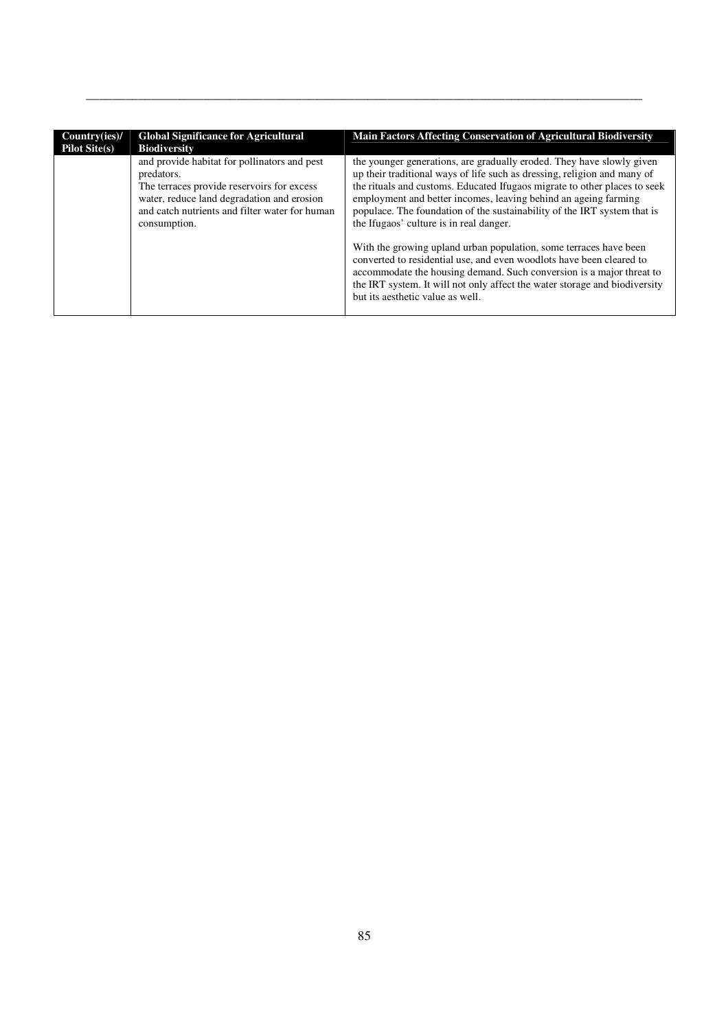| Country(ies)/<br><b>Pilot Site(s)</b> | <b>Global Significance for Agricultural</b><br><b>Biodiversity</b>                                                                                                                                                       | <b>Main Factors Affecting Conservation of Agricultural Biodiversity</b>                                                                                                                                                                                                                                                                                                                                                  |
|---------------------------------------|--------------------------------------------------------------------------------------------------------------------------------------------------------------------------------------------------------------------------|--------------------------------------------------------------------------------------------------------------------------------------------------------------------------------------------------------------------------------------------------------------------------------------------------------------------------------------------------------------------------------------------------------------------------|
|                                       | and provide habitat for pollinators and pest<br>predators.<br>The terraces provide reservoirs for excess<br>water, reduce land degradation and erosion<br>and catch nutrients and filter water for human<br>consumption. | the younger generations, are gradually eroded. They have slowly given<br>up their traditional ways of life such as dressing, religion and many of<br>the rituals and customs. Educated Ifugaos migrate to other places to seek<br>employment and better incomes, leaving behind an ageing farming<br>populace. The foundation of the sustainability of the IRT system that is<br>the Ifugaos' culture is in real danger. |
|                                       |                                                                                                                                                                                                                          | With the growing upland urban population, some terraces have been<br>converted to residential use, and even woodlots have been cleared to<br>accommodate the housing demand. Such conversion is a major threat to<br>the IRT system. It will not only affect the water storage and biodiversity<br>but its aesthetic value as well.                                                                                      |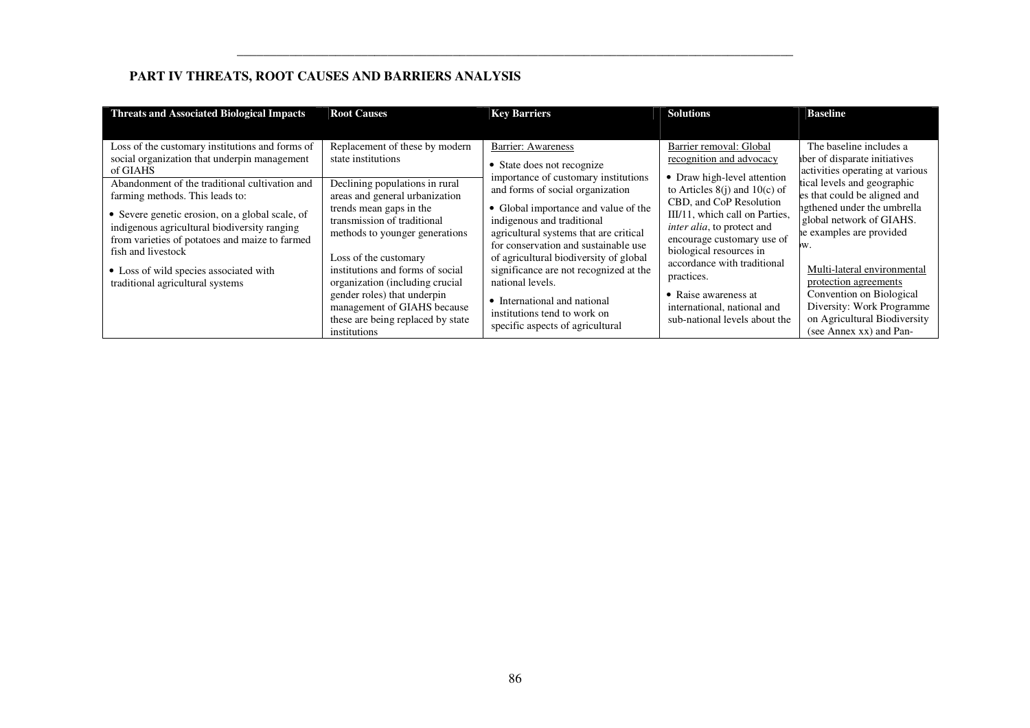# **PART IV THREATS, ROOT CAUSES AND BARRIERS ANALYSIS**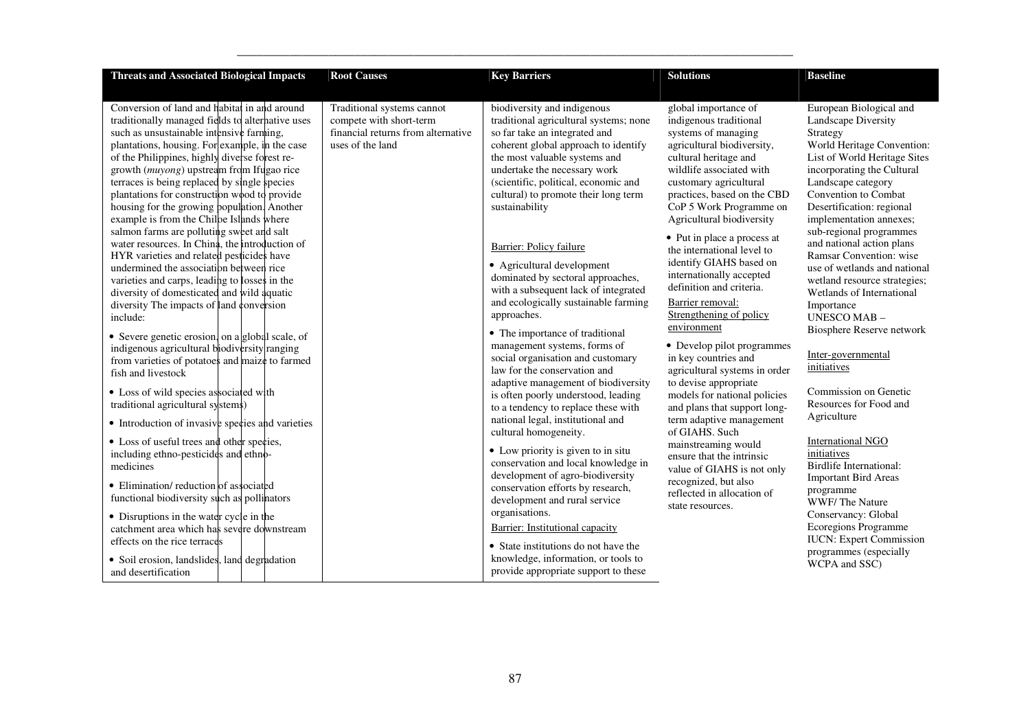| <b>Threats and Associated Biological Impacts</b>                                                                                                                                                                                                                                                                                                                                                                                                                                                 | <b>Root Causes</b>                                                                                              | <b>Key Barriers</b>                                                                                                                                                                                                                                                                                               | <b>Solutions</b>                                                                                                                                                                                                                                                          | <b>Baseline</b>                                                                                                                                                                                                                                              |
|--------------------------------------------------------------------------------------------------------------------------------------------------------------------------------------------------------------------------------------------------------------------------------------------------------------------------------------------------------------------------------------------------------------------------------------------------------------------------------------------------|-----------------------------------------------------------------------------------------------------------------|-------------------------------------------------------------------------------------------------------------------------------------------------------------------------------------------------------------------------------------------------------------------------------------------------------------------|---------------------------------------------------------------------------------------------------------------------------------------------------------------------------------------------------------------------------------------------------------------------------|--------------------------------------------------------------------------------------------------------------------------------------------------------------------------------------------------------------------------------------------------------------|
| Conversion of land and habitat in and around<br>traditionally managed fields to alternative uses<br>such as unsustainable intensive farming,<br>plantations, housing. For example, in the case<br>of the Philippines, highly diverse forest re-<br>growth ( <i>muyong</i> ) upstream from Ifugao rice<br>terraces is being replaced by single species<br>plantations for construction wood to provide<br>housing for the growing population. Another<br>example is from the Chilpe Islands where | Traditional systems cannot<br>compete with short-term<br>financial returns from alternative<br>uses of the land | biodiversity and indigenous<br>traditional agricultural systems; none<br>so far take an integrated and<br>coherent global approach to identify<br>the most valuable systems and<br>undertake the necessary work<br>(scientific, political, economic and<br>cultural) to promote their long term<br>sustainability | global importance of<br>indigenous traditional<br>systems of managing<br>agricultural biodiversity,<br>cultural heritage and<br>wildlife associated with<br>customary agricultural<br>practices, based on the CBD<br>CoP 5 Work Programme on<br>Agricultural biodiversity | European Biological and<br>Landscape Diversity<br>Strategy<br>World Heritage Convention:<br>List of World Heritage Sites<br>incorporating the Cultural<br>Landscape category<br>Convention to Combat<br>Desertification: regional<br>implementation annexes; |
| salmon farms are polluting sweet and salt<br>water resources. In China, the introduction of<br>HYR varieties and related pesticides have<br>undermined the association between rice<br>varieties and carps, leading to losses in the<br>diversity of domesticated and wild aquatic<br>diversity The impacts of land conversion<br>include:<br>• Severe genetic erosion, on a global scale, of                                                                                                    |                                                                                                                 | Barrier: Policy failure<br>• Agricultural development<br>dominated by sectoral approaches,<br>with a subsequent lack of integrated<br>and ecologically sustainable farming<br>approaches.<br>• The importance of traditional                                                                                      | • Put in place a process at<br>the international level to<br>identify GIAHS based on<br>internationally accepted<br>definition and criteria.<br>Barrier removal:<br>Strengthening of policy<br>environment                                                                | sub-regional programmes<br>and national action plans<br>Ramsar Convention: wise<br>use of wetlands and national<br>wetland resource strategies;<br>Wetlands of International<br>Importance<br><b>UNESCO MAB-</b><br>Biosphere Reserve network                |
| indigenous agricultural biodiversity ranging<br>from varieties of potatoes and maize to farmed<br>fish and livestock<br>• Loss of wild species associated with<br>traditional agricultural systems)                                                                                                                                                                                                                                                                                              |                                                                                                                 | management systems, forms of<br>social organisation and customary<br>law for the conservation and<br>adaptive management of biodiversity<br>is often poorly understood, leading<br>to a tendency to replace these with                                                                                            | • Develop pilot programmes<br>in key countries and<br>agricultural systems in order<br>to devise appropriate<br>models for national policies<br>and plans that support long-                                                                                              | Inter-governmental<br>initiatives<br>Commission on Genetic<br>Resources for Food and                                                                                                                                                                         |
| • Introduction of invasive species and varieties<br>• Loss of useful trees and other species,                                                                                                                                                                                                                                                                                                                                                                                                    |                                                                                                                 | national legal, institutional and<br>cultural homogeneity.                                                                                                                                                                                                                                                        | term adaptive management<br>of GIAHS. Such                                                                                                                                                                                                                                | Agriculture<br><b>International NGO</b>                                                                                                                                                                                                                      |
| including ethno-pesticides and ethno-<br>medicines                                                                                                                                                                                                                                                                                                                                                                                                                                               |                                                                                                                 | • Low priority is given to in situ<br>conservation and local knowledge in<br>development of agro-biodiversity                                                                                                                                                                                                     | mainstreaming would<br>ensure that the intrinsic<br>value of GIAHS is not only                                                                                                                                                                                            | initiatives<br><b>Birdlife International:</b><br><b>Important Bird Areas</b>                                                                                                                                                                                 |
| • Elimination/reduction of associated<br>functional biodiversity such as pollinators                                                                                                                                                                                                                                                                                                                                                                                                             |                                                                                                                 | conservation efforts by research,<br>development and rural service<br>organisations.                                                                                                                                                                                                                              | recognized, but also<br>reflected in allocation of<br>state resources.                                                                                                                                                                                                    | programme<br>WWF/The Nature                                                                                                                                                                                                                                  |
| • Disruptions in the water cycle in the<br>catchment area which has severe downstream<br>effects on the rice terraces                                                                                                                                                                                                                                                                                                                                                                            |                                                                                                                 | Barrier: Institutional capacity<br>• State institutions do not have the                                                                                                                                                                                                                                           |                                                                                                                                                                                                                                                                           | Conservancy: Global<br>Ecoregions Programme<br><b>IUCN:</b> Expert Commission                                                                                                                                                                                |
| • Soil erosion, landslides, land degradation<br>and desertification                                                                                                                                                                                                                                                                                                                                                                                                                              |                                                                                                                 | knowledge, information, or tools to<br>provide appropriate support to these                                                                                                                                                                                                                                       |                                                                                                                                                                                                                                                                           | programmes (especially<br>WCPA and SSC)                                                                                                                                                                                                                      |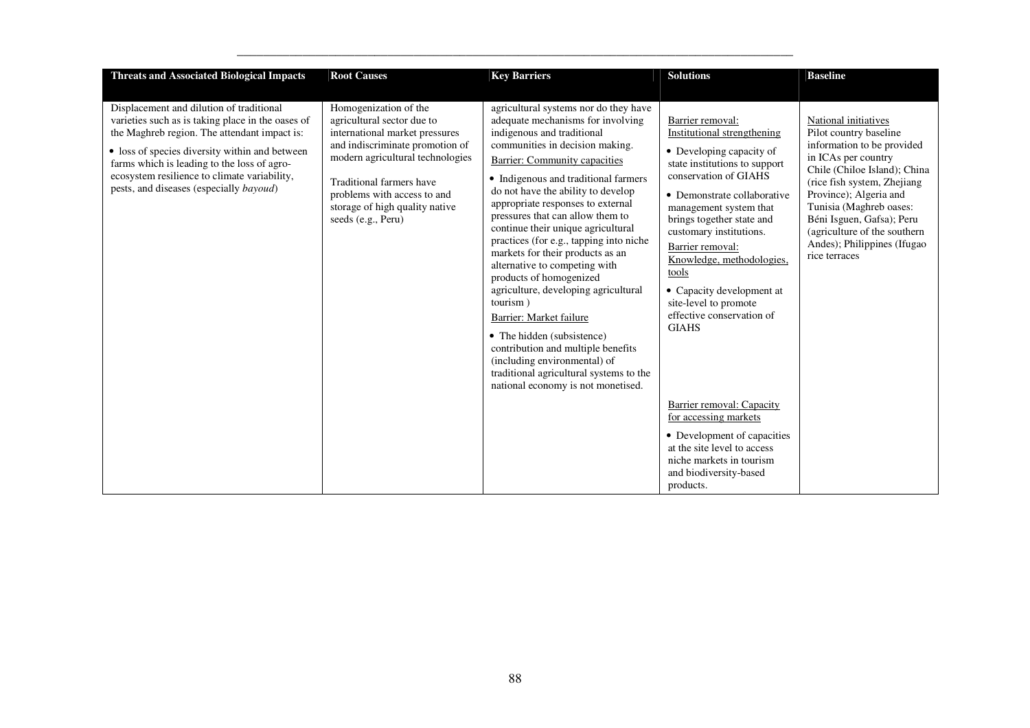| <b>Threats and Associated Biological Impacts</b>                                                                                                                                                                                                                                                                                          | <b>Root Causes</b>                                                                                                                                                                                                                                                              | <b>Key Barriers</b>                                                                                                                                                                                                                                                                                                                                                                                                                                                                                                                                                                                                                                                                                                                                                                      | <b>Solutions</b>                                                                                                                                                                                                                                                                                                                                                                                                    | <b>Baseline</b>                                                                                                                                                                                                                                                                                                                       |
|-------------------------------------------------------------------------------------------------------------------------------------------------------------------------------------------------------------------------------------------------------------------------------------------------------------------------------------------|---------------------------------------------------------------------------------------------------------------------------------------------------------------------------------------------------------------------------------------------------------------------------------|------------------------------------------------------------------------------------------------------------------------------------------------------------------------------------------------------------------------------------------------------------------------------------------------------------------------------------------------------------------------------------------------------------------------------------------------------------------------------------------------------------------------------------------------------------------------------------------------------------------------------------------------------------------------------------------------------------------------------------------------------------------------------------------|---------------------------------------------------------------------------------------------------------------------------------------------------------------------------------------------------------------------------------------------------------------------------------------------------------------------------------------------------------------------------------------------------------------------|---------------------------------------------------------------------------------------------------------------------------------------------------------------------------------------------------------------------------------------------------------------------------------------------------------------------------------------|
| Displacement and dilution of traditional<br>varieties such as is taking place in the oases of<br>the Maghreb region. The attendant impact is:<br>• loss of species diversity within and between<br>farms which is leading to the loss of agro-<br>ecosystem resilience to climate variability,<br>pests, and diseases (especially bayoud) | Homogenization of the<br>agricultural sector due to<br>international market pressures<br>and indiscriminate promotion of<br>modern agricultural technologies<br>Traditional farmers have<br>problems with access to and<br>storage of high quality native<br>seeds (e.g., Peru) | agricultural systems nor do they have<br>adequate mechanisms for involving<br>indigenous and traditional<br>communities in decision making.<br>Barrier: Community capacities<br>• Indigenous and traditional farmers<br>do not have the ability to develop<br>appropriate responses to external<br>pressures that can allow them to<br>continue their unique agricultural<br>practices (for e.g., tapping into niche<br>markets for their products as an<br>alternative to competing with<br>products of homogenized<br>agriculture, developing agricultural<br>tourism)<br>Barrier: Market failure<br>• The hidden (subsistence)<br>contribution and multiple benefits<br>(including environmental) of<br>traditional agricultural systems to the<br>national economy is not monetised. | Barrier removal:<br>Institutional strengthening<br>• Developing capacity of<br>state institutions to support<br>conservation of GIAHS<br>• Demonstrate collaborative<br>management system that<br>brings together state and<br>customary institutions.<br>Barrier removal:<br>Knowledge, methodologies,<br>tools<br>• Capacity development at<br>site-level to promote<br>effective conservation of<br><b>GIAHS</b> | National initiatives<br>Pilot country baseline<br>information to be provided<br>in ICAs per country<br>Chile (Chiloe Island); China<br>(rice fish system, Zhejiang)<br>Province); Algeria and<br>Tunisia (Maghreb oases:<br>Béni Isguen, Gafsa); Peru<br>(agriculture of the southern<br>Andes); Philippines (Ifugao<br>rice terraces |
|                                                                                                                                                                                                                                                                                                                                           |                                                                                                                                                                                                                                                                                 |                                                                                                                                                                                                                                                                                                                                                                                                                                                                                                                                                                                                                                                                                                                                                                                          | Barrier removal: Capacity<br>for accessing markets<br>• Development of capacities<br>at the site level to access<br>niche markets in tourism<br>and biodiversity-based<br>products.                                                                                                                                                                                                                                 |                                                                                                                                                                                                                                                                                                                                       |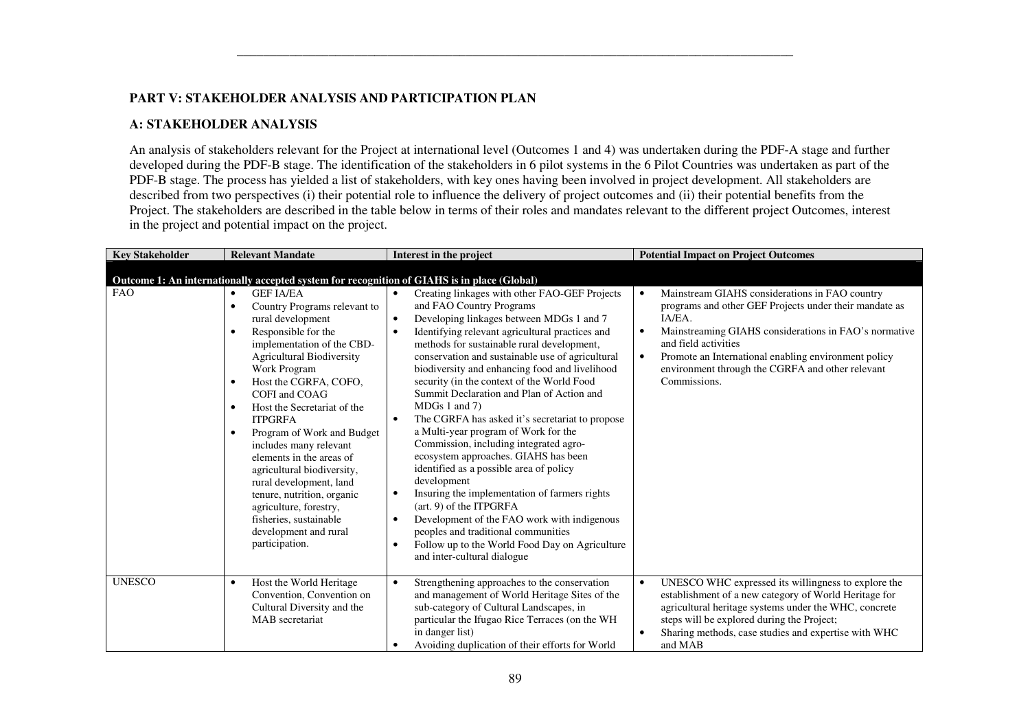## **PART V: STAKEHOLDER ANALYSIS AND PARTICIPATION PLAN**

### **A: STAKEHOLDER ANALYSIS**

An analysis of stakeholders relevant for the Project at international level (Outcomes 1 and 4) was undertaken during the PDF-A stage and further developed during the PDF-B stage. The identification of the stakeholders in 6 pilot systems in the 6 Pilot Countries was undertaken as part of the PDF-B stage. The process has yielded a list of stakeholders, with key ones having been involved in project development. All stakeholders are described from two perspectives (i) their potential role to influence the delivery of project outcomes and (ii) their potential benefits from the Project. The stakeholders are described in the table below in terms of their roles and mandates relevant to the different project Outcomes, interest in the project and potential impact on the project.

| <b>Key Stakeholder</b> | <b>Relevant Mandate</b>                                                                                                                                                                                                                                                                                                                                                                                                                                                                                                                                                                                                           | Interest in the project                                                                                                                                                                                                                                                                                                                                                                                                                                                                                                                                                                                                                                                                                                                                                                                                                                                                                                                                                                                                           | <b>Potential Impact on Project Outcomes</b>                                                                                                                                                                                                                                                                                                               |
|------------------------|-----------------------------------------------------------------------------------------------------------------------------------------------------------------------------------------------------------------------------------------------------------------------------------------------------------------------------------------------------------------------------------------------------------------------------------------------------------------------------------------------------------------------------------------------------------------------------------------------------------------------------------|-----------------------------------------------------------------------------------------------------------------------------------------------------------------------------------------------------------------------------------------------------------------------------------------------------------------------------------------------------------------------------------------------------------------------------------------------------------------------------------------------------------------------------------------------------------------------------------------------------------------------------------------------------------------------------------------------------------------------------------------------------------------------------------------------------------------------------------------------------------------------------------------------------------------------------------------------------------------------------------------------------------------------------------|-----------------------------------------------------------------------------------------------------------------------------------------------------------------------------------------------------------------------------------------------------------------------------------------------------------------------------------------------------------|
|                        | Outcome 1: An internationally accepted system for recognition of GIAHS is in place (Global)                                                                                                                                                                                                                                                                                                                                                                                                                                                                                                                                       |                                                                                                                                                                                                                                                                                                                                                                                                                                                                                                                                                                                                                                                                                                                                                                                                                                                                                                                                                                                                                                   |                                                                                                                                                                                                                                                                                                                                                           |
| <b>FAO</b>             | <b>GEF JA/EA</b><br>$\bullet$<br>Country Programs relevant to<br>$\bullet$<br>rural development<br>Responsible for the<br>$\bullet$<br>implementation of the CBD-<br><b>Agricultural Biodiversity</b><br>Work Program<br>Host the CGRFA, COFO,<br>$\bullet$<br>COFI and COAG<br>Host the Secretariat of the<br>$\bullet$<br><b>ITPGRFA</b><br>Program of Work and Budget<br>$\bullet$<br>includes many relevant<br>elements in the areas of<br>agricultural biodiversity,<br>rural development, land<br>tenure, nutrition, organic<br>agriculture, forestry,<br>fisheries, sustainable<br>development and rural<br>participation. | Creating linkages with other FAO-GEF Projects<br>$\bullet$<br>and FAO Country Programs<br>Developing linkages between MDGs 1 and 7<br>$\bullet$<br>Identifying relevant agricultural practices and<br>$\bullet$<br>methods for sustainable rural development,<br>conservation and sustainable use of agricultural<br>biodiversity and enhancing food and livelihood<br>security (in the context of the World Food<br>Summit Declaration and Plan of Action and<br>$MDGs$ 1 and 7)<br>The CGRFA has asked it's secretariat to propose<br>$\bullet$<br>a Multi-year program of Work for the<br>Commission, including integrated agro-<br>ecosystem approaches. GIAHS has been<br>identified as a possible area of policy<br>development<br>Insuring the implementation of farmers rights<br>$\bullet$<br>$(art. 9)$ of the ITPGRFA<br>Development of the FAO work with indigenous<br>$\bullet$<br>peoples and traditional communities<br>Follow up to the World Food Day on Agriculture<br>$\bullet$<br>and inter-cultural dialogue | Mainstream GIAHS considerations in FAO country<br>programs and other GEF Projects under their mandate as<br>IA/EA.<br>Mainstreaming GIAHS considerations in FAO's normative<br>$\bullet$<br>and field activities<br>Promote an International enabling environment policy<br>$\bullet$<br>environment through the CGRFA and other relevant<br>Commissions. |
| <b>UNESCO</b>          | Host the World Heritage<br>$\bullet$<br>Convention, Convention on<br>Cultural Diversity and the<br>MAB secretariat                                                                                                                                                                                                                                                                                                                                                                                                                                                                                                                | Strengthening approaches to the conservation<br>$\bullet$<br>and management of World Heritage Sites of the<br>sub-category of Cultural Landscapes, in<br>particular the Ifugao Rice Terraces (on the WH<br>in danger list)<br>Avoiding duplication of their efforts for World<br>$\bullet$                                                                                                                                                                                                                                                                                                                                                                                                                                                                                                                                                                                                                                                                                                                                        | UNESCO WHC expressed its willingness to explore the<br>establishment of a new category of World Heritage for<br>agricultural heritage systems under the WHC, concrete<br>steps will be explored during the Project;<br>Sharing methods, case studies and expertise with WHC<br>and MAB                                                                    |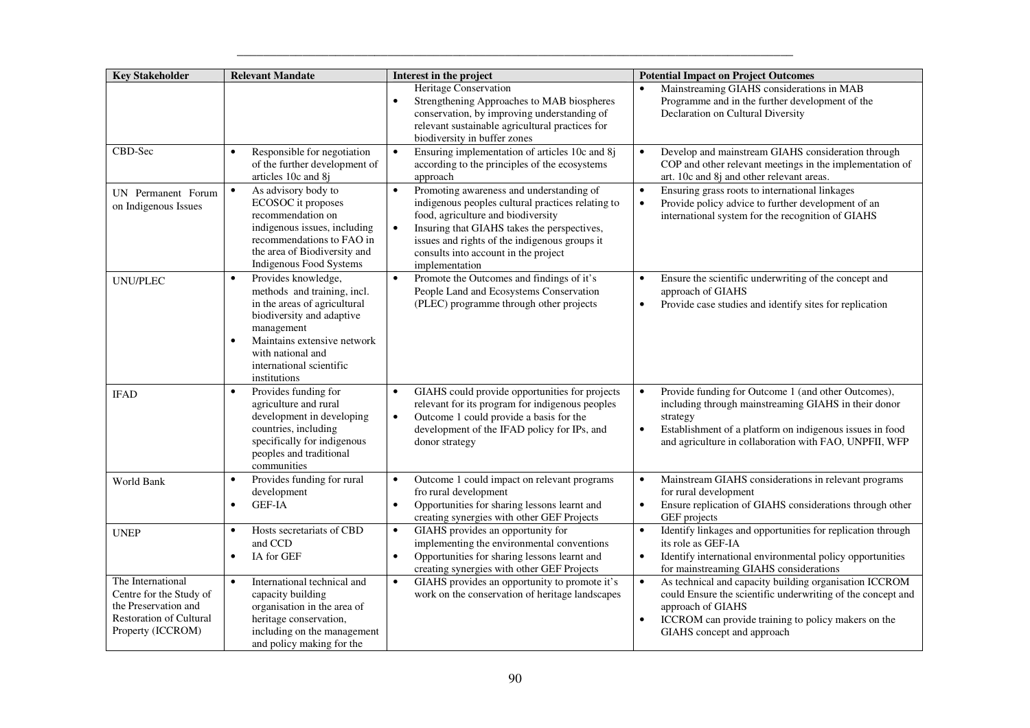| <b>Key Stakeholder</b>                                                                                                      | <b>Relevant Mandate</b>                                                                                                                                                                                                                                 | Interest in the project                                                                                                                                                                                                                                                                                                 | <b>Potential Impact on Project Outcomes</b>                                                                                                                                                                                                                             |
|-----------------------------------------------------------------------------------------------------------------------------|---------------------------------------------------------------------------------------------------------------------------------------------------------------------------------------------------------------------------------------------------------|-------------------------------------------------------------------------------------------------------------------------------------------------------------------------------------------------------------------------------------------------------------------------------------------------------------------------|-------------------------------------------------------------------------------------------------------------------------------------------------------------------------------------------------------------------------------------------------------------------------|
|                                                                                                                             |                                                                                                                                                                                                                                                         | <b>Heritage Conservation</b><br>Strengthening Approaches to MAB biospheres<br>$\bullet$<br>conservation, by improving understanding of<br>relevant sustainable agricultural practices for<br>biodiversity in buffer zones                                                                                               | Mainstreaming GIAHS considerations in MAB<br>Programme and in the further development of the<br>Declaration on Cultural Diversity                                                                                                                                       |
| CBD-Sec                                                                                                                     | Responsible for negotiation<br>of the further development of<br>articles 10c and 8j                                                                                                                                                                     | Ensuring implementation of articles 10c and 8j<br>$\bullet$<br>according to the principles of the ecosystems<br>approach                                                                                                                                                                                                | Develop and mainstream GIAHS consideration through<br>$\bullet$<br>COP and other relevant meetings in the implementation of<br>art. 10c and 8j and other relevant areas.                                                                                                |
| UN Permanent Forum<br>on Indigenous Issues                                                                                  | As advisory body to<br>ECOSOC it proposes<br>recommendation on<br>indigenous issues, including<br>recommendations to FAO in<br>the area of Biodiversity and<br>Indigenous Food Systems                                                                  | Promoting awareness and understanding of<br>$\bullet$<br>indigenous peoples cultural practices relating to<br>food, agriculture and biodiversity<br>Insuring that GIAHS takes the perspectives,<br>$\bullet$<br>issues and rights of the indigenous groups it<br>consults into account in the project<br>implementation | Ensuring grass roots to international linkages<br>Provide policy advice to further development of an<br>$\bullet$<br>international system for the recognition of GIAHS                                                                                                  |
| <b>UNU/PLEC</b>                                                                                                             | Provides knowledge,<br>$\bullet$<br>methods and training, incl.<br>in the areas of agricultural<br>biodiversity and adaptive<br>management<br>Maintains extensive network<br>$\bullet$<br>with national and<br>international scientific<br>institutions | Promote the Outcomes and findings of it's<br>$\bullet$<br>People Land and Ecosystems Conservation<br>(PLEC) programme through other projects                                                                                                                                                                            | Ensure the scientific underwriting of the concept and<br>$\bullet$<br>approach of GIAHS<br>Provide case studies and identify sites for replication<br>$\bullet$                                                                                                         |
| <b>IFAD</b>                                                                                                                 | Provides funding for<br>$\bullet$<br>agriculture and rural<br>development in developing<br>countries, including<br>specifically for indigenous<br>peoples and traditional<br>communities                                                                | GIAHS could provide opportunities for projects<br>$\bullet$<br>relevant for its program for indigenous peoples<br>Outcome 1 could provide a basis for the<br>$\bullet$<br>development of the IFAD policy for IPs, and<br>donor strategy                                                                                 | Provide funding for Outcome 1 (and other Outcomes),<br>$\bullet$<br>including through mainstreaming GIAHS in their donor<br>strategy<br>Establishment of a platform on indigenous issues in food<br>$\bullet$<br>and agriculture in collaboration with FAO, UNPFII, WFP |
| World Bank                                                                                                                  | Provides funding for rural<br>development<br><b>GEF-IA</b><br>$\bullet$                                                                                                                                                                                 | Outcome 1 could impact on relevant programs<br>$\bullet$<br>fro rural development<br>Opportunities for sharing lessons learnt and<br>$\bullet$<br>creating synergies with other GEF Projects                                                                                                                            | Mainstream GIAHS considerations in relevant programs<br>$\bullet$<br>for rural development<br>Ensure replication of GIAHS considerations through other<br>$\bullet$<br>GEF projects                                                                                     |
| <b>UNEP</b>                                                                                                                 | Hosts secretariats of CBD<br>$\bullet$<br>and CCD<br>IA for GEF<br>$\bullet$                                                                                                                                                                            | GIAHS provides an opportunity for<br>$\bullet$<br>implementing the environmental conventions<br>Opportunities for sharing lessons learnt and<br>$\bullet$<br>creating synergies with other GEF Projects                                                                                                                 | Identify linkages and opportunities for replication through<br>$\bullet$<br>its role as GEF-IA<br>Identify international environmental policy opportunities<br>$\bullet$<br>for mainstreaming GIAHS considerations                                                      |
| The International<br>Centre for the Study of<br>the Preservation and<br><b>Restoration of Cultural</b><br>Property (ICCROM) | International technical and<br>$\bullet$<br>capacity building<br>organisation in the area of<br>heritage conservation,<br>including on the management<br>and policy making for the                                                                      | GIAHS provides an opportunity to promote it's<br>$\bullet$<br>work on the conservation of heritage landscapes                                                                                                                                                                                                           | As technical and capacity building organisation ICCROM<br>$\bullet$<br>could Ensure the scientific underwriting of the concept and<br>approach of GIAHS<br>ICCROM can provide training to policy makers on the<br>GIAHS concept and approach                            |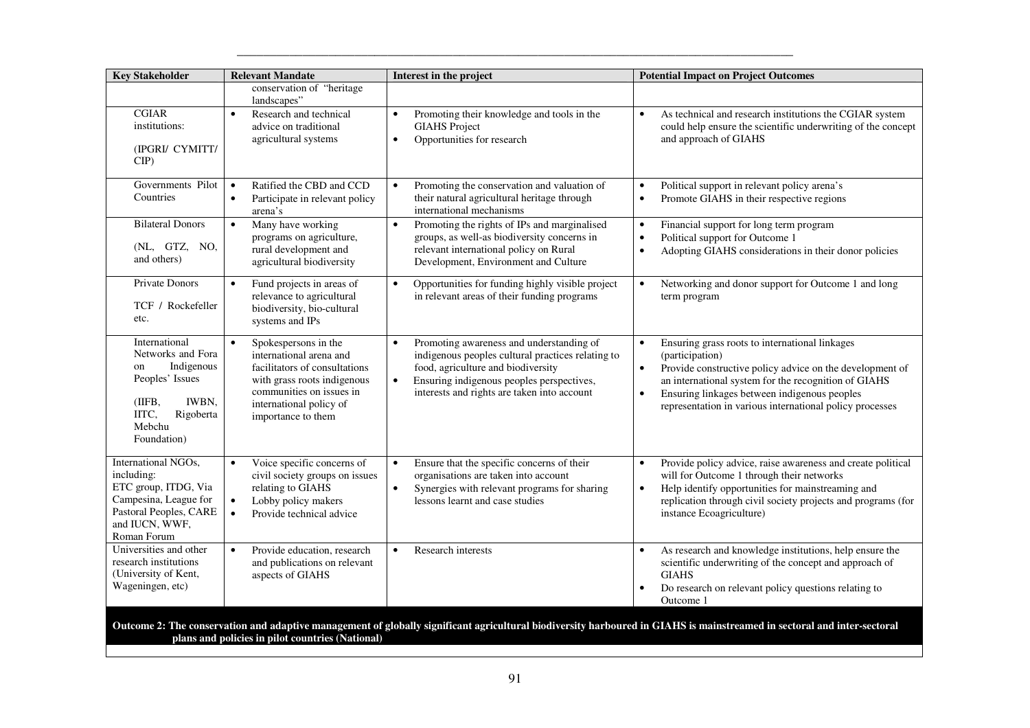| <b>Key Stakeholder</b>                                                                                                                        | <b>Relevant Mandate</b>                                                                                                                                                                                   | Interest in the project                                                                                                                                                                                                                                   | <b>Potential Impact on Project Outcomes</b>                                                                                                                                                                                                                                                                                 |
|-----------------------------------------------------------------------------------------------------------------------------------------------|-----------------------------------------------------------------------------------------------------------------------------------------------------------------------------------------------------------|-----------------------------------------------------------------------------------------------------------------------------------------------------------------------------------------------------------------------------------------------------------|-----------------------------------------------------------------------------------------------------------------------------------------------------------------------------------------------------------------------------------------------------------------------------------------------------------------------------|
|                                                                                                                                               | conservation of "heritage<br>landscapes"                                                                                                                                                                  |                                                                                                                                                                                                                                                           |                                                                                                                                                                                                                                                                                                                             |
| <b>CGIAR</b><br>institutions:<br>(IPGRI/ CYMITT/<br>CIP                                                                                       | Research and technical<br>$\bullet$<br>advice on traditional<br>agricultural systems                                                                                                                      | Promoting their knowledge and tools in the<br>$\bullet$<br><b>GIAHS</b> Project<br>Opportunities for research<br>$\bullet$                                                                                                                                | As technical and research institutions the CGIAR system<br>$\bullet$<br>could help ensure the scientific underwriting of the concept<br>and approach of GIAHS                                                                                                                                                               |
| Governments Pilot<br>Countries                                                                                                                | Ratified the CBD and CCD<br>$\bullet$<br>Participate in relevant policy<br>$\bullet$<br>arena's                                                                                                           | Promoting the conservation and valuation of<br>$\bullet$<br>their natural agricultural heritage through<br>international mechanisms                                                                                                                       | Political support in relevant policy arena's<br>$\bullet$<br>Promote GIAHS in their respective regions<br>$\bullet$                                                                                                                                                                                                         |
| <b>Bilateral Donors</b><br>(NL, GTZ, NO,<br>and others)                                                                                       | Many have working<br>$\bullet$<br>programs on agriculture,<br>rural development and<br>agricultural biodiversity                                                                                          | $\bullet$<br>Promoting the rights of IPs and marginalised<br>groups, as well-as biodiversity concerns in<br>relevant international policy on Rural<br>Development, Environment and Culture                                                                | Financial support for long term program<br>$\bullet$<br>Political support for Outcome 1<br>Adopting GIAHS considerations in their donor policies                                                                                                                                                                            |
| Private Donors<br>TCF / Rockefeller<br>etc.                                                                                                   | Fund projects in areas of<br>relevance to agricultural<br>biodiversity, bio-cultural<br>systems and IPs                                                                                                   | Opportunities for funding highly visible project<br>$\bullet$<br>in relevant areas of their funding programs                                                                                                                                              | Networking and donor support for Outcome 1 and long<br>$\bullet$<br>term program                                                                                                                                                                                                                                            |
| International<br>Networks and Fora<br>Indigenous<br>on<br>Peoples' Issues<br>IWBN,<br>(IIFB,<br>IITC,<br>Rigoberta<br>Mebchu<br>Foundation)   | Spokespersons in the<br>$\bullet$<br>international arena and<br>facilitators of consultations<br>with grass roots indigenous<br>communities on issues in<br>international policy of<br>importance to them | Promoting awareness and understanding of<br>$\bullet$<br>indigenous peoples cultural practices relating to<br>food, agriculture and biodiversity<br>$\bullet$<br>Ensuring indigenous peoples perspectives,<br>interests and rights are taken into account | Ensuring grass roots to international linkages<br>$\bullet$<br>(participation)<br>Provide constructive policy advice on the development of<br>an international system for the recognition of GIAHS<br>Ensuring linkages between indigenous peoples<br>$\bullet$<br>representation in various international policy processes |
| International NGOs,<br>including:<br>ETC group, ITDG, Via<br>Campesina, League for<br>Pastoral Peoples, CARE<br>and IUCN, WWF,<br>Roman Forum | Voice specific concerns of<br>$\bullet$<br>civil society groups on issues<br>relating to GIAHS<br>Lobby policy makers<br>$\bullet$<br>Provide technical advice<br>$\bullet$                               | Ensure that the specific concerns of their<br>$\bullet$<br>organisations are taken into account<br>$\bullet$<br>Synergies with relevant programs for sharing<br>lessons learnt and case studies                                                           | Provide policy advice, raise awareness and create political<br>$\bullet$<br>will for Outcome 1 through their networks<br>Help identify opportunities for mainstreaming and<br>$\bullet$<br>replication through civil society projects and programs (for<br>instance Ecoagriculture)                                         |
| Universities and other<br>research institutions<br>(University of Kent,<br>Wageningen, etc)                                                   | Provide education, research<br>$\bullet$<br>and publications on relevant<br>aspects of GIAHS                                                                                                              | Research interests<br>$\bullet$                                                                                                                                                                                                                           | As research and knowledge institutions, help ensure the<br>$\bullet$<br>scientific underwriting of the concept and approach of<br><b>GIAHS</b><br>Do research on relevant policy questions relating to<br>Outcome 1                                                                                                         |
|                                                                                                                                               | plans and policies in pilot countries (National)                                                                                                                                                          |                                                                                                                                                                                                                                                           | Outcome 2: The conservation and adaptive management of globally significant agricultural biodiversity harboured in GIAHS is mainstreamed in sectoral and inter-sectoral                                                                                                                                                     |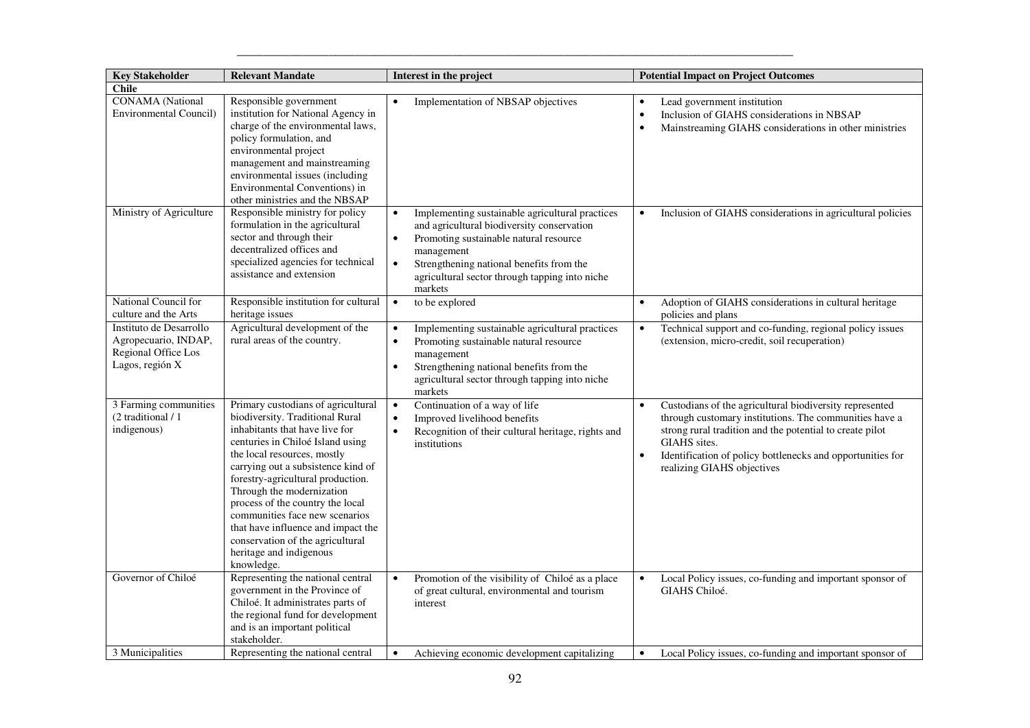| <b>Key Stakeholder</b>                                                                    | <b>Relevant Mandate</b>                                                                                                                                                                                                                                                                                                                                                                                                                                                     | Interest in the project                                                                                                                                                                                                                                                                               | <b>Potential Impact on Project Outcomes</b>                                                                                                                                                                                                                                                                         |
|-------------------------------------------------------------------------------------------|-----------------------------------------------------------------------------------------------------------------------------------------------------------------------------------------------------------------------------------------------------------------------------------------------------------------------------------------------------------------------------------------------------------------------------------------------------------------------------|-------------------------------------------------------------------------------------------------------------------------------------------------------------------------------------------------------------------------------------------------------------------------------------------------------|---------------------------------------------------------------------------------------------------------------------------------------------------------------------------------------------------------------------------------------------------------------------------------------------------------------------|
| <b>Chile</b>                                                                              |                                                                                                                                                                                                                                                                                                                                                                                                                                                                             |                                                                                                                                                                                                                                                                                                       |                                                                                                                                                                                                                                                                                                                     |
| <b>CONAMA</b> (National<br><b>Environmental Council)</b>                                  | Responsible government<br>institution for National Agency in<br>charge of the environmental laws,<br>policy formulation, and<br>environmental project<br>management and mainstreaming<br>environmental issues (including<br>Environmental Conventions) in<br>other ministries and the NBSAP                                                                                                                                                                                 | Implementation of NBSAP objectives<br>$\bullet$                                                                                                                                                                                                                                                       | Lead government institution<br>$\bullet$<br>Inclusion of GIAHS considerations in NBSAP<br>$\bullet$<br>Mainstreaming GIAHS considerations in other ministries                                                                                                                                                       |
| Ministry of Agriculture                                                                   | Responsible ministry for policy<br>formulation in the agricultural<br>sector and through their<br>decentralized offices and<br>specialized agencies for technical<br>assistance and extension                                                                                                                                                                                                                                                                               | Implementing sustainable agricultural practices<br>$\bullet$<br>and agricultural biodiversity conservation<br>Promoting sustainable natural resource<br>$\bullet$<br>management<br>Strengthening national benefits from the<br>$\bullet$<br>agricultural sector through tapping into niche<br>markets | Inclusion of GIAHS considerations in agricultural policies<br>$\bullet$                                                                                                                                                                                                                                             |
| National Council for<br>culture and the Arts                                              | Responsible institution for cultural<br>heritage issues                                                                                                                                                                                                                                                                                                                                                                                                                     | to be explored<br>$\bullet$                                                                                                                                                                                                                                                                           | Adoption of GIAHS considerations in cultural heritage<br>$\bullet$<br>policies and plans                                                                                                                                                                                                                            |
| Instituto de Desarrollo<br>Agropecuario, INDAP,<br>Regional Office Los<br>Lagos, región X | Agricultural development of the<br>rural areas of the country.                                                                                                                                                                                                                                                                                                                                                                                                              | Implementing sustainable agricultural practices<br>$\bullet$<br>Promoting sustainable natural resource<br>$\bullet$<br>management<br>Strengthening national benefits from the<br>$\bullet$<br>agricultural sector through tapping into niche<br>markets                                               | Technical support and co-funding, regional policy issues<br>$\bullet$<br>(extension, micro-credit, soil recuperation)                                                                                                                                                                                               |
| 3 Farming communities<br>(2 traditional / 1<br>indigenous)                                | Primary custodians of agricultural<br>biodiversity. Traditional Rural<br>inhabitants that have live for<br>centuries in Chiloé Island using<br>the local resources, mostly<br>carrying out a subsistence kind of<br>forestry-agricultural production.<br>Through the modernization<br>process of the country the local<br>communities face new scenarios<br>that have influence and impact the<br>conservation of the agricultural<br>heritage and indigenous<br>knowledge. | Continuation of a way of life<br>$\bullet$<br>Improved livelihood benefits<br>$\bullet$<br>Recognition of their cultural heritage, rights and<br>$\bullet$<br>institutions                                                                                                                            | Custodians of the agricultural biodiversity represented<br>$\bullet$<br>through customary institutions. The communities have a<br>strong rural tradition and the potential to create pilot<br>GIAHS sites.<br>Identification of policy bottlenecks and opportunities for<br>$\bullet$<br>realizing GIAHS objectives |
| Governor of Chiloé                                                                        | Representing the national central<br>government in the Province of<br>Chiloé. It administrates parts of<br>the regional fund for development<br>and is an important political<br>stakeholder.                                                                                                                                                                                                                                                                               | Promotion of the visibility of Chiloé as a place<br>of great cultural, environmental and tourism<br>interest                                                                                                                                                                                          | Local Policy issues, co-funding and important sponsor of<br>GIAHS Chiloé.                                                                                                                                                                                                                                           |
| 3 Municipalities                                                                          | Representing the national central                                                                                                                                                                                                                                                                                                                                                                                                                                           | Achieving economic development capitalizing<br>$\bullet$                                                                                                                                                                                                                                              | Local Policy issues, co-funding and important sponsor of<br>$\bullet$                                                                                                                                                                                                                                               |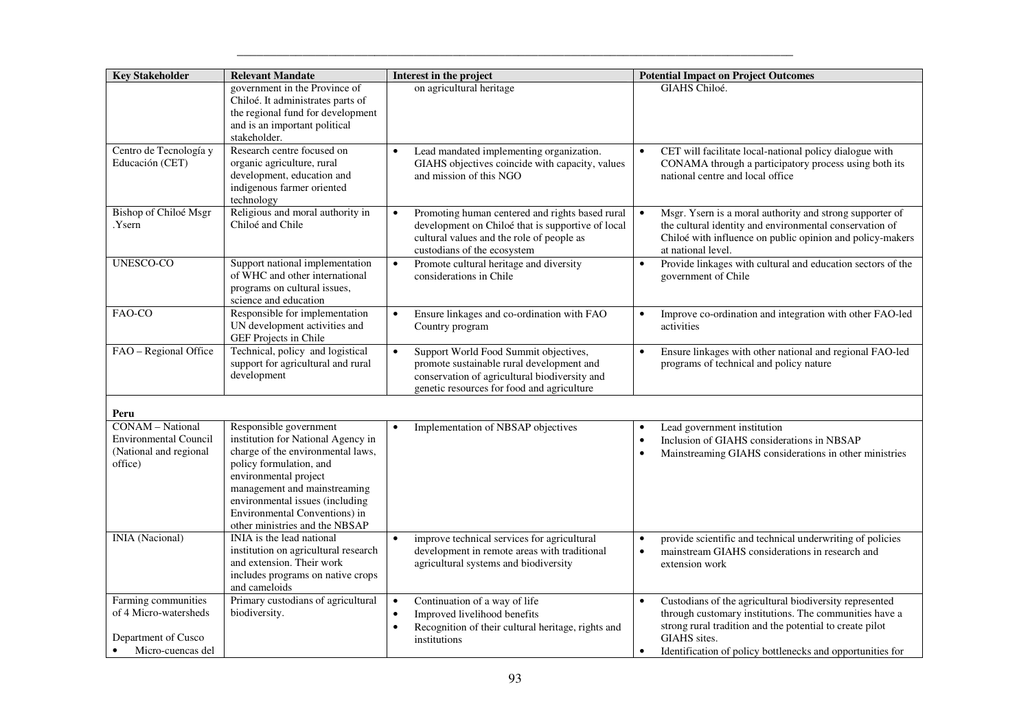| <b>Key Stakeholder</b>                                                                                | <b>Relevant Mandate</b>                                                                                                                                                                                                                                                                     | Interest in the project                                                                                                                                                                        | <b>Potential Impact on Project Outcomes</b>                                                                                                                                                                                                                              |
|-------------------------------------------------------------------------------------------------------|---------------------------------------------------------------------------------------------------------------------------------------------------------------------------------------------------------------------------------------------------------------------------------------------|------------------------------------------------------------------------------------------------------------------------------------------------------------------------------------------------|--------------------------------------------------------------------------------------------------------------------------------------------------------------------------------------------------------------------------------------------------------------------------|
|                                                                                                       | government in the Province of<br>Chiloé. It administrates parts of<br>the regional fund for development<br>and is an important political<br>stakeholder.                                                                                                                                    | on agricultural heritage                                                                                                                                                                       | GIAHS Chiloé.                                                                                                                                                                                                                                                            |
| Centro de Tecnología y<br>Educación (CET)                                                             | Research centre focused on<br>organic agriculture, rural<br>development, education and<br>indigenous farmer oriented<br>technology                                                                                                                                                          | Lead mandated implementing organization.<br>GIAHS objectives coincide with capacity, values<br>and mission of this NGO                                                                         | CET will facilitate local-national policy dialogue with<br>CONAMA through a participatory process using both its<br>national centre and local office                                                                                                                     |
| <b>Bishop of Chiloé Msgr</b><br>.Ysern                                                                | Religious and moral authority in<br>Chiloé and Chile                                                                                                                                                                                                                                        | Promoting human centered and rights based rural<br>$\bullet$<br>development on Chiloé that is supportive of local<br>cultural values and the role of people as<br>custodians of the ecosystem  | Msgr. Ysern is a moral authority and strong supporter of<br>the cultural identity and environmental conservation of<br>Chiloé with influence on public opinion and policy-makers<br>at national level.                                                                   |
| <b>UNESCO-CO</b>                                                                                      | Support national implementation<br>of WHC and other international<br>programs on cultural issues,<br>science and education                                                                                                                                                                  | Promote cultural heritage and diversity<br>$\bullet$<br>considerations in Chile                                                                                                                | Provide linkages with cultural and education sectors of the<br>$\bullet$<br>government of Chile                                                                                                                                                                          |
| FAO-CO                                                                                                | Responsible for implementation<br>UN development activities and<br>GEF Projects in Chile                                                                                                                                                                                                    | Ensure linkages and co-ordination with FAO<br>$\bullet$<br>Country program                                                                                                                     | Improve co-ordination and integration with other FAO-led<br>$\bullet$<br>activities                                                                                                                                                                                      |
| FAO - Regional Office                                                                                 | Technical, policy and logistical<br>support for agricultural and rural<br>development                                                                                                                                                                                                       | Support World Food Summit objectives,<br>$\bullet$<br>promote sustainable rural development and<br>conservation of agricultural biodiversity and<br>genetic resources for food and agriculture | Ensure linkages with other national and regional FAO-led<br>programs of technical and policy nature                                                                                                                                                                      |
| Peru                                                                                                  |                                                                                                                                                                                                                                                                                             |                                                                                                                                                                                                |                                                                                                                                                                                                                                                                          |
| <b>CONAM-National</b><br><b>Environmental Council</b><br>(National and regional<br>office)            | Responsible government<br>institution for National Agency in<br>charge of the environmental laws,<br>policy formulation, and<br>environmental project<br>management and mainstreaming<br>environmental issues (including<br>Environmental Conventions) in<br>other ministries and the NBSAP | Implementation of NBSAP objectives<br>$\bullet$                                                                                                                                                | Lead government institution<br>$\bullet$<br>Inclusion of GIAHS considerations in NBSAP<br>$\bullet$<br>Mainstreaming GIAHS considerations in other ministries                                                                                                            |
| INIA (Nacional)                                                                                       | INIA is the lead national<br>institution on agricultural research<br>and extension. Their work<br>includes programs on native crops<br>and cameloids                                                                                                                                        | improve technical services for agricultural<br>$\bullet$<br>development in remote areas with traditional<br>agricultural systems and biodiversity                                              | provide scientific and technical underwriting of policies<br>$\bullet$<br>mainstream GIAHS considerations in research and<br>$\bullet$<br>extension work                                                                                                                 |
| Farming communities<br>of 4 Micro-watersheds<br>Department of Cusco<br>Micro-cuencas del<br>$\bullet$ | Primary custodians of agricultural<br>biodiversity.                                                                                                                                                                                                                                         | Continuation of a way of life<br>$\bullet$<br>Improved livelihood benefits<br>$\bullet$<br>Recognition of their cultural heritage, rights and<br>$\bullet$<br>institutions                     | Custodians of the agricultural biodiversity represented<br>through customary institutions. The communities have a<br>strong rural tradition and the potential to create pilot<br>GIAHS sites.<br>Identification of policy bottlenecks and opportunities for<br>$\bullet$ |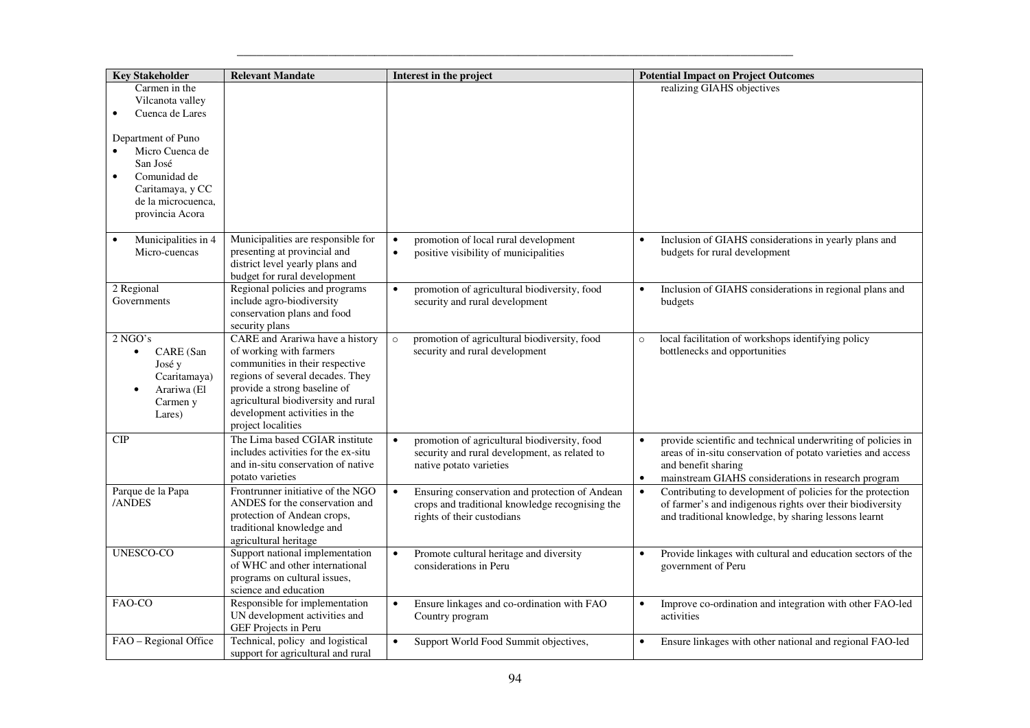| <b>Key Stakeholder</b>                                                                                                                        | <b>Relevant Mandate</b>                                                                                                                                                                                                                                         | Interest in the project                                                                                                                      | <b>Potential Impact on Project Outcomes</b>                                                                                                                                                                                          |
|-----------------------------------------------------------------------------------------------------------------------------------------------|-----------------------------------------------------------------------------------------------------------------------------------------------------------------------------------------------------------------------------------------------------------------|----------------------------------------------------------------------------------------------------------------------------------------------|--------------------------------------------------------------------------------------------------------------------------------------------------------------------------------------------------------------------------------------|
| Carmen in the<br>Vilcanota valley<br>Cuenca de Lares<br>Department of Puno<br>Micro Cuenca de<br>San José<br>Comunidad de<br>Caritamaya, y CC |                                                                                                                                                                                                                                                                 |                                                                                                                                              | realizing GIAHS objectives                                                                                                                                                                                                           |
| de la microcuenca,<br>provincia Acora                                                                                                         |                                                                                                                                                                                                                                                                 |                                                                                                                                              |                                                                                                                                                                                                                                      |
| Municipalities in 4<br>Micro-cuencas                                                                                                          | Municipalities are responsible for<br>presenting at provincial and<br>district level yearly plans and<br>budget for rural development                                                                                                                           | promotion of local rural development<br>$\bullet$<br>$\bullet$<br>positive visibility of municipalities                                      | Inclusion of GIAHS considerations in yearly plans and<br>budgets for rural development                                                                                                                                               |
| 2 Regional<br>Governments                                                                                                                     | Regional policies and programs<br>include agro-biodiversity<br>conservation plans and food<br>security plans                                                                                                                                                    | promotion of agricultural biodiversity, food<br>$\bullet$<br>security and rural development                                                  | Inclusion of GIAHS considerations in regional plans and<br>$\bullet$<br>budgets                                                                                                                                                      |
| $2$ NGO's<br>CARE (San<br>$\bullet$<br>José y<br>Ccaritamaya)<br>Arariwa (El<br>$\bullet$<br>Carmen y<br>Lares)                               | CARE and Arariwa have a history<br>of working with farmers<br>communities in their respective<br>regions of several decades. They<br>provide a strong baseline of<br>agricultural biodiversity and rural<br>development activities in the<br>project localities | promotion of agricultural biodiversity, food<br>$\circ$<br>security and rural development                                                    | local facilitation of workshops identifying policy<br>$\circ$<br>bottlenecks and opportunities                                                                                                                                       |
| CIP                                                                                                                                           | The Lima based CGIAR institute<br>includes activities for the ex-situ<br>and in-situ conservation of native<br>potato varieties                                                                                                                                 | promotion of agricultural biodiversity, food<br>$\bullet$<br>security and rural development, as related to<br>native potato varieties        | provide scientific and technical underwriting of policies in<br>$\bullet$<br>areas of in-situ conservation of potato varieties and access<br>and benefit sharing<br>mainstream GIAHS considerations in research program<br>$\bullet$ |
| Parque de la Papa<br>/ANDES                                                                                                                   | Frontrunner initiative of the NGO<br>ANDES for the conservation and<br>protection of Andean crops,<br>traditional knowledge and<br>agricultural heritage                                                                                                        | $\bullet$<br>Ensuring conservation and protection of Andean<br>crops and traditional knowledge recognising the<br>rights of their custodians | Contributing to development of policies for the protection<br>$\bullet$<br>of farmer's and indigenous rights over their biodiversity<br>and traditional knowledge, by sharing lessons learnt                                         |
| <b>UNESCO-CO</b>                                                                                                                              | Support national implementation<br>of WHC and other international<br>programs on cultural issues,<br>science and education                                                                                                                                      | Promote cultural heritage and diversity<br>$\bullet$<br>considerations in Peru                                                               | Provide linkages with cultural and education sectors of the<br>$\bullet$<br>government of Peru                                                                                                                                       |
| FAO-CO                                                                                                                                        | Responsible for implementation<br>UN development activities and<br>GEF Projects in Peru                                                                                                                                                                         | Ensure linkages and co-ordination with FAO<br>$\bullet$<br>Country program                                                                   | Improve co-ordination and integration with other FAO-led<br>$\bullet$<br>activities                                                                                                                                                  |
| FAO - Regional Office                                                                                                                         | Technical, policy and logistical<br>support for agricultural and rural                                                                                                                                                                                          | Support World Food Summit objectives,<br>$\bullet$                                                                                           | Ensure linkages with other national and regional FAO-led<br>$\bullet$                                                                                                                                                                |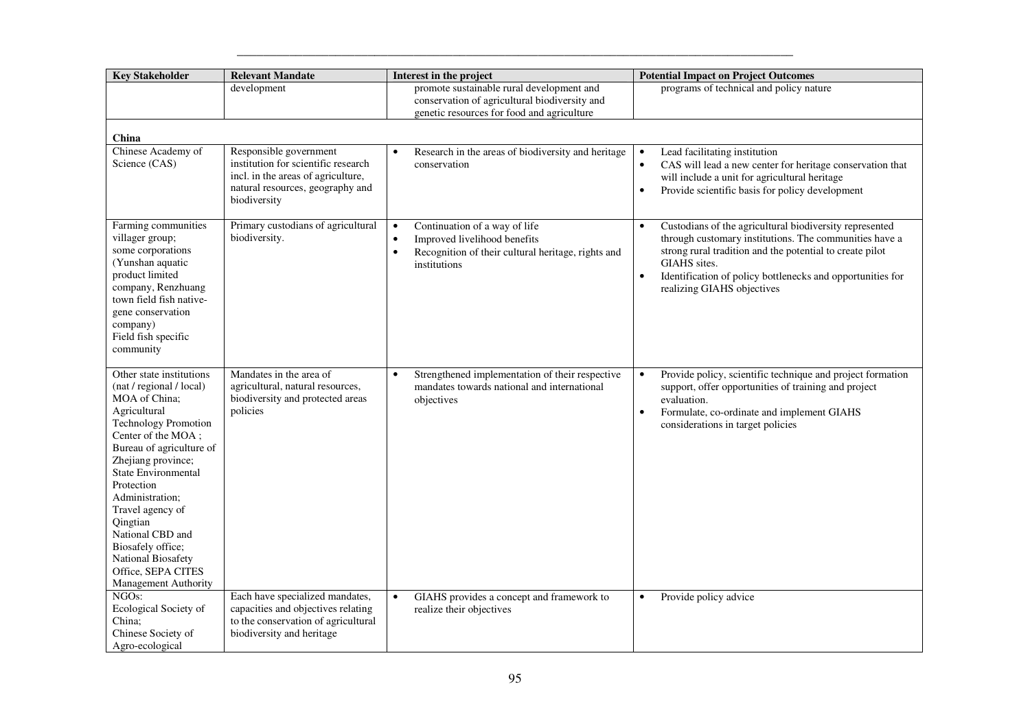| <b>Key Stakeholder</b>                                                                                                                                                                                                                                                                                                                                                                                   | <b>Relevant Mandate</b>                                                                                                                                 | Interest in the project                                                                                                                                                    | <b>Potential Impact on Project Outcomes</b>                                                                                                                                                                                                                                                                         |
|----------------------------------------------------------------------------------------------------------------------------------------------------------------------------------------------------------------------------------------------------------------------------------------------------------------------------------------------------------------------------------------------------------|---------------------------------------------------------------------------------------------------------------------------------------------------------|----------------------------------------------------------------------------------------------------------------------------------------------------------------------------|---------------------------------------------------------------------------------------------------------------------------------------------------------------------------------------------------------------------------------------------------------------------------------------------------------------------|
|                                                                                                                                                                                                                                                                                                                                                                                                          | development                                                                                                                                             | promote sustainable rural development and<br>conservation of agricultural biodiversity and<br>genetic resources for food and agriculture                                   | programs of technical and policy nature                                                                                                                                                                                                                                                                             |
| <b>China</b>                                                                                                                                                                                                                                                                                                                                                                                             |                                                                                                                                                         |                                                                                                                                                                            |                                                                                                                                                                                                                                                                                                                     |
| Chinese Academy of<br>Science (CAS)                                                                                                                                                                                                                                                                                                                                                                      | Responsible government<br>institution for scientific research<br>incl. in the areas of agriculture,<br>natural resources, geography and<br>biodiversity | Research in the areas of biodiversity and heritage<br>$\bullet$<br>conservation                                                                                            | Lead facilitating institution<br>$\bullet$<br>CAS will lead a new center for heritage conservation that<br>$\bullet$<br>will include a unit for agricultural heritage<br>Provide scientific basis for policy development                                                                                            |
| Farming communities<br>villager group;<br>some corporations<br>(Yunshan aquatic<br>product limited<br>company, Renzhuang<br>town field fish native-<br>gene conservation<br>company)<br>Field fish specific<br>community                                                                                                                                                                                 | Primary custodians of agricultural<br>biodiversity.                                                                                                     | Continuation of a way of life<br>$\bullet$<br>Improved livelihood benefits<br>$\bullet$<br>Recognition of their cultural heritage, rights and<br>$\bullet$<br>institutions | Custodians of the agricultural biodiversity represented<br>$\bullet$<br>through customary institutions. The communities have a<br>strong rural tradition and the potential to create pilot<br>GIAHS sites.<br>Identification of policy bottlenecks and opportunities for<br>$\bullet$<br>realizing GIAHS objectives |
| Other state institutions<br>(nat / regional / local)<br>MOA of China;<br>Agricultural<br><b>Technology Promotion</b><br>Center of the MOA;<br>Bureau of agriculture of<br>Zhejiang province;<br><b>State Environmental</b><br>Protection<br>Administration;<br>Travel agency of<br>Qingtian<br>National CBD and<br>Biosafely office;<br>National Biosafety<br>Office, SEPA CITES<br>Management Authority | Mandates in the area of<br>agricultural, natural resources,<br>biodiversity and protected areas<br>policies                                             | Strengthened implementation of their respective<br>$\bullet$<br>mandates towards national and international<br>objectives                                                  | Provide policy, scientific technique and project formation<br>$\bullet$<br>support, offer opportunities of training and project<br>evaluation.<br>Formulate, co-ordinate and implement GIAHS<br>$\bullet$<br>considerations in target policies                                                                      |
| NGO <sub>s</sub> :<br>Ecological Society of<br>China;<br>Chinese Society of<br>Agro-ecological                                                                                                                                                                                                                                                                                                           | Each have specialized mandates,<br>capacities and objectives relating<br>to the conservation of agricultural<br>biodiversity and heritage               | $\bullet$<br>GIAHS provides a concept and framework to<br>realize their objectives                                                                                         | Provide policy advice<br>$\bullet$                                                                                                                                                                                                                                                                                  |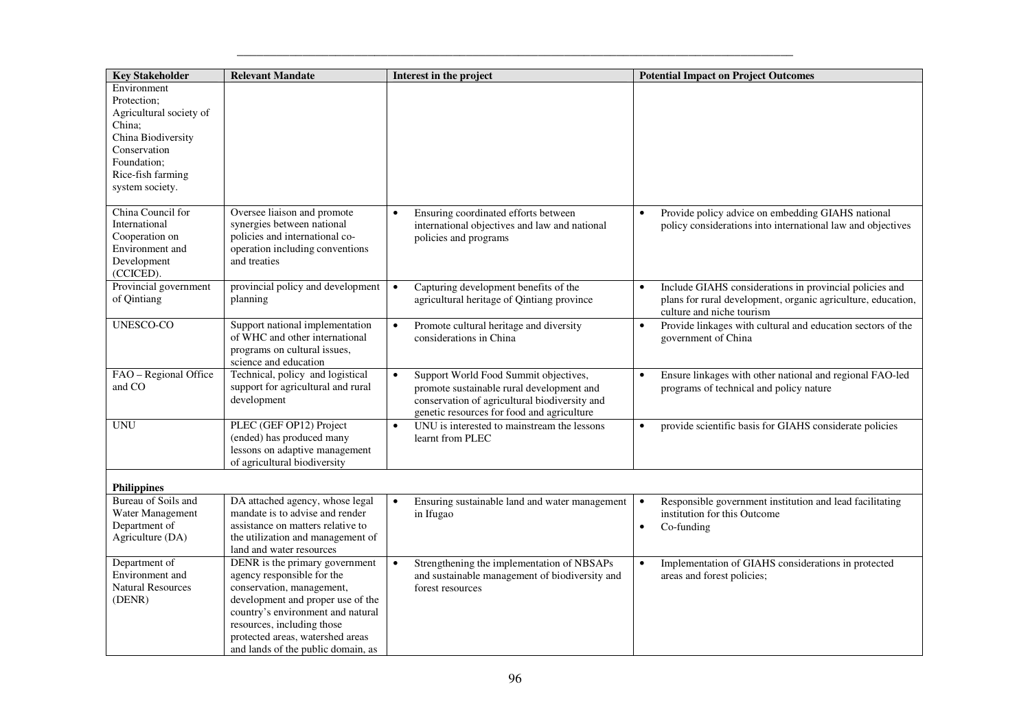| <b>Key Stakeholder</b>                                                                                                                                       | <b>Relevant Mandate</b>                                                                                                                                                                                                                                                     | Interest in the project                                                                                                                                                                        | <b>Potential Impact on Project Outcomes</b>                                                                                                                       |
|--------------------------------------------------------------------------------------------------------------------------------------------------------------|-----------------------------------------------------------------------------------------------------------------------------------------------------------------------------------------------------------------------------------------------------------------------------|------------------------------------------------------------------------------------------------------------------------------------------------------------------------------------------------|-------------------------------------------------------------------------------------------------------------------------------------------------------------------|
| Environment<br>Protection:<br>Agricultural society of<br>China:<br>China Biodiversity<br>Conservation<br>Foundation;<br>Rice-fish farming<br>system society. |                                                                                                                                                                                                                                                                             |                                                                                                                                                                                                |                                                                                                                                                                   |
| China Council for<br>International<br>Cooperation on<br>Environment and<br>Development<br>(CCICED).                                                          | Oversee liaison and promote<br>synergies between national<br>policies and international co-<br>operation including conventions<br>and treaties                                                                                                                              | Ensuring coordinated efforts between<br>$\bullet$<br>international objectives and law and national<br>policies and programs                                                                    | Provide policy advice on embedding GIAHS national<br>$\bullet$<br>policy considerations into international law and objectives                                     |
| Provincial government<br>of Qintiang                                                                                                                         | provincial policy and development<br>planning                                                                                                                                                                                                                               | Capturing development benefits of the<br>agricultural heritage of Qintiang province                                                                                                            | Include GIAHS considerations in provincial policies and<br>$\bullet$<br>plans for rural development, organic agriculture, education,<br>culture and niche tourism |
| <b>UNESCO-CO</b>                                                                                                                                             | Support national implementation<br>of WHC and other international<br>programs on cultural issues,<br>science and education                                                                                                                                                  | Promote cultural heritage and diversity<br>$\bullet$<br>considerations in China                                                                                                                | Provide linkages with cultural and education sectors of the<br>$\bullet$<br>government of China                                                                   |
| FAO - Regional Office<br>and CO                                                                                                                              | Technical, policy and logistical<br>support for agricultural and rural<br>development                                                                                                                                                                                       | Support World Food Summit objectives,<br>$\bullet$<br>promote sustainable rural development and<br>conservation of agricultural biodiversity and<br>genetic resources for food and agriculture | Ensure linkages with other national and regional FAO-led<br>$\bullet$<br>programs of technical and policy nature                                                  |
| <b>UNU</b>                                                                                                                                                   | PLEC (GEF OP12) Project<br>(ended) has produced many<br>lessons on adaptive management<br>of agricultural biodiversity                                                                                                                                                      | UNU is interested to mainstream the lessons<br>$\bullet$<br>learnt from PLEC                                                                                                                   | provide scientific basis for GIAHS considerate policies<br>$\bullet$                                                                                              |
| <b>Philippines</b>                                                                                                                                           |                                                                                                                                                                                                                                                                             |                                                                                                                                                                                                |                                                                                                                                                                   |
| Bureau of Soils and<br>Water Management<br>Department of<br>Agriculture (DA)                                                                                 | DA attached agency, whose legal<br>mandate is to advise and render<br>assistance on matters relative to<br>the utilization and management of<br>land and water resources                                                                                                    | Ensuring sustainable land and water management<br>$\bullet$<br>in Ifugao                                                                                                                       | Responsible government institution and lead facilitating<br>$\bullet$<br>institution for this Outcome<br>Co-funding<br>$\bullet$                                  |
| Department of<br>Environment and<br><b>Natural Resources</b><br>(DENR)                                                                                       | DENR is the primary government<br>agency responsible for the<br>conservation, management,<br>development and proper use of the<br>country's environment and natural<br>resources, including those<br>protected areas, watershed areas<br>and lands of the public domain, as | Strengthening the implementation of NBSAPs<br>and sustainable management of biodiversity and<br>forest resources                                                                               | Implementation of GIAHS considerations in protected<br>$\bullet$<br>areas and forest policies;                                                                    |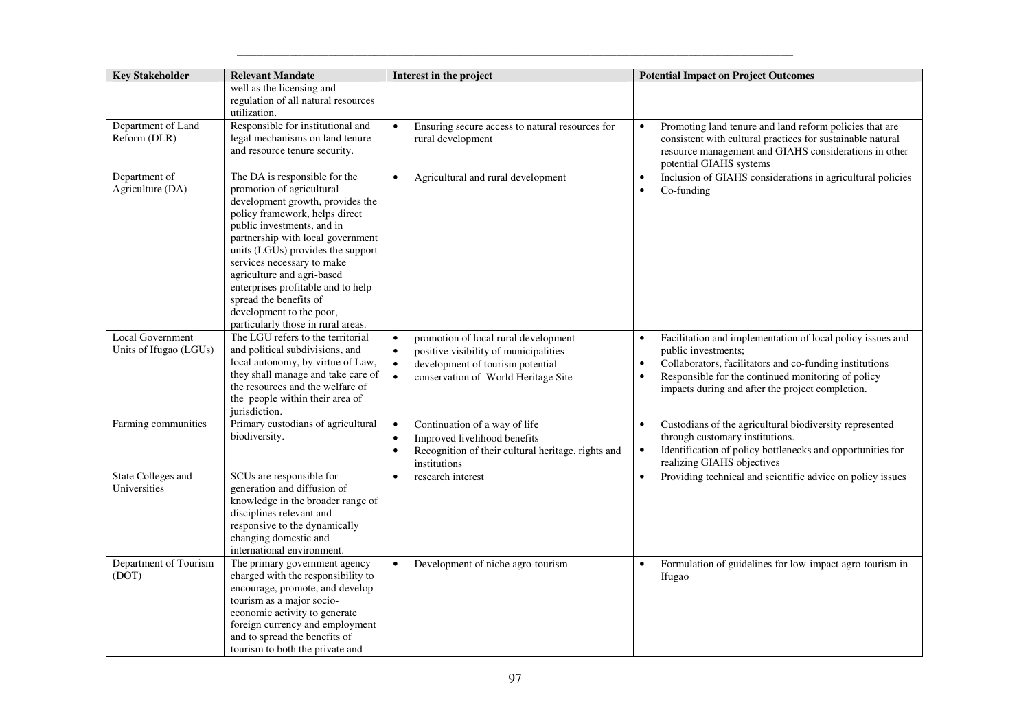| <b>Key Stakeholder</b>                     | <b>Relevant Mandate</b>                                                                                                                                                                                                                                                                                                                                                                                                                | Interest in the project                                                                                                                                                                                      | <b>Potential Impact on Project Outcomes</b>                                                                                                                                                                                                                         |
|--------------------------------------------|----------------------------------------------------------------------------------------------------------------------------------------------------------------------------------------------------------------------------------------------------------------------------------------------------------------------------------------------------------------------------------------------------------------------------------------|--------------------------------------------------------------------------------------------------------------------------------------------------------------------------------------------------------------|---------------------------------------------------------------------------------------------------------------------------------------------------------------------------------------------------------------------------------------------------------------------|
|                                            | well as the licensing and<br>regulation of all natural resources<br>utilization.                                                                                                                                                                                                                                                                                                                                                       |                                                                                                                                                                                                              |                                                                                                                                                                                                                                                                     |
| Department of Land<br>Reform (DLR)         | Responsible for institutional and<br>legal mechanisms on land tenure<br>and resource tenure security.                                                                                                                                                                                                                                                                                                                                  | Ensuring secure access to natural resources for<br>$\bullet$<br>rural development                                                                                                                            | Promoting land tenure and land reform policies that are<br>$\bullet$<br>consistent with cultural practices for sustainable natural<br>resource management and GIAHS considerations in other<br>potential GIAHS systems                                              |
| Department of<br>Agriculture (DA)          | The DA is responsible for the<br>promotion of agricultural<br>development growth, provides the<br>policy framework, helps direct<br>public investments, and in<br>partnership with local government<br>units (LGUs) provides the support<br>services necessary to make<br>agriculture and agri-based<br>enterprises profitable and to help<br>spread the benefits of<br>development to the poor,<br>particularly those in rural areas. | Agricultural and rural development<br>$\bullet$                                                                                                                                                              | Inclusion of GIAHS considerations in agricultural policies<br>Co-funding                                                                                                                                                                                            |
| Local Government<br>Units of Ifugao (LGUs) | The LGU refers to the territorial<br>and political subdivisions, and<br>local autonomy, by virtue of Law,<br>they shall manage and take care of<br>the resources and the welfare of<br>the people within their area of<br>jurisdiction.                                                                                                                                                                                                | promotion of local rural development<br>$\bullet$<br>positive visibility of municipalities<br>$\bullet$<br>development of tourism potential<br>$\bullet$<br>$\bullet$<br>conservation of World Heritage Site | Facilitation and implementation of local policy issues and<br>$\bullet$<br>public investments;<br>Collaborators, facilitators and co-funding institutions<br>Responsible for the continued monitoring of policy<br>impacts during and after the project completion. |
| Farming communities                        | Primary custodians of agricultural<br>biodiversity.                                                                                                                                                                                                                                                                                                                                                                                    | Continuation of a way of life<br>$\bullet$<br>Improved livelihood benefits<br>$\bullet$<br>Recognition of their cultural heritage, rights and<br>$\bullet$<br>institutions                                   | Custodians of the agricultural biodiversity represented<br>$\bullet$<br>through customary institutions.<br>Identification of policy bottlenecks and opportunities for<br>$\bullet$<br>realizing GIAHS objectives                                                    |
| <b>State Colleges and</b><br>Universities  | SCUs are responsible for<br>generation and diffusion of<br>knowledge in the broader range of<br>disciplines relevant and<br>responsive to the dynamically<br>changing domestic and<br>international environment.                                                                                                                                                                                                                       | research interest<br>$\bullet$                                                                                                                                                                               | Providing technical and scientific advice on policy issues<br>$\bullet$                                                                                                                                                                                             |
| Department of Tourism<br>(DOT)             | The primary government agency<br>charged with the responsibility to<br>encourage, promote, and develop<br>tourism as a major socio-<br>economic activity to generate<br>foreign currency and employment<br>and to spread the benefits of<br>tourism to both the private and                                                                                                                                                            | Development of niche agro-tourism<br>$\bullet$                                                                                                                                                               | Formulation of guidelines for low-impact agro-tourism in<br>$\bullet$<br>Ifugao                                                                                                                                                                                     |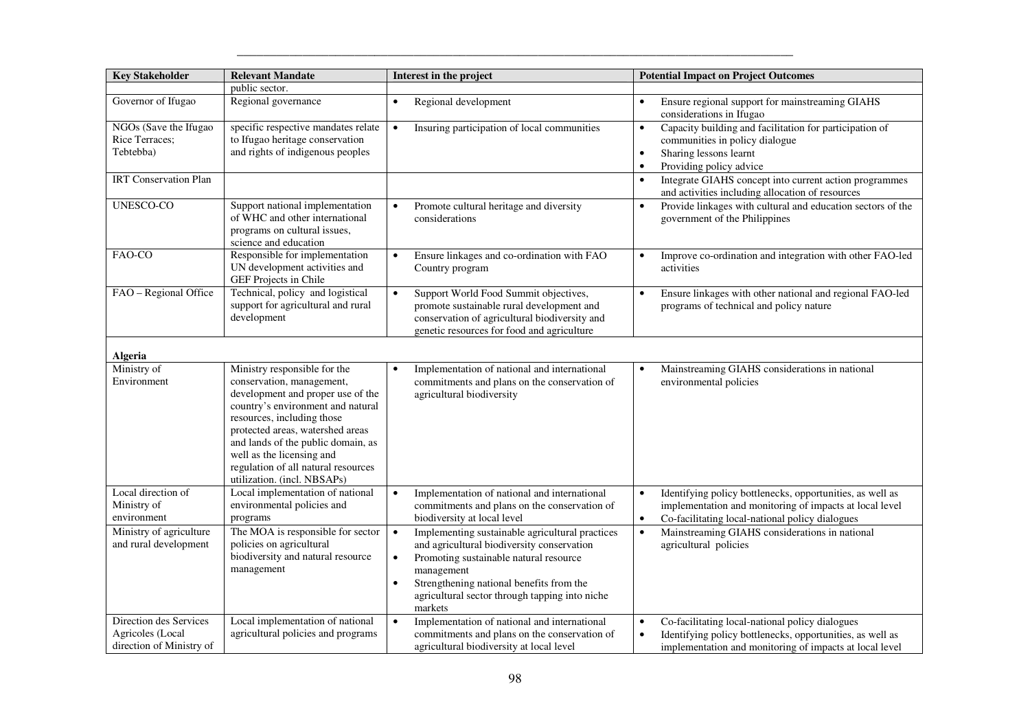| <b>Key Stakeholder</b>                                                 | <b>Relevant Mandate</b>                                                                                                                                                                                                                                                                                                                        | Interest in the project                                                                                                                                                                                                                                                                               | <b>Potential Impact on Project Outcomes</b>                                                                                                                                                       |
|------------------------------------------------------------------------|------------------------------------------------------------------------------------------------------------------------------------------------------------------------------------------------------------------------------------------------------------------------------------------------------------------------------------------------|-------------------------------------------------------------------------------------------------------------------------------------------------------------------------------------------------------------------------------------------------------------------------------------------------------|---------------------------------------------------------------------------------------------------------------------------------------------------------------------------------------------------|
|                                                                        | public sector.                                                                                                                                                                                                                                                                                                                                 |                                                                                                                                                                                                                                                                                                       |                                                                                                                                                                                                   |
| Governor of Ifugao                                                     | Regional governance                                                                                                                                                                                                                                                                                                                            | Regional development<br>$\bullet$                                                                                                                                                                                                                                                                     | Ensure regional support for mainstreaming GIAHS<br>$\bullet$<br>considerations in Ifugao                                                                                                          |
| NGOs (Save the Ifugao<br>Rice Terraces;<br>Tebtebba)                   | specific respective mandates relate<br>to Ifugao heritage conservation<br>and rights of indigenous peoples                                                                                                                                                                                                                                     | Insuring participation of local communities<br>$\bullet$                                                                                                                                                                                                                                              | Capacity building and facilitation for participation of<br>communities in policy dialogue<br>Sharing lessons learnt<br>$\bullet$<br>Providing policy advice                                       |
| <b>IRT</b> Conservation Plan                                           |                                                                                                                                                                                                                                                                                                                                                |                                                                                                                                                                                                                                                                                                       | Integrate GIAHS concept into current action programmes<br>$\bullet$<br>and activities including allocation of resources                                                                           |
| UNESCO-CO                                                              | Support national implementation<br>of WHC and other international<br>programs on cultural issues,<br>science and education                                                                                                                                                                                                                     | Promote cultural heritage and diversity<br>considerations                                                                                                                                                                                                                                             | Provide linkages with cultural and education sectors of the<br>government of the Philippines                                                                                                      |
| FAO-CO                                                                 | Responsible for implementation<br>UN development activities and<br>GEF Projects in Chile                                                                                                                                                                                                                                                       | Ensure linkages and co-ordination with FAO<br>$\bullet$<br>Country program                                                                                                                                                                                                                            | Improve co-ordination and integration with other FAO-led<br>$\bullet$<br>activities                                                                                                               |
| FAO - Regional Office                                                  | Technical, policy and logistical<br>support for agricultural and rural<br>development                                                                                                                                                                                                                                                          | Support World Food Summit objectives,<br>$\bullet$<br>promote sustainable rural development and<br>conservation of agricultural biodiversity and<br>genetic resources for food and agriculture                                                                                                        | Ensure linkages with other national and regional FAO-led<br>programs of technical and policy nature                                                                                               |
| Algeria                                                                |                                                                                                                                                                                                                                                                                                                                                |                                                                                                                                                                                                                                                                                                       |                                                                                                                                                                                                   |
| Ministry of<br>Environment                                             | Ministry responsible for the<br>conservation, management,<br>development and proper use of the<br>country's environment and natural<br>resources, including those<br>protected areas, watershed areas<br>and lands of the public domain, as<br>well as the licensing and<br>regulation of all natural resources<br>utilization. (incl. NBSAPs) | Implementation of national and international<br>$\bullet$<br>commitments and plans on the conservation of<br>agricultural biodiversity                                                                                                                                                                | Mainstreaming GIAHS considerations in national<br>$\bullet$<br>environmental policies                                                                                                             |
| Local direction of<br>Ministry of<br>environment                       | Local implementation of national<br>environmental policies and<br>programs                                                                                                                                                                                                                                                                     | Implementation of national and international<br>$\bullet$<br>commitments and plans on the conservation of<br>biodiversity at local level                                                                                                                                                              | Identifying policy bottlenecks, opportunities, as well as<br>$\bullet$<br>implementation and monitoring of impacts at local level<br>Co-facilitating local-national policy dialogues<br>$\bullet$ |
| Ministry of agriculture<br>and rural development                       | The MOA is responsible for sector<br>policies on agricultural<br>biodiversity and natural resource<br>management                                                                                                                                                                                                                               | Implementing sustainable agricultural practices<br>$\bullet$<br>and agricultural biodiversity conservation<br>Promoting sustainable natural resource<br>$\bullet$<br>management<br>Strengthening national benefits from the<br>$\bullet$<br>agricultural sector through tapping into niche<br>markets | Mainstreaming GIAHS considerations in national<br>$\bullet$<br>agricultural policies                                                                                                              |
| Direction des Services<br>Agricoles (Local<br>direction of Ministry of | Local implementation of national<br>agricultural policies and programs                                                                                                                                                                                                                                                                         | $\bullet$<br>Implementation of national and international<br>commitments and plans on the conservation of<br>agricultural biodiversity at local level                                                                                                                                                 | Co-facilitating local-national policy dialogues<br>$\bullet$<br>Identifying policy bottlenecks, opportunities, as well as<br>implementation and monitoring of impacts at local level              |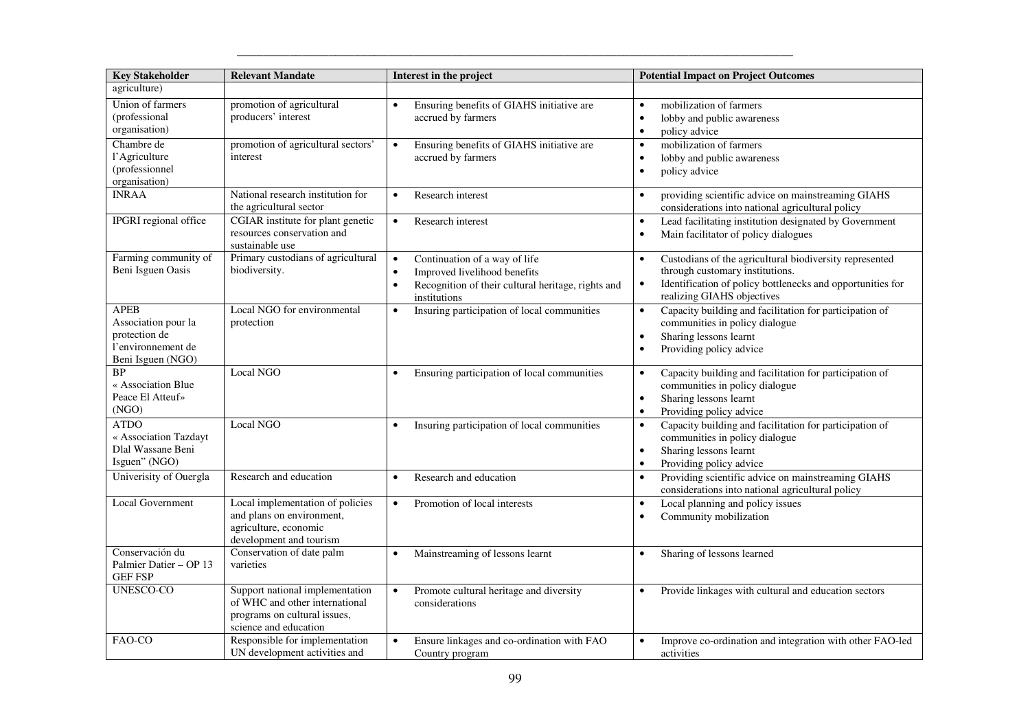| <b>Key Stakeholder</b>                                                                         | <b>Relevant Mandate</b>                                                                                                    | Interest in the project                                                                                                                                                    | <b>Potential Impact on Project Outcomes</b>                                                                                                                                                                      |
|------------------------------------------------------------------------------------------------|----------------------------------------------------------------------------------------------------------------------------|----------------------------------------------------------------------------------------------------------------------------------------------------------------------------|------------------------------------------------------------------------------------------------------------------------------------------------------------------------------------------------------------------|
| agriculture)                                                                                   |                                                                                                                            |                                                                                                                                                                            |                                                                                                                                                                                                                  |
| Union of farmers<br>(professional)<br>organisation)                                            | promotion of agricultural<br>producers' interest                                                                           | Ensuring benefits of GIAHS initiative are<br>$\bullet$<br>accrued by farmers                                                                                               | mobilization of farmers<br>$\bullet$<br>lobby and public awareness<br>$\bullet$<br>policy advice<br>$\bullet$                                                                                                    |
| Chambre de<br>l'Agriculture<br>(professionnel<br>organisation)                                 | promotion of agricultural sectors'<br>interest                                                                             | Ensuring benefits of GIAHS initiative are<br>$\bullet$<br>accrued by farmers                                                                                               | mobilization of farmers<br>$\bullet$<br>lobby and public awareness<br>$\bullet$<br>$\bullet$<br>policy advice                                                                                                    |
| <b>INRAA</b>                                                                                   | National research institution for<br>the agricultural sector                                                               | Research interest<br>$\bullet$                                                                                                                                             | providing scientific advice on mainstreaming GIAHS<br>$\bullet$<br>considerations into national agricultural policy                                                                                              |
| <b>IPGRI</b> regional office                                                                   | CGIAR institute for plant genetic<br>resources conservation and<br>sustainable use                                         | Research interest<br>$\bullet$                                                                                                                                             | Lead facilitating institution designated by Government<br>$\bullet$<br>Main facilitator of policy dialogues<br>$\bullet$                                                                                         |
| Farming community of<br>Beni Isguen Oasis                                                      | Primary custodians of agricultural<br>biodiversity.                                                                        | Continuation of a way of life<br>$\bullet$<br>Improved livelihood benefits<br>$\bullet$<br>Recognition of their cultural heritage, rights and<br>$\bullet$<br>institutions | Custodians of the agricultural biodiversity represented<br>$\bullet$<br>through customary institutions.<br>Identification of policy bottlenecks and opportunities for<br>$\bullet$<br>realizing GIAHS objectives |
| <b>APEB</b><br>Association pour la<br>protection de<br>l'environnement de<br>Beni Isguen (NGO) | Local NGO for environmental<br>protection                                                                                  | Insuring participation of local communities<br>$\bullet$                                                                                                                   | Capacity building and facilitation for participation of<br>$\bullet$<br>communities in policy dialogue<br>Sharing lessons learnt<br>$\bullet$<br>Providing policy advice<br>$\bullet$                            |
| <b>BP</b><br>« Association Blue<br>Peace El Atteuf»<br>(NGO)                                   | Local NGO                                                                                                                  | Ensuring participation of local communities<br>$\bullet$                                                                                                                   | Capacity building and facilitation for participation of<br>$\bullet$<br>communities in policy dialogue<br>Sharing lessons learnt<br>$\bullet$<br>Providing policy advice<br>$\bullet$                            |
| <b>ATDO</b><br>« Association Tazdayt<br>Dlal Wassane Beni<br>Isguen" (NGO)                     | Local NGO                                                                                                                  | Insuring participation of local communities<br>$\bullet$                                                                                                                   | Capacity building and facilitation for participation of<br>$\bullet$<br>communities in policy dialogue<br>Sharing lessons learnt<br>$\bullet$<br>Providing policy advice<br>$\bullet$                            |
| Univerisity of Ouergla                                                                         | Research and education                                                                                                     | Research and education<br>$\bullet$                                                                                                                                        | Providing scientific advice on mainstreaming GIAHS<br>considerations into national agricultural policy                                                                                                           |
| Local Government                                                                               | Local implementation of policies<br>and plans on environment,<br>agriculture, economic<br>development and tourism          | Promotion of local interests<br>$\bullet$                                                                                                                                  | Local planning and policy issues<br>$\bullet$<br>Community mobilization<br>$\bullet$                                                                                                                             |
| Conservación du<br>Palmier Datier - OP 13<br><b>GEF FSP</b>                                    | Conservation of date palm<br>varieties                                                                                     | Mainstreaming of lessons learnt<br>$\bullet$                                                                                                                               | Sharing of lessons learned<br>$\bullet$                                                                                                                                                                          |
| UNESCO-CO                                                                                      | Support national implementation<br>of WHC and other international<br>programs on cultural issues,<br>science and education | Promote cultural heritage and diversity<br>$\bullet$<br>considerations                                                                                                     | Provide linkages with cultural and education sectors<br>$\bullet$                                                                                                                                                |
| FAO-CO                                                                                         | Responsible for implementation<br>UN development activities and                                                            | Ensure linkages and co-ordination with FAO<br>$\bullet$<br>Country program                                                                                                 | Improve co-ordination and integration with other FAO-led<br>$\bullet$<br>activities                                                                                                                              |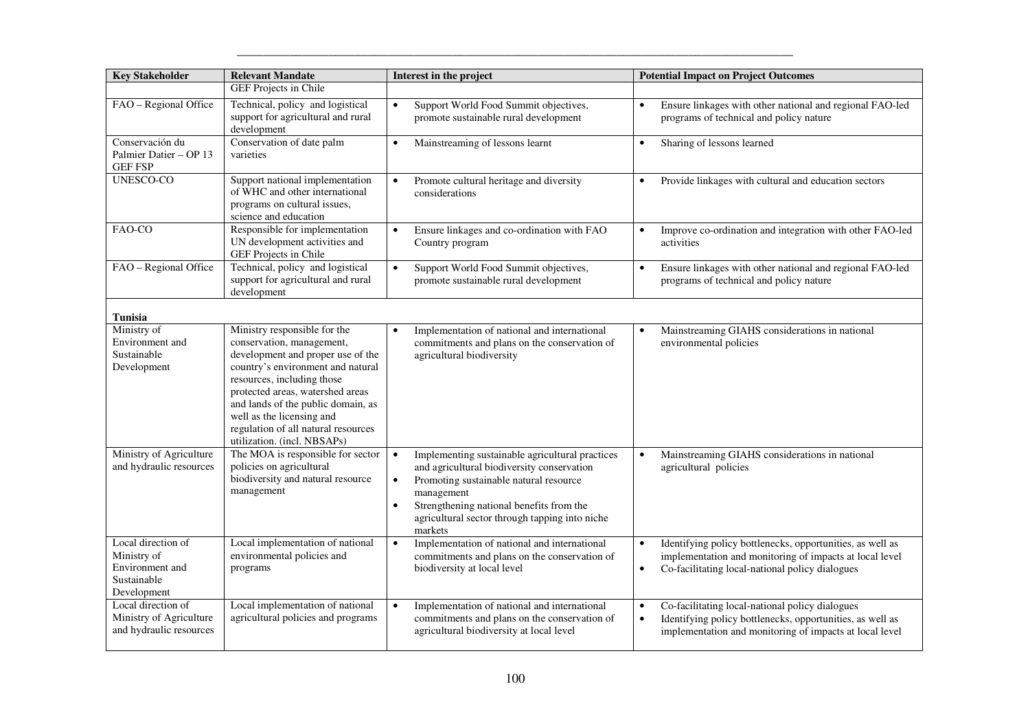| <b>Key Stakeholder</b>                                      | <b>Relevant Mandate</b>                                                                                                    | Interest in the project                                                                                   | <b>Potential Impact on Project Outcomes</b>                                                                                       |
|-------------------------------------------------------------|----------------------------------------------------------------------------------------------------------------------------|-----------------------------------------------------------------------------------------------------------|-----------------------------------------------------------------------------------------------------------------------------------|
|                                                             | <b>GEF Projects in Chile</b>                                                                                               |                                                                                                           |                                                                                                                                   |
| FAO - Regional Office                                       | Technical, policy and logistical<br>support for agricultural and rural<br>development                                      | Support World Food Summit objectives,<br>$\bullet$<br>promote sustainable rural development               | Ensure linkages with other national and regional FAO-led<br>$\bullet$<br>programs of technical and policy nature                  |
| Conservación du<br>Palmier Datier - OP 13<br><b>GEF FSP</b> | Conservation of date palm<br>varieties                                                                                     | Mainstreaming of lessons learnt<br>$\bullet$                                                              | Sharing of lessons learned<br>$\bullet$                                                                                           |
| <b>UNESCO-CO</b>                                            | Support national implementation<br>of WHC and other international<br>programs on cultural issues,<br>science and education | Promote cultural heritage and diversity<br>$\bullet$<br>considerations                                    | Provide linkages with cultural and education sectors<br>$\bullet$                                                                 |
| FAO-CO                                                      | Responsible for implementation<br>UN development activities and<br>GEF Projects in Chile                                   | Ensure linkages and co-ordination with FAO<br>$\bullet$<br>Country program                                | Improve co-ordination and integration with other FAO-led<br>$\bullet$<br>activities                                               |
| FAO - Regional Office                                       | Technical, policy and logistical<br>support for agricultural and rural<br>development                                      | Support World Food Summit objectives,<br>$\bullet$<br>promote sustainable rural development               | Ensure linkages with other national and regional FAO-led<br>$\bullet$<br>programs of technical and policy nature                  |
| <b>Tunisia</b>                                              |                                                                                                                            |                                                                                                           |                                                                                                                                   |
| Ministry of<br>Environment and                              | Ministry responsible for the<br>conservation, management,                                                                  | Implementation of national and international<br>$\bullet$<br>commitments and plans on the conservation of | Mainstreaming GIAHS considerations in national<br>$\bullet$<br>environmental policies                                             |
| Sustainable                                                 | development and proper use of the                                                                                          | agricultural biodiversity                                                                                 |                                                                                                                                   |
| Development                                                 | country's environment and natural<br>resources, including those                                                            |                                                                                                           |                                                                                                                                   |
|                                                             | protected areas, watershed areas                                                                                           |                                                                                                           |                                                                                                                                   |
|                                                             | and lands of the public domain, as                                                                                         |                                                                                                           |                                                                                                                                   |
|                                                             | well as the licensing and<br>regulation of all natural resources                                                           |                                                                                                           |                                                                                                                                   |
|                                                             | utilization. (incl. NBSAPs)                                                                                                |                                                                                                           |                                                                                                                                   |
| Ministry of Agriculture                                     | The MOA is responsible for sector                                                                                          | Implementing sustainable agricultural practices<br>$\bullet$                                              | Mainstreaming GIAHS considerations in national<br>$\bullet$                                                                       |
| and hydraulic resources                                     | policies on agricultural<br>biodiversity and natural resource                                                              | and agricultural biodiversity conservation                                                                | agricultural policies                                                                                                             |
|                                                             | management                                                                                                                 | Promoting sustainable natural resource<br>$\bullet$<br>management                                         |                                                                                                                                   |
|                                                             |                                                                                                                            | $\bullet$<br>Strengthening national benefits from the                                                     |                                                                                                                                   |
|                                                             |                                                                                                                            | agricultural sector through tapping into niche<br>markets                                                 |                                                                                                                                   |
| Local direction of                                          | Local implementation of national                                                                                           | Implementation of national and international<br>$\bullet$                                                 | Identifying policy bottlenecks, opportunities, as well as<br>$\bullet$                                                            |
| Ministry of                                                 | environmental policies and                                                                                                 | commitments and plans on the conservation of                                                              | implementation and monitoring of impacts at local level                                                                           |
| Environment and<br>Sustainable                              | programs                                                                                                                   | biodiversity at local level                                                                               | Co-facilitating local-national policy dialogues<br>$\bullet$                                                                      |
| Development                                                 |                                                                                                                            |                                                                                                           |                                                                                                                                   |
| Local direction of                                          | Local implementation of national                                                                                           | Implementation of national and international<br>$\bullet$                                                 | Co-facilitating local-national policy dialogues<br>$\bullet$                                                                      |
| Ministry of Agriculture<br>and hydraulic resources          | agricultural policies and programs                                                                                         | commitments and plans on the conservation of<br>agricultural biodiversity at local level                  | Identifying policy bottlenecks, opportunities, as well as<br>$\bullet$<br>implementation and monitoring of impacts at local level |
|                                                             |                                                                                                                            |                                                                                                           |                                                                                                                                   |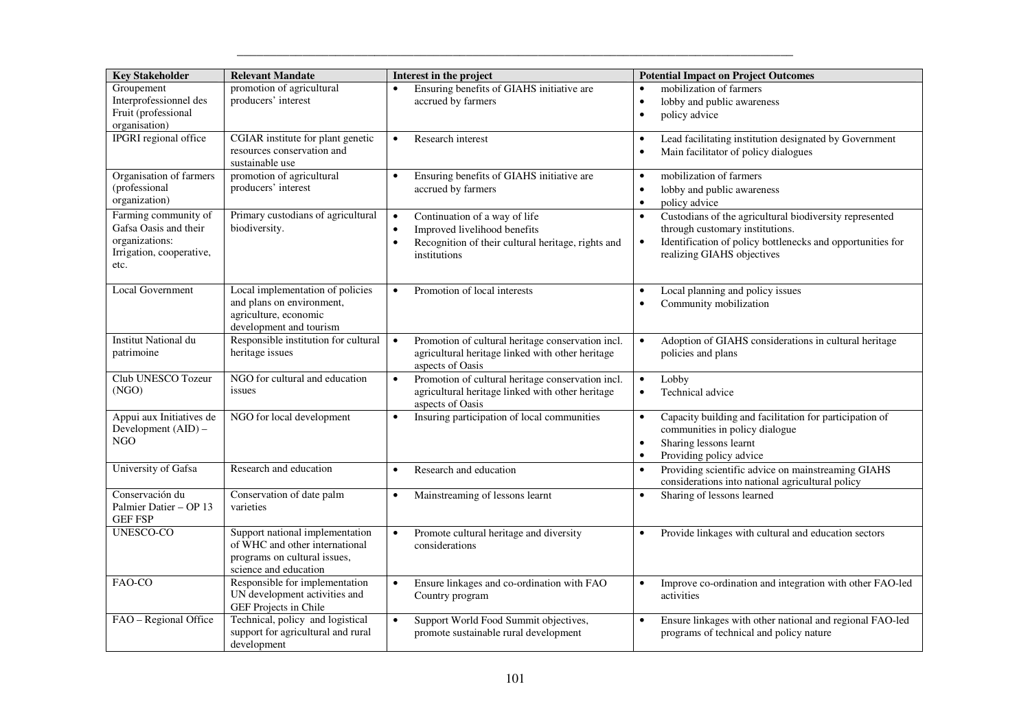| <b>Key Stakeholder</b>                                                                              | <b>Relevant Mandate</b>                                                                                                    | Interest in the project                                                                                                                                                    | <b>Potential Impact on Project Outcomes</b>                                                                                                                                                                      |
|-----------------------------------------------------------------------------------------------------|----------------------------------------------------------------------------------------------------------------------------|----------------------------------------------------------------------------------------------------------------------------------------------------------------------------|------------------------------------------------------------------------------------------------------------------------------------------------------------------------------------------------------------------|
| Groupement<br>Interprofessionnel des<br>Fruit (professional<br>organisation)                        | promotion of agricultural<br>producers' interest                                                                           | Ensuring benefits of GIAHS initiative are<br>accrued by farmers                                                                                                            | mobilization of farmers<br>lobby and public awareness<br>$\bullet$<br>policy advice<br>$\bullet$                                                                                                                 |
| IPGRI regional office                                                                               | CGIAR institute for plant genetic<br>resources conservation and<br>sustainable use                                         | Research interest<br>$\bullet$                                                                                                                                             | Lead facilitating institution designated by Government<br>$\bullet$<br>Main facilitator of policy dialogues<br>$\bullet$                                                                                         |
| Organisation of farmers<br>(professional<br>organization)                                           | promotion of agricultural<br>producers' interest                                                                           | Ensuring benefits of GIAHS initiative are<br>$\bullet$<br>accrued by farmers                                                                                               | mobilization of farmers<br>$\bullet$<br>lobby and public awareness<br>$\bullet$<br>policy advice<br>$\bullet$                                                                                                    |
| Farming community of<br>Gafsa Oasis and their<br>organizations:<br>Irrigation, cooperative,<br>etc. | Primary custodians of agricultural<br>biodiversity.                                                                        | Continuation of a way of life<br>$\bullet$<br>Improved livelihood benefits<br>$\bullet$<br>Recognition of their cultural heritage, rights and<br>$\bullet$<br>institutions | Custodians of the agricultural biodiversity represented<br>$\bullet$<br>through customary institutions.<br>Identification of policy bottlenecks and opportunities for<br>$\bullet$<br>realizing GIAHS objectives |
| <b>Local Government</b>                                                                             | Local implementation of policies<br>and plans on environment,<br>agriculture, economic<br>development and tourism          | Promotion of local interests<br>$\bullet$                                                                                                                                  | Local planning and policy issues<br>$\bullet$<br>Community mobilization<br>$\bullet$                                                                                                                             |
| <b>Institut National du</b><br>patrimoine                                                           | Responsible institution for cultural<br>heritage issues                                                                    | Promotion of cultural heritage conservation incl.<br>$\bullet$<br>agricultural heritage linked with other heritage<br>aspects of Oasis                                     | Adoption of GIAHS considerations in cultural heritage<br>$\bullet$<br>policies and plans                                                                                                                         |
| Club UNESCO Tozeur<br>(NGO)                                                                         | NGO for cultural and education<br>issues                                                                                   | Promotion of cultural heritage conservation incl.<br>$\bullet$<br>agricultural heritage linked with other heritage<br>aspects of Oasis                                     | Lobby<br>$\bullet$<br>Technical advice<br>$\bullet$                                                                                                                                                              |
| Appui aux Initiatives de<br>Development (AID) -<br>NGO                                              | NGO for local development                                                                                                  | Insuring participation of local communities<br>$\bullet$                                                                                                                   | Capacity building and facilitation for participation of<br>$\bullet$<br>communities in policy dialogue<br>Sharing lessons learnt<br>$\bullet$<br>Providing policy advice                                         |
| University of Gafsa                                                                                 | Research and education                                                                                                     | Research and education<br>$\bullet$                                                                                                                                        | Providing scientific advice on mainstreaming GIAHS<br>$\bullet$<br>considerations into national agricultural policy                                                                                              |
| Conservación du<br>Palmier Datier - OP 13<br><b>GEF FSP</b>                                         | Conservation of date palm<br>varieties                                                                                     | Mainstreaming of lessons learnt<br>$\bullet$                                                                                                                               | Sharing of lessons learned<br>$\bullet$                                                                                                                                                                          |
| <b>UNESCO-CO</b>                                                                                    | Support national implementation<br>of WHC and other international<br>programs on cultural issues,<br>science and education | Promote cultural heritage and diversity<br>$\bullet$<br>considerations                                                                                                     | Provide linkages with cultural and education sectors<br>$\bullet$                                                                                                                                                |
| FAO-CO                                                                                              | Responsible for implementation<br>UN development activities and<br>GEF Projects in Chile                                   | Ensure linkages and co-ordination with FAO<br>$\bullet$<br>Country program                                                                                                 | Improve co-ordination and integration with other FAO-led<br>activities                                                                                                                                           |
| FAO - Regional Office                                                                               | Technical, policy and logistical<br>support for agricultural and rural<br>development                                      | Support World Food Summit objectives,<br>$\bullet$<br>promote sustainable rural development                                                                                | Ensure linkages with other national and regional FAO-led<br>programs of technical and policy nature                                                                                                              |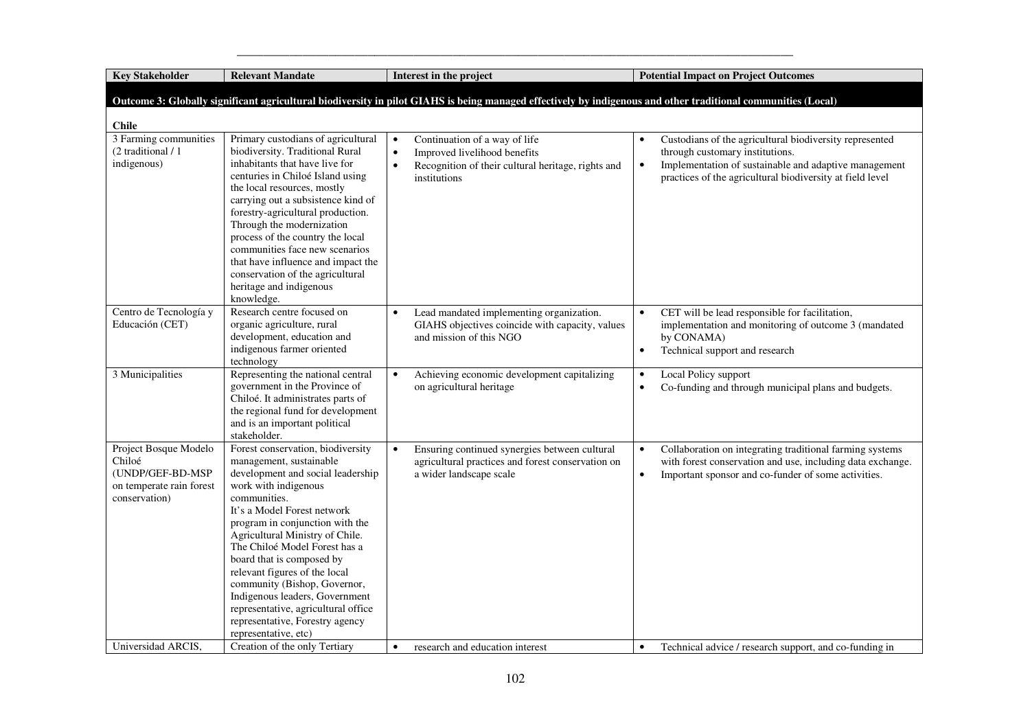**Key Stakeholder Relevant Mandate Interest in the project Potential Impact on Project Outcomes** 

|                                                                                                  |                                                                                                                                                                                                                                                                                                                                                                                                                                                                                                                   |                                                                                                                                                                            |                        | Outcome 3: Globally significant agricultural biodiversity in pilot GIAHS is being managed effectively by indigenous and other traditional communities (Local)                                                    |
|--------------------------------------------------------------------------------------------------|-------------------------------------------------------------------------------------------------------------------------------------------------------------------------------------------------------------------------------------------------------------------------------------------------------------------------------------------------------------------------------------------------------------------------------------------------------------------------------------------------------------------|----------------------------------------------------------------------------------------------------------------------------------------------------------------------------|------------------------|------------------------------------------------------------------------------------------------------------------------------------------------------------------------------------------------------------------|
| <b>Chile</b>                                                                                     |                                                                                                                                                                                                                                                                                                                                                                                                                                                                                                                   |                                                                                                                                                                            |                        |                                                                                                                                                                                                                  |
| 3 Farming communities<br>(2 traditional / 1<br>indigenous)                                       | Primary custodians of agricultural<br>biodiversity. Traditional Rural<br>inhabitants that have live for<br>centuries in Chiloé Island using<br>the local resources, mostly<br>carrying out a subsistence kind of<br>forestry-agricultural production.<br>Through the modernization<br>process of the country the local<br>communities face new scenarios<br>that have influence and impact the<br>conservation of the agricultural<br>heritage and indigenous<br>knowledge.                                       | Continuation of a way of life<br>$\bullet$<br>Improved livelihood benefits<br>$\bullet$<br>Recognition of their cultural heritage, rights and<br>$\bullet$<br>institutions | $\bullet$              | Custodians of the agricultural biodiversity represented<br>through customary institutions.<br>Implementation of sustainable and adaptive management<br>practices of the agricultural biodiversity at field level |
| Centro de Tecnología y<br>Educación (CET)                                                        | Research centre focused on<br>organic agriculture, rural<br>development, education and<br>indigenous farmer oriented<br>technology                                                                                                                                                                                                                                                                                                                                                                                | Lead mandated implementing organization.<br>GIAHS objectives coincide with capacity, values<br>and mission of this NGO                                                     | $\bullet$<br>$\bullet$ | CET will be lead responsible for facilitation,<br>implementation and monitoring of outcome 3 (mandated<br>by CONAMA)<br>Technical support and research                                                           |
| 3 Municipalities                                                                                 | Representing the national central<br>government in the Province of<br>Chiloé. It administrates parts of<br>the regional fund for development<br>and is an important political<br>stakeholder.                                                                                                                                                                                                                                                                                                                     | Achieving economic development capitalizing<br>$\bullet$<br>on agricultural heritage                                                                                       | $\bullet$<br>$\bullet$ | Local Policy support<br>Co-funding and through municipal plans and budgets.                                                                                                                                      |
| Project Bosque Modelo<br>Chiloé<br>(UNDP/GEF-BD-MSP<br>on temperate rain forest<br>conservation) | Forest conservation, biodiversity<br>management, sustainable<br>development and social leadership<br>work with indigenous<br>communities.<br>It's a Model Forest network<br>program in conjunction with the<br>Agricultural Ministry of Chile.<br>The Chiloé Model Forest has a<br>board that is composed by<br>relevant figures of the local<br>community (Bishop, Governor,<br>Indigenous leaders, Government<br>representative, agricultural office<br>representative, Forestry agency<br>representative, etc) | Ensuring continued synergies between cultural<br>$\bullet$<br>agricultural practices and forest conservation on<br>a wider landscape scale                                 | $\bullet$<br>$\bullet$ | Collaboration on integrating traditional farming systems<br>with forest conservation and use, including data exchange.<br>Important sponsor and co-funder of some activities.                                    |
| Universidad ARCIS.                                                                               | Creation of the only Tertiary                                                                                                                                                                                                                                                                                                                                                                                                                                                                                     | research and education interest<br>$\bullet$                                                                                                                               | $\bullet$              | Technical advice / research support, and co-funding in                                                                                                                                                           |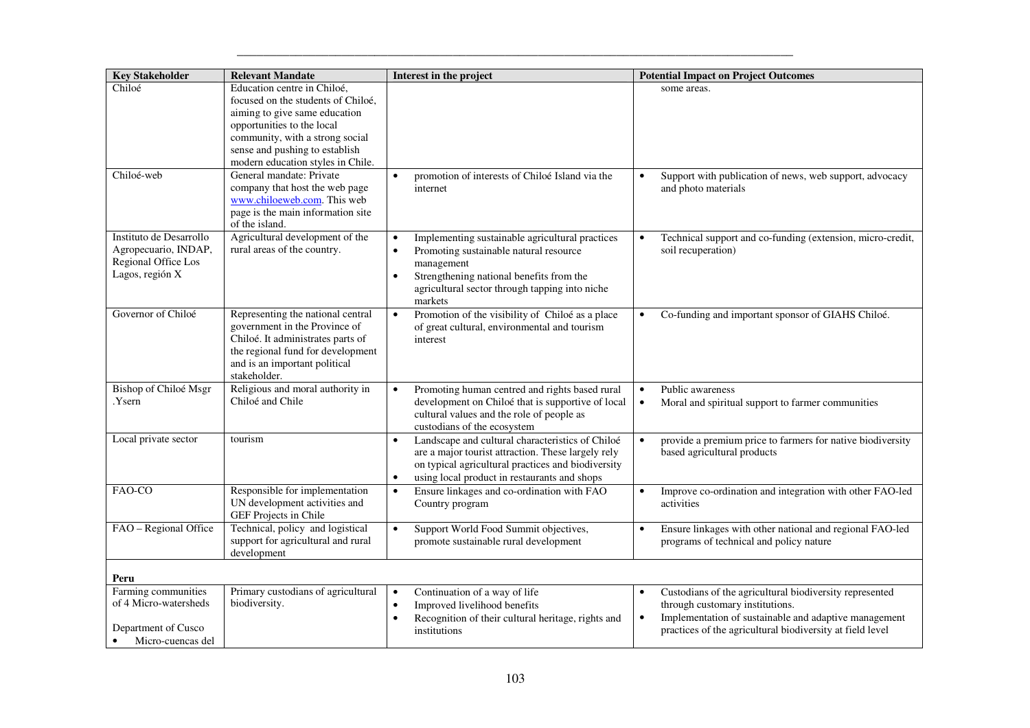| <b>Key Stakeholder</b>                                                                    | <b>Relevant Mandate</b>                                                                                                                                                                                                                    | Interest in the project                                                                                                                                                                                                                                 | <b>Potential Impact on Project Outcomes</b>                                                                                                                                                                                   |
|-------------------------------------------------------------------------------------------|--------------------------------------------------------------------------------------------------------------------------------------------------------------------------------------------------------------------------------------------|---------------------------------------------------------------------------------------------------------------------------------------------------------------------------------------------------------------------------------------------------------|-------------------------------------------------------------------------------------------------------------------------------------------------------------------------------------------------------------------------------|
| Chiloé                                                                                    | Education centre in Chiloé,<br>focused on the students of Chiloé,<br>aiming to give same education<br>opportunities to the local<br>community, with a strong social<br>sense and pushing to establish<br>modern education styles in Chile. |                                                                                                                                                                                                                                                         | some areas.                                                                                                                                                                                                                   |
| Chiloé-web                                                                                | General mandate: Private<br>company that host the web page<br>www.chiloeweb.com. This web<br>page is the main information site<br>of the island.                                                                                           | promotion of interests of Chiloé Island via the<br>$\bullet$<br>internet                                                                                                                                                                                | Support with publication of news, web support, advocacy<br>$\bullet$<br>and photo materials                                                                                                                                   |
| Instituto de Desarrollo<br>Agropecuario, INDAP,<br>Regional Office Los<br>Lagos, región X | Agricultural development of the<br>rural areas of the country.                                                                                                                                                                             | Implementing sustainable agricultural practices<br>$\bullet$<br>Promoting sustainable natural resource<br>$\bullet$<br>management<br>Strengthening national benefits from the<br>$\bullet$<br>agricultural sector through tapping into niche<br>markets | Technical support and co-funding (extension, micro-credit,<br>$\bullet$<br>soil recuperation)                                                                                                                                 |
| Governor of Chiloé                                                                        | Representing the national central<br>government in the Province of<br>Chiloé. It administrates parts of<br>the regional fund for development<br>and is an important political<br>stakeholder.                                              | Promotion of the visibility of Chiloé as a place<br>$\bullet$<br>of great cultural, environmental and tourism<br>interest                                                                                                                               | Co-funding and important sponsor of GIAHS Chiloé.                                                                                                                                                                             |
| Bishop of Chiloé Msgr<br>Ysern.                                                           | Religious and moral authority in<br>Chiloé and Chile                                                                                                                                                                                       | Promoting human centred and rights based rural<br>development on Chiloé that is supportive of local<br>cultural values and the role of people as<br>custodians of the ecosystem                                                                         | Public awareness<br>$\bullet$<br>Moral and spiritual support to farmer communities<br>$\bullet$                                                                                                                               |
| Local private sector                                                                      | tourism                                                                                                                                                                                                                                    | Landscape and cultural characteristics of Chiloé<br>$\bullet$<br>are a major tourist attraction. These largely rely<br>on typical agricultural practices and biodiversity<br>using local product in restaurants and shops<br>$\bullet$                  | provide a premium price to farmers for native biodiversity<br>$\bullet$<br>based agricultural products                                                                                                                        |
| FAO-CO                                                                                    | Responsible for implementation<br>UN development activities and<br>GEF Projects in Chile                                                                                                                                                   | $\bullet$<br>Ensure linkages and co-ordination with FAO<br>Country program                                                                                                                                                                              | Improve co-ordination and integration with other FAO-led<br>$\bullet$<br>activities                                                                                                                                           |
| FAO - Regional Office                                                                     | Technical, policy and logistical<br>support for agricultural and rural<br>development                                                                                                                                                      | Support World Food Summit objectives,<br>$\bullet$<br>promote sustainable rural development                                                                                                                                                             | Ensure linkages with other national and regional FAO-led<br>programs of technical and policy nature                                                                                                                           |
| Peru                                                                                      |                                                                                                                                                                                                                                            |                                                                                                                                                                                                                                                         |                                                                                                                                                                                                                               |
| Farming communities<br>of 4 Micro-watersheds<br>Department of Cusco<br>Micro-cuencas del  | Primary custodians of agricultural<br>biodiversity.                                                                                                                                                                                        | Continuation of a way of life<br>$\bullet$<br>Improved livelihood benefits<br>$\bullet$<br>Recognition of their cultural heritage, rights and<br>$\bullet$<br>institutions                                                                              | Custodians of the agricultural biodiversity represented<br>through customary institutions.<br>Implementation of sustainable and adaptive management<br>$\bullet$<br>practices of the agricultural biodiversity at field level |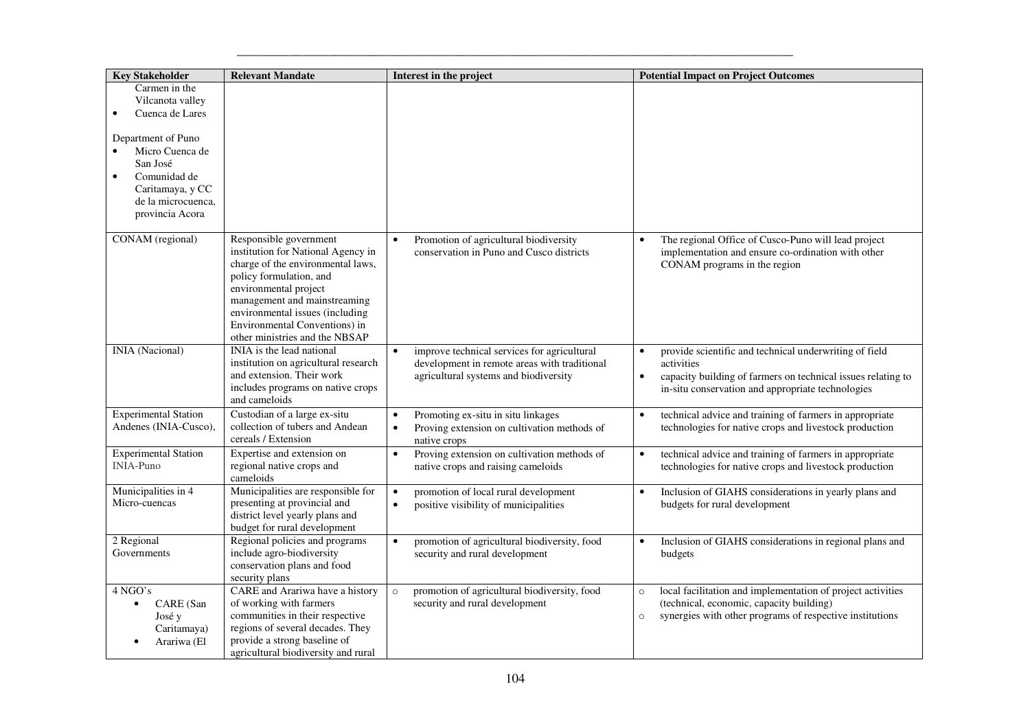| <b>Key Stakeholder</b>                                                                                                                                                                              | <b>Relevant Mandate</b>                                                                                                                                                                                                                                                                     | Interest in the project                                                                                                                           | <b>Potential Impact on Project Outcomes</b>                                                                                                                                                                         |
|-----------------------------------------------------------------------------------------------------------------------------------------------------------------------------------------------------|---------------------------------------------------------------------------------------------------------------------------------------------------------------------------------------------------------------------------------------------------------------------------------------------|---------------------------------------------------------------------------------------------------------------------------------------------------|---------------------------------------------------------------------------------------------------------------------------------------------------------------------------------------------------------------------|
| Carmen in the<br>Vilcanota valley<br>Cuenca de Lares<br>$\bullet$<br>Department of Puno<br>Micro Cuenca de<br>San José<br>Comunidad de<br>Caritamaya, y CC<br>de la microcuenca,<br>provincia Acora |                                                                                                                                                                                                                                                                                             |                                                                                                                                                   |                                                                                                                                                                                                                     |
| CONAM (regional)                                                                                                                                                                                    | Responsible government<br>institution for National Agency in<br>charge of the environmental laws,<br>policy formulation, and<br>environmental project<br>management and mainstreaming<br>environmental issues (including<br>Environmental Conventions) in<br>other ministries and the NBSAP | Promotion of agricultural biodiversity<br>conservation in Puno and Cusco districts                                                                | The regional Office of Cusco-Puno will lead project<br>implementation and ensure co-ordination with other<br>CONAM programs in the region                                                                           |
| <b>INIA</b> (Nacional)                                                                                                                                                                              | INIA is the lead national<br>institution on agricultural research<br>and extension. Their work<br>includes programs on native crops<br>and cameloids                                                                                                                                        | improve technical services for agricultural<br>$\bullet$<br>development in remote areas with traditional<br>agricultural systems and biodiversity | provide scientific and technical underwriting of field<br>$\bullet$<br>activities<br>capacity building of farmers on technical issues relating to<br>$\bullet$<br>in-situ conservation and appropriate technologies |
| <b>Experimental Station</b><br>Andenes (INIA-Cusco),                                                                                                                                                | Custodian of a large ex-situ<br>collection of tubers and Andean<br>cereals / Extension                                                                                                                                                                                                      | Promoting ex-situ in situ linkages<br>$\bullet$<br>Proving extension on cultivation methods of<br>$\bullet$<br>native crops                       | technical advice and training of farmers in appropriate<br>$\bullet$<br>technologies for native crops and livestock production                                                                                      |
| <b>Experimental Station</b><br><b>INIA-Puno</b>                                                                                                                                                     | Expertise and extension on<br>regional native crops and<br>cameloids                                                                                                                                                                                                                        | Proving extension on cultivation methods of<br>$\bullet$<br>native crops and raising cameloids                                                    | technical advice and training of farmers in appropriate<br>$\bullet$<br>technologies for native crops and livestock production                                                                                      |
| Municipalities in 4<br>Micro-cuencas                                                                                                                                                                | Municipalities are responsible for<br>presenting at provincial and<br>district level yearly plans and<br>budget for rural development                                                                                                                                                       | promotion of local rural development<br>$\bullet$<br>positive visibility of municipalities<br>$\bullet$                                           | Inclusion of GIAHS considerations in yearly plans and<br>$\bullet$<br>budgets for rural development                                                                                                                 |
| 2 Regional<br>Governments                                                                                                                                                                           | Regional policies and programs<br>include agro-biodiversity<br>conservation plans and food<br>security plans                                                                                                                                                                                | promotion of agricultural biodiversity, food<br>$\bullet$<br>security and rural development                                                       | Inclusion of GIAHS considerations in regional plans and<br>$\bullet$<br>budgets                                                                                                                                     |
| 4 NGO's<br>CARE (San<br>$\bullet$<br>José y<br>Caritamaya)<br>Arariwa (El<br>$\bullet$                                                                                                              | CARE and Arariwa have a history<br>of working with farmers<br>communities in their respective<br>regions of several decades. They<br>provide a strong baseline of<br>agricultural biodiversity and rural                                                                                    | promotion of agricultural biodiversity, food<br>$\circ$<br>security and rural development                                                         | local facilitation and implementation of project activities<br>$\circ$<br>(technical, economic, capacity building)<br>synergies with other programs of respective institutions<br>$\circ$                           |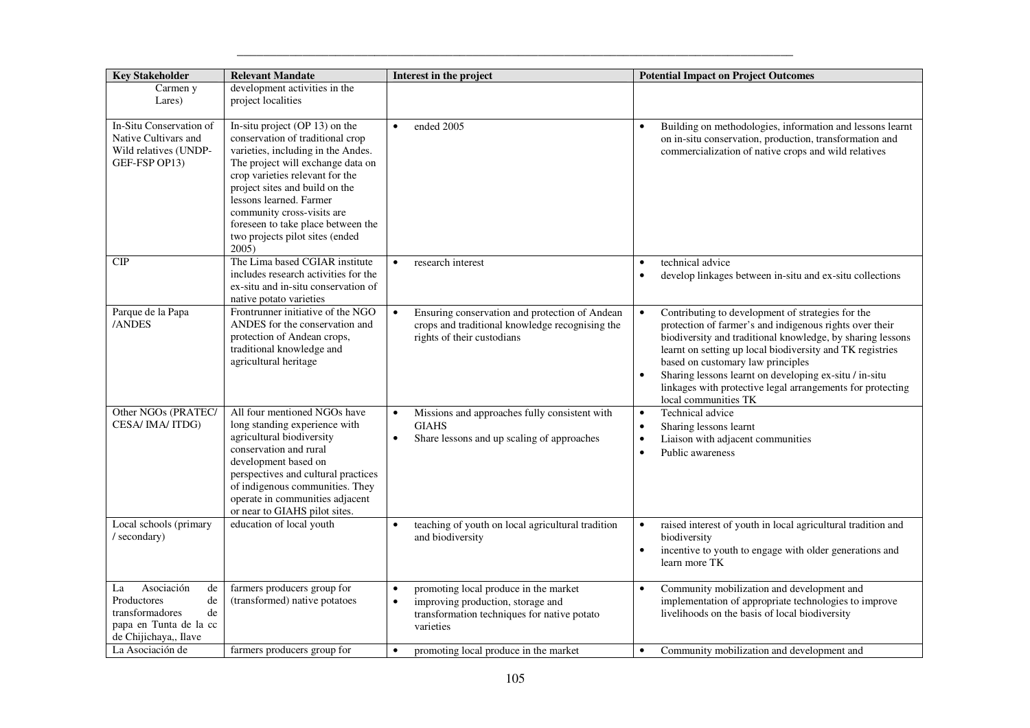| <b>Key Stakeholder</b>                                                                                                  | <b>Relevant Mandate</b>                                                                                                                                                                                                                                                                                                                                       | Interest in the project                                                                                                                                          | <b>Potential Impact on Project Outcomes</b>                                                                                                                                                                                                                                                                                                                                                                                               |
|-------------------------------------------------------------------------------------------------------------------------|---------------------------------------------------------------------------------------------------------------------------------------------------------------------------------------------------------------------------------------------------------------------------------------------------------------------------------------------------------------|------------------------------------------------------------------------------------------------------------------------------------------------------------------|-------------------------------------------------------------------------------------------------------------------------------------------------------------------------------------------------------------------------------------------------------------------------------------------------------------------------------------------------------------------------------------------------------------------------------------------|
| Carmen y<br>Lares)                                                                                                      | development activities in the<br>project localities                                                                                                                                                                                                                                                                                                           |                                                                                                                                                                  |                                                                                                                                                                                                                                                                                                                                                                                                                                           |
| In-Situ Conservation of<br>Native Cultivars and<br>Wild relatives (UNDP-<br>GEF-FSP OP13)                               | In-situ project (OP 13) on the<br>conservation of traditional crop<br>varieties, including in the Andes.<br>The project will exchange data on<br>crop varieties relevant for the<br>project sites and build on the<br>lessons learned. Farmer<br>community cross-visits are<br>foreseen to take place between the<br>two projects pilot sites (ended<br>2005) | ended 2005<br>$\bullet$                                                                                                                                          | Building on methodologies, information and lessons learnt<br>on in-situ conservation, production, transformation and<br>commercialization of native crops and wild relatives                                                                                                                                                                                                                                                              |
| CIP                                                                                                                     | The Lima based CGIAR institute<br>includes research activities for the<br>ex-situ and in-situ conservation of<br>native potato varieties                                                                                                                                                                                                                      | research interest                                                                                                                                                | technical advice<br>develop linkages between in-situ and ex-situ collections<br>$\bullet$                                                                                                                                                                                                                                                                                                                                                 |
| Parque de la Papa<br>/ANDES                                                                                             | Frontrunner initiative of the NGO<br>ANDES for the conservation and<br>protection of Andean crops,<br>traditional knowledge and<br>agricultural heritage                                                                                                                                                                                                      | Ensuring conservation and protection of Andean<br>$\bullet$<br>crops and traditional knowledge recognising the<br>rights of their custodians                     | Contributing to development of strategies for the<br>$\bullet$<br>protection of farmer's and indigenous rights over their<br>biodiversity and traditional knowledge, by sharing lessons<br>learnt on setting up local biodiversity and TK registries<br>based on customary law principles<br>Sharing lessons learnt on developing ex-situ / in-situ<br>linkages with protective legal arrangements for protecting<br>local communities TK |
| Other NGOs (PRATEC/<br>CESA/IMA/ITDG)                                                                                   | All four mentioned NGOs have<br>long standing experience with<br>agricultural biodiversity<br>conservation and rural<br>development based on<br>perspectives and cultural practices<br>of indigenous communities. They<br>operate in communities adjacent<br>or near to GIAHS pilot sites.                                                                    | Missions and approaches fully consistent with<br>$\bullet$<br><b>GIAHS</b><br>Share lessons and up scaling of approaches<br>$\bullet$                            | Technical advice<br>$\bullet$<br>Sharing lessons learnt<br>$\bullet$<br>Liaison with adjacent communities<br>Public awareness                                                                                                                                                                                                                                                                                                             |
| Local schools (primary<br>/ secondary)                                                                                  | education of local youth                                                                                                                                                                                                                                                                                                                                      | teaching of youth on local agricultural tradition<br>$\bullet$<br>and biodiversity                                                                               | raised interest of youth in local agricultural tradition and<br>biodiversity<br>incentive to youth to engage with older generations and<br>$\bullet$<br>learn more TK                                                                                                                                                                                                                                                                     |
| Asociación<br>de<br>La<br>Productores<br>de<br>transformadores<br>de<br>papa en Tunta de la cc<br>de Chijichaya,, Ilave | farmers producers group for<br>(transformed) native potatoes                                                                                                                                                                                                                                                                                                  | promoting local produce in the market<br>$\bullet$<br>improving production, storage and<br>$\bullet$<br>transformation techniques for native potato<br>varieties | Community mobilization and development and<br>implementation of appropriate technologies to improve<br>livelihoods on the basis of local biodiversity                                                                                                                                                                                                                                                                                     |
| La Asociación de                                                                                                        | farmers producers group for                                                                                                                                                                                                                                                                                                                                   | promoting local produce in the market<br>$\bullet$                                                                                                               | Community mobilization and development and<br>$\bullet$                                                                                                                                                                                                                                                                                                                                                                                   |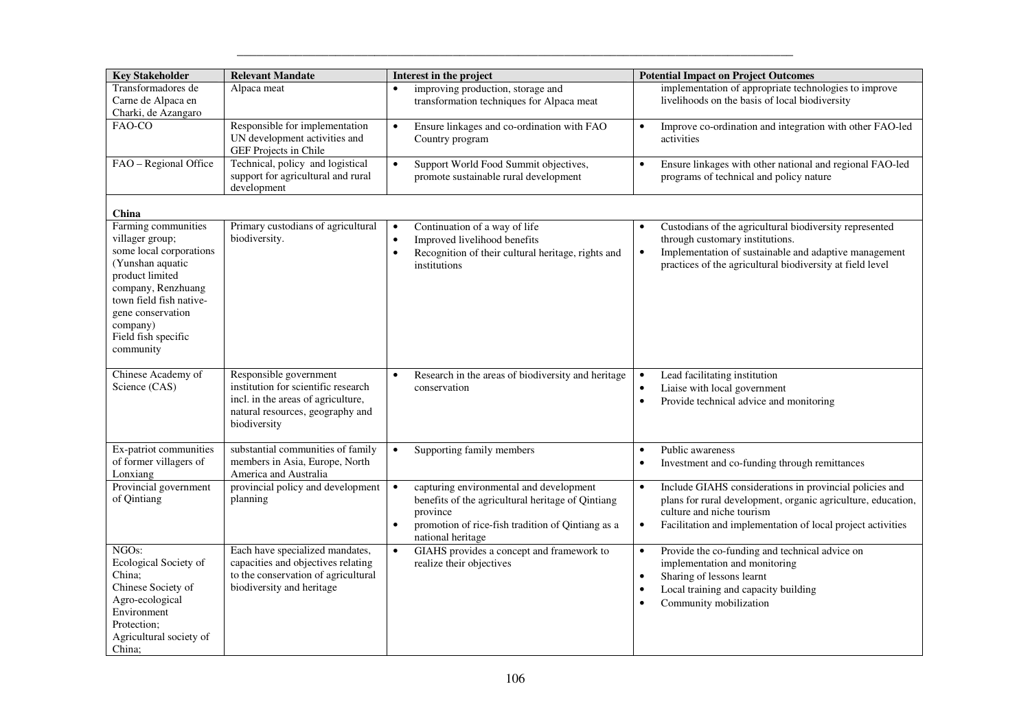| <b>Key Stakeholder</b>                                                                                                                                                                                                         | <b>Relevant Mandate</b>                                                                                                                                 | Interest in the project                                                                                                                                                                                      | <b>Potential Impact on Project Outcomes</b>                                                                                                                                                                                                   |
|--------------------------------------------------------------------------------------------------------------------------------------------------------------------------------------------------------------------------------|---------------------------------------------------------------------------------------------------------------------------------------------------------|--------------------------------------------------------------------------------------------------------------------------------------------------------------------------------------------------------------|-----------------------------------------------------------------------------------------------------------------------------------------------------------------------------------------------------------------------------------------------|
| Transformadores de<br>Carne de Alpaca en<br>Charki, de Azangaro                                                                                                                                                                | Alpaca meat                                                                                                                                             | improving production, storage and<br>$\bullet$<br>transformation techniques for Alpaca meat                                                                                                                  | implementation of appropriate technologies to improve<br>livelihoods on the basis of local biodiversity                                                                                                                                       |
| FAO-CO                                                                                                                                                                                                                         | Responsible for implementation<br>UN development activities and<br>GEF Projects in Chile                                                                | Ensure linkages and co-ordination with FAO<br>$\bullet$<br>Country program                                                                                                                                   | Improve co-ordination and integration with other FAO-led<br>activities                                                                                                                                                                        |
| FAO - Regional Office                                                                                                                                                                                                          | Technical, policy and logistical<br>support for agricultural and rural<br>development                                                                   | $\bullet$<br>Support World Food Summit objectives,<br>promote sustainable rural development                                                                                                                  | Ensure linkages with other national and regional FAO-led<br>$\bullet$<br>programs of technical and policy nature                                                                                                                              |
| China                                                                                                                                                                                                                          |                                                                                                                                                         |                                                                                                                                                                                                              |                                                                                                                                                                                                                                               |
| Farming communities<br>villager group;<br>some local corporations<br>(Yunshan aquatic<br>product limited<br>company, Renzhuang<br>town field fish native-<br>gene conservation<br>company)<br>Field fish specific<br>community | Primary custodians of agricultural<br>biodiversity.                                                                                                     | Continuation of a way of life<br>$\bullet$<br>Improved livelihood benefits<br>$\bullet$<br>Recognition of their cultural heritage, rights and<br>$\bullet$<br>institutions                                   | Custodians of the agricultural biodiversity represented<br>$\bullet$<br>through customary institutions.<br>Implementation of sustainable and adaptive management<br>$\bullet$<br>practices of the agricultural biodiversity at field level    |
| Chinese Academy of<br>Science (CAS)                                                                                                                                                                                            | Responsible government<br>institution for scientific research<br>incl. in the areas of agriculture,<br>natural resources, geography and<br>biodiversity | Research in the areas of biodiversity and heritage<br>$\bullet$<br>conservation                                                                                                                              | Lead facilitating institution<br>$\bullet$<br>Liaise with local government<br>$\bullet$<br>Provide technical advice and monitoring<br>$\bullet$                                                                                               |
| Ex-patriot communities<br>of former villagers of<br>Lonxiang                                                                                                                                                                   | substantial communities of family<br>members in Asia, Europe, North<br>America and Australia                                                            | Supporting family members<br>$\bullet$                                                                                                                                                                       | Public awareness<br>$\bullet$<br>Investment and co-funding through remittances<br>$\bullet$                                                                                                                                                   |
| Provincial government<br>of Qintiang                                                                                                                                                                                           | provincial policy and development<br>planning                                                                                                           | capturing environmental and development<br>$\bullet$<br>benefits of the agricultural heritage of Qintiang<br>province<br>promotion of rice-fish tradition of Qintiang as a<br>$\bullet$<br>national heritage | Include GIAHS considerations in provincial policies and<br>$\bullet$<br>plans for rural development, organic agriculture, education,<br>culture and niche tourism<br>Facilitation and implementation of local project activities<br>$\bullet$ |
| NGO <sub>s</sub> :<br>Ecological Society of<br>China;<br>Chinese Society of<br>Agro-ecological<br>Environment<br>Protection:<br>Agricultural society of<br>China;                                                              | Each have specialized mandates,<br>capacities and objectives relating<br>to the conservation of agricultural<br>biodiversity and heritage               | $\bullet$<br>GIAHS provides a concept and framework to<br>realize their objectives                                                                                                                           | Provide the co-funding and technical advice on<br>$\bullet$<br>implementation and monitoring<br>Sharing of lessons learnt<br>$\bullet$<br>Local training and capacity building<br>Community mobilization<br>$\bullet$                         |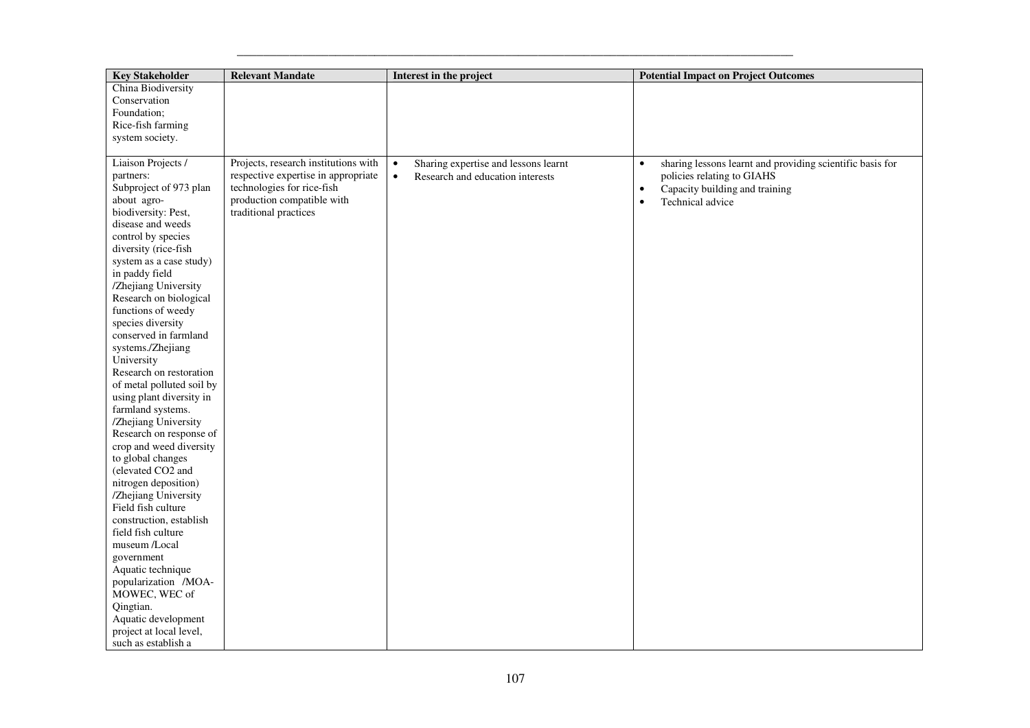| <b>Key Stakeholder</b>                                                                                                                                                                                                                                                                                                                                                                                                                                                                                                                                                                                                                                                                                                                                                                                                                                                                                              | <b>Relevant Mandate</b>                                                                                                                                          | Interest in the project                                                                            | <b>Potential Impact on Project Outcomes</b>                                                                                                                             |
|---------------------------------------------------------------------------------------------------------------------------------------------------------------------------------------------------------------------------------------------------------------------------------------------------------------------------------------------------------------------------------------------------------------------------------------------------------------------------------------------------------------------------------------------------------------------------------------------------------------------------------------------------------------------------------------------------------------------------------------------------------------------------------------------------------------------------------------------------------------------------------------------------------------------|------------------------------------------------------------------------------------------------------------------------------------------------------------------|----------------------------------------------------------------------------------------------------|-------------------------------------------------------------------------------------------------------------------------------------------------------------------------|
| China Biodiversity<br>Conservation<br>Foundation;<br>Rice-fish farming<br>system society.                                                                                                                                                                                                                                                                                                                                                                                                                                                                                                                                                                                                                                                                                                                                                                                                                           |                                                                                                                                                                  |                                                                                                    |                                                                                                                                                                         |
| Liaison Projects /<br>partners:<br>Subproject of 973 plan<br>about agro-<br>biodiversity: Pest,<br>disease and weeds<br>control by species<br>diversity (rice-fish<br>system as a case study)<br>in paddy field<br>/Zhejiang University<br>Research on biological<br>functions of weedy<br>species diversity<br>conserved in farmland<br>systems./Zhejiang<br>University<br>Research on restoration<br>of metal polluted soil by<br>using plant diversity in<br>farmland systems.<br>/Zhejiang University<br>Research on response of<br>crop and weed diversity<br>to global changes<br>(elevated CO2 and<br>nitrogen deposition)<br>/Zhejiang University<br>Field fish culture<br>construction, establish<br>field fish culture<br>museum /Local<br>government<br>Aquatic technique<br>popularization /MOA-<br>MOWEC, WEC of<br>Qingtian.<br>Aquatic development<br>project at local level,<br>such as establish a | Projects, research institutions with<br>respective expertise in appropriate<br>technologies for rice-fish<br>production compatible with<br>traditional practices | Sharing expertise and lessons learnt<br>$\bullet$<br>Research and education interests<br>$\bullet$ | sharing lessons learnt and providing scientific basis for<br>$\bullet$<br>policies relating to GIAHS<br>Capacity building and training<br>Technical advice<br>$\bullet$ |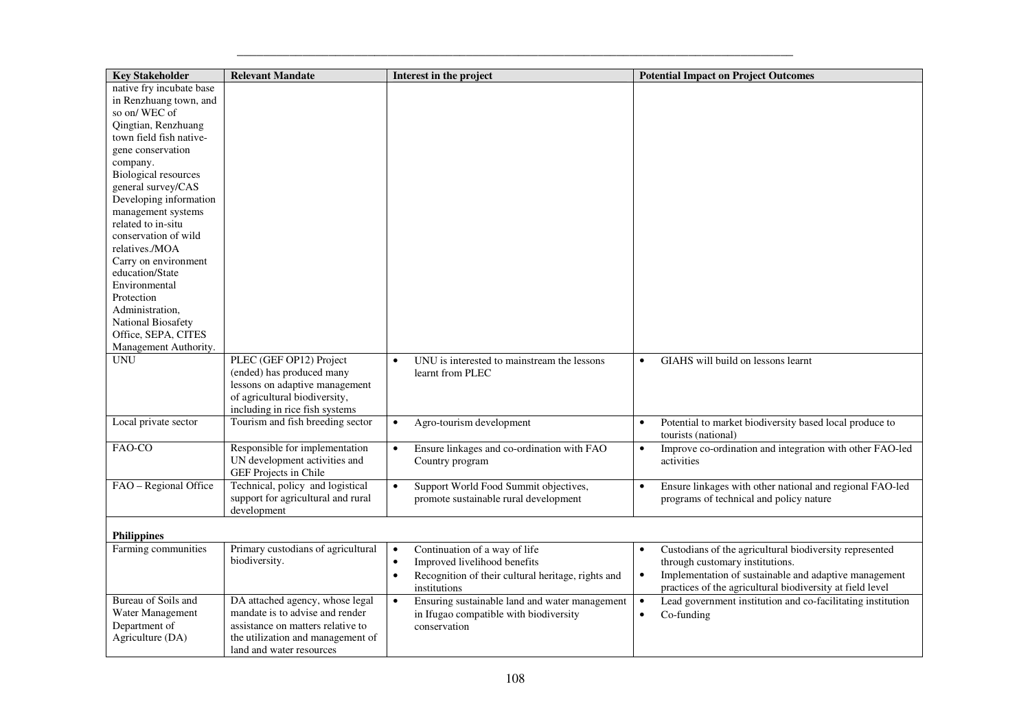| <b>Key Stakeholder</b>                   | <b>Relevant Mandate</b>                                         | Interest in the project                                         | <b>Potential Impact on Project Outcomes</b>                              |
|------------------------------------------|-----------------------------------------------------------------|-----------------------------------------------------------------|--------------------------------------------------------------------------|
| native fry incubate base                 |                                                                 |                                                                 |                                                                          |
| in Renzhuang town, and                   |                                                                 |                                                                 |                                                                          |
| so on/WEC of                             |                                                                 |                                                                 |                                                                          |
| Qingtian, Renzhuang                      |                                                                 |                                                                 |                                                                          |
| town field fish native-                  |                                                                 |                                                                 |                                                                          |
| gene conservation                        |                                                                 |                                                                 |                                                                          |
| company.                                 |                                                                 |                                                                 |                                                                          |
| <b>Biological resources</b>              |                                                                 |                                                                 |                                                                          |
| general survey/CAS                       |                                                                 |                                                                 |                                                                          |
| Developing information                   |                                                                 |                                                                 |                                                                          |
| management systems<br>related to in-situ |                                                                 |                                                                 |                                                                          |
| conservation of wild                     |                                                                 |                                                                 |                                                                          |
| relatives./MOA                           |                                                                 |                                                                 |                                                                          |
| Carry on environment                     |                                                                 |                                                                 |                                                                          |
| education/State                          |                                                                 |                                                                 |                                                                          |
| Environmental                            |                                                                 |                                                                 |                                                                          |
| Protection                               |                                                                 |                                                                 |                                                                          |
| Administration,                          |                                                                 |                                                                 |                                                                          |
| National Biosafety                       |                                                                 |                                                                 |                                                                          |
| Office, SEPA, CITES                      |                                                                 |                                                                 |                                                                          |
| Management Authority.                    |                                                                 |                                                                 |                                                                          |
| <b>UNU</b>                               | PLEC (GEF OP12) Project                                         | UNU is interested to mainstream the lessons<br>$\bullet$        | GIAHS will build on lessons learnt<br>$\bullet$                          |
|                                          | (ended) has produced many                                       | learnt from PLEC                                                |                                                                          |
|                                          | lessons on adaptive management                                  |                                                                 |                                                                          |
|                                          | of agricultural biodiversity,                                   |                                                                 |                                                                          |
|                                          | including in rice fish systems                                  |                                                                 |                                                                          |
| Local private sector                     | Tourism and fish breeding sector                                | Agro-tourism development<br>$\bullet$                           | Potential to market biodiversity based local produce to<br>$\bullet$     |
|                                          |                                                                 |                                                                 | tourists (national)                                                      |
| FAO-CO                                   | Responsible for implementation<br>UN development activities and | Ensure linkages and co-ordination with FAO<br>$\bullet$         | Improve co-ordination and integration with other FAO-led                 |
|                                          | GEF Projects in Chile                                           | Country program                                                 | activities                                                               |
| FAO - Regional Office                    | Technical, policy and logistical                                | Support World Food Summit objectives,<br>$\bullet$              | Ensure linkages with other national and regional FAO-led                 |
|                                          | support for agricultural and rural                              | promote sustainable rural development                           | programs of technical and policy nature                                  |
|                                          | development                                                     |                                                                 |                                                                          |
|                                          |                                                                 |                                                                 |                                                                          |
| <b>Philippines</b>                       |                                                                 |                                                                 |                                                                          |
| Farming communities                      | Primary custodians of agricultural                              | Continuation of a way of life<br>$\bullet$                      | Custodians of the agricultural biodiversity represented                  |
|                                          | biodiversity.                                                   | Improved livelihood benefits<br>$\bullet$                       | through customary institutions.                                          |
|                                          |                                                                 | Recognition of their cultural heritage, rights and<br>$\bullet$ | Implementation of sustainable and adaptive management<br>$\bullet$       |
|                                          |                                                                 | institutions                                                    | practices of the agricultural biodiversity at field level                |
| Bureau of Soils and                      | DA attached agency, whose legal                                 | Ensuring sustainable land and water management<br>$\bullet$     | Lead government institution and co-facilitating institution<br>$\bullet$ |
| Water Management                         | mandate is to advise and render                                 | in Ifugao compatible with biodiversity                          | Co-funding<br>$\bullet$                                                  |
| Department of                            | assistance on matters relative to                               | conservation                                                    |                                                                          |
| Agriculture (DA)                         | the utilization and management of                               |                                                                 |                                                                          |
|                                          | land and water resources                                        |                                                                 |                                                                          |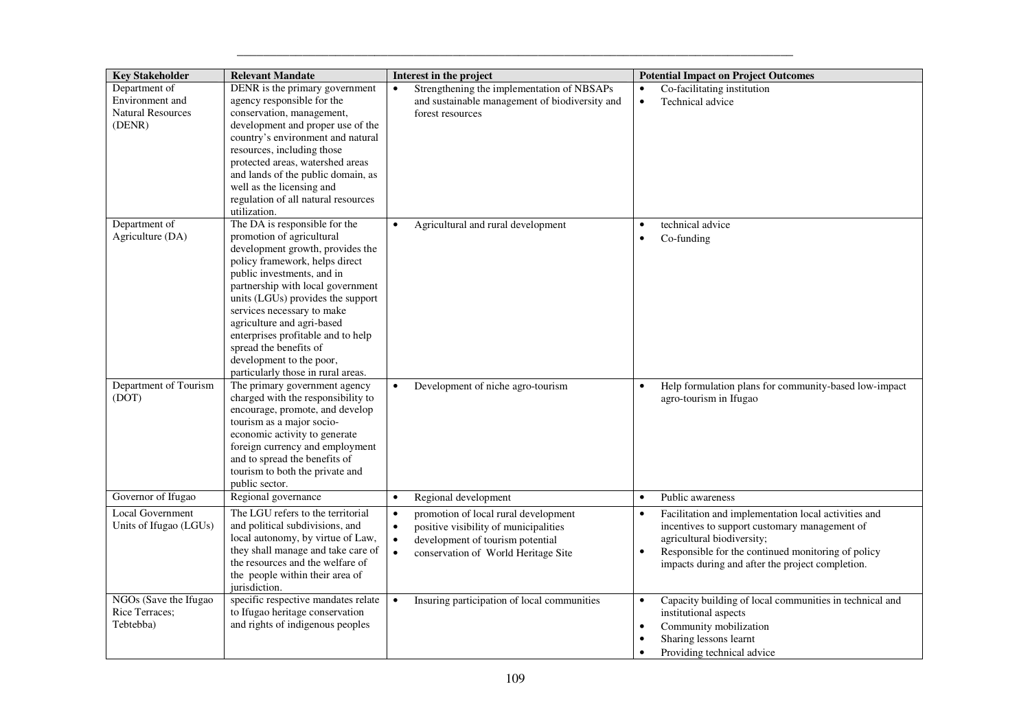| <b>Key Stakeholder</b>                                                 | <b>Relevant Mandate</b>                                                                                                                                                                                                                                                                                                                                                                                                                | Interest in the project                                                                                                                                                                                      | <b>Potential Impact on Project Outcomes</b>                                                                                                                                                                                                                |
|------------------------------------------------------------------------|----------------------------------------------------------------------------------------------------------------------------------------------------------------------------------------------------------------------------------------------------------------------------------------------------------------------------------------------------------------------------------------------------------------------------------------|--------------------------------------------------------------------------------------------------------------------------------------------------------------------------------------------------------------|------------------------------------------------------------------------------------------------------------------------------------------------------------------------------------------------------------------------------------------------------------|
| Department of<br>Environment and<br><b>Natural Resources</b><br>(DENR) | DENR is the primary government<br>agency responsible for the<br>conservation, management,<br>development and proper use of the<br>country's environment and natural<br>resources, including those<br>protected areas, watershed areas<br>and lands of the public domain, as<br>well as the licensing and<br>regulation of all natural resources<br>utilization.                                                                        | Strengthening the implementation of NBSAPs<br>and sustainable management of biodiversity and<br>forest resources                                                                                             | Co-facilitating institution<br>$\bullet$<br>Technical advice                                                                                                                                                                                               |
| Department of<br>Agriculture (DA)                                      | The DA is responsible for the<br>promotion of agricultural<br>development growth, provides the<br>policy framework, helps direct<br>public investments, and in<br>partnership with local government<br>units (LGUs) provides the support<br>services necessary to make<br>agriculture and agri-based<br>enterprises profitable and to help<br>spread the benefits of<br>development to the poor,<br>particularly those in rural areas. | Agricultural and rural development                                                                                                                                                                           | technical advice<br>$\bullet$<br>Co-funding<br>$\bullet$                                                                                                                                                                                                   |
| Department of Tourism<br>(DOT)                                         | The primary government agency<br>charged with the responsibility to<br>encourage, promote, and develop<br>tourism as a major socio-<br>economic activity to generate<br>foreign currency and employment<br>and to spread the benefits of<br>tourism to both the private and<br>public sector.                                                                                                                                          | Development of niche agro-tourism<br>$\bullet$                                                                                                                                                               | Help formulation plans for community-based low-impact<br>$\bullet$<br>agro-tourism in Ifugao                                                                                                                                                               |
| Governor of Ifugao                                                     | Regional governance                                                                                                                                                                                                                                                                                                                                                                                                                    | Regional development<br>$\bullet$                                                                                                                                                                            | Public awareness<br>$\bullet$                                                                                                                                                                                                                              |
| <b>Local Government</b><br>Units of Ifugao (LGUs)                      | The LGU refers to the territorial<br>and political subdivisions, and<br>local autonomy, by virtue of Law,<br>they shall manage and take care of<br>the resources and the welfare of<br>the people within their area of<br>jurisdiction.                                                                                                                                                                                                | promotion of local rural development<br>$\bullet$<br>positive visibility of municipalities<br>$\bullet$<br>$\bullet$<br>development of tourism potential<br>$\bullet$<br>conservation of World Heritage Site | Facilitation and implementation local activities and<br>$\bullet$<br>incentives to support customary management of<br>agricultural biodiversity;<br>Responsible for the continued monitoring of policy<br>impacts during and after the project completion. |
| NGOs (Save the Ifugao<br>Rice Terraces;<br>Tebtebba)                   | specific respective mandates relate<br>to Ifugao heritage conservation<br>and rights of indigenous peoples                                                                                                                                                                                                                                                                                                                             | Insuring participation of local communities<br>$\bullet$                                                                                                                                                     | Capacity building of local communities in technical and<br>$\bullet$<br>institutional aspects<br>Community mobilization<br>$\bullet$<br>Sharing lessons learnt<br>Providing technical advice                                                               |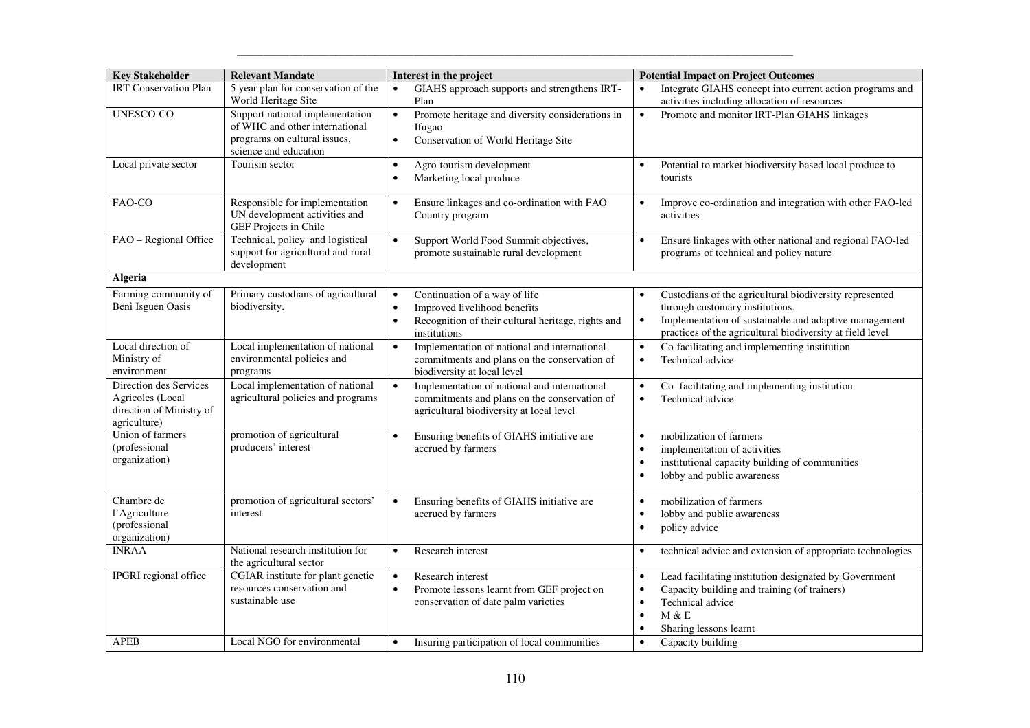| <b>Key Stakeholder</b>                                                                 | <b>Relevant Mandate</b>                                                                                                    | Interest in the project                                                                                                                                                    | <b>Potential Impact on Project Outcomes</b>                                                                                                                                                                                   |
|----------------------------------------------------------------------------------------|----------------------------------------------------------------------------------------------------------------------------|----------------------------------------------------------------------------------------------------------------------------------------------------------------------------|-------------------------------------------------------------------------------------------------------------------------------------------------------------------------------------------------------------------------------|
| <b>IRT</b> Conservation Plan                                                           | 5 year plan for conservation of the<br>World Heritage Site                                                                 | GIAHS approach supports and strengthens IRT-<br>$\bullet$<br>Plan                                                                                                          | Integrate GIAHS concept into current action programs and<br>activities including allocation of resources                                                                                                                      |
| <b>UNESCO-CO</b>                                                                       | Support national implementation<br>of WHC and other international<br>programs on cultural issues,<br>science and education | Promote heritage and diversity considerations in<br>$\bullet$<br>Ifugao<br>Conservation of World Heritage Site<br>$\bullet$                                                | $\bullet$<br>Promote and monitor IRT-Plan GIAHS linkages                                                                                                                                                                      |
| Local private sector                                                                   | Tourism sector                                                                                                             | Agro-tourism development<br>$\bullet$<br>$\bullet$<br>Marketing local produce                                                                                              | Potential to market biodiversity based local produce to<br>tourists                                                                                                                                                           |
| FAO-CO                                                                                 | Responsible for implementation<br>UN development activities and<br>GEF Projects in Chile                                   | Ensure linkages and co-ordination with FAO<br>$\bullet$<br>Country program                                                                                                 | Improve co-ordination and integration with other FAO-led<br>$\bullet$<br>activities                                                                                                                                           |
| FAO - Regional Office                                                                  | Technical, policy and logistical<br>support for agricultural and rural<br>development                                      | Support World Food Summit objectives,<br>$\bullet$<br>promote sustainable rural development                                                                                | Ensure linkages with other national and regional FAO-led<br>$\bullet$<br>programs of technical and policy nature                                                                                                              |
| Algeria                                                                                |                                                                                                                            |                                                                                                                                                                            |                                                                                                                                                                                                                               |
| Farming community of<br>Beni Isguen Oasis                                              | Primary custodians of agricultural<br>biodiversity.                                                                        | Continuation of a way of life<br>$\bullet$<br>Improved livelihood benefits<br>$\bullet$<br>Recognition of their cultural heritage, rights and<br>$\bullet$<br>institutions | Custodians of the agricultural biodiversity represented<br>through customary institutions.<br>Implementation of sustainable and adaptive management<br>$\bullet$<br>practices of the agricultural biodiversity at field level |
| Local direction of<br>Ministry of<br>environment                                       | Local implementation of national<br>environmental policies and<br>programs                                                 | Implementation of national and international<br>$\bullet$<br>commitments and plans on the conservation of<br>biodiversity at local level                                   | Co-facilitating and implementing institution<br>$\bullet$<br>Technical advice<br>$\bullet$                                                                                                                                    |
| Direction des Services<br>Agricoles (Local<br>direction of Ministry of<br>agriculture) | Local implementation of national<br>agricultural policies and programs                                                     | Implementation of national and international<br>$\bullet$<br>commitments and plans on the conservation of<br>agricultural biodiversity at local level                      | Co-facilitating and implementing institution<br>$\bullet$<br>Technical advice<br>$\bullet$                                                                                                                                    |
| Union of farmers<br>(professional<br>organization)                                     | promotion of agricultural<br>producers' interest                                                                           | Ensuring benefits of GIAHS initiative are<br>$\bullet$<br>accrued by farmers                                                                                               | mobilization of farmers<br>$\bullet$<br>implementation of activities<br>institutional capacity building of communities<br>lobby and public awareness<br>$\bullet$                                                             |
| Chambre de<br>l'Agriculture<br>(professional<br>organization)                          | promotion of agricultural sectors'<br>interest                                                                             | Ensuring benefits of GIAHS initiative are<br>$\bullet$<br>accrued by farmers                                                                                               | mobilization of farmers<br>$\bullet$<br>lobby and public awareness<br>policy advice                                                                                                                                           |
| <b>INRAA</b>                                                                           | National research institution for<br>the agricultural sector                                                               | Research interest<br>$\bullet$                                                                                                                                             | technical advice and extension of appropriate technologies<br>$\bullet$                                                                                                                                                       |
| IPGRI regional office                                                                  | CGIAR institute for plant genetic<br>resources conservation and<br>sustainable use                                         | Research interest<br>$\bullet$<br>Promote lessons learnt from GEF project on<br>$\bullet$<br>conservation of date palm varieties                                           | Lead facilitating institution designated by Government<br>$\bullet$<br>Capacity building and training (of trainers)<br>Technical advice<br>$\bullet$<br>M & E<br>$\bullet$<br>Sharing lessons learnt<br>$\bullet$             |
| <b>APEB</b>                                                                            | Local NGO for environmental                                                                                                | Insuring participation of local communities<br>$\bullet$                                                                                                                   | Capacity building<br>$\bullet$                                                                                                                                                                                                |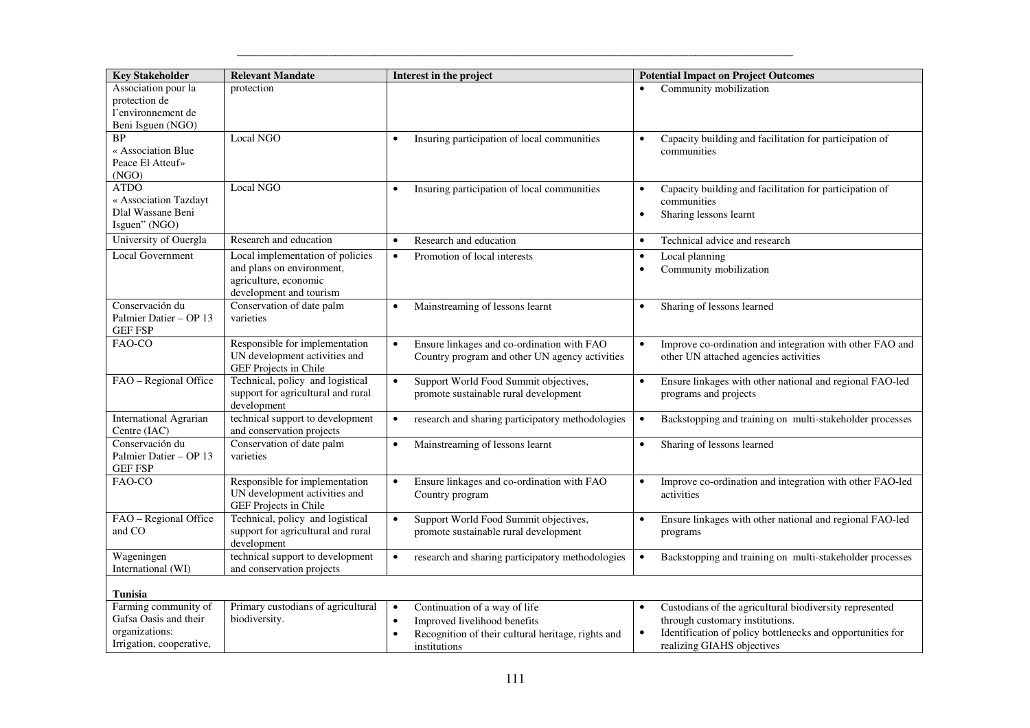| <b>Key Stakeholder</b>                                                                      | <b>Relevant Mandate</b>                                                                                           | Interest in the project                                                                                                                                                    | <b>Potential Impact on Project Outcomes</b>                                                                                                                                                         |
|---------------------------------------------------------------------------------------------|-------------------------------------------------------------------------------------------------------------------|----------------------------------------------------------------------------------------------------------------------------------------------------------------------------|-----------------------------------------------------------------------------------------------------------------------------------------------------------------------------------------------------|
| Association pour la<br>protection de<br>l'environnement de<br>Beni Isguen (NGO)             | protection                                                                                                        |                                                                                                                                                                            | Community mobilization                                                                                                                                                                              |
| <b>BP</b><br>« Association Blue<br>Peace El Atteuf»<br>(NGO)                                | Local NGO                                                                                                         | Insuring participation of local communities<br>$\bullet$                                                                                                                   | Capacity building and facilitation for participation of<br>$\bullet$<br>communities                                                                                                                 |
| ATDO<br>« Association Tazdayt<br>Dlal Wassane Beni<br>Isguen" (NGO)                         | Local NGO                                                                                                         | Insuring participation of local communities<br>$\bullet$                                                                                                                   | Capacity building and facilitation for participation of<br>communities<br>Sharing lessons learnt<br>$\bullet$                                                                                       |
| University of Ouergla                                                                       | Research and education                                                                                            | Research and education<br>$\bullet$                                                                                                                                        | Technical advice and research<br>$\bullet$                                                                                                                                                          |
| Local Government                                                                            | Local implementation of policies<br>and plans on environment,<br>agriculture, economic<br>development and tourism | Promotion of local interests<br>$\bullet$                                                                                                                                  | Local planning<br>$\bullet$<br>Community mobilization                                                                                                                                               |
| Conservación du<br>Palmier Datier - OP 13<br><b>GEF FSP</b>                                 | Conservation of date palm<br>varieties                                                                            | Mainstreaming of lessons learnt<br>$\bullet$                                                                                                                               | Sharing of lessons learned<br>$\bullet$                                                                                                                                                             |
| FAO-CO                                                                                      | Responsible for implementation<br>UN development activities and<br>GEF Projects in Chile                          | Ensure linkages and co-ordination with FAO<br>$\bullet$<br>Country program and other UN agency activities                                                                  | Improve co-ordination and integration with other FAO and<br>$\bullet$<br>other UN attached agencies activities                                                                                      |
| FAO - Regional Office                                                                       | Technical, policy and logistical<br>support for agricultural and rural<br>development                             | Support World Food Summit objectives,<br>$\bullet$<br>promote sustainable rural development                                                                                | Ensure linkages with other national and regional FAO-led<br>$\bullet$<br>programs and projects                                                                                                      |
| <b>International Agrarian</b><br>Centre (IAC)                                               | technical support to development<br>and conservation projects                                                     | research and sharing participatory methodologies<br>$\bullet$                                                                                                              | Backstopping and training on multi-stakeholder processes<br>$\bullet$                                                                                                                               |
| Conservación du<br>Palmier Datier - OP 13<br><b>GEF FSP</b>                                 | Conservation of date palm<br>varieties                                                                            | Mainstreaming of lessons learnt<br>$\bullet$                                                                                                                               | Sharing of lessons learned<br>$\bullet$                                                                                                                                                             |
| FAO-CO                                                                                      | Responsible for implementation<br>UN development activities and<br>GEF Projects in Chile                          | Ensure linkages and co-ordination with FAO<br>$\bullet$<br>Country program                                                                                                 | Improve co-ordination and integration with other FAO-led<br>activities                                                                                                                              |
| FAO - Regional Office<br>and CO                                                             | Technical, policy and logistical<br>support for agricultural and rural<br>development                             | Support World Food Summit objectives,<br>$\bullet$<br>promote sustainable rural development                                                                                | Ensure linkages with other national and regional FAO-led<br>programs                                                                                                                                |
| Wageningen<br>International (WI)                                                            | technical support to development<br>and conservation projects                                                     | research and sharing participatory methodologies<br>$\bullet$                                                                                                              | Backstopping and training on multi-stakeholder processes<br>$\bullet$                                                                                                                               |
| Tunisia                                                                                     |                                                                                                                   |                                                                                                                                                                            |                                                                                                                                                                                                     |
| Farming community of<br>Gafsa Oasis and their<br>organizations:<br>Irrigation, cooperative, | Primary custodians of agricultural<br>biodiversity.                                                               | Continuation of a way of life<br>$\bullet$<br>Improved livelihood benefits<br>$\bullet$<br>$\bullet$<br>Recognition of their cultural heritage, rights and<br>institutions | Custodians of the agricultural biodiversity represented<br>through customary institutions.<br>Identification of policy bottlenecks and opportunities for<br>$\bullet$<br>realizing GIAHS objectives |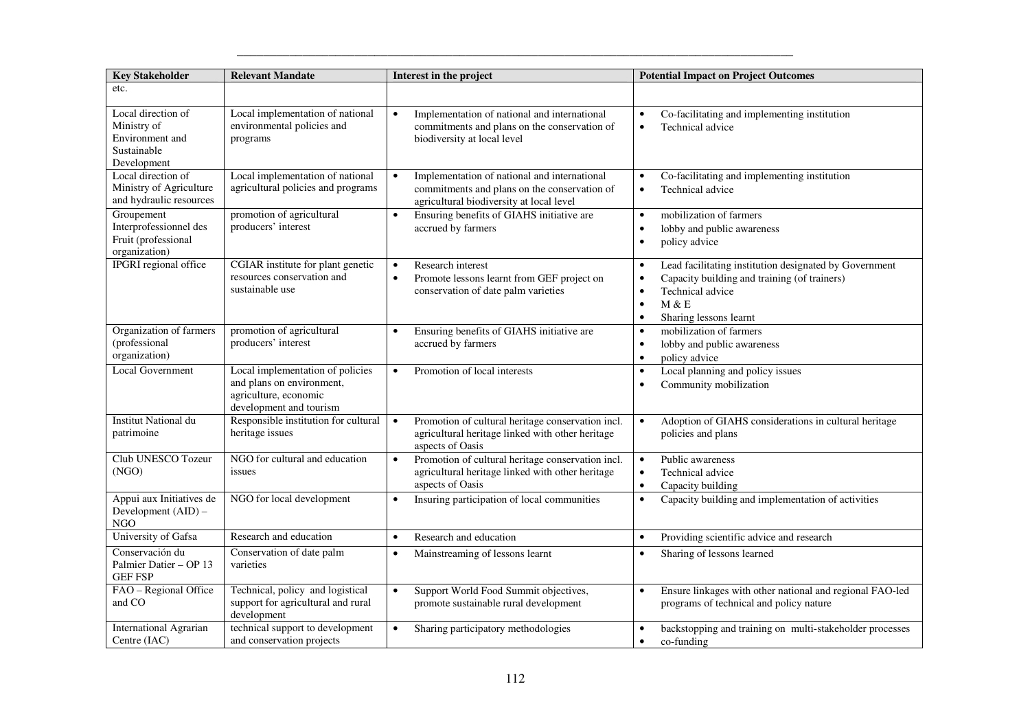| <b>Key Stakeholder</b>                                                             | <b>Relevant Mandate</b>                                                                                           | Interest in the project                                                                                                                               | <b>Potential Impact on Project Outcomes</b>                                                                                                                                                                       |
|------------------------------------------------------------------------------------|-------------------------------------------------------------------------------------------------------------------|-------------------------------------------------------------------------------------------------------------------------------------------------------|-------------------------------------------------------------------------------------------------------------------------------------------------------------------------------------------------------------------|
| etc.                                                                               |                                                                                                                   |                                                                                                                                                       |                                                                                                                                                                                                                   |
| Local direction of<br>Ministry of<br>Environment and<br>Sustainable<br>Development | Local implementation of national<br>environmental policies and<br>programs                                        | Implementation of national and international<br>$\bullet$<br>commitments and plans on the conservation of<br>biodiversity at local level              | Co-facilitating and implementing institution<br>$\bullet$<br>Technical advice<br>$\bullet$                                                                                                                        |
| Local direction of<br>Ministry of Agriculture<br>and hydraulic resources           | Local implementation of national<br>agricultural policies and programs                                            | Implementation of national and international<br>$\bullet$<br>commitments and plans on the conservation of<br>agricultural biodiversity at local level | Co-facilitating and implementing institution<br>$\bullet$<br>Technical advice<br>$\bullet$                                                                                                                        |
| Groupement<br>Interprofessionnel des<br>Fruit (professional<br>organization)       | promotion of agricultural<br>producers' interest                                                                  | Ensuring benefits of GIAHS initiative are<br>$\bullet$<br>accrued by farmers                                                                          | mobilization of farmers<br>$\bullet$<br>lobby and public awareness<br>$\bullet$<br>policy advice<br>$\bullet$                                                                                                     |
| <b>IPGRI</b> regional office                                                       | CGIAR institute for plant genetic<br>resources conservation and<br>sustainable use                                | Research interest<br>$\bullet$<br>Promote lessons learnt from GEF project on<br>$\bullet$<br>conservation of date palm varieties                      | Lead facilitating institution designated by Government<br>$\bullet$<br>Capacity building and training (of trainers)<br>$\bullet$<br>Technical advice<br>M & E<br>$\bullet$<br>Sharing lessons learnt<br>$\bullet$ |
| Organization of farmers<br>(professional<br>organization)                          | promotion of agricultural<br>producers' interest                                                                  | Ensuring benefits of GIAHS initiative are<br>$\bullet$<br>accrued by farmers                                                                          | mobilization of farmers<br>$\bullet$<br>lobby and public awareness<br>$\bullet$<br>policy advice<br>$\bullet$                                                                                                     |
| <b>Local Government</b>                                                            | Local implementation of policies<br>and plans on environment,<br>agriculture, economic<br>development and tourism | $\bullet$<br>Promotion of local interests                                                                                                             | Local planning and policy issues<br>$\bullet$<br>Community mobilization<br>$\bullet$                                                                                                                              |
| <b>Institut National du</b><br>patrimoine                                          | Responsible institution for cultural<br>heritage issues                                                           | Promotion of cultural heritage conservation incl.<br>$\bullet$<br>agricultural heritage linked with other heritage<br>aspects of Oasis                | Adoption of GIAHS considerations in cultural heritage<br>$\bullet$<br>policies and plans                                                                                                                          |
| Club UNESCO Tozeur<br>(NGO)                                                        | NGO for cultural and education<br>issues                                                                          | Promotion of cultural heritage conservation incl.<br>$\bullet$<br>agricultural heritage linked with other heritage<br>aspects of Oasis                | Public awareness<br>$\bullet$<br>Technical advice<br>$\bullet$<br>Capacity building<br>$\bullet$                                                                                                                  |
| Appui aux Initiatives de<br>Development (AID) -<br>$_{\rm NGO}$                    | NGO for local development                                                                                         | Insuring participation of local communities<br>$\bullet$                                                                                              | Capacity building and implementation of activities<br>$\bullet$                                                                                                                                                   |
| University of Gafsa                                                                | Research and education                                                                                            | Research and education<br>$\bullet$                                                                                                                   | Providing scientific advice and research<br>$\bullet$                                                                                                                                                             |
| Conservación du<br>Palmier Datier - OP 13<br><b>GEF FSP</b>                        | Conservation of date palm<br>varieties                                                                            | Mainstreaming of lessons learnt<br>$\bullet$                                                                                                          | Sharing of lessons learned<br>$\bullet$                                                                                                                                                                           |
| FAO - Regional Office<br>and CO                                                    | Technical, policy and logistical<br>support for agricultural and rural<br>development                             | Support World Food Summit objectives,<br>$\bullet$<br>promote sustainable rural development                                                           | Ensure linkages with other national and regional FAO-led<br>$\bullet$<br>programs of technical and policy nature                                                                                                  |
| International Agrarian<br>Centre (IAC)                                             | technical support to development<br>and conservation projects                                                     | Sharing participatory methodologies<br>$\bullet$                                                                                                      | backstopping and training on multi-stakeholder processes<br>$\bullet$<br>co-funding<br>$\bullet$                                                                                                                  |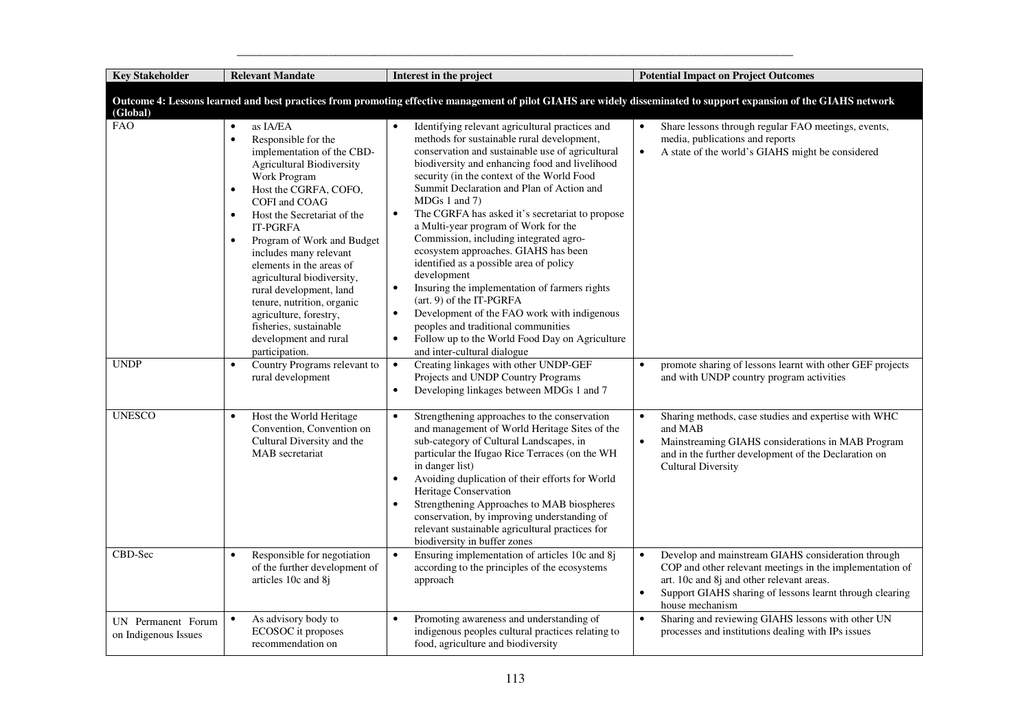| <b>Key Stakeholder</b>                     | <b>Relevant Mandate</b>                                                                                                                                                                                                                                                                                                                                                                                                                                                                                                                                  | Interest in the project                                                                                                                                                                                                                                                                                                                                                                                                                                                                                                                                                                                                                                                                                                                                                                                                                                       | <b>Potential Impact on Project Outcomes</b>                                                                                                                                                                                                             |
|--------------------------------------------|----------------------------------------------------------------------------------------------------------------------------------------------------------------------------------------------------------------------------------------------------------------------------------------------------------------------------------------------------------------------------------------------------------------------------------------------------------------------------------------------------------------------------------------------------------|---------------------------------------------------------------------------------------------------------------------------------------------------------------------------------------------------------------------------------------------------------------------------------------------------------------------------------------------------------------------------------------------------------------------------------------------------------------------------------------------------------------------------------------------------------------------------------------------------------------------------------------------------------------------------------------------------------------------------------------------------------------------------------------------------------------------------------------------------------------|---------------------------------------------------------------------------------------------------------------------------------------------------------------------------------------------------------------------------------------------------------|
| (Global)                                   |                                                                                                                                                                                                                                                                                                                                                                                                                                                                                                                                                          |                                                                                                                                                                                                                                                                                                                                                                                                                                                                                                                                                                                                                                                                                                                                                                                                                                                               | Outcome 4: Lessons learned and best practices from promoting effective management of pilot GIAHS are widely disseminated to support expansion of the GIAHS network                                                                                      |
| <b>FAO</b>                                 | as IA/EA<br>$\bullet$<br>$\bullet$<br>Responsible for the<br>implementation of the CBD-<br><b>Agricultural Biodiversity</b><br>Work Program<br>Host the CGRFA, COFO,<br>$\bullet$<br>COFI and COAG<br>Host the Secretariat of the<br>$\bullet$<br><b>IT-PGRFA</b><br>Program of Work and Budget<br>$\bullet$<br>includes many relevant<br>elements in the areas of<br>agricultural biodiversity,<br>rural development, land<br>tenure, nutrition, organic<br>agriculture, forestry,<br>fisheries, sustainable<br>development and rural<br>participation. | Identifying relevant agricultural practices and<br>methods for sustainable rural development,<br>conservation and sustainable use of agricultural<br>biodiversity and enhancing food and livelihood<br>security (in the context of the World Food<br>Summit Declaration and Plan of Action and<br>MDGs 1 and 7<br>The CGRFA has asked it's secretariat to propose<br>$\bullet$<br>a Multi-year program of Work for the<br>Commission, including integrated agro-<br>ecosystem approaches. GIAHS has been<br>identified as a possible area of policy<br>development<br>Insuring the implementation of farmers rights<br>$\bullet$<br>(art. 9) of the IT-PGRFA<br>Development of the FAO work with indigenous<br>$\bullet$<br>peoples and traditional communities<br>Follow up to the World Food Day on Agriculture<br>$\bullet$<br>and inter-cultural dialogue | Share lessons through regular FAO meetings, events,<br>media, publications and reports<br>A state of the world's GIAHS might be considered<br>$\bullet$                                                                                                 |
| <b>UNDP</b>                                | Country Programs relevant to<br>$\bullet$<br>rural development                                                                                                                                                                                                                                                                                                                                                                                                                                                                                           | Creating linkages with other UNDP-GEF<br>$\bullet$<br>Projects and UNDP Country Programs<br>Developing linkages between MDGs 1 and 7<br>$\bullet$                                                                                                                                                                                                                                                                                                                                                                                                                                                                                                                                                                                                                                                                                                             | promote sharing of lessons learnt with other GEF projects<br>$\bullet$<br>and with UNDP country program activities                                                                                                                                      |
| <b>UNESCO</b>                              | Host the World Heritage<br>$\bullet$<br>Convention, Convention on<br>Cultural Diversity and the<br>MAB secretariat                                                                                                                                                                                                                                                                                                                                                                                                                                       | Strengthening approaches to the conservation<br>$\bullet$<br>and management of World Heritage Sites of the<br>sub-category of Cultural Landscapes, in<br>particular the Ifugao Rice Terraces (on the WH<br>in danger list)<br>Avoiding duplication of their efforts for World<br>$\bullet$<br>Heritage Conservation<br>Strengthening Approaches to MAB biospheres<br>conservation, by improving understanding of<br>relevant sustainable agricultural practices for<br>biodiversity in buffer zones                                                                                                                                                                                                                                                                                                                                                           | Sharing methods, case studies and expertise with WHC<br>and MAB<br>Mainstreaming GIAHS considerations in MAB Program<br>and in the further development of the Declaration on<br><b>Cultural Diversity</b>                                               |
| CBD-Sec                                    | Responsible for negotiation<br>$\bullet$<br>of the further development of<br>articles 10c and 8j                                                                                                                                                                                                                                                                                                                                                                                                                                                         | Ensuring implementation of articles 10c and 8j<br>$\bullet$<br>according to the principles of the ecosystems<br>approach                                                                                                                                                                                                                                                                                                                                                                                                                                                                                                                                                                                                                                                                                                                                      | Develop and mainstream GIAHS consideration through<br>$\bullet$<br>COP and other relevant meetings in the implementation of<br>art. 10c and 8j and other relevant areas.<br>Support GIAHS sharing of lessons learnt through clearing<br>house mechanism |
| UN Permanent Forum<br>on Indigenous Issues | As advisory body to<br>$\bullet$<br>ECOSOC it proposes<br>recommendation on                                                                                                                                                                                                                                                                                                                                                                                                                                                                              | Promoting awareness and understanding of<br>$\bullet$<br>indigenous peoples cultural practices relating to<br>food, agriculture and biodiversity                                                                                                                                                                                                                                                                                                                                                                                                                                                                                                                                                                                                                                                                                                              | Sharing and reviewing GIAHS lessons with other UN<br>$\bullet$<br>processes and institutions dealing with IPs issues                                                                                                                                    |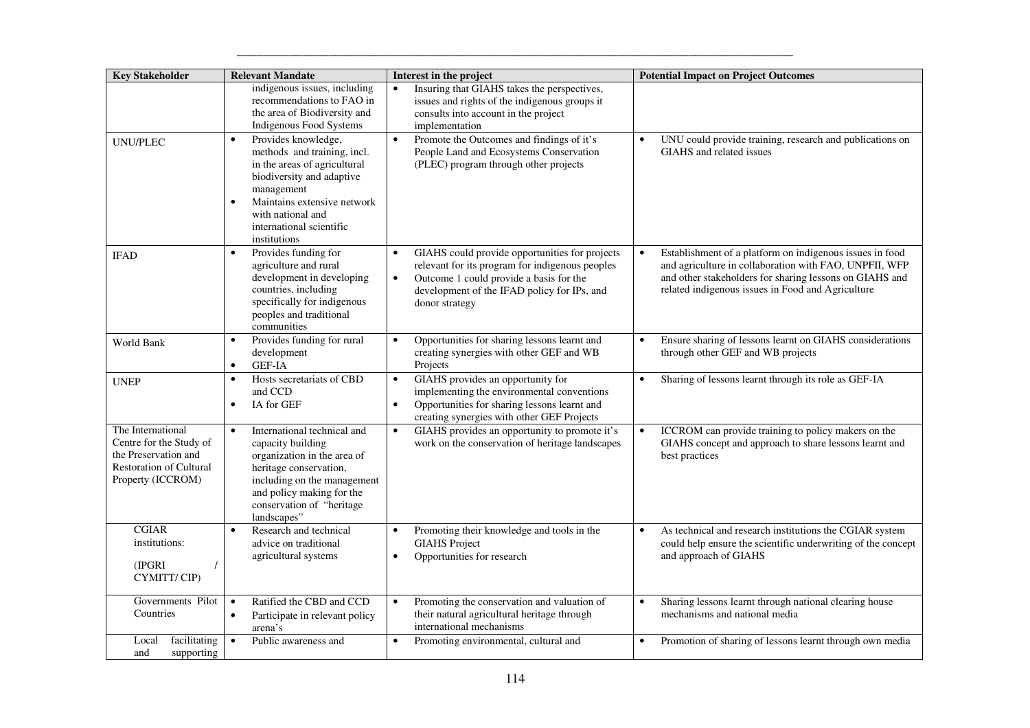| <b>Key Stakeholder</b>                                                                                                      | <b>Relevant Mandate</b>                                                                                                                                                                                                                                 | Interest in the project                                                                                                                                                                                                                 | <b>Potential Impact on Project Outcomes</b>                                                                                                                                                                                                     |
|-----------------------------------------------------------------------------------------------------------------------------|---------------------------------------------------------------------------------------------------------------------------------------------------------------------------------------------------------------------------------------------------------|-----------------------------------------------------------------------------------------------------------------------------------------------------------------------------------------------------------------------------------------|-------------------------------------------------------------------------------------------------------------------------------------------------------------------------------------------------------------------------------------------------|
|                                                                                                                             | indigenous issues, including<br>recommendations to FAO in<br>the area of Biodiversity and<br>Indigenous Food Systems                                                                                                                                    | Insuring that GIAHS takes the perspectives,<br>issues and rights of the indigenous groups it<br>consults into account in the project<br>implementation                                                                                  |                                                                                                                                                                                                                                                 |
| <b>UNU/PLEC</b>                                                                                                             | Provides knowledge,<br>$\bullet$<br>methods and training, incl.<br>in the areas of agricultural<br>biodiversity and adaptive<br>management<br>Maintains extensive network<br>$\bullet$<br>with national and<br>international scientific<br>institutions | Promote the Outcomes and findings of it's<br>$\bullet$<br>People Land and Ecosystems Conservation<br>(PLEC) program through other projects                                                                                              | UNU could provide training, research and publications on<br>$\bullet$<br>GIAHS and related issues                                                                                                                                               |
| <b>IFAD</b>                                                                                                                 | Provides funding for<br>$\bullet$<br>agriculture and rural<br>development in developing<br>countries, including<br>specifically for indigenous<br>peoples and traditional<br>communities                                                                | GIAHS could provide opportunities for projects<br>$\bullet$<br>relevant for its program for indigenous peoples<br>Outcome 1 could provide a basis for the<br>$\bullet$<br>development of the IFAD policy for IPs, and<br>donor strategy | Establishment of a platform on indigenous issues in food<br>$\bullet$<br>and agriculture in collaboration with FAO, UNPFII, WFP<br>and other stakeholders for sharing lessons on GIAHS and<br>related indigenous issues in Food and Agriculture |
| World Bank                                                                                                                  | Provides funding for rural<br>$\bullet$<br>development<br>GEF-IA<br>$\bullet$                                                                                                                                                                           | Opportunities for sharing lessons learnt and<br>$\bullet$<br>creating synergies with other GEF and WB<br>Projects                                                                                                                       | Ensure sharing of lessons learnt on GIAHS considerations<br>$\bullet$<br>through other GEF and WB projects                                                                                                                                      |
| <b>UNEP</b>                                                                                                                 | Hosts secretariats of CBD<br>$\bullet$<br>and CCD<br>IA for GEF<br>$\bullet$                                                                                                                                                                            | GIAHS provides an opportunity for<br>$\bullet$<br>implementing the environmental conventions<br>Opportunities for sharing lessons learnt and<br>$\bullet$<br>creating synergies with other GEF Projects                                 | Sharing of lessons learnt through its role as GEF-IA<br>$\bullet$                                                                                                                                                                               |
| The International<br>Centre for the Study of<br>the Preservation and<br><b>Restoration of Cultural</b><br>Property (ICCROM) | International technical and<br>$\bullet$<br>capacity building<br>organization in the area of<br>heritage conservation,<br>including on the management<br>and policy making for the<br>conservation of "heritage<br>landscapes"                          | GIAHS provides an opportunity to promote it's<br>$\bullet$<br>work on the conservation of heritage landscapes                                                                                                                           | ICCROM can provide training to policy makers on the<br>GIAHS concept and approach to share lessons learnt and<br>best practices                                                                                                                 |
| <b>CGIAR</b><br>institutions:<br>(IPGRI)<br>$\prime$<br>CYMITT/CIP)                                                         | Research and technical<br>$\bullet$<br>advice on traditional<br>agricultural systems                                                                                                                                                                    | Promoting their knowledge and tools in the<br>$\bullet$<br><b>GIAHS</b> Project<br>Opportunities for research<br>$\bullet$                                                                                                              | As technical and research institutions the CGIAR system<br>$\bullet$<br>could help ensure the scientific underwriting of the concept<br>and approach of GIAHS                                                                                   |
| Governments Pilot<br>Countries                                                                                              | Ratified the CBD and CCD<br>$\bullet$<br>Participate in relevant policy<br>$\bullet$<br>arena's                                                                                                                                                         | Promoting the conservation and valuation of<br>$\bullet$<br>their natural agricultural heritage through<br>international mechanisms                                                                                                     | Sharing lessons learnt through national clearing house<br>$\bullet$<br>mechanisms and national media                                                                                                                                            |
| facilitating<br>Local<br>supporting<br>and                                                                                  | Public awareness and<br>$\bullet$                                                                                                                                                                                                                       | $\bullet$<br>Promoting environmental, cultural and                                                                                                                                                                                      | Promotion of sharing of lessons learnt through own media<br>$\bullet$                                                                                                                                                                           |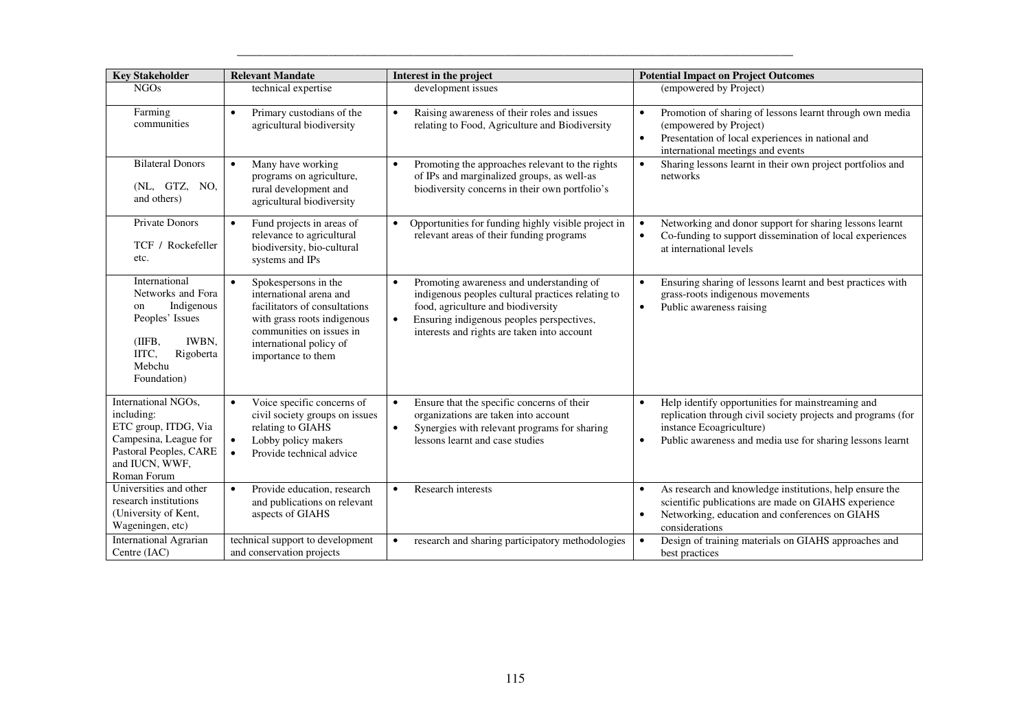| <b>Key Stakeholder</b>                                                                                                                             | <b>Relevant Mandate</b>                                                                                                                                                                                   | Interest in the project                                                                                                                                                                                                                      | <b>Potential Impact on Project Outcomes</b>                                                                                                                                                                                  |
|----------------------------------------------------------------------------------------------------------------------------------------------------|-----------------------------------------------------------------------------------------------------------------------------------------------------------------------------------------------------------|----------------------------------------------------------------------------------------------------------------------------------------------------------------------------------------------------------------------------------------------|------------------------------------------------------------------------------------------------------------------------------------------------------------------------------------------------------------------------------|
| <b>NGOs</b>                                                                                                                                        | technical expertise                                                                                                                                                                                       | development issues                                                                                                                                                                                                                           | (empowered by Project)                                                                                                                                                                                                       |
| Farming<br>communities                                                                                                                             | Primary custodians of the<br>$\bullet$<br>agricultural biodiversity                                                                                                                                       | Raising awareness of their roles and issues<br>$\bullet$<br>relating to Food, Agriculture and Biodiversity                                                                                                                                   | Promotion of sharing of lessons learnt through own media<br>$\bullet$<br>(empowered by Project)<br>Presentation of local experiences in national and<br>international meetings and events                                    |
| <b>Bilateral Donors</b><br>(NL, GTZ, NO,<br>and others)                                                                                            | Many have working<br>$\bullet$<br>programs on agriculture,<br>rural development and<br>agricultural biodiversity                                                                                          | Promoting the approaches relevant to the rights<br>of IPs and marginalized groups, as well-as<br>biodiversity concerns in their own portfolio's                                                                                              | Sharing lessons learnt in their own project portfolios and<br>$\bullet$<br>networks                                                                                                                                          |
| <b>Private Donors</b><br>TCF / Rockefeller<br>etc.                                                                                                 | Fund projects in areas of<br>relevance to agricultural<br>biodiversity, bio-cultural<br>systems and IPs                                                                                                   | Opportunities for funding highly visible project in<br>$\bullet$<br>relevant areas of their funding programs                                                                                                                                 | Networking and donor support for sharing lessons learnt<br>$\bullet$<br>Co-funding to support dissemination of local experiences<br>at international levels                                                                  |
| International<br>Networks and Fora<br>Indigenous<br>on<br>Peoples' Issues<br>(IIFB,<br><b>IWBN,</b><br>IITC,<br>Rigoberta<br>Mebchu<br>Foundation) | $\bullet$<br>Spokespersons in the<br>international arena and<br>facilitators of consultations<br>with grass roots indigenous<br>communities on issues in<br>international policy of<br>importance to them | Promoting awareness and understanding of<br>indigenous peoples cultural practices relating to<br>food, agriculture and biodiversity<br>Ensuring indigenous peoples perspectives,<br>$\bullet$<br>interests and rights are taken into account | Ensuring sharing of lessons learnt and best practices with<br>$\bullet$<br>grass-roots indigenous movements<br>Public awareness raising<br>$\bullet$                                                                         |
| International NGOs,<br>including:<br>ETC group, ITDG, Via<br>Campesina, League for<br>Pastoral Peoples, CARE<br>and IUCN, WWF,<br>Roman Forum      | Voice specific concerns of<br>civil society groups on issues<br>relating to GIAHS<br>Lobby policy makers<br>$\bullet$<br>Provide technical advice<br>$\bullet$                                            | Ensure that the specific concerns of their<br>organizations are taken into account<br>Synergies with relevant programs for sharing<br>$\bullet$<br>lessons learnt and case studies                                                           | Help identify opportunities for mainstreaming and<br>$\bullet$<br>replication through civil society projects and programs (for<br>instance Ecoagriculture)<br>Public awareness and media use for sharing lessons learnt<br>٠ |
| Universities and other<br>research institutions<br>(University of Kent,<br>Wageningen, etc)                                                        | Provide education, research<br>$\bullet$<br>and publications on relevant<br>aspects of GIAHS                                                                                                              | <b>Research interests</b><br>$\bullet$                                                                                                                                                                                                       | As research and knowledge institutions, help ensure the<br>$\bullet$<br>scientific publications are made on GIAHS experience<br>Networking, education and conferences on GIAHS<br>$\bullet$<br>considerations                |
| <b>International Agrarian</b><br>Centre (IAC)                                                                                                      | technical support to development<br>and conservation projects                                                                                                                                             | research and sharing participatory methodologies                                                                                                                                                                                             | Design of training materials on GIAHS approaches and<br>$\bullet$<br>best practices                                                                                                                                          |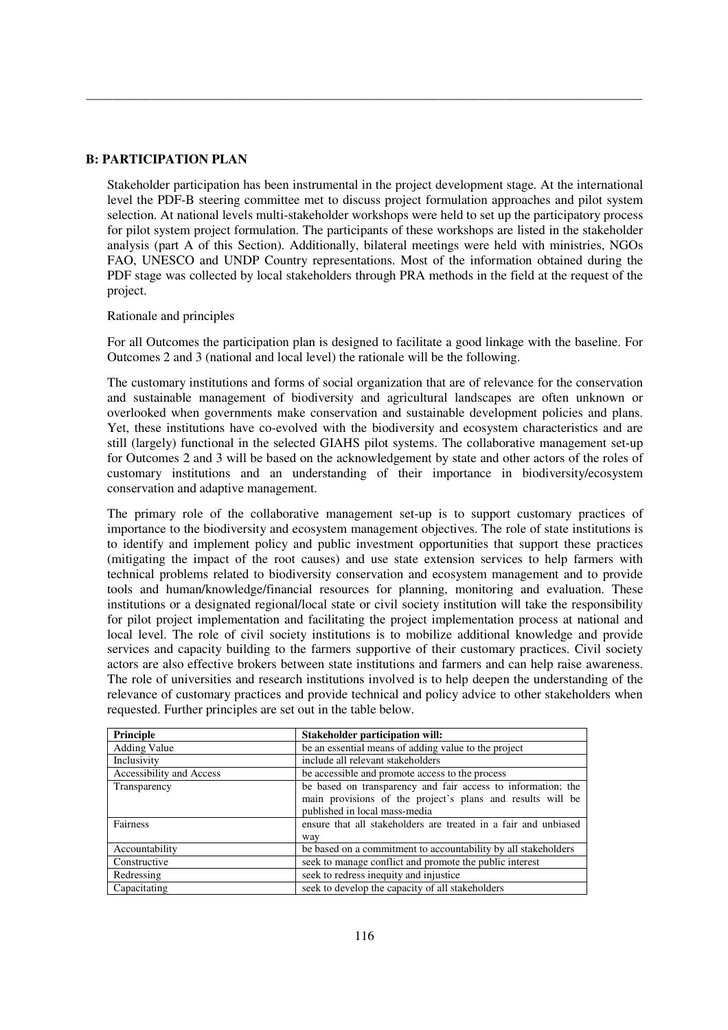## **B: PARTICIPATION PLAN**

Stakeholder participation has been instrumental in the project development stage. At the international level the PDF-B steering committee met to discuss project formulation approaches and pilot system selection. At national levels multi-stakeholder workshops were held to set up the participatory process for pilot system project formulation. The participants of these workshops are listed in the stakeholder analysis (part A of this Section). Additionally, bilateral meetings were held with ministries, NGOs FAO, UNESCO and UNDP Country representations. Most of the information obtained during the PDF stage was collected by local stakeholders through PRA methods in the field at the request of the project.

\_\_\_\_\_\_\_\_\_\_\_\_\_\_\_\_\_\_\_\_\_\_\_\_\_\_\_\_\_\_\_\_\_\_\_\_\_\_\_\_\_\_\_\_\_\_\_\_\_\_\_\_\_\_\_\_\_\_\_\_\_\_\_\_\_\_\_\_\_\_\_\_\_\_\_\_\_\_\_\_\_\_\_\_\_

## Rationale and principles

For all Outcomes the participation plan is designed to facilitate a good linkage with the baseline. For Outcomes 2 and 3 (national and local level) the rationale will be the following.

The customary institutions and forms of social organization that are of relevance for the conservation and sustainable management of biodiversity and agricultural landscapes are often unknown or overlooked when governments make conservation and sustainable development policies and plans. Yet, these institutions have co-evolved with the biodiversity and ecosystem characteristics and are still (largely) functional in the selected GIAHS pilot systems. The collaborative management set-up for Outcomes 2 and 3 will be based on the acknowledgement by state and other actors of the roles of customary institutions and an understanding of their importance in biodiversity/ecosystem conservation and adaptive management.

The primary role of the collaborative management set-up is to support customary practices of importance to the biodiversity and ecosystem management objectives. The role of state institutions is to identify and implement policy and public investment opportunities that support these practices (mitigating the impact of the root causes) and use state extension services to help farmers with technical problems related to biodiversity conservation and ecosystem management and to provide tools and human/knowledge/financial resources for planning, monitoring and evaluation. These institutions or a designated regional/local state or civil society institution will take the responsibility for pilot project implementation and facilitating the project implementation process at national and local level. The role of civil society institutions is to mobilize additional knowledge and provide services and capacity building to the farmers supportive of their customary practices. Civil society actors are also effective brokers between state institutions and farmers and can help raise awareness. The role of universities and research institutions involved is to help deepen the understanding of the relevance of customary practices and provide technical and policy advice to other stakeholders when requested. Further principles are set out in the table below.

| Principle                | <b>Stakeholder participation will:</b>                                                                                                                      |  |
|--------------------------|-------------------------------------------------------------------------------------------------------------------------------------------------------------|--|
| <b>Adding Value</b>      | be an essential means of adding value to the project                                                                                                        |  |
| Inclusivity              | include all relevant stakeholders                                                                                                                           |  |
| Accessibility and Access | be accessible and promote access to the process                                                                                                             |  |
| Transparency             | be based on transparency and fair access to information; the<br>main provisions of the project's plans and results will be<br>published in local mass-media |  |
| Fairness                 | ensure that all stakeholders are treated in a fair and unbiased<br>way                                                                                      |  |
| Accountability           | be based on a commitment to accountability by all stakeholders                                                                                              |  |
| Constructive             | seek to manage conflict and promote the public interest                                                                                                     |  |
| Redressing               | seek to redress inequity and injustice                                                                                                                      |  |
| Capacitating             | seek to develop the capacity of all stakeholders                                                                                                            |  |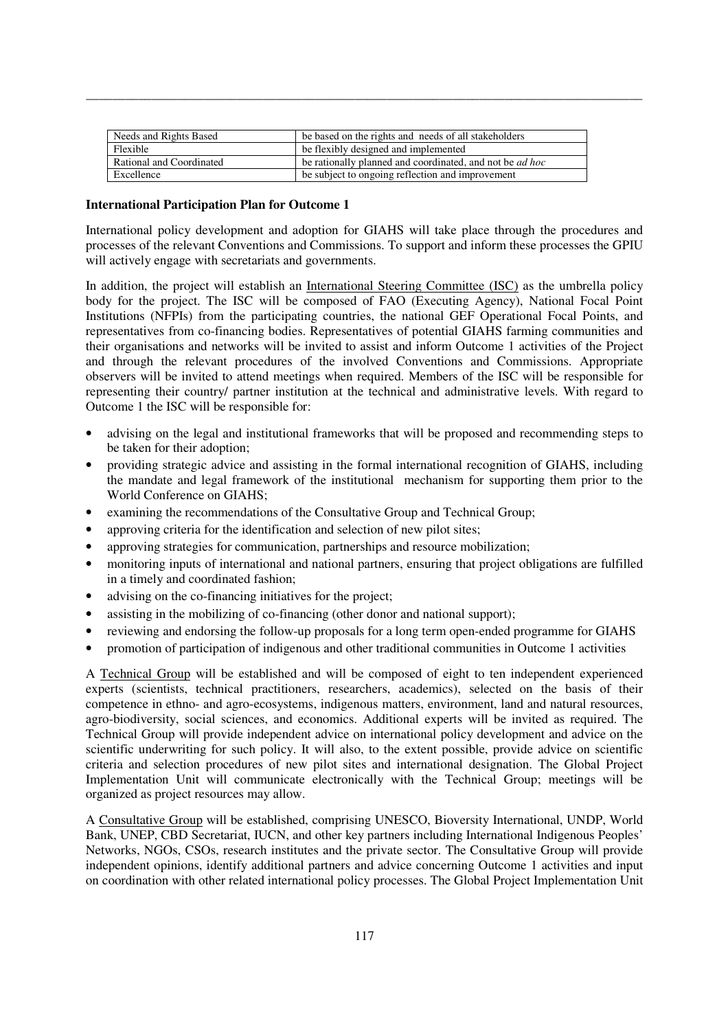| Needs and Rights Based   | be based on the rights and needs of all stakeholders            |
|--------------------------|-----------------------------------------------------------------|
| Flexible                 | be flexibly designed and implemented                            |
| Rational and Coordinated | be rationally planned and coordinated, and not be <i>ad hoc</i> |
| Excellence               | be subject to ongoing reflection and improvement                |

### **International Participation Plan for Outcome 1**

International policy development and adoption for GIAHS will take place through the procedures and processes of the relevant Conventions and Commissions. To support and inform these processes the GPIU will actively engage with secretariats and governments.

\_\_\_\_\_\_\_\_\_\_\_\_\_\_\_\_\_\_\_\_\_\_\_\_\_\_\_\_\_\_\_\_\_\_\_\_\_\_\_\_\_\_\_\_\_\_\_\_\_\_\_\_\_\_\_\_\_\_\_\_\_\_\_\_\_\_\_\_\_\_\_\_\_\_\_\_\_\_\_\_\_\_\_\_\_

In addition, the project will establish an International Steering Committee (ISC) as the umbrella policy body for the project. The ISC will be composed of FAO (Executing Agency), National Focal Point Institutions (NFPIs) from the participating countries, the national GEF Operational Focal Points, and representatives from co-financing bodies. Representatives of potential GIAHS farming communities and their organisations and networks will be invited to assist and inform Outcome 1 activities of the Project and through the relevant procedures of the involved Conventions and Commissions. Appropriate observers will be invited to attend meetings when required. Members of the ISC will be responsible for representing their country/ partner institution at the technical and administrative levels. With regard to Outcome 1 the ISC will be responsible for:

- advising on the legal and institutional frameworks that will be proposed and recommending steps to be taken for their adoption;
- providing strategic advice and assisting in the formal international recognition of GIAHS, including the mandate and legal framework of the institutional mechanism for supporting them prior to the World Conference on GIAHS;
- examining the recommendations of the Consultative Group and Technical Group;
- approving criteria for the identification and selection of new pilot sites;
- approving strategies for communication, partnerships and resource mobilization;
- monitoring inputs of international and national partners, ensuring that project obligations are fulfilled in a timely and coordinated fashion;
- advising on the co-financing initiatives for the project;
- assisting in the mobilizing of co-financing (other donor and national support);
- reviewing and endorsing the follow-up proposals for a long term open-ended programme for GIAHS
- promotion of participation of indigenous and other traditional communities in Outcome 1 activities

A Technical Group will be established and will be composed of eight to ten independent experienced experts (scientists, technical practitioners, researchers, academics), selected on the basis of their competence in ethno- and agro-ecosystems, indigenous matters, environment, land and natural resources, agro-biodiversity, social sciences, and economics. Additional experts will be invited as required. The Technical Group will provide independent advice on international policy development and advice on the scientific underwriting for such policy. It will also, to the extent possible, provide advice on scientific criteria and selection procedures of new pilot sites and international designation. The Global Project Implementation Unit will communicate electronically with the Technical Group; meetings will be organized as project resources may allow.

A Consultative Group will be established, comprising UNESCO, Bioversity International, UNDP, World Bank, UNEP, CBD Secretariat, IUCN, and other key partners including International Indigenous Peoples' Networks, NGOs, CSOs, research institutes and the private sector. The Consultative Group will provide independent opinions, identify additional partners and advice concerning Outcome 1 activities and input on coordination with other related international policy processes. The Global Project Implementation Unit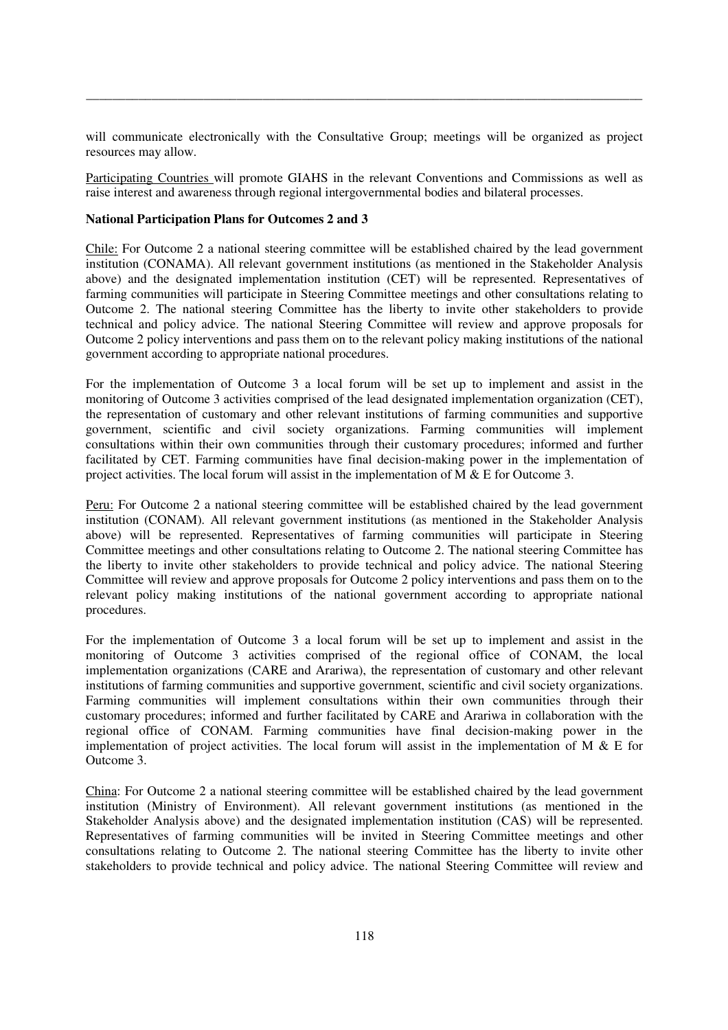will communicate electronically with the Consultative Group; meetings will be organized as project resources may allow.

\_\_\_\_\_\_\_\_\_\_\_\_\_\_\_\_\_\_\_\_\_\_\_\_\_\_\_\_\_\_\_\_\_\_\_\_\_\_\_\_\_\_\_\_\_\_\_\_\_\_\_\_\_\_\_\_\_\_\_\_\_\_\_\_\_\_\_\_\_\_\_\_\_\_\_\_\_\_\_\_\_\_\_\_\_

Participating Countries will promote GIAHS in the relevant Conventions and Commissions as well as raise interest and awareness through regional intergovernmental bodies and bilateral processes.

# **National Participation Plans for Outcomes 2 and 3**

Chile: For Outcome 2 a national steering committee will be established chaired by the lead government institution (CONAMA). All relevant government institutions (as mentioned in the Stakeholder Analysis above) and the designated implementation institution (CET) will be represented. Representatives of farming communities will participate in Steering Committee meetings and other consultations relating to Outcome 2. The national steering Committee has the liberty to invite other stakeholders to provide technical and policy advice. The national Steering Committee will review and approve proposals for Outcome 2 policy interventions and pass them on to the relevant policy making institutions of the national government according to appropriate national procedures.

For the implementation of Outcome 3 a local forum will be set up to implement and assist in the monitoring of Outcome 3 activities comprised of the lead designated implementation organization (CET), the representation of customary and other relevant institutions of farming communities and supportive government, scientific and civil society organizations. Farming communities will implement consultations within their own communities through their customary procedures; informed and further facilitated by CET. Farming communities have final decision-making power in the implementation of project activities. The local forum will assist in the implementation of  $\overline{M} \& \overline{E}$  for Outcome 3.

Peru: For Outcome 2 a national steering committee will be established chaired by the lead government institution (CONAM). All relevant government institutions (as mentioned in the Stakeholder Analysis above) will be represented. Representatives of farming communities will participate in Steering Committee meetings and other consultations relating to Outcome 2. The national steering Committee has the liberty to invite other stakeholders to provide technical and policy advice. The national Steering Committee will review and approve proposals for Outcome 2 policy interventions and pass them on to the relevant policy making institutions of the national government according to appropriate national procedures.

For the implementation of Outcome 3 a local forum will be set up to implement and assist in the monitoring of Outcome 3 activities comprised of the regional office of CONAM, the local implementation organizations (CARE and Arariwa), the representation of customary and other relevant institutions of farming communities and supportive government, scientific and civil society organizations. Farming communities will implement consultations within their own communities through their customary procedures; informed and further facilitated by CARE and Arariwa in collaboration with the regional office of CONAM. Farming communities have final decision-making power in the implementation of project activities. The local forum will assist in the implementation of M  $\&$  E for Outcome 3.

China: For Outcome 2 a national steering committee will be established chaired by the lead government institution (Ministry of Environment). All relevant government institutions (as mentioned in the Stakeholder Analysis above) and the designated implementation institution (CAS) will be represented. Representatives of farming communities will be invited in Steering Committee meetings and other consultations relating to Outcome 2. The national steering Committee has the liberty to invite other stakeholders to provide technical and policy advice. The national Steering Committee will review and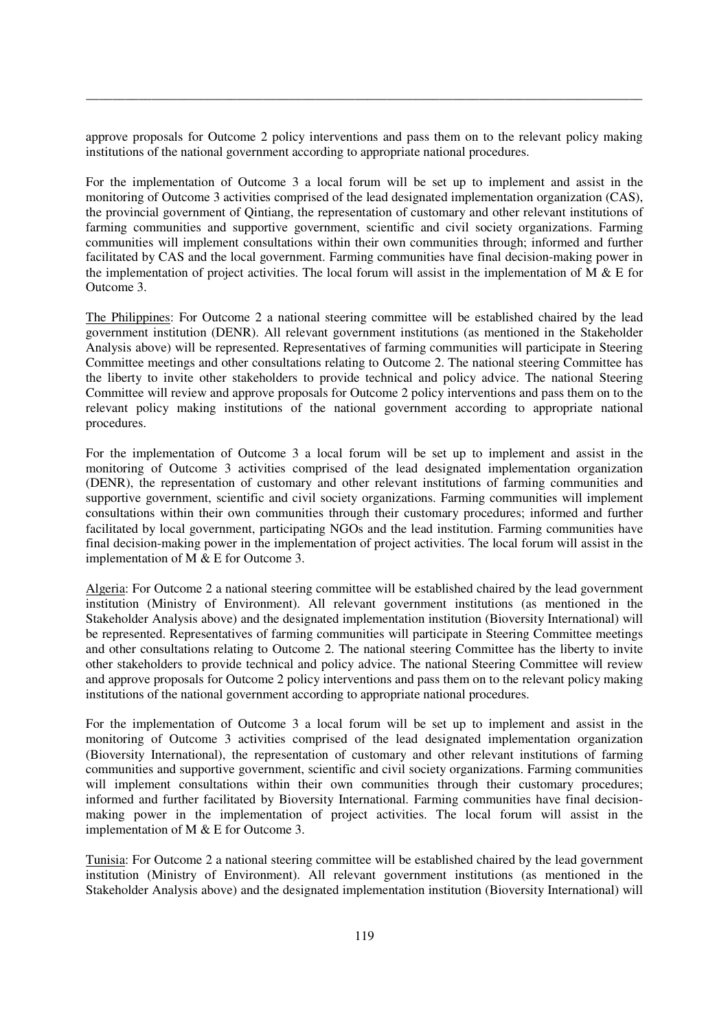approve proposals for Outcome 2 policy interventions and pass them on to the relevant policy making institutions of the national government according to appropriate national procedures.

\_\_\_\_\_\_\_\_\_\_\_\_\_\_\_\_\_\_\_\_\_\_\_\_\_\_\_\_\_\_\_\_\_\_\_\_\_\_\_\_\_\_\_\_\_\_\_\_\_\_\_\_\_\_\_\_\_\_\_\_\_\_\_\_\_\_\_\_\_\_\_\_\_\_\_\_\_\_\_\_\_\_\_\_\_

For the implementation of Outcome 3 a local forum will be set up to implement and assist in the monitoring of Outcome 3 activities comprised of the lead designated implementation organization (CAS), the provincial government of Qintiang, the representation of customary and other relevant institutions of farming communities and supportive government, scientific and civil society organizations. Farming communities will implement consultations within their own communities through; informed and further facilitated by CAS and the local government. Farming communities have final decision-making power in the implementation of project activities. The local forum will assist in the implementation of M  $\&$  E for Outcome 3.

The Philippines: For Outcome 2 a national steering committee will be established chaired by the lead government institution (DENR). All relevant government institutions (as mentioned in the Stakeholder Analysis above) will be represented. Representatives of farming communities will participate in Steering Committee meetings and other consultations relating to Outcome 2. The national steering Committee has the liberty to invite other stakeholders to provide technical and policy advice. The national Steering Committee will review and approve proposals for Outcome 2 policy interventions and pass them on to the relevant policy making institutions of the national government according to appropriate national procedures.

For the implementation of Outcome 3 a local forum will be set up to implement and assist in the monitoring of Outcome 3 activities comprised of the lead designated implementation organization (DENR), the representation of customary and other relevant institutions of farming communities and supportive government, scientific and civil society organizations. Farming communities will implement consultations within their own communities through their customary procedures; informed and further facilitated by local government, participating NGOs and the lead institution. Farming communities have final decision-making power in the implementation of project activities. The local forum will assist in the implementation of M & E for Outcome 3.

Algeria: For Outcome 2 a national steering committee will be established chaired by the lead government institution (Ministry of Environment). All relevant government institutions (as mentioned in the Stakeholder Analysis above) and the designated implementation institution (Bioversity International) will be represented. Representatives of farming communities will participate in Steering Committee meetings and other consultations relating to Outcome 2. The national steering Committee has the liberty to invite other stakeholders to provide technical and policy advice. The national Steering Committee will review and approve proposals for Outcome 2 policy interventions and pass them on to the relevant policy making institutions of the national government according to appropriate national procedures.

For the implementation of Outcome 3 a local forum will be set up to implement and assist in the monitoring of Outcome 3 activities comprised of the lead designated implementation organization (Bioversity International), the representation of customary and other relevant institutions of farming communities and supportive government, scientific and civil society organizations. Farming communities will implement consultations within their own communities through their customary procedures; informed and further facilitated by Bioversity International. Farming communities have final decisionmaking power in the implementation of project activities. The local forum will assist in the implementation of M & E for Outcome 3.

Tunisia: For Outcome 2 a national steering committee will be established chaired by the lead government institution (Ministry of Environment). All relevant government institutions (as mentioned in the Stakeholder Analysis above) and the designated implementation institution (Bioversity International) will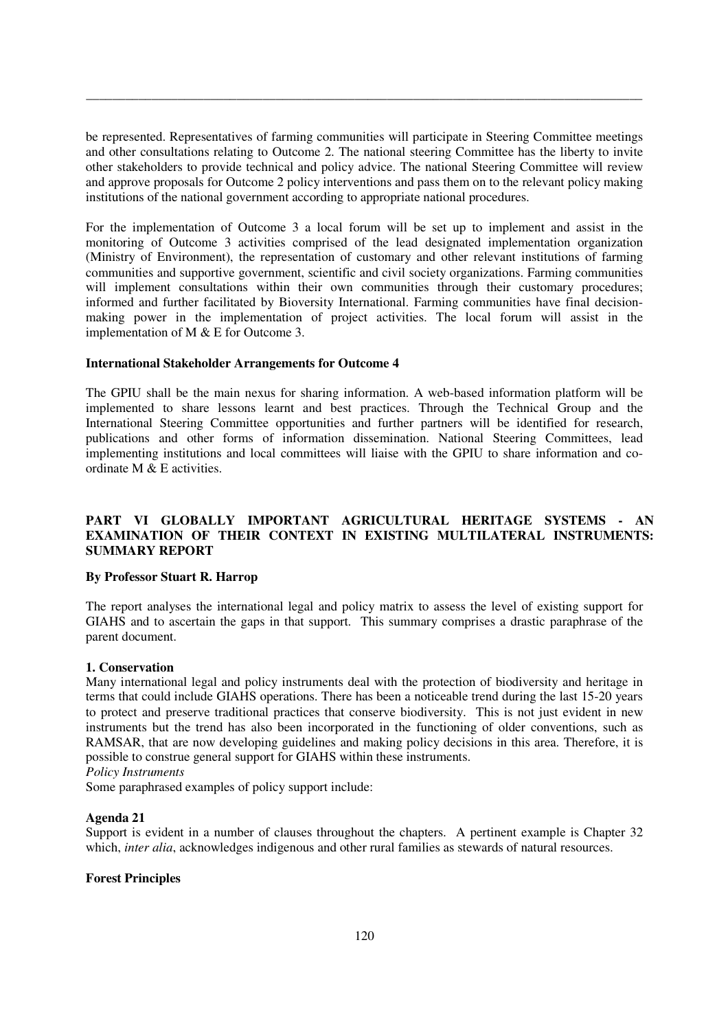be represented. Representatives of farming communities will participate in Steering Committee meetings and other consultations relating to Outcome 2. The national steering Committee has the liberty to invite other stakeholders to provide technical and policy advice. The national Steering Committee will review and approve proposals for Outcome 2 policy interventions and pass them on to the relevant policy making institutions of the national government according to appropriate national procedures.

\_\_\_\_\_\_\_\_\_\_\_\_\_\_\_\_\_\_\_\_\_\_\_\_\_\_\_\_\_\_\_\_\_\_\_\_\_\_\_\_\_\_\_\_\_\_\_\_\_\_\_\_\_\_\_\_\_\_\_\_\_\_\_\_\_\_\_\_\_\_\_\_\_\_\_\_\_\_\_\_\_\_\_\_\_

For the implementation of Outcome 3 a local forum will be set up to implement and assist in the monitoring of Outcome 3 activities comprised of the lead designated implementation organization (Ministry of Environment), the representation of customary and other relevant institutions of farming communities and supportive government, scientific and civil society organizations. Farming communities will implement consultations within their own communities through their customary procedures; informed and further facilitated by Bioversity International. Farming communities have final decisionmaking power in the implementation of project activities. The local forum will assist in the implementation of M & E for Outcome 3.

## **International Stakeholder Arrangements for Outcome 4**

The GPIU shall be the main nexus for sharing information. A web-based information platform will be implemented to share lessons learnt and best practices. Through the Technical Group and the International Steering Committee opportunities and further partners will be identified for research, publications and other forms of information dissemination. National Steering Committees, lead implementing institutions and local committees will liaise with the GPIU to share information and coordinate M  $\&$  E activities.

# **PART VI GLOBALLY IMPORTANT AGRICULTURAL HERITAGE SYSTEMS - AN EXAMINATION OF THEIR CONTEXT IN EXISTING MULTILATERAL INSTRUMENTS: SUMMARY REPORT**

## **By Professor Stuart R. Harrop**

The report analyses the international legal and policy matrix to assess the level of existing support for GIAHS and to ascertain the gaps in that support. This summary comprises a drastic paraphrase of the parent document.

## **1. Conservation**

Many international legal and policy instruments deal with the protection of biodiversity and heritage in terms that could include GIAHS operations. There has been a noticeable trend during the last 15-20 years to protect and preserve traditional practices that conserve biodiversity. This is not just evident in new instruments but the trend has also been incorporated in the functioning of older conventions, such as RAMSAR, that are now developing guidelines and making policy decisions in this area. Therefore, it is possible to construe general support for GIAHS within these instruments. *Policy Instruments* 

Some paraphrased examples of policy support include:

## **Agenda 21**

Support is evident in a number of clauses throughout the chapters. A pertinent example is Chapter 32 which, *inter alia*, acknowledges indigenous and other rural families as stewards of natural resources.

## **Forest Principles**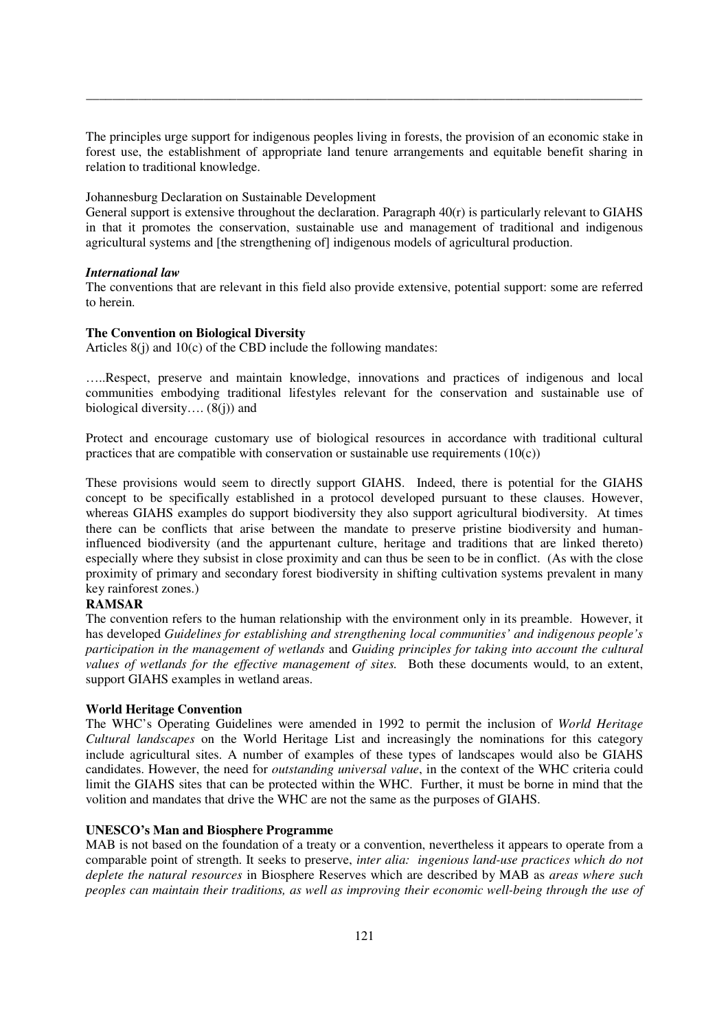The principles urge support for indigenous peoples living in forests, the provision of an economic stake in forest use, the establishment of appropriate land tenure arrangements and equitable benefit sharing in relation to traditional knowledge.

\_\_\_\_\_\_\_\_\_\_\_\_\_\_\_\_\_\_\_\_\_\_\_\_\_\_\_\_\_\_\_\_\_\_\_\_\_\_\_\_\_\_\_\_\_\_\_\_\_\_\_\_\_\_\_\_\_\_\_\_\_\_\_\_\_\_\_\_\_\_\_\_\_\_\_\_\_\_\_\_\_\_\_\_\_

Johannesburg Declaration on Sustainable Development

General support is extensive throughout the declaration. Paragraph 40(r) is particularly relevant to GIAHS in that it promotes the conservation, sustainable use and management of traditional and indigenous agricultural systems and [the strengthening of] indigenous models of agricultural production.

## *International law*

The conventions that are relevant in this field also provide extensive, potential support: some are referred to herein.

## **The Convention on Biological Diversity**

Articles 8(j) and 10(c) of the CBD include the following mandates:

…..Respect, preserve and maintain knowledge, innovations and practices of indigenous and local communities embodying traditional lifestyles relevant for the conservation and sustainable use of biological diversity....  $(8(i))$  and

Protect and encourage customary use of biological resources in accordance with traditional cultural practices that are compatible with conservation or sustainable use requirements  $(10(c))$ 

These provisions would seem to directly support GIAHS. Indeed, there is potential for the GIAHS concept to be specifically established in a protocol developed pursuant to these clauses. However, whereas GIAHS examples do support biodiversity they also support agricultural biodiversity. At times there can be conflicts that arise between the mandate to preserve pristine biodiversity and humaninfluenced biodiversity (and the appurtenant culture, heritage and traditions that are linked thereto) especially where they subsist in close proximity and can thus be seen to be in conflict. (As with the close proximity of primary and secondary forest biodiversity in shifting cultivation systems prevalent in many key rainforest zones.)

# **RAMSAR**

The convention refers to the human relationship with the environment only in its preamble. However, it has developed *Guidelines for establishing and strengthening local communities' and indigenous people's participation in the management of wetlands* and *Guiding principles for taking into account the cultural values of wetlands for the effective management of sites.* Both these documents would, to an extent, support GIAHS examples in wetland areas.

# **World Heritage Convention**

The WHC's Operating Guidelines were amended in 1992 to permit the inclusion of *World Heritage Cultural landscapes* on the World Heritage List and increasingly the nominations for this category include agricultural sites. A number of examples of these types of landscapes would also be GIAHS candidates. However, the need for *outstanding universal value*, in the context of the WHC criteria could limit the GIAHS sites that can be protected within the WHC. Further, it must be borne in mind that the volition and mandates that drive the WHC are not the same as the purposes of GIAHS.

## **UNESCO's Man and Biosphere Programme**

MAB is not based on the foundation of a treaty or a convention, nevertheless it appears to operate from a comparable point of strength. It seeks to preserve, *inter alia: ingenious land-use practices which do not deplete the natural resources* in Biosphere Reserves which are described by MAB as *areas where such peoples can maintain their traditions, as well as improving their economic well-being through the use of*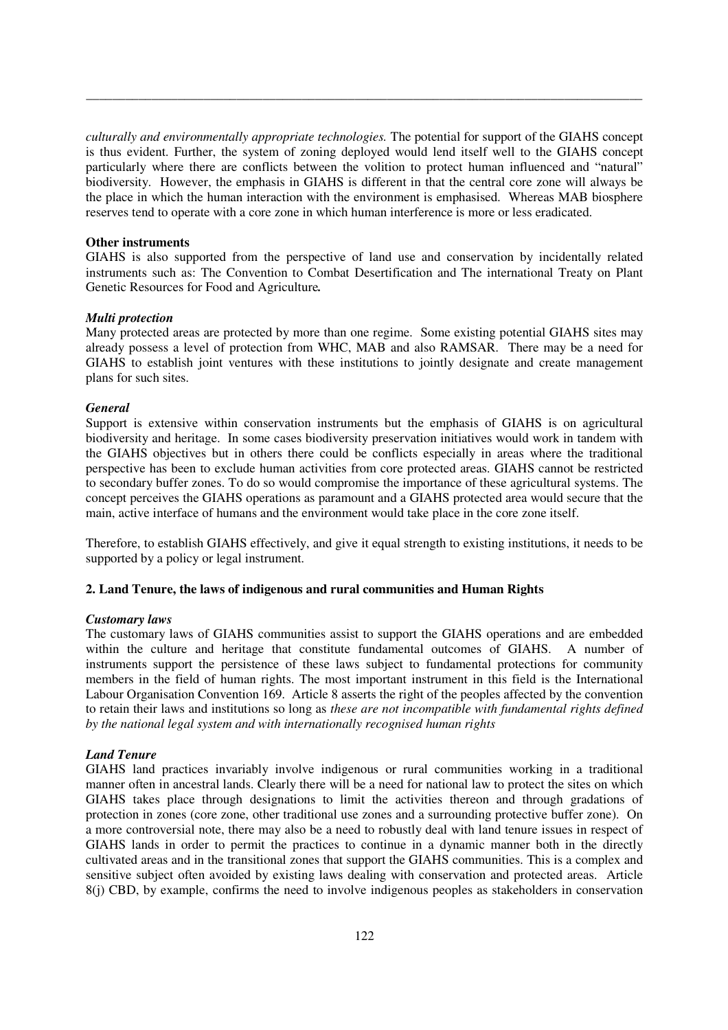*culturally and environmentally appropriate technologies.* The potential for support of the GIAHS concept is thus evident. Further, the system of zoning deployed would lend itself well to the GIAHS concept particularly where there are conflicts between the volition to protect human influenced and "natural" biodiversity. However, the emphasis in GIAHS is different in that the central core zone will always be the place in which the human interaction with the environment is emphasised. Whereas MAB biosphere reserves tend to operate with a core zone in which human interference is more or less eradicated.

\_\_\_\_\_\_\_\_\_\_\_\_\_\_\_\_\_\_\_\_\_\_\_\_\_\_\_\_\_\_\_\_\_\_\_\_\_\_\_\_\_\_\_\_\_\_\_\_\_\_\_\_\_\_\_\_\_\_\_\_\_\_\_\_\_\_\_\_\_\_\_\_\_\_\_\_\_\_\_\_\_\_\_\_\_

#### **Other instruments**

GIAHS is also supported from the perspective of land use and conservation by incidentally related instruments such as: The Convention to Combat Desertification and The international Treaty on Plant Genetic Resources for Food and Agriculture*.* 

## *Multi protection*

Many protected areas are protected by more than one regime. Some existing potential GIAHS sites may already possess a level of protection from WHC, MAB and also RAMSAR. There may be a need for GIAHS to establish joint ventures with these institutions to jointly designate and create management plans for such sites.

## *General*

Support is extensive within conservation instruments but the emphasis of GIAHS is on agricultural biodiversity and heritage. In some cases biodiversity preservation initiatives would work in tandem with the GIAHS objectives but in others there could be conflicts especially in areas where the traditional perspective has been to exclude human activities from core protected areas. GIAHS cannot be restricted to secondary buffer zones. To do so would compromise the importance of these agricultural systems. The concept perceives the GIAHS operations as paramount and a GIAHS protected area would secure that the main, active interface of humans and the environment would take place in the core zone itself.

Therefore, to establish GIAHS effectively, and give it equal strength to existing institutions, it needs to be supported by a policy or legal instrument.

## **2. Land Tenure, the laws of indigenous and rural communities and Human Rights**

## *Customary laws*

The customary laws of GIAHS communities assist to support the GIAHS operations and are embedded within the culture and heritage that constitute fundamental outcomes of GIAHS. A number of instruments support the persistence of these laws subject to fundamental protections for community members in the field of human rights. The most important instrument in this field is the International Labour Organisation Convention 169. Article 8 asserts the right of the peoples affected by the convention to retain their laws and institutions so long as *these are not incompatible with fundamental rights defined by the national legal system and with internationally recognised human rights*

## *Land Tenure*

GIAHS land practices invariably involve indigenous or rural communities working in a traditional manner often in ancestral lands. Clearly there will be a need for national law to protect the sites on which GIAHS takes place through designations to limit the activities thereon and through gradations of protection in zones (core zone, other traditional use zones and a surrounding protective buffer zone). On a more controversial note, there may also be a need to robustly deal with land tenure issues in respect of GIAHS lands in order to permit the practices to continue in a dynamic manner both in the directly cultivated areas and in the transitional zones that support the GIAHS communities. This is a complex and sensitive subject often avoided by existing laws dealing with conservation and protected areas. Article 8(j) CBD, by example, confirms the need to involve indigenous peoples as stakeholders in conservation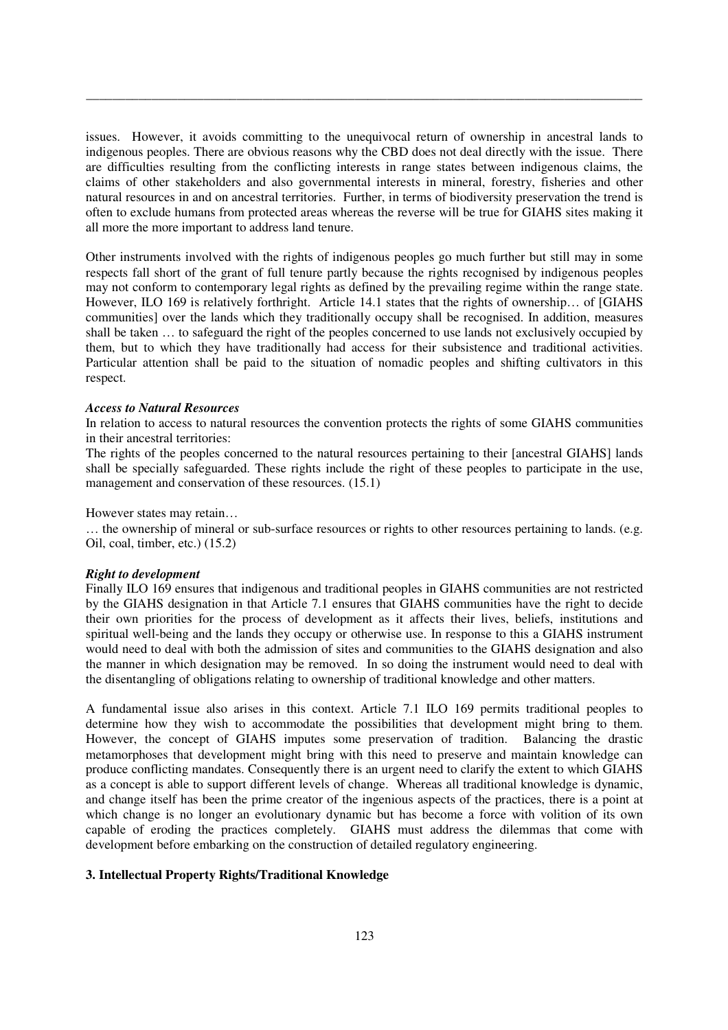issues. However, it avoids committing to the unequivocal return of ownership in ancestral lands to indigenous peoples. There are obvious reasons why the CBD does not deal directly with the issue. There are difficulties resulting from the conflicting interests in range states between indigenous claims, the claims of other stakeholders and also governmental interests in mineral, forestry, fisheries and other natural resources in and on ancestral territories. Further, in terms of biodiversity preservation the trend is often to exclude humans from protected areas whereas the reverse will be true for GIAHS sites making it all more the more important to address land tenure.

\_\_\_\_\_\_\_\_\_\_\_\_\_\_\_\_\_\_\_\_\_\_\_\_\_\_\_\_\_\_\_\_\_\_\_\_\_\_\_\_\_\_\_\_\_\_\_\_\_\_\_\_\_\_\_\_\_\_\_\_\_\_\_\_\_\_\_\_\_\_\_\_\_\_\_\_\_\_\_\_\_\_\_\_\_

Other instruments involved with the rights of indigenous peoples go much further but still may in some respects fall short of the grant of full tenure partly because the rights recognised by indigenous peoples may not conform to contemporary legal rights as defined by the prevailing regime within the range state. However, ILO 169 is relatively forthright. Article 14.1 states that the rights of ownership… of [GIAHS communities] over the lands which they traditionally occupy shall be recognised. In addition, measures shall be taken … to safeguard the right of the peoples concerned to use lands not exclusively occupied by them, but to which they have traditionally had access for their subsistence and traditional activities. Particular attention shall be paid to the situation of nomadic peoples and shifting cultivators in this respect.

### *Access to Natural Resources*

In relation to access to natural resources the convention protects the rights of some GIAHS communities in their ancestral territories:

The rights of the peoples concerned to the natural resources pertaining to their [ancestral GIAHS] lands shall be specially safeguarded. These rights include the right of these peoples to participate in the use, management and conservation of these resources. (15.1)

However states may retain…

… the ownership of mineral or sub-surface resources or rights to other resources pertaining to lands. (e.g. Oil, coal, timber, etc.) (15.2)

#### *Right to development*

Finally ILO 169 ensures that indigenous and traditional peoples in GIAHS communities are not restricted by the GIAHS designation in that Article 7.1 ensures that GIAHS communities have the right to decide their own priorities for the process of development as it affects their lives, beliefs, institutions and spiritual well-being and the lands they occupy or otherwise use. In response to this a GIAHS instrument would need to deal with both the admission of sites and communities to the GIAHS designation and also the manner in which designation may be removed. In so doing the instrument would need to deal with the disentangling of obligations relating to ownership of traditional knowledge and other matters.

A fundamental issue also arises in this context. Article 7.1 ILO 169 permits traditional peoples to determine how they wish to accommodate the possibilities that development might bring to them. However, the concept of GIAHS imputes some preservation of tradition. Balancing the drastic metamorphoses that development might bring with this need to preserve and maintain knowledge can produce conflicting mandates. Consequently there is an urgent need to clarify the extent to which GIAHS as a concept is able to support different levels of change. Whereas all traditional knowledge is dynamic, and change itself has been the prime creator of the ingenious aspects of the practices, there is a point at which change is no longer an evolutionary dynamic but has become a force with volition of its own capable of eroding the practices completely. GIAHS must address the dilemmas that come with development before embarking on the construction of detailed regulatory engineering.

## **3. Intellectual Property Rights/Traditional Knowledge**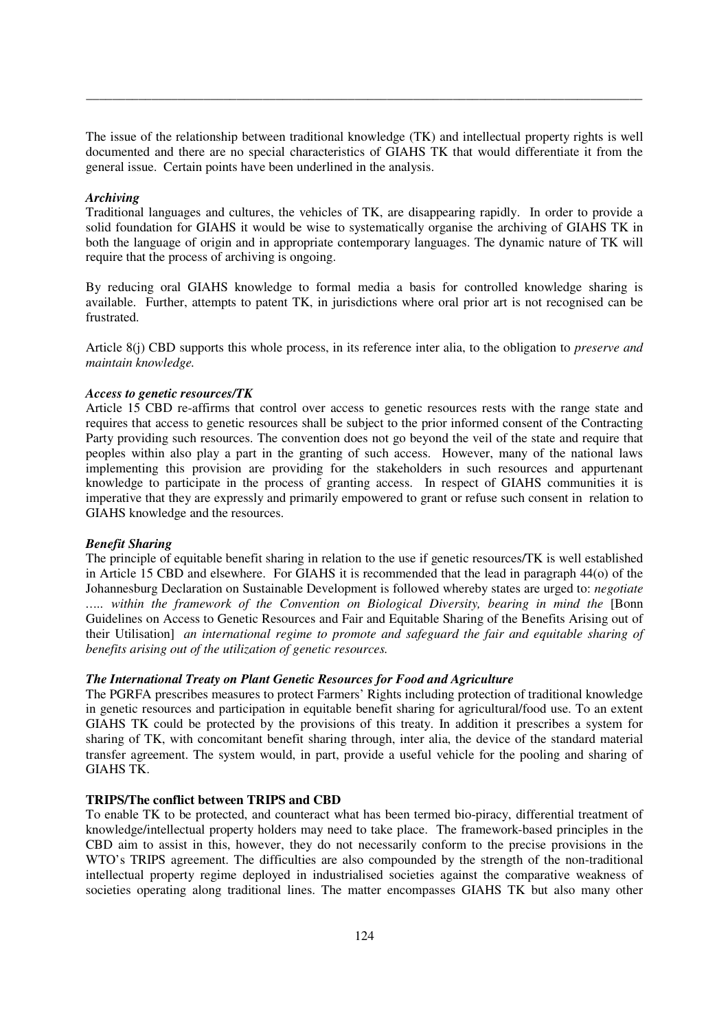The issue of the relationship between traditional knowledge (TK) and intellectual property rights is well documented and there are no special characteristics of GIAHS TK that would differentiate it from the general issue. Certain points have been underlined in the analysis.

\_\_\_\_\_\_\_\_\_\_\_\_\_\_\_\_\_\_\_\_\_\_\_\_\_\_\_\_\_\_\_\_\_\_\_\_\_\_\_\_\_\_\_\_\_\_\_\_\_\_\_\_\_\_\_\_\_\_\_\_\_\_\_\_\_\_\_\_\_\_\_\_\_\_\_\_\_\_\_\_\_\_\_\_\_

### *Archiving*

Traditional languages and cultures, the vehicles of TK, are disappearing rapidly. In order to provide a solid foundation for GIAHS it would be wise to systematically organise the archiving of GIAHS TK in both the language of origin and in appropriate contemporary languages. The dynamic nature of TK will require that the process of archiving is ongoing.

By reducing oral GIAHS knowledge to formal media a basis for controlled knowledge sharing is available. Further, attempts to patent TK, in jurisdictions where oral prior art is not recognised can be frustrated.

Article 8(j) CBD supports this whole process, in its reference inter alia, to the obligation to *preserve and maintain knowledge.* 

### *Access to genetic resources/TK*

Article 15 CBD re-affirms that control over access to genetic resources rests with the range state and requires that access to genetic resources shall be subject to the prior informed consent of the Contracting Party providing such resources. The convention does not go beyond the veil of the state and require that peoples within also play a part in the granting of such access. However, many of the national laws implementing this provision are providing for the stakeholders in such resources and appurtenant knowledge to participate in the process of granting access. In respect of GIAHS communities it is imperative that they are expressly and primarily empowered to grant or refuse such consent in relation to GIAHS knowledge and the resources.

#### *Benefit Sharing*

The principle of equitable benefit sharing in relation to the use if genetic resources/TK is well established in Article 15 CBD and elsewhere. For GIAHS it is recommended that the lead in paragraph 44(o) of the Johannesburg Declaration on Sustainable Development is followed whereby states are urged to: *negotiate ….. within the framework of the Convention on Biological Diversity, bearing in mind the* [Bonn Guidelines on Access to Genetic Resources and Fair and Equitable Sharing of the Benefits Arising out of their Utilisation] *an international regime to promote and safeguard the fair and equitable sharing of benefits arising out of the utilization of genetic resources.* 

## *The International Treaty on Plant Genetic Resources for Food and Agriculture*

The PGRFA prescribes measures to protect Farmers' Rights including protection of traditional knowledge in genetic resources and participation in equitable benefit sharing for agricultural/food use. To an extent GIAHS TK could be protected by the provisions of this treaty. In addition it prescribes a system for sharing of TK, with concomitant benefit sharing through, inter alia, the device of the standard material transfer agreement. The system would, in part, provide a useful vehicle for the pooling and sharing of GIAHS TK.

#### **TRIPS/The conflict between TRIPS and CBD**

To enable TK to be protected, and counteract what has been termed bio-piracy, differential treatment of knowledge/intellectual property holders may need to take place. The framework-based principles in the CBD aim to assist in this, however, they do not necessarily conform to the precise provisions in the WTO's TRIPS agreement. The difficulties are also compounded by the strength of the non-traditional intellectual property regime deployed in industrialised societies against the comparative weakness of societies operating along traditional lines. The matter encompasses GIAHS TK but also many other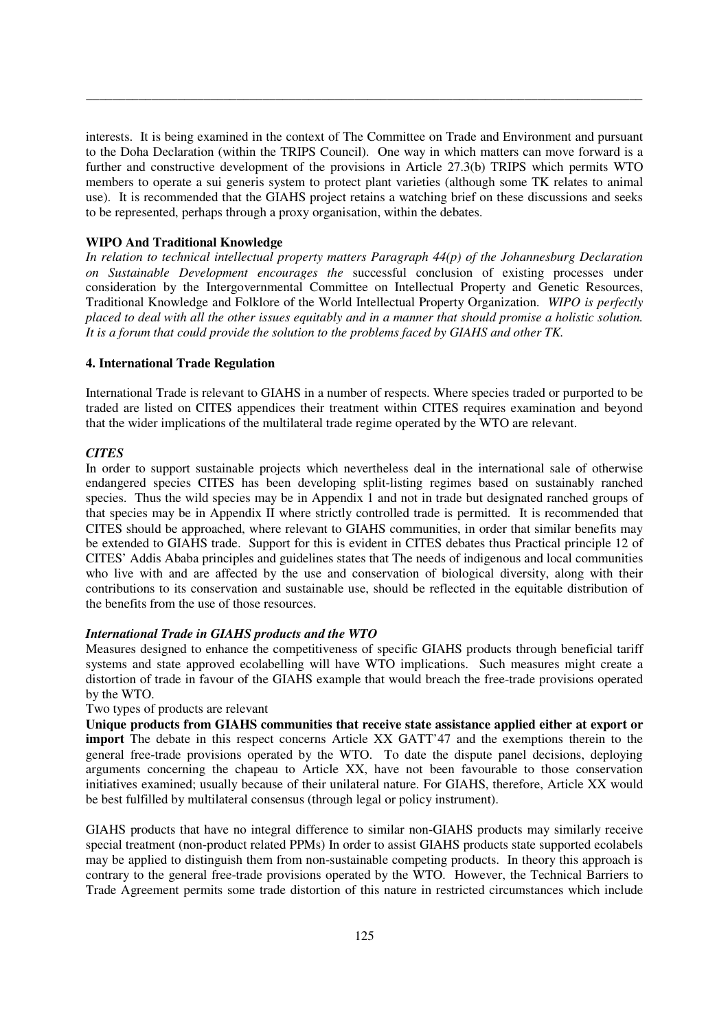interests. It is being examined in the context of The Committee on Trade and Environment and pursuant to the Doha Declaration (within the TRIPS Council). One way in which matters can move forward is a further and constructive development of the provisions in Article 27.3(b) TRIPS which permits WTO members to operate a sui generis system to protect plant varieties (although some TK relates to animal use). It is recommended that the GIAHS project retains a watching brief on these discussions and seeks to be represented, perhaps through a proxy organisation, within the debates.

\_\_\_\_\_\_\_\_\_\_\_\_\_\_\_\_\_\_\_\_\_\_\_\_\_\_\_\_\_\_\_\_\_\_\_\_\_\_\_\_\_\_\_\_\_\_\_\_\_\_\_\_\_\_\_\_\_\_\_\_\_\_\_\_\_\_\_\_\_\_\_\_\_\_\_\_\_\_\_\_\_\_\_\_\_

## **WIPO And Traditional Knowledge**

*In relation to technical intellectual property matters Paragraph 44(p) of the Johannesburg Declaration on Sustainable Development encourages the* successful conclusion of existing processes under consideration by the Intergovernmental Committee on Intellectual Property and Genetic Resources, Traditional Knowledge and Folklore of the World Intellectual Property Organization. *WIPO is perfectly placed to deal with all the other issues equitably and in a manner that should promise a holistic solution. It is a forum that could provide the solution to the problems faced by GIAHS and other TK.* 

### **4. International Trade Regulation**

International Trade is relevant to GIAHS in a number of respects. Where species traded or purported to be traded are listed on CITES appendices their treatment within CITES requires examination and beyond that the wider implications of the multilateral trade regime operated by the WTO are relevant.

#### *CITES*

In order to support sustainable projects which nevertheless deal in the international sale of otherwise endangered species CITES has been developing split-listing regimes based on sustainably ranched species. Thus the wild species may be in Appendix 1 and not in trade but designated ranched groups of that species may be in Appendix II where strictly controlled trade is permitted. It is recommended that CITES should be approached, where relevant to GIAHS communities, in order that similar benefits may be extended to GIAHS trade. Support for this is evident in CITES debates thus Practical principle 12 of CITES' Addis Ababa principles and guidelines states that The needs of indigenous and local communities who live with and are affected by the use and conservation of biological diversity, along with their contributions to its conservation and sustainable use, should be reflected in the equitable distribution of the benefits from the use of those resources.

#### *International Trade in GIAHS products and the WTO*

Measures designed to enhance the competitiveness of specific GIAHS products through beneficial tariff systems and state approved ecolabelling will have WTO implications. Such measures might create a distortion of trade in favour of the GIAHS example that would breach the free-trade provisions operated by the WTO.

## Two types of products are relevant

**Unique products from GIAHS communities that receive state assistance applied either at export or import** The debate in this respect concerns Article XX GATT'47 and the exemptions therein to the general free-trade provisions operated by the WTO. To date the dispute panel decisions, deploying arguments concerning the chapeau to Article XX, have not been favourable to those conservation initiatives examined; usually because of their unilateral nature. For GIAHS, therefore, Article XX would be best fulfilled by multilateral consensus (through legal or policy instrument).

GIAHS products that have no integral difference to similar non-GIAHS products may similarly receive special treatment (non-product related PPMs) In order to assist GIAHS products state supported ecolabels may be applied to distinguish them from non-sustainable competing products. In theory this approach is contrary to the general free-trade provisions operated by the WTO. However, the Technical Barriers to Trade Agreement permits some trade distortion of this nature in restricted circumstances which include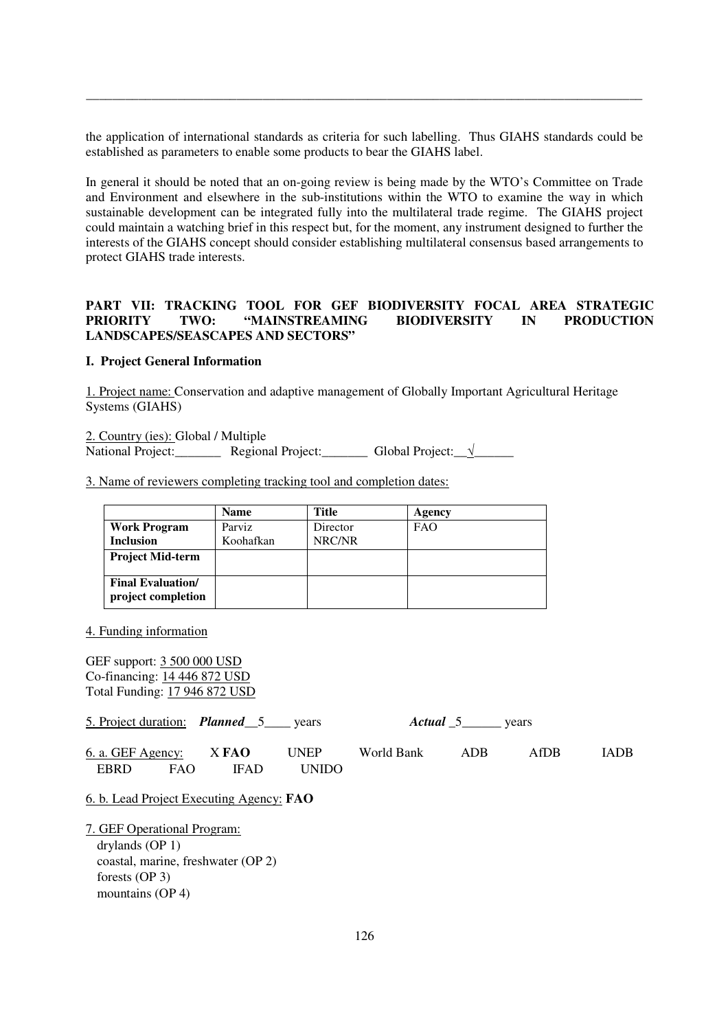the application of international standards as criteria for such labelling. Thus GIAHS standards could be established as parameters to enable some products to bear the GIAHS label.

\_\_\_\_\_\_\_\_\_\_\_\_\_\_\_\_\_\_\_\_\_\_\_\_\_\_\_\_\_\_\_\_\_\_\_\_\_\_\_\_\_\_\_\_\_\_\_\_\_\_\_\_\_\_\_\_\_\_\_\_\_\_\_\_\_\_\_\_\_\_\_\_\_\_\_\_\_\_\_\_\_\_\_\_\_

In general it should be noted that an on-going review is being made by the WTO's Committee on Trade and Environment and elsewhere in the sub-institutions within the WTO to examine the way in which sustainable development can be integrated fully into the multilateral trade regime. The GIAHS project could maintain a watching brief in this respect but, for the moment, any instrument designed to further the interests of the GIAHS concept should consider establishing multilateral consensus based arrangements to protect GIAHS trade interests.

# **PART VII: TRACKING TOOL FOR GEF BIODIVERSITY FOCAL AREA STRATEGIC PRIORITY TWO: "MAINSTREAMING BIODIVERSITY IN PRODUCTION LANDSCAPES/SEASCAPES AND SECTORS"**

## **I. Project General Information**

1. Project name: Conservation and adaptive management of Globally Important Agricultural Heritage Systems (GIAHS)

2. Country (ies): Global / Multiple National Project:\_\_\_\_\_\_\_\_ Regional Project:\_\_\_\_\_\_\_\_ Global Project:\_√\_

3. Name of reviewers completing tracking tool and completion dates:

|                          | <b>Name</b> | <b>Title</b> | Agency     |
|--------------------------|-------------|--------------|------------|
| <b>Work Program</b>      | Parviz      | Director     | <b>FAO</b> |
| <b>Inclusion</b>         | Koohafkan   | NRC/NR       |            |
| <b>Project Mid-term</b>  |             |              |            |
|                          |             |              |            |
| <b>Final Evaluation/</b> |             |              |            |
| project completion       |             |              |            |

4. Funding information

GEF support: 3 500 000 USD Co-financing: 14 446 872 USD Total Funding: 17 946 872 USD 5. Project duration:*Planned*\_\_5\_\_\_\_ years *Actual* \_5\_\_\_\_\_\_ years 6. a. GEF Agency: X **FAO** UNEP World Bank ADB AfDB IADB EBRD FAO IFAD UNIDO 6. b. Lead Project Executing Agency: **FAO**

7. GEF Operational Program: drylands (OP 1) coastal, marine, freshwater (OP 2) forests (OP 3) mountains (OP 4)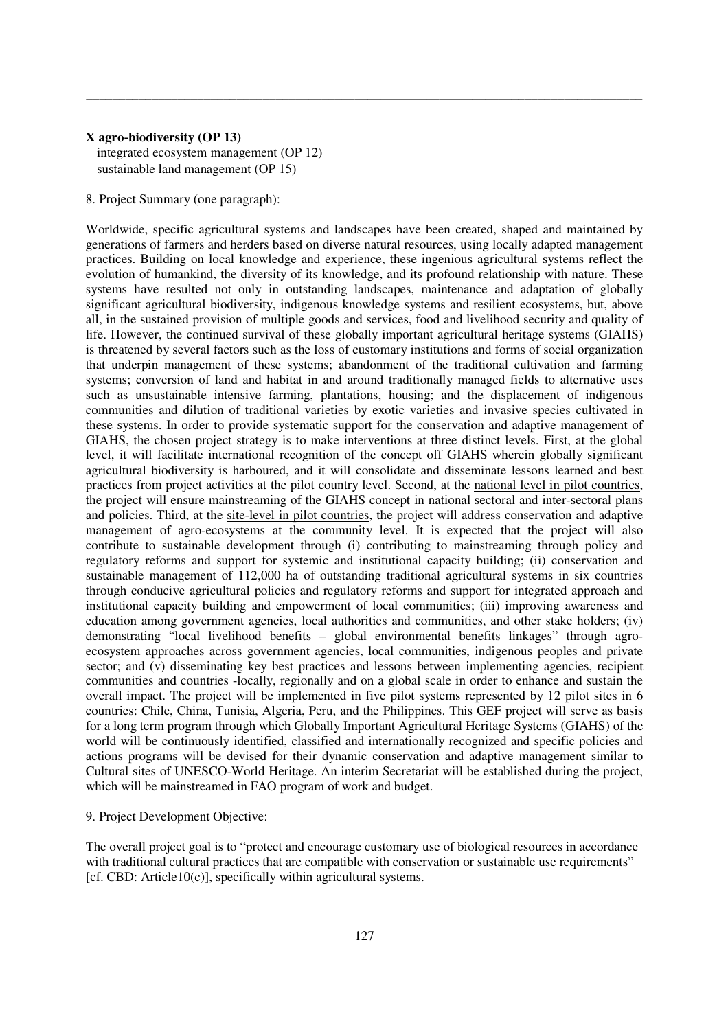### **X agro-biodiversity (OP 13)**

 integrated ecosystem management (OP 12) sustainable land management (OP 15)

# 8. Project Summary (one paragraph):

Worldwide, specific agricultural systems and landscapes have been created, shaped and maintained by generations of farmers and herders based on diverse natural resources, using locally adapted management practices. Building on local knowledge and experience, these ingenious agricultural systems reflect the evolution of humankind, the diversity of its knowledge, and its profound relationship with nature. These systems have resulted not only in outstanding landscapes, maintenance and adaptation of globally significant agricultural biodiversity, indigenous knowledge systems and resilient ecosystems, but, above all, in the sustained provision of multiple goods and services, food and livelihood security and quality of life. However, the continued survival of these globally important agricultural heritage systems (GIAHS) is threatened by several factors such as the loss of customary institutions and forms of social organization that underpin management of these systems; abandonment of the traditional cultivation and farming systems; conversion of land and habitat in and around traditionally managed fields to alternative uses such as unsustainable intensive farming, plantations, housing; and the displacement of indigenous communities and dilution of traditional varieties by exotic varieties and invasive species cultivated in these systems. In order to provide systematic support for the conservation and adaptive management of GIAHS, the chosen project strategy is to make interventions at three distinct levels. First, at the global level, it will facilitate international recognition of the concept off GIAHS wherein globally significant agricultural biodiversity is harboured, and it will consolidate and disseminate lessons learned and best practices from project activities at the pilot country level. Second, at the national level in pilot countries, the project will ensure mainstreaming of the GIAHS concept in national sectoral and inter-sectoral plans and policies. Third, at the site-level in pilot countries, the project will address conservation and adaptive management of agro-ecosystems at the community level. It is expected that the project will also contribute to sustainable development through (i) contributing to mainstreaming through policy and regulatory reforms and support for systemic and institutional capacity building; (ii) conservation and sustainable management of 112,000 ha of outstanding traditional agricultural systems in six countries through conducive agricultural policies and regulatory reforms and support for integrated approach and institutional capacity building and empowerment of local communities; (iii) improving awareness and education among government agencies, local authorities and communities, and other stake holders; (iv) demonstrating "local livelihood benefits – global environmental benefits linkages" through agroecosystem approaches across government agencies, local communities, indigenous peoples and private sector; and (v) disseminating key best practices and lessons between implementing agencies, recipient communities and countries -locally, regionally and on a global scale in order to enhance and sustain the overall impact. The project will be implemented in five pilot systems represented by 12 pilot sites in 6 countries: Chile, China, Tunisia, Algeria, Peru, and the Philippines. This GEF project will serve as basis for a long term program through which Globally Important Agricultural Heritage Systems (GIAHS) of the world will be continuously identified, classified and internationally recognized and specific policies and actions programs will be devised for their dynamic conservation and adaptive management similar to Cultural sites of UNESCO-World Heritage. An interim Secretariat will be established during the project, which will be mainstreamed in FAO program of work and budget.

\_\_\_\_\_\_\_\_\_\_\_\_\_\_\_\_\_\_\_\_\_\_\_\_\_\_\_\_\_\_\_\_\_\_\_\_\_\_\_\_\_\_\_\_\_\_\_\_\_\_\_\_\_\_\_\_\_\_\_\_\_\_\_\_\_\_\_\_\_\_\_\_\_\_\_\_\_\_\_\_\_\_\_\_\_

### 9. Project Development Objective:

The overall project goal is to "protect and encourage customary use of biological resources in accordance with traditional cultural practices that are compatible with conservation or sustainable use requirements" [cf. CBD: Article10(c)], specifically within agricultural systems.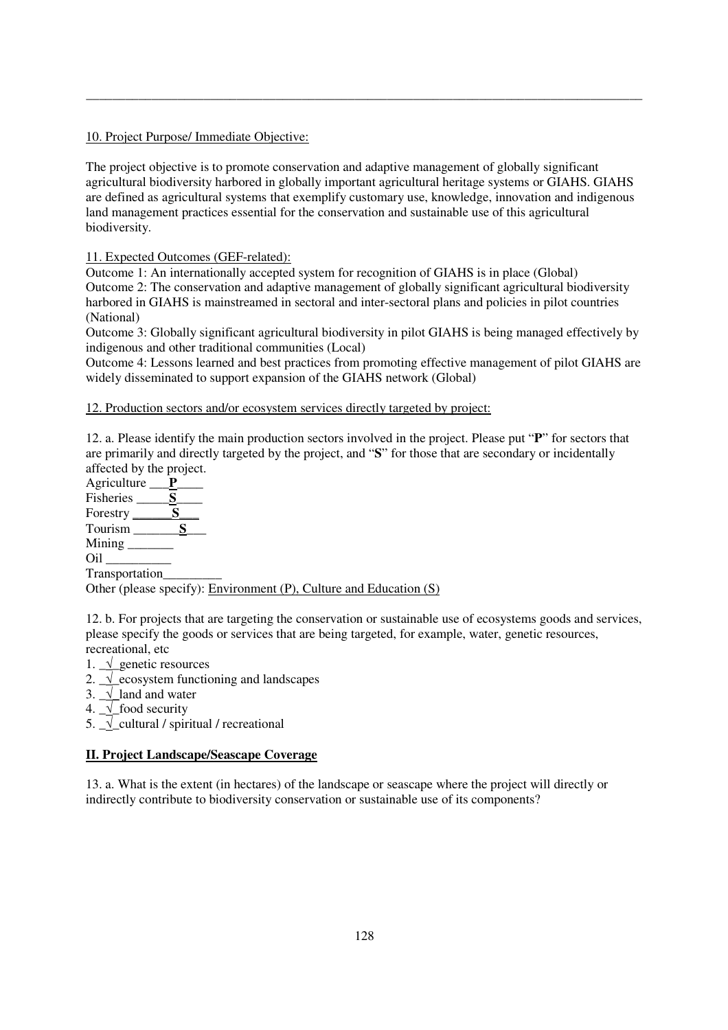# 10. Project Purpose/ Immediate Objective:

The project objective is to promote conservation and adaptive management of globally significant agricultural biodiversity harbored in globally important agricultural heritage systems or GIAHS. GIAHS are defined as agricultural systems that exemplify customary use, knowledge, innovation and indigenous land management practices essential for the conservation and sustainable use of this agricultural biodiversity.

\_\_\_\_\_\_\_\_\_\_\_\_\_\_\_\_\_\_\_\_\_\_\_\_\_\_\_\_\_\_\_\_\_\_\_\_\_\_\_\_\_\_\_\_\_\_\_\_\_\_\_\_\_\_\_\_\_\_\_\_\_\_\_\_\_\_\_\_\_\_\_\_\_\_\_\_\_\_\_\_\_\_\_\_\_

# 11. Expected Outcomes (GEF-related):

Outcome 1: An internationally accepted system for recognition of GIAHS is in place (Global) Outcome 2: The conservation and adaptive management of globally significant agricultural biodiversity harbored in GIAHS is mainstreamed in sectoral and inter-sectoral plans and policies in pilot countries (National)

Outcome 3: Globally significant agricultural biodiversity in pilot GIAHS is being managed effectively by indigenous and other traditional communities (Local)

Outcome 4: Lessons learned and best practices from promoting effective management of pilot GIAHS are widely disseminated to support expansion of the GIAHS network (Global)

12. Production sectors and/or ecosystem services directly targeted by project:

12. a. Please identify the main production sectors involved in the project. Please put "**P**" for sectors that are primarily and directly targeted by the project, and "**S**" for those that are secondary or incidentally affected by the project.

Agriculture \_\_\_**P**\_\_\_\_ Fisheries <u>S</u> Forestry <u>S</u> Tourism \_\_\_\_\_\_\_**S**\_\_\_ Mining \_\_\_\_\_\_\_ Oil \_\_\_\_\_\_\_\_\_\_ Transportation\_\_\_\_\_\_\_\_\_

Other (please specify): Environment (P), Culture and Education (S)

12. b. For projects that are targeting the conservation or sustainable use of ecosystems goods and services, please specify the goods or services that are being targeted, for example, water, genetic resources, recreational, etc

- 1. \_√\_genetic resources
- 2.  $\sqrt{\ }$  ecosystem functioning and landscapes
- 3.  $\sqrt{\ }$ land and water
- 4.  $\sqrt{\ }$  food security
- 5.  $\sqrt{\frac{1}{2}}$  cultural / spiritual / recreational

# **II. Project Landscape/Seascape Coverage**

13. a. What is the extent (in hectares) of the landscape or seascape where the project will directly or indirectly contribute to biodiversity conservation or sustainable use of its components?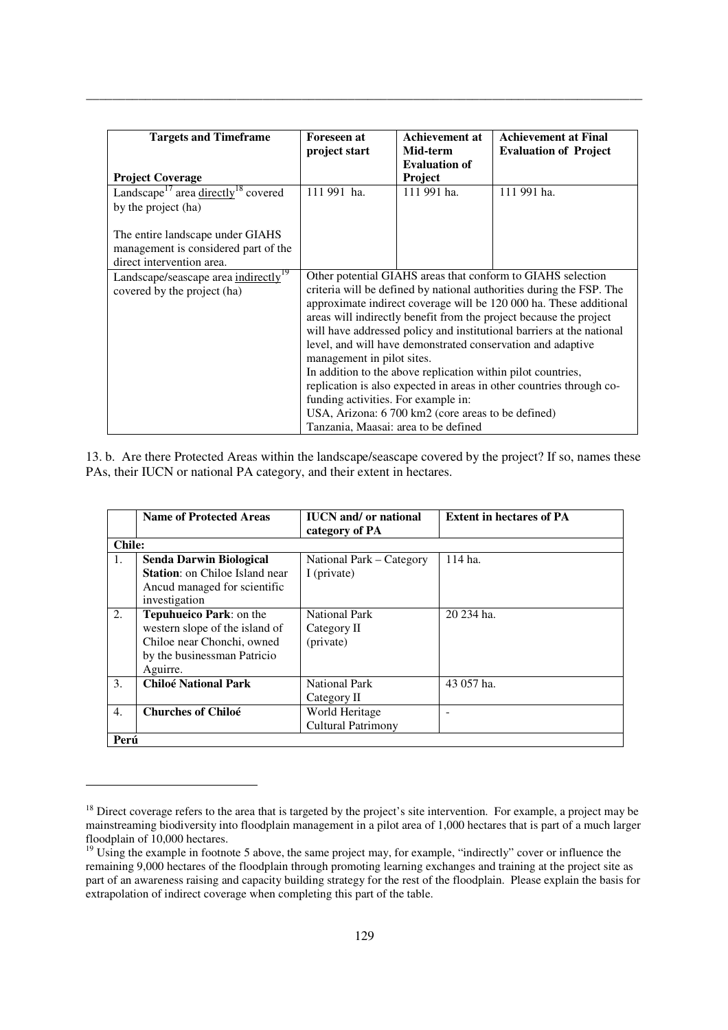| <b>Targets and Timeframe</b>                                | <b>Foreseen at</b>                                                 | <b>Achievement at</b>                                        | <b>Achievement at Final</b>                                           |
|-------------------------------------------------------------|--------------------------------------------------------------------|--------------------------------------------------------------|-----------------------------------------------------------------------|
|                                                             | project start                                                      | Mid-term                                                     | <b>Evaluation of Project</b>                                          |
|                                                             |                                                                    | <b>Evaluation of</b>                                         |                                                                       |
| <b>Project Coverage</b>                                     |                                                                    | <b>Project</b>                                               |                                                                       |
| Landscape <sup>17</sup> area directly <sup>18</sup> covered | 111 991 ha.                                                        | 111 991 ha.                                                  | 111 991 ha.                                                           |
| by the project (ha)                                         |                                                                    |                                                              |                                                                       |
|                                                             |                                                                    |                                                              |                                                                       |
| The entire landscape under GIAHS                            |                                                                    |                                                              |                                                                       |
| management is considered part of the                        |                                                                    |                                                              |                                                                       |
| direct intervention area.                                   |                                                                    |                                                              |                                                                       |
| Landscape/seascape area indirectly <sup>19</sup>            |                                                                    |                                                              | Other potential GIAHS areas that conform to GIAHS selection           |
| covered by the project (ha)                                 |                                                                    |                                                              | criteria will be defined by national authorities during the FSP. The  |
|                                                             | approximate indirect coverage will be 120 000 ha. These additional |                                                              |                                                                       |
|                                                             | areas will indirectly benefit from the project because the project |                                                              |                                                                       |
|                                                             |                                                                    |                                                              | will have addressed policy and institutional barriers at the national |
|                                                             |                                                                    |                                                              | level, and will have demonstrated conservation and adaptive           |
|                                                             | management in pilot sites.                                         |                                                              |                                                                       |
|                                                             |                                                                    | In addition to the above replication within pilot countries, |                                                                       |
|                                                             |                                                                    |                                                              | replication is also expected in areas in other countries through co-  |
|                                                             | funding activities. For example in:                                |                                                              |                                                                       |
|                                                             | USA, Arizona: 6 700 km2 (core areas to be defined)                 |                                                              |                                                                       |
|                                                             | Tanzania, Maasai: area to be defined                               |                                                              |                                                                       |

13. b. Are there Protected Areas within the landscape/seascape covered by the project? If so, names these PAs, their IUCN or national PA category, and their extent in hectares.

|                  | <b>Name of Protected Areas</b>                                                                                                     | <b>IUCN</b> and/ or national<br>category of PA   | <b>Extent in hectares of PA</b> |
|------------------|------------------------------------------------------------------------------------------------------------------------------------|--------------------------------------------------|---------------------------------|
| <b>Chile:</b>    |                                                                                                                                    |                                                  |                                 |
| 1.               | <b>Senda Darwin Biological</b><br><b>Station:</b> on Chiloe Island near<br>Ancud managed for scientific<br>investigation           | National Park - Category<br>I (private)          | 114 ha.                         |
| 2.               | Tepuhueico Park: on the<br>western slope of the island of<br>Chiloe near Chonchi, owned<br>by the businessman Patricio<br>Aguirre. | <b>National Park</b><br>Category II<br>(private) | 20 234 ha.                      |
| 3.               | <b>Chiloé National Park</b>                                                                                                        | <b>National Park</b><br>Category II              | 43 057 ha.                      |
| $\overline{4}$ . | <b>Churches of Chiloé</b>                                                                                                          | World Heritage<br>Cultural Patrimony             |                                 |
| Perú             |                                                                                                                                    |                                                  |                                 |

<u>.</u>

 $18$  Direct coverage refers to the area that is targeted by the project's site intervention. For example, a project may be mainstreaming biodiversity into floodplain management in a pilot area of 1,000 hectares that is part of a much larger floodplain of 10,000 hectares.

<sup>&</sup>lt;sup>19</sup> Using the example in footnote 5 above, the same project may, for example, "indirectly" cover or influence the remaining 9,000 hectares of the floodplain through promoting learning exchanges and training at the project site as part of an awareness raising and capacity building strategy for the rest of the floodplain. Please explain the basis for extrapolation of indirect coverage when completing this part of the table.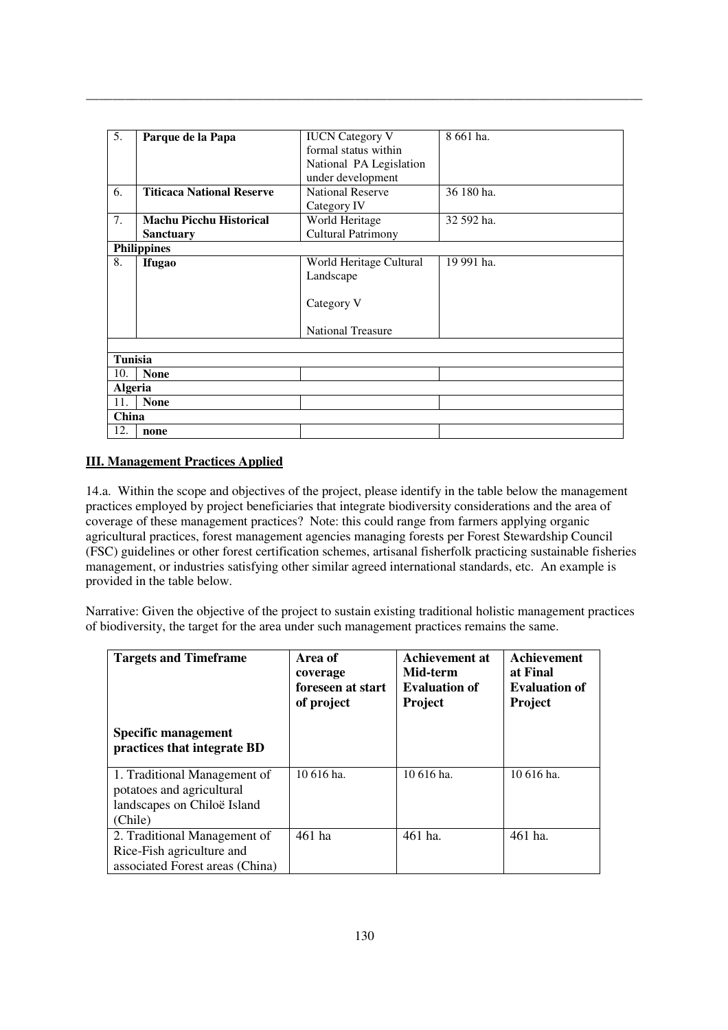| 5.             | Parque de la Papa                | <b>IUCN</b> Category V    | 8 661 ha.  |
|----------------|----------------------------------|---------------------------|------------|
|                |                                  | formal status within      |            |
|                |                                  |                           |            |
|                |                                  | National PA Legislation   |            |
|                |                                  | under development         |            |
| 6.             | <b>Titicaca National Reserve</b> | <b>National Reserve</b>   | 36 180 ha. |
|                |                                  | Category IV               |            |
| 7.             | <b>Machu Picchu Historical</b>   | World Heritage            | 32 592 ha. |
|                | <b>Sanctuary</b>                 | <b>Cultural Patrimony</b> |            |
|                | <b>Philippines</b>               |                           |            |
| 8.             | <b>Ifugao</b>                    | World Heritage Cultural   | 19 991 ha. |
|                |                                  | Landscape                 |            |
|                |                                  |                           |            |
|                |                                  | Category V                |            |
|                |                                  |                           |            |
|                |                                  | <b>National Treasure</b>  |            |
|                |                                  |                           |            |
| <b>Tunisia</b> |                                  |                           |            |
| 10.            | <b>None</b>                      |                           |            |
| <b>Algeria</b> |                                  |                           |            |
| 11.            | <b>None</b>                      |                           |            |
| China          |                                  |                           |            |
| 12.            | none                             |                           |            |

# **III. Management Practices Applied**

14.a. Within the scope and objectives of the project, please identify in the table below the management practices employed by project beneficiaries that integrate biodiversity considerations and the area of coverage of these management practices? Note: this could range from farmers applying organic agricultural practices, forest management agencies managing forests per Forest Stewardship Council (FSC) guidelines or other forest certification schemes, artisanal fisherfolk practicing sustainable fisheries management, or industries satisfying other similar agreed international standards, etc. An example is provided in the table below.

Narrative: Given the objective of the project to sustain existing traditional holistic management practices of biodiversity, the target for the area under such management practices remains the same.

| <b>Targets and Timeframe</b>                                                                        | Area of<br>coverage<br>foreseen at start<br>of project | Achievement at<br>Mid-term<br><b>Evaluation of</b><br>Project | Achievement<br>at Final<br><b>Evaluation of</b><br>Project |
|-----------------------------------------------------------------------------------------------------|--------------------------------------------------------|---------------------------------------------------------------|------------------------------------------------------------|
| Specific management<br>practices that integrate BD                                                  |                                                        |                                                               |                                                            |
| 1. Traditional Management of<br>potatoes and agricultural<br>landscapes on Chiloë Island<br>(Chile) | $10616$ ha.                                            | 10 616 ha.                                                    | $10616$ ha.                                                |
| 2. Traditional Management of<br>Rice-Fish agriculture and<br>associated Forest areas (China)        | 461 ha                                                 | 461 ha.                                                       | 461 ha.                                                    |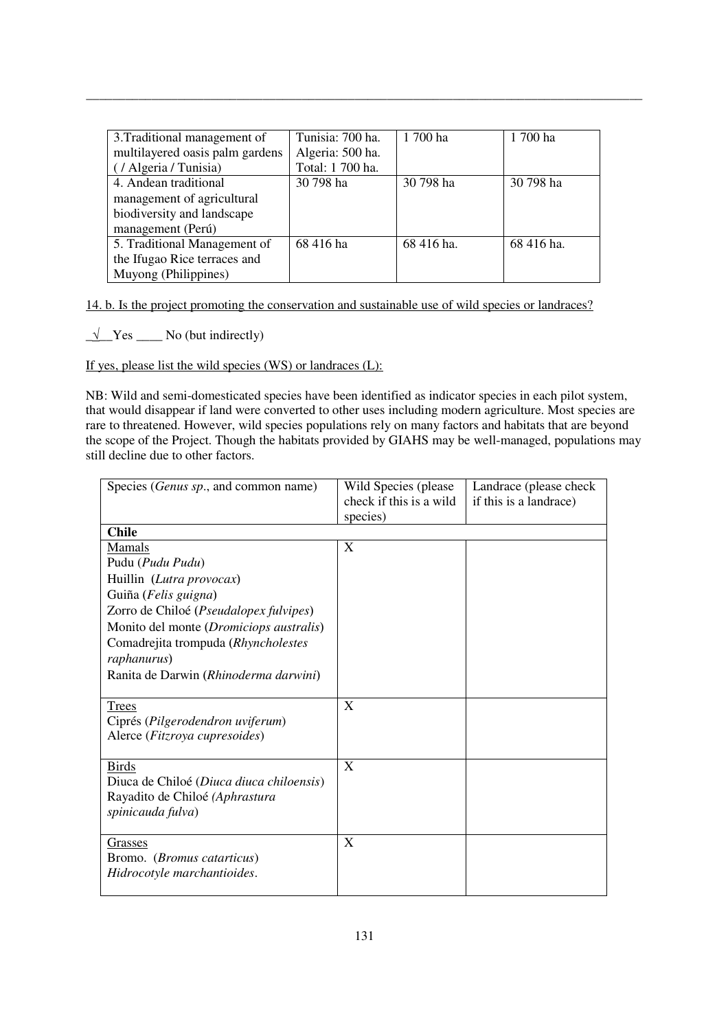| 3. Traditional management of    | Tunisia: 700 ha. | 1 700 ha   | 1 700 ha   |
|---------------------------------|------------------|------------|------------|
| multilayered oasis palm gardens | Algeria: 500 ha. |            |            |
| (/ Algeria/Tunisia)             | Total: 1 700 ha. |            |            |
| 4. Andean traditional           | 30 798 ha        | 30 798 ha  | 30 798 ha  |
| management of agricultural      |                  |            |            |
| biodiversity and landscape      |                  |            |            |
| management (Perú)               |                  |            |            |
| 5. Traditional Management of    | 68 416 ha        | 68 416 ha. | 68 416 ha. |
| the Ifugao Rice terraces and    |                  |            |            |
| Muyong (Philippines)            |                  |            |            |

14. b. Is the project promoting the conservation and sustainable use of wild species or landraces?

 $\sqrt{\frac{1}{\sqrt{1}} \text{Yes}}$  No (but indirectly)

If yes, please list the wild species  $(WS)$  or landraces  $(L)$ :

NB: Wild and semi-domesticated species have been identified as indicator species in each pilot system, that would disappear if land were converted to other uses including modern agriculture. Most species are rare to threatened. However, wild species populations rely on many factors and habitats that are beyond the scope of the Project. Though the habitats provided by GIAHS may be well-managed, populations may still decline due to other factors.

| Species ( <i>Genus sp.</i> , and common name)                                                                                                                                                                                                                      | Wild Species (please)<br>check if this is a wild<br>species) | Landrace (please check)<br>if this is a landrace) |
|--------------------------------------------------------------------------------------------------------------------------------------------------------------------------------------------------------------------------------------------------------------------|--------------------------------------------------------------|---------------------------------------------------|
| <b>Chile</b>                                                                                                                                                                                                                                                       |                                                              |                                                   |
| Mamals<br>Pudu (Pudu Pudu)<br>Huillin (Lutra provocax)<br>Guiña (Felis guigna)<br>Zorro de Chiloé (Pseudalopex fulvipes)<br>Monito del monte (Dromiciops australis)<br>Comadrejita trompuda (Rhyncholestes<br>raphanurus)<br>Ranita de Darwin (Rhinoderma darwini) | X                                                            |                                                   |
| Trees<br>Ciprés (Pilgerodendron uviferum)<br>Alerce (Fitzroya cupresoides)                                                                                                                                                                                         | X                                                            |                                                   |
| <b>Birds</b><br>Diuca de Chiloé (Diuca diuca chiloensis)<br>Rayadito de Chiloé (Aphrastura<br>spinicauda fulva)                                                                                                                                                    | X                                                            |                                                   |
| Grasses<br>Bromo. (Bromus catarticus)<br>Hidrocotyle marchantioides.                                                                                                                                                                                               | X                                                            |                                                   |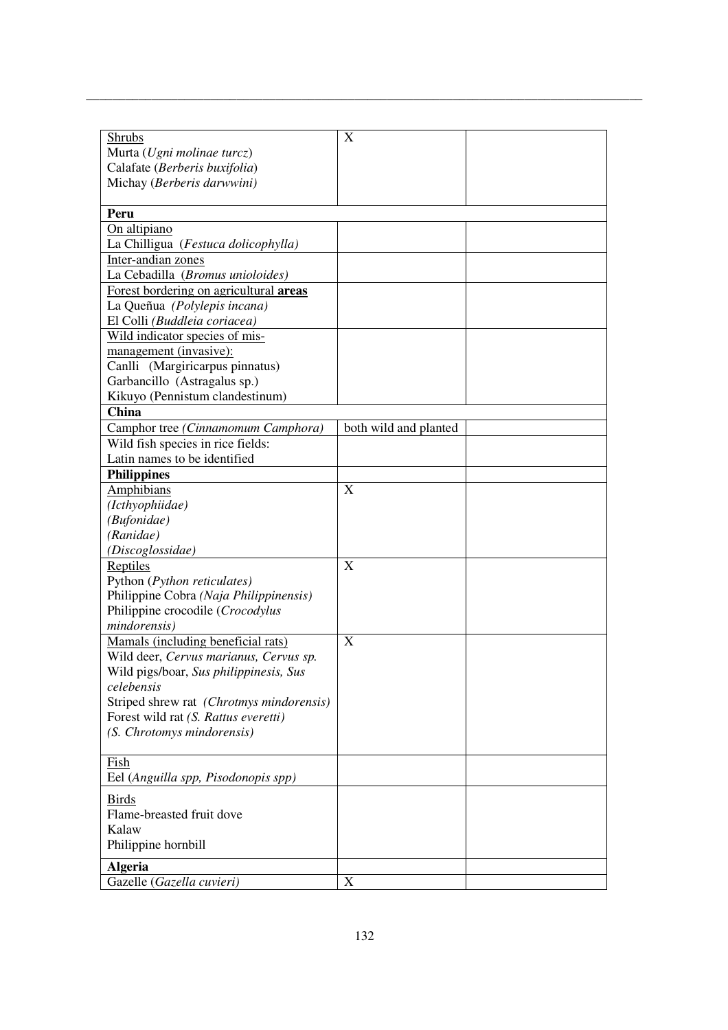| Shrubs                                   | X                     |  |
|------------------------------------------|-----------------------|--|
| Murta (Ugni molinae turcz)               |                       |  |
| Calafate (Berberis buxifolia)            |                       |  |
| Michay (Berberis darwwini)               |                       |  |
|                                          |                       |  |
| Peru                                     |                       |  |
| On altipiano                             |                       |  |
| La Chilligua (Festuca dolicophylla)      |                       |  |
| Inter-andian zones                       |                       |  |
| La Cebadilla (Bromus unioloides)         |                       |  |
| Forest bordering on agricultural areas   |                       |  |
| La Queñua (Polylepis incana)             |                       |  |
| El Colli (Buddleia coriacea)             |                       |  |
| Wild indicator species of mis-           |                       |  |
| management (invasive):                   |                       |  |
| Canlli (Margiricarpus pinnatus)          |                       |  |
| Garbancillo (Astragalus sp.)             |                       |  |
| Kikuyo (Pennistum clandestinum)          |                       |  |
| China                                    |                       |  |
| Camphor tree (Cinnamomum Camphora)       | both wild and planted |  |
| Wild fish species in rice fields:        |                       |  |
| Latin names to be identified             |                       |  |
| <b>Philippines</b>                       |                       |  |
| <b>Amphibians</b>                        | X                     |  |
| (Icthyophiidae)                          |                       |  |
| (Bufonidae)                              |                       |  |
| (Ranidae)                                |                       |  |
| (Discoglossidae)                         |                       |  |
| Reptiles                                 | X                     |  |
| Python (Python reticulates)              |                       |  |
| Philippine Cobra (Naja Philippinensis)   |                       |  |
| Philippine crocodile (Crocodylus         |                       |  |
| mindorensis)                             |                       |  |
| Mamals (including beneficial rats)       | X                     |  |
| Wild deer, Cervus marianus, Cervus sp.   |                       |  |
| Wild pigs/boar, Sus philippinesis, Sus   |                       |  |
| celebensis                               |                       |  |
| Striped shrew rat (Chrotmys mindorensis) |                       |  |
| Forest wild rat (S. Rattus everetti)     |                       |  |
| (S. Chrotomys mindorensis)               |                       |  |
|                                          |                       |  |
| Fish                                     |                       |  |
| Eel (Anguilla spp, Pisodonopis spp)      |                       |  |
|                                          |                       |  |
| <b>Birds</b>                             |                       |  |
| Flame-breasted fruit dove                |                       |  |
| Kalaw                                    |                       |  |
| Philippine hornbill                      |                       |  |
| <b>Algeria</b>                           |                       |  |
| Gazelle (Gazella cuvieri)                | X                     |  |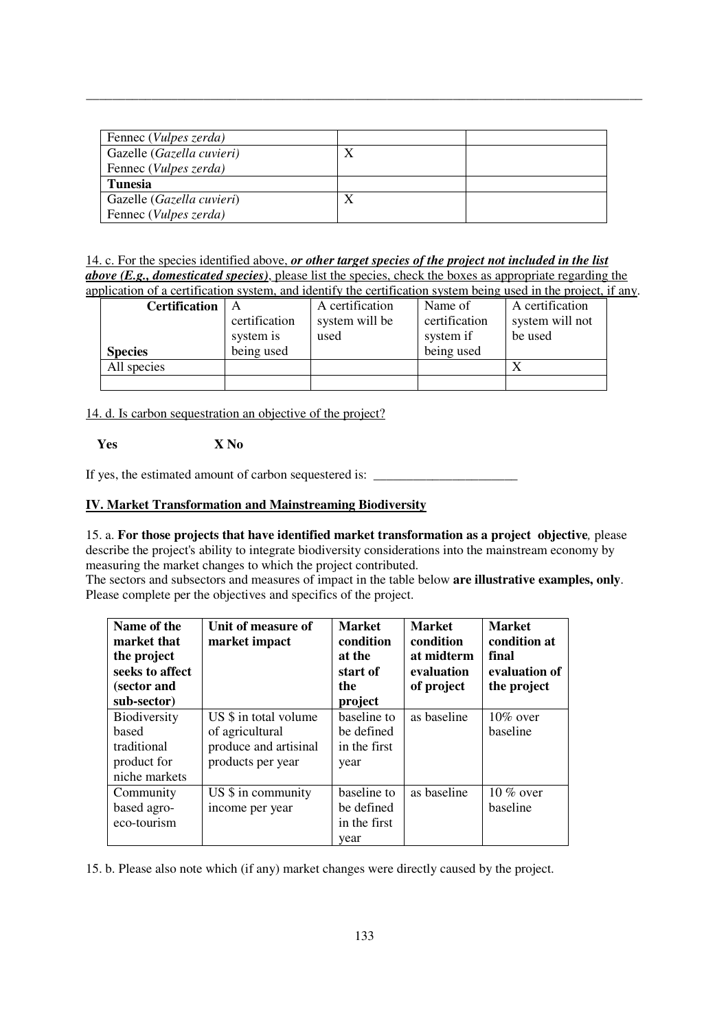| Fennec ( <i>Vulpes zerda</i> ) |   |  |
|--------------------------------|---|--|
| Gazelle (Gazella cuvieri)      | Δ |  |
| Fennec (Vulpes zerda)          |   |  |
| <b>Tunesia</b>                 |   |  |
| Gazelle (Gazella cuvieri)      | Λ |  |
| Fennec ( <i>Vulpes zerda</i> ) |   |  |

14. c. For the species identified above, *or other target species of the project not included in the list above (E.g., domesticated species)*, please list the species, check the boxes as appropriate regarding the application of a certification system, and identify the certification system being used in the project, if any.

| лярсанон от а сегипсанон зумени, ана касниту ию сегипсанон зумент беніg амеа ні ию ргојеси, н |               |                 |               |                 |
|-----------------------------------------------------------------------------------------------|---------------|-----------------|---------------|-----------------|
| <b>Certification</b>                                                                          |               | A certification | Name of       | A certification |
|                                                                                               | certification | system will be  | certification | system will not |
|                                                                                               | system is     | used            | system if     | be used         |
| <b>Species</b>                                                                                | being used    |                 | being used    |                 |
| All species                                                                                   |               |                 |               |                 |
|                                                                                               |               |                 |               |                 |

14. d. Is carbon sequestration an objective of the project?

 **Yes X No** 

If yes, the estimated amount of carbon sequestered is:  $\Box$ 

## **IV. Market Transformation and Mainstreaming Biodiversity**

## 15. a. **For those projects that have identified market transformation as a project objective***,* please describe the project's ability to integrate biodiversity considerations into the mainstream economy by measuring the market changes to which the project contributed.

The sectors and subsectors and measures of impact in the table below **are illustrative examples, only**. Please complete per the objectives and specifics of the project.

| Name of the<br>market that<br>the project<br>seeks to affect<br>(sector and<br>sub-sector) | Unit of measure of<br>market impact | <b>Market</b><br>condition<br>at the<br>start of<br>the<br>project | <b>Market</b><br>condition<br>at midterm<br>evaluation<br>of project | <b>Market</b><br>condition at<br>final<br>evaluation of<br>the project |
|--------------------------------------------------------------------------------------------|-------------------------------------|--------------------------------------------------------------------|----------------------------------------------------------------------|------------------------------------------------------------------------|
| Biodiversity                                                                               | US \$ in total volume               | baseline to                                                        | as baseline                                                          | $10\%$ over                                                            |
| based                                                                                      | of agricultural                     | be defined                                                         |                                                                      | baseline                                                               |
| traditional                                                                                | produce and artisinal               | in the first                                                       |                                                                      |                                                                        |
| product for                                                                                | products per year                   | year                                                               |                                                                      |                                                                        |
| niche markets                                                                              |                                     |                                                                    |                                                                      |                                                                        |
| Community                                                                                  | $US$ \$ in community                | baseline to                                                        | as baseline                                                          | 10 % over                                                              |
| based agro-                                                                                | income per year                     | be defined                                                         |                                                                      | baseline                                                               |
| eco-tourism                                                                                |                                     | in the first                                                       |                                                                      |                                                                        |
|                                                                                            |                                     | year                                                               |                                                                      |                                                                        |

15. b. Please also note which (if any) market changes were directly caused by the project.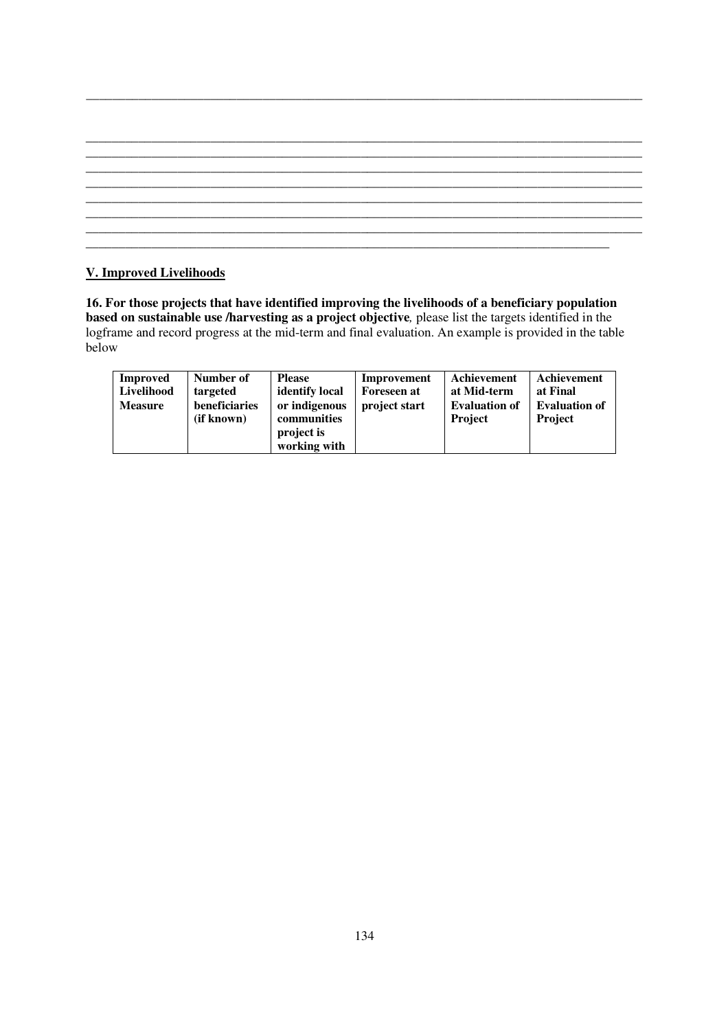# **V. Improved Livelihoods**

**16. For those projects that have identified improving the livelihoods of a beneficiary population based on sustainable use /harvesting as a project objective***,* please list the targets identified in the logframe and record progress at the mid-term and final evaluation. An example is provided in the table below

| <b>Improved</b><br>Livelihood<br><b>Measure</b> | Number of<br>targeted<br>beneficiaries<br>(if known) | <b>Please</b><br>identify local<br>or indigenous<br>communities<br>project is | Improvement<br><b>Foreseen at</b><br>project start | Achievement<br>at Mid-term<br><b>Evaluation of</b><br><b>Project</b> | Achievement<br>at Final<br><b>Evaluation of</b><br><b>Project</b> |
|-------------------------------------------------|------------------------------------------------------|-------------------------------------------------------------------------------|----------------------------------------------------|----------------------------------------------------------------------|-------------------------------------------------------------------|
|                                                 |                                                      | working with                                                                  |                                                    |                                                                      |                                                                   |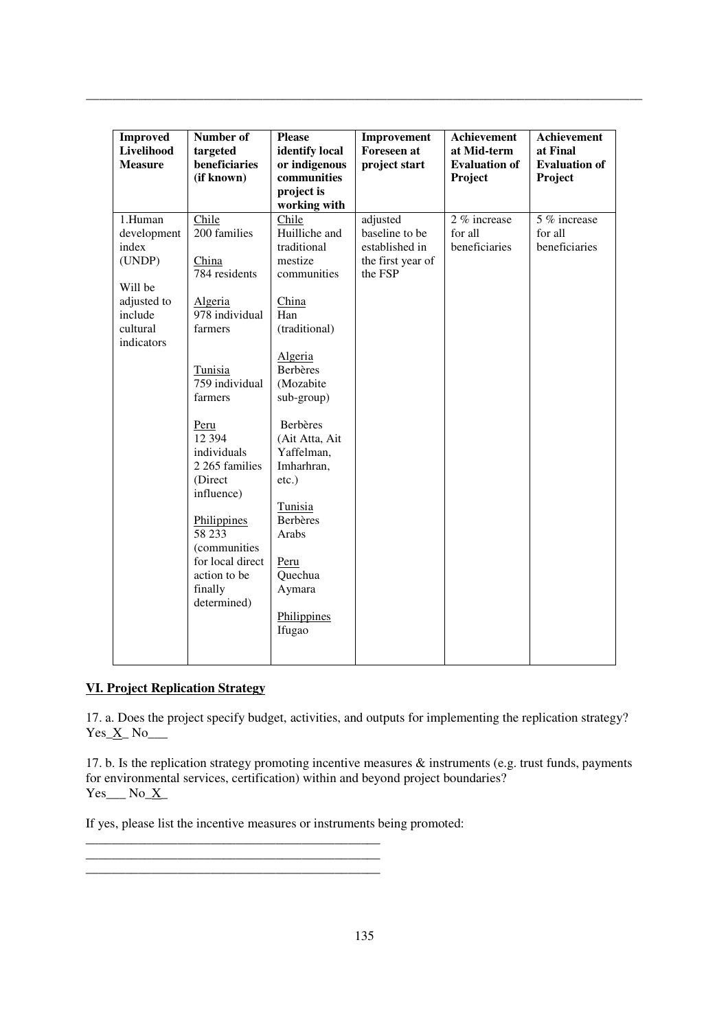| <b>Improved</b> | Number of        | <b>Please</b>   | Improvement        | <b>Achievement</b>   | Achievement          |
|-----------------|------------------|-----------------|--------------------|----------------------|----------------------|
| Livelihood      | targeted         | identify local  | <b>Foreseen</b> at | at Mid-term          | at Final             |
| <b>Measure</b>  | beneficiaries    | or indigenous   | project start      | <b>Evaluation of</b> | <b>Evaluation of</b> |
|                 | (if known)       | communities     |                    | Project              | Project              |
|                 |                  | project is      |                    |                      |                      |
|                 |                  | working with    |                    |                      |                      |
| 1.Human         | Chile            | Chile           | adjusted           | 2 % increase         | 5 % increase         |
| development     | 200 families     | Huilliche and   | baseline to be     | for all              | for all              |
| index           |                  | traditional     | established in     | beneficiaries        | beneficiaries        |
| (UNDP)          | China            | mestize         | the first year of  |                      |                      |
|                 | 784 residents    | communities     | the FSP            |                      |                      |
| Will be         |                  |                 |                    |                      |                      |
| adjusted to     | Algeria          | China           |                    |                      |                      |
| include         | 978 individual   | Han             |                    |                      |                      |
| cultural        | farmers          | (traditional)   |                    |                      |                      |
| indicators      |                  |                 |                    |                      |                      |
|                 |                  | Algeria         |                    |                      |                      |
|                 | Tunisia          | <b>Berbères</b> |                    |                      |                      |
|                 | 759 individual   | (Mozabite       |                    |                      |                      |
|                 | farmers          | sub-group)      |                    |                      |                      |
|                 |                  |                 |                    |                      |                      |
|                 | Peru             | <b>Berbères</b> |                    |                      |                      |
|                 | 12 3 9 4         | (Ait Atta, Ait  |                    |                      |                      |
|                 | individuals      | Yaffelman,      |                    |                      |                      |
|                 | 2 265 families   | Imharhran,      |                    |                      |                      |
|                 | (Direct          | $etc.$ )        |                    |                      |                      |
|                 | influence)       |                 |                    |                      |                      |
|                 |                  | Tunisia         |                    |                      |                      |
|                 | Philippines      | <b>Berbères</b> |                    |                      |                      |
|                 | 58 233           | Arabs           |                    |                      |                      |
|                 | (communities     |                 |                    |                      |                      |
|                 | for local direct | Peru            |                    |                      |                      |
|                 | action to be     | Quechua         |                    |                      |                      |
|                 | finally          | Aymara          |                    |                      |                      |
|                 | determined)      |                 |                    |                      |                      |
|                 |                  | Philippines     |                    |                      |                      |
|                 |                  | Ifugao          |                    |                      |                      |
|                 |                  |                 |                    |                      |                      |
|                 |                  |                 |                    |                      |                      |

# **VI. Project Replication Strategy**

17. a. Does the project specify budget, activities, and outputs for implementing the replication strategy?  $Yes_ X_ No_$ 

17. b. Is the replication strategy promoting incentive measures  $\&$  instruments (e.g. trust funds, payments for environmental services, certification) within and beyond project boundaries?  $Yes$  No\_X\_

If yes, please list the incentive measures or instruments being promoted:

\_\_\_\_\_\_\_\_\_\_\_\_\_\_\_\_\_\_\_\_\_\_\_\_\_\_\_\_\_\_\_\_\_\_\_\_\_\_\_\_\_\_\_\_\_ \_\_\_\_\_\_\_\_\_\_\_\_\_\_\_\_\_\_\_\_\_\_\_\_\_\_\_\_\_\_\_\_\_\_\_\_\_\_\_\_\_\_\_\_\_ \_\_\_\_\_\_\_\_\_\_\_\_\_\_\_\_\_\_\_\_\_\_\_\_\_\_\_\_\_\_\_\_\_\_\_\_\_\_\_\_\_\_\_\_\_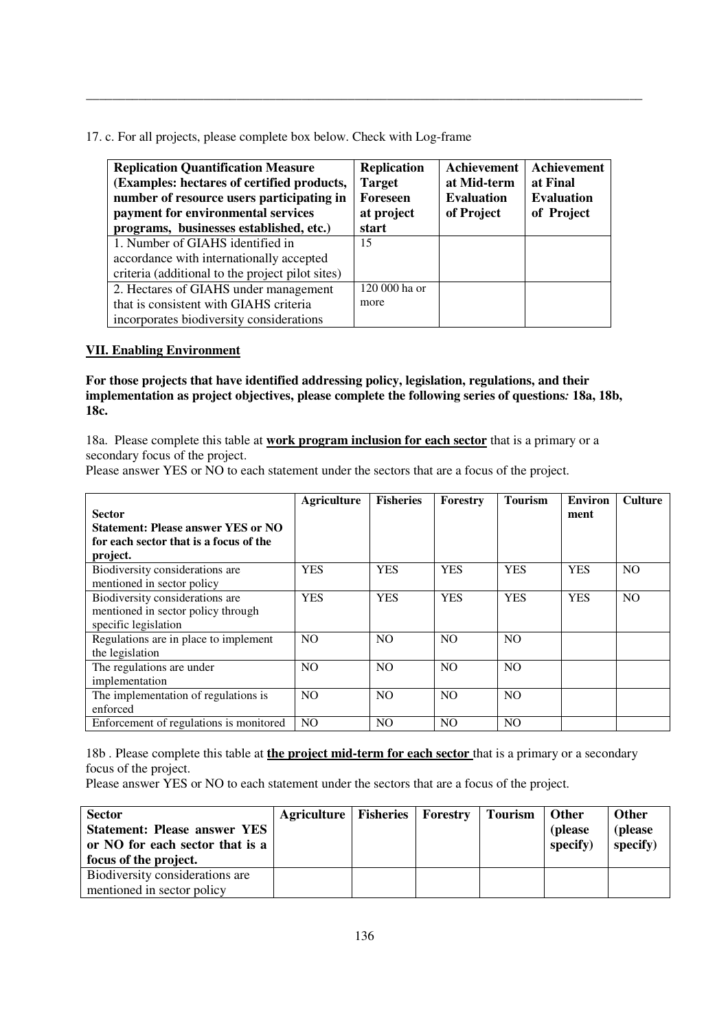17. c. For all projects, please complete box below. Check with Log-frame

| <b>Replication Quantification Measure</b><br>(Examples: hectares of certified products,<br>number of resource users participating in<br>payment for environmental services<br>programs, businesses established, etc.) | <b>Replication</b><br><b>Target</b><br>Foreseen<br>at project<br>start | Achievement<br>at Mid-term<br><b>Evaluation</b><br>of Project | Achievement<br>at Final<br><b>Evaluation</b><br>of Project |
|-----------------------------------------------------------------------------------------------------------------------------------------------------------------------------------------------------------------------|------------------------------------------------------------------------|---------------------------------------------------------------|------------------------------------------------------------|
| 1. Number of GIAHS identified in                                                                                                                                                                                      | 15                                                                     |                                                               |                                                            |
| accordance with internationally accepted                                                                                                                                                                              |                                                                        |                                                               |                                                            |
| criteria (additional to the project pilot sites)                                                                                                                                                                      |                                                                        |                                                               |                                                            |
| 2. Hectares of GIAHS under management                                                                                                                                                                                 | 120 000 ha or                                                          |                                                               |                                                            |
| that is consistent with GIAHS criteria                                                                                                                                                                                | more                                                                   |                                                               |                                                            |
| incorporates biodiversity considerations                                                                                                                                                                              |                                                                        |                                                               |                                                            |

\_\_\_\_\_\_\_\_\_\_\_\_\_\_\_\_\_\_\_\_\_\_\_\_\_\_\_\_\_\_\_\_\_\_\_\_\_\_\_\_\_\_\_\_\_\_\_\_\_\_\_\_\_\_\_\_\_\_\_\_\_\_\_\_\_\_\_\_\_\_\_\_\_\_\_\_\_\_\_\_\_\_\_\_\_

# **VII. Enabling Environment**

**For those projects that have identified addressing policy, legislation, regulations, and their implementation as project objectives, please complete the following series of questions***:* **18a, 18b, 18c.** 

18a. Please complete this table at **work program inclusion for each sector** that is a primary or a secondary focus of the project.

Please answer YES or NO to each statement under the sectors that are a focus of the project.

|                                           | <b>Agriculture</b> | <b>Fisheries</b> | Forestry       | <b>Tourism</b> | <b>Environ</b> | <b>Culture</b> |
|-------------------------------------------|--------------------|------------------|----------------|----------------|----------------|----------------|
| <b>Sector</b>                             |                    |                  |                |                | ment           |                |
| <b>Statement: Please answer YES or NO</b> |                    |                  |                |                |                |                |
| for each sector that is a focus of the    |                    |                  |                |                |                |                |
| project.                                  |                    |                  |                |                |                |                |
| Biodiversity considerations are           | <b>YES</b>         | <b>YES</b>       | <b>YES</b>     | <b>YES</b>     | <b>YES</b>     | N <sub>O</sub> |
| mentioned in sector policy                |                    |                  |                |                |                |                |
| Biodiversity considerations are           | <b>YES</b>         | <b>YES</b>       | <b>YES</b>     | <b>YES</b>     | <b>YES</b>     | N <sub>O</sub> |
| mentioned in sector policy through        |                    |                  |                |                |                |                |
| specific legislation                      |                    |                  |                |                |                |                |
| Regulations are in place to implement     | <b>NO</b>          | N <sub>O</sub>   | N <sub>O</sub> | N <sub>O</sub> |                |                |
| the legislation                           |                    |                  |                |                |                |                |
| The regulations are under                 | N <sub>O</sub>     | N <sub>O</sub>   | N <sub>O</sub> | N <sub>O</sub> |                |                |
| implementation                            |                    |                  |                |                |                |                |
| The implementation of regulations is      | N <sub>O</sub>     | N <sub>O</sub>   | N <sub>O</sub> | N <sub>O</sub> |                |                |
| enforced                                  |                    |                  |                |                |                |                |
| Enforcement of regulations is monitored   | <b>NO</b>          | <b>NO</b>        | N <sub>O</sub> | N <sub>O</sub> |                |                |

18b . Please complete this table at **the project mid-term for each sector** that is a primary or a secondary focus of the project.

Please answer YES or NO to each statement under the sectors that are a focus of the project.

| <b>Sector</b><br><b>Statement: Please answer YES</b><br>or NO for each sector that is a<br>focus of the project. | Agriculture   Fisheries   Forestry |  | <b>Tourism</b> | <b>Other</b><br>(please)<br>specify) | <b>Other</b><br>(please<br>specify) |
|------------------------------------------------------------------------------------------------------------------|------------------------------------|--|----------------|--------------------------------------|-------------------------------------|
| Biodiversity considerations are                                                                                  |                                    |  |                |                                      |                                     |
| mentioned in sector policy                                                                                       |                                    |  |                |                                      |                                     |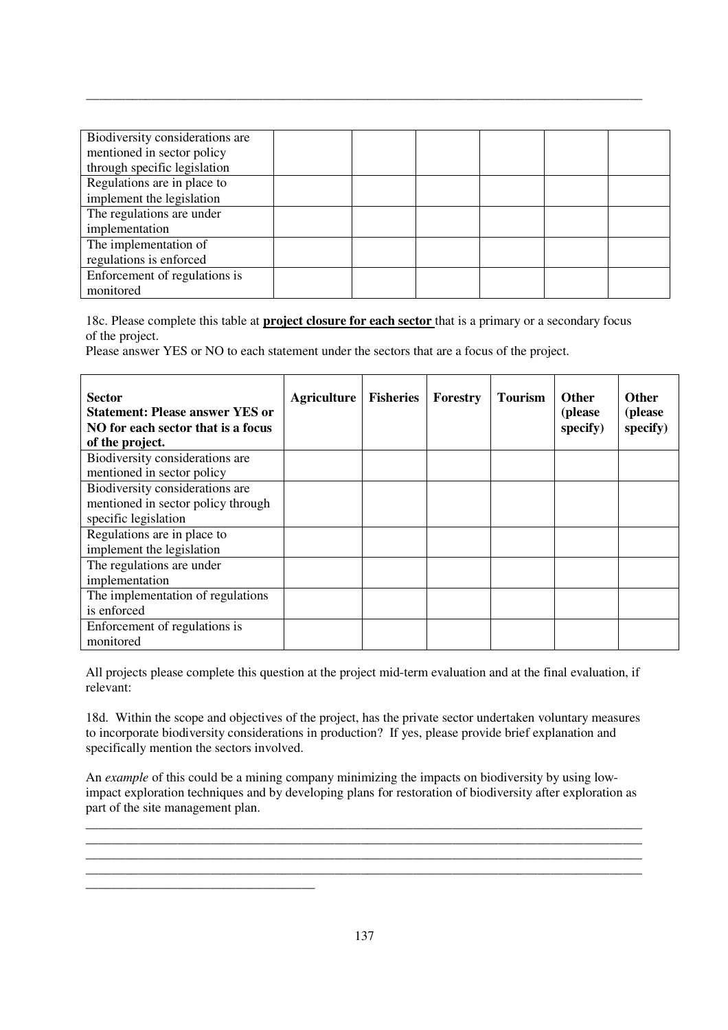| Biodiversity considerations are |  |  |  |
|---------------------------------|--|--|--|
| mentioned in sector policy      |  |  |  |
| through specific legislation    |  |  |  |
| Regulations are in place to     |  |  |  |
| implement the legislation       |  |  |  |
| The regulations are under       |  |  |  |
| implementation                  |  |  |  |
| The implementation of           |  |  |  |
| regulations is enforced         |  |  |  |
| Enforcement of regulations is   |  |  |  |
| monitored                       |  |  |  |

18c. Please complete this table at **project closure for each sector** that is a primary or a secondary focus of the project.

Please answer YES or NO to each statement under the sectors that are a focus of the project.

| <b>Sector</b><br><b>Statement: Please answer YES or</b><br>NO for each sector that is a focus<br>of the project. | <b>Agriculture</b> | <b>Fisheries</b> | Forestry | <b>Tourism</b> | <b>Other</b><br>(please<br>specify) | <b>Other</b><br>(please<br>specify) |
|------------------------------------------------------------------------------------------------------------------|--------------------|------------------|----------|----------------|-------------------------------------|-------------------------------------|
| Biodiversity considerations are                                                                                  |                    |                  |          |                |                                     |                                     |
| mentioned in sector policy                                                                                       |                    |                  |          |                |                                     |                                     |
| Biodiversity considerations are                                                                                  |                    |                  |          |                |                                     |                                     |
| mentioned in sector policy through                                                                               |                    |                  |          |                |                                     |                                     |
| specific legislation                                                                                             |                    |                  |          |                |                                     |                                     |
| Regulations are in place to                                                                                      |                    |                  |          |                |                                     |                                     |
| implement the legislation                                                                                        |                    |                  |          |                |                                     |                                     |
| The regulations are under                                                                                        |                    |                  |          |                |                                     |                                     |
| implementation                                                                                                   |                    |                  |          |                |                                     |                                     |
| The implementation of regulations                                                                                |                    |                  |          |                |                                     |                                     |
| is enforced                                                                                                      |                    |                  |          |                |                                     |                                     |
| Enforcement of regulations is                                                                                    |                    |                  |          |                |                                     |                                     |
| monitored                                                                                                        |                    |                  |          |                |                                     |                                     |

All projects please complete this question at the project mid-term evaluation and at the final evaluation, if relevant:

18d. Within the scope and objectives of the project, has the private sector undertaken voluntary measures to incorporate biodiversity considerations in production? If yes, please provide brief explanation and specifically mention the sectors involved.

An *example* of this could be a mining company minimizing the impacts on biodiversity by using lowimpact exploration techniques and by developing plans for restoration of biodiversity after exploration as part of the site management plan.

**\_\_\_\_\_\_\_\_\_\_\_\_\_\_\_\_\_\_\_\_\_\_\_\_\_\_\_\_\_\_\_\_\_\_\_\_\_\_\_\_\_\_\_\_\_\_\_\_\_\_\_\_\_\_\_\_\_\_\_\_\_\_\_\_\_\_\_\_\_\_\_\_\_\_\_\_\_\_\_\_\_\_\_\_\_**

**\_\_\_\_\_\_\_\_\_\_\_\_\_\_\_\_\_\_\_\_\_\_\_\_\_\_\_\_\_\_\_\_\_\_\_\_\_\_\_\_\_\_\_\_\_\_\_\_\_\_\_\_\_\_\_\_\_\_\_\_\_\_\_\_\_\_\_\_\_\_\_\_\_\_\_\_\_\_\_\_\_\_\_\_\_ \_\_\_\_\_\_\_\_\_\_\_\_\_\_\_\_\_\_\_\_\_\_\_\_\_\_\_\_\_\_\_\_\_\_\_\_\_\_\_\_\_\_\_\_\_\_\_\_\_\_\_\_\_\_\_\_\_\_\_\_\_\_\_\_\_\_\_\_\_\_\_\_\_\_\_\_\_\_\_\_\_\_\_\_\_**

**\_\_\_\_\_\_\_\_\_\_\_\_\_\_\_\_\_\_\_\_\_\_\_\_\_\_\_\_\_\_\_\_\_\_\_**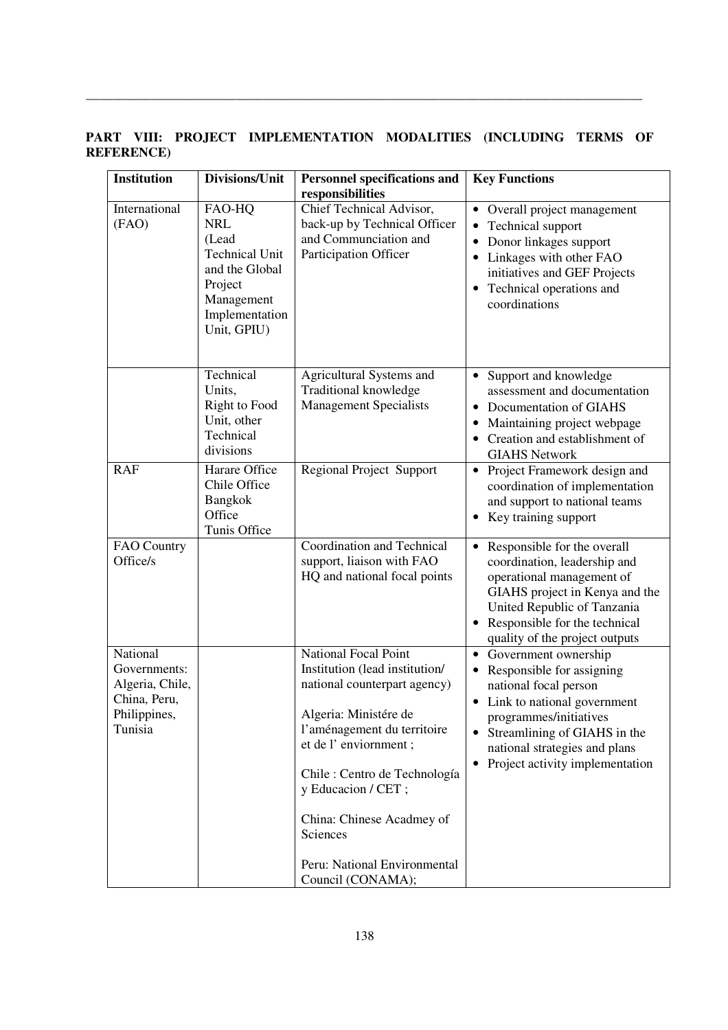**PART VIII: PROJECT IMPLEMENTATION MODALITIES (INCLUDING TERMS OF REFERENCE)** 

| <b>Institution</b>                                                                     | Divisions/Unit                                                                                                                     | <b>Personnel specifications and</b><br>responsibilities                                                                                                                                                                                                                                                                     | <b>Key Functions</b>                                                                                                                                                                                                                                                |
|----------------------------------------------------------------------------------------|------------------------------------------------------------------------------------------------------------------------------------|-----------------------------------------------------------------------------------------------------------------------------------------------------------------------------------------------------------------------------------------------------------------------------------------------------------------------------|---------------------------------------------------------------------------------------------------------------------------------------------------------------------------------------------------------------------------------------------------------------------|
| International<br>(FAO)                                                                 | FAO-HQ<br><b>NRL</b><br>(Lead<br><b>Technical Unit</b><br>and the Global<br>Project<br>Management<br>Implementation<br>Unit, GPIU) | Chief Technical Advisor,<br>back-up by Technical Officer<br>and Communciation and<br>Participation Officer                                                                                                                                                                                                                  | • Overall project management<br>Technical support<br>Donor linkages support<br>Linkages with other FAO<br>initiatives and GEF Projects<br>Technical operations and<br>$\bullet$<br>coordinations                                                                    |
|                                                                                        | Technical<br>Units,<br><b>Right to Food</b><br>Unit, other<br>Technical<br>divisions                                               | Agricultural Systems and<br>Traditional knowledge<br><b>Management Specialists</b>                                                                                                                                                                                                                                          | Support and knowledge<br>assessment and documentation<br>Documentation of GIAHS<br>$\bullet$<br>Maintaining project webpage<br>Creation and establishment of<br><b>GIAHS Network</b>                                                                                |
| <b>RAF</b>                                                                             | Harare Office<br>Chile Office<br>Bangkok<br>Office<br>Tunis Office                                                                 | <b>Regional Project Support</b>                                                                                                                                                                                                                                                                                             | Project Framework design and<br>$\bullet$<br>coordination of implementation<br>and support to national teams<br>Key training support                                                                                                                                |
| FAO Country<br>Office/s                                                                |                                                                                                                                    | Coordination and Technical<br>support, liaison with FAO<br>HQ and national focal points                                                                                                                                                                                                                                     | Responsible for the overall<br>$\bullet$<br>coordination, leadership and<br>operational management of<br>GIAHS project in Kenya and the<br>United Republic of Tanzania<br>Responsible for the technical<br>quality of the project outputs                           |
| National<br>Governments:<br>Algeria, Chile,<br>China, Peru,<br>Philippines,<br>Tunisia |                                                                                                                                    | National Focal Point<br>Institution (lead institution/<br>national counterpart agency)<br>Algeria: Ministére de<br>l'aménagement du territoire<br>et de l'enviornment;<br>Chile : Centro de Technología<br>y Educacion / CET;<br>China: Chinese Acadmey of<br>Sciences<br>Peru: National Environmental<br>Council (CONAMA); | Government ownership<br>$\bullet$<br>Responsible for assigning<br>national focal person<br>Link to national government<br>programmes/initiatives<br>• Streamlining of GIAHS in the<br>national strategies and plans<br>Project activity implementation<br>$\bullet$ |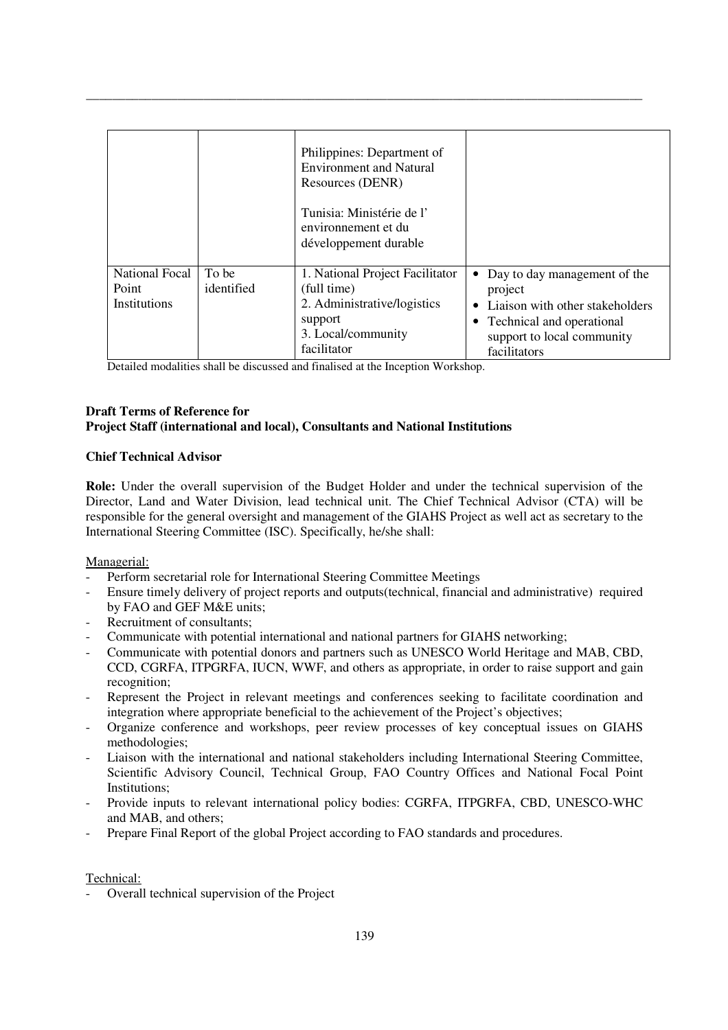|                                                |                     | Philippines: Department of<br><b>Environment and Natural</b><br>Resources (DENR)<br>Tunisia: Ministérie de l'<br>environnement et du<br>développement durable |                                                                                                                                                         |
|------------------------------------------------|---------------------|---------------------------------------------------------------------------------------------------------------------------------------------------------------|---------------------------------------------------------------------------------------------------------------------------------------------------------|
| National Focal<br>Point<br><b>Institutions</b> | To be<br>identified | 1. National Project Facilitator<br>(full time)<br>2. Administrative/logistics<br>support<br>3. Local/community<br>facilitator                                 | Day to day management of the<br>project<br>Liaison with other stakeholders<br>• Technical and operational<br>support to local community<br>facilitators |

Detailed modalities shall be discussed and finalised at the Inception Workshop.

## **Draft Terms of Reference for Project Staff (international and local), Consultants and National Institutions**

## **Chief Technical Advisor**

**Role:** Under the overall supervision of the Budget Holder and under the technical supervision of the Director, Land and Water Division, lead technical unit. The Chief Technical Advisor (CTA) will be responsible for the general oversight and management of the GIAHS Project as well act as secretary to the International Steering Committee (ISC). Specifically, he/she shall:

## Managerial:

- Perform secretarial role for International Steering Committee Meetings
- Ensure timely delivery of project reports and outputs(technical, financial and administrative) required by FAO and GEF M&E units;
- Recruitment of consultants;
- Communicate with potential international and national partners for GIAHS networking;
- Communicate with potential donors and partners such as UNESCO World Heritage and MAB, CBD, CCD, CGRFA, ITPGRFA, IUCN, WWF, and others as appropriate, in order to raise support and gain recognition;
- Represent the Project in relevant meetings and conferences seeking to facilitate coordination and integration where appropriate beneficial to the achievement of the Project's objectives;
- Organize conference and workshops, peer review processes of key conceptual issues on GIAHS methodologies;
- Liaison with the international and national stakeholders including International Steering Committee, Scientific Advisory Council, Technical Group, FAO Country Offices and National Focal Point Institutions;
- Provide inputs to relevant international policy bodies: CGRFA, ITPGRFA, CBD, UNESCO-WHC and MAB, and others;
- Prepare Final Report of the global Project according to FAO standards and procedures.

# Technical:

- Overall technical supervision of the Project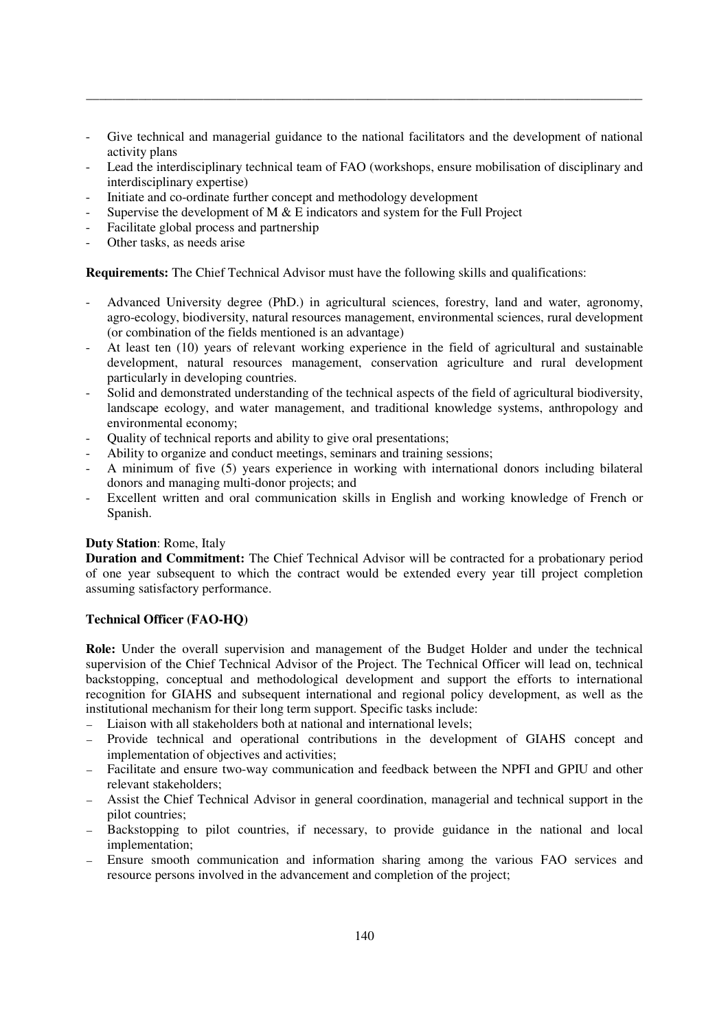Give technical and managerial guidance to the national facilitators and the development of national activity plans

\_\_\_\_\_\_\_\_\_\_\_\_\_\_\_\_\_\_\_\_\_\_\_\_\_\_\_\_\_\_\_\_\_\_\_\_\_\_\_\_\_\_\_\_\_\_\_\_\_\_\_\_\_\_\_\_\_\_\_\_\_\_\_\_\_\_\_\_\_\_\_\_\_\_\_\_\_\_\_\_\_\_\_\_\_

- Lead the interdisciplinary technical team of FAO (workshops, ensure mobilisation of disciplinary and interdisciplinary expertise)
- Initiate and co-ordinate further concept and methodology development
- Supervise the development of M  $\&$  E indicators and system for the Full Project
- Facilitate global process and partnership
- Other tasks, as needs arise

**Requirements:** The Chief Technical Advisor must have the following skills and qualifications:

- Advanced University degree (PhD.) in agricultural sciences, forestry, land and water, agronomy, agro-ecology, biodiversity, natural resources management, environmental sciences, rural development (or combination of the fields mentioned is an advantage)
- At least ten (10) years of relevant working experience in the field of agricultural and sustainable development, natural resources management, conservation agriculture and rural development particularly in developing countries.
- Solid and demonstrated understanding of the technical aspects of the field of agricultural biodiversity, landscape ecology, and water management, and traditional knowledge systems, anthropology and environmental economy;
- Quality of technical reports and ability to give oral presentations;
- Ability to organize and conduct meetings, seminars and training sessions;
- A minimum of five (5) years experience in working with international donors including bilateral donors and managing multi-donor projects; and
- Excellent written and oral communication skills in English and working knowledge of French or Spanish.

# **Duty Station**: Rome, Italy

**Duration and Commitment:** The Chief Technical Advisor will be contracted for a probationary period of one year subsequent to which the contract would be extended every year till project completion assuming satisfactory performance.

## **Technical Officer (FAO-HQ)**

**Role:** Under the overall supervision and management of the Budget Holder and under the technical supervision of the Chief Technical Advisor of the Project. The Technical Officer will lead on, technical backstopping, conceptual and methodological development and support the efforts to international recognition for GIAHS and subsequent international and regional policy development, as well as the institutional mechanism for their long term support. Specific tasks include:

- Liaison with all stakeholders both at national and international levels;
- ― Provide technical and operational contributions in the development of GIAHS concept and implementation of objectives and activities;
- ― Facilitate and ensure two-way communication and feedback between the NPFI and GPIU and other relevant stakeholders;
- ― Assist the Chief Technical Advisor in general coordination, managerial and technical support in the pilot countries;
- ― Backstopping to pilot countries, if necessary, to provide guidance in the national and local implementation;
- ― Ensure smooth communication and information sharing among the various FAO services and resource persons involved in the advancement and completion of the project;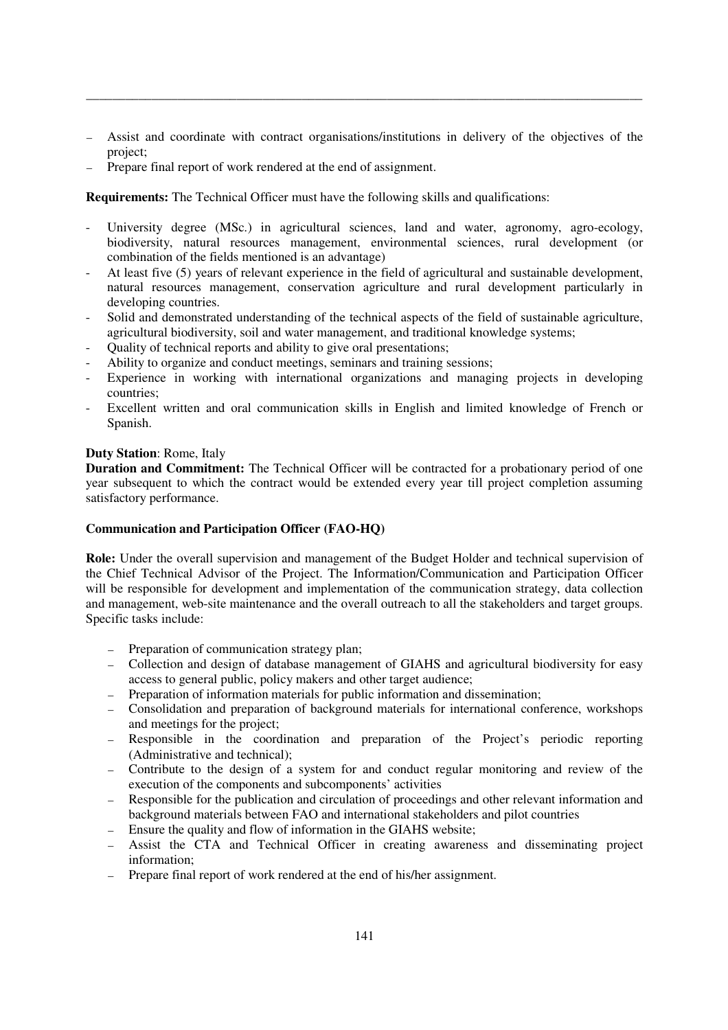― Assist and coordinate with contract organisations/institutions in delivery of the objectives of the project;

\_\_\_\_\_\_\_\_\_\_\_\_\_\_\_\_\_\_\_\_\_\_\_\_\_\_\_\_\_\_\_\_\_\_\_\_\_\_\_\_\_\_\_\_\_\_\_\_\_\_\_\_\_\_\_\_\_\_\_\_\_\_\_\_\_\_\_\_\_\_\_\_\_\_\_\_\_\_\_\_\_\_\_\_\_

Prepare final report of work rendered at the end of assignment.

**Requirements:** The Technical Officer must have the following skills and qualifications:

- University degree (MSc.) in agricultural sciences, land and water, agronomy, agro-ecology, biodiversity, natural resources management, environmental sciences, rural development (or combination of the fields mentioned is an advantage)
- At least five (5) years of relevant experience in the field of agricultural and sustainable development, natural resources management, conservation agriculture and rural development particularly in developing countries.
- Solid and demonstrated understanding of the technical aspects of the field of sustainable agriculture, agricultural biodiversity, soil and water management, and traditional knowledge systems;
- Quality of technical reports and ability to give oral presentations;
- Ability to organize and conduct meetings, seminars and training sessions;
- Experience in working with international organizations and managing projects in developing countries;
- Excellent written and oral communication skills in English and limited knowledge of French or Spanish.

## **Duty Station**: Rome, Italy

**Duration and Commitment:** The Technical Officer will be contracted for a probationary period of one year subsequent to which the contract would be extended every year till project completion assuming satisfactory performance.

## **Communication and Participation Officer (FAO-HQ)**

**Role:** Under the overall supervision and management of the Budget Holder and technical supervision of the Chief Technical Advisor of the Project. The Information/Communication and Participation Officer will be responsible for development and implementation of the communication strategy, data collection and management, web-site maintenance and the overall outreach to all the stakeholders and target groups. Specific tasks include:

- ― Preparation of communication strategy plan;
- ― Collection and design of database management of GIAHS and agricultural biodiversity for easy access to general public, policy makers and other target audience;
- ― Preparation of information materials for public information and dissemination;
- ― Consolidation and preparation of background materials for international conference, workshops and meetings for the project;
- ― Responsible in the coordination and preparation of the Project's periodic reporting (Administrative and technical);
- ― Contribute to the design of a system for and conduct regular monitoring and review of the execution of the components and subcomponents' activities
- ― Responsible for the publication and circulation of proceedings and other relevant information and background materials between FAO and international stakeholders and pilot countries
- ― Ensure the quality and flow of information in the GIAHS website;
- ― Assist the CTA and Technical Officer in creating awareness and disseminating project information;
- ― Prepare final report of work rendered at the end of his/her assignment.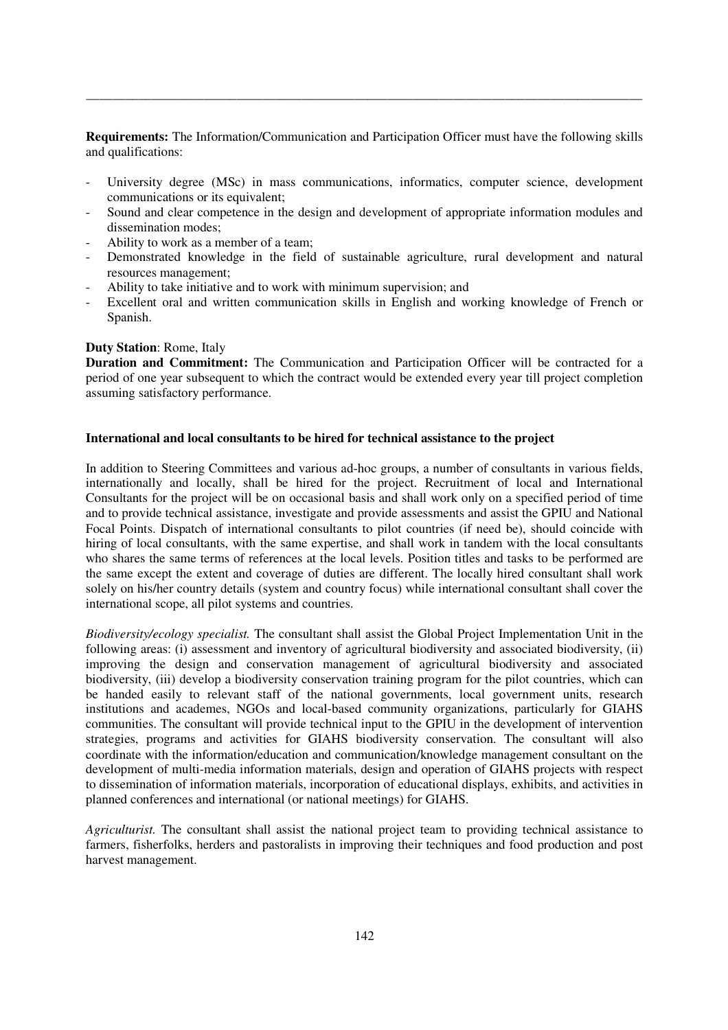**Requirements:** The Information/Communication and Participation Officer must have the following skills and qualifications:

\_\_\_\_\_\_\_\_\_\_\_\_\_\_\_\_\_\_\_\_\_\_\_\_\_\_\_\_\_\_\_\_\_\_\_\_\_\_\_\_\_\_\_\_\_\_\_\_\_\_\_\_\_\_\_\_\_\_\_\_\_\_\_\_\_\_\_\_\_\_\_\_\_\_\_\_\_\_\_\_\_\_\_\_\_

- University degree (MSc) in mass communications, informatics, computer science, development communications or its equivalent;
- Sound and clear competence in the design and development of appropriate information modules and dissemination modes;
- Ability to work as a member of a team;
- Demonstrated knowledge in the field of sustainable agriculture, rural development and natural resources management;
- Ability to take initiative and to work with minimum supervision; and
- Excellent oral and written communication skills in English and working knowledge of French or Spanish.

## **Duty Station**: Rome, Italy

**Duration and Commitment:** The Communication and Participation Officer will be contracted for a period of one year subsequent to which the contract would be extended every year till project completion assuming satisfactory performance.

## **International and local consultants to be hired for technical assistance to the project**

In addition to Steering Committees and various ad-hoc groups, a number of consultants in various fields, internationally and locally, shall be hired for the project. Recruitment of local and International Consultants for the project will be on occasional basis and shall work only on a specified period of time and to provide technical assistance, investigate and provide assessments and assist the GPIU and National Focal Points. Dispatch of international consultants to pilot countries (if need be), should coincide with hiring of local consultants, with the same expertise, and shall work in tandem with the local consultants who shares the same terms of references at the local levels. Position titles and tasks to be performed are the same except the extent and coverage of duties are different. The locally hired consultant shall work solely on his/her country details (system and country focus) while international consultant shall cover the international scope, all pilot systems and countries.

*Biodiversity/ecology specialist.* The consultant shall assist the Global Project Implementation Unit in the following areas: (i) assessment and inventory of agricultural biodiversity and associated biodiversity, (ii) improving the design and conservation management of agricultural biodiversity and associated biodiversity, (iii) develop a biodiversity conservation training program for the pilot countries, which can be handed easily to relevant staff of the national governments, local government units, research institutions and academes, NGOs and local-based community organizations, particularly for GIAHS communities. The consultant will provide technical input to the GPIU in the development of intervention strategies, programs and activities for GIAHS biodiversity conservation. The consultant will also coordinate with the information/education and communication/knowledge management consultant on the development of multi-media information materials, design and operation of GIAHS projects with respect to dissemination of information materials, incorporation of educational displays, exhibits, and activities in planned conferences and international (or national meetings) for GIAHS.

*Agriculturist.* The consultant shall assist the national project team to providing technical assistance to farmers, fisherfolks, herders and pastoralists in improving their techniques and food production and post harvest management.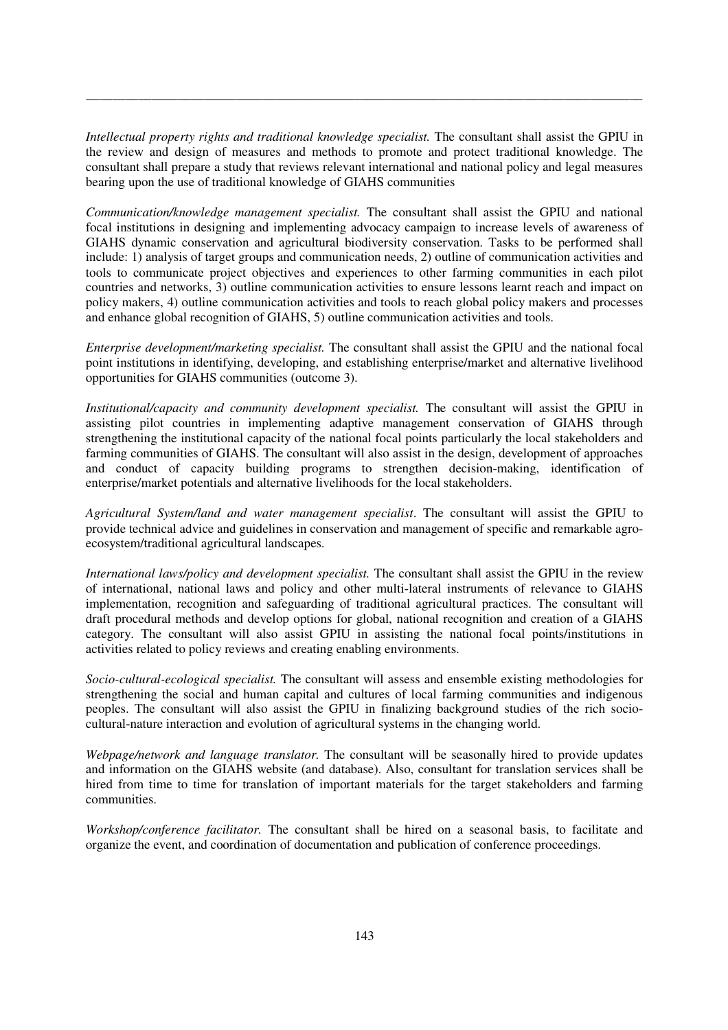*Intellectual property rights and traditional knowledge specialist.* The consultant shall assist the GPIU in the review and design of measures and methods to promote and protect traditional knowledge. The consultant shall prepare a study that reviews relevant international and national policy and legal measures bearing upon the use of traditional knowledge of GIAHS communities

\_\_\_\_\_\_\_\_\_\_\_\_\_\_\_\_\_\_\_\_\_\_\_\_\_\_\_\_\_\_\_\_\_\_\_\_\_\_\_\_\_\_\_\_\_\_\_\_\_\_\_\_\_\_\_\_\_\_\_\_\_\_\_\_\_\_\_\_\_\_\_\_\_\_\_\_\_\_\_\_\_\_\_\_\_

*Communication/knowledge management specialist.* The consultant shall assist the GPIU and national focal institutions in designing and implementing advocacy campaign to increase levels of awareness of GIAHS dynamic conservation and agricultural biodiversity conservation. Tasks to be performed shall include: 1) analysis of target groups and communication needs, 2) outline of communication activities and tools to communicate project objectives and experiences to other farming communities in each pilot countries and networks, 3) outline communication activities to ensure lessons learnt reach and impact on policy makers, 4) outline communication activities and tools to reach global policy makers and processes and enhance global recognition of GIAHS, 5) outline communication activities and tools.

*Enterprise development/marketing specialist.* The consultant shall assist the GPIU and the national focal point institutions in identifying, developing, and establishing enterprise/market and alternative livelihood opportunities for GIAHS communities (outcome 3).

*Institutional/capacity and community development specialist.* The consultant will assist the GPIU in assisting pilot countries in implementing adaptive management conservation of GIAHS through strengthening the institutional capacity of the national focal points particularly the local stakeholders and farming communities of GIAHS. The consultant will also assist in the design, development of approaches and conduct of capacity building programs to strengthen decision-making, identification of enterprise/market potentials and alternative livelihoods for the local stakeholders.

*Agricultural System/land and water management specialist*. The consultant will assist the GPIU to provide technical advice and guidelines in conservation and management of specific and remarkable agroecosystem/traditional agricultural landscapes.

*International laws/policy and development specialist.* The consultant shall assist the GPIU in the review of international, national laws and policy and other multi-lateral instruments of relevance to GIAHS implementation, recognition and safeguarding of traditional agricultural practices. The consultant will draft procedural methods and develop options for global, national recognition and creation of a GIAHS category. The consultant will also assist GPIU in assisting the national focal points/institutions in activities related to policy reviews and creating enabling environments.

*Socio-cultural-ecological specialist.* The consultant will assess and ensemble existing methodologies for strengthening the social and human capital and cultures of local farming communities and indigenous peoples. The consultant will also assist the GPIU in finalizing background studies of the rich sociocultural-nature interaction and evolution of agricultural systems in the changing world.

*Webpage/network and language translator.* The consultant will be seasonally hired to provide updates and information on the GIAHS website (and database). Also, consultant for translation services shall be hired from time to time for translation of important materials for the target stakeholders and farming communities.

*Workshop/conference facilitator.* The consultant shall be hired on a seasonal basis, to facilitate and organize the event, and coordination of documentation and publication of conference proceedings.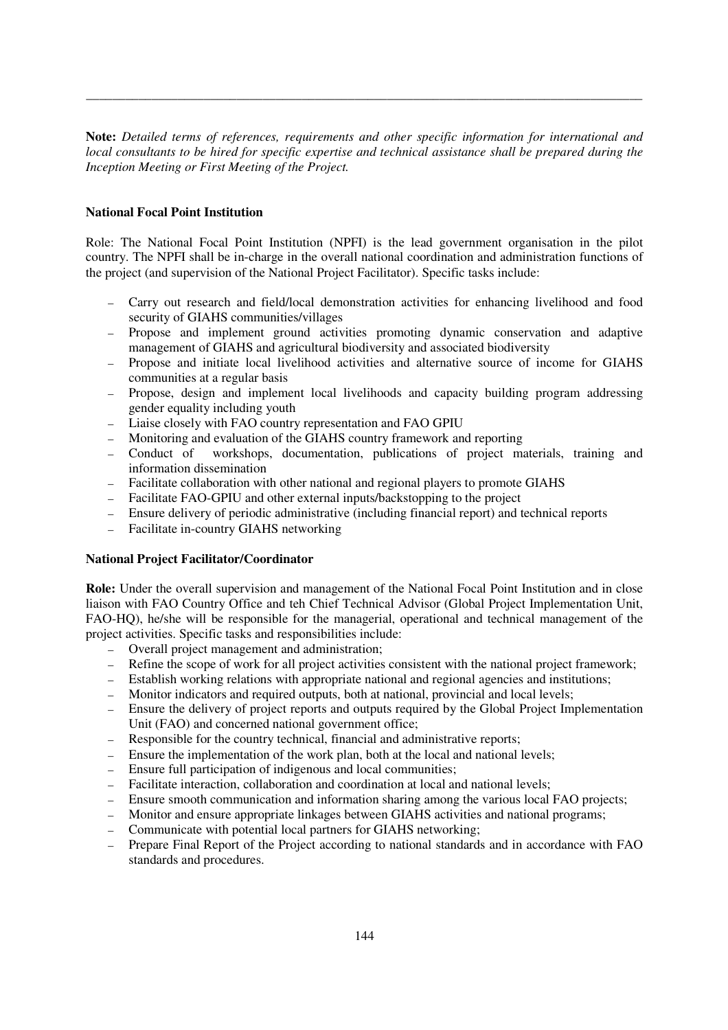**Note:** *Detailed terms of references, requirements and other specific information for international and local consultants to be hired for specific expertise and technical assistance shall be prepared during the Inception Meeting or First Meeting of the Project.* 

\_\_\_\_\_\_\_\_\_\_\_\_\_\_\_\_\_\_\_\_\_\_\_\_\_\_\_\_\_\_\_\_\_\_\_\_\_\_\_\_\_\_\_\_\_\_\_\_\_\_\_\_\_\_\_\_\_\_\_\_\_\_\_\_\_\_\_\_\_\_\_\_\_\_\_\_\_\_\_\_\_\_\_\_\_

## **National Focal Point Institution**

Role: The National Focal Point Institution (NPFI) is the lead government organisation in the pilot country. The NPFI shall be in-charge in the overall national coordination and administration functions of the project (and supervision of the National Project Facilitator). Specific tasks include:

- ― Carry out research and field/local demonstration activities for enhancing livelihood and food security of GIAHS communities/villages
- ― Propose and implement ground activities promoting dynamic conservation and adaptive management of GIAHS and agricultural biodiversity and associated biodiversity
- ― Propose and initiate local livelihood activities and alternative source of income for GIAHS communities at a regular basis
- ― Propose, design and implement local livelihoods and capacity building program addressing gender equality including youth
- ― Liaise closely with FAO country representation and FAO GPIU
- ― Monitoring and evaluation of the GIAHS country framework and reporting
- ― Conduct of workshops, documentation, publications of project materials, training and information dissemination
- ― Facilitate collaboration with other national and regional players to promote GIAHS
- ― Facilitate FAO-GPIU and other external inputs/backstopping to the project
- ― Ensure delivery of periodic administrative (including financial report) and technical reports
- ― Facilitate in-country GIAHS networking

## **National Project Facilitator/Coordinator**

**Role:** Under the overall supervision and management of the National Focal Point Institution and in close liaison with FAO Country Office and teh Chief Technical Advisor (Global Project Implementation Unit, FAO-HQ), he/she will be responsible for the managerial, operational and technical management of the project activities. Specific tasks and responsibilities include:

- ― Overall project management and administration;
- ― Refine the scope of work for all project activities consistent with the national project framework;
- ― Establish working relations with appropriate national and regional agencies and institutions;
- ― Monitor indicators and required outputs, both at national, provincial and local levels;
- ― Ensure the delivery of project reports and outputs required by the Global Project Implementation Unit (FAO) and concerned national government office;
- ― Responsible for the country technical, financial and administrative reports;
- ― Ensure the implementation of the work plan, both at the local and national levels;
- ― Ensure full participation of indigenous and local communities;
- ― Facilitate interaction, collaboration and coordination at local and national levels;
- ― Ensure smooth communication and information sharing among the various local FAO projects;
- ― Monitor and ensure appropriate linkages between GIAHS activities and national programs;
- ― Communicate with potential local partners for GIAHS networking;
- ― Prepare Final Report of the Project according to national standards and in accordance with FAO standards and procedures.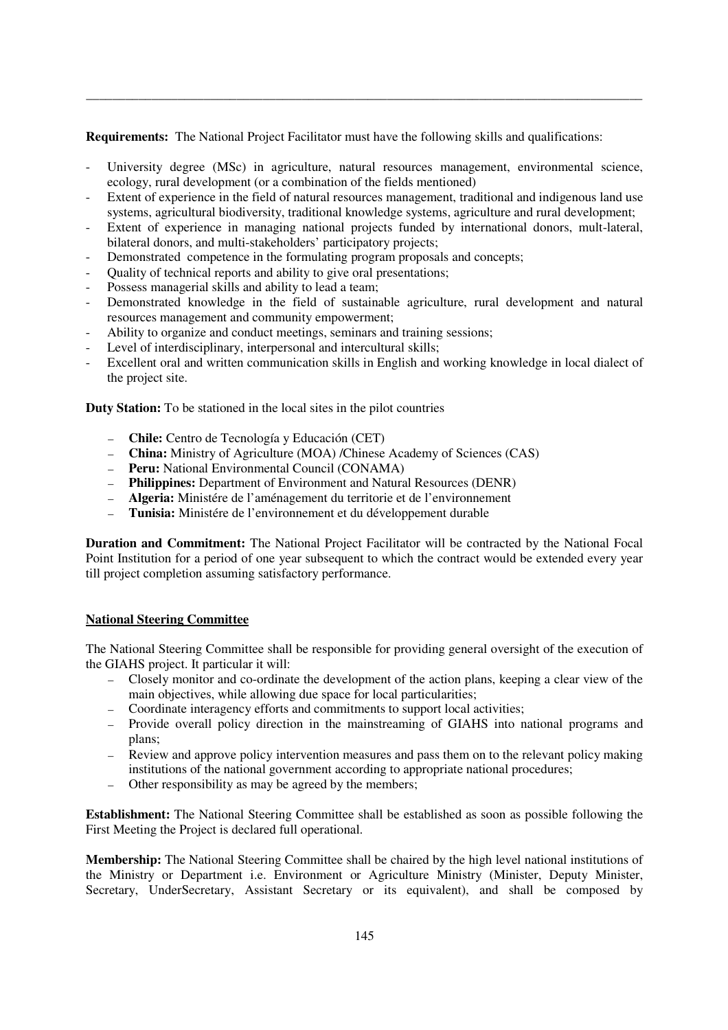**Requirements:** The National Project Facilitator must have the following skills and qualifications:

University degree (MSc) in agriculture, natural resources management, environmental science, ecology, rural development (or a combination of the fields mentioned)

\_\_\_\_\_\_\_\_\_\_\_\_\_\_\_\_\_\_\_\_\_\_\_\_\_\_\_\_\_\_\_\_\_\_\_\_\_\_\_\_\_\_\_\_\_\_\_\_\_\_\_\_\_\_\_\_\_\_\_\_\_\_\_\_\_\_\_\_\_\_\_\_\_\_\_\_\_\_\_\_\_\_\_\_\_

- Extent of experience in the field of natural resources management, traditional and indigenous land use systems, agricultural biodiversity, traditional knowledge systems, agriculture and rural development;
- Extent of experience in managing national projects funded by international donors, mult-lateral, bilateral donors, and multi-stakeholders' participatory projects;
- Demonstrated competence in the formulating program proposals and concepts;
- Quality of technical reports and ability to give oral presentations;
- Possess managerial skills and ability to lead a team;
- Demonstrated knowledge in the field of sustainable agriculture, rural development and natural resources management and community empowerment;
- Ability to organize and conduct meetings, seminars and training sessions;
- Level of interdisciplinary, interpersonal and intercultural skills;
- Excellent oral and written communication skills in English and working knowledge in local dialect of the project site.

**Duty Station:** To be stationed in the local sites in the pilot countries

- ― **Chile:** Centro de Tecnología y Educación (CET)
- ― **China:** Ministry of Agriculture (MOA) /Chinese Academy of Sciences (CAS)
- ― **Peru:** National Environmental Council (CONAMA)
- ― **Philippines:** Department of Environment and Natural Resources (DENR)
- ― **Algeria:** Ministére de l'aménagement du territorie et de l'environnement
- ― **Tunisia:** Ministére de l'environnement et du développement durable

**Duration and Commitment:** The National Project Facilitator will be contracted by the National Focal Point Institution for a period of one year subsequent to which the contract would be extended every year till project completion assuming satisfactory performance.

## **National Steering Committee**

The National Steering Committee shall be responsible for providing general oversight of the execution of the GIAHS project. It particular it will:

- ― Closely monitor and co-ordinate the development of the action plans, keeping a clear view of the main objectives, while allowing due space for local particularities;
- ― Coordinate interagency efforts and commitments to support local activities;
- ― Provide overall policy direction in the mainstreaming of GIAHS into national programs and plans;
- ― Review and approve policy intervention measures and pass them on to the relevant policy making institutions of the national government according to appropriate national procedures;
- ― Other responsibility as may be agreed by the members;

**Establishment:** The National Steering Committee shall be established as soon as possible following the First Meeting the Project is declared full operational.

**Membership:** The National Steering Committee shall be chaired by the high level national institutions of the Ministry or Department i.e. Environment or Agriculture Ministry (Minister, Deputy Minister, Secretary, UnderSecretary, Assistant Secretary or its equivalent), and shall be composed by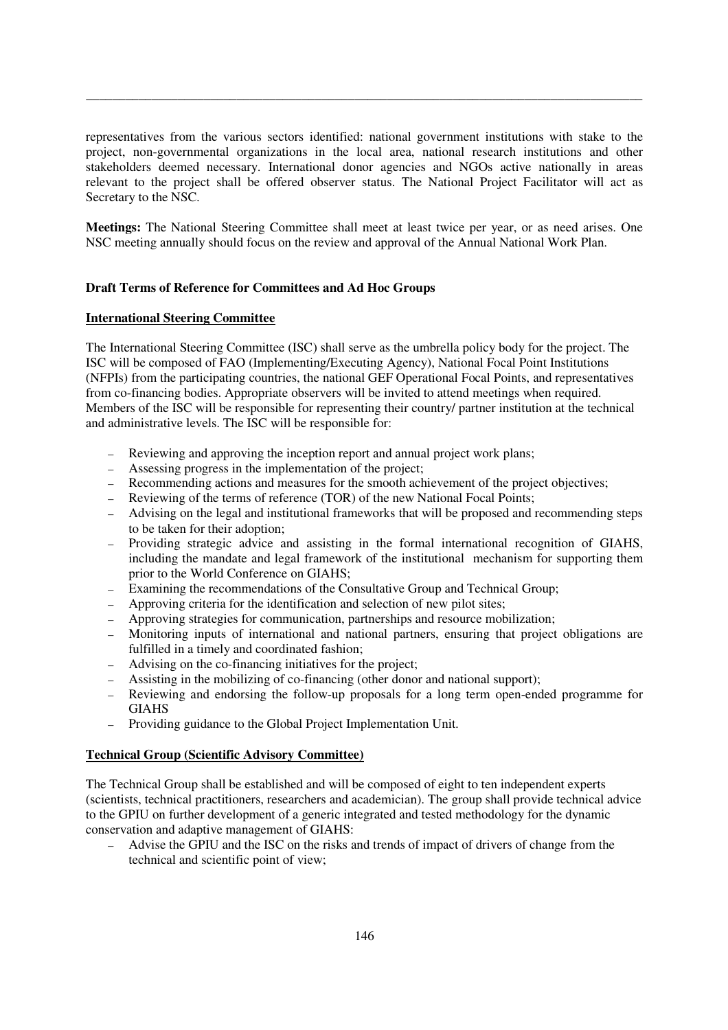representatives from the various sectors identified: national government institutions with stake to the project, non-governmental organizations in the local area, national research institutions and other stakeholders deemed necessary. International donor agencies and NGOs active nationally in areas relevant to the project shall be offered observer status. The National Project Facilitator will act as Secretary to the NSC.

\_\_\_\_\_\_\_\_\_\_\_\_\_\_\_\_\_\_\_\_\_\_\_\_\_\_\_\_\_\_\_\_\_\_\_\_\_\_\_\_\_\_\_\_\_\_\_\_\_\_\_\_\_\_\_\_\_\_\_\_\_\_\_\_\_\_\_\_\_\_\_\_\_\_\_\_\_\_\_\_\_\_\_\_\_

**Meetings:** The National Steering Committee shall meet at least twice per year, or as need arises. One NSC meeting annually should focus on the review and approval of the Annual National Work Plan.

## **Draft Terms of Reference for Committees and Ad Hoc Groups**

## **International Steering Committee**

The International Steering Committee (ISC) shall serve as the umbrella policy body for the project. The ISC will be composed of FAO (Implementing/Executing Agency), National Focal Point Institutions (NFPIs) from the participating countries, the national GEF Operational Focal Points, and representatives from co-financing bodies. Appropriate observers will be invited to attend meetings when required. Members of the ISC will be responsible for representing their country/ partner institution at the technical and administrative levels. The ISC will be responsible for:

- ― Reviewing and approving the inception report and annual project work plans;
- ― Assessing progress in the implementation of the project;
- ― Recommending actions and measures for the smooth achievement of the project objectives;
- ― Reviewing of the terms of reference (TOR) of the new National Focal Points;
- ― Advising on the legal and institutional frameworks that will be proposed and recommending steps to be taken for their adoption;
- ― Providing strategic advice and assisting in the formal international recognition of GIAHS, including the mandate and legal framework of the institutional mechanism for supporting them prior to the World Conference on GIAHS;
- Examining the recommendations of the Consultative Group and Technical Group;
- ― Approving criteria for the identification and selection of new pilot sites;
- ― Approving strategies for communication, partnerships and resource mobilization;
- ― Monitoring inputs of international and national partners, ensuring that project obligations are fulfilled in a timely and coordinated fashion;
- ― Advising on the co-financing initiatives for the project;
- ― Assisting in the mobilizing of co-financing (other donor and national support);
- ― Reviewing and endorsing the follow-up proposals for a long term open-ended programme for GIAHS
- ― Providing guidance to the Global Project Implementation Unit.

## **Technical Group (Scientific Advisory Committee)**

The Technical Group shall be established and will be composed of eight to ten independent experts (scientists, technical practitioners, researchers and academician). The group shall provide technical advice to the GPIU on further development of a generic integrated and tested methodology for the dynamic conservation and adaptive management of GIAHS:

― Advise the GPIU and the ISC on the risks and trends of impact of drivers of change from the technical and scientific point of view;